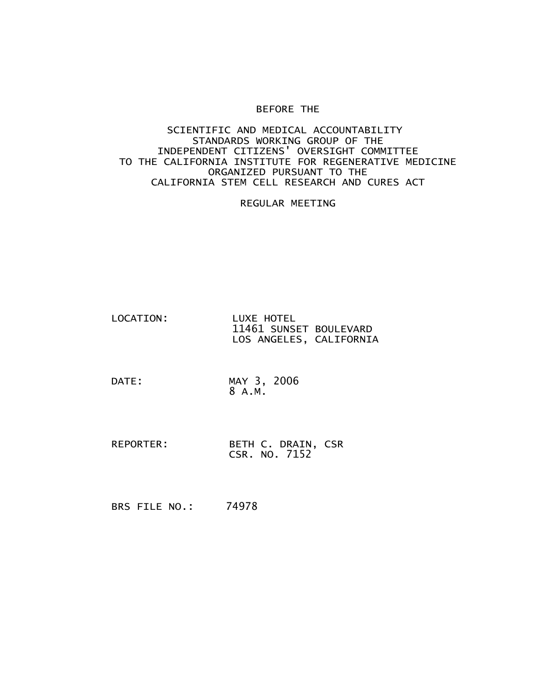## BEFORE THE

## SCIENTIFIC AND MEDICAL ACCOUNTABILITY STANDARDS WORKING GROUP OF THE INDEPENDENT CITIZENS' OVERSIGHT COMMITTEE TO THE CALIFORNIA INSTITUTE FOR REGENERATIVE MEDICINE ORGANIZED PURSUANT TO THE CALIFORNIA STEM CELL RESEARCH AND CURES ACT

REGULAR MEETING

- LOCATION: LUXE HOTEL 11461 SUNSET BOULEVARD LOS ANGELES, CALIFORNIA
- DATE: MAY 3, 2006 8 A.M.
- REPORTER: BETH C. DRAIN, CSR CSR. NO. 7152
- BRS FILE NO.: 74978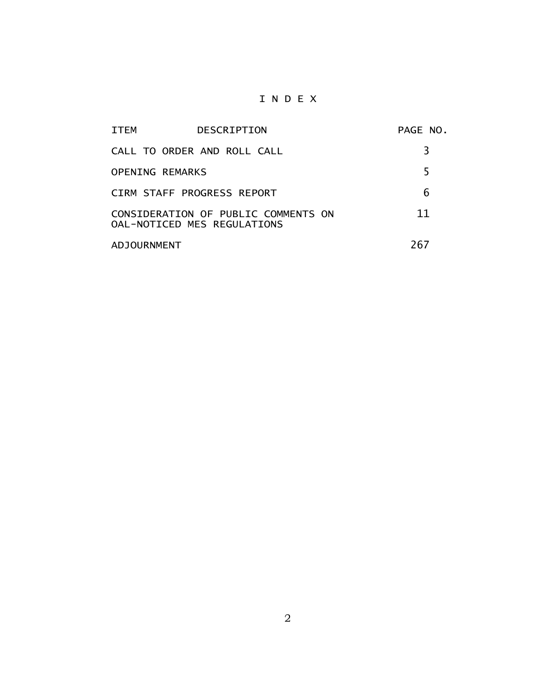## I N D E X

| ITEM                                                               | DESCRIPTION                 | PAGE NO. |
|--------------------------------------------------------------------|-----------------------------|----------|
|                                                                    | CALL TO ORDER AND ROLL CALL | 3        |
| <b>OPENING REMARKS</b>                                             |                             | 5        |
|                                                                    | CIRM STAFF PROGRESS REPORT  | 6        |
| CONSIDERATION OF PUBLIC COMMENTS ON<br>OAL-NOTICED MES REGULATIONS |                             | 11       |
| <b>ADJOURNMENT</b>                                                 |                             | 267      |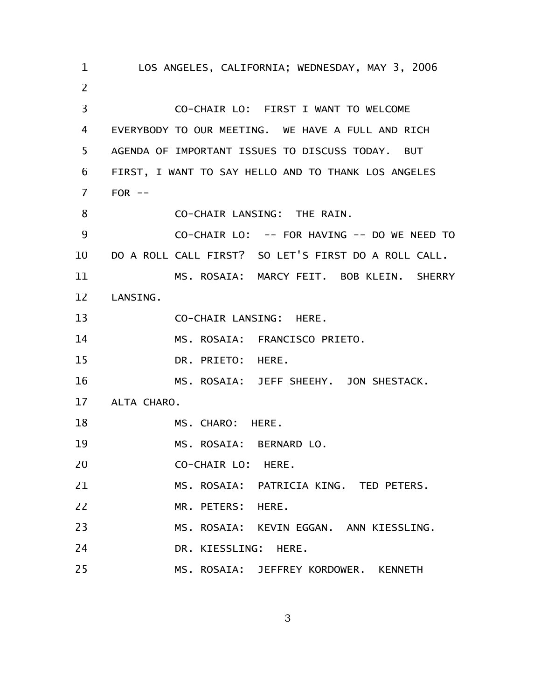LOS ANGELES, CALIFORNIA; WEDNESDAY, MAY 3, 2006 CO-CHAIR LO: FIRST I WANT TO WELCOME EVERYBODY TO OUR MEETING. WE HAVE A FULL AND RICH AGENDA OF IMPORTANT ISSUES TO DISCUSS TODAY. BUT FIRST, I WANT TO SAY HELLO AND TO THANK LOS ANGELES  $FOR$   $--$ CO-CHAIR LANSING: THE RAIN. CO-CHAIR LO: -- FOR HAVING -- DO WE NEED TO DO A ROLL CALL FIRST? SO LET'S FIRST DO A ROLL CALL. MS. ROSAIA: MARCY FEIT. BOB KLEIN. SHERRY LANSING. CO-CHAIR LANSING: HERE. MS. ROSAIA: FRANCISCO PRIETO. DR. PRIETO: HERE. MS. ROSAIA: JEFF SHEEHY. JON SHESTACK. ALTA CHARO. MS. CHARO: HERE. MS. ROSAIA: BERNARD LO. CO-CHAIR LO: HERE. MS. ROSAIA: PATRICIA KING. TED PETERS. MR. PETERS: HERE. MS. ROSAIA: KEVIN EGGAN. ANN KIESSLING. DR. KIESSLING: HERE. MS. ROSAIA: JEFFREY KORDOWER. KENNETH 1 2 3 4 5 6 7 8 9 10 11 12 13 14 15 16 17 18 19 20 21 22 23 24 25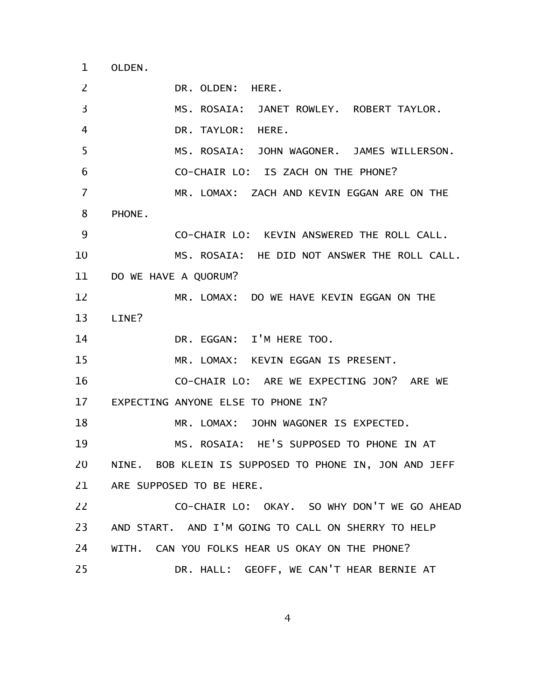OLDEN. 1

DR. OLDEN: HERE. MS. ROSAIA: JANET ROWLEY. ROBERT TAYLOR. DR. TAYLOR: HERE. MS. ROSAIA: JOHN WAGONER. JAMES WILLERSON. CO-CHAIR LO: IS ZACH ON THE PHONE? MR. LOMAX: ZACH AND KEVIN EGGAN ARE ON THE PHONE. CO-CHAIR LO: KEVIN ANSWERED THE ROLL CALL. MS. ROSAIA: HE DID NOT ANSWER THE ROLL CALL. DO WE HAVE A QUORUM? MR. LOMAX: DO WE HAVE KEVIN EGGAN ON THE LINE? DR. EGGAN: I'M HERE TOO. MR. LOMAX: KEVIN EGGAN IS PRESENT. CO-CHAIR LO: ARE WE EXPECTING JON? ARE WE EXPECTING ANYONE ELSE TO PHONE IN? MR. LOMAX: JOHN WAGONER IS EXPECTED. MS. ROSAIA: HE'S SUPPOSED TO PHONE IN AT NINE. BOB KLEIN IS SUPPOSED TO PHONE IN, JON AND JEFF ARE SUPPOSED TO BE HERE. CO-CHAIR LO: OKAY. SO WHY DON'T WE GO AHEAD AND START. AND I'M GOING TO CALL ON SHERRY TO HELP WITH. CAN YOU FOLKS HEAR US OKAY ON THE PHONE? DR. HALL: GEOFF, WE CAN'T HEAR BERNIE AT 2 3 4 5 6 7 8 9 10 11 12 13 14 15 16 17 18 19 20 21 22 23 24 25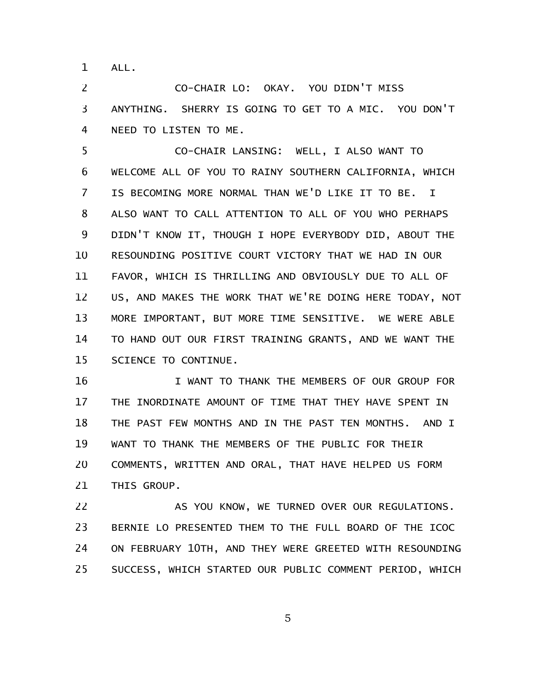ALL. 1

CO-CHAIR LO: OKAY. YOU DIDN'T MISS ANYTHING. SHERRY IS GOING TO GET TO A MIC. YOU DON'T NEED TO LISTEN TO ME. 2 3 4

CO-CHAIR LANSING: WELL, I ALSO WANT TO WELCOME ALL OF YOU TO RAINY SOUTHERN CALIFORNIA, WHICH IS BECOMING MORE NORMAL THAN WE'D LIKE IT TO BE. I ALSO WANT TO CALL ATTENTION TO ALL OF YOU WHO PERHAPS DIDN'T KNOW IT, THOUGH I HOPE EVERYBODY DID, ABOUT THE RESOUNDING POSITIVE COURT VICTORY THAT WE HAD IN OUR FAVOR, WHICH IS THRILLING AND OBVIOUSLY DUE TO ALL OF US, AND MAKES THE WORK THAT WE'RE DOING HERE TODAY, NOT MORE IMPORTANT, BUT MORE TIME SENSITIVE. WE WERE ABLE TO HAND OUT OUR FIRST TRAINING GRANTS, AND WE WANT THE SCIENCE TO CONTINUE. 5 6 7 8 9 10 11 12 13 14 15

I WANT TO THANK THE MEMBERS OF OUR GROUP FOR THE INORDINATE AMOUNT OF TIME THAT THEY HAVE SPENT IN THE PAST FEW MONTHS AND IN THE PAST TEN MONTHS. AND I WANT TO THANK THE MEMBERS OF THE PUBLIC FOR THEIR COMMENTS, WRITTEN AND ORAL, THAT HAVE HELPED US FORM THIS GROUP. 16 17 18 19 20 21

AS YOU KNOW, WE TURNED OVER OUR REGULATIONS. BERNIE LO PRESENTED THEM TO THE FULL BOARD OF THE ICOC ON FEBRUARY 10TH, AND THEY WERE GREETED WITH RESOUNDING SUCCESS, WHICH STARTED OUR PUBLIC COMMENT PERIOD, WHICH 22 23 24 25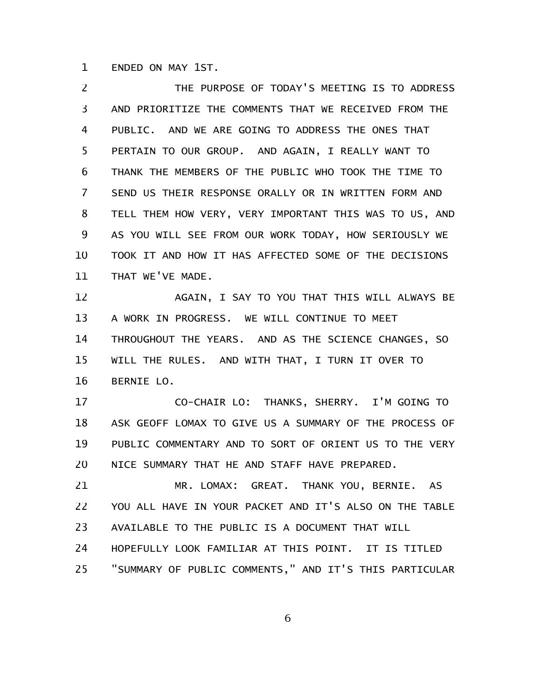ENDED ON MAY 1ST. 1

THE PURPOSE OF TODAY'S MEETING IS TO ADDRESS AND PRIORITIZE THE COMMENTS THAT WE RECEIVED FROM THE PUBLIC. AND WE ARE GOING TO ADDRESS THE ONES THAT PERTAIN TO OUR GROUP. AND AGAIN, I REALLY WANT TO THANK THE MEMBERS OF THE PUBLIC WHO TOOK THE TIME TO SEND US THEIR RESPONSE ORALLY OR IN WRITTEN FORM AND TELL THEM HOW VERY, VERY IMPORTANT THIS WAS TO US, AND AS YOU WILL SEE FROM OUR WORK TODAY, HOW SERIOUSLY WE TOOK IT AND HOW IT HAS AFFECTED SOME OF THE DECISIONS THAT WE'VE MADE. 2 3 4 5 6 7 8 9 10 11

AGAIN, I SAY TO YOU THAT THIS WILL ALWAYS BE A WORK IN PROGRESS. WE WILL CONTINUE TO MEET THROUGHOUT THE YEARS. AND AS THE SCIENCE CHANGES, SO WILL THE RULES. AND WITH THAT, I TURN IT OVER TO BERNIE LO. 12 13 14 15 16

CO-CHAIR LO: THANKS, SHERRY. I'M GOING TO ASK GEOFF LOMAX TO GIVE US A SUMMARY OF THE PROCESS OF PUBLIC COMMENTARY AND TO SORT OF ORIENT US TO THE VERY NICE SUMMARY THAT HE AND STAFF HAVE PREPARED. 17 18 19 20

MR. LOMAX: GREAT. THANK YOU, BERNIE. AS YOU ALL HAVE IN YOUR PACKET AND IT'S ALSO ON THE TABLE AVAILABLE TO THE PUBLIC IS A DOCUMENT THAT WILL HOPEFULLY LOOK FAMILIAR AT THIS POINT. IT IS TITLED "SUMMARY OF PUBLIC COMMENTS," AND IT'S THIS PARTICULAR 21 22 23 24 25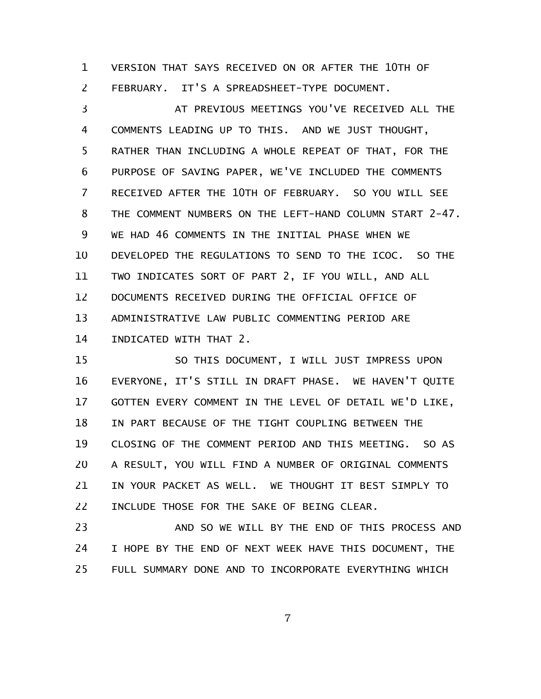VERSION THAT SAYS RECEIVED ON OR AFTER THE 10TH OF FEBRUARY. IT'S A SPREADSHEET-TYPE DOCUMENT. 1 2

AT PREVIOUS MEETINGS YOU'VE RECEIVED ALL THE COMMENTS LEADING UP TO THIS. AND WE JUST THOUGHT, RATHER THAN INCLUDING A WHOLE REPEAT OF THAT, FOR THE PURPOSE OF SAVING PAPER, WE'VE INCLUDED THE COMMENTS RECEIVED AFTER THE 10TH OF FEBRUARY. SO YOU WILL SEE THE COMMENT NUMBERS ON THE LEFT-HAND COLUMN START 2-47. WE HAD 46 COMMENTS IN THE INITIAL PHASE WHEN WE DEVELOPED THE REGULATIONS TO SEND TO THE ICOC. SO THE TWO INDICATES SORT OF PART 2, IF YOU WILL, AND ALL DOCUMENTS RECEIVED DURING THE OFFICIAL OFFICE OF ADMINISTRATIVE LAW PUBLIC COMMENTING PERIOD ARE INDICATED WITH THAT 2. 3 4 5 6 7 8 9 10 11 12 13 14

SO THIS DOCUMENT, I WILL JUST IMPRESS UPON EVERYONE, IT'S STILL IN DRAFT PHASE. WE HAVEN'T QUITE GOTTEN EVERY COMMENT IN THE LEVEL OF DETAIL WE'D LIKE, IN PART BECAUSE OF THE TIGHT COUPLING BETWEEN THE CLOSING OF THE COMMENT PERIOD AND THIS MEETING. SO AS A RESULT, YOU WILL FIND A NUMBER OF ORIGINAL COMMENTS IN YOUR PACKET AS WELL. WE THOUGHT IT BEST SIMPLY TO INCLUDE THOSE FOR THE SAKE OF BEING CLEAR. 15 16 17 18 19 20 21 22

AND SO WE WILL BY THE END OF THIS PROCESS AND I HOPE BY THE END OF NEXT WEEK HAVE THIS DOCUMENT, THE FULL SUMMARY DONE AND TO INCORPORATE EVERYTHING WHICH 23 24 25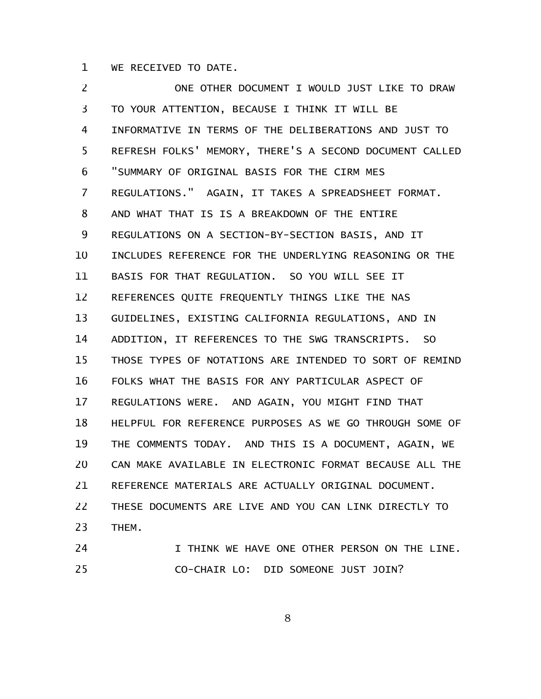WE RECEIVED TO DATE. 1

ONE OTHER DOCUMENT I WOULD JUST LIKE TO DRAW TO YOUR ATTENTION, BECAUSE I THINK IT WILL BE INFORMATIVE IN TERMS OF THE DELIBERATIONS AND JUST TO REFRESH FOLKS' MEMORY, THERE'S A SECOND DOCUMENT CALLED "SUMMARY OF ORIGINAL BASIS FOR THE CIRM MES REGULATIONS." AGAIN, IT TAKES A SPREADSHEET FORMAT. AND WHAT THAT IS IS A BREAKDOWN OF THE ENTIRE REGULATIONS ON A SECTION-BY-SECTION BASIS, AND IT INCLUDES REFERENCE FOR THE UNDERLYING REASONING OR THE BASIS FOR THAT REGULATION. SO YOU WILL SEE IT REFERENCES QUITE FREQUENTLY THINGS LIKE THE NAS GUIDELINES, EXISTING CALIFORNIA REGULATIONS, AND IN ADDITION, IT REFERENCES TO THE SWG TRANSCRIPTS. SO THOSE TYPES OF NOTATIONS ARE INTENDED TO SORT OF REMIND FOLKS WHAT THE BASIS FOR ANY PARTICULAR ASPECT OF REGULATIONS WERE. AND AGAIN, YOU MIGHT FIND THAT HELPFUL FOR REFERENCE PURPOSES AS WE GO THROUGH SOME OF THE COMMENTS TODAY. AND THIS IS A DOCUMENT, AGAIN, WE CAN MAKE AVAILABLE IN ELECTRONIC FORMAT BECAUSE ALL THE REFERENCE MATERIALS ARE ACTUALLY ORIGINAL DOCUMENT. THESE DOCUMENTS ARE LIVE AND YOU CAN LINK DIRECTLY TO THEM. I THINK WE HAVE ONE OTHER PERSON ON THE LINE. 2 3 4 5 6 7 8 9 10 11 12 13 14 15 16 17 18 19 20 21 22 23 24

CO-CHAIR LO: DID SOMEONE JUST JOIN? 25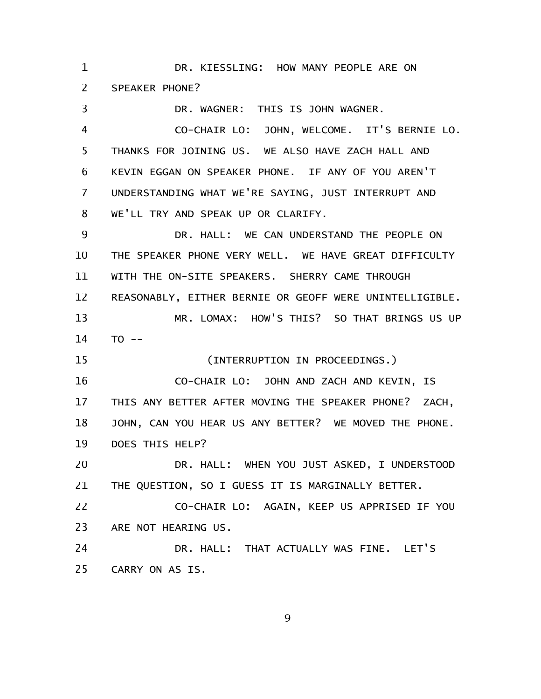DR. KIESSLING: HOW MANY PEOPLE ARE ON SPEAKER PHONE? 1 2

3

DR. WAGNER: THIS IS JOHN WAGNER. CO-CHAIR LO: JOHN, WELCOME. IT'S BERNIE LO. THANKS FOR JOINING US. WE ALSO HAVE ZACH HALL AND KEVIN EGGAN ON SPEAKER PHONE. IF ANY OF YOU AREN'T UNDERSTANDING WHAT WE'RE SAYING, JUST INTERRUPT AND WE'LL TRY AND SPEAK UP OR CLARIFY. DR. HALL: WE CAN UNDERSTAND THE PEOPLE ON THE SPEAKER PHONE VERY WELL. WE HAVE GREAT DIFFICULTY WITH THE ON-SITE SPEAKERS. SHERRY CAME THROUGH REASONABLY, EITHER BERNIE OR GEOFF WERE UNINTELLIGIBLE. MR. LOMAX: HOW'S THIS? SO THAT BRINGS US UP  $TO - -$ (INTERRUPTION IN PROCEEDINGS.) CO-CHAIR LO: JOHN AND ZACH AND KEVIN, IS THIS ANY BETTER AFTER MOVING THE SPEAKER PHONE? ZACH, JOHN, CAN YOU HEAR US ANY BETTER? WE MOVED THE PHONE. DOES THIS HELP? DR. HALL: WHEN YOU JUST ASKED, I UNDERSTOOD THE QUESTION, SO I GUESS IT IS MARGINALLY BETTER. CO-CHAIR LO: AGAIN, KEEP US APPRISED IF YOU ARE NOT HEARING US. DR. HALL: THAT ACTUALLY WAS FINE. LET'S CARRY ON AS IS. 4 5 6 7 8 9 10 11 12 13 14 15 16 17 18 19 20 21 22 23 24 25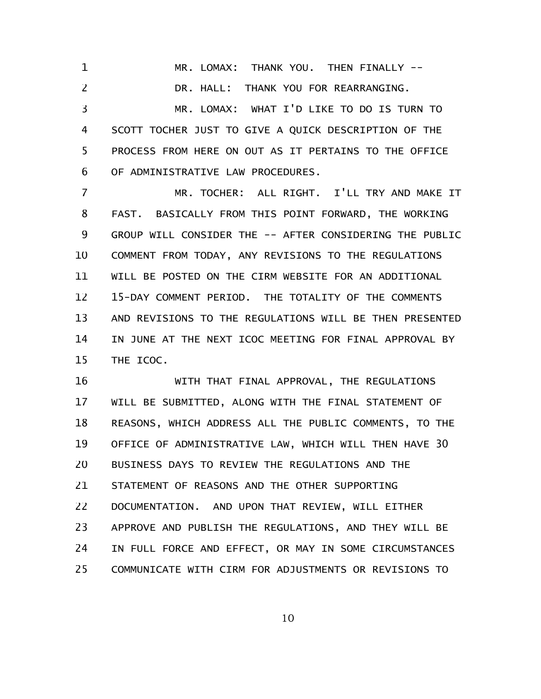MR. LOMAX: THANK YOU. THEN FINALLY -- DR. HALL: THANK YOU FOR REARRANGING. MR. LOMAX: WHAT I'D LIKE TO DO IS TURN TO SCOTT TOCHER JUST TO GIVE A QUICK DESCRIPTION OF THE PROCESS FROM HERE ON OUT AS IT PERTAINS TO THE OFFICE OF ADMINISTRATIVE LAW PROCEDURES. 1 2 3 4 5 6

MR. TOCHER: ALL RIGHT. I'LL TRY AND MAKE IT FAST. BASICALLY FROM THIS POINT FORWARD, THE WORKING GROUP WILL CONSIDER THE -- AFTER CONSIDERING THE PUBLIC COMMENT FROM TODAY, ANY REVISIONS TO THE REGULATIONS WILL BE POSTED ON THE CIRM WEBSITE FOR AN ADDITIONAL 15-DAY COMMENT PERIOD. THE TOTALITY OF THE COMMENTS AND REVISIONS TO THE REGULATIONS WILL BE THEN PRESENTED IN JUNE AT THE NEXT ICOC MEETING FOR FINAL APPROVAL BY THE ICOC. 7 8 9 10 11 12 13 14 15

WITH THAT FINAL APPROVAL, THE REGULATIONS WILL BE SUBMITTED, ALONG WITH THE FINAL STATEMENT OF REASONS, WHICH ADDRESS ALL THE PUBLIC COMMENTS, TO THE OFFICE OF ADMINISTRATIVE LAW, WHICH WILL THEN HAVE 30 BUSINESS DAYS TO REVIEW THE REGULATIONS AND THE STATEMENT OF REASONS AND THE OTHER SUPPORTING DOCUMENTATION. AND UPON THAT REVIEW, WILL EITHER APPROVE AND PUBLISH THE REGULATIONS, AND THEY WILL BE IN FULL FORCE AND EFFECT, OR MAY IN SOME CIRCUMSTANCES COMMUNICATE WITH CIRM FOR ADJUSTMENTS OR REVISIONS TO 16 17 18 19 20 21 22 23 24 25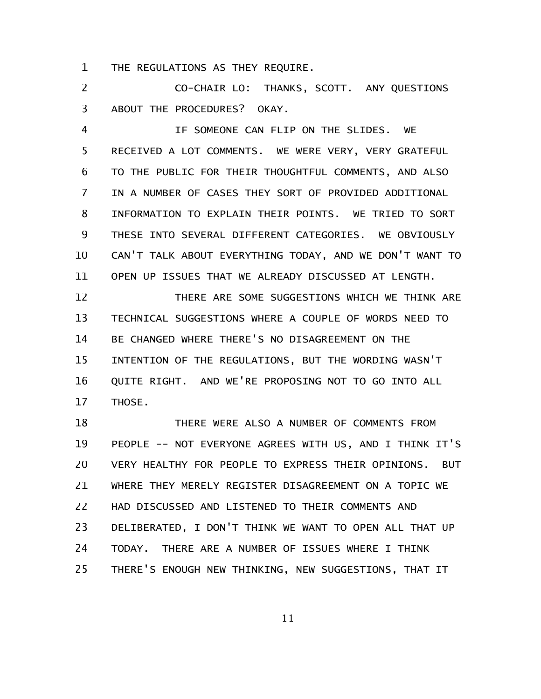THE REGULATIONS AS THEY REQUIRE. 1

CO-CHAIR LO: THANKS, SCOTT. ANY QUESTIONS ABOUT THE PROCEDURES? OKAY. 2 3

IF SOMEONE CAN FLIP ON THE SLIDES. WE RECEIVED A LOT COMMENTS. WE WERE VERY, VERY GRATEFUL TO THE PUBLIC FOR THEIR THOUGHTFUL COMMENTS, AND ALSO IN A NUMBER OF CASES THEY SORT OF PROVIDED ADDITIONAL INFORMATION TO EXPLAIN THEIR POINTS. WE TRIED TO SORT THESE INTO SEVERAL DIFFERENT CATEGORIES. WE OBVIOUSLY CAN'T TALK ABOUT EVERYTHING TODAY, AND WE DON'T WANT TO OPEN UP ISSUES THAT WE ALREADY DISCUSSED AT LENGTH. 4 5 6 7 8 9 10 11

THERE ARE SOME SUGGESTIONS WHICH WE THINK ARE TECHNICAL SUGGESTIONS WHERE A COUPLE OF WORDS NEED TO BE CHANGED WHERE THERE'S NO DISAGREEMENT ON THE INTENTION OF THE REGULATIONS, BUT THE WORDING WASN'T QUITE RIGHT. AND WE'RE PROPOSING NOT TO GO INTO ALL THOSE. 12 13 14 15 16 17

THERE WERE ALSO A NUMBER OF COMMENTS FROM PEOPLE -- NOT EVERYONE AGREES WITH US, AND I THINK IT'S VERY HEALTHY FOR PEOPLE TO EXPRESS THEIR OPINIONS. BUT WHERE THEY MERELY REGISTER DISAGREEMENT ON A TOPIC WE HAD DISCUSSED AND LISTENED TO THEIR COMMENTS AND DELIBERATED, I DON'T THINK WE WANT TO OPEN ALL THAT UP TODAY. THERE ARE A NUMBER OF ISSUES WHERE I THINK THERE'S ENOUGH NEW THINKING, NEW SUGGESTIONS, THAT IT 18 19 20 21 22 23 24 25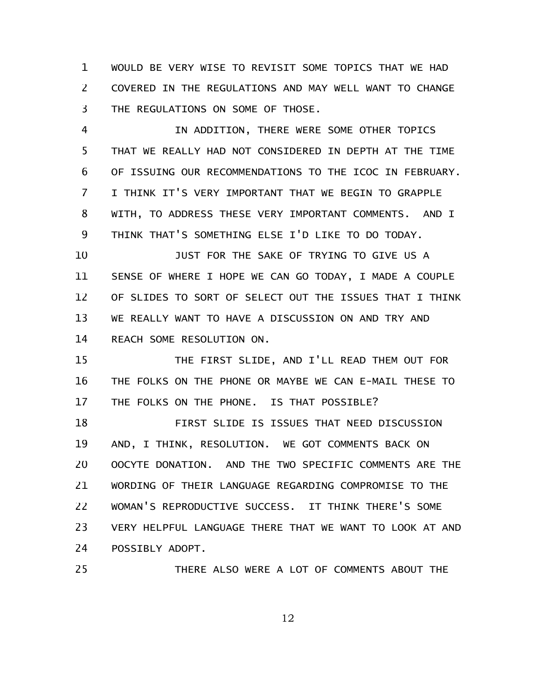WOULD BE VERY WISE TO REVISIT SOME TOPICS THAT WE HAD COVERED IN THE REGULATIONS AND MAY WELL WANT TO CHANGE THE REGULATIONS ON SOME OF THOSE. 1 2 3

IN ADDITION, THERE WERE SOME OTHER TOPICS THAT WE REALLY HAD NOT CONSIDERED IN DEPTH AT THE TIME OF ISSUING OUR RECOMMENDATIONS TO THE ICOC IN FEBRUARY. I THINK IT'S VERY IMPORTANT THAT WE BEGIN TO GRAPPLE WITH, TO ADDRESS THESE VERY IMPORTANT COMMENTS. AND I THINK THAT'S SOMETHING ELSE I'D LIKE TO DO TODAY. 4 5 6 7 8 9

JUST FOR THE SAKE OF TRYING TO GIVE US A SENSE OF WHERE I HOPE WE CAN GO TODAY, I MADE A COUPLE OF SLIDES TO SORT OF SELECT OUT THE ISSUES THAT I THINK WE REALLY WANT TO HAVE A DISCUSSION ON AND TRY AND REACH SOME RESOLUTION ON. 10 11 12 13 14

THE FIRST SLIDE, AND I'LL READ THEM OUT FOR THE FOLKS ON THE PHONE OR MAYBE WE CAN E-MAIL THESE TO THE FOLKS ON THE PHONE. IS THAT POSSIBLE? 15 16 17

FIRST SLIDE IS ISSUES THAT NEED DISCUSSION AND, I THINK, RESOLUTION. WE GOT COMMENTS BACK ON OOCYTE DONATION. AND THE TWO SPECIFIC COMMENTS ARE THE WORDING OF THEIR LANGUAGE REGARDING COMPROMISE TO THE WOMAN'S REPRODUCTIVE SUCCESS. IT THINK THERE'S SOME VERY HELPFUL LANGUAGE THERE THAT WE WANT TO LOOK AT AND POSSIBLY ADOPT. 18 19 20 21 22 23 24

25

THERE ALSO WERE A LOT OF COMMENTS ABOUT THE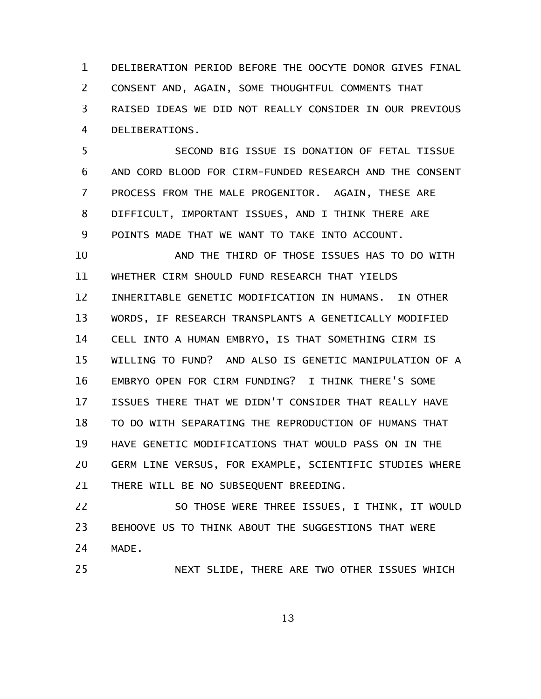DELIBERATION PERIOD BEFORE THE OOCYTE DONOR GIVES FINAL CONSENT AND, AGAIN, SOME THOUGHTFUL COMMENTS THAT RAISED IDEAS WE DID NOT REALLY CONSIDER IN OUR PREVIOUS DELIBERATIONS. 1 2 3 4

SECOND BIG ISSUE IS DONATION OF FETAL TISSUE AND CORD BLOOD FOR CIRM-FUNDED RESEARCH AND THE CONSENT PROCESS FROM THE MALE PROGENITOR. AGAIN, THESE ARE DIFFICULT, IMPORTANT ISSUES, AND I THINK THERE ARE POINTS MADE THAT WE WANT TO TAKE INTO ACCOUNT. 5 6 7 8 9

AND THE THIRD OF THOSE ISSUES HAS TO DO WITH WHETHER CIRM SHOULD FUND RESEARCH THAT YIELDS INHERITABLE GENETIC MODIFICATION IN HUMANS. IN OTHER WORDS, IF RESEARCH TRANSPLANTS A GENETICALLY MODIFIED CELL INTO A HUMAN EMBRYO, IS THAT SOMETHING CIRM IS WILLING TO FUND? AND ALSO IS GENETIC MANIPULATION OF A EMBRYO OPEN FOR CIRM FUNDING? I THINK THERE'S SOME ISSUES THERE THAT WE DIDN'T CONSIDER THAT REALLY HAVE TO DO WITH SEPARATING THE REPRODUCTION OF HUMANS THAT HAVE GENETIC MODIFICATIONS THAT WOULD PASS ON IN THE GERM LINE VERSUS, FOR EXAMPLE, SCIENTIFIC STUDIES WHERE THERE WILL BE NO SUBSEQUENT BREEDING. 10 11 12 13 14 15 16 17 18 19 20 21

SO THOSE WERE THREE ISSUES, I THINK, IT WOULD BEHOOVE US TO THINK ABOUT THE SUGGESTIONS THAT WERE MADE. 22 23 24

NEXT SLIDE, THERE ARE TWO OTHER ISSUES WHICH

25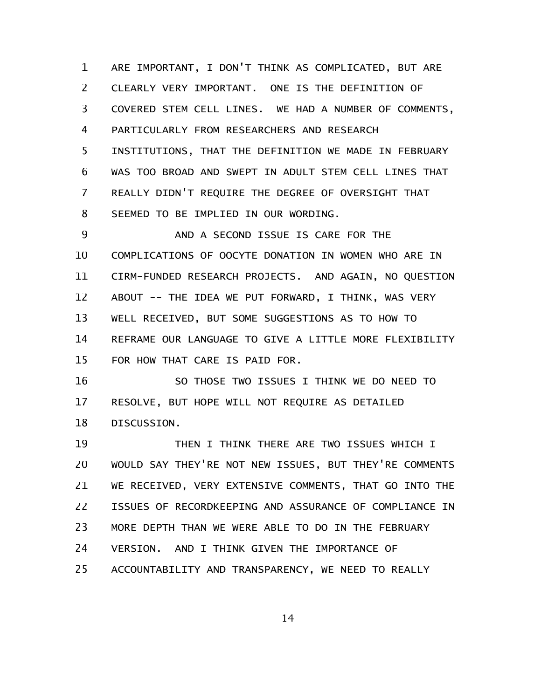ARE IMPORTANT, I DON'T THINK AS COMPLICATED, BUT ARE CLEARLY VERY IMPORTANT. ONE IS THE DEFINITION OF COVERED STEM CELL LINES. WE HAD A NUMBER OF COMMENTS, PARTICULARLY FROM RESEARCHERS AND RESEARCH INSTITUTIONS, THAT THE DEFINITION WE MADE IN FEBRUARY WAS TOO BROAD AND SWEPT IN ADULT STEM CELL LINES THAT REALLY DIDN'T REQUIRE THE DEGREE OF OVERSIGHT THAT SEEMED TO BE IMPLIED IN OUR WORDING. 1 2 3 4 5 6 7 8

AND A SECOND ISSUE IS CARE FOR THE COMPLICATIONS OF OOCYTE DONATION IN WOMEN WHO ARE IN CIRM-FUNDED RESEARCH PROJECTS. AND AGAIN, NO QUESTION ABOUT -- THE IDEA WE PUT FORWARD, I THINK, WAS VERY WELL RECEIVED, BUT SOME SUGGESTIONS AS TO HOW TO REFRAME OUR LANGUAGE TO GIVE A LITTLE MORE FLEXIBILITY FOR HOW THAT CARE IS PAID FOR. 9 10 11 12 13 14 15

SO THOSE TWO ISSUES I THINK WE DO NEED TO RESOLVE, BUT HOPE WILL NOT REQUIRE AS DETAILED DISCUSSION. 16 17 18

THEN I THINK THERE ARE TWO ISSUES WHICH I WOULD SAY THEY'RE NOT NEW ISSUES, BUT THEY'RE COMMENTS WE RECEIVED, VERY EXTENSIVE COMMENTS, THAT GO INTO THE ISSUES OF RECORDKEEPING AND ASSURANCE OF COMPLIANCE IN MORE DEPTH THAN WE WERE ABLE TO DO IN THE FEBRUARY VERSION. AND I THINK GIVEN THE IMPORTANCE OF ACCOUNTABILITY AND TRANSPARENCY, WE NEED TO REALLY 19 20 21 22 23 24 25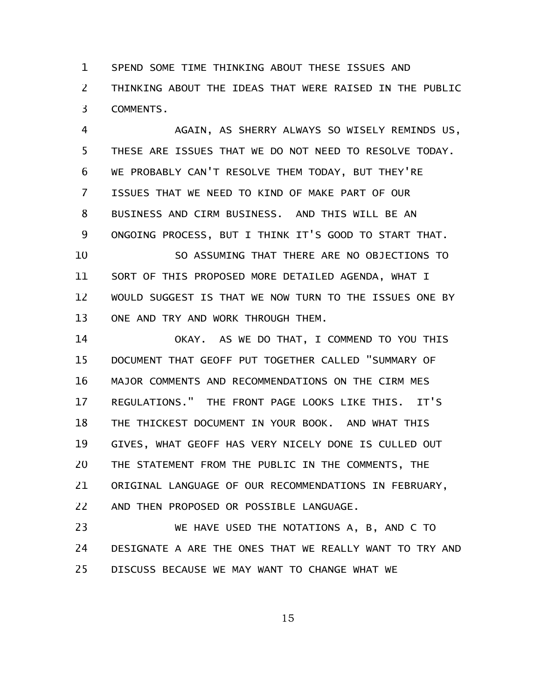SPEND SOME TIME THINKING ABOUT THESE ISSUES AND THINKING ABOUT THE IDEAS THAT WERE RAISED IN THE PUBLIC COMMENTS. 1 2 3

AGAIN, AS SHERRY ALWAYS SO WISELY REMINDS US, THESE ARE ISSUES THAT WE DO NOT NEED TO RESOLVE TODAY. WE PROBABLY CAN'T RESOLVE THEM TODAY, BUT THEY'RE ISSUES THAT WE NEED TO KIND OF MAKE PART OF OUR BUSINESS AND CIRM BUSINESS. AND THIS WILL BE AN ONGOING PROCESS, BUT I THINK IT'S GOOD TO START THAT. SO ASSUMING THAT THERE ARE NO OBJECTIONS TO SORT OF THIS PROPOSED MORE DETAILED AGENDA, WHAT I 4 5 6 7 8 9 10 11

WOULD SUGGEST IS THAT WE NOW TURN TO THE ISSUES ONE BY ONE AND TRY AND WORK THROUGH THEM. 12 13

OKAY. AS WE DO THAT, I COMMEND TO YOU THIS DOCUMENT THAT GEOFF PUT TOGETHER CALLED "SUMMARY OF MAJOR COMMENTS AND RECOMMENDATIONS ON THE CIRM MES REGULATIONS." THE FRONT PAGE LOOKS LIKE THIS. IT'S THE THICKEST DOCUMENT IN YOUR BOOK. AND WHAT THIS GIVES, WHAT GEOFF HAS VERY NICELY DONE IS CULLED OUT THE STATEMENT FROM THE PUBLIC IN THE COMMENTS, THE ORIGINAL LANGUAGE OF OUR RECOMMENDATIONS IN FEBRUARY, AND THEN PROPOSED OR POSSIBLE LANGUAGE. 14 15 16 17 18 19 20 21 22

WE HAVE USED THE NOTATIONS A, B, AND C TO DESIGNATE A ARE THE ONES THAT WE REALLY WANT TO TRY AND DISCUSS BECAUSE WE MAY WANT TO CHANGE WHAT WE 23 24 25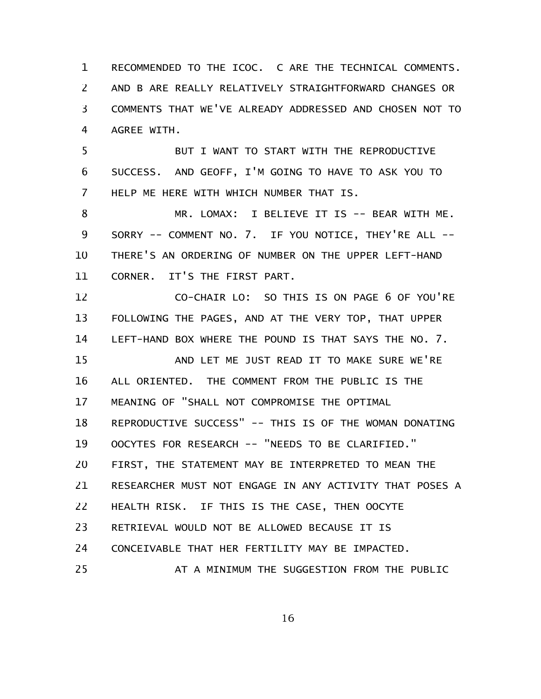RECOMMENDED TO THE ICOC. C ARE THE TECHNICAL COMMENTS. AND B ARE REALLY RELATIVELY STRAIGHTFORWARD CHANGES OR COMMENTS THAT WE'VE ALREADY ADDRESSED AND CHOSEN NOT TO AGREE WITH. 1 2 3 4

BUT I WANT TO START WITH THE REPRODUCTIVE SUCCESS. AND GEOFF, I'M GOING TO HAVE TO ASK YOU TO HELP ME HERE WITH WHICH NUMBER THAT IS. 5 6 7

MR. LOMAX: I BELIEVE IT IS -- BEAR WITH ME. SORRY -- COMMENT NO. 7. IF YOU NOTICE, THEY'RE ALL -- THERE'S AN ORDERING OF NUMBER ON THE UPPER LEFT-HAND CORNER. IT'S THE FIRST PART. 8 9 10 11

CO-CHAIR LO: SO THIS IS ON PAGE 6 OF YOU'RE FOLLOWING THE PAGES, AND AT THE VERY TOP, THAT UPPER LEFT-HAND BOX WHERE THE POUND IS THAT SAYS THE NO. 7. AND LET ME JUST READ IT TO MAKE SURE WE'RE ALL ORIENTED. THE COMMENT FROM THE PUBLIC IS THE MEANING OF "SHALL NOT COMPROMISE THE OPTIMAL REPRODUCTIVE SUCCESS" -- THIS IS OF THE WOMAN DONATING OOCYTES FOR RESEARCH -- "NEEDS TO BE CLARIFIED." FIRST, THE STATEMENT MAY BE INTERPRETED TO MEAN THE RESEARCHER MUST NOT ENGAGE IN ANY ACTIVITY THAT POSES A HEALTH RISK. IF THIS IS THE CASE, THEN OOCYTE RETRIEVAL WOULD NOT BE ALLOWED BECAUSE IT IS CONCEIVABLE THAT HER FERTILITY MAY BE IMPACTED. AT A MINIMUM THE SUGGESTION FROM THE PUBLIC 12 13 14 15 16 17 18 19 20 21 22 23 24 25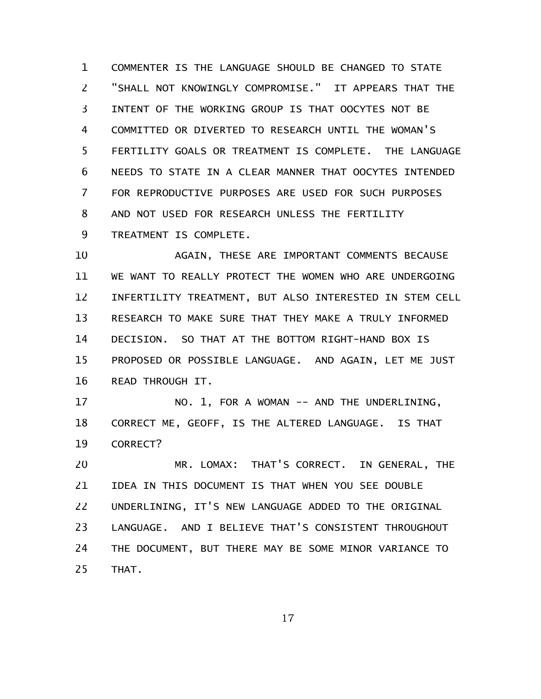COMMENTER IS THE LANGUAGE SHOULD BE CHANGED TO STATE "SHALL NOT KNOWINGLY COMPROMISE." IT APPEARS THAT THE INTENT OF THE WORKING GROUP IS THAT OOCYTES NOT BE COMMITTED OR DIVERTED TO RESEARCH UNTIL THE WOMAN'S FERTILITY GOALS OR TREATMENT IS COMPLETE. THE LANGUAGE NEEDS TO STATE IN A CLEAR MANNER THAT OOCYTES INTENDED FOR REPRODUCTIVE PURPOSES ARE USED FOR SUCH PURPOSES AND NOT USED FOR RESEARCH UNLESS THE FERTILITY TREATMENT IS COMPLETE. 1 2 3 4 5 6 7 8 9

AGAIN, THESE ARE IMPORTANT COMMENTS BECAUSE WE WANT TO REALLY PROTECT THE WOMEN WHO ARE UNDERGOING INFERTILITY TREATMENT, BUT ALSO INTERESTED IN STEM CELL RESEARCH TO MAKE SURE THAT THEY MAKE A TRULY INFORMED DECISION. SO THAT AT THE BOTTOM RIGHT-HAND BOX IS PROPOSED OR POSSIBLE LANGUAGE. AND AGAIN, LET ME JUST READ THROUGH IT. 10 11 12 13 14 15 16

NO. 1, FOR A WOMAN -- AND THE UNDERLINING, CORRECT ME, GEOFF, IS THE ALTERED LANGUAGE. IS THAT CORRECT? 17 18 19

MR. LOMAX: THAT'S CORRECT. IN GENERAL, THE IDEA IN THIS DOCUMENT IS THAT WHEN YOU SEE DOUBLE UNDERLINING, IT'S NEW LANGUAGE ADDED TO THE ORIGINAL LANGUAGE. AND I BELIEVE THAT'S CONSISTENT THROUGHOUT THE DOCUMENT, BUT THERE MAY BE SOME MINOR VARIANCE TO THAT. 20 21 22 23 24 25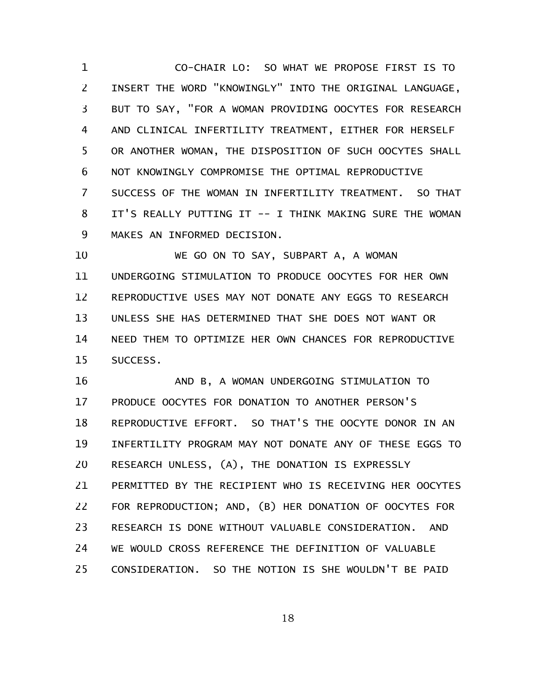CO-CHAIR LO: SO WHAT WE PROPOSE FIRST IS TO INSERT THE WORD "KNOWINGLY" INTO THE ORIGINAL LANGUAGE, BUT TO SAY, "FOR A WOMAN PROVIDING OOCYTES FOR RESEARCH AND CLINICAL INFERTILITY TREATMENT, EITHER FOR HERSELF OR ANOTHER WOMAN, THE DISPOSITION OF SUCH OOCYTES SHALL NOT KNOWINGLY COMPROMISE THE OPTIMAL REPRODUCTIVE SUCCESS OF THE WOMAN IN INFERTILITY TREATMENT. SO THAT IT'S REALLY PUTTING IT -- I THINK MAKING SURE THE WOMAN MAKES AN INFORMED DECISION. 1 2 3 4 5 6 7 8 9

WE GO ON TO SAY, SUBPART A, A WOMAN UNDERGOING STIMULATION TO PRODUCE OOCYTES FOR HER OWN REPRODUCTIVE USES MAY NOT DONATE ANY EGGS TO RESEARCH UNLESS SHE HAS DETERMINED THAT SHE DOES NOT WANT OR NEED THEM TO OPTIMIZE HER OWN CHANCES FOR REPRODUCTIVE SUCCESS. 10 11 12 13 14 15

AND B, A WOMAN UNDERGOING STIMULATION TO PRODUCE OOCYTES FOR DONATION TO ANOTHER PERSON'S REPRODUCTIVE EFFORT. SO THAT'S THE OOCYTE DONOR IN AN INFERTILITY PROGRAM MAY NOT DONATE ANY OF THESE EGGS TO RESEARCH UNLESS, (A), THE DONATION IS EXPRESSLY PERMITTED BY THE RECIPIENT WHO IS RECEIVING HER OOCYTES FOR REPRODUCTION; AND, (B) HER DONATION OF OOCYTES FOR RESEARCH IS DONE WITHOUT VALUABLE CONSIDERATION. AND WE WOULD CROSS REFERENCE THE DEFINITION OF VALUABLE CONSIDERATION. SO THE NOTION IS SHE WOULDN'T BE PAID 16 17 18 19 20 21 22 23 24 25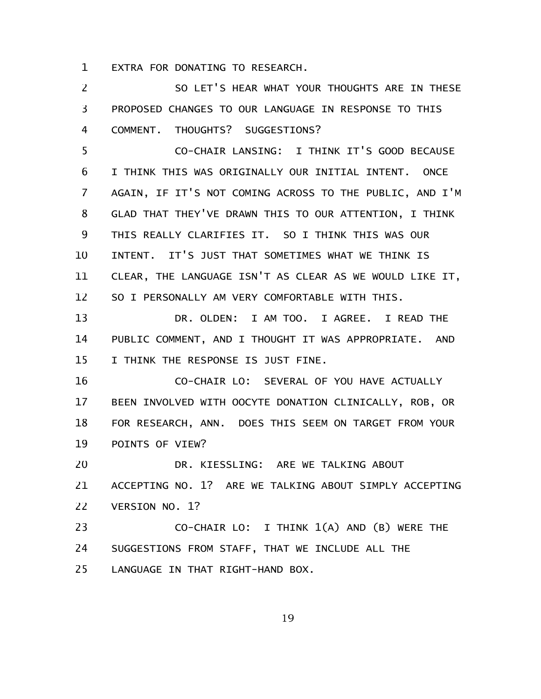EXTRA FOR DONATING TO RESEARCH. 1

SO LET'S HEAR WHAT YOUR THOUGHTS ARE IN THESE PROPOSED CHANGES TO OUR LANGUAGE IN RESPONSE TO THIS COMMENT. THOUGHTS? SUGGESTIONS? 2 3 4

CO-CHAIR LANSING: I THINK IT'S GOOD BECAUSE I THINK THIS WAS ORIGINALLY OUR INITIAL INTENT. ONCE AGAIN, IF IT'S NOT COMING ACROSS TO THE PUBLIC, AND I'M GLAD THAT THEY'VE DRAWN THIS TO OUR ATTENTION, I THINK THIS REALLY CLARIFIES IT. SO I THINK THIS WAS OUR INTENT. IT'S JUST THAT SOMETIMES WHAT WE THINK IS CLEAR, THE LANGUAGE ISN'T AS CLEAR AS WE WOULD LIKE IT, SO I PERSONALLY AM VERY COMFORTABLE WITH THIS. 5 6 7 8 9 10 11 12

DR. OLDEN: I AM TOO. I AGREE. I READ THE PUBLIC COMMENT, AND I THOUGHT IT WAS APPROPRIATE. AND I THINK THE RESPONSE IS JUST FINE. 13 14 15

CO-CHAIR LO: SEVERAL OF YOU HAVE ACTUALLY BEEN INVOLVED WITH OOCYTE DONATION CLINICALLY, ROB, OR FOR RESEARCH, ANN. DOES THIS SEEM ON TARGET FROM YOUR POINTS OF VIEW? 16 17 18 19

DR. KIESSLING: ARE WE TALKING ABOUT ACCEPTING NO. 1? ARE WE TALKING ABOUT SIMPLY ACCEPTING VERSION NO. 1? 20 21 22

CO-CHAIR LO: I THINK 1(A) AND (B) WERE THE SUGGESTIONS FROM STAFF, THAT WE INCLUDE ALL THE LANGUAGE IN THAT RIGHT-HAND BOX. 23 24 25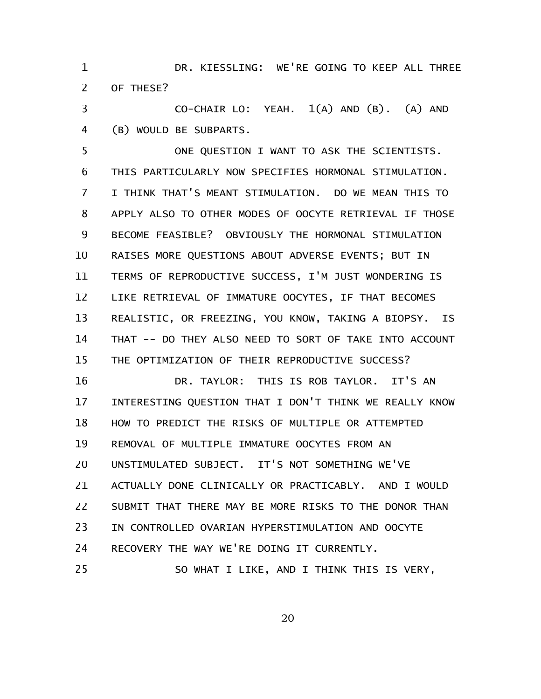DR. KIESSLING: WE'RE GOING TO KEEP ALL THREE OF THESE? 1 2

CO-CHAIR LO: YEAH. 1(A) AND (B). (A) AND (B) WOULD BE SUBPARTS. 3 4

ONE QUESTION I WANT TO ASK THE SCIENTISTS. THIS PARTICULARLY NOW SPECIFIES HORMONAL STIMULATION. I THINK THAT'S MEANT STIMULATION. DO WE MEAN THIS TO APPLY ALSO TO OTHER MODES OF OOCYTE RETRIEVAL IF THOSE BECOME FEASIBLE? OBVIOUSLY THE HORMONAL STIMULATION RAISES MORE QUESTIONS ABOUT ADVERSE EVENTS; BUT IN TERMS OF REPRODUCTIVE SUCCESS, I'M JUST WONDERING IS LIKE RETRIEVAL OF IMMATURE OOCYTES, IF THAT BECOMES REALISTIC, OR FREEZING, YOU KNOW, TAKING A BIOPSY. IS THAT -- DO THEY ALSO NEED TO SORT OF TAKE INTO ACCOUNT THE OPTIMIZATION OF THEIR REPRODUCTIVE SUCCESS? DR. TAYLOR: THIS IS ROB TAYLOR. IT'S AN 5 6 7 8 9 10 11 12 13 14 15 16

INTERESTING QUESTION THAT I DON'T THINK WE REALLY KNOW HOW TO PREDICT THE RISKS OF MULTIPLE OR ATTEMPTED REMOVAL OF MULTIPLE IMMATURE OOCYTES FROM AN UNSTIMULATED SUBJECT. IT'S NOT SOMETHING WE'VE ACTUALLY DONE CLINICALLY OR PRACTICABLY. AND I WOULD SUBMIT THAT THERE MAY BE MORE RISKS TO THE DONOR THAN IN CONTROLLED OVARIAN HYPERSTIMULATION AND OOCYTE RECOVERY THE WAY WE'RE DOING IT CURRENTLY. SO WHAT I LIKE, AND I THINK THIS IS VERY, 17 18 19 20 21 22 23 24 25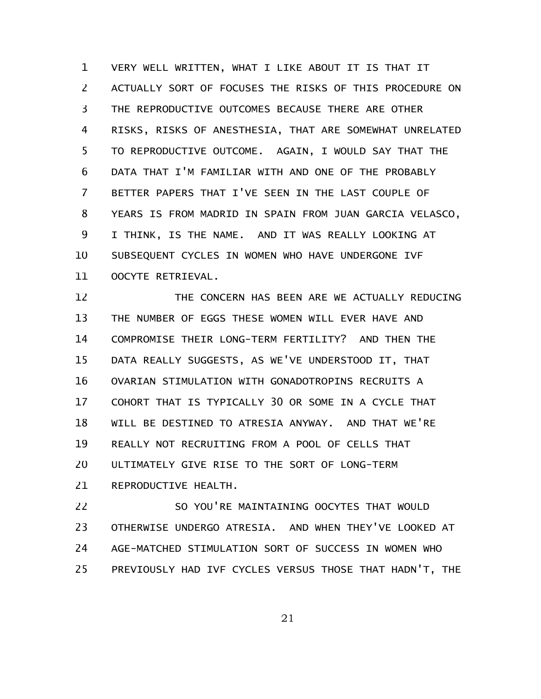VERY WELL WRITTEN, WHAT I LIKE ABOUT IT IS THAT IT ACTUALLY SORT OF FOCUSES THE RISKS OF THIS PROCEDURE ON THE REPRODUCTIVE OUTCOMES BECAUSE THERE ARE OTHER RISKS, RISKS OF ANESTHESIA, THAT ARE SOMEWHAT UNRELATED TO REPRODUCTIVE OUTCOME. AGAIN, I WOULD SAY THAT THE DATA THAT I'M FAMILIAR WITH AND ONE OF THE PROBABLY BETTER PAPERS THAT I'VE SEEN IN THE LAST COUPLE OF YEARS IS FROM MADRID IN SPAIN FROM JUAN GARCIA VELASCO, I THINK, IS THE NAME. AND IT WAS REALLY LOOKING AT SUBSEQUENT CYCLES IN WOMEN WHO HAVE UNDERGONE IVF OOCYTE RETRIEVAL. 1 2 3 4 5 6 7 8 9 10 11

THE CONCERN HAS BEEN ARE WE ACTUALLY REDUCING THE NUMBER OF EGGS THESE WOMEN WILL EVER HAVE AND COMPROMISE THEIR LONG-TERM FERTILITY? AND THEN THE DATA REALLY SUGGESTS, AS WE'VE UNDERSTOOD IT, THAT OVARIAN STIMULATION WITH GONADOTROPINS RECRUITS A COHORT THAT IS TYPICALLY 30 OR SOME IN A CYCLE THAT WILL BE DESTINED TO ATRESIA ANYWAY. AND THAT WE'RE REALLY NOT RECRUITING FROM A POOL OF CELLS THAT ULTIMATELY GIVE RISE TO THE SORT OF LONG-TERM REPRODUCTIVE HEALTH. 12 13 14 15 16 17 18 19 20 21

SO YOU'RE MAINTAINING OOCYTES THAT WOULD OTHERWISE UNDERGO ATRESIA. AND WHEN THEY'VE LOOKED AT AGE-MATCHED STIMULATION SORT OF SUCCESS IN WOMEN WHO PREVIOUSLY HAD IVF CYCLES VERSUS THOSE THAT HADN'T, THE 22 23 24 25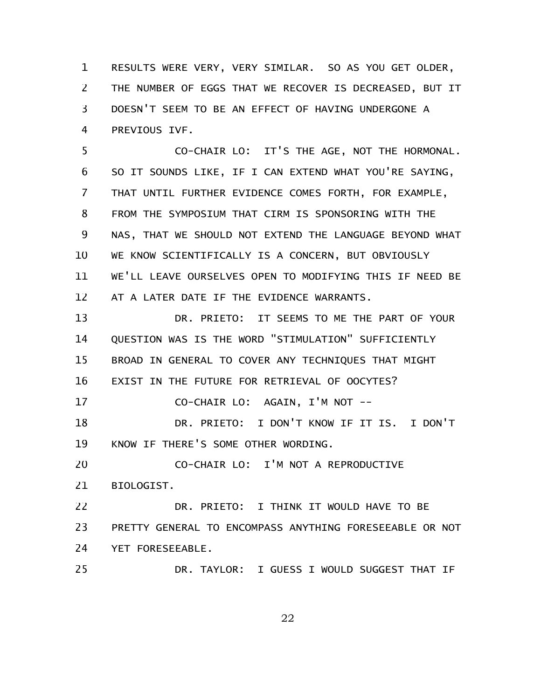RESULTS WERE VERY, VERY SIMILAR. SO AS YOU GET OLDER, THE NUMBER OF EGGS THAT WE RECOVER IS DECREASED, BUT IT DOESN'T SEEM TO BE AN EFFECT OF HAVING UNDERGONE A PREVIOUS IVF. 1 2 3 4

CO-CHAIR LO: IT'S THE AGE, NOT THE HORMONAL. SO IT SOUNDS LIKE, IF I CAN EXTEND WHAT YOU'RE SAYING, THAT UNTIL FURTHER EVIDENCE COMES FORTH, FOR EXAMPLE, FROM THE SYMPOSIUM THAT CIRM IS SPONSORING WITH THE NAS, THAT WE SHOULD NOT EXTEND THE LANGUAGE BEYOND WHAT WE KNOW SCIENTIFICALLY IS A CONCERN, BUT OBVIOUSLY WE'LL LEAVE OURSELVES OPEN TO MODIFYING THIS IF NEED BE AT A LATER DATE IF THE EVIDENCE WARRANTS. 5 6 7 8 9 10 11 12

DR. PRIETO: IT SEEMS TO ME THE PART OF YOUR QUESTION WAS IS THE WORD "STIMULATION" SUFFICIENTLY BROAD IN GENERAL TO COVER ANY TECHNIQUES THAT MIGHT EXIST IN THE FUTURE FOR RETRIEVAL OF OOCYTES? CO-CHAIR LO: AGAIN, I'M NOT -- DR. PRIETO: I DON'T KNOW IF IT IS. I DON'T KNOW IF THERE'S SOME OTHER WORDING. CO-CHAIR LO: I'M NOT A REPRODUCTIVE BIOLOGIST. DR. PRIETO: I THINK IT WOULD HAVE TO BE PRETTY GENERAL TO ENCOMPASS ANYTHING FORESEEABLE OR NOT YET FORESEEABLE. DR. TAYLOR: I GUESS I WOULD SUGGEST THAT IF 13 14 15 16 17 18 19 20 21 22 23 24 25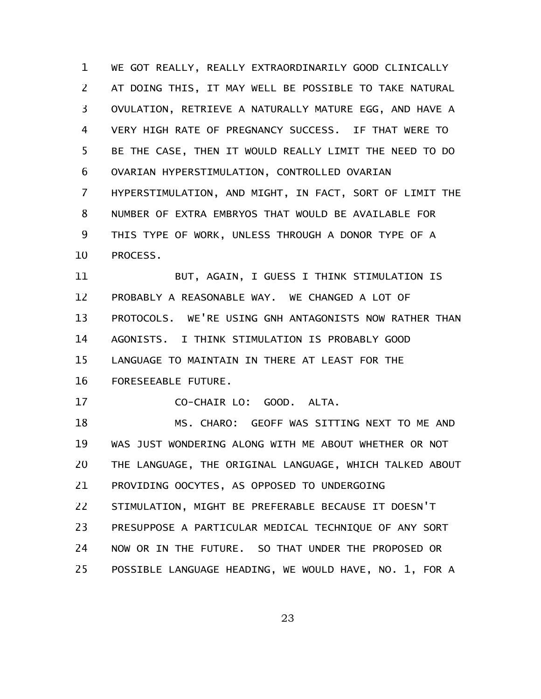WE GOT REALLY, REALLY EXTRAORDINARILY GOOD CLINICALLY AT DOING THIS, IT MAY WELL BE POSSIBLE TO TAKE NATURAL OVULATION, RETRIEVE A NATURALLY MATURE EGG, AND HAVE A VERY HIGH RATE OF PREGNANCY SUCCESS. IF THAT WERE TO BE THE CASE, THEN IT WOULD REALLY LIMIT THE NEED TO DO OVARIAN HYPERSTIMULATION, CONTROLLED OVARIAN HYPERSTIMULATION, AND MIGHT, IN FACT, SORT OF LIMIT THE NUMBER OF EXTRA EMBRYOS THAT WOULD BE AVAILABLE FOR THIS TYPE OF WORK, UNLESS THROUGH A DONOR TYPE OF A PROCESS. 1 2 3 4 5 6 7 8 9 10

BUT, AGAIN, I GUESS I THINK STIMULATION IS PROBABLY A REASONABLE WAY. WE CHANGED A LOT OF PROTOCOLS. WE'RE USING GNH ANTAGONISTS NOW RATHER THAN AGONISTS. I THINK STIMULATION IS PROBABLY GOOD LANGUAGE TO MAINTAIN IN THERE AT LEAST FOR THE FORESEEABLE FUTURE. 11 12 13 14 15 16

CO-CHAIR LO: GOOD. ALTA. 17

MS. CHARO: GEOFF WAS SITTING NEXT TO ME AND WAS JUST WONDERING ALONG WITH ME ABOUT WHETHER OR NOT THE LANGUAGE, THE ORIGINAL LANGUAGE, WHICH TALKED ABOUT PROVIDING OOCYTES, AS OPPOSED TO UNDERGOING STIMULATION, MIGHT BE PREFERABLE BECAUSE IT DOESN'T PRESUPPOSE A PARTICULAR MEDICAL TECHNIQUE OF ANY SORT NOW OR IN THE FUTURE. SO THAT UNDER THE PROPOSED OR POSSIBLE LANGUAGE HEADING, WE WOULD HAVE, NO. 1, FOR A 18 19 20 21 22 23 24 25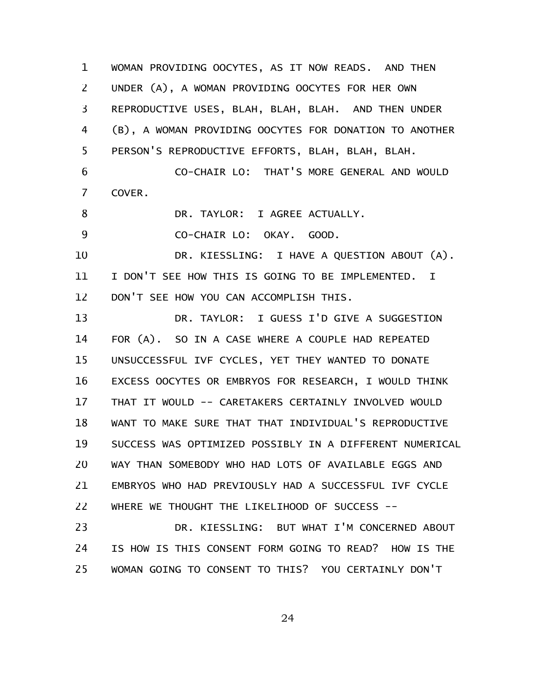WOMAN PROVIDING OOCYTES, AS IT NOW READS. AND THEN UNDER (A), A WOMAN PROVIDING OOCYTES FOR HER OWN REPRODUCTIVE USES, BLAH, BLAH, BLAH. AND THEN UNDER (B), A WOMAN PROVIDING OOCYTES FOR DONATION TO ANOTHER PERSON'S REPRODUCTIVE EFFORTS, BLAH, BLAH, BLAH. CO-CHAIR LO: THAT'S MORE GENERAL AND WOULD COVER. DR. TAYLOR: I AGREE ACTUALLY. CO-CHAIR LO: OKAY. GOOD. DR. KIESSLING: I HAVE A QUESTION ABOUT (A). I DON'T SEE HOW THIS IS GOING TO BE IMPLEMENTED. I DON'T SEE HOW YOU CAN ACCOMPLISH THIS. DR. TAYLOR: I GUESS I'D GIVE A SUGGESTION FOR (A). SO IN A CASE WHERE A COUPLE HAD REPEATED UNSUCCESSFUL IVF CYCLES, YET THEY WANTED TO DONATE EXCESS OOCYTES OR EMBRYOS FOR RESEARCH, I WOULD THINK THAT IT WOULD -- CARETAKERS CERTAINLY INVOLVED WOULD WANT TO MAKE SURE THAT THAT INDIVIDUAL'S REPRODUCTIVE SUCCESS WAS OPTIMIZED POSSIBLY IN A DIFFERENT NUMERICAL WAY THAN SOMEBODY WHO HAD LOTS OF AVAILABLE EGGS AND EMBRYOS WHO HAD PREVIOUSLY HAD A SUCCESSFUL IVF CYCLE WHERE WE THOUGHT THE LIKELIHOOD OF SUCCESS -- DR. KIESSLING: BUT WHAT I'M CONCERNED ABOUT IS HOW IS THIS CONSENT FORM GOING TO READ? HOW IS THE WOMAN GOING TO CONSENT TO THIS? YOU CERTAINLY DON'T 1 2 3 4 5 6 7 8 9 10 11 12 13 14 15 16 17 18 19 20 21 22 23 24 25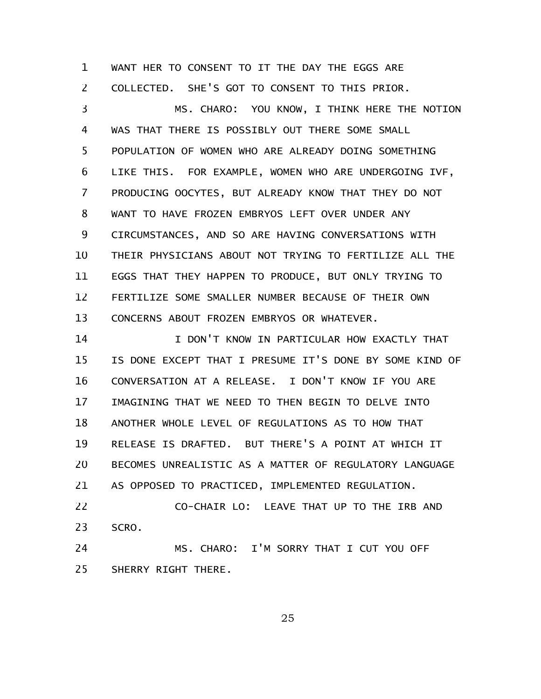WANT HER TO CONSENT TO IT THE DAY THE EGGS ARE COLLECTED. SHE'S GOT TO CONSENT TO THIS PRIOR. 1 2

MS. CHARO: YOU KNOW, I THINK HERE THE NOTION WAS THAT THERE IS POSSIBLY OUT THERE SOME SMALL POPULATION OF WOMEN WHO ARE ALREADY DOING SOMETHING LIKE THIS. FOR EXAMPLE, WOMEN WHO ARE UNDERGOING IVF, PRODUCING OOCYTES, BUT ALREADY KNOW THAT THEY DO NOT WANT TO HAVE FROZEN EMBRYOS LEFT OVER UNDER ANY CIRCUMSTANCES, AND SO ARE HAVING CONVERSATIONS WITH THEIR PHYSICIANS ABOUT NOT TRYING TO FERTILIZE ALL THE EGGS THAT THEY HAPPEN TO PRODUCE, BUT ONLY TRYING TO FERTILIZE SOME SMALLER NUMBER BECAUSE OF THEIR OWN CONCERNS ABOUT FROZEN EMBRYOS OR WHATEVER. 3 4 5 6 7 8 9 10 11 12 13

I DON'T KNOW IN PARTICULAR HOW EXACTLY THAT IS DONE EXCEPT THAT I PRESUME IT'S DONE BY SOME KIND OF CONVERSATION AT A RELEASE. I DON'T KNOW IF YOU ARE IMAGINING THAT WE NEED TO THEN BEGIN TO DELVE INTO ANOTHER WHOLE LEVEL OF REGULATIONS AS TO HOW THAT RELEASE IS DRAFTED. BUT THERE'S A POINT AT WHICH IT BECOMES UNREALISTIC AS A MATTER OF REGULATORY LANGUAGE AS OPPOSED TO PRACTICED, IMPLEMENTED REGULATION. 14 15 16 17 18 19 20 21

CO-CHAIR LO: LEAVE THAT UP TO THE IRB AND SCRO. 22 23

MS. CHARO: I'M SORRY THAT I CUT YOU OFF SHERRY RIGHT THERE. 24 25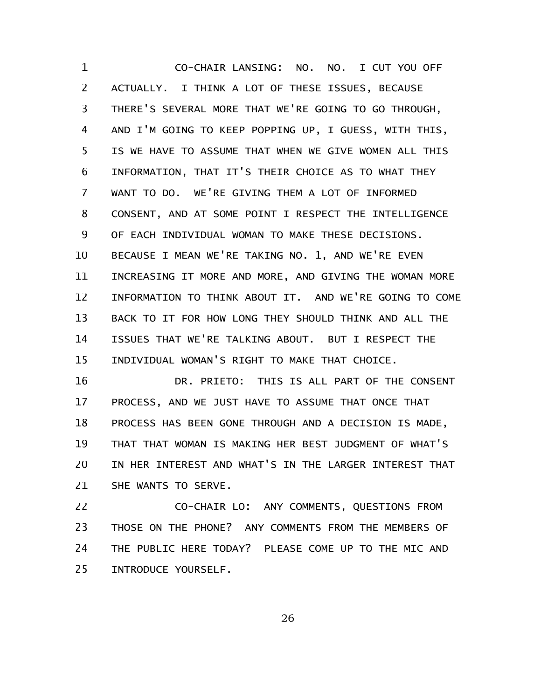CO-CHAIR LANSING: NO. NO. I CUT YOU OFF ACTUALLY. I THINK A LOT OF THESE ISSUES, BECAUSE THERE'S SEVERAL MORE THAT WE'RE GOING TO GO THROUGH, AND I'M GOING TO KEEP POPPING UP, I GUESS, WITH THIS, IS WE HAVE TO ASSUME THAT WHEN WE GIVE WOMEN ALL THIS INFORMATION, THAT IT'S THEIR CHOICE AS TO WHAT THEY WANT TO DO. WE'RE GIVING THEM A LOT OF INFORMED CONSENT, AND AT SOME POINT I RESPECT THE INTELLIGENCE OF EACH INDIVIDUAL WOMAN TO MAKE THESE DECISIONS. BECAUSE I MEAN WE'RE TAKING NO. 1, AND WE'RE EVEN INCREASING IT MORE AND MORE, AND GIVING THE WOMAN MORE INFORMATION TO THINK ABOUT IT. AND WE'RE GOING TO COME BACK TO IT FOR HOW LONG THEY SHOULD THINK AND ALL THE ISSUES THAT WE'RE TALKING ABOUT. BUT I RESPECT THE INDIVIDUAL WOMAN'S RIGHT TO MAKE THAT CHOICE. 1 2 3 4 5 6 7 8 9 10 11 12 13 14 15

DR. PRIETO: THIS IS ALL PART OF THE CONSENT PROCESS, AND WE JUST HAVE TO ASSUME THAT ONCE THAT PROCESS HAS BEEN GONE THROUGH AND A DECISION IS MADE, THAT THAT WOMAN IS MAKING HER BEST JUDGMENT OF WHAT'S IN HER INTEREST AND WHAT'S IN THE LARGER INTEREST THAT SHE WANTS TO SERVE. 16 17 18 19 20 21

CO-CHAIR LO: ANY COMMENTS, QUESTIONS FROM THOSE ON THE PHONE? ANY COMMENTS FROM THE MEMBERS OF THE PUBLIC HERE TODAY? PLEASE COME UP TO THE MIC AND INTRODUCE YOURSELF. 22 23 24 25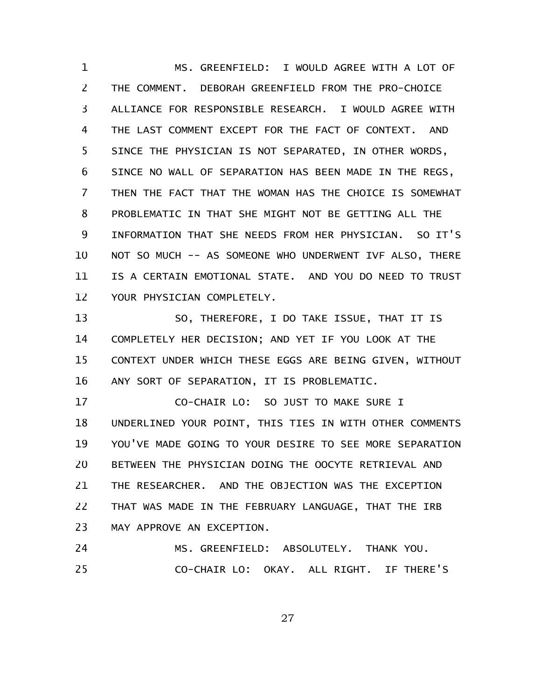MS. GREENFIELD: I WOULD AGREE WITH A LOT OF THE COMMENT. DEBORAH GREENFIELD FROM THE PRO-CHOICE ALLIANCE FOR RESPONSIBLE RESEARCH. I WOULD AGREE WITH THE LAST COMMENT EXCEPT FOR THE FACT OF CONTEXT. AND SINCE THE PHYSICIAN IS NOT SEPARATED, IN OTHER WORDS, SINCE NO WALL OF SEPARATION HAS BEEN MADE IN THE REGS, THEN THE FACT THAT THE WOMAN HAS THE CHOICE IS SOMEWHAT PROBLEMATIC IN THAT SHE MIGHT NOT BE GETTING ALL THE INFORMATION THAT SHE NEEDS FROM HER PHYSICIAN. SO IT'S NOT SO MUCH -- AS SOMEONE WHO UNDERWENT IVF ALSO, THERE IS A CERTAIN EMOTIONAL STATE. AND YOU DO NEED TO TRUST YOUR PHYSICIAN COMPLETELY. 1 2 3 4 5 6 7 8 9 10 11 12

SO, THEREFORE, I DO TAKE ISSUE, THAT IT IS COMPLETELY HER DECISION; AND YET IF YOU LOOK AT THE CONTEXT UNDER WHICH THESE EGGS ARE BEING GIVEN, WITHOUT ANY SORT OF SEPARATION, IT IS PROBLEMATIC. 13 14 15 16

CO-CHAIR LO: SO JUST TO MAKE SURE I UNDERLINED YOUR POINT, THIS TIES IN WITH OTHER COMMENTS YOU'VE MADE GOING TO YOUR DESIRE TO SEE MORE SEPARATION BETWEEN THE PHYSICIAN DOING THE OOCYTE RETRIEVAL AND THE RESEARCHER. AND THE OBJECTION WAS THE EXCEPTION THAT WAS MADE IN THE FEBRUARY LANGUAGE, THAT THE IRB MAY APPROVE AN EXCEPTION. 17 18 19 20 21 22 23

MS. GREENFIELD: ABSOLUTELY. THANK YOU. CO-CHAIR LO: OKAY. ALL RIGHT. IF THERE'S 24 25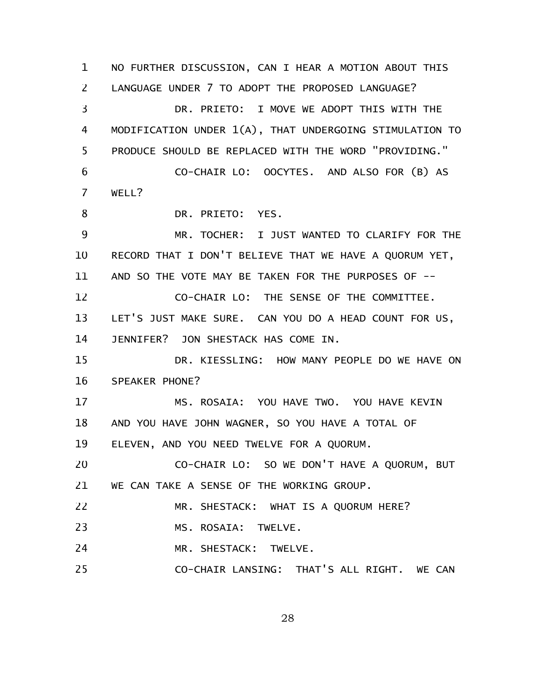NO FURTHER DISCUSSION, CAN I HEAR A MOTION ABOUT THIS LANGUAGE UNDER 7 TO ADOPT THE PROPOSED LANGUAGE? DR. PRIETO: I MOVE WE ADOPT THIS WITH THE MODIFICATION UNDER 1(A), THAT UNDERGOING STIMULATION TO PRODUCE SHOULD BE REPLACED WITH THE WORD "PROVIDING." CO-CHAIR LO: OOCYTES. AND ALSO FOR (B) AS WELL? DR. PRIETO: YES. MR. TOCHER: I JUST WANTED TO CLARIFY FOR THE RECORD THAT I DON'T BELIEVE THAT WE HAVE A QUORUM YET, AND SO THE VOTE MAY BE TAKEN FOR THE PURPOSES OF -- CO-CHAIR LO: THE SENSE OF THE COMMITTEE. LET'S JUST MAKE SURE. CAN YOU DO A HEAD COUNT FOR US, JENNIFER? JON SHESTACK HAS COME IN. DR. KIESSLING: HOW MANY PEOPLE DO WE HAVE ON SPEAKER PHONE? MS. ROSAIA: YOU HAVE TWO. YOU HAVE KEVIN AND YOU HAVE JOHN WAGNER, SO YOU HAVE A TOTAL OF ELEVEN, AND YOU NEED TWELVE FOR A QUORUM. CO-CHAIR LO: SO WE DON'T HAVE A QUORUM, BUT WE CAN TAKE A SENSE OF THE WORKING GROUP. MR. SHESTACK: WHAT IS A QUORUM HERE? MS. ROSAIA: TWELVE. MR. SHESTACK: TWELVE. CO-CHAIR LANSING: THAT'S ALL RIGHT. WE CAN 1 2 3 4 5 6 7 8 9 10 11 12 13 14 15 16 17 18 19 20 21 22 23 24 25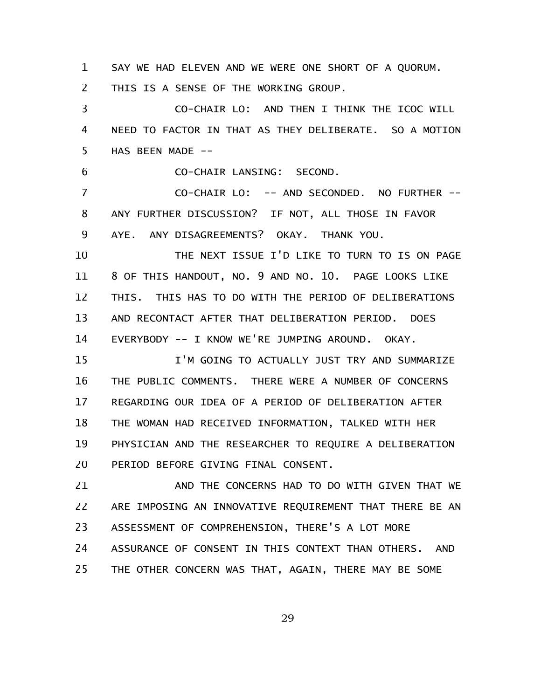SAY WE HAD ELEVEN AND WE WERE ONE SHORT OF A QUORUM. 1

THIS IS A SENSE OF THE WORKING GROUP. 2

CO-CHAIR LO: AND THEN I THINK THE ICOC WILL NEED TO FACTOR IN THAT AS THEY DELIBERATE. SO A MOTION HAS BEEN MADE --3 4 5

CO-CHAIR LANSING: SECOND. 6

CO-CHAIR LO: -- AND SECONDED. NO FURTHER -- ANY FURTHER DISCUSSION? IF NOT, ALL THOSE IN FAVOR AYE. ANY DISAGREEMENTS? OKAY. THANK YOU. 7 8 9

THE NEXT ISSUE I'D LIKE TO TURN TO IS ON PAGE 8 OF THIS HANDOUT, NO. 9 AND NO. 10. PAGE LOOKS LIKE THIS. THIS HAS TO DO WITH THE PERIOD OF DELIBERATIONS AND RECONTACT AFTER THAT DELIBERATION PERIOD. DOES EVERYBODY -- I KNOW WE'RE JUMPING AROUND. OKAY. 10 11 12 13 14

I'M GOING TO ACTUALLY JUST TRY AND SUMMARIZE THE PUBLIC COMMENTS. THERE WERE A NUMBER OF CONCERNS REGARDING OUR IDEA OF A PERIOD OF DELIBERATION AFTER THE WOMAN HAD RECEIVED INFORMATION, TALKED WITH HER PHYSICIAN AND THE RESEARCHER TO REQUIRE A DELIBERATION PERIOD BEFORE GIVING FINAL CONSENT. 15 16 17 18 19 20

AND THE CONCERNS HAD TO DO WITH GIVEN THAT WE ARE IMPOSING AN INNOVATIVE REQUIREMENT THAT THERE BE AN ASSESSMENT OF COMPREHENSION, THERE'S A LOT MORE ASSURANCE OF CONSENT IN THIS CONTEXT THAN OTHERS. AND THE OTHER CONCERN WAS THAT, AGAIN, THERE MAY BE SOME 21 22 23 24 25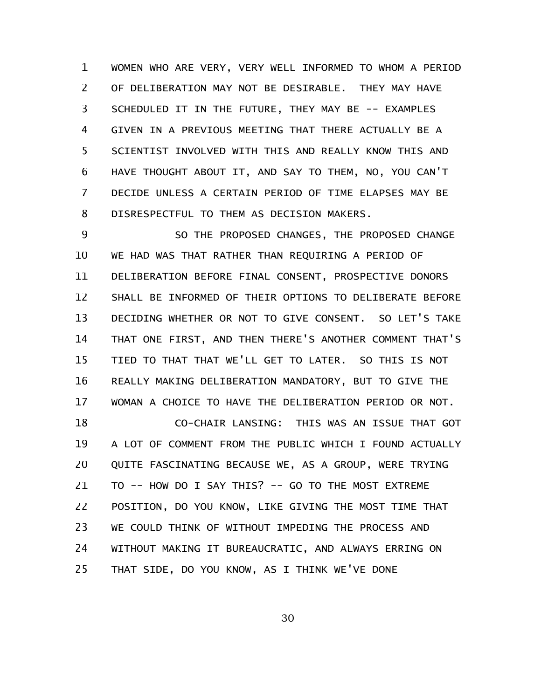WOMEN WHO ARE VERY, VERY WELL INFORMED TO WHOM A PERIOD OF DELIBERATION MAY NOT BE DESIRABLE. THEY MAY HAVE SCHEDULED IT IN THE FUTURE, THEY MAY BE -- EXAMPLES GIVEN IN A PREVIOUS MEETING THAT THERE ACTUALLY BE A SCIENTIST INVOLVED WITH THIS AND REALLY KNOW THIS AND HAVE THOUGHT ABOUT IT, AND SAY TO THEM, NO, YOU CAN'T DECIDE UNLESS A CERTAIN PERIOD OF TIME ELAPSES MAY BE DISRESPECTFUL TO THEM AS DECISION MAKERS. 1 2 3 4 5 6 7 8

SO THE PROPOSED CHANGES, THE PROPOSED CHANGE WE HAD WAS THAT RATHER THAN REQUIRING A PERIOD OF DELIBERATION BEFORE FINAL CONSENT, PROSPECTIVE DONORS SHALL BE INFORMED OF THEIR OPTIONS TO DELIBERATE BEFORE DECIDING WHETHER OR NOT TO GIVE CONSENT. SO LET'S TAKE THAT ONE FIRST, AND THEN THERE'S ANOTHER COMMENT THAT'S TIED TO THAT THAT WE'LL GET TO LATER. SO THIS IS NOT REALLY MAKING DELIBERATION MANDATORY, BUT TO GIVE THE WOMAN A CHOICE TO HAVE THE DELIBERATION PERIOD OR NOT. 9 10 11 12 13 14 15 16 17

CO-CHAIR LANSING: THIS WAS AN ISSUE THAT GOT A LOT OF COMMENT FROM THE PUBLIC WHICH I FOUND ACTUALLY QUITE FASCINATING BECAUSE WE, AS A GROUP, WERE TRYING TO -- HOW DO I SAY THIS? -- GO TO THE MOST EXTREME POSITION, DO YOU KNOW, LIKE GIVING THE MOST TIME THAT WE COULD THINK OF WITHOUT IMPEDING THE PROCESS AND WITHOUT MAKING IT BUREAUCRATIC, AND ALWAYS ERRING ON THAT SIDE, DO YOU KNOW, AS I THINK WE'VE DONE 18 19 20 21 22 23 24 25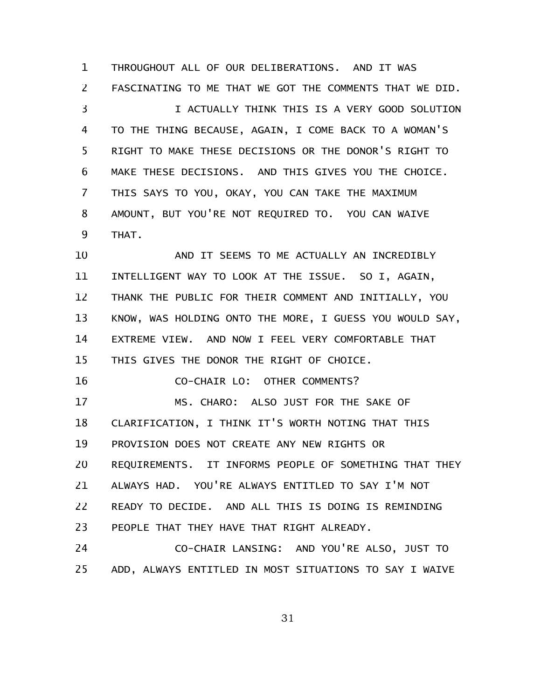THROUGHOUT ALL OF OUR DELIBERATIONS. AND IT WAS FASCINATING TO ME THAT WE GOT THE COMMENTS THAT WE DID. I ACTUALLY THINK THIS IS A VERY GOOD SOLUTION TO THE THING BECAUSE, AGAIN, I COME BACK TO A WOMAN'S RIGHT TO MAKE THESE DECISIONS OR THE DONOR'S RIGHT TO MAKE THESE DECISIONS. AND THIS GIVES YOU THE CHOICE. THIS SAYS TO YOU, OKAY, YOU CAN TAKE THE MAXIMUM AMOUNT, BUT YOU'RE NOT REQUIRED TO. YOU CAN WAIVE THAT. AND IT SEEMS TO ME ACTUALLY AN INCREDIBLY INTELLIGENT WAY TO LOOK AT THE ISSUE. SO I, AGAIN, THANK THE PUBLIC FOR THEIR COMMENT AND INITIALLY, YOU KNOW, WAS HOLDING ONTO THE MORE, I GUESS YOU WOULD SAY, EXTREME VIEW. AND NOW I FEEL VERY COMFORTABLE THAT THIS GIVES THE DONOR THE RIGHT OF CHOICE. CO-CHAIR LO: OTHER COMMENTS? MS. CHARO: ALSO JUST FOR THE SAKE OF CLARIFICATION, I THINK IT'S WORTH NOTING THAT THIS PROVISION DOES NOT CREATE ANY NEW RIGHTS OR REQUIREMENTS. IT INFORMS PEOPLE OF SOMETHING THAT THEY ALWAYS HAD. YOU'RE ALWAYS ENTITLED TO SAY I'M NOT READY TO DECIDE. AND ALL THIS IS DOING IS REMINDING PEOPLE THAT THEY HAVE THAT RIGHT ALREADY. CO-CHAIR LANSING: AND YOU'RE ALSO, JUST TO 1 2 3 4 5 6 7 8 9 10 11 12 13 14 15 16 17 18 19 20 21 22 23 24

ADD, ALWAYS ENTITLED IN MOST SITUATIONS TO SAY I WAIVE 25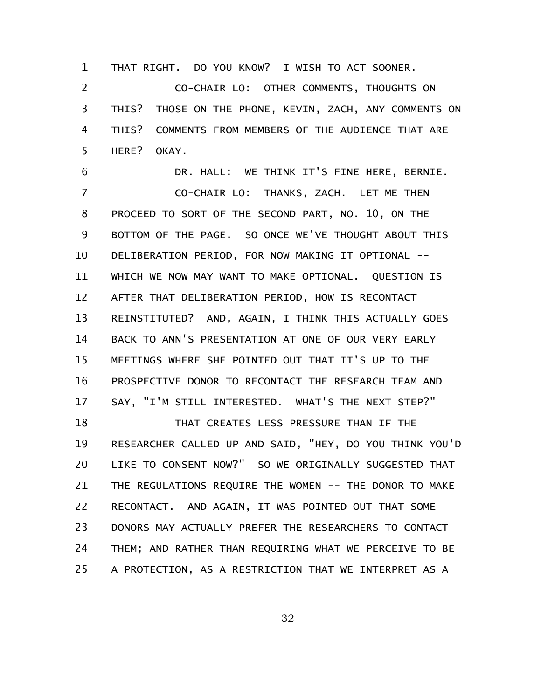THAT RIGHT. DO YOU KNOW? I WISH TO ACT SOONER. 1

CO-CHAIR LO: OTHER COMMENTS, THOUGHTS ON THIS? THOSE ON THE PHONE, KEVIN, ZACH, ANY COMMENTS ON THIS? COMMENTS FROM MEMBERS OF THE AUDIENCE THAT ARE HERE? OKAY. 2 3 4 5

DR. HALL: WE THINK IT'S FINE HERE, BERNIE. CO-CHAIR LO: THANKS, ZACH. LET ME THEN PROCEED TO SORT OF THE SECOND PART, NO. 10, ON THE BOTTOM OF THE PAGE. SO ONCE WE'VE THOUGHT ABOUT THIS DELIBERATION PERIOD, FOR NOW MAKING IT OPTIONAL -- WHICH WE NOW MAY WANT TO MAKE OPTIONAL. QUESTION IS AFTER THAT DELIBERATION PERIOD, HOW IS RECONTACT REINSTITUTED? AND, AGAIN, I THINK THIS ACTUALLY GOES BACK TO ANN'S PRESENTATION AT ONE OF OUR VERY EARLY MEETINGS WHERE SHE POINTED OUT THAT IT'S UP TO THE PROSPECTIVE DONOR TO RECONTACT THE RESEARCH TEAM AND SAY, "I'M STILL INTERESTED. WHAT'S THE NEXT STEP?" 6 7 8 9 10 11 12 13 14 15 16 17

THAT CREATES LESS PRESSURE THAN IF THE RESEARCHER CALLED UP AND SAID, "HEY, DO YOU THINK YOU'D LIKE TO CONSENT NOW?" SO WE ORIGINALLY SUGGESTED THAT THE REGULATIONS REQUIRE THE WOMEN -- THE DONOR TO MAKE RECONTACT. AND AGAIN, IT WAS POINTED OUT THAT SOME DONORS MAY ACTUALLY PREFER THE RESEARCHERS TO CONTACT THEM; AND RATHER THAN REQUIRING WHAT WE PERCEIVE TO BE A PROTECTION, AS A RESTRICTION THAT WE INTERPRET AS A 18 19 20 21 22 23 24 25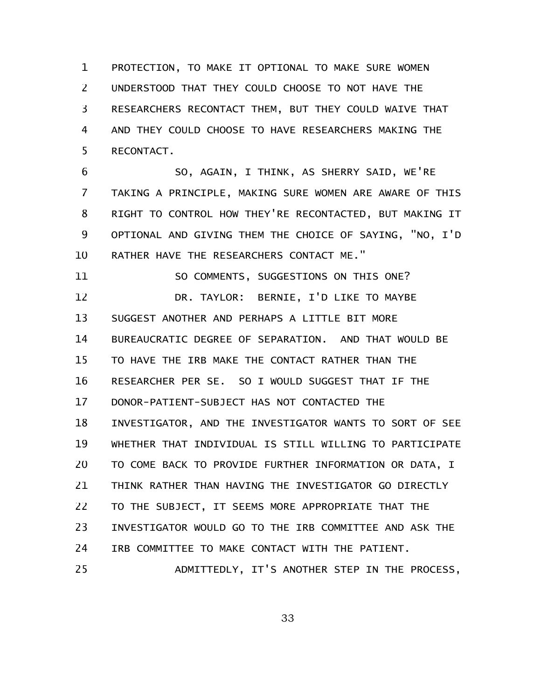PROTECTION, TO MAKE IT OPTIONAL TO MAKE SURE WOMEN UNDERSTOOD THAT THEY COULD CHOOSE TO NOT HAVE THE RESEARCHERS RECONTACT THEM, BUT THEY COULD WAIVE THAT AND THEY COULD CHOOSE TO HAVE RESEARCHERS MAKING THE RECONTACT. 1 2 3 4 5

SO, AGAIN, I THINK, AS SHERRY SAID, WE'RE TAKING A PRINCIPLE, MAKING SURE WOMEN ARE AWARE OF THIS RIGHT TO CONTROL HOW THEY'RE RECONTACTED, BUT MAKING IT OPTIONAL AND GIVING THEM THE CHOICE OF SAYING, "NO, I'D RATHER HAVE THE RESEARCHERS CONTACT ME." 6 7 8 9 10

SO COMMENTS, SUGGESTIONS ON THIS ONE? DR. TAYLOR: BERNIE, I'D LIKE TO MAYBE SUGGEST ANOTHER AND PERHAPS A LITTLE BIT MORE BUREAUCRATIC DEGREE OF SEPARATION. AND THAT WOULD BE TO HAVE THE IRB MAKE THE CONTACT RATHER THAN THE RESEARCHER PER SE. SO I WOULD SUGGEST THAT IF THE DONOR-PATIENT-SUBJECT HAS NOT CONTACTED THE INVESTIGATOR, AND THE INVESTIGATOR WANTS TO SORT OF SEE WHETHER THAT INDIVIDUAL IS STILL WILLING TO PARTICIPATE TO COME BACK TO PROVIDE FURTHER INFORMATION OR DATA, I THINK RATHER THAN HAVING THE INVESTIGATOR GO DIRECTLY TO THE SUBJECT, IT SEEMS MORE APPROPRIATE THAT THE INVESTIGATOR WOULD GO TO THE IRB COMMITTEE AND ASK THE IRB COMMITTEE TO MAKE CONTACT WITH THE PATIENT. ADMITTEDLY, IT'S ANOTHER STEP IN THE PROCESS, 11 12 13 14 15 16 17 18 19 20 21 22 23 24 25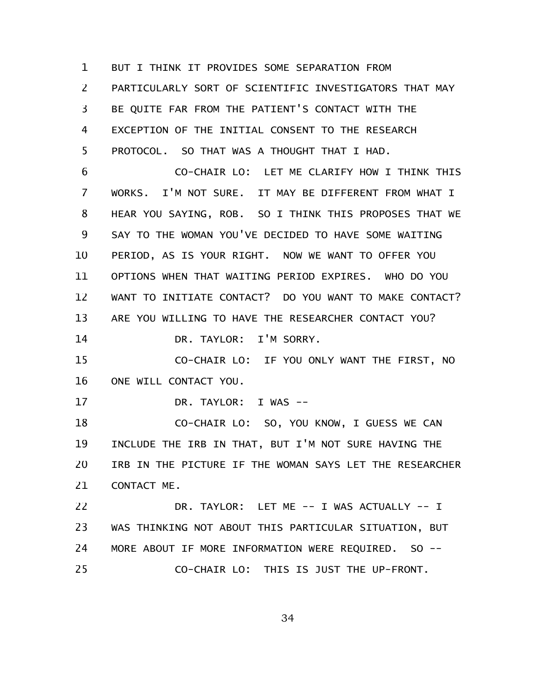BUT I THINK IT PROVIDES SOME SEPARATION FROM PARTICULARLY SORT OF SCIENTIFIC INVESTIGATORS THAT MAY BE QUITE FAR FROM THE PATIENT'S CONTACT WITH THE EXCEPTION OF THE INITIAL CONSENT TO THE RESEARCH PROTOCOL. SO THAT WAS A THOUGHT THAT I HAD. 1 2 3 4 5

CO-CHAIR LO: LET ME CLARIFY HOW I THINK THIS WORKS. I'M NOT SURE. IT MAY BE DIFFERENT FROM WHAT I HEAR YOU SAYING, ROB. SO I THINK THIS PROPOSES THAT WE SAY TO THE WOMAN YOU'VE DECIDED TO HAVE SOME WAITING PERIOD, AS IS YOUR RIGHT. NOW WE WANT TO OFFER YOU OPTIONS WHEN THAT WAITING PERIOD EXPIRES. WHO DO YOU WANT TO INITIATE CONTACT? DO YOU WANT TO MAKE CONTACT? ARE YOU WILLING TO HAVE THE RESEARCHER CONTACT YOU? DR. TAYLOR: I'M SORRY. 6 7 8 9 10 11 12 13 14

CO-CHAIR LO: IF YOU ONLY WANT THE FIRST, NO ONE WILL CONTACT YOU. 15 16

DR. TAYLOR: I WAS -- 17

CO-CHAIR LO: SO, YOU KNOW, I GUESS WE CAN INCLUDE THE IRB IN THAT, BUT I'M NOT SURE HAVING THE IRB IN THE PICTURE IF THE WOMAN SAYS LET THE RESEARCHER CONTACT ME. 18 19 20 21

DR. TAYLOR: LET ME -- I WAS ACTUALLY -- I WAS THINKING NOT ABOUT THIS PARTICULAR SITUATION, BUT MORE ABOUT IF MORE INFORMATION WERE REQUIRED. SO -- CO-CHAIR LO: THIS IS JUST THE UP-FRONT. 22 23 24 25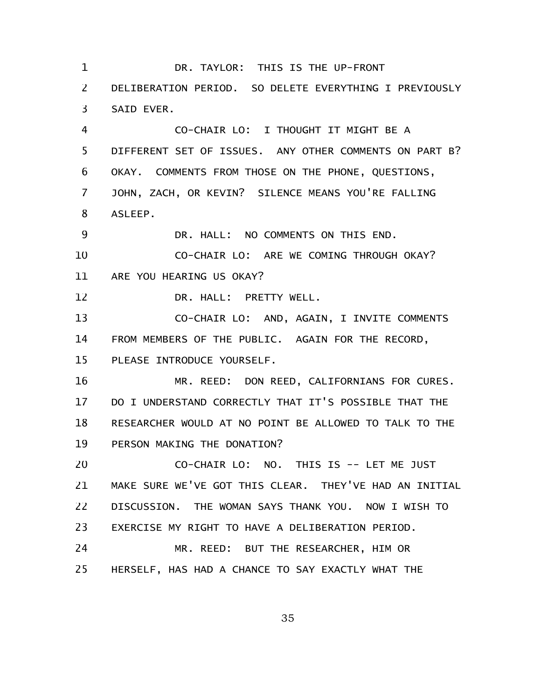DR. TAYLOR: THIS IS THE UP-FRONT DELIBERATION PERIOD. SO DELETE EVERYTHING I PREVIOUSLY SAID EVER. CO-CHAIR LO: I THOUGHT IT MIGHT BE A DIFFERENT SET OF ISSUES. ANY OTHER COMMENTS ON PART B? OKAY. COMMENTS FROM THOSE ON THE PHONE, QUESTIONS, JOHN, ZACH, OR KEVIN? SILENCE MEANS YOU'RE FALLING ASLEEP. DR. HALL: NO COMMENTS ON THIS END. CO-CHAIR LO: ARE WE COMING THROUGH OKAY? ARE YOU HEARING US OKAY? DR. HALL: PRETTY WELL. CO-CHAIR LO: AND, AGAIN, I INVITE COMMENTS FROM MEMBERS OF THE PUBLIC. AGAIN FOR THE RECORD, PLEASE INTRODUCE YOURSELF. MR. REED: DON REED, CALIFORNIANS FOR CURES. DO I UNDERSTAND CORRECTLY THAT IT'S POSSIBLE THAT THE RESEARCHER WOULD AT NO POINT BE ALLOWED TO TALK TO THE PERSON MAKING THE DONATION? CO-CHAIR LO: NO. THIS IS -- LET ME JUST MAKE SURE WE'VE GOT THIS CLEAR. THEY'VE HAD AN INITIAL DISCUSSION. THE WOMAN SAYS THANK YOU. NOW I WISH TO EXERCISE MY RIGHT TO HAVE A DELIBERATION PERIOD. MR. REED: BUT THE RESEARCHER, HIM OR HERSELF, HAS HAD A CHANCE TO SAY EXACTLY WHAT THE 1 2 3 4 5 6 7 8 9 10 11 12 13 14 15 16 17 18 19 20 21 22 23 24 25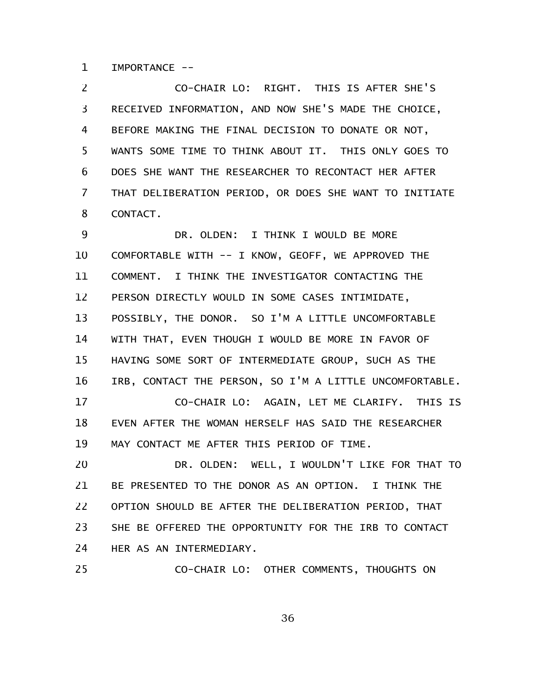IMPORTANCE -- 1

CO-CHAIR LO: RIGHT. THIS IS AFTER SHE'S RECEIVED INFORMATION, AND NOW SHE'S MADE THE CHOICE, BEFORE MAKING THE FINAL DECISION TO DONATE OR NOT, WANTS SOME TIME TO THINK ABOUT IT. THIS ONLY GOES TO DOES SHE WANT THE RESEARCHER TO RECONTACT HER AFTER THAT DELIBERATION PERIOD, OR DOES SHE WANT TO INITIATE CONTACT. 2 3 4 5 6 7 8

DR. OLDEN: I THINK I WOULD BE MORE COMFORTABLE WITH -- I KNOW, GEOFF, WE APPROVED THE COMMENT. I THINK THE INVESTIGATOR CONTACTING THE PERSON DIRECTLY WOULD IN SOME CASES INTIMIDATE, POSSIBLY, THE DONOR. SO I'M A LITTLE UNCOMFORTABLE WITH THAT, EVEN THOUGH I WOULD BE MORE IN FAVOR OF HAVING SOME SORT OF INTERMEDIATE GROUP, SUCH AS THE IRB, CONTACT THE PERSON, SO I'M A LITTLE UNCOMFORTABLE. CO-CHAIR LO: AGAIN, LET ME CLARIFY. THIS IS EVEN AFTER THE WOMAN HERSELF HAS SAID THE RESEARCHER MAY CONTACT ME AFTER THIS PERIOD OF TIME. DR. OLDEN: WELL, I WOULDN'T LIKE FOR THAT TO BE PRESENTED TO THE DONOR AS AN OPTION. I THINK THE OPTION SHOULD BE AFTER THE DELIBERATION PERIOD, THAT SHE BE OFFERED THE OPPORTUNITY FOR THE IRB TO CONTACT HER AS AN INTERMEDIARY. 9 10 11 12 13 14 15 16 17 18 19 20 21 22 23 24

CO-CHAIR LO: OTHER COMMENTS, THOUGHTS ON 25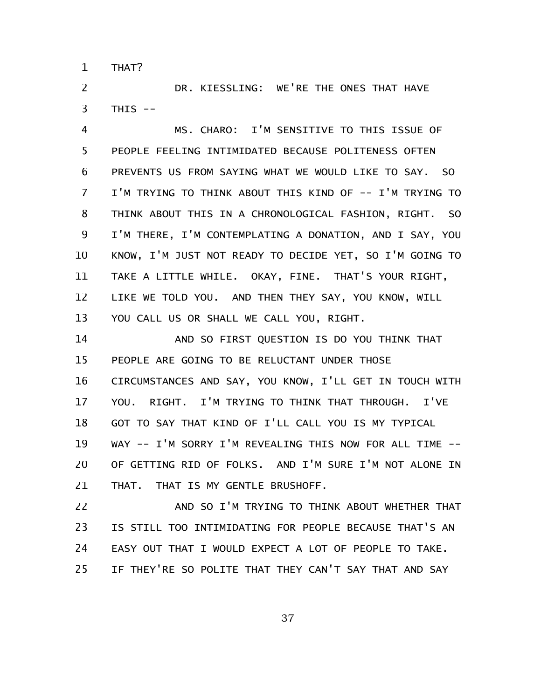THAT? 1

DR. KIESSLING: WE'RE THE ONES THAT HAVE THIS -- 2 3

MS. CHARO: I'M SENSITIVE TO THIS ISSUE OF PEOPLE FEELING INTIMIDATED BECAUSE POLITENESS OFTEN PREVENTS US FROM SAYING WHAT WE WOULD LIKE TO SAY. SO I'M TRYING TO THINK ABOUT THIS KIND OF -- I'M TRYING TO THINK ABOUT THIS IN A CHRONOLOGICAL FASHION, RIGHT. SO I'M THERE, I'M CONTEMPLATING A DONATION, AND I SAY, YOU KNOW, I'M JUST NOT READY TO DECIDE YET, SO I'M GOING TO TAKE A LITTLE WHILE. OKAY, FINE. THAT'S YOUR RIGHT, LIKE WE TOLD YOU. AND THEN THEY SAY, YOU KNOW, WILL YOU CALL US OR SHALL WE CALL YOU, RIGHT. 4 5 6 7 8 9 10 11 12 13

AND SO FIRST QUESTION IS DO YOU THINK THAT PEOPLE ARE GOING TO BE RELUCTANT UNDER THOSE CIRCUMSTANCES AND SAY, YOU KNOW, I'LL GET IN TOUCH WITH YOU. RIGHT. I'M TRYING TO THINK THAT THROUGH. I'VE GOT TO SAY THAT KIND OF I'LL CALL YOU IS MY TYPICAL WAY -- I'M SORRY I'M REVEALING THIS NOW FOR ALL TIME -- OF GETTING RID OF FOLKS. AND I'M SURE I'M NOT ALONE IN THAT. THAT IS MY GENTLE BRUSHOFF. 14 15 16 17 18 19 20 21

AND SO I'M TRYING TO THINK ABOUT WHETHER THAT IS STILL TOO INTIMIDATING FOR PEOPLE BECAUSE THAT'S AN EASY OUT THAT I WOULD EXPECT A LOT OF PEOPLE TO TAKE. IF THEY'RE SO POLITE THAT THEY CAN'T SAY THAT AND SAY 22 23 24 25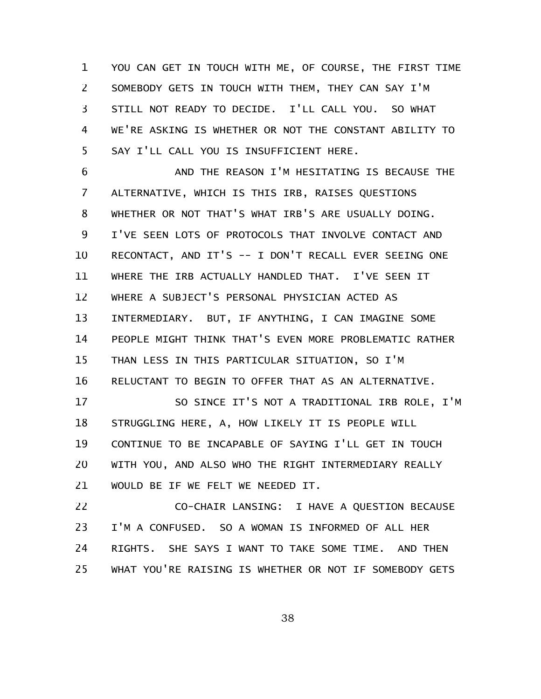YOU CAN GET IN TOUCH WITH ME, OF COURSE, THE FIRST TIME SOMEBODY GETS IN TOUCH WITH THEM, THEY CAN SAY I'M STILL NOT READY TO DECIDE. I'LL CALL YOU. SO WHAT WE'RE ASKING IS WHETHER OR NOT THE CONSTANT ABILITY TO SAY I'LL CALL YOU IS INSUFFICIENT HERE. 1 2 3 4 5

AND THE REASON I'M HESITATING IS BECAUSE THE ALTERNATIVE, WHICH IS THIS IRB, RAISES QUESTIONS WHETHER OR NOT THAT'S WHAT IRB'S ARE USUALLY DOING. I'VE SEEN LOTS OF PROTOCOLS THAT INVOLVE CONTACT AND RECONTACT, AND IT'S -- I DON'T RECALL EVER SEEING ONE WHERE THE IRB ACTUALLY HANDLED THAT. I'VE SEEN IT WHERE A SUBJECT'S PERSONAL PHYSICIAN ACTED AS INTERMEDIARY. BUT, IF ANYTHING, I CAN IMAGINE SOME PEOPLE MIGHT THINK THAT'S EVEN MORE PROBLEMATIC RATHER THAN LESS IN THIS PARTICULAR SITUATION, SO I'M RELUCTANT TO BEGIN TO OFFER THAT AS AN ALTERNATIVE. SO SINCE IT'S NOT A TRADITIONAL IRB ROLE, I'M STRUGGLING HERE, A, HOW LIKELY IT IS PEOPLE WILL CONTINUE TO BE INCAPABLE OF SAYING I'LL GET IN TOUCH WITH YOU, AND ALSO WHO THE RIGHT INTERMEDIARY REALLY WOULD BE IF WE FELT WE NEEDED IT. 6 7 8 9 10 11 12 13 14 15 16 17 18 19 20 21

CO-CHAIR LANSING: I HAVE A QUESTION BECAUSE I'M A CONFUSED. SO A WOMAN IS INFORMED OF ALL HER RIGHTS. SHE SAYS I WANT TO TAKE SOME TIME. AND THEN WHAT YOU'RE RAISING IS WHETHER OR NOT IF SOMEBODY GETS 22 23 24 25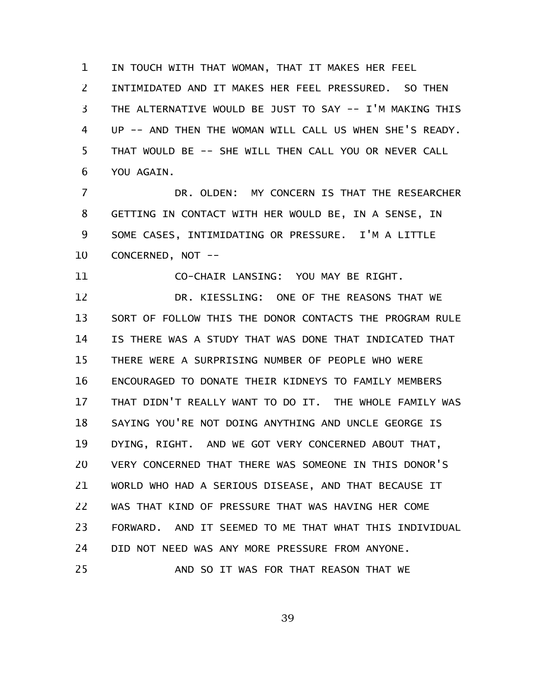IN TOUCH WITH THAT WOMAN, THAT IT MAKES HER FEEL INTIMIDATED AND IT MAKES HER FEEL PRESSURED. SO THEN THE ALTERNATIVE WOULD BE JUST TO SAY -- I'M MAKING THIS UP -- AND THEN THE WOMAN WILL CALL US WHEN SHE'S READY. THAT WOULD BE -- SHE WILL THEN CALL YOU OR NEVER CALL YOU AGAIN. 1 2 3 4 5 6

DR. OLDEN: MY CONCERN IS THAT THE RESEARCHER GETTING IN CONTACT WITH HER WOULD BE, IN A SENSE, IN SOME CASES, INTIMIDATING OR PRESSURE. I'M A LITTLE CONCERNED, NOT -- 7 8 9 10

CO-CHAIR LANSING: YOU MAY BE RIGHT. 11

DR. KIESSLING: ONE OF THE REASONS THAT WE SORT OF FOLLOW THIS THE DONOR CONTACTS THE PROGRAM RULE IS THERE WAS A STUDY THAT WAS DONE THAT INDICATED THAT THERE WERE A SURPRISING NUMBER OF PEOPLE WHO WERE ENCOURAGED TO DONATE THEIR KIDNEYS TO FAMILY MEMBERS THAT DIDN'T REALLY WANT TO DO IT. THE WHOLE FAMILY WAS SAYING YOU'RE NOT DOING ANYTHING AND UNCLE GEORGE IS DYING, RIGHT. AND WE GOT VERY CONCERNED ABOUT THAT, VERY CONCERNED THAT THERE WAS SOMEONE IN THIS DONOR'S WORLD WHO HAD A SERIOUS DISEASE, AND THAT BECAUSE IT WAS THAT KIND OF PRESSURE THAT WAS HAVING HER COME FORWARD. AND IT SEEMED TO ME THAT WHAT THIS INDIVIDUAL DID NOT NEED WAS ANY MORE PRESSURE FROM ANYONE. AND SO IT WAS FOR THAT REASON THAT WE 12 13 14 15 16 17 18 19 20 21 22 23 24 25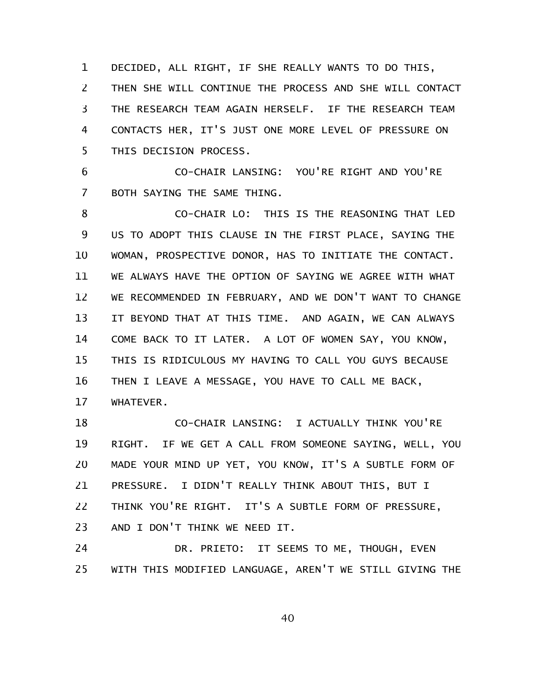DECIDED, ALL RIGHT, IF SHE REALLY WANTS TO DO THIS, THEN SHE WILL CONTINUE THE PROCESS AND SHE WILL CONTACT THE RESEARCH TEAM AGAIN HERSELF. IF THE RESEARCH TEAM CONTACTS HER, IT'S JUST ONE MORE LEVEL OF PRESSURE ON THIS DECISION PROCESS. 1 2 3 4 5

CO-CHAIR LANSING: YOU'RE RIGHT AND YOU'RE BOTH SAYING THE SAME THING. 6 7

CO-CHAIR LO: THIS IS THE REASONING THAT LED US TO ADOPT THIS CLAUSE IN THE FIRST PLACE, SAYING THE WOMAN, PROSPECTIVE DONOR, HAS TO INITIATE THE CONTACT. WE ALWAYS HAVE THE OPTION OF SAYING WE AGREE WITH WHAT WE RECOMMENDED IN FEBRUARY, AND WE DON'T WANT TO CHANGE IT BEYOND THAT AT THIS TIME. AND AGAIN, WE CAN ALWAYS COME BACK TO IT LATER. A LOT OF WOMEN SAY, YOU KNOW, THIS IS RIDICULOUS MY HAVING TO CALL YOU GUYS BECAUSE THEN I LEAVE A MESSAGE, YOU HAVE TO CALL ME BACK, WHATEVER. 8 9 10 11 12 13 14 15 16 17

CO-CHAIR LANSING: I ACTUALLY THINK YOU'RE RIGHT. IF WE GET A CALL FROM SOMEONE SAYING, WELL, YOU MADE YOUR MIND UP YET, YOU KNOW, IT'S A SUBTLE FORM OF PRESSURE. I DIDN'T REALLY THINK ABOUT THIS, BUT I THINK YOU'RE RIGHT. IT'S A SUBTLE FORM OF PRESSURE, AND I DON'T THINK WE NEED IT. 18 19 20 21 22 23

DR. PRIETO: IT SEEMS TO ME, THOUGH, EVEN WITH THIS MODIFIED LANGUAGE, AREN'T WE STILL GIVING THE 24 25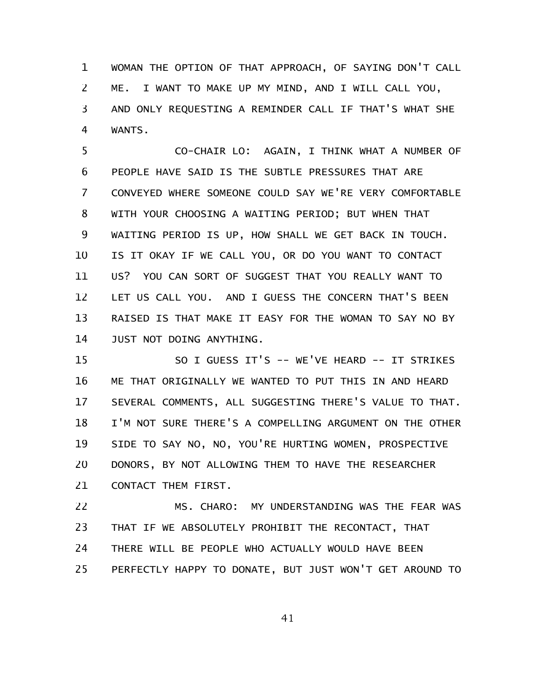WOMAN THE OPTION OF THAT APPROACH, OF SAYING DON'T CALL ME. I WANT TO MAKE UP MY MIND, AND I WILL CALL YOU, AND ONLY REQUESTING A REMINDER CALL IF THAT'S WHAT SHE WANTS. 1 2 3 4

CO-CHAIR LO: AGAIN, I THINK WHAT A NUMBER OF PEOPLE HAVE SAID IS THE SUBTLE PRESSURES THAT ARE CONVEYED WHERE SOMEONE COULD SAY WE'RE VERY COMFORTABLE WITH YOUR CHOOSING A WAITING PERIOD; BUT WHEN THAT WAITING PERIOD IS UP, HOW SHALL WE GET BACK IN TOUCH. IS IT OKAY IF WE CALL YOU, OR DO YOU WANT TO CONTACT US? YOU CAN SORT OF SUGGEST THAT YOU REALLY WANT TO LET US CALL YOU. AND I GUESS THE CONCERN THAT'S BEEN RAISED IS THAT MAKE IT EASY FOR THE WOMAN TO SAY NO BY JUST NOT DOING ANYTHING. 5 6 7 8 9 10 11 12 13 14

SO I GUESS IT'S -- WE'VE HEARD -- IT STRIKES ME THAT ORIGINALLY WE WANTED TO PUT THIS IN AND HEARD SEVERAL COMMENTS, ALL SUGGESTING THERE'S VALUE TO THAT. I'M NOT SURE THERE'S A COMPELLING ARGUMENT ON THE OTHER SIDE TO SAY NO, NO, YOU'RE HURTING WOMEN, PROSPECTIVE DONORS, BY NOT ALLOWING THEM TO HAVE THE RESEARCHER CONTACT THEM FIRST. 15 16 17 18 19 20 21

MS. CHARO: MY UNDERSTANDING WAS THE FEAR WAS THAT IF WE ABSOLUTELY PROHIBIT THE RECONTACT, THAT THERE WILL BE PEOPLE WHO ACTUALLY WOULD HAVE BEEN PERFECTLY HAPPY TO DONATE, BUT JUST WON'T GET AROUND TO 22 23 24 25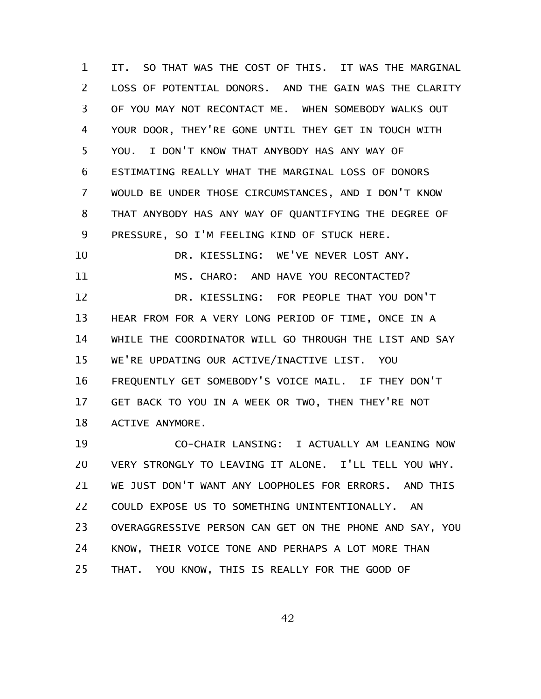IT. SO THAT WAS THE COST OF THIS. IT WAS THE MARGINAL LOSS OF POTENTIAL DONORS. AND THE GAIN WAS THE CLARITY OF YOU MAY NOT RECONTACT ME. WHEN SOMEBODY WALKS OUT YOUR DOOR, THEY'RE GONE UNTIL THEY GET IN TOUCH WITH YOU. I DON'T KNOW THAT ANYBODY HAS ANY WAY OF ESTIMATING REALLY WHAT THE MARGINAL LOSS OF DONORS WOULD BE UNDER THOSE CIRCUMSTANCES, AND I DON'T KNOW THAT ANYBODY HAS ANY WAY OF QUANTIFYING THE DEGREE OF PRESSURE, SO I'M FEELING KIND OF STUCK HERE. DR. KIESSLING: WE'VE NEVER LOST ANY. MS. CHARO: AND HAVE YOU RECONTACTED? DR. KIESSLING: FOR PEOPLE THAT YOU DON'T HEAR FROM FOR A VERY LONG PERIOD OF TIME, ONCE IN A WHILE THE COORDINATOR WILL GO THROUGH THE LIST AND SAY WE'RE UPDATING OUR ACTIVE/INACTIVE LIST. YOU FREQUENTLY GET SOMEBODY'S VOICE MAIL. IF THEY DON'T GET BACK TO YOU IN A WEEK OR TWO, THEN THEY'RE NOT ACTIVE ANYMORE. 1 2 3 4 5 6 7 8 9 10 11 12 13 14 15 16 17 18

CO-CHAIR LANSING: I ACTUALLY AM LEANING NOW VERY STRONGLY TO LEAVING IT ALONE. I'LL TELL YOU WHY. WE JUST DON'T WANT ANY LOOPHOLES FOR ERRORS. AND THIS COULD EXPOSE US TO SOMETHING UNINTENTIONALLY. AN OVERAGGRESSIVE PERSON CAN GET ON THE PHONE AND SAY, YOU KNOW, THEIR VOICE TONE AND PERHAPS A LOT MORE THAN THAT. YOU KNOW, THIS IS REALLY FOR THE GOOD OF 19 20 21 22 23 24 25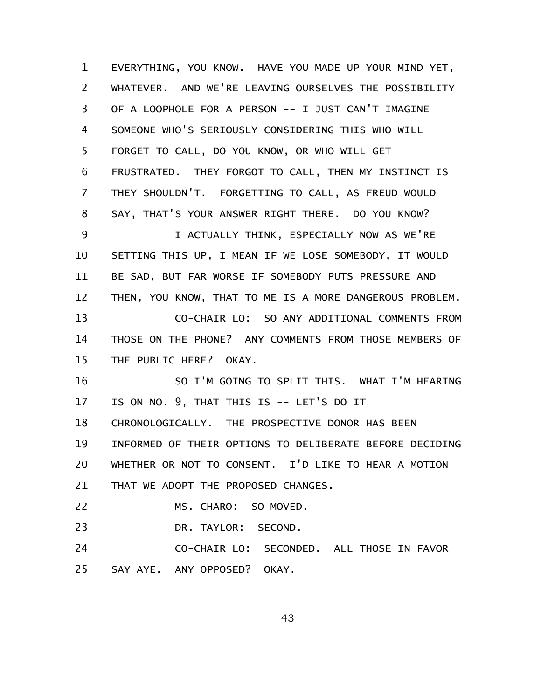EVERYTHING, YOU KNOW. HAVE YOU MADE UP YOUR MIND YET, WHATEVER. AND WE'RE LEAVING OURSELVES THE POSSIBILITY OF A LOOPHOLE FOR A PERSON -- I JUST CAN'T IMAGINE SOMEONE WHO'S SERIOUSLY CONSIDERING THIS WHO WILL FORGET TO CALL, DO YOU KNOW, OR WHO WILL GET FRUSTRATED. THEY FORGOT TO CALL, THEN MY INSTINCT IS THEY SHOULDN'T. FORGETTING TO CALL, AS FREUD WOULD SAY, THAT'S YOUR ANSWER RIGHT THERE. DO YOU KNOW? I ACTUALLY THINK, ESPECIALLY NOW AS WE'RE SETTING THIS UP, I MEAN IF WE LOSE SOMEBODY, IT WOULD BE SAD, BUT FAR WORSE IF SOMEBODY PUTS PRESSURE AND THEN, YOU KNOW, THAT TO ME IS A MORE DANGEROUS PROBLEM. CO-CHAIR LO: SO ANY ADDITIONAL COMMENTS FROM THOSE ON THE PHONE? ANY COMMENTS FROM THOSE MEMBERS OF THE PUBLIC HERE? OKAY. SO I'M GOING TO SPLIT THIS. WHAT I'M HEARING IS ON NO. 9, THAT THIS IS -- LET'S DO IT CHRONOLOGICALLY. THE PROSPECTIVE DONOR HAS BEEN INFORMED OF THEIR OPTIONS TO DELIBERATE BEFORE DECIDING WHETHER OR NOT TO CONSENT. I'D LIKE TO HEAR A MOTION THAT WE ADOPT THE PROPOSED CHANGES. MS. CHARO: SO MOVED. DR. TAYLOR: SECOND. CO-CHAIR LO: SECONDED. ALL THOSE IN FAVOR SAY AYE. ANY OPPOSED? OKAY. 1 2 3 4 5 6 7 8 9 10 11 12 13 14 15 16 17 18 19 20 21 22 23 24 25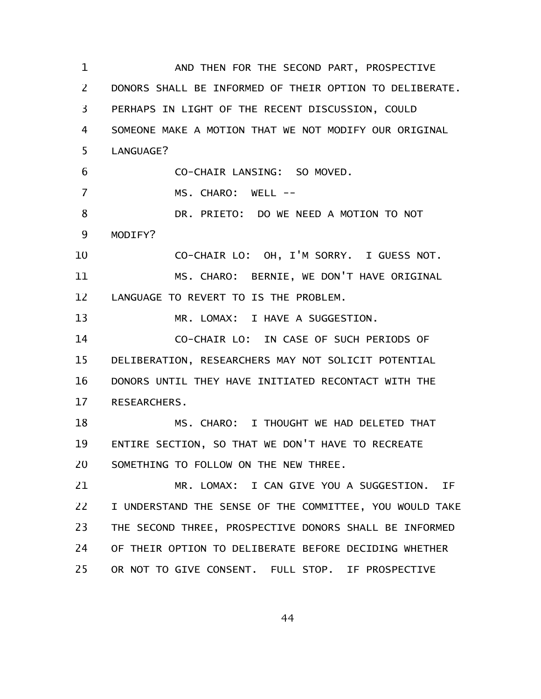AND THEN FOR THE SECOND PART, PROSPECTIVE DONORS SHALL BE INFORMED OF THEIR OPTION TO DELIBERATE. PERHAPS IN LIGHT OF THE RECENT DISCUSSION, COULD SOMEONE MAKE A MOTION THAT WE NOT MODIFY OUR ORIGINAL LANGUAGE? CO-CHAIR LANSING: SO MOVED. MS. CHARO: WELL --DR. PRIETO: DO WE NEED A MOTION TO NOT MODIFY? CO-CHAIR LO: OH, I'M SORRY. I GUESS NOT. MS. CHARO: BERNIE, WE DON'T HAVE ORIGINAL LANGUAGE TO REVERT TO IS THE PROBLEM. MR. LOMAX: I HAVE A SUGGESTION. CO-CHAIR LO: IN CASE OF SUCH PERIODS OF DELIBERATION, RESEARCHERS MAY NOT SOLICIT POTENTIAL DONORS UNTIL THEY HAVE INITIATED RECONTACT WITH THE RESEARCHERS. MS. CHARO: I THOUGHT WE HAD DELETED THAT ENTIRE SECTION, SO THAT WE DON'T HAVE TO RECREATE SOMETHING TO FOLLOW ON THE NEW THREE. MR. LOMAX: I CAN GIVE YOU A SUGGESTION. IF I UNDERSTAND THE SENSE OF THE COMMITTEE, YOU WOULD TAKE THE SECOND THREE, PROSPECTIVE DONORS SHALL BE INFORMED OF THEIR OPTION TO DELIBERATE BEFORE DECIDING WHETHER OR NOT TO GIVE CONSENT. FULL STOP. IF PROSPECTIVE 1 2 3 4 5 6 7 8 9 10 11 12 13 14 15 16 17 18 19 20 21 22 23 24 25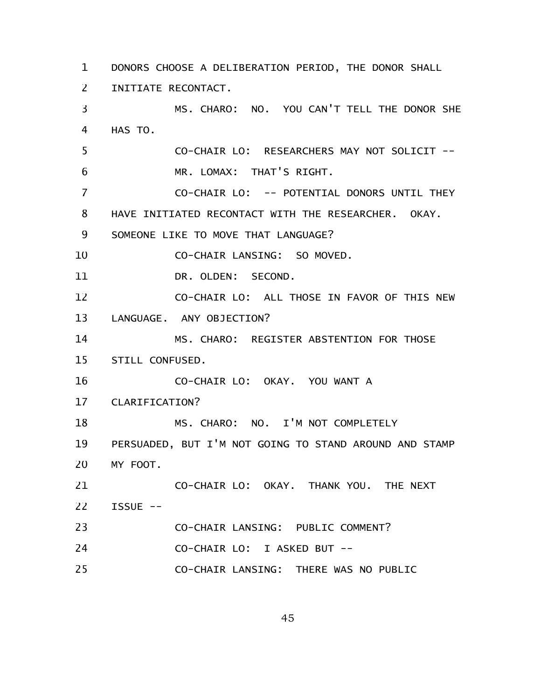DONORS CHOOSE A DELIBERATION PERIOD, THE DONOR SHALL 1 INITIATE RECONTACT. 2

MS. CHARO: NO. YOU CAN'T TELL THE DONOR SHE HAS TO. CO-CHAIR LO: RESEARCHERS MAY NOT SOLICIT -- MR. LOMAX: THAT'S RIGHT. CO-CHAIR LO: -- POTENTIAL DONORS UNTIL THEY HAVE INITIATED RECONTACT WITH THE RESEARCHER. OKAY. SOMEONE LIKE TO MOVE THAT LANGUAGE? CO-CHAIR LANSING: SO MOVED. DR. OLDEN: SECOND. CO-CHAIR LO: ALL THOSE IN FAVOR OF THIS NEW LANGUAGE. ANY OBJECTION? MS. CHARO: REGISTER ABSTENTION FOR THOSE STILL CONFUSED. 3 4 5 6 7 8 9 10 11 12 13 14 15

CO-CHAIR LO: OKAY. YOU WANT A 16

CLARIFICATION? 17

MS. CHARO: NO. I'M NOT COMPLETELY PERSUADED, BUT I'M NOT GOING TO STAND AROUND AND STAMP MY FOOT. CO-CHAIR LO: OKAY. THANK YOU. THE NEXT ISSUE -- CO-CHAIR LANSING: PUBLIC COMMENT? CO-CHAIR LO: I ASKED BUT -- 18 19 20 21 22 23 24

CO-CHAIR LANSING: THERE WAS NO PUBLIC 25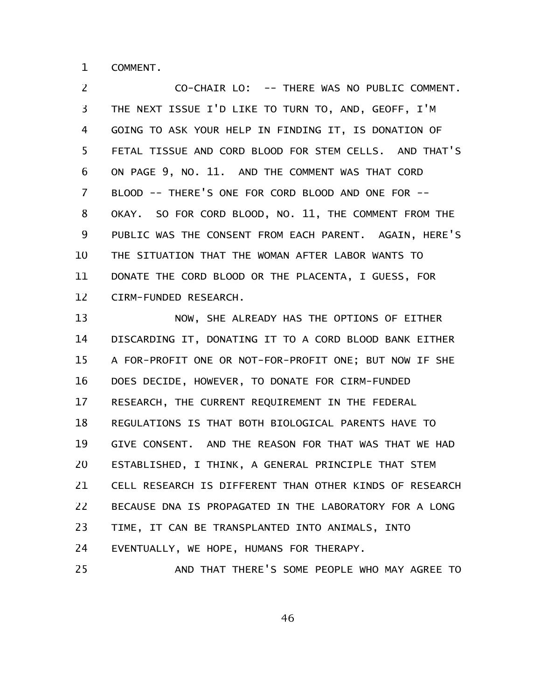COMMENT. 1

CO-CHAIR LO: -- THERE WAS NO PUBLIC COMMENT. THE NEXT ISSUE I'D LIKE TO TURN TO, AND, GEOFF, I'M GOING TO ASK YOUR HELP IN FINDING IT, IS DONATION OF FETAL TISSUE AND CORD BLOOD FOR STEM CELLS. AND THAT'S ON PAGE 9, NO. 11. AND THE COMMENT WAS THAT CORD BLOOD -- THERE'S ONE FOR CORD BLOOD AND ONE FOR -- OKAY. SO FOR CORD BLOOD, NO. 11, THE COMMENT FROM THE PUBLIC WAS THE CONSENT FROM EACH PARENT. AGAIN, HERE'S THE SITUATION THAT THE WOMAN AFTER LABOR WANTS TO DONATE THE CORD BLOOD OR THE PLACENTA, I GUESS, FOR CIRM-FUNDED RESEARCH. 2 3 4 5 6 7 8 9 10 11 12

NOW, SHE ALREADY HAS THE OPTIONS OF EITHER DISCARDING IT, DONATING IT TO A CORD BLOOD BANK EITHER A FOR-PROFIT ONE OR NOT-FOR-PROFIT ONE; BUT NOW IF SHE DOES DECIDE, HOWEVER, TO DONATE FOR CIRM-FUNDED RESEARCH, THE CURRENT REQUIREMENT IN THE FEDERAL REGULATIONS IS THAT BOTH BIOLOGICAL PARENTS HAVE TO GIVE CONSENT. AND THE REASON FOR THAT WAS THAT WE HAD ESTABLISHED, I THINK, A GENERAL PRINCIPLE THAT STEM CELL RESEARCH IS DIFFERENT THAN OTHER KINDS OF RESEARCH BECAUSE DNA IS PROPAGATED IN THE LABORATORY FOR A LONG TIME, IT CAN BE TRANSPLANTED INTO ANIMALS, INTO EVENTUALLY, WE HOPE, HUMANS FOR THERAPY. AND THAT THERE'S SOME PEOPLE WHO MAY AGREE TO 13 14 15 16 17 18 19 20 21 22 23 24 25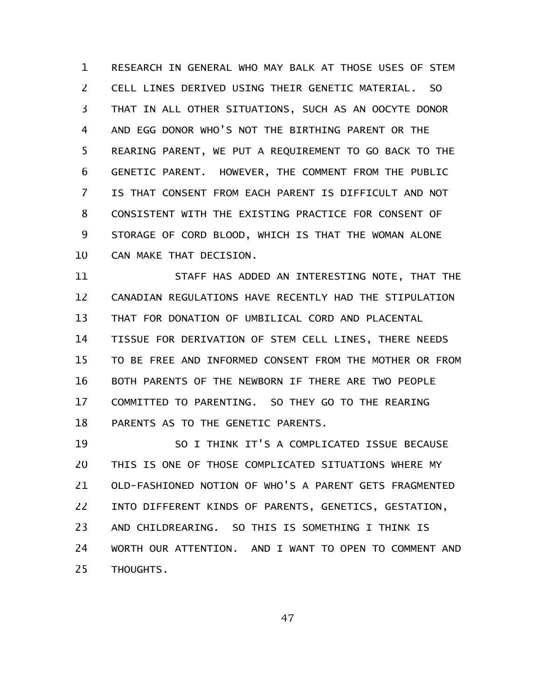RESEARCH IN GENERAL WHO MAY BALK AT THOSE USES OF STEM CELL LINES DERIVED USING THEIR GENETIC MATERIAL. SO THAT IN ALL OTHER SITUATIONS, SUCH AS AN OOCYTE DONOR AND EGG DONOR WHO'S NOT THE BIRTHING PARENT OR THE REARING PARENT, WE PUT A REQUIREMENT TO GO BACK TO THE GENETIC PARENT. HOWEVER, THE COMMENT FROM THE PUBLIC IS THAT CONSENT FROM EACH PARENT IS DIFFICULT AND NOT CONSISTENT WITH THE EXISTING PRACTICE FOR CONSENT OF STORAGE OF CORD BLOOD, WHICH IS THAT THE WOMAN ALONE CAN MAKE THAT DECISION. 1 2 3 4 5 6 7 8 9 10

STAFF HAS ADDED AN INTERESTING NOTE, THAT THE CANADIAN REGULATIONS HAVE RECENTLY HAD THE STIPULATION THAT FOR DONATION OF UMBILICAL CORD AND PLACENTAL TISSUE FOR DERIVATION OF STEM CELL LINES, THERE NEEDS TO BE FREE AND INFORMED CONSENT FROM THE MOTHER OR FROM BOTH PARENTS OF THE NEWBORN IF THERE ARE TWO PEOPLE COMMITTED TO PARENTING. SO THEY GO TO THE REARING PARENTS AS TO THE GENETIC PARENTS. 11 12 13 14 15 16 17 18

SO I THINK IT'S A COMPLICATED ISSUE BECAUSE THIS IS ONE OF THOSE COMPLICATED SITUATIONS WHERE MY OLD-FASHIONED NOTION OF WHO'S A PARENT GETS FRAGMENTED INTO DIFFERENT KINDS OF PARENTS, GENETICS, GESTATION, AND CHILDREARING. SO THIS IS SOMETHING I THINK IS WORTH OUR ATTENTION. AND I WANT TO OPEN TO COMMENT AND THOUGHTS. 19 20 21 22 23 24 25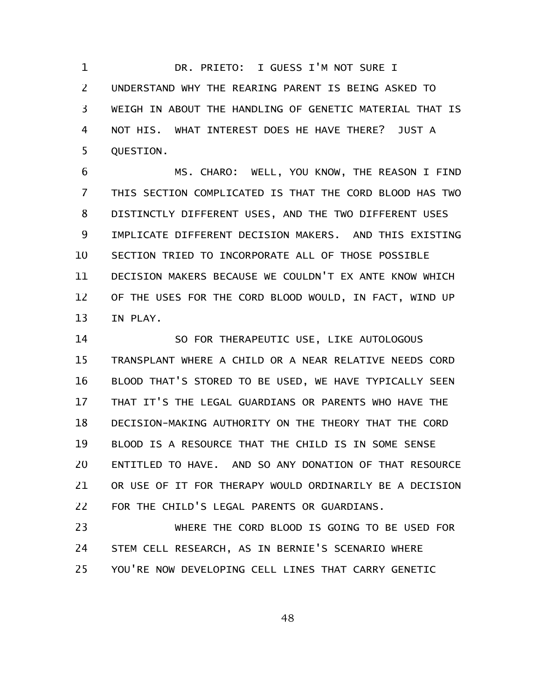DR. PRIETO: I GUESS I'M NOT SURE I UNDERSTAND WHY THE REARING PARENT IS BEING ASKED TO WEIGH IN ABOUT THE HANDLING OF GENETIC MATERIAL THAT IS NOT HIS. WHAT INTEREST DOES HE HAVE THERE? JUST A QUESTION. 1 2 3 4 5

MS. CHARO: WELL, YOU KNOW, THE REASON I FIND THIS SECTION COMPLICATED IS THAT THE CORD BLOOD HAS TWO DISTINCTLY DIFFERENT USES, AND THE TWO DIFFERENT USES IMPLICATE DIFFERENT DECISION MAKERS. AND THIS EXISTING SECTION TRIED TO INCORPORATE ALL OF THOSE POSSIBLE DECISION MAKERS BECAUSE WE COULDN'T EX ANTE KNOW WHICH OF THE USES FOR THE CORD BLOOD WOULD, IN FACT, WIND UP IN PLAY. 6 7 8 9 10 11 12 13

SO FOR THERAPEUTIC USE, LIKE AUTOLOGOUS TRANSPLANT WHERE A CHILD OR A NEAR RELATIVE NEEDS CORD BLOOD THAT'S STORED TO BE USED, WE HAVE TYPICALLY SEEN THAT IT'S THE LEGAL GUARDIANS OR PARENTS WHO HAVE THE DECISION-MAKING AUTHORITY ON THE THEORY THAT THE CORD BLOOD IS A RESOURCE THAT THE CHILD IS IN SOME SENSE ENTITLED TO HAVE. AND SO ANY DONATION OF THAT RESOURCE OR USE OF IT FOR THERAPY WOULD ORDINARILY BE A DECISION FOR THE CHILD'S LEGAL PARENTS OR GUARDIANS. 14 15 16 17 18 19 20 21 22

WHERE THE CORD BLOOD IS GOING TO BE USED FOR STEM CELL RESEARCH, AS IN BERNIE'S SCENARIO WHERE YOU'RE NOW DEVELOPING CELL LINES THAT CARRY GENETIC 23 24 25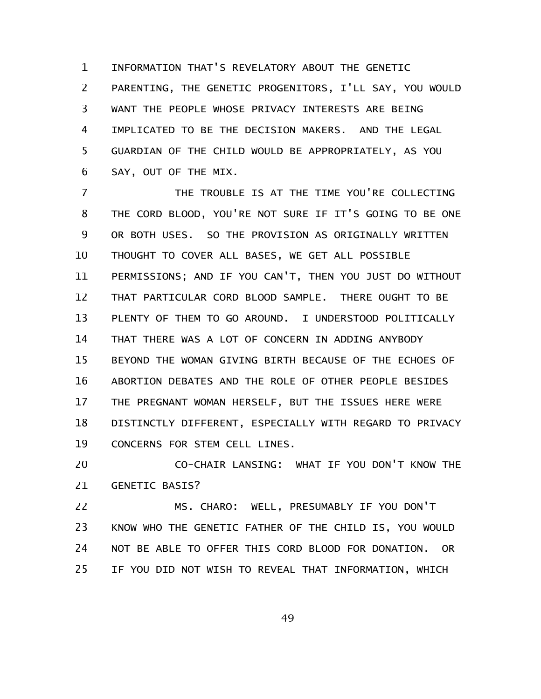INFORMATION THAT'S REVELATORY ABOUT THE GENETIC PARENTING, THE GENETIC PROGENITORS, I'LL SAY, YOU WOULD WANT THE PEOPLE WHOSE PRIVACY INTERESTS ARE BEING IMPLICATED TO BE THE DECISION MAKERS. AND THE LEGAL GUARDIAN OF THE CHILD WOULD BE APPROPRIATELY, AS YOU SAY, OUT OF THE MIX. 1 2 3 4 5 6

THE TROUBLE IS AT THE TIME YOU'RE COLLECTING THE CORD BLOOD, YOU'RE NOT SURE IF IT'S GOING TO BE ONE OR BOTH USES. SO THE PROVISION AS ORIGINALLY WRITTEN THOUGHT TO COVER ALL BASES, WE GET ALL POSSIBLE PERMISSIONS; AND IF YOU CAN'T, THEN YOU JUST DO WITHOUT THAT PARTICULAR CORD BLOOD SAMPLE. THERE OUGHT TO BE PLENTY OF THEM TO GO AROUND. I UNDERSTOOD POLITICALLY THAT THERE WAS A LOT OF CONCERN IN ADDING ANYBODY BEYOND THE WOMAN GIVING BIRTH BECAUSE OF THE ECHOES OF ABORTION DEBATES AND THE ROLE OF OTHER PEOPLE BESIDES THE PREGNANT WOMAN HERSELF, BUT THE ISSUES HERE WERE DISTINCTLY DIFFERENT, ESPECIALLY WITH REGARD TO PRIVACY CONCERNS FOR STEM CELL LINES. 7 8 9 10 11 12 13 14 15 16 17 18 19

CO-CHAIR LANSING: WHAT IF YOU DON'T KNOW THE GENETIC BASIS? 20 21

MS. CHARO: WELL, PRESUMABLY IF YOU DON'T KNOW WHO THE GENETIC FATHER OF THE CHILD IS, YOU WOULD NOT BE ABLE TO OFFER THIS CORD BLOOD FOR DONATION. OR IF YOU DID NOT WISH TO REVEAL THAT INFORMATION, WHICH 22 23 24 25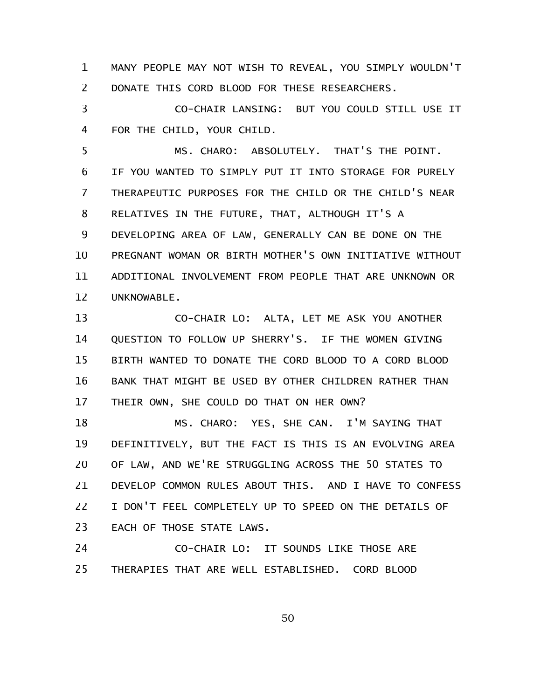MANY PEOPLE MAY NOT WISH TO REVEAL, YOU SIMPLY WOULDN'T DONATE THIS CORD BLOOD FOR THESE RESEARCHERS. 1 2

CO-CHAIR LANSING: BUT YOU COULD STILL USE IT FOR THE CHILD, YOUR CHILD. 3 4

MS. CHARO: ABSOLUTELY. THAT'S THE POINT. IF YOU WANTED TO SIMPLY PUT IT INTO STORAGE FOR PURELY THERAPEUTIC PURPOSES FOR THE CHILD OR THE CHILD'S NEAR RELATIVES IN THE FUTURE, THAT, ALTHOUGH IT'S A DEVELOPING AREA OF LAW, GENERALLY CAN BE DONE ON THE PREGNANT WOMAN OR BIRTH MOTHER'S OWN INITIATIVE WITHOUT ADDITIONAL INVOLVEMENT FROM PEOPLE THAT ARE UNKNOWN OR UNKNOWABLE. 5 6 7 8 9 10 11 12

CO-CHAIR LO: ALTA, LET ME ASK YOU ANOTHER QUESTION TO FOLLOW UP SHERRY'S. IF THE WOMEN GIVING BIRTH WANTED TO DONATE THE CORD BLOOD TO A CORD BLOOD BANK THAT MIGHT BE USED BY OTHER CHILDREN RATHER THAN THEIR OWN, SHE COULD DO THAT ON HER OWN? 13 14 15 16 17

MS. CHARO: YES, SHE CAN. I'M SAYING THAT DEFINITIVELY, BUT THE FACT IS THIS IS AN EVOLVING AREA OF LAW, AND WE'RE STRUGGLING ACROSS THE 50 STATES TO DEVELOP COMMON RULES ABOUT THIS. AND I HAVE TO CONFESS I DON'T FEEL COMPLETELY UP TO SPEED ON THE DETAILS OF EACH OF THOSE STATE LAWS. 18 19 20 21 22 23

CO-CHAIR LO: IT SOUNDS LIKE THOSE ARE THERAPIES THAT ARE WELL ESTABLISHED. CORD BLOOD 24 25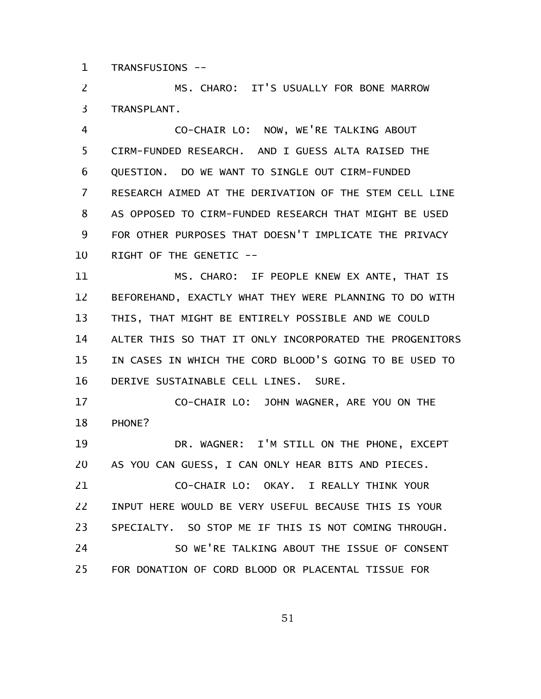TRANSFUSIONS -- 1

MS. CHARO: IT'S USUALLY FOR BONE MARROW TRANSPLANT. 2 3

CO-CHAIR LO: NOW, WE'RE TALKING ABOUT CIRM-FUNDED RESEARCH. AND I GUESS ALTA RAISED THE QUESTION. DO WE WANT TO SINGLE OUT CIRM-FUNDED RESEARCH AIMED AT THE DERIVATION OF THE STEM CELL LINE AS OPPOSED TO CIRM-FUNDED RESEARCH THAT MIGHT BE USED FOR OTHER PURPOSES THAT DOESN'T IMPLICATE THE PRIVACY RIGHT OF THE GENETIC -- 4 5 6 7 8 9 10

MS. CHARO: IF PEOPLE KNEW EX ANTE, THAT IS BEFOREHAND, EXACTLY WHAT THEY WERE PLANNING TO DO WITH THIS, THAT MIGHT BE ENTIRELY POSSIBLE AND WE COULD ALTER THIS SO THAT IT ONLY INCORPORATED THE PROGENITORS IN CASES IN WHICH THE CORD BLOOD'S GOING TO BE USED TO DERIVE SUSTAINABLE CELL LINES. SURE. 11 12 13 14 15 16

CO-CHAIR LO: JOHN WAGNER, ARE YOU ON THE PHONE? 17 18

DR. WAGNER: I'M STILL ON THE PHONE, EXCEPT AS YOU CAN GUESS, I CAN ONLY HEAR BITS AND PIECES. CO-CHAIR LO: OKAY. I REALLY THINK YOUR INPUT HERE WOULD BE VERY USEFUL BECAUSE THIS IS YOUR SPECIALTY. SO STOP ME IF THIS IS NOT COMING THROUGH. SO WE'RE TALKING ABOUT THE ISSUE OF CONSENT FOR DONATION OF CORD BLOOD OR PLACENTAL TISSUE FOR 19 20 21 22 23 24 25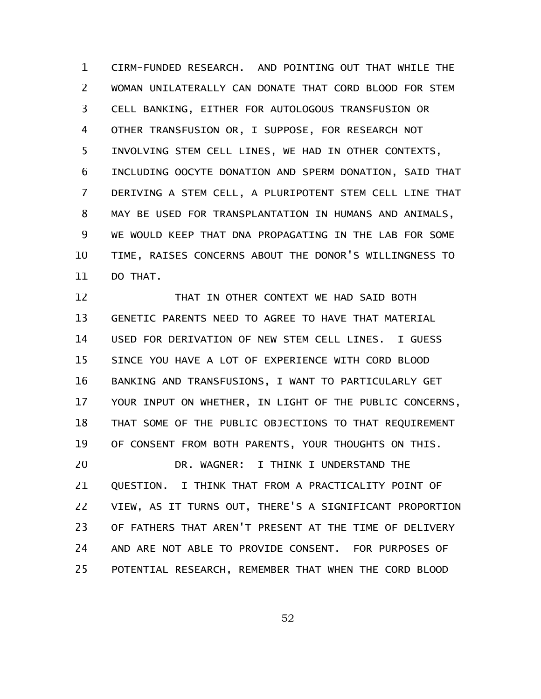CIRM-FUNDED RESEARCH. AND POINTING OUT THAT WHILE THE WOMAN UNILATERALLY CAN DONATE THAT CORD BLOOD FOR STEM CELL BANKING, EITHER FOR AUTOLOGOUS TRANSFUSION OR OTHER TRANSFUSION OR, I SUPPOSE, FOR RESEARCH NOT INVOLVING STEM CELL LINES, WE HAD IN OTHER CONTEXTS, INCLUDING OOCYTE DONATION AND SPERM DONATION, SAID THAT DERIVING A STEM CELL, A PLURIPOTENT STEM CELL LINE THAT MAY BE USED FOR TRANSPLANTATION IN HUMANS AND ANIMALS, WE WOULD KEEP THAT DNA PROPAGATING IN THE LAB FOR SOME TIME, RAISES CONCERNS ABOUT THE DONOR'S WILLINGNESS TO DO THAT. 1 2 3 4 5 6 7 8 9 10 11

THAT IN OTHER CONTEXT WE HAD SAID BOTH GENETIC PARENTS NEED TO AGREE TO HAVE THAT MATERIAL USED FOR DERIVATION OF NEW STEM CELL LINES. I GUESS SINCE YOU HAVE A LOT OF EXPERIENCE WITH CORD BLOOD BANKING AND TRANSFUSIONS, I WANT TO PARTICULARLY GET YOUR INPUT ON WHETHER, IN LIGHT OF THE PUBLIC CONCERNS, THAT SOME OF THE PUBLIC OBJECTIONS TO THAT REQUIREMENT OF CONSENT FROM BOTH PARENTS, YOUR THOUGHTS ON THIS. DR. WAGNER: I THINK I UNDERSTAND THE QUESTION. I THINK THAT FROM A PRACTICALITY POINT OF VIEW, AS IT TURNS OUT, THERE'S A SIGNIFICANT PROPORTION OF FATHERS THAT AREN'T PRESENT AT THE TIME OF DELIVERY AND ARE NOT ABLE TO PROVIDE CONSENT. FOR PURPOSES OF POTENTIAL RESEARCH, REMEMBER THAT WHEN THE CORD BLOOD 12 13 14 15 16 17 18 19 20 21 22 23 24 25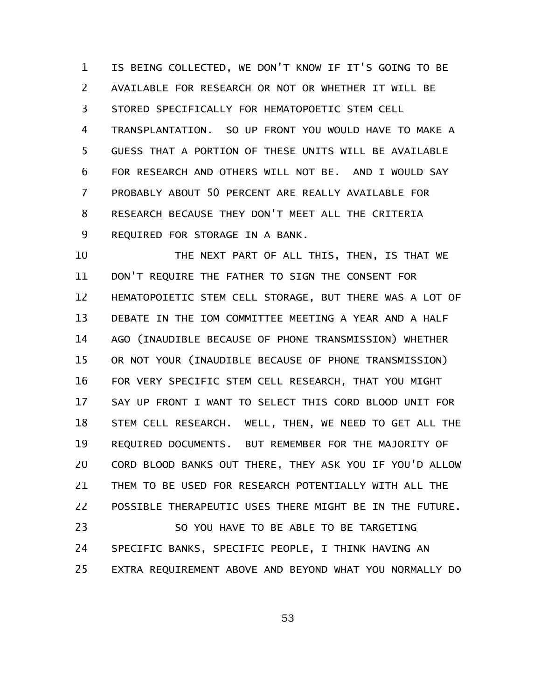IS BEING COLLECTED, WE DON'T KNOW IF IT'S GOING TO BE AVAILABLE FOR RESEARCH OR NOT OR WHETHER IT WILL BE STORED SPECIFICALLY FOR HEMATOPOETIC STEM CELL TRANSPLANTATION. SO UP FRONT YOU WOULD HAVE TO MAKE A GUESS THAT A PORTION OF THESE UNITS WILL BE AVAILABLE FOR RESEARCH AND OTHERS WILL NOT BE. AND I WOULD SAY PROBABLY ABOUT 50 PERCENT ARE REALLY AVAILABLE FOR RESEARCH BECAUSE THEY DON'T MEET ALL THE CRITERIA REQUIRED FOR STORAGE IN A BANK. 1 2 3 4 5 6 7 8 9

THE NEXT PART OF ALL THIS, THEN, IS THAT WE DON'T REQUIRE THE FATHER TO SIGN THE CONSENT FOR HEMATOPOIETIC STEM CELL STORAGE, BUT THERE WAS A LOT OF DEBATE IN THE IOM COMMITTEE MEETING A YEAR AND A HALF AGO (INAUDIBLE BECAUSE OF PHONE TRANSMISSION) WHETHER OR NOT YOUR (INAUDIBLE BECAUSE OF PHONE TRANSMISSION) FOR VERY SPECIFIC STEM CELL RESEARCH, THAT YOU MIGHT SAY UP FRONT I WANT TO SELECT THIS CORD BLOOD UNIT FOR STEM CELL RESEARCH. WELL, THEN, WE NEED TO GET ALL THE REQUIRED DOCUMENTS. BUT REMEMBER FOR THE MAJORITY OF CORD BLOOD BANKS OUT THERE, THEY ASK YOU IF YOU'D ALLOW THEM TO BE USED FOR RESEARCH POTENTIALLY WITH ALL THE POSSIBLE THERAPEUTIC USES THERE MIGHT BE IN THE FUTURE. SO YOU HAVE TO BE ABLE TO BE TARGETING SPECIFIC BANKS, SPECIFIC PEOPLE, I THINK HAVING AN 10 11 12 13 14 15 16 17 18 19 20 21 22 23 24

EXTRA REQUIREMENT ABOVE AND BEYOND WHAT YOU NORMALLY DO 25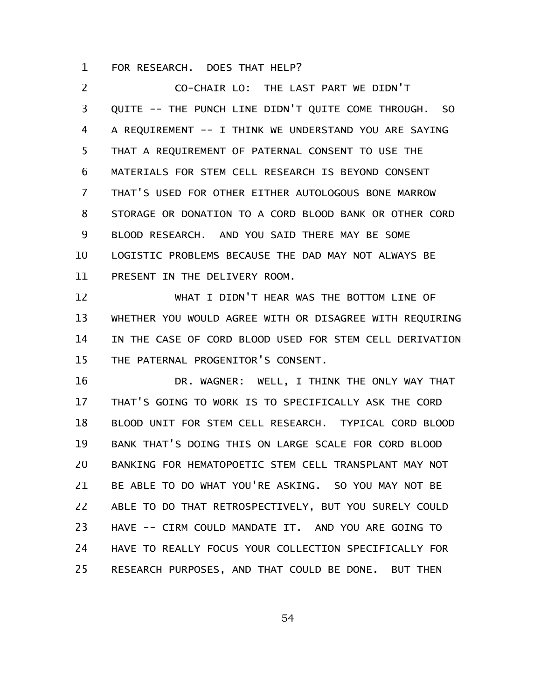FOR RESEARCH. DOES THAT HELP? 1

CO-CHAIR LO: THE LAST PART WE DIDN'T QUITE -- THE PUNCH LINE DIDN'T QUITE COME THROUGH. SO A REQUIREMENT -- I THINK WE UNDERSTAND YOU ARE SAYING THAT A REQUIREMENT OF PATERNAL CONSENT TO USE THE MATERIALS FOR STEM CELL RESEARCH IS BEYOND CONSENT THAT'S USED FOR OTHER EITHER AUTOLOGOUS BONE MARROW STORAGE OR DONATION TO A CORD BLOOD BANK OR OTHER CORD BLOOD RESEARCH. AND YOU SAID THERE MAY BE SOME LOGISTIC PROBLEMS BECAUSE THE DAD MAY NOT ALWAYS BE PRESENT IN THE DELIVERY ROOM. 2 3 4 5 6 7 8 9 10 11

WHAT I DIDN'T HEAR WAS THE BOTTOM LINE OF WHETHER YOU WOULD AGREE WITH OR DISAGREE WITH REQUIRING IN THE CASE OF CORD BLOOD USED FOR STEM CELL DERIVATION THE PATERNAL PROGENITOR'S CONSENT. 12 13 14 15

DR. WAGNER: WELL, I THINK THE ONLY WAY THAT THAT'S GOING TO WORK IS TO SPECIFICALLY ASK THE CORD BLOOD UNIT FOR STEM CELL RESEARCH. TYPICAL CORD BLOOD BANK THAT'S DOING THIS ON LARGE SCALE FOR CORD BLOOD BANKING FOR HEMATOPOETIC STEM CELL TRANSPLANT MAY NOT BE ABLE TO DO WHAT YOU'RE ASKING. SO YOU MAY NOT BE ABLE TO DO THAT RETROSPECTIVELY, BUT YOU SURELY COULD HAVE -- CIRM COULD MANDATE IT. AND YOU ARE GOING TO HAVE TO REALLY FOCUS YOUR COLLECTION SPECIFICALLY FOR RESEARCH PURPOSES, AND THAT COULD BE DONE. BUT THEN 16 17 18 19 20 21 22 23 24 25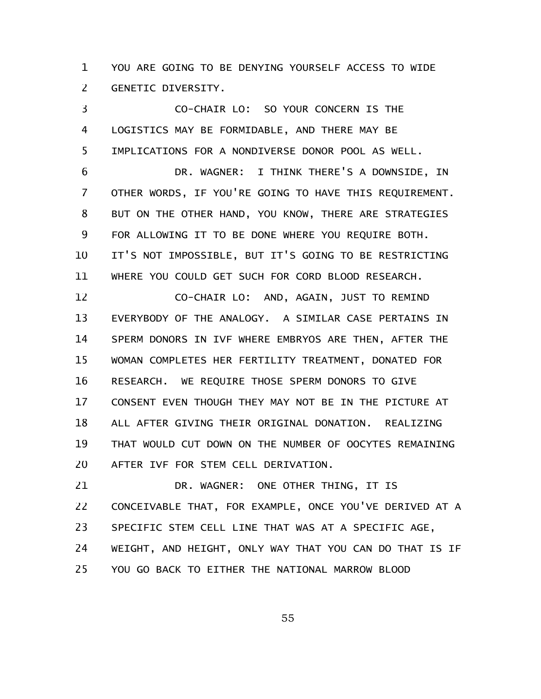YOU ARE GOING TO BE DENYING YOURSELF ACCESS TO WIDE GENETIC DIVERSITY. 1 2

CO-CHAIR LO: SO YOUR CONCERN IS THE LOGISTICS MAY BE FORMIDABLE, AND THERE MAY BE IMPLICATIONS FOR A NONDIVERSE DONOR POOL AS WELL. 3 4 5

DR. WAGNER: I THINK THERE'S A DOWNSIDE, IN OTHER WORDS, IF YOU'RE GOING TO HAVE THIS REQUIREMENT. BUT ON THE OTHER HAND, YOU KNOW, THERE ARE STRATEGIES FOR ALLOWING IT TO BE DONE WHERE YOU REQUIRE BOTH. IT'S NOT IMPOSSIBLE, BUT IT'S GOING TO BE RESTRICTING WHERE YOU COULD GET SUCH FOR CORD BLOOD RESEARCH. 6 7 8 9 10 11

CO-CHAIR LO: AND, AGAIN, JUST TO REMIND EVERYBODY OF THE ANALOGY. A SIMILAR CASE PERTAINS IN SPERM DONORS IN IVF WHERE EMBRYOS ARE THEN, AFTER THE WOMAN COMPLETES HER FERTILITY TREATMENT, DONATED FOR RESEARCH. WE REQUIRE THOSE SPERM DONORS TO GIVE CONSENT EVEN THOUGH THEY MAY NOT BE IN THE PICTURE AT ALL AFTER GIVING THEIR ORIGINAL DONATION. REALIZING THAT WOULD CUT DOWN ON THE NUMBER OF OOCYTES REMAINING AFTER IVF FOR STEM CELL DERIVATION. 12 13 14 15 16 17 18 19 20

DR. WAGNER: ONE OTHER THING, IT IS CONCEIVABLE THAT, FOR EXAMPLE, ONCE YOU'VE DERIVED AT A SPECIFIC STEM CELL LINE THAT WAS AT A SPECIFIC AGE, WEIGHT, AND HEIGHT, ONLY WAY THAT YOU CAN DO THAT IS IF YOU GO BACK TO EITHER THE NATIONAL MARROW BLOOD 21 22 23 24 25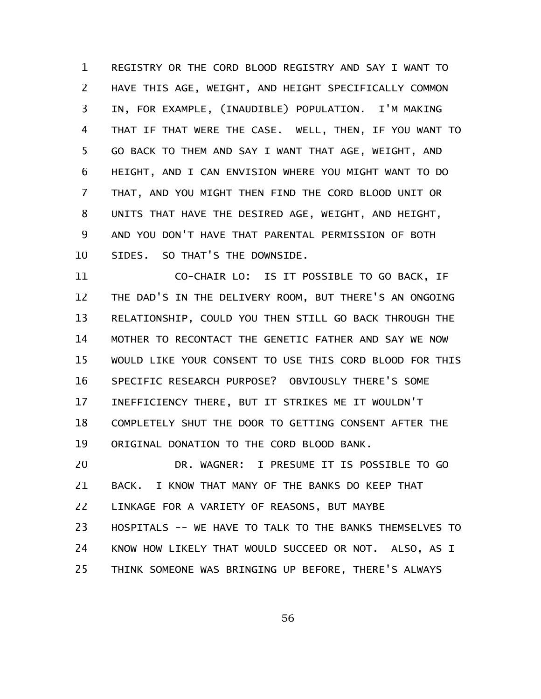REGISTRY OR THE CORD BLOOD REGISTRY AND SAY I WANT TO HAVE THIS AGE, WEIGHT, AND HEIGHT SPECIFICALLY COMMON IN, FOR EXAMPLE, (INAUDIBLE) POPULATION. I'M MAKING THAT IF THAT WERE THE CASE. WELL, THEN, IF YOU WANT TO GO BACK TO THEM AND SAY I WANT THAT AGE, WEIGHT, AND HEIGHT, AND I CAN ENVISION WHERE YOU MIGHT WANT TO DO THAT, AND YOU MIGHT THEN FIND THE CORD BLOOD UNIT OR UNITS THAT HAVE THE DESIRED AGE, WEIGHT, AND HEIGHT, AND YOU DON'T HAVE THAT PARENTAL PERMISSION OF BOTH SIDES. SO THAT'S THE DOWNSIDE. 1 2 3 4 5 6 7 8 9 10

CO-CHAIR LO: IS IT POSSIBLE TO GO BACK, IF THE DAD'S IN THE DELIVERY ROOM, BUT THERE'S AN ONGOING RELATIONSHIP, COULD YOU THEN STILL GO BACK THROUGH THE MOTHER TO RECONTACT THE GENETIC FATHER AND SAY WE NOW WOULD LIKE YOUR CONSENT TO USE THIS CORD BLOOD FOR THIS SPECIFIC RESEARCH PURPOSE? OBVIOUSLY THERE'S SOME INEFFICIENCY THERE, BUT IT STRIKES ME IT WOULDN'T COMPLETELY SHUT THE DOOR TO GETTING CONSENT AFTER THE ORIGINAL DONATION TO THE CORD BLOOD BANK. 11 12 13 14 15 16 17 18 19

DR. WAGNER: I PRESUME IT IS POSSIBLE TO GO BACK. I KNOW THAT MANY OF THE BANKS DO KEEP THAT LINKAGE FOR A VARIETY OF REASONS, BUT MAYBE HOSPITALS -- WE HAVE TO TALK TO THE BANKS THEMSELVES TO KNOW HOW LIKELY THAT WOULD SUCCEED OR NOT. ALSO, AS I THINK SOMEONE WAS BRINGING UP BEFORE, THERE'S ALWAYS 20 21 22 23 24 25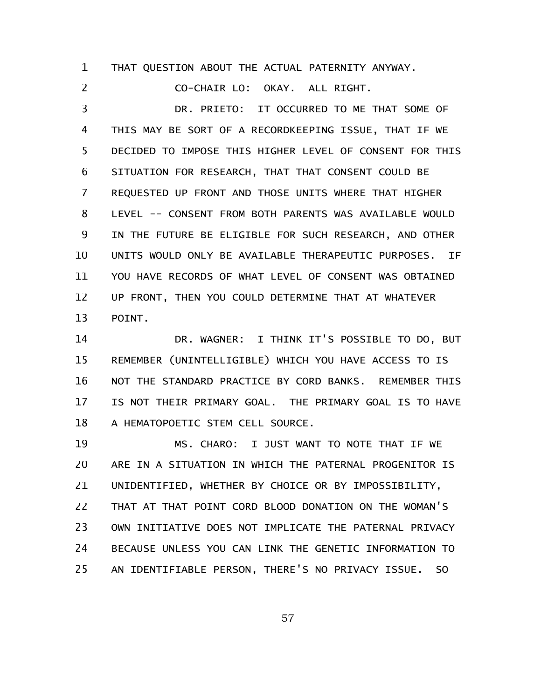THAT QUESTION ABOUT THE ACTUAL PATERNITY ANYWAY. 1

CO-CHAIR LO: OKAY. ALL RIGHT. DR. PRIETO: IT OCCURRED TO ME THAT SOME OF THIS MAY BE SORT OF A RECORDKEEPING ISSUE, THAT IF WE DECIDED TO IMPOSE THIS HIGHER LEVEL OF CONSENT FOR THIS SITUATION FOR RESEARCH, THAT THAT CONSENT COULD BE REQUESTED UP FRONT AND THOSE UNITS WHERE THAT HIGHER LEVEL -- CONSENT FROM BOTH PARENTS WAS AVAILABLE WOULD IN THE FUTURE BE ELIGIBLE FOR SUCH RESEARCH, AND OTHER UNITS WOULD ONLY BE AVAILABLE THERAPEUTIC PURPOSES. IF YOU HAVE RECORDS OF WHAT LEVEL OF CONSENT WAS OBTAINED UP FRONT, THEN YOU COULD DETERMINE THAT AT WHATEVER POINT. 2 3 4 5 6 7 8 9 10 11 12 13

DR. WAGNER: I THINK IT'S POSSIBLE TO DO, BUT REMEMBER (UNINTELLIGIBLE) WHICH YOU HAVE ACCESS TO IS NOT THE STANDARD PRACTICE BY CORD BANKS. REMEMBER THIS IS NOT THEIR PRIMARY GOAL. THE PRIMARY GOAL IS TO HAVE A HEMATOPOETIC STEM CELL SOURCE. 14 15 16 17 18

MS. CHARO: I JUST WANT TO NOTE THAT IF WE ARE IN A SITUATION IN WHICH THE PATERNAL PROGENITOR IS UNIDENTIFIED, WHETHER BY CHOICE OR BY IMPOSSIBILITY, THAT AT THAT POINT CORD BLOOD DONATION ON THE WOMAN'S OWN INITIATIVE DOES NOT IMPLICATE THE PATERNAL PRIVACY BECAUSE UNLESS YOU CAN LINK THE GENETIC INFORMATION TO AN IDENTIFIABLE PERSON, THERE'S NO PRIVACY ISSUE. SO 19 20 21 22 23 24 25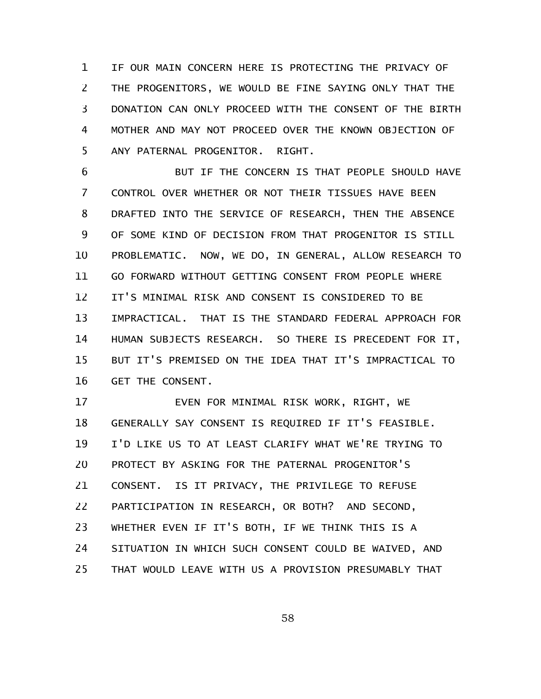IF OUR MAIN CONCERN HERE IS PROTECTING THE PRIVACY OF THE PROGENITORS, WE WOULD BE FINE SAYING ONLY THAT THE DONATION CAN ONLY PROCEED WITH THE CONSENT OF THE BIRTH MOTHER AND MAY NOT PROCEED OVER THE KNOWN OBJECTION OF ANY PATERNAL PROGENITOR. RIGHT. 1 2 3 4 5

BUT IF THE CONCERN IS THAT PEOPLE SHOULD HAVE CONTROL OVER WHETHER OR NOT THEIR TISSUES HAVE BEEN DRAFTED INTO THE SERVICE OF RESEARCH, THEN THE ABSENCE OF SOME KIND OF DECISION FROM THAT PROGENITOR IS STILL PROBLEMATIC. NOW, WE DO, IN GENERAL, ALLOW RESEARCH TO GO FORWARD WITHOUT GETTING CONSENT FROM PEOPLE WHERE IT'S MINIMAL RISK AND CONSENT IS CONSIDERED TO BE IMPRACTICAL. THAT IS THE STANDARD FEDERAL APPROACH FOR HUMAN SUBJECTS RESEARCH. SO THERE IS PRECEDENT FOR IT, BUT IT'S PREMISED ON THE IDEA THAT IT'S IMPRACTICAL TO GET THE CONSENT. 6 7 8 9 10 11 12 13 14 15 16

EVEN FOR MINIMAL RISK WORK, RIGHT, WE GENERALLY SAY CONSENT IS REQUIRED IF IT'S FEASIBLE. I'D LIKE US TO AT LEAST CLARIFY WHAT WE'RE TRYING TO PROTECT BY ASKING FOR THE PATERNAL PROGENITOR'S CONSENT. IS IT PRIVACY, THE PRIVILEGE TO REFUSE PARTICIPATION IN RESEARCH, OR BOTH? AND SECOND, WHETHER EVEN IF IT'S BOTH, IF WE THINK THIS IS A SITUATION IN WHICH SUCH CONSENT COULD BE WAIVED, AND THAT WOULD LEAVE WITH US A PROVISION PRESUMABLY THAT 17 18 19 20 21 22 23 24 25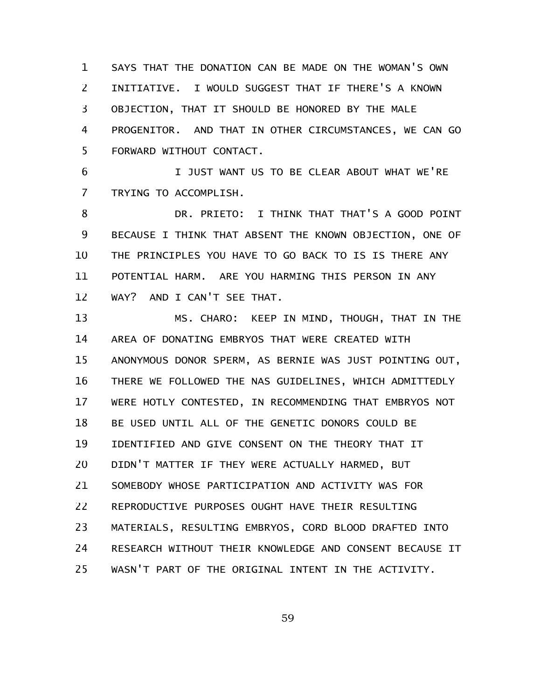SAYS THAT THE DONATION CAN BE MADE ON THE WOMAN'S OWN INITIATIVE. I WOULD SUGGEST THAT IF THERE'S A KNOWN OBJECTION, THAT IT SHOULD BE HONORED BY THE MALE PROGENITOR. AND THAT IN OTHER CIRCUMSTANCES, WE CAN GO FORWARD WITHOUT CONTACT. 1 2 3 4 5

I JUST WANT US TO BE CLEAR ABOUT WHAT WE'RE TRYING TO ACCOMPLISH. 6 7

DR. PRIETO: I THINK THAT THAT'S A GOOD POINT BECAUSE I THINK THAT ABSENT THE KNOWN OBJECTION, ONE OF THE PRINCIPLES YOU HAVE TO GO BACK TO IS IS THERE ANY POTENTIAL HARM. ARE YOU HARMING THIS PERSON IN ANY WAY? AND I CAN'T SEE THAT. 8 9 10 11 12

MS. CHARO: KEEP IN MIND, THOUGH, THAT IN THE AREA OF DONATING EMBRYOS THAT WERE CREATED WITH ANONYMOUS DONOR SPERM, AS BERNIE WAS JUST POINTING OUT, THERE WE FOLLOWED THE NAS GUIDELINES, WHICH ADMITTEDLY WERE HOTLY CONTESTED, IN RECOMMENDING THAT EMBRYOS NOT BE USED UNTIL ALL OF THE GENETIC DONORS COULD BE IDENTIFIED AND GIVE CONSENT ON THE THEORY THAT IT DIDN'T MATTER IF THEY WERE ACTUALLY HARMED, BUT SOMEBODY WHOSE PARTICIPATION AND ACTIVITY WAS FOR REPRODUCTIVE PURPOSES OUGHT HAVE THEIR RESULTING MATERIALS, RESULTING EMBRYOS, CORD BLOOD DRAFTED INTO RESEARCH WITHOUT THEIR KNOWLEDGE AND CONSENT BECAUSE IT WASN'T PART OF THE ORIGINAL INTENT IN THE ACTIVITY. 13 14 15 16 17 18 19 20 21 22 23 24 25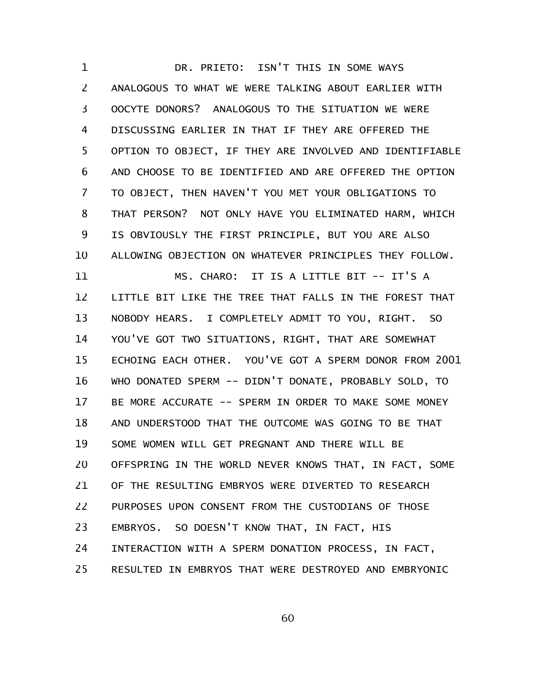DR. PRIETO: ISN'T THIS IN SOME WAYS ANALOGOUS TO WHAT WE WERE TALKING ABOUT EARLIER WITH OOCYTE DONORS? ANALOGOUS TO THE SITUATION WE WERE DISCUSSING EARLIER IN THAT IF THEY ARE OFFERED THE OPTION TO OBJECT, IF THEY ARE INVOLVED AND IDENTIFIABLE AND CHOOSE TO BE IDENTIFIED AND ARE OFFERED THE OPTION TO OBJECT, THEN HAVEN'T YOU MET YOUR OBLIGATIONS TO THAT PERSON? NOT ONLY HAVE YOU ELIMINATED HARM, WHICH IS OBVIOUSLY THE FIRST PRINCIPLE, BUT YOU ARE ALSO ALLOWING OBJECTION ON WHATEVER PRINCIPLES THEY FOLLOW. MS. CHARO: IT IS A LITTLE BIT -- IT'S A LITTLE BIT LIKE THE TREE THAT FALLS IN THE FOREST THAT NOBODY HEARS. I COMPLETELY ADMIT TO YOU, RIGHT. SO YOU'VE GOT TWO SITUATIONS, RIGHT, THAT ARE SOMEWHAT ECHOING EACH OTHER. YOU'VE GOT A SPERM DONOR FROM 2001 WHO DONATED SPERM -- DIDN'T DONATE, PROBABLY SOLD, TO BE MORE ACCURATE -- SPERM IN ORDER TO MAKE SOME MONEY AND UNDERSTOOD THAT THE OUTCOME WAS GOING TO BE THAT SOME WOMEN WILL GET PREGNANT AND THERE WILL BE OFFSPRING IN THE WORLD NEVER KNOWS THAT, IN FACT, SOME OF THE RESULTING EMBRYOS WERE DIVERTED TO RESEARCH PURPOSES UPON CONSENT FROM THE CUSTODIANS OF THOSE EMBRYOS. SO DOESN'T KNOW THAT, IN FACT, HIS INTERACTION WITH A SPERM DONATION PROCESS, IN FACT, RESULTED IN EMBRYOS THAT WERE DESTROYED AND EMBRYONIC 1 2 3 4 5 6 7 8 9 10 11 12 13 14 15 16 17 18 19 20 21 22 23 24 25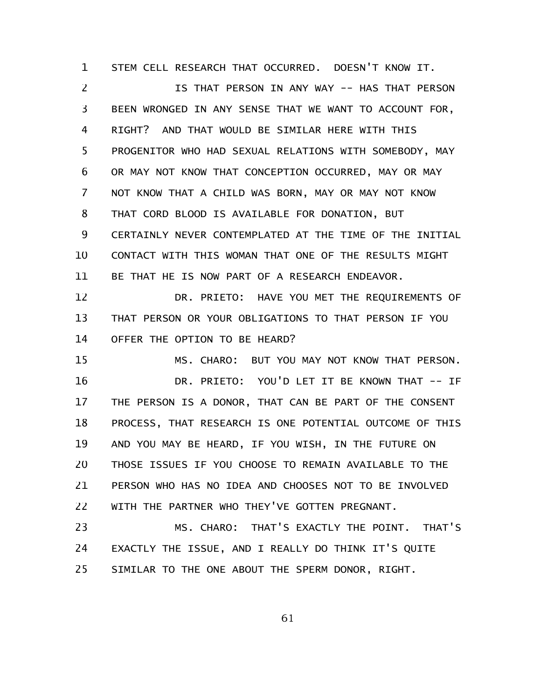STEM CELL RESEARCH THAT OCCURRED. DOESN'T KNOW IT. 1

IS THAT PERSON IN ANY WAY -- HAS THAT PERSON BEEN WRONGED IN ANY SENSE THAT WE WANT TO ACCOUNT FOR, RIGHT? AND THAT WOULD BE SIMILAR HERE WITH THIS PROGENITOR WHO HAD SEXUAL RELATIONS WITH SOMEBODY, MAY OR MAY NOT KNOW THAT CONCEPTION OCCURRED, MAY OR MAY NOT KNOW THAT A CHILD WAS BORN, MAY OR MAY NOT KNOW THAT CORD BLOOD IS AVAILABLE FOR DONATION, BUT CERTAINLY NEVER CONTEMPLATED AT THE TIME OF THE INITIAL CONTACT WITH THIS WOMAN THAT ONE OF THE RESULTS MIGHT BE THAT HE IS NOW PART OF A RESEARCH ENDEAVOR. 2 3 4 5 6 7 8 9 10 11

DR. PRIETO: HAVE YOU MET THE REQUIREMENTS OF THAT PERSON OR YOUR OBLIGATIONS TO THAT PERSON IF YOU OFFER THE OPTION TO BE HEARD? 12 13 14

MS. CHARO: BUT YOU MAY NOT KNOW THAT PERSON. DR. PRIETO: YOU'D LET IT BE KNOWN THAT -- IF THE PERSON IS A DONOR, THAT CAN BE PART OF THE CONSENT PROCESS, THAT RESEARCH IS ONE POTENTIAL OUTCOME OF THIS AND YOU MAY BE HEARD, IF YOU WISH, IN THE FUTURE ON THOSE ISSUES IF YOU CHOOSE TO REMAIN AVAILABLE TO THE PERSON WHO HAS NO IDEA AND CHOOSES NOT TO BE INVOLVED WITH THE PARTNER WHO THEY'VE GOTTEN PREGNANT. 15 16 17 18 19 20 21 22

MS. CHARO: THAT'S EXACTLY THE POINT. THAT'S EXACTLY THE ISSUE, AND I REALLY DO THINK IT'S QUITE SIMILAR TO THE ONE ABOUT THE SPERM DONOR, RIGHT. 23 24 25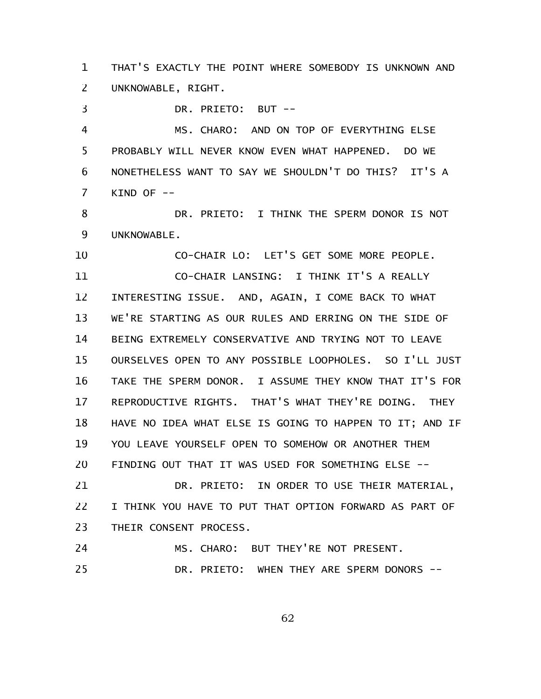THAT'S EXACTLY THE POINT WHERE SOMEBODY IS UNKNOWN AND UNKNOWABLE, RIGHT. 1 2

DR. PRIETO: BUT -- 3

MS. CHARO: AND ON TOP OF EVERYTHING ELSE PROBABLY WILL NEVER KNOW EVEN WHAT HAPPENED. DO WE NONETHELESS WANT TO SAY WE SHOULDN'T DO THIS? IT'S A KIND OF -- 4 5 6 7

DR. PRIETO: I THINK THE SPERM DONOR IS NOT UNKNOWABLE. 8 9

CO-CHAIR LO: LET'S GET SOME MORE PEOPLE. CO-CHAIR LANSING: I THINK IT'S A REALLY INTERESTING ISSUE. AND, AGAIN, I COME BACK TO WHAT WE'RE STARTING AS OUR RULES AND ERRING ON THE SIDE OF BEING EXTREMELY CONSERVATIVE AND TRYING NOT TO LEAVE OURSELVES OPEN TO ANY POSSIBLE LOOPHOLES. SO I'LL JUST TAKE THE SPERM DONOR. I ASSUME THEY KNOW THAT IT'S FOR REPRODUCTIVE RIGHTS. THAT'S WHAT THEY'RE DOING. THEY HAVE NO IDEA WHAT ELSE IS GOING TO HAPPEN TO IT; AND IF YOU LEAVE YOURSELF OPEN TO SOMEHOW OR ANOTHER THEM FINDING OUT THAT IT WAS USED FOR SOMETHING ELSE -- 10 11 12 13 14 15 16 17 18 19 20

DR. PRIETO: IN ORDER TO USE THEIR MATERIAL, I THINK YOU HAVE TO PUT THAT OPTION FORWARD AS PART OF THEIR CONSENT PROCESS. 21 22 23

```
MS. CHARO: BUT THEY'RE NOT PRESENT.
24
```
DR. PRIETO: WHEN THEY ARE SPERM DONORS --25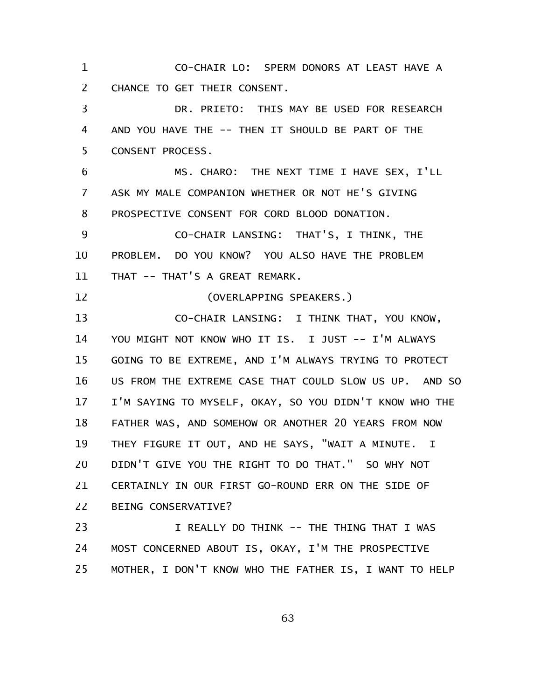CO-CHAIR LO: SPERM DONORS AT LEAST HAVE A CHANCE TO GET THEIR CONSENT. 1 2

DR. PRIETO: THIS MAY BE USED FOR RESEARCH AND YOU HAVE THE -- THEN IT SHOULD BE PART OF THE CONSENT PROCESS. 3 4 5

MS. CHARO: THE NEXT TIME I HAVE SEX, I'LL ASK MY MALE COMPANION WHETHER OR NOT HE'S GIVING PROSPECTIVE CONSENT FOR CORD BLOOD DONATION. 6 7 8

CO-CHAIR LANSING: THAT'S, I THINK, THE PROBLEM. DO YOU KNOW? YOU ALSO HAVE THE PROBLEM THAT -- THAT'S A GREAT REMARK. 9 10 11

(OVERLAPPING SPEAKERS.) 12

CO-CHAIR LANSING: I THINK THAT, YOU KNOW, YOU MIGHT NOT KNOW WHO IT IS. I JUST -- I'M ALWAYS GOING TO BE EXTREME, AND I'M ALWAYS TRYING TO PROTECT US FROM THE EXTREME CASE THAT COULD SLOW US UP. AND SO I'M SAYING TO MYSELF, OKAY, SO YOU DIDN'T KNOW WHO THE FATHER WAS, AND SOMEHOW OR ANOTHER 20 YEARS FROM NOW THEY FIGURE IT OUT, AND HE SAYS, "WAIT A MINUTE. I DIDN'T GIVE YOU THE RIGHT TO DO THAT." SO WHY NOT CERTAINLY IN OUR FIRST GO-ROUND ERR ON THE SIDE OF BEING CONSERVATIVE? 13 14 15 16 17 18 19 20 21 22

I REALLY DO THINK -- THE THING THAT I WAS MOST CONCERNED ABOUT IS, OKAY, I'M THE PROSPECTIVE MOTHER, I DON'T KNOW WHO THE FATHER IS, I WANT TO HELP 23 24 25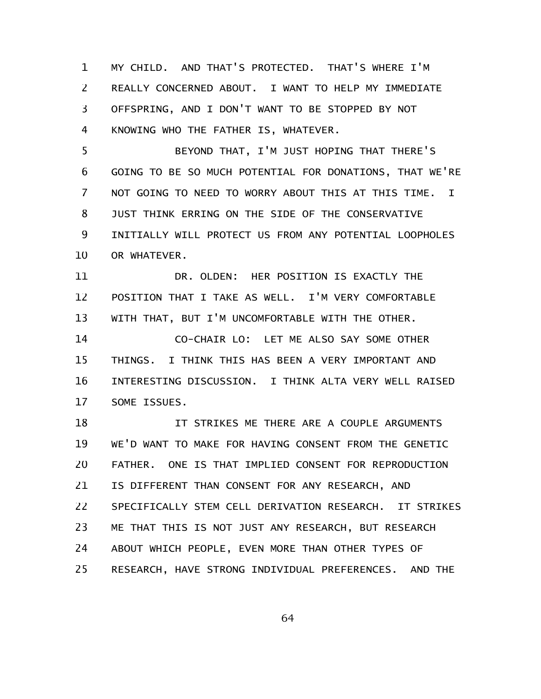MY CHILD. AND THAT'S PROTECTED. THAT'S WHERE I'M REALLY CONCERNED ABOUT. I WANT TO HELP MY IMMEDIATE OFFSPRING, AND I DON'T WANT TO BE STOPPED BY NOT KNOWING WHO THE FATHER IS, WHATEVER. 1 2 3 4

BEYOND THAT, I'M JUST HOPING THAT THERE'S GOING TO BE SO MUCH POTENTIAL FOR DONATIONS, THAT WE'RE NOT GOING TO NEED TO WORRY ABOUT THIS AT THIS TIME. I JUST THINK ERRING ON THE SIDE OF THE CONSERVATIVE INITIALLY WILL PROTECT US FROM ANY POTENTIAL LOOPHOLES OR WHATEVER. 5 6 7 8 9 10

DR. OLDEN: HER POSITION IS EXACTLY THE POSITION THAT I TAKE AS WELL. I'M VERY COMFORTABLE WITH THAT, BUT I'M UNCOMFORTABLE WITH THE OTHER. 11 12 13

CO-CHAIR LO: LET ME ALSO SAY SOME OTHER THINGS. I THINK THIS HAS BEEN A VERY IMPORTANT AND INTERESTING DISCUSSION. I THINK ALTA VERY WELL RAISED SOME ISSUES. 14 15 16 17

IT STRIKES ME THERE ARE A COUPLE ARGUMENTS WE'D WANT TO MAKE FOR HAVING CONSENT FROM THE GENETIC FATHER. ONE IS THAT IMPLIED CONSENT FOR REPRODUCTION IS DIFFERENT THAN CONSENT FOR ANY RESEARCH, AND SPECIFICALLY STEM CELL DERIVATION RESEARCH. IT STRIKES ME THAT THIS IS NOT JUST ANY RESEARCH, BUT RESEARCH ABOUT WHICH PEOPLE, EVEN MORE THAN OTHER TYPES OF RESEARCH, HAVE STRONG INDIVIDUAL PREFERENCES. AND THE 18 19 20 21 22 23 24 25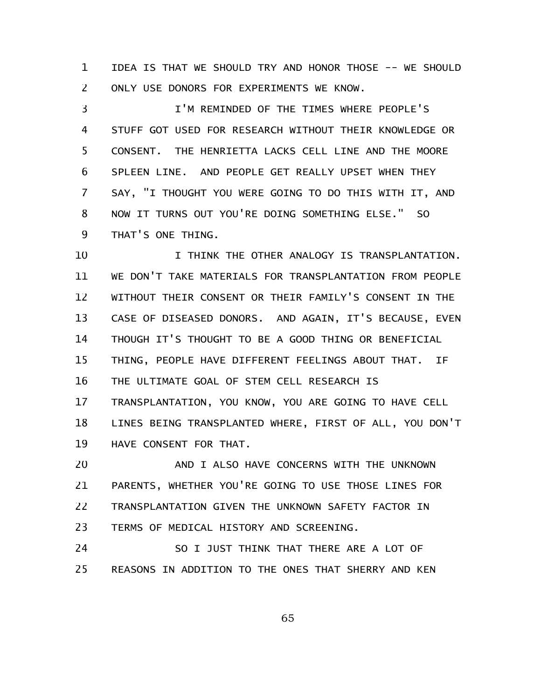IDEA IS THAT WE SHOULD TRY AND HONOR THOSE -- WE SHOULD ONLY USE DONORS FOR EXPERIMENTS WE KNOW. 1 2

I'M REMINDED OF THE TIMES WHERE PEOPLE'S STUFF GOT USED FOR RESEARCH WITHOUT THEIR KNOWLEDGE OR CONSENT. THE HENRIETTA LACKS CELL LINE AND THE MOORE SPLEEN LINE. AND PEOPLE GET REALLY UPSET WHEN THEY SAY, "I THOUGHT YOU WERE GOING TO DO THIS WITH IT, AND NOW IT TURNS OUT YOU'RE DOING SOMETHING ELSE." SO THAT'S ONE THING. 3 4 5 6 7 8 9

I THINK THE OTHER ANALOGY IS TRANSPLANTATION. WE DON'T TAKE MATERIALS FOR TRANSPLANTATION FROM PEOPLE WITHOUT THEIR CONSENT OR THEIR FAMILY'S CONSENT IN THE CASE OF DISEASED DONORS. AND AGAIN, IT'S BECAUSE, EVEN THOUGH IT'S THOUGHT TO BE A GOOD THING OR BENEFICIAL THING, PEOPLE HAVE DIFFERENT FEELINGS ABOUT THAT. IF THE ULTIMATE GOAL OF STEM CELL RESEARCH IS TRANSPLANTATION, YOU KNOW, YOU ARE GOING TO HAVE CELL LINES BEING TRANSPLANTED WHERE, FIRST OF ALL, YOU DON'T HAVE CONSENT FOR THAT. 10 11 12 13 14 15 16 17 18 19

AND I ALSO HAVE CONCERNS WITH THE UNKNOWN PARENTS, WHETHER YOU'RE GOING TO USE THOSE LINES FOR TRANSPLANTATION GIVEN THE UNKNOWN SAFETY FACTOR IN TERMS OF MEDICAL HISTORY AND SCREENING. 20 21 22 23

SO I JUST THINK THAT THERE ARE A LOT OF REASONS IN ADDITION TO THE ONES THAT SHERRY AND KEN 24 25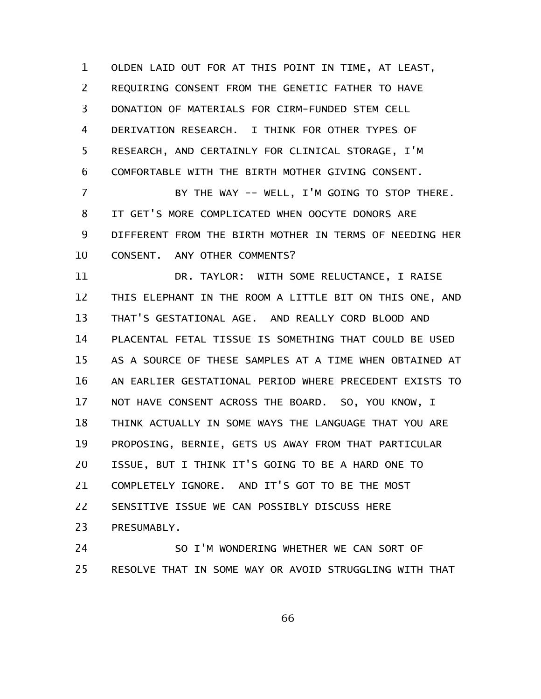OLDEN LAID OUT FOR AT THIS POINT IN TIME, AT LEAST, REQUIRING CONSENT FROM THE GENETIC FATHER TO HAVE DONATION OF MATERIALS FOR CIRM-FUNDED STEM CELL DERIVATION RESEARCH. I THINK FOR OTHER TYPES OF RESEARCH, AND CERTAINLY FOR CLINICAL STORAGE, I'M COMFORTABLE WITH THE BIRTH MOTHER GIVING CONSENT. 1 2 3 4 5 6

BY THE WAY -- WELL, I'M GOING TO STOP THERE. IT GET'S MORE COMPLICATED WHEN OOCYTE DONORS ARE DIFFERENT FROM THE BIRTH MOTHER IN TERMS OF NEEDING HER CONSENT. ANY OTHER COMMENTS? 7 8 9 10

DR. TAYLOR: WITH SOME RELUCTANCE, I RAISE THIS ELEPHANT IN THE ROOM A LITTLE BIT ON THIS ONE, AND THAT'S GESTATIONAL AGE. AND REALLY CORD BLOOD AND PLACENTAL FETAL TISSUE IS SOMETHING THAT COULD BE USED AS A SOURCE OF THESE SAMPLES AT A TIME WHEN OBTAINED AT AN EARLIER GESTATIONAL PERIOD WHERE PRECEDENT EXISTS TO NOT HAVE CONSENT ACROSS THE BOARD. SO, YOU KNOW, I THINK ACTUALLY IN SOME WAYS THE LANGUAGE THAT YOU ARE PROPOSING, BERNIE, GETS US AWAY FROM THAT PARTICULAR ISSUE, BUT I THINK IT'S GOING TO BE A HARD ONE TO COMPLETELY IGNORE. AND IT'S GOT TO BE THE MOST SENSITIVE ISSUE WE CAN POSSIBLY DISCUSS HERE PRESUMABLY. 11 12 13 14 15 16 17 18 19 20 21 22 23

SO I'M WONDERING WHETHER WE CAN SORT OF RESOLVE THAT IN SOME WAY OR AVOID STRUGGLING WITH THAT 24 25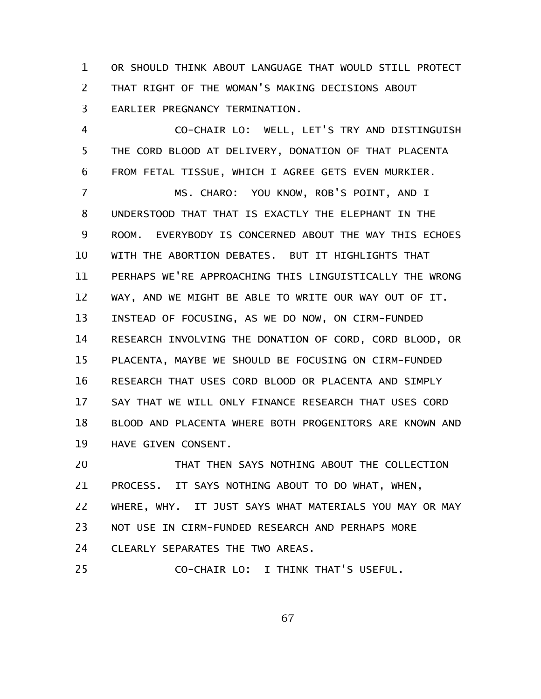OR SHOULD THINK ABOUT LANGUAGE THAT WOULD STILL PROTECT THAT RIGHT OF THE WOMAN'S MAKING DECISIONS ABOUT EARLIER PREGNANCY TERMINATION. 1 2 3

CO-CHAIR LO: WELL, LET'S TRY AND DISTINGUISH THE CORD BLOOD AT DELIVERY, DONATION OF THAT PLACENTA FROM FETAL TISSUE, WHICH I AGREE GETS EVEN MURKIER. 4 5 6

MS. CHARO: YOU KNOW, ROB'S POINT, AND I UNDERSTOOD THAT THAT IS EXACTLY THE ELEPHANT IN THE ROOM. EVERYBODY IS CONCERNED ABOUT THE WAY THIS ECHOES WITH THE ABORTION DEBATES. BUT IT HIGHLIGHTS THAT PERHAPS WE'RE APPROACHING THIS LINGUISTICALLY THE WRONG WAY, AND WE MIGHT BE ABLE TO WRITE OUR WAY OUT OF IT. INSTEAD OF FOCUSING, AS WE DO NOW, ON CIRM-FUNDED RESEARCH INVOLVING THE DONATION OF CORD, CORD BLOOD, OR PLACENTA, MAYBE WE SHOULD BE FOCUSING ON CIRM-FUNDED RESEARCH THAT USES CORD BLOOD OR PLACENTA AND SIMPLY SAY THAT WE WILL ONLY FINANCE RESEARCH THAT USES CORD BLOOD AND PLACENTA WHERE BOTH PROGENITORS ARE KNOWN AND HAVE GIVEN CONSENT. 7 8 9 10 11 12 13 14 15 16 17 18 19

THAT THEN SAYS NOTHING ABOUT THE COLLECTION PROCESS. IT SAYS NOTHING ABOUT TO DO WHAT, WHEN, WHERE, WHY. IT JUST SAYS WHAT MATERIALS YOU MAY OR MAY NOT USE IN CIRM-FUNDED RESEARCH AND PERHAPS MORE CLEARLY SEPARATES THE TWO AREAS. CO-CHAIR LO: I THINK THAT'S USEFUL. 20 21 22 23 24 25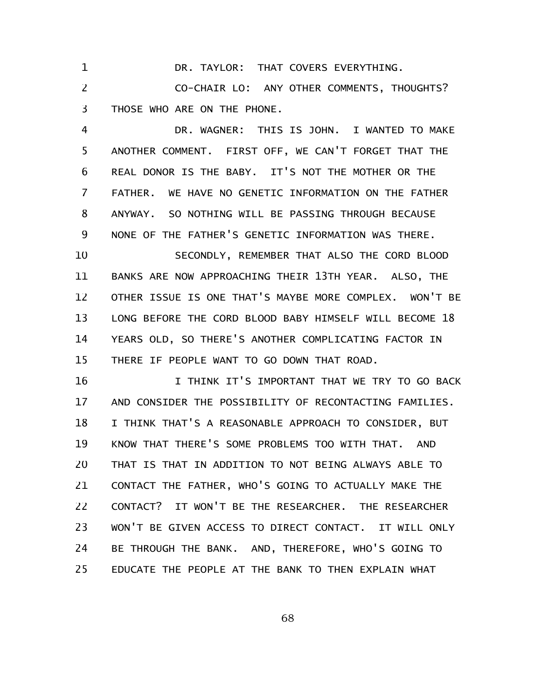DR. TAYLOR: THAT COVERS EVERYTHING. 1

CO-CHAIR LO: ANY OTHER COMMENTS, THOUGHTS? THOSE WHO ARE ON THE PHONE. 2 3

DR. WAGNER: THIS IS JOHN. I WANTED TO MAKE ANOTHER COMMENT. FIRST OFF, WE CAN'T FORGET THAT THE REAL DONOR IS THE BABY. IT'S NOT THE MOTHER OR THE FATHER. WE HAVE NO GENETIC INFORMATION ON THE FATHER ANYWAY. SO NOTHING WILL BE PASSING THROUGH BECAUSE NONE OF THE FATHER'S GENETIC INFORMATION WAS THERE. 4 5 6 7 8 9

SECONDLY, REMEMBER THAT ALSO THE CORD BLOOD BANKS ARE NOW APPROACHING THEIR 13TH YEAR. ALSO, THE OTHER ISSUE IS ONE THAT'S MAYBE MORE COMPLEX. WON'T BE LONG BEFORE THE CORD BLOOD BABY HIMSELF WILL BECOME 18 YEARS OLD, SO THERE'S ANOTHER COMPLICATING FACTOR IN THERE IF PEOPLE WANT TO GO DOWN THAT ROAD. 10 11 12 13 14 15

I THINK IT'S IMPORTANT THAT WE TRY TO GO BACK AND CONSIDER THE POSSIBILITY OF RECONTACTING FAMILIES. I THINK THAT'S A REASONABLE APPROACH TO CONSIDER, BUT KNOW THAT THERE'S SOME PROBLEMS TOO WITH THAT. AND THAT IS THAT IN ADDITION TO NOT BEING ALWAYS ABLE TO CONTACT THE FATHER, WHO'S GOING TO ACTUALLY MAKE THE CONTACT? IT WON'T BE THE RESEARCHER. THE RESEARCHER WON'T BE GIVEN ACCESS TO DIRECT CONTACT. IT WILL ONLY BE THROUGH THE BANK. AND, THEREFORE, WHO'S GOING TO EDUCATE THE PEOPLE AT THE BANK TO THEN EXPLAIN WHAT 16 17 18 19 20 21 22 23 24 25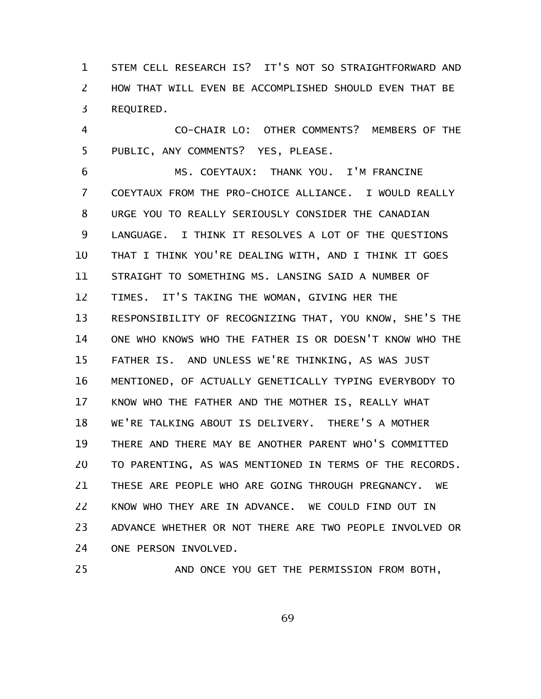STEM CELL RESEARCH IS? IT'S NOT SO STRAIGHTFORWARD AND HOW THAT WILL EVEN BE ACCOMPLISHED SHOULD EVEN THAT BE REQUIRED. 1 2 3

CO-CHAIR LO: OTHER COMMENTS? MEMBERS OF THE PUBLIC, ANY COMMENTS? YES, PLEASE. 4 5

MS. COEYTAUX: THANK YOU. I'M FRANCINE COEYTAUX FROM THE PRO-CHOICE ALLIANCE. I WOULD REALLY URGE YOU TO REALLY SERIOUSLY CONSIDER THE CANADIAN LANGUAGE. I THINK IT RESOLVES A LOT OF THE QUESTIONS THAT I THINK YOU'RE DEALING WITH, AND I THINK IT GOES STRAIGHT TO SOMETHING MS. LANSING SAID A NUMBER OF TIMES. IT'S TAKING THE WOMAN, GIVING HER THE RESPONSIBILITY OF RECOGNIZING THAT, YOU KNOW, SHE'S THE ONE WHO KNOWS WHO THE FATHER IS OR DOESN'T KNOW WHO THE FATHER IS. AND UNLESS WE'RE THINKING, AS WAS JUST MENTIONED, OF ACTUALLY GENETICALLY TYPING EVERYBODY TO KNOW WHO THE FATHER AND THE MOTHER IS, REALLY WHAT WE'RE TALKING ABOUT IS DELIVERY. THERE'S A MOTHER THERE AND THERE MAY BE ANOTHER PARENT WHO'S COMMITTED TO PARENTING, AS WAS MENTIONED IN TERMS OF THE RECORDS. THESE ARE PEOPLE WHO ARE GOING THROUGH PREGNANCY. WE KNOW WHO THEY ARE IN ADVANCE. WE COULD FIND OUT IN ADVANCE WHETHER OR NOT THERE ARE TWO PEOPLE INVOLVED OR ONE PERSON INVOLVED. 6 7 8 9 10 11 12 13 14 15 16 17 18 19 20 21 22 23 24

25

AND ONCE YOU GET THE PERMISSION FROM BOTH,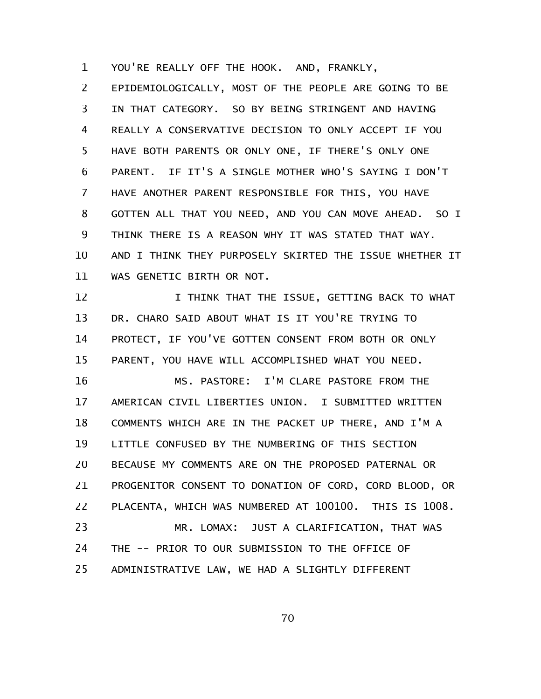YOU'RE REALLY OFF THE HOOK. AND, FRANKLY, 1

EPIDEMIOLOGICALLY, MOST OF THE PEOPLE ARE GOING TO BE IN THAT CATEGORY. SO BY BEING STRINGENT AND HAVING REALLY A CONSERVATIVE DECISION TO ONLY ACCEPT IF YOU HAVE BOTH PARENTS OR ONLY ONE, IF THERE'S ONLY ONE PARENT. IF IT'S A SINGLE MOTHER WHO'S SAYING I DON'T HAVE ANOTHER PARENT RESPONSIBLE FOR THIS, YOU HAVE GOTTEN ALL THAT YOU NEED, AND YOU CAN MOVE AHEAD. SO I THINK THERE IS A REASON WHY IT WAS STATED THAT WAY. AND I THINK THEY PURPOSELY SKIRTED THE ISSUE WHETHER IT WAS GENETIC BIRTH OR NOT. 2 3 4 5 6 7 8 9 10 11

I THINK THAT THE ISSUE, GETTING BACK TO WHAT DR. CHARO SAID ABOUT WHAT IS IT YOU'RE TRYING TO PROTECT, IF YOU'VE GOTTEN CONSENT FROM BOTH OR ONLY PARENT, YOU HAVE WILL ACCOMPLISHED WHAT YOU NEED. 12 13 14 15

MS. PASTORE: I'M CLARE PASTORE FROM THE AMERICAN CIVIL LIBERTIES UNION. I SUBMITTED WRITTEN COMMENTS WHICH ARE IN THE PACKET UP THERE, AND I'M A LITTLE CONFUSED BY THE NUMBERING OF THIS SECTION BECAUSE MY COMMENTS ARE ON THE PROPOSED PATERNAL OR PROGENITOR CONSENT TO DONATION OF CORD, CORD BLOOD, OR PLACENTA, WHICH WAS NUMBERED AT 100100. THIS IS 1008. MR. LOMAX: JUST A CLARIFICATION, THAT WAS THE -- PRIOR TO OUR SUBMISSION TO THE OFFICE OF ADMINISTRATIVE LAW, WE HAD A SLIGHTLY DIFFERENT 16 17 18 19 20 21 22 23 24 25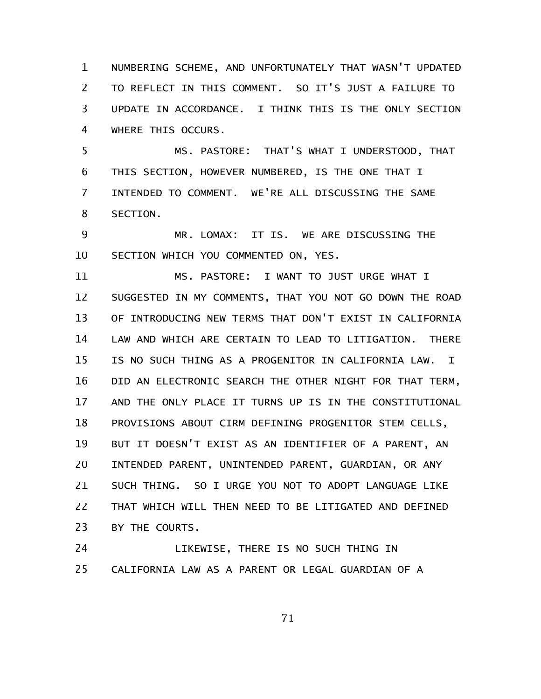NUMBERING SCHEME, AND UNFORTUNATELY THAT WASN'T UPDATED TO REFLECT IN THIS COMMENT. SO IT'S JUST A FAILURE TO UPDATE IN ACCORDANCE. I THINK THIS IS THE ONLY SECTION WHERE THIS OCCURS. 1 2 3 4

MS. PASTORE: THAT'S WHAT I UNDERSTOOD, THAT THIS SECTION, HOWEVER NUMBERED, IS THE ONE THAT I INTENDED TO COMMENT. WE'RE ALL DISCUSSING THE SAME SECTION. 5 6 7 8

MR. LOMAX: IT IS. WE ARE DISCUSSING THE SECTION WHICH YOU COMMENTED ON, YES. 9 10

MS. PASTORE: I WANT TO JUST URGE WHAT I SUGGESTED IN MY COMMENTS, THAT YOU NOT GO DOWN THE ROAD OF INTRODUCING NEW TERMS THAT DON'T EXIST IN CALIFORNIA LAW AND WHICH ARE CERTAIN TO LEAD TO LITIGATION. THERE IS NO SUCH THING AS A PROGENITOR IN CALIFORNIA LAW. I DID AN ELECTRONIC SEARCH THE OTHER NIGHT FOR THAT TERM, AND THE ONLY PLACE IT TURNS UP IS IN THE CONSTITUTIONAL PROVISIONS ABOUT CIRM DEFINING PROGENITOR STEM CELLS, BUT IT DOESN'T EXIST AS AN IDENTIFIER OF A PARENT, AN INTENDED PARENT, UNINTENDED PARENT, GUARDIAN, OR ANY SUCH THING. SO I URGE YOU NOT TO ADOPT LANGUAGE LIKE THAT WHICH WILL THEN NEED TO BE LITIGATED AND DEFINED BY THE COURTS. 11 12 13 14 15 16 17 18 19 20 21 22 23

LIKEWISE, THERE IS NO SUCH THING IN CALIFORNIA LAW AS A PARENT OR LEGAL GUARDIAN OF A 24 25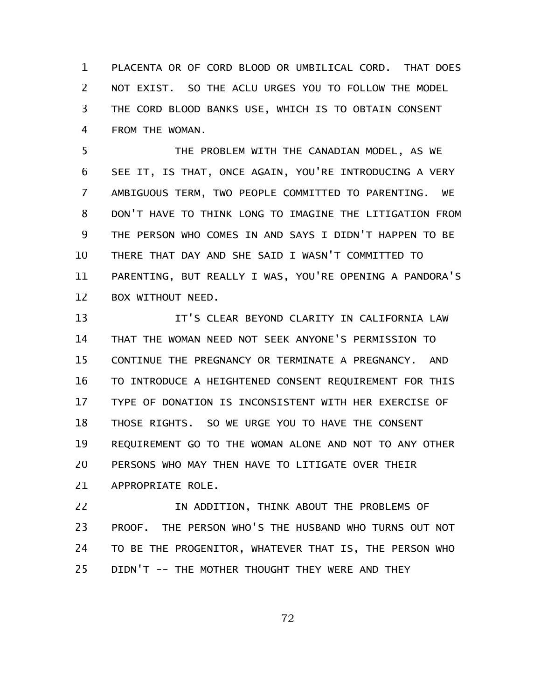PLACENTA OR OF CORD BLOOD OR UMBILICAL CORD. THAT DOES NOT EXIST. SO THE ACLU URGES YOU TO FOLLOW THE MODEL THE CORD BLOOD BANKS USE, WHICH IS TO OBTAIN CONSENT FROM THE WOMAN. 1 2 3 4

THE PROBLEM WITH THE CANADIAN MODEL, AS WE SEE IT, IS THAT, ONCE AGAIN, YOU'RE INTRODUCING A VERY AMBIGUOUS TERM, TWO PEOPLE COMMITTED TO PARENTING. WE DON'T HAVE TO THINK LONG TO IMAGINE THE LITIGATION FROM THE PERSON WHO COMES IN AND SAYS I DIDN'T HAPPEN TO BE THERE THAT DAY AND SHE SAID I WASN'T COMMITTED TO PARENTING, BUT REALLY I WAS, YOU'RE OPENING A PANDORA'S BOX WITHOUT NEED. 5 6 7 8 9 10 11 12

IT'S CLEAR BEYOND CLARITY IN CALIFORNIA LAW THAT THE WOMAN NEED NOT SEEK ANYONE'S PERMISSION TO CONTINUE THE PREGNANCY OR TERMINATE A PREGNANCY. AND TO INTRODUCE A HEIGHTENED CONSENT REQUIREMENT FOR THIS TYPE OF DONATION IS INCONSISTENT WITH HER EXERCISE OF THOSE RIGHTS. SO WE URGE YOU TO HAVE THE CONSENT REQUIREMENT GO TO THE WOMAN ALONE AND NOT TO ANY OTHER PERSONS WHO MAY THEN HAVE TO LITIGATE OVER THEIR APPROPRIATE ROLE. 13 14 15 16 17 18 19 20 21

IN ADDITION, THINK ABOUT THE PROBLEMS OF PROOF. THE PERSON WHO'S THE HUSBAND WHO TURNS OUT NOT TO BE THE PROGENITOR, WHATEVER THAT IS, THE PERSON WHO DIDN'T -- THE MOTHER THOUGHT THEY WERE AND THEY 22 23 24 25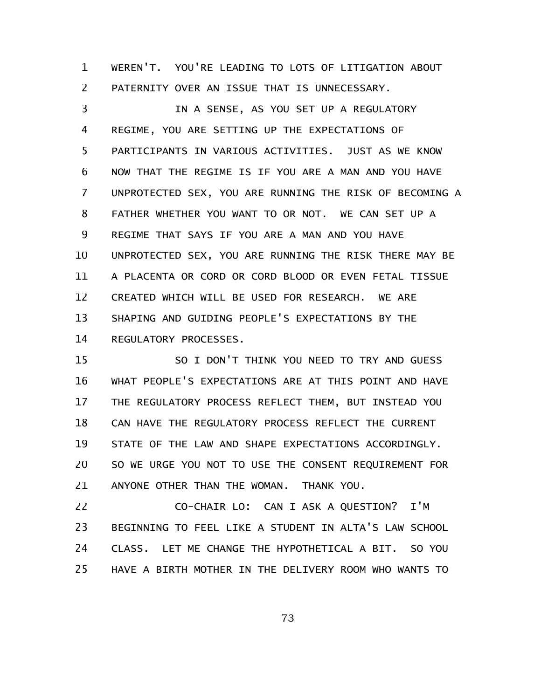WEREN'T. YOU'RE LEADING TO LOTS OF LITIGATION ABOUT PATERNITY OVER AN ISSUE THAT IS UNNECESSARY. 1 2

IN A SENSE, AS YOU SET UP A REGULATORY REGIME, YOU ARE SETTING UP THE EXPECTATIONS OF PARTICIPANTS IN VARIOUS ACTIVITIES. JUST AS WE KNOW NOW THAT THE REGIME IS IF YOU ARE A MAN AND YOU HAVE UNPROTECTED SEX, YOU ARE RUNNING THE RISK OF BECOMING A FATHER WHETHER YOU WANT TO OR NOT. WE CAN SET UP A REGIME THAT SAYS IF YOU ARE A MAN AND YOU HAVE UNPROTECTED SEX, YOU ARE RUNNING THE RISK THERE MAY BE A PLACENTA OR CORD OR CORD BLOOD OR EVEN FETAL TISSUE CREATED WHICH WILL BE USED FOR RESEARCH. WE ARE SHAPING AND GUIDING PEOPLE'S EXPECTATIONS BY THE REGULATORY PROCESSES. 3 4 5 6 7 8 9 10 11 12 13 14

SO I DON'T THINK YOU NEED TO TRY AND GUESS WHAT PEOPLE'S EXPECTATIONS ARE AT THIS POINT AND HAVE THE REGULATORY PROCESS REFLECT THEM, BUT INSTEAD YOU CAN HAVE THE REGULATORY PROCESS REFLECT THE CURRENT STATE OF THE LAW AND SHAPE EXPECTATIONS ACCORDINGLY. SO WE URGE YOU NOT TO USE THE CONSENT REQUIREMENT FOR ANYONE OTHER THAN THE WOMAN. THANK YOU. 15 16 17 18 19 20 21

CO-CHAIR LO: CAN I ASK A QUESTION? I'M BEGINNING TO FEEL LIKE A STUDENT IN ALTA'S LAW SCHOOL CLASS. LET ME CHANGE THE HYPOTHETICAL A BIT. SO YOU HAVE A BIRTH MOTHER IN THE DELIVERY ROOM WHO WANTS TO 22 23 24 25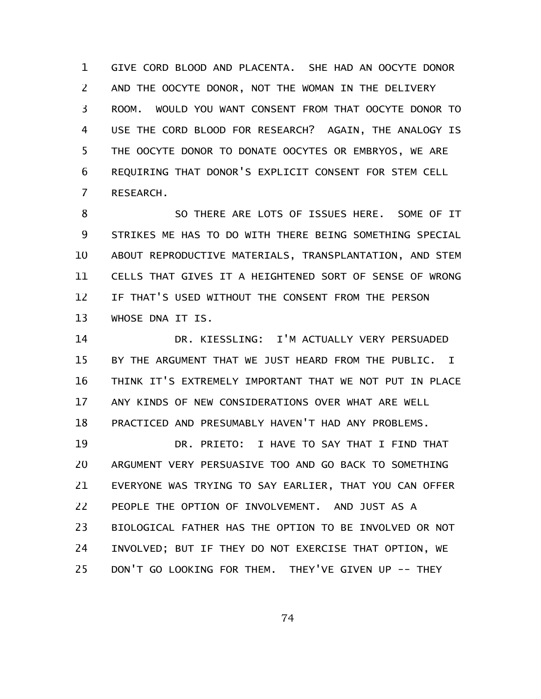GIVE CORD BLOOD AND PLACENTA. SHE HAD AN OOCYTE DONOR AND THE OOCYTE DONOR, NOT THE WOMAN IN THE DELIVERY ROOM. WOULD YOU WANT CONSENT FROM THAT OOCYTE DONOR TO USE THE CORD BLOOD FOR RESEARCH? AGAIN, THE ANALOGY IS THE OOCYTE DONOR TO DONATE OOCYTES OR EMBRYOS, WE ARE REQUIRING THAT DONOR'S EXPLICIT CONSENT FOR STEM CELL RESEARCH. 1 2 3 4 5 6 7

SO THERE ARE LOTS OF ISSUES HERE. SOME OF IT STRIKES ME HAS TO DO WITH THERE BEING SOMETHING SPECIAL ABOUT REPRODUCTIVE MATERIALS, TRANSPLANTATION, AND STEM CELLS THAT GIVES IT A HEIGHTENED SORT OF SENSE OF WRONG IF THAT'S USED WITHOUT THE CONSENT FROM THE PERSON WHOSE DNA IT IS. 8 9 10 11 12 13

DR. KIESSLING: I'M ACTUALLY VERY PERSUADED BY THE ARGUMENT THAT WE JUST HEARD FROM THE PUBLIC. I THINK IT'S EXTREMELY IMPORTANT THAT WE NOT PUT IN PLACE ANY KINDS OF NEW CONSIDERATIONS OVER WHAT ARE WELL PRACTICED AND PRESUMABLY HAVEN'T HAD ANY PROBLEMS. 14 15 16 17 18

DR. PRIETO: I HAVE TO SAY THAT I FIND THAT ARGUMENT VERY PERSUASIVE TOO AND GO BACK TO SOMETHING EVERYONE WAS TRYING TO SAY EARLIER, THAT YOU CAN OFFER PEOPLE THE OPTION OF INVOLVEMENT. AND JUST AS A BIOLOGICAL FATHER HAS THE OPTION TO BE INVOLVED OR NOT INVOLVED; BUT IF THEY DO NOT EXERCISE THAT OPTION, WE DON'T GO LOOKING FOR THEM. THEY'VE GIVEN UP -- THEY 19 20 21 22 23 24 25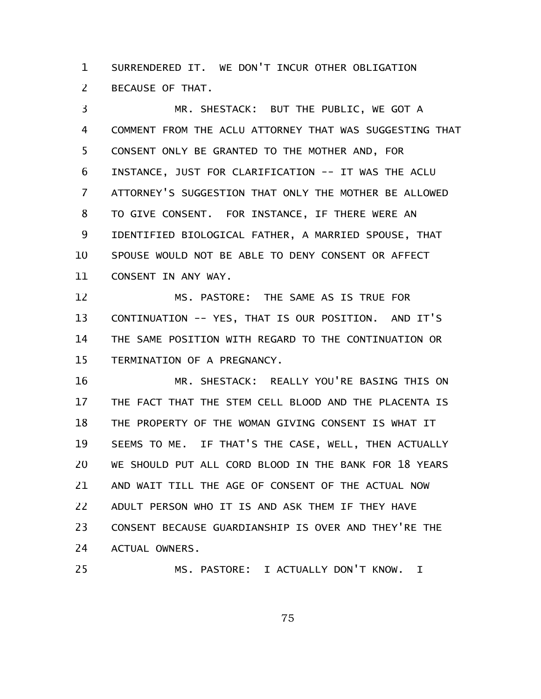SURRENDERED IT. WE DON'T INCUR OTHER OBLIGATION BECAUSE OF THAT. 1 2

MR. SHESTACK: BUT THE PUBLIC, WE GOT A COMMENT FROM THE ACLU ATTORNEY THAT WAS SUGGESTING THAT CONSENT ONLY BE GRANTED TO THE MOTHER AND, FOR INSTANCE, JUST FOR CLARIFICATION -- IT WAS THE ACLU ATTORNEY'S SUGGESTION THAT ONLY THE MOTHER BE ALLOWED TO GIVE CONSENT. FOR INSTANCE, IF THERE WERE AN IDENTIFIED BIOLOGICAL FATHER, A MARRIED SPOUSE, THAT SPOUSE WOULD NOT BE ABLE TO DENY CONSENT OR AFFECT CONSENT IN ANY WAY. 3 4 5 6 7 8 9 10 11

MS. PASTORE: THE SAME AS IS TRUE FOR CONTINUATION -- YES, THAT IS OUR POSITION. AND IT'S THE SAME POSITION WITH REGARD TO THE CONTINUATION OR TERMINATION OF A PREGNANCY. 12 13 14 15

MR. SHESTACK: REALLY YOU'RE BASING THIS ON THE FACT THAT THE STEM CELL BLOOD AND THE PLACENTA IS THE PROPERTY OF THE WOMAN GIVING CONSENT IS WHAT IT SEEMS TO ME. IF THAT'S THE CASE, WELL, THEN ACTUALLY WE SHOULD PUT ALL CORD BLOOD IN THE BANK FOR 18 YEARS AND WAIT TILL THE AGE OF CONSENT OF THE ACTUAL NOW ADULT PERSON WHO IT IS AND ASK THEM IF THEY HAVE CONSENT BECAUSE GUARDIANSHIP IS OVER AND THEY'RE THE ACTUAL OWNERS. 16 17 18 19 20 21 22 23 24

MS. PASTORE: I ACTUALLY DON'T KNOW. I

25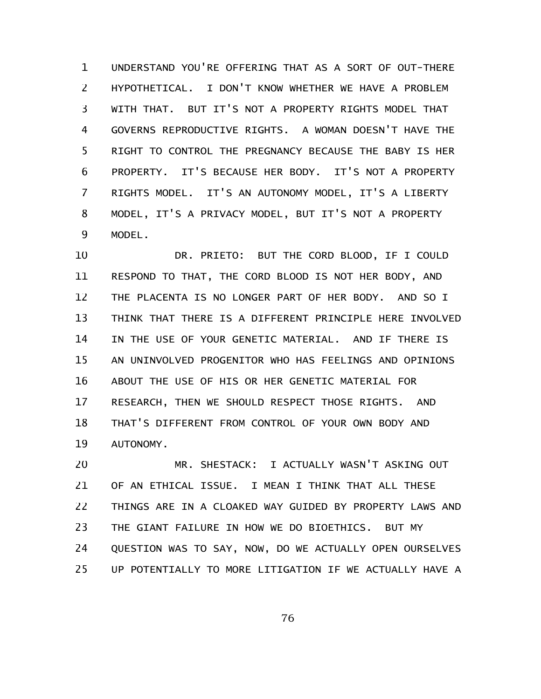UNDERSTAND YOU'RE OFFERING THAT AS A SORT OF OUT-THERE HYPOTHETICAL. I DON'T KNOW WHETHER WE HAVE A PROBLEM WITH THAT. BUT IT'S NOT A PROPERTY RIGHTS MODEL THAT GOVERNS REPRODUCTIVE RIGHTS. A WOMAN DOESN'T HAVE THE RIGHT TO CONTROL THE PREGNANCY BECAUSE THE BABY IS HER PROPERTY. IT'S BECAUSE HER BODY. IT'S NOT A PROPERTY RIGHTS MODEL. IT'S AN AUTONOMY MODEL, IT'S A LIBERTY MODEL, IT'S A PRIVACY MODEL, BUT IT'S NOT A PROPERTY MODEL. 1 2 3 4 5 6 7 8 9

DR. PRIETO: BUT THE CORD BLOOD, IF I COULD RESPOND TO THAT, THE CORD BLOOD IS NOT HER BODY, AND THE PLACENTA IS NO LONGER PART OF HER BODY. AND SO I THINK THAT THERE IS A DIFFERENT PRINCIPLE HERE INVOLVED IN THE USE OF YOUR GENETIC MATERIAL. AND IF THERE IS AN UNINVOLVED PROGENITOR WHO HAS FEELINGS AND OPINIONS ABOUT THE USE OF HIS OR HER GENETIC MATERIAL FOR RESEARCH, THEN WE SHOULD RESPECT THOSE RIGHTS. AND THAT'S DIFFERENT FROM CONTROL OF YOUR OWN BODY AND AUTONOMY. 10 11 12 13 14 15 16 17 18 19

MR. SHESTACK: I ACTUALLY WASN'T ASKING OUT OF AN ETHICAL ISSUE. I MEAN I THINK THAT ALL THESE THINGS ARE IN A CLOAKED WAY GUIDED BY PROPERTY LAWS AND THE GIANT FAILURE IN HOW WE DO BIOETHICS. BUT MY QUESTION WAS TO SAY, NOW, DO WE ACTUALLY OPEN OURSELVES UP POTENTIALLY TO MORE LITIGATION IF WE ACTUALLY HAVE A 20 21 22 23 24 25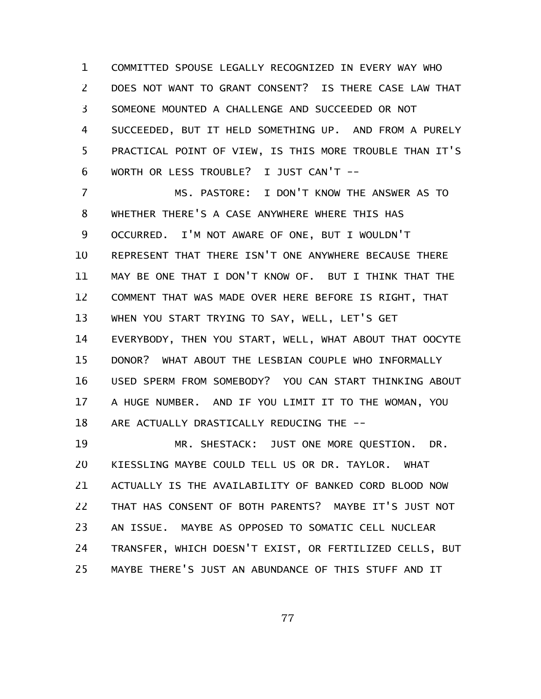COMMITTED SPOUSE LEGALLY RECOGNIZED IN EVERY WAY WHO DOES NOT WANT TO GRANT CONSENT? IS THERE CASE LAW THAT SOMEONE MOUNTED A CHALLENGE AND SUCCEEDED OR NOT SUCCEEDED, BUT IT HELD SOMETHING UP. AND FROM A PURELY PRACTICAL POINT OF VIEW, IS THIS MORE TROUBLE THAN IT'S WORTH OR LESS TROUBLE? I JUST CAN'T --1 2 3 4 5 6

MS. PASTORE: I DON'T KNOW THE ANSWER AS TO WHETHER THERE'S A CASE ANYWHERE WHERE THIS HAS OCCURRED. I'M NOT AWARE OF ONE, BUT I WOULDN'T REPRESENT THAT THERE ISN'T ONE ANYWHERE BECAUSE THERE MAY BE ONE THAT I DON'T KNOW OF. BUT I THINK THAT THE COMMENT THAT WAS MADE OVER HERE BEFORE IS RIGHT, THAT WHEN YOU START TRYING TO SAY, WELL, LET'S GET EVERYBODY, THEN YOU START, WELL, WHAT ABOUT THAT OOCYTE DONOR? WHAT ABOUT THE LESBIAN COUPLE WHO INFORMALLY USED SPERM FROM SOMEBODY? YOU CAN START THINKING ABOUT A HUGE NUMBER. AND IF YOU LIMIT IT TO THE WOMAN, YOU ARE ACTUALLY DRASTICALLY REDUCING THE -- 7 8 9 10 11 12 13 14 15 16 17 18

MR. SHESTACK: JUST ONE MORE QUESTION. DR. KIESSLING MAYBE COULD TELL US OR DR. TAYLOR. WHAT ACTUALLY IS THE AVAILABILITY OF BANKED CORD BLOOD NOW THAT HAS CONSENT OF BOTH PARENTS? MAYBE IT'S JUST NOT AN ISSUE. MAYBE AS OPPOSED TO SOMATIC CELL NUCLEAR TRANSFER, WHICH DOESN'T EXIST, OR FERTILIZED CELLS, BUT MAYBE THERE'S JUST AN ABUNDANCE OF THIS STUFF AND IT 19 20 21 22 23 24 25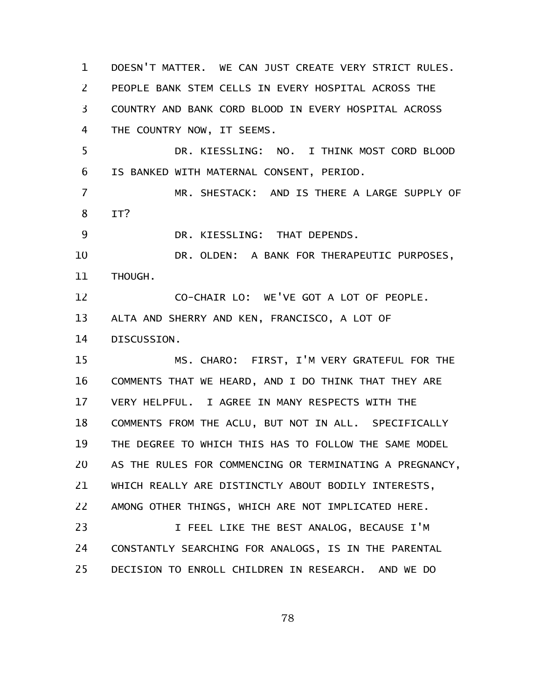DOESN'T MATTER. WE CAN JUST CREATE VERY STRICT RULES. PEOPLE BANK STEM CELLS IN EVERY HOSPITAL ACROSS THE COUNTRY AND BANK CORD BLOOD IN EVERY HOSPITAL ACROSS THE COUNTRY NOW, IT SEEMS. DR. KIESSLING: NO. I THINK MOST CORD BLOOD IS BANKED WITH MATERNAL CONSENT, PERIOD. MR. SHESTACK: AND IS THERE A LARGE SUPPLY OF IT? DR. KIESSLING: THAT DEPENDS. DR. OLDEN: A BANK FOR THERAPEUTIC PURPOSES, THOUGH. CO-CHAIR LO: WE'VE GOT A LOT OF PEOPLE. ALTA AND SHERRY AND KEN, FRANCISCO, A LOT OF DISCUSSION. MS. CHARO: FIRST, I'M VERY GRATEFUL FOR THE COMMENTS THAT WE HEARD, AND I DO THINK THAT THEY ARE VERY HELPFUL. I AGREE IN MANY RESPECTS WITH THE COMMENTS FROM THE ACLU, BUT NOT IN ALL. SPECIFICALLY THE DEGREE TO WHICH THIS HAS TO FOLLOW THE SAME MODEL AS THE RULES FOR COMMENCING OR TERMINATING A PREGNANCY, WHICH REALLY ARE DISTINCTLY ABOUT BODILY INTERESTS, AMONG OTHER THINGS, WHICH ARE NOT IMPLICATED HERE. I FEEL LIKE THE BEST ANALOG, BECAUSE I'M CONSTANTLY SEARCHING FOR ANALOGS, IS IN THE PARENTAL DECISION TO ENROLL CHILDREN IN RESEARCH. AND WE DO 1 2 3 4 5 6 7 8 9 10 11 12 13 14 15 16 17 18 19 20 21 22 23 24 25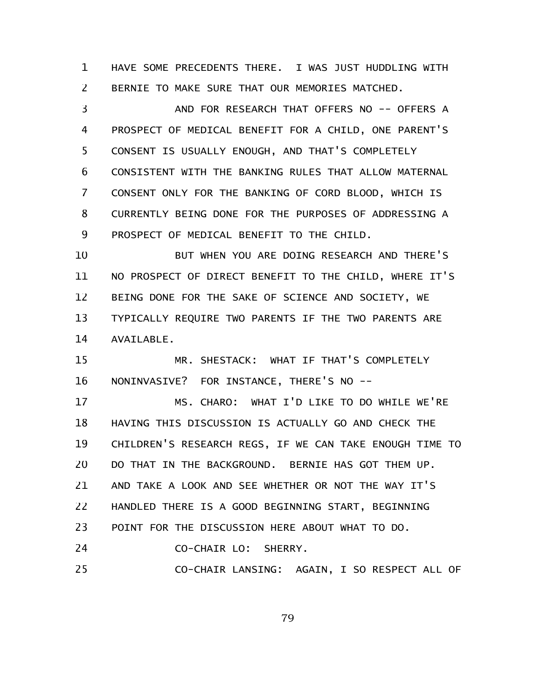HAVE SOME PRECEDENTS THERE. I WAS JUST HUDDLING WITH BERNIE TO MAKE SURE THAT OUR MEMORIES MATCHED. 1 2

AND FOR RESEARCH THAT OFFERS NO -- OFFERS A PROSPECT OF MEDICAL BENEFIT FOR A CHILD, ONE PARENT'S CONSENT IS USUALLY ENOUGH, AND THAT'S COMPLETELY CONSISTENT WITH THE BANKING RULES THAT ALLOW MATERNAL CONSENT ONLY FOR THE BANKING OF CORD BLOOD, WHICH IS CURRENTLY BEING DONE FOR THE PURPOSES OF ADDRESSING A PROSPECT OF MEDICAL BENEFIT TO THE CHILD. 3 4 5 6 7 8 9

BUT WHEN YOU ARE DOING RESEARCH AND THERE'S NO PROSPECT OF DIRECT BENEFIT TO THE CHILD, WHERE IT'S BEING DONE FOR THE SAKE OF SCIENCE AND SOCIETY, WE TYPICALLY REQUIRE TWO PARENTS IF THE TWO PARENTS ARE AVAILABLE. 10 11 12 13 14

MR. SHESTACK: WHAT IF THAT'S COMPLETELY NONINVASIVE? FOR INSTANCE, THERE'S NO -- 15 16

MS. CHARO: WHAT I'D LIKE TO DO WHILE WE'RE HAVING THIS DISCUSSION IS ACTUALLY GO AND CHECK THE CHILDREN'S RESEARCH REGS, IF WE CAN TAKE ENOUGH TIME TO DO THAT IN THE BACKGROUND. BERNIE HAS GOT THEM UP. AND TAKE A LOOK AND SEE WHETHER OR NOT THE WAY IT'S HANDLED THERE IS A GOOD BEGINNING START, BEGINNING POINT FOR THE DISCUSSION HERE ABOUT WHAT TO DO. 17 18 19 20 21 22 23

CO-CHAIR LO: SHERRY. 24

CO-CHAIR LANSING: AGAIN, I SO RESPECT ALL OF 25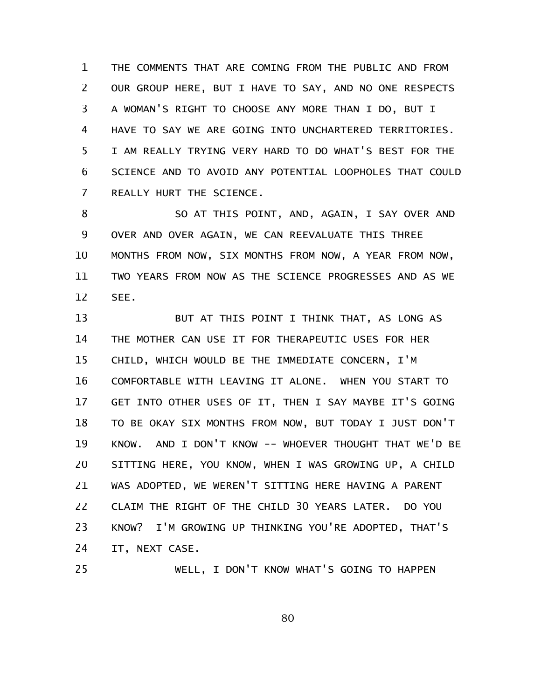THE COMMENTS THAT ARE COMING FROM THE PUBLIC AND FROM OUR GROUP HERE, BUT I HAVE TO SAY, AND NO ONE RESPECTS A WOMAN'S RIGHT TO CHOOSE ANY MORE THAN I DO, BUT I HAVE TO SAY WE ARE GOING INTO UNCHARTERED TERRITORIES. I AM REALLY TRYING VERY HARD TO DO WHAT'S BEST FOR THE SCIENCE AND TO AVOID ANY POTENTIAL LOOPHOLES THAT COULD REALLY HURT THE SCIENCE. 1 2 3 4 5 6 7

SO AT THIS POINT, AND, AGAIN, I SAY OVER AND OVER AND OVER AGAIN, WE CAN REEVALUATE THIS THREE MONTHS FROM NOW, SIX MONTHS FROM NOW, A YEAR FROM NOW, TWO YEARS FROM NOW AS THE SCIENCE PROGRESSES AND AS WE SEE. 8 9 10 11 12

BUT AT THIS POINT I THINK THAT, AS LONG AS THE MOTHER CAN USE IT FOR THERAPEUTIC USES FOR HER CHILD, WHICH WOULD BE THE IMMEDIATE CONCERN, I'M COMFORTABLE WITH LEAVING IT ALONE. WHEN YOU START TO GET INTO OTHER USES OF IT, THEN I SAY MAYBE IT'S GOING TO BE OKAY SIX MONTHS FROM NOW, BUT TODAY I JUST DON'T KNOW. AND I DON'T KNOW -- WHOEVER THOUGHT THAT WE'D BE SITTING HERE, YOU KNOW, WHEN I WAS GROWING UP, A CHILD WAS ADOPTED, WE WEREN'T SITTING HERE HAVING A PARENT CLAIM THE RIGHT OF THE CHILD 30 YEARS LATER. DO YOU KNOW? I'M GROWING UP THINKING YOU'RE ADOPTED, THAT'S IT, NEXT CASE. 13 14 15 16 17 18 19 20 21 22 23 24

25

WELL, I DON'T KNOW WHAT'S GOING TO HAPPEN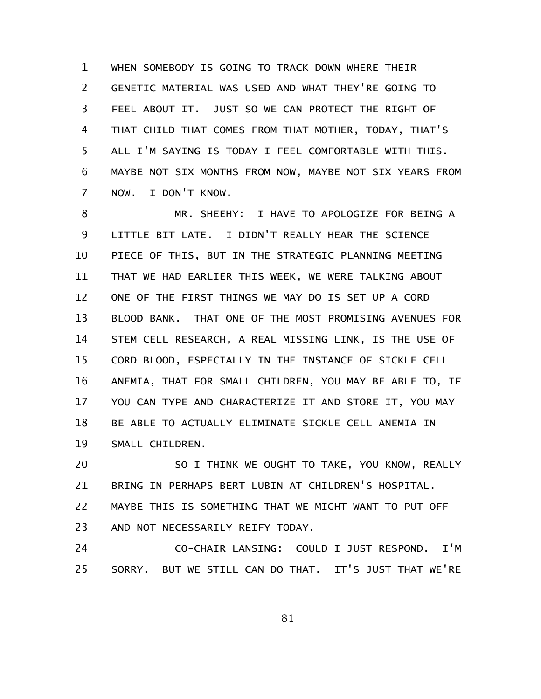WHEN SOMEBODY IS GOING TO TRACK DOWN WHERE THEIR GENETIC MATERIAL WAS USED AND WHAT THEY'RE GOING TO FEEL ABOUT IT. JUST SO WE CAN PROTECT THE RIGHT OF THAT CHILD THAT COMES FROM THAT MOTHER, TODAY, THAT'S ALL I'M SAYING IS TODAY I FEEL COMFORTABLE WITH THIS. MAYBE NOT SIX MONTHS FROM NOW, MAYBE NOT SIX YEARS FROM NOW. I DON'T KNOW. 1 2 3 4 5 6 7

MR. SHEEHY: I HAVE TO APOLOGIZE FOR BEING A LITTLE BIT LATE. I DIDN'T REALLY HEAR THE SCIENCE PIECE OF THIS, BUT IN THE STRATEGIC PLANNING MEETING THAT WE HAD EARLIER THIS WEEK, WE WERE TALKING ABOUT ONE OF THE FIRST THINGS WE MAY DO IS SET UP A CORD BLOOD BANK. THAT ONE OF THE MOST PROMISING AVENUES FOR STEM CELL RESEARCH, A REAL MISSING LINK, IS THE USE OF CORD BLOOD, ESPECIALLY IN THE INSTANCE OF SICKLE CELL ANEMIA, THAT FOR SMALL CHILDREN, YOU MAY BE ABLE TO, IF YOU CAN TYPE AND CHARACTERIZE IT AND STORE IT, YOU MAY BE ABLE TO ACTUALLY ELIMINATE SICKLE CELL ANEMIA IN SMALL CHILDREN. 8 9 10 11 12 13 14 15 16 17 18 19

SO I THINK WE OUGHT TO TAKE, YOU KNOW, REALLY BRING IN PERHAPS BERT LUBIN AT CHILDREN'S HOSPITAL. MAYBE THIS IS SOMETHING THAT WE MIGHT WANT TO PUT OFF AND NOT NECESSARILY REIFY TODAY. 20 21 22 23

CO-CHAIR LANSING: COULD I JUST RESPOND. I'M SORRY. BUT WE STILL CAN DO THAT. IT'S JUST THAT WE'RE 24 25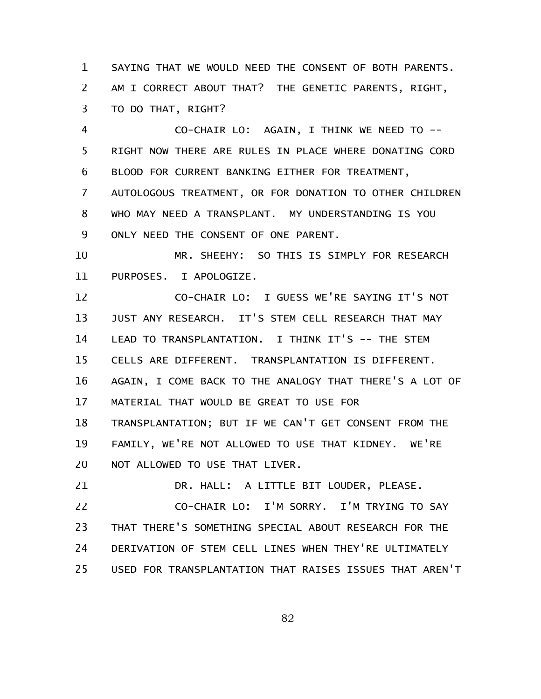SAYING THAT WE WOULD NEED THE CONSENT OF BOTH PARENTS. AM I CORRECT ABOUT THAT? THE GENETIC PARENTS, RIGHT, TO DO THAT, RIGHT? 1 2 3

CO-CHAIR LO: AGAIN, I THINK WE NEED TO -- RIGHT NOW THERE ARE RULES IN PLACE WHERE DONATING CORD BLOOD FOR CURRENT BANKING EITHER FOR TREATMENT, AUTOLOGOUS TREATMENT, OR FOR DONATION TO OTHER CHILDREN WHO MAY NEED A TRANSPLANT. MY UNDERSTANDING IS YOU ONLY NEED THE CONSENT OF ONE PARENT. 4 5 6 7 8 9

MR. SHEEHY: SO THIS IS SIMPLY FOR RESEARCH PURPOSES. I APOLOGIZE. 10 11

CO-CHAIR LO: I GUESS WE'RE SAYING IT'S NOT JUST ANY RESEARCH. IT'S STEM CELL RESEARCH THAT MAY LEAD TO TRANSPLANTATION. I THINK IT'S -- THE STEM CELLS ARE DIFFERENT. TRANSPLANTATION IS DIFFERENT. AGAIN, I COME BACK TO THE ANALOGY THAT THERE'S A LOT OF MATERIAL THAT WOULD BE GREAT TO USE FOR TRANSPLANTATION; BUT IF WE CAN'T GET CONSENT FROM THE FAMILY, WE'RE NOT ALLOWED TO USE THAT KIDNEY. WE'RE NOT ALLOWED TO USE THAT LIVER. 12 13 14 15 16 17 18 19 20

DR. HALL: A LITTLE BIT LOUDER, PLEASE. CO-CHAIR LO: I'M SORRY. I'M TRYING TO SAY THAT THERE'S SOMETHING SPECIAL ABOUT RESEARCH FOR THE DERIVATION OF STEM CELL LINES WHEN THEY'RE ULTIMATELY USED FOR TRANSPLANTATION THAT RAISES ISSUES THAT AREN'T 21 22 23 24 25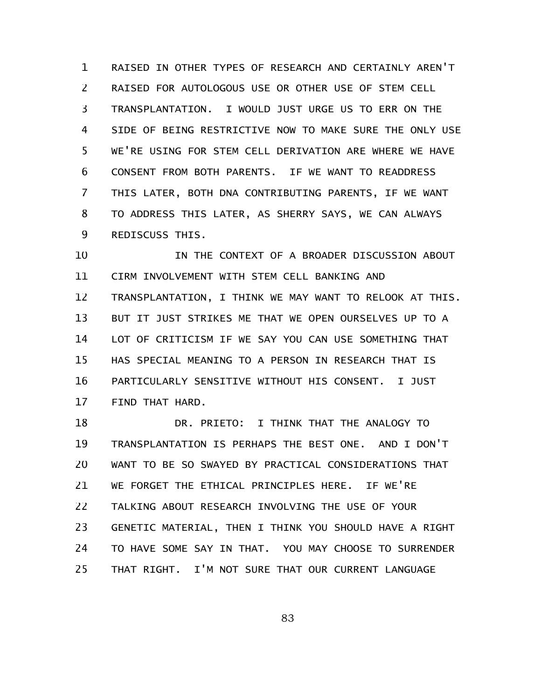RAISED IN OTHER TYPES OF RESEARCH AND CERTAINLY AREN'T RAISED FOR AUTOLOGOUS USE OR OTHER USE OF STEM CELL TRANSPLANTATION. I WOULD JUST URGE US TO ERR ON THE SIDE OF BEING RESTRICTIVE NOW TO MAKE SURE THE ONLY USE WE'RE USING FOR STEM CELL DERIVATION ARE WHERE WE HAVE CONSENT FROM BOTH PARENTS. IF WE WANT TO READDRESS THIS LATER, BOTH DNA CONTRIBUTING PARENTS, IF WE WANT TO ADDRESS THIS LATER, AS SHERRY SAYS, WE CAN ALWAYS REDISCUSS THIS. 1 2 3 4 5 6 7 8 9

IN THE CONTEXT OF A BROADER DISCUSSION ABOUT CIRM INVOLVEMENT WITH STEM CELL BANKING AND TRANSPLANTATION, I THINK WE MAY WANT TO RELOOK AT THIS. BUT IT JUST STRIKES ME THAT WE OPEN OURSELVES UP TO A LOT OF CRITICISM IF WE SAY YOU CAN USE SOMETHING THAT HAS SPECIAL MEANING TO A PERSON IN RESEARCH THAT IS PARTICULARLY SENSITIVE WITHOUT HIS CONSENT. I JUST FIND THAT HARD. 10 11 12 13 14 15 16 17

DR. PRIETO: I THINK THAT THE ANALOGY TO TRANSPLANTATION IS PERHAPS THE BEST ONE. AND I DON'T WANT TO BE SO SWAYED BY PRACTICAL CONSIDERATIONS THAT WE FORGET THE ETHICAL PRINCIPLES HERE. IF WE'RE TALKING ABOUT RESEARCH INVOLVING THE USE OF YOUR GENETIC MATERIAL, THEN I THINK YOU SHOULD HAVE A RIGHT TO HAVE SOME SAY IN THAT. YOU MAY CHOOSE TO SURRENDER THAT RIGHT. I'M NOT SURE THAT OUR CURRENT LANGUAGE 18 19 20 21 22 23 24 25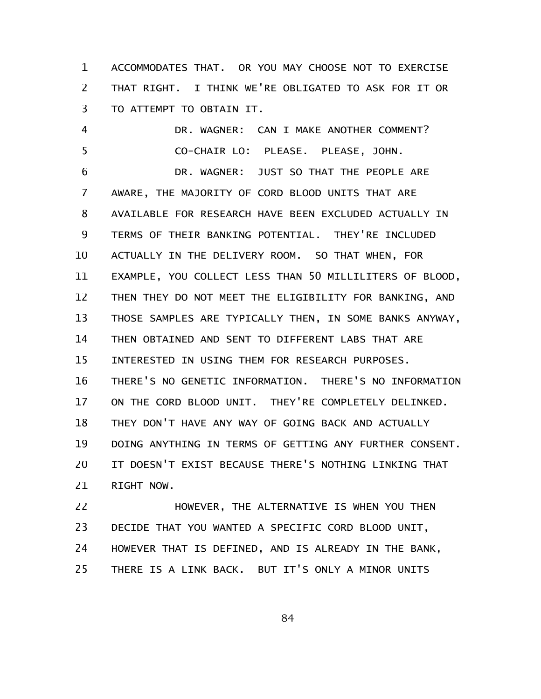ACCOMMODATES THAT. OR YOU MAY CHOOSE NOT TO EXERCISE THAT RIGHT. I THINK WE'RE OBLIGATED TO ASK FOR IT OR TO ATTEMPT TO OBTAIN IT. 1 2 3

DR. WAGNER: CAN I MAKE ANOTHER COMMENT? CO-CHAIR LO: PLEASE. PLEASE, JOHN. DR. WAGNER: JUST SO THAT THE PEOPLE ARE AWARE, THE MAJORITY OF CORD BLOOD UNITS THAT ARE AVAILABLE FOR RESEARCH HAVE BEEN EXCLUDED ACTUALLY IN TERMS OF THEIR BANKING POTENTIAL. THEY'RE INCLUDED ACTUALLY IN THE DELIVERY ROOM. SO THAT WHEN, FOR EXAMPLE, YOU COLLECT LESS THAN 50 MILLILITERS OF BLOOD, THEN THEY DO NOT MEET THE ELIGIBILITY FOR BANKING, AND THOSE SAMPLES ARE TYPICALLY THEN, IN SOME BANKS ANYWAY, THEN OBTAINED AND SENT TO DIFFERENT LABS THAT ARE INTERESTED IN USING THEM FOR RESEARCH PURPOSES. THERE'S NO GENETIC INFORMATION. THERE'S NO INFORMATION ON THE CORD BLOOD UNIT. THEY'RE COMPLETELY DELINKED. THEY DON'T HAVE ANY WAY OF GOING BACK AND ACTUALLY DOING ANYTHING IN TERMS OF GETTING ANY FURTHER CONSENT. IT DOESN'T EXIST BECAUSE THERE'S NOTHING LINKING THAT RIGHT NOW. 4 5 6 7 8 9 10 11 12 13 14 15 16 17 18 19 20 21

HOWEVER, THE ALTERNATIVE IS WHEN YOU THEN DECIDE THAT YOU WANTED A SPECIFIC CORD BLOOD UNIT, HOWEVER THAT IS DEFINED, AND IS ALREADY IN THE BANK, THERE IS A LINK BACK. BUT IT'S ONLY A MINOR UNITS 22 23 24 25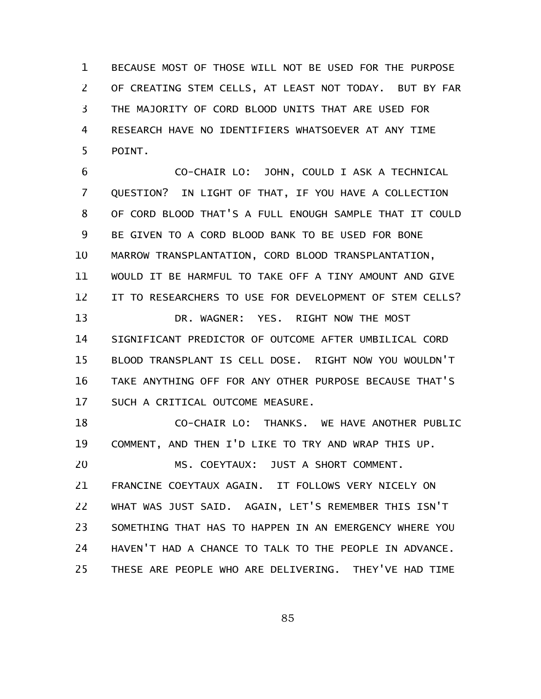BECAUSE MOST OF THOSE WILL NOT BE USED FOR THE PURPOSE OF CREATING STEM CELLS, AT LEAST NOT TODAY. BUT BY FAR THE MAJORITY OF CORD BLOOD UNITS THAT ARE USED FOR RESEARCH HAVE NO IDENTIFIERS WHATSOEVER AT ANY TIME POINT. 1 2 3 4 5

CO-CHAIR LO: JOHN, COULD I ASK A TECHNICAL QUESTION? IN LIGHT OF THAT, IF YOU HAVE A COLLECTION OF CORD BLOOD THAT'S A FULL ENOUGH SAMPLE THAT IT COULD BE GIVEN TO A CORD BLOOD BANK TO BE USED FOR BONE MARROW TRANSPLANTATION, CORD BLOOD TRANSPLANTATION, WOULD IT BE HARMFUL TO TAKE OFF A TINY AMOUNT AND GIVE IT TO RESEARCHERS TO USE FOR DEVELOPMENT OF STEM CELLS? DR. WAGNER: YES. RIGHT NOW THE MOST SIGNIFICANT PREDICTOR OF OUTCOME AFTER UMBILICAL CORD BLOOD TRANSPLANT IS CELL DOSE. RIGHT NOW YOU WOULDN'T TAKE ANYTHING OFF FOR ANY OTHER PURPOSE BECAUSE THAT'S SUCH A CRITICAL OUTCOME MEASURE. 6 7 8 9 10 11 12 13 14 15 16 17

CO-CHAIR LO: THANKS. WE HAVE ANOTHER PUBLIC COMMENT, AND THEN I'D LIKE TO TRY AND WRAP THIS UP. 18 19

MS. COEYTAUX: JUST A SHORT COMMENT. FRANCINE COEYTAUX AGAIN. IT FOLLOWS VERY NICELY ON WHAT WAS JUST SAID. AGAIN, LET'S REMEMBER THIS ISN'T SOMETHING THAT HAS TO HAPPEN IN AN EMERGENCY WHERE YOU HAVEN'T HAD A CHANCE TO TALK TO THE PEOPLE IN ADVANCE. THESE ARE PEOPLE WHO ARE DELIVERING. THEY'VE HAD TIME 20 21 22 23 24 25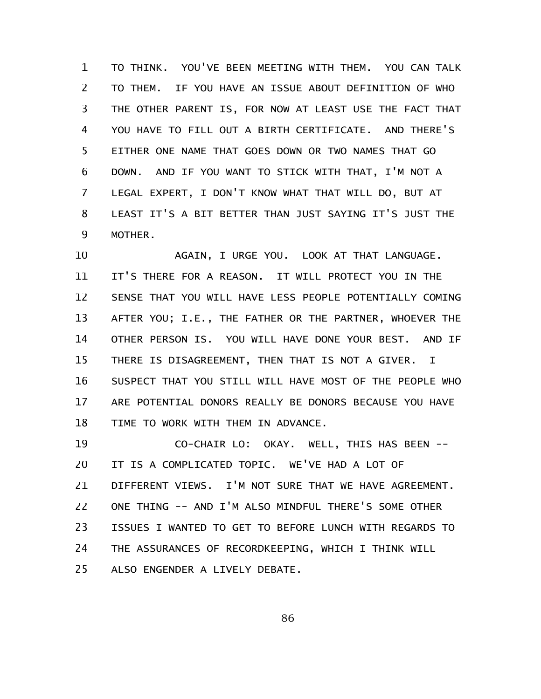TO THINK. YOU'VE BEEN MEETING WITH THEM. YOU CAN TALK TO THEM. IF YOU HAVE AN ISSUE ABOUT DEFINITION OF WHO THE OTHER PARENT IS, FOR NOW AT LEAST USE THE FACT THAT YOU HAVE TO FILL OUT A BIRTH CERTIFICATE. AND THERE'S EITHER ONE NAME THAT GOES DOWN OR TWO NAMES THAT GO DOWN. AND IF YOU WANT TO STICK WITH THAT, I'M NOT A LEGAL EXPERT, I DON'T KNOW WHAT THAT WILL DO, BUT AT LEAST IT'S A BIT BETTER THAN JUST SAYING IT'S JUST THE MOTHER. 1 2 3 4 5 6 7 8 9

AGAIN, I URGE YOU. LOOK AT THAT LANGUAGE. IT'S THERE FOR A REASON. IT WILL PROTECT YOU IN THE SENSE THAT YOU WILL HAVE LESS PEOPLE POTENTIALLY COMING AFTER YOU; I.E., THE FATHER OR THE PARTNER, WHOEVER THE OTHER PERSON IS. YOU WILL HAVE DONE YOUR BEST. AND IF THERE IS DISAGREEMENT, THEN THAT IS NOT A GIVER. I SUSPECT THAT YOU STILL WILL HAVE MOST OF THE PEOPLE WHO ARE POTENTIAL DONORS REALLY BE DONORS BECAUSE YOU HAVE TIME TO WORK WITH THEM IN ADVANCE. 10 11 12 13 14 15 16 17 18

CO-CHAIR LO: OKAY. WELL, THIS HAS BEEN -- IT IS A COMPLICATED TOPIC. WE'VE HAD A LOT OF DIFFERENT VIEWS. I'M NOT SURE THAT WE HAVE AGREEMENT. ONE THING -- AND I'M ALSO MINDFUL THERE'S SOME OTHER ISSUES I WANTED TO GET TO BEFORE LUNCH WITH REGARDS TO THE ASSURANCES OF RECORDKEEPING, WHICH I THINK WILL ALSO ENGENDER A LIVELY DEBATE. 19 20 21 22 23 24 25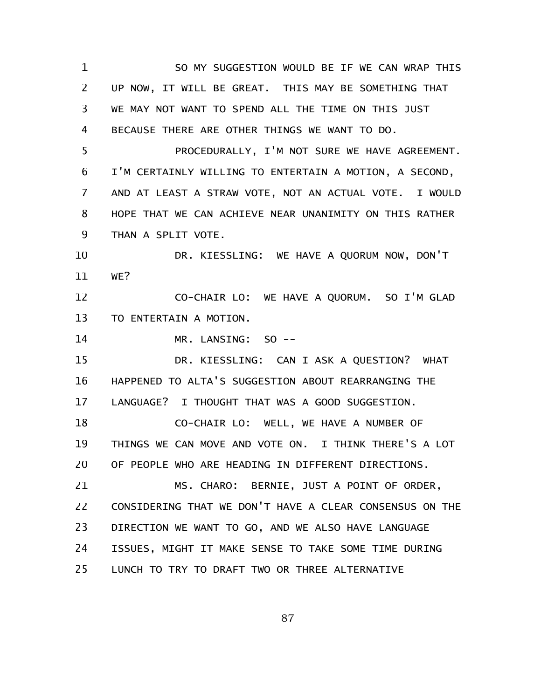SO MY SUGGESTION WOULD BE IF WE CAN WRAP THIS UP NOW, IT WILL BE GREAT. THIS MAY BE SOMETHING THAT WE MAY NOT WANT TO SPEND ALL THE TIME ON THIS JUST BECAUSE THERE ARE OTHER THINGS WE WANT TO DO. PROCEDURALLY, I'M NOT SURE WE HAVE AGREEMENT. I'M CERTAINLY WILLING TO ENTERTAIN A MOTION, A SECOND, AND AT LEAST A STRAW VOTE, NOT AN ACTUAL VOTE. I WOULD HOPE THAT WE CAN ACHIEVE NEAR UNANIMITY ON THIS RATHER THAN A SPLIT VOTE. DR. KIESSLING: WE HAVE A QUORUM NOW, DON'T WE? CO-CHAIR LO: WE HAVE A QUORUM. SO I'M GLAD TO ENTERTAIN A MOTION. MR. LANSING: SO -- DR. KIESSLING: CAN I ASK A QUESTION? WHAT HAPPENED TO ALTA'S SUGGESTION ABOUT REARRANGING THE LANGUAGE? I THOUGHT THAT WAS A GOOD SUGGESTION. CO-CHAIR LO: WELL, WE HAVE A NUMBER OF THINGS WE CAN MOVE AND VOTE ON. I THINK THERE'S A LOT OF PEOPLE WHO ARE HEADING IN DIFFERENT DIRECTIONS. MS. CHARO: BERNIE, JUST A POINT OF ORDER, CONSIDERING THAT WE DON'T HAVE A CLEAR CONSENSUS ON THE DIRECTION WE WANT TO GO, AND WE ALSO HAVE LANGUAGE ISSUES, MIGHT IT MAKE SENSE TO TAKE SOME TIME DURING LUNCH TO TRY TO DRAFT TWO OR THREE ALTERNATIVE 1 2 3 4 5 6 7 8 9 10 11 12 13 14 15 16 17 18 19 20 21 22 23 24 25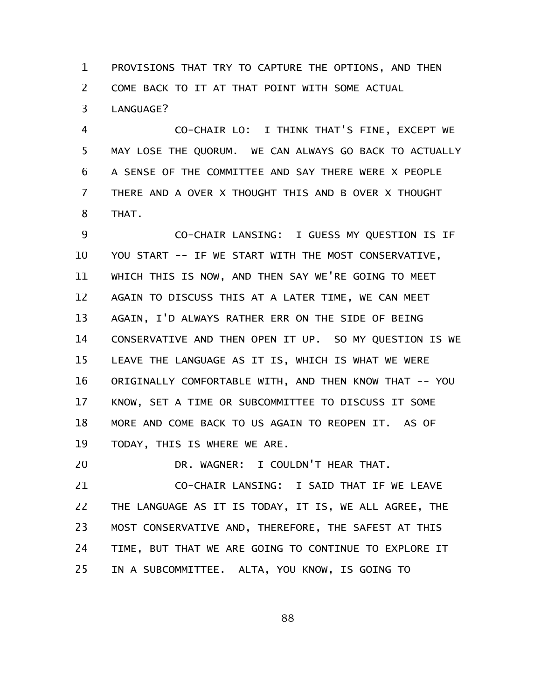PROVISIONS THAT TRY TO CAPTURE THE OPTIONS, AND THEN COME BACK TO IT AT THAT POINT WITH SOME ACTUAL LANGUAGE? 1 2 3

CO-CHAIR LO: I THINK THAT'S FINE, EXCEPT WE MAY LOSE THE QUORUM. WE CAN ALWAYS GO BACK TO ACTUALLY A SENSE OF THE COMMITTEE AND SAY THERE WERE X PEOPLE THERE AND A OVER X THOUGHT THIS AND B OVER X THOUGHT THAT. 4 5 6 7 8

CO-CHAIR LANSING: I GUESS MY QUESTION IS IF YOU START -- IF WE START WITH THE MOST CONSERVATIVE, WHICH THIS IS NOW, AND THEN SAY WE'RE GOING TO MEET AGAIN TO DISCUSS THIS AT A LATER TIME, WE CAN MEET AGAIN, I'D ALWAYS RATHER ERR ON THE SIDE OF BEING CONSERVATIVE AND THEN OPEN IT UP. SO MY QUESTION IS WE LEAVE THE LANGUAGE AS IT IS, WHICH IS WHAT WE WERE ORIGINALLY COMFORTABLE WITH, AND THEN KNOW THAT -- YOU KNOW, SET A TIME OR SUBCOMMITTEE TO DISCUSS IT SOME MORE AND COME BACK TO US AGAIN TO REOPEN IT. AS OF TODAY, THIS IS WHERE WE ARE. 9 10 11 12 13 14 15 16 17 18 19

DR. WAGNER: I COULDN'T HEAR THAT. CO-CHAIR LANSING: I SAID THAT IF WE LEAVE THE LANGUAGE AS IT IS TODAY, IT IS, WE ALL AGREE, THE MOST CONSERVATIVE AND, THEREFORE, THE SAFEST AT THIS TIME, BUT THAT WE ARE GOING TO CONTINUE TO EXPLORE IT IN A SUBCOMMITTEE. ALTA, YOU KNOW, IS GOING TO 20 21 22 23 24 25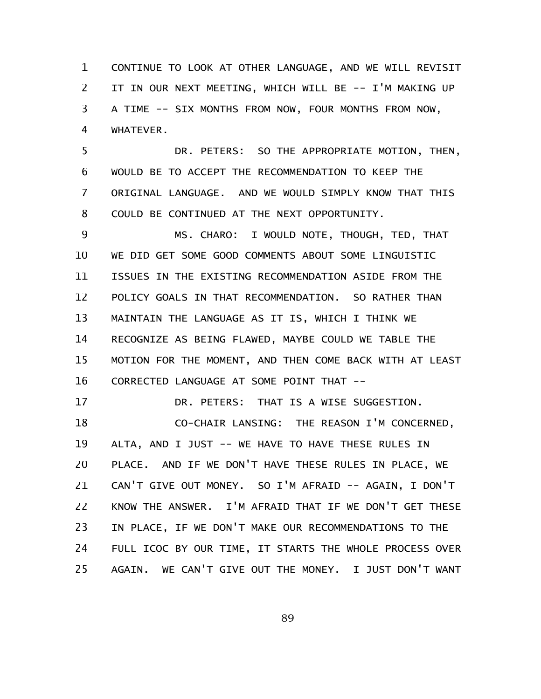CONTINUE TO LOOK AT OTHER LANGUAGE, AND WE WILL REVISIT IT IN OUR NEXT MEETING, WHICH WILL BE -- I'M MAKING UP A TIME -- SIX MONTHS FROM NOW, FOUR MONTHS FROM NOW, WHATEVER. 1 2 3 4

DR. PETERS: SO THE APPROPRIATE MOTION, THEN, WOULD BE TO ACCEPT THE RECOMMENDATION TO KEEP THE ORIGINAL LANGUAGE. AND WE WOULD SIMPLY KNOW THAT THIS COULD BE CONTINUED AT THE NEXT OPPORTUNITY. 5 6 7 8

MS. CHARO: I WOULD NOTE, THOUGH, TED, THAT WE DID GET SOME GOOD COMMENTS ABOUT SOME LINGUISTIC ISSUES IN THE EXISTING RECOMMENDATION ASIDE FROM THE POLICY GOALS IN THAT RECOMMENDATION. SO RATHER THAN MAINTAIN THE LANGUAGE AS IT IS, WHICH I THINK WE RECOGNIZE AS BEING FLAWED, MAYBE COULD WE TABLE THE MOTION FOR THE MOMENT, AND THEN COME BACK WITH AT LEAST CORRECTED LANGUAGE AT SOME POINT THAT -- 9 10 11 12 13 14 15 16

DR. PETERS: THAT IS A WISE SUGGESTION. 17

CO-CHAIR LANSING: THE REASON I'M CONCERNED, ALTA, AND I JUST -- WE HAVE TO HAVE THESE RULES IN PLACE. AND IF WE DON'T HAVE THESE RULES IN PLACE, WE CAN'T GIVE OUT MONEY. SO I'M AFRAID -- AGAIN, I DON'T KNOW THE ANSWER. I'M AFRAID THAT IF WE DON'T GET THESE IN PLACE, IF WE DON'T MAKE OUR RECOMMENDATIONS TO THE FULL ICOC BY OUR TIME, IT STARTS THE WHOLE PROCESS OVER AGAIN. WE CAN'T GIVE OUT THE MONEY. I JUST DON'T WANT 18 19 20 21 22 23 24 25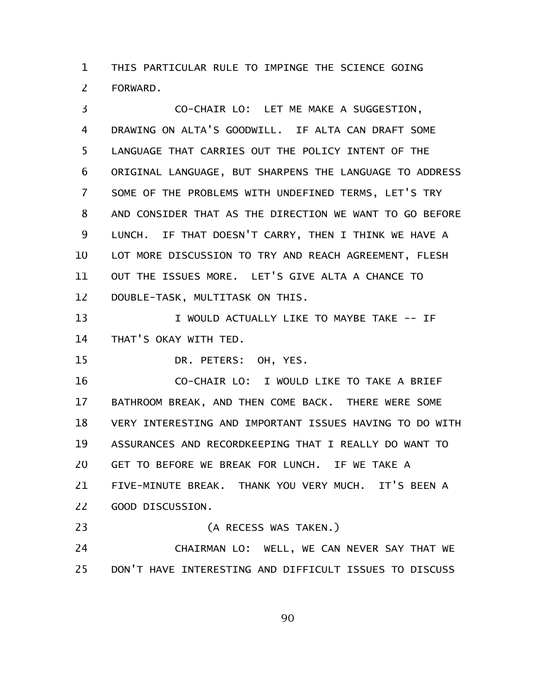THIS PARTICULAR RULE TO IMPINGE THE SCIENCE GOING FORWARD. 1 2

CO-CHAIR LO: LET ME MAKE A SUGGESTION, DRAWING ON ALTA'S GOODWILL. IF ALTA CAN DRAFT SOME LANGUAGE THAT CARRIES OUT THE POLICY INTENT OF THE ORIGINAL LANGUAGE, BUT SHARPENS THE LANGUAGE TO ADDRESS SOME OF THE PROBLEMS WITH UNDEFINED TERMS, LET'S TRY AND CONSIDER THAT AS THE DIRECTION WE WANT TO GO BEFORE LUNCH. IF THAT DOESN'T CARRY, THEN I THINK WE HAVE A LOT MORE DISCUSSION TO TRY AND REACH AGREEMENT, FLESH OUT THE ISSUES MORE. LET'S GIVE ALTA A CHANCE TO DOUBLE-TASK, MULTITASK ON THIS. 3 4 5 6 7 8 9 10 11 12

I WOULD ACTUALLY LIKE TO MAYBE TAKE -- IF THAT'S OKAY WITH TED. 13 14

DR. PETERS: OH, YES. 15

CO-CHAIR LO: I WOULD LIKE TO TAKE A BRIEF BATHROOM BREAK, AND THEN COME BACK. THERE WERE SOME VERY INTERESTING AND IMPORTANT ISSUES HAVING TO DO WITH ASSURANCES AND RECORDKEEPING THAT I REALLY DO WANT TO GET TO BEFORE WE BREAK FOR LUNCH. IF WE TAKE A FIVE-MINUTE BREAK. THANK YOU VERY MUCH. IT'S BEEN A GOOD DISCUSSION. 16 17 18 19 20 21 22

(A RECESS WAS TAKEN.) 23

CHAIRMAN LO: WELL, WE CAN NEVER SAY THAT WE DON'T HAVE INTERESTING AND DIFFICULT ISSUES TO DISCUSS 24 25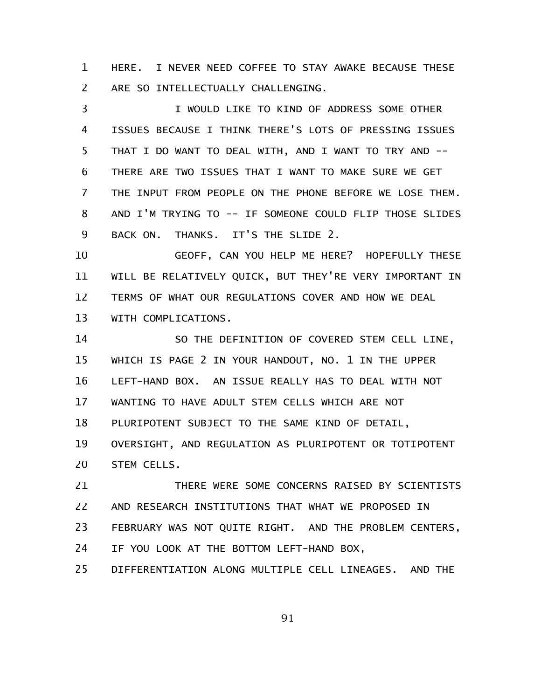HERE. I NEVER NEED COFFEE TO STAY AWAKE BECAUSE THESE ARE SO INTELLECTUALLY CHALLENGING. 1 2

I WOULD LIKE TO KIND OF ADDRESS SOME OTHER ISSUES BECAUSE I THINK THERE'S LOTS OF PRESSING ISSUES THAT I DO WANT TO DEAL WITH, AND I WANT TO TRY AND -- THERE ARE TWO ISSUES THAT I WANT TO MAKE SURE WE GET THE INPUT FROM PEOPLE ON THE PHONE BEFORE WE LOSE THEM. AND I'M TRYING TO -- IF SOMEONE COULD FLIP THOSE SLIDES BACK ON. THANKS. IT'S THE SLIDE 2. 3 4 5 6 7 8 9

GEOFF, CAN YOU HELP ME HERE? HOPEFULLY THESE WILL BE RELATIVELY QUICK, BUT THEY'RE VERY IMPORTANT IN TERMS OF WHAT OUR REGULATIONS COVER AND HOW WE DEAL WITH COMPLICATIONS. 10 11 12 13

SO THE DEFINITION OF COVERED STEM CELL LINE, WHICH IS PAGE 2 IN YOUR HANDOUT, NO. 1 IN THE UPPER LEFT-HAND BOX. AN ISSUE REALLY HAS TO DEAL WITH NOT WANTING TO HAVE ADULT STEM CELLS WHICH ARE NOT PLURIPOTENT SUBJECT TO THE SAME KIND OF DETAIL, OVERSIGHT, AND REGULATION AS PLURIPOTENT OR TOTIPOTENT STEM CELLS. 14 15 16 17 18 19 20

THERE WERE SOME CONCERNS RAISED BY SCIENTISTS AND RESEARCH INSTITUTIONS THAT WHAT WE PROPOSED IN FEBRUARY WAS NOT QUITE RIGHT. AND THE PROBLEM CENTERS, IF YOU LOOK AT THE BOTTOM LEFT-HAND BOX, DIFFERENTIATION ALONG MULTIPLE CELL LINEAGES. AND THE 21 22 23 24 25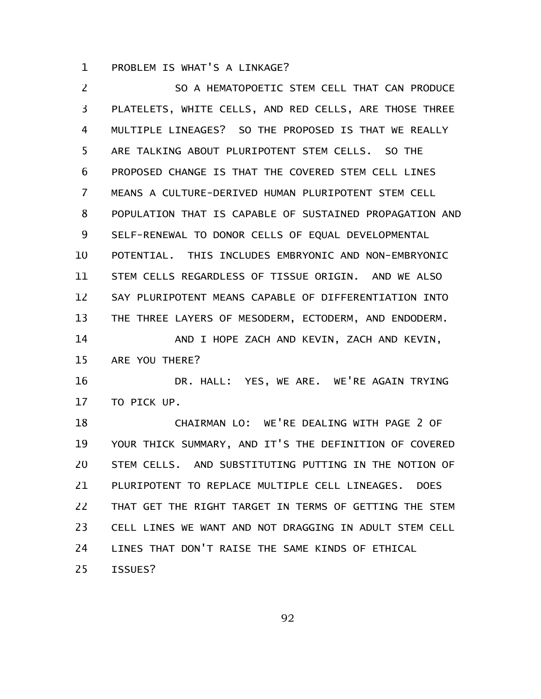PROBLEM IS WHAT'S A LINKAGE? 1

SO A HEMATOPOETIC STEM CELL THAT CAN PRODUCE PLATELETS, WHITE CELLS, AND RED CELLS, ARE THOSE THREE MULTIPLE LINEAGES? SO THE PROPOSED IS THAT WE REALLY ARE TALKING ABOUT PLURIPOTENT STEM CELLS. SO THE PROPOSED CHANGE IS THAT THE COVERED STEM CELL LINES MEANS A CULTURE-DERIVED HUMAN PLURIPOTENT STEM CELL POPULATION THAT IS CAPABLE OF SUSTAINED PROPAGATION AND SELF-RENEWAL TO DONOR CELLS OF EQUAL DEVELOPMENTAL POTENTIAL. THIS INCLUDES EMBRYONIC AND NON-EMBRYONIC STEM CELLS REGARDLESS OF TISSUE ORIGIN. AND WE ALSO SAY PLURIPOTENT MEANS CAPABLE OF DIFFERENTIATION INTO THE THREE LAYERS OF MESODERM, ECTODERM, AND ENDODERM. AND I HOPE ZACH AND KEVIN, ZACH AND KEVIN, ARE YOU THERE? DR. HALL: YES, WE ARE. WE'RE AGAIN TRYING TO PICK UP. CHAIRMAN LO: WE'RE DEALING WITH PAGE 2 OF YOUR THICK SUMMARY, AND IT'S THE DEFINITION OF COVERED STEM CELLS. AND SUBSTITUTING PUTTING IN THE NOTION OF PLURIPOTENT TO REPLACE MULTIPLE CELL LINEAGES. DOES THAT GET THE RIGHT TARGET IN TERMS OF GETTING THE STEM CELL LINES WE WANT AND NOT DRAGGING IN ADULT STEM CELL LINES THAT DON'T RAISE THE SAME KINDS OF ETHICAL ISSUES? 2 3 4 5 6 7 8 9 10 11 12 13 14 15 16 17 18 19 20 21 22 23 24 25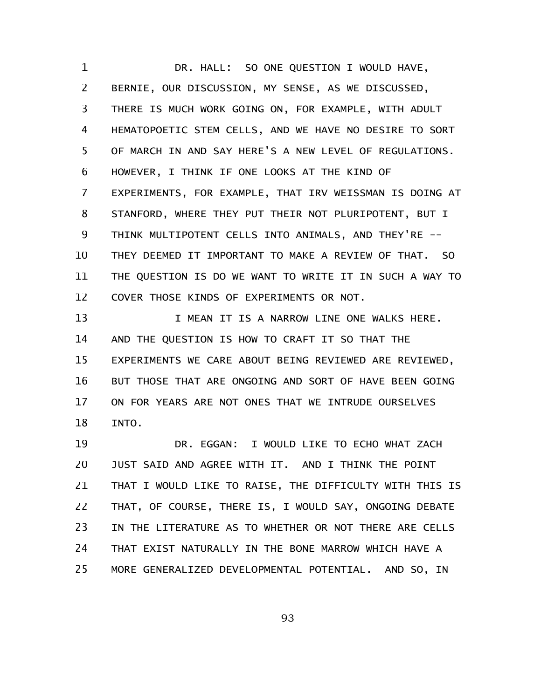DR. HALL: SO ONE QUESTION I WOULD HAVE, BERNIE, OUR DISCUSSION, MY SENSE, AS WE DISCUSSED, THERE IS MUCH WORK GOING ON, FOR EXAMPLE, WITH ADULT HEMATOPOETIC STEM CELLS, AND WE HAVE NO DESIRE TO SORT OF MARCH IN AND SAY HERE'S A NEW LEVEL OF REGULATIONS. HOWEVER, I THINK IF ONE LOOKS AT THE KIND OF EXPERIMENTS, FOR EXAMPLE, THAT IRV WEISSMAN IS DOING AT STANFORD, WHERE THEY PUT THEIR NOT PLURIPOTENT, BUT I THINK MULTIPOTENT CELLS INTO ANIMALS, AND THEY'RE -- THEY DEEMED IT IMPORTANT TO MAKE A REVIEW OF THAT. SO THE QUESTION IS DO WE WANT TO WRITE IT IN SUCH A WAY TO COVER THOSE KINDS OF EXPERIMENTS OR NOT. 1 2 3 4 5 6 7 8 9 10 11 12

I MEAN IT IS A NARROW LINE ONE WALKS HERE. AND THE QUESTION IS HOW TO CRAFT IT SO THAT THE EXPERIMENTS WE CARE ABOUT BEING REVIEWED ARE REVIEWED, BUT THOSE THAT ARE ONGOING AND SORT OF HAVE BEEN GOING ON FOR YEARS ARE NOT ONES THAT WE INTRUDE OURSELVES INTO. 13 14 15 16 17 18

DR. EGGAN: I WOULD LIKE TO ECHO WHAT ZACH JUST SAID AND AGREE WITH IT. AND I THINK THE POINT THAT I WOULD LIKE TO RAISE, THE DIFFICULTY WITH THIS IS THAT, OF COURSE, THERE IS, I WOULD SAY, ONGOING DEBATE IN THE LITERATURE AS TO WHETHER OR NOT THERE ARE CELLS THAT EXIST NATURALLY IN THE BONE MARROW WHICH HAVE A MORE GENERALIZED DEVELOPMENTAL POTENTIAL. AND SO, IN 19 20 21 22 23 24 25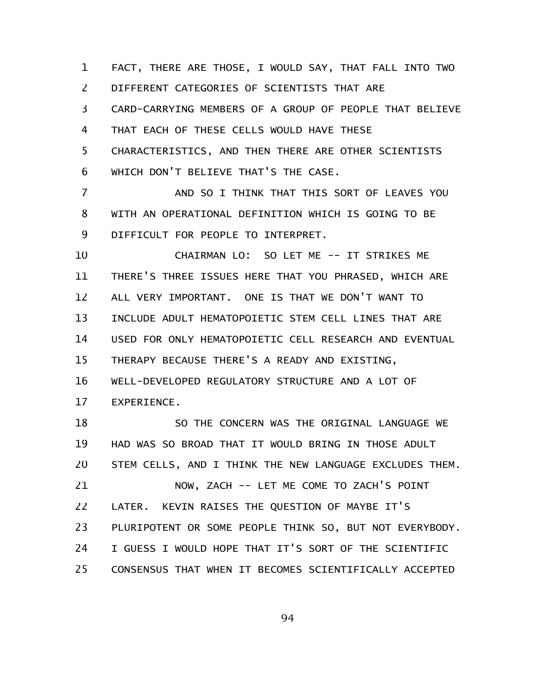FACT, THERE ARE THOSE, I WOULD SAY, THAT FALL INTO TWO DIFFERENT CATEGORIES OF SCIENTISTS THAT ARE CARD-CARRYING MEMBERS OF A GROUP OF PEOPLE THAT BELIEVE THAT EACH OF THESE CELLS WOULD HAVE THESE CHARACTERISTICS, AND THEN THERE ARE OTHER SCIENTISTS WHICH DON'T BELIEVE THAT'S THE CASE. 1 2 3 4 5 6

AND SO I THINK THAT THIS SORT OF LEAVES YOU WITH AN OPERATIONAL DEFINITION WHICH IS GOING TO BE DIFFICULT FOR PEOPLE TO INTERPRET. 7 8 9

CHAIRMAN LO: SO LET ME -- IT STRIKES ME THERE'S THREE ISSUES HERE THAT YOU PHRASED, WHICH ARE ALL VERY IMPORTANT. ONE IS THAT WE DON'T WANT TO INCLUDE ADULT HEMATOPOIETIC STEM CELL LINES THAT ARE USED FOR ONLY HEMATOPOIETIC CELL RESEARCH AND EVENTUAL THERAPY BECAUSE THERE'S A READY AND EXISTING, WELL-DEVELOPED REGULATORY STRUCTURE AND A LOT OF EXPERIENCE. 10 11 12 13 14 15 16 17

SO THE CONCERN WAS THE ORIGINAL LANGUAGE WE HAD WAS SO BROAD THAT IT WOULD BRING IN THOSE ADULT STEM CELLS, AND I THINK THE NEW LANGUAGE EXCLUDES THEM. NOW, ZACH -- LET ME COME TO ZACH'S POINT LATER. KEVIN RAISES THE QUESTION OF MAYBE IT'S PLURIPOTENT OR SOME PEOPLE THINK SO, BUT NOT EVERYBODY. I GUESS I WOULD HOPE THAT IT'S SORT OF THE SCIENTIFIC CONSENSUS THAT WHEN IT BECOMES SCIENTIFICALLY ACCEPTED 18 19 20 21 22 23 24 25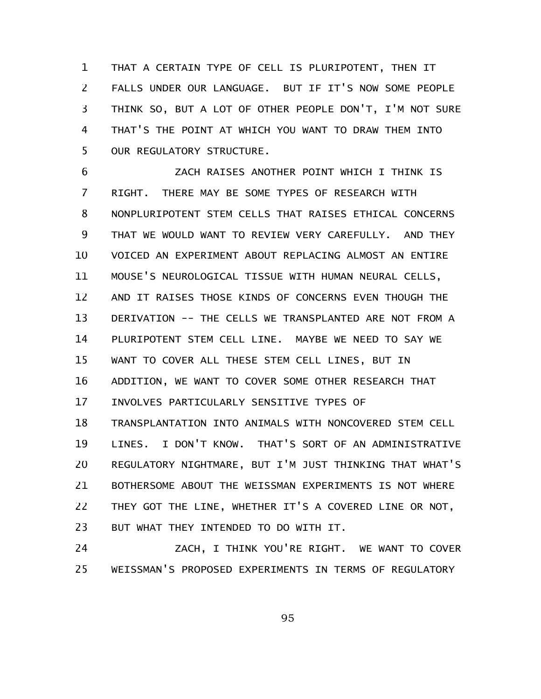THAT A CERTAIN TYPE OF CELL IS PLURIPOTENT, THEN IT FALLS UNDER OUR LANGUAGE. BUT IF IT'S NOW SOME PEOPLE THINK SO, BUT A LOT OF OTHER PEOPLE DON'T, I'M NOT SURE THAT'S THE POINT AT WHICH YOU WANT TO DRAW THEM INTO OUR REGULATORY STRUCTURE. 1 2 3 4 5

ZACH RAISES ANOTHER POINT WHICH I THINK IS RIGHT. THERE MAY BE SOME TYPES OF RESEARCH WITH NONPLURIPOTENT STEM CELLS THAT RAISES ETHICAL CONCERNS THAT WE WOULD WANT TO REVIEW VERY CAREFULLY. AND THEY VOICED AN EXPERIMENT ABOUT REPLACING ALMOST AN ENTIRE MOUSE'S NEUROLOGICAL TISSUE WITH HUMAN NEURAL CELLS, AND IT RAISES THOSE KINDS OF CONCERNS EVEN THOUGH THE DERIVATION -- THE CELLS WE TRANSPLANTED ARE NOT FROM A PLURIPOTENT STEM CELL LINE. MAYBE WE NEED TO SAY WE WANT TO COVER ALL THESE STEM CELL LINES, BUT IN ADDITION, WE WANT TO COVER SOME OTHER RESEARCH THAT INVOLVES PARTICULARLY SENSITIVE TYPES OF TRANSPLANTATION INTO ANIMALS WITH NONCOVERED STEM CELL LINES. I DON'T KNOW. THAT'S SORT OF AN ADMINISTRATIVE REGULATORY NIGHTMARE, BUT I'M JUST THINKING THAT WHAT'S BOTHERSOME ABOUT THE WEISSMAN EXPERIMENTS IS NOT WHERE THEY GOT THE LINE, WHETHER IT'S A COVERED LINE OR NOT, BUT WHAT THEY INTENDED TO DO WITH IT. 6 7 8 9 10 11 12 13 14 15 16 17 18 19 20 21 22 23

ZACH, I THINK YOU'RE RIGHT. WE WANT TO COVER WEISSMAN'S PROPOSED EXPERIMENTS IN TERMS OF REGULATORY 24 25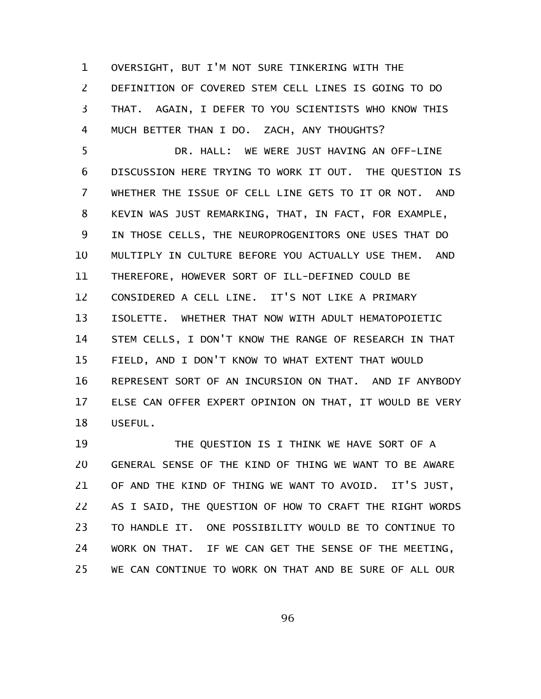OVERSIGHT, BUT I'M NOT SURE TINKERING WITH THE DEFINITION OF COVERED STEM CELL LINES IS GOING TO DO THAT. AGAIN, I DEFER TO YOU SCIENTISTS WHO KNOW THIS MUCH BETTER THAN I DO. ZACH, ANY THOUGHTS? 1 2 3 4

DR. HALL: WE WERE JUST HAVING AN OFF-LINE DISCUSSION HERE TRYING TO WORK IT OUT. THE QUESTION IS WHETHER THE ISSUE OF CELL LINE GETS TO IT OR NOT. AND KEVIN WAS JUST REMARKING, THAT, IN FACT, FOR EXAMPLE, IN THOSE CELLS, THE NEUROPROGENITORS ONE USES THAT DO MULTIPLY IN CULTURE BEFORE YOU ACTUALLY USE THEM. AND THEREFORE, HOWEVER SORT OF ILL-DEFINED COULD BE CONSIDERED A CELL LINE. IT'S NOT LIKE A PRIMARY ISOLETTE. WHETHER THAT NOW WITH ADULT HEMATOPOIETIC STEM CELLS, I DON'T KNOW THE RANGE OF RESEARCH IN THAT FIELD, AND I DON'T KNOW TO WHAT EXTENT THAT WOULD REPRESENT SORT OF AN INCURSION ON THAT. AND IF ANYBODY ELSE CAN OFFER EXPERT OPINION ON THAT, IT WOULD BE VERY USEFUL. 5 6 7 8 9 10 11 12 13 14 15 16 17 18

THE QUESTION IS I THINK WE HAVE SORT OF A GENERAL SENSE OF THE KIND OF THING WE WANT TO BE AWARE OF AND THE KIND OF THING WE WANT TO AVOID. IT'S JUST, AS I SAID, THE QUESTION OF HOW TO CRAFT THE RIGHT WORDS TO HANDLE IT. ONE POSSIBILITY WOULD BE TO CONTINUE TO WORK ON THAT. IF WE CAN GET THE SENSE OF THE MEETING, WE CAN CONTINUE TO WORK ON THAT AND BE SURE OF ALL OUR 19 20 21 22 23 24 25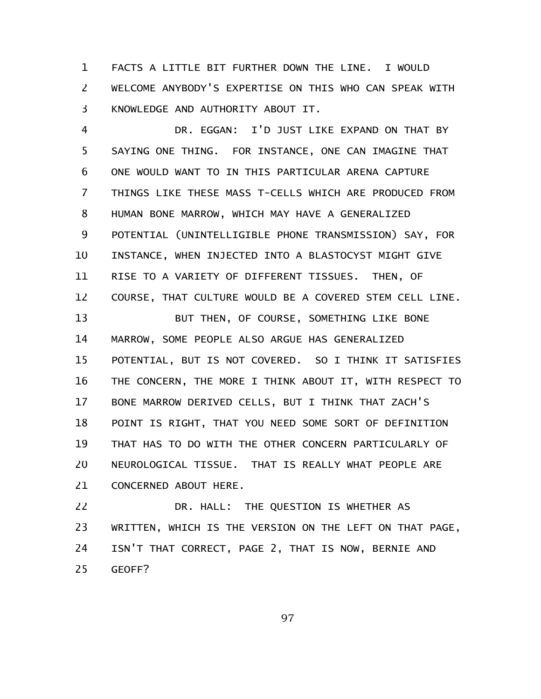FACTS A LITTLE BIT FURTHER DOWN THE LINE. I WOULD WELCOME ANYBODY'S EXPERTISE ON THIS WHO CAN SPEAK WITH KNOWLEDGE AND AUTHORITY ABOUT IT. 1 2 3

DR. EGGAN: I'D JUST LIKE EXPAND ON THAT BY SAYING ONE THING. FOR INSTANCE, ONE CAN IMAGINE THAT ONE WOULD WANT TO IN THIS PARTICULAR ARENA CAPTURE THINGS LIKE THESE MASS T-CELLS WHICH ARE PRODUCED FROM HUMAN BONE MARROW, WHICH MAY HAVE A GENERALIZED POTENTIAL (UNINTELLIGIBLE PHONE TRANSMISSION) SAY, FOR INSTANCE, WHEN INJECTED INTO A BLASTOCYST MIGHT GIVE RISE TO A VARIETY OF DIFFERENT TISSUES. THEN, OF COURSE, THAT CULTURE WOULD BE A COVERED STEM CELL LINE. BUT THEN, OF COURSE, SOMETHING LIKE BONE MARROW, SOME PEOPLE ALSO ARGUE HAS GENERALIZED POTENTIAL, BUT IS NOT COVERED. SO I THINK IT SATISFIES THE CONCERN, THE MORE I THINK ABOUT IT, WITH RESPECT TO BONE MARROW DERIVED CELLS, BUT I THINK THAT ZACH'S POINT IS RIGHT, THAT YOU NEED SOME SORT OF DEFINITION THAT HAS TO DO WITH THE OTHER CONCERN PARTICULARLY OF NEUROLOGICAL TISSUE. THAT IS REALLY WHAT PEOPLE ARE CONCERNED ABOUT HERE. 4 5 6 7 8 9 10 11 12 13 14 15 16 17 18 19 20 21

DR. HALL: THE QUESTION IS WHETHER AS WRITTEN, WHICH IS THE VERSION ON THE LEFT ON THAT PAGE, ISN'T THAT CORRECT, PAGE 2, THAT IS NOW, BERNIE AND GEOFF? 22 23 24 25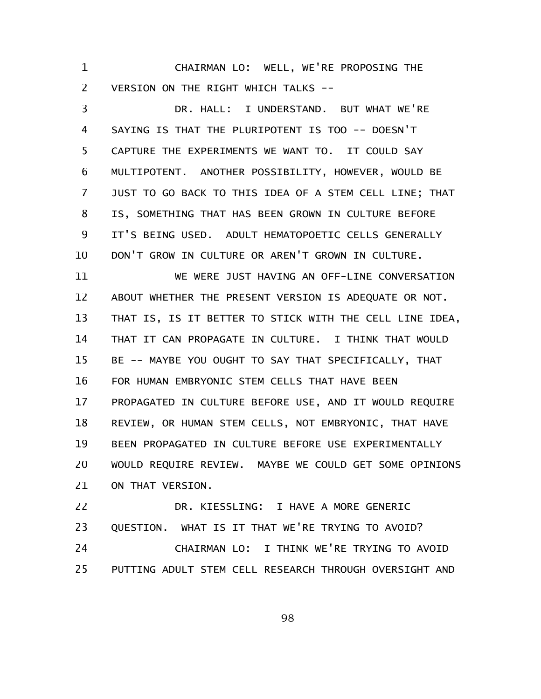CHAIRMAN LO: WELL, WE'RE PROPOSING THE VERSION ON THE RIGHT WHICH TALKS -- 1 2

DR. HALL: I UNDERSTAND. BUT WHAT WE'RE SAYING IS THAT THE PLURIPOTENT IS TOO -- DOESN'T CAPTURE THE EXPERIMENTS WE WANT TO. IT COULD SAY MULTIPOTENT. ANOTHER POSSIBILITY, HOWEVER, WOULD BE JUST TO GO BACK TO THIS IDEA OF A STEM CELL LINE; THAT IS, SOMETHING THAT HAS BEEN GROWN IN CULTURE BEFORE IT'S BEING USED. ADULT HEMATOPOETIC CELLS GENERALLY DON'T GROW IN CULTURE OR AREN'T GROWN IN CULTURE. 3 4 5 6 7 8 9 10

WE WERE JUST HAVING AN OFF-LINE CONVERSATION ABOUT WHETHER THE PRESENT VERSION IS ADEQUATE OR NOT. THAT IS, IS IT BETTER TO STICK WITH THE CELL LINE IDEA, THAT IT CAN PROPAGATE IN CULTURE. I THINK THAT WOULD BE -- MAYBE YOU OUGHT TO SAY THAT SPECIFICALLY, THAT FOR HUMAN EMBRYONIC STEM CELLS THAT HAVE BEEN PROPAGATED IN CULTURE BEFORE USE, AND IT WOULD REQUIRE REVIEW, OR HUMAN STEM CELLS, NOT EMBRYONIC, THAT HAVE BEEN PROPAGATED IN CULTURE BEFORE USE EXPERIMENTALLY WOULD REQUIRE REVIEW. MAYBE WE COULD GET SOME OPINIONS ON THAT VERSION. 11 12 13 14 15 16 17 18 19 20 21

DR. KIESSLING: I HAVE A MORE GENERIC QUESTION. WHAT IS IT THAT WE'RE TRYING TO AVOID? CHAIRMAN LO: I THINK WE'RE TRYING TO AVOID PUTTING ADULT STEM CELL RESEARCH THROUGH OVERSIGHT AND 22 23 24 25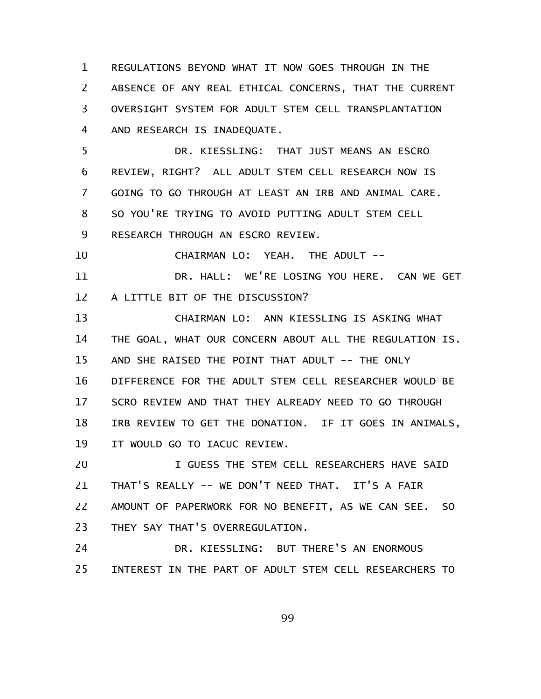REGULATIONS BEYOND WHAT IT NOW GOES THROUGH IN THE ABSENCE OF ANY REAL ETHICAL CONCERNS, THAT THE CURRENT OVERSIGHT SYSTEM FOR ADULT STEM CELL TRANSPLANTATION AND RESEARCH IS INADEQUATE. 1 2 3 4

DR. KIESSLING: THAT JUST MEANS AN ESCRO REVIEW, RIGHT? ALL ADULT STEM CELL RESEARCH NOW IS GOING TO GO THROUGH AT LEAST AN IRB AND ANIMAL CARE. SO YOU'RE TRYING TO AVOID PUTTING ADULT STEM CELL RESEARCH THROUGH AN ESCRO REVIEW. 5 6 7 8 9

CHAIRMAN LO: YEAH. THE ADULT -- 10

DR. HALL: WE'RE LOSING YOU HERE. CAN WE GET A LITTLE BIT OF THE DISCUSSION? 11 12

CHAIRMAN LO: ANN KIESSLING IS ASKING WHAT THE GOAL, WHAT OUR CONCERN ABOUT ALL THE REGULATION IS. AND SHE RAISED THE POINT THAT ADULT -- THE ONLY DIFFERENCE FOR THE ADULT STEM CELL RESEARCHER WOULD BE SCRO REVIEW AND THAT THEY ALREADY NEED TO GO THROUGH IRB REVIEW TO GET THE DONATION. IF IT GOES IN ANIMALS, IT WOULD GO TO IACUC REVIEW. 13 14 15 16 17 18 19

I GUESS THE STEM CELL RESEARCHERS HAVE SAID THAT'S REALLY -- WE DON'T NEED THAT. IT'S A FAIR AMOUNT OF PAPERWORK FOR NO BENEFIT, AS WE CAN SEE. SO THEY SAY THAT'S OVERREGULATION. 20 21 22 23

DR. KIESSLING: BUT THERE'S AN ENORMOUS INTEREST IN THE PART OF ADULT STEM CELL RESEARCHERS TO 24 25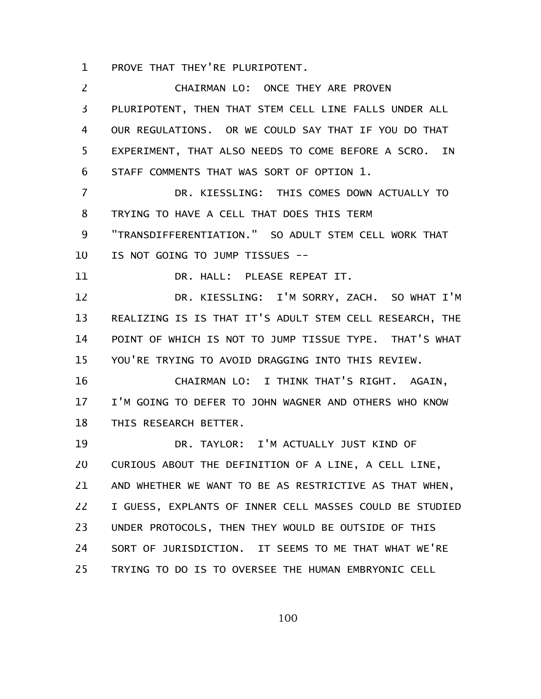PROVE THAT THEY'RE PLURIPOTENT. 1

CHAIRMAN LO: ONCE THEY ARE PROVEN PLURIPOTENT, THEN THAT STEM CELL LINE FALLS UNDER ALL OUR REGULATIONS. OR WE COULD SAY THAT IF YOU DO THAT EXPERIMENT, THAT ALSO NEEDS TO COME BEFORE A SCRO. IN STAFF COMMENTS THAT WAS SORT OF OPTION 1. DR. KIESSLING: THIS COMES DOWN ACTUALLY TO TRYING TO HAVE A CELL THAT DOES THIS TERM "TRANSDIFFERENTIATION." SO ADULT STEM CELL WORK THAT IS NOT GOING TO JUMP TISSUES -- DR. HALL: PLEASE REPEAT IT. DR. KIESSLING: I'M SORRY, ZACH. SO WHAT I'M REALIZING IS IS THAT IT'S ADULT STEM CELL RESEARCH, THE POINT OF WHICH IS NOT TO JUMP TISSUE TYPE. THAT'S WHAT YOU'RE TRYING TO AVOID DRAGGING INTO THIS REVIEW. CHAIRMAN LO: I THINK THAT'S RIGHT. AGAIN, I'M GOING TO DEFER TO JOHN WAGNER AND OTHERS WHO KNOW THIS RESEARCH BETTER. DR. TAYLOR: I'M ACTUALLY JUST KIND OF CURIOUS ABOUT THE DEFINITION OF A LINE, A CELL LINE, AND WHETHER WE WANT TO BE AS RESTRICTIVE AS THAT WHEN, I GUESS, EXPLANTS OF INNER CELL MASSES COULD BE STUDIED UNDER PROTOCOLS, THEN THEY WOULD BE OUTSIDE OF THIS SORT OF JURISDICTION. IT SEEMS TO ME THAT WHAT WE'RE TRYING TO DO IS TO OVERSEE THE HUMAN EMBRYONIC CELL 2 3 4 5 6 7 8 9 10 11 12 13 14 15 16 17 18 19 20 21 22 23 24 25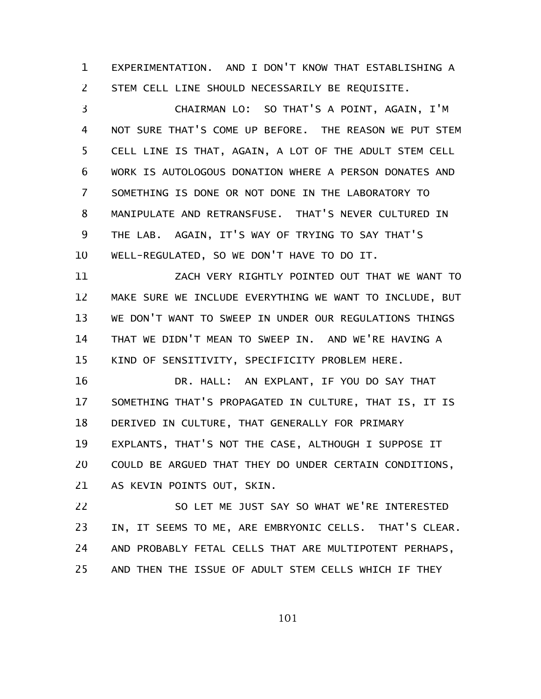EXPERIMENTATION. AND I DON'T KNOW THAT ESTABLISHING A STEM CELL LINE SHOULD NECESSARILY BE REQUISITE. 1 2

CHAIRMAN LO: SO THAT'S A POINT, AGAIN, I'M NOT SURE THAT'S COME UP BEFORE. THE REASON WE PUT STEM CELL LINE IS THAT, AGAIN, A LOT OF THE ADULT STEM CELL WORK IS AUTOLOGOUS DONATION WHERE A PERSON DONATES AND SOMETHING IS DONE OR NOT DONE IN THE LABORATORY TO MANIPULATE AND RETRANSFUSE. THAT'S NEVER CULTURED IN THE LAB. AGAIN, IT'S WAY OF TRYING TO SAY THAT'S WELL-REGULATED, SO WE DON'T HAVE TO DO IT. 3 4 5 6 7 8 9 10

ZACH VERY RIGHTLY POINTED OUT THAT WE WANT TO MAKE SURE WE INCLUDE EVERYTHING WE WANT TO INCLUDE, BUT WE DON'T WANT TO SWEEP IN UNDER OUR REGULATIONS THINGS THAT WE DIDN'T MEAN TO SWEEP IN. AND WE'RE HAVING A KIND OF SENSITIVITY, SPECIFICITY PROBLEM HERE. 11 12 13 14 15

DR. HALL: AN EXPLANT, IF YOU DO SAY THAT SOMETHING THAT'S PROPAGATED IN CULTURE, THAT IS, IT IS DERIVED IN CULTURE, THAT GENERALLY FOR PRIMARY EXPLANTS, THAT'S NOT THE CASE, ALTHOUGH I SUPPOSE IT COULD BE ARGUED THAT THEY DO UNDER CERTAIN CONDITIONS, AS KEVIN POINTS OUT, SKIN. 16 17 18 19 20 21

SO LET ME JUST SAY SO WHAT WE'RE INTERESTED IN, IT SEEMS TO ME, ARE EMBRYONIC CELLS. THAT'S CLEAR. AND PROBABLY FETAL CELLS THAT ARE MULTIPOTENT PERHAPS, AND THEN THE ISSUE OF ADULT STEM CELLS WHICH IF THEY 22 23 24 25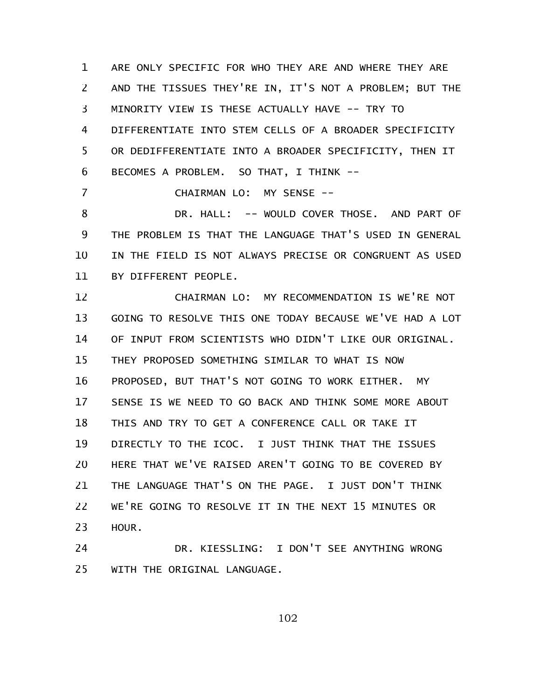ARE ONLY SPECIFIC FOR WHO THEY ARE AND WHERE THEY ARE AND THE TISSUES THEY'RE IN, IT'S NOT A PROBLEM; BUT THE MINORITY VIEW IS THESE ACTUALLY HAVE -- TRY TO DIFFERENTIATE INTO STEM CELLS OF A BROADER SPECIFICITY OR DEDIFFERENTIATE INTO A BROADER SPECIFICITY, THEN IT BECOMES A PROBLEM. SO THAT, I THINK -- 1 2 3 4 5 6

CHAIRMAN LO: MY SENSE --

7

DR. HALL: -- WOULD COVER THOSE. AND PART OF THE PROBLEM IS THAT THE LANGUAGE THAT'S USED IN GENERAL IN THE FIELD IS NOT ALWAYS PRECISE OR CONGRUENT AS USED BY DIFFERENT PEOPLE. 8 9 10 11

CHAIRMAN LO: MY RECOMMENDATION IS WE'RE NOT GOING TO RESOLVE THIS ONE TODAY BECAUSE WE'VE HAD A LOT OF INPUT FROM SCIENTISTS WHO DIDN'T LIKE OUR ORIGINAL. THEY PROPOSED SOMETHING SIMILAR TO WHAT IS NOW PROPOSED, BUT THAT'S NOT GOING TO WORK EITHER. MY SENSE IS WE NEED TO GO BACK AND THINK SOME MORE ABOUT THIS AND TRY TO GET A CONFERENCE CALL OR TAKE IT DIRECTLY TO THE ICOC. I JUST THINK THAT THE ISSUES HERE THAT WE'VE RAISED AREN'T GOING TO BE COVERED BY THE LANGUAGE THAT'S ON THE PAGE. I JUST DON'T THINK WE'RE GOING TO RESOLVE IT IN THE NEXT 15 MINUTES OR HOUR. 12 13 14 15 16 17 18 19 20 21 22 23

DR. KIESSLING: I DON'T SEE ANYTHING WRONG WITH THE ORIGINAL LANGUAGE. 24 25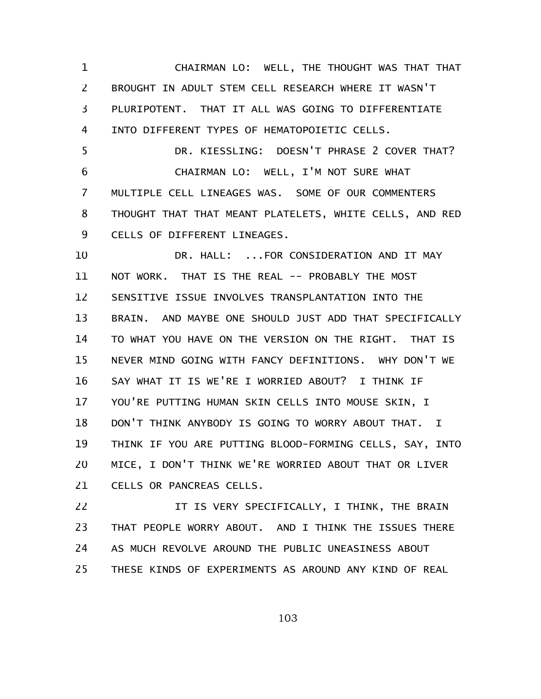CHAIRMAN LO: WELL, THE THOUGHT WAS THAT THAT BROUGHT IN ADULT STEM CELL RESEARCH WHERE IT WASN'T PLURIPOTENT. THAT IT ALL WAS GOING TO DIFFERENTIATE INTO DIFFERENT TYPES OF HEMATOPOIETIC CELLS. 1 2 3 4

DR. KIESSLING: DOESN'T PHRASE 2 COVER THAT? CHAIRMAN LO: WELL, I'M NOT SURE WHAT MULTIPLE CELL LINEAGES WAS. SOME OF OUR COMMENTERS THOUGHT THAT THAT MEANT PLATELETS, WHITE CELLS, AND RED CELLS OF DIFFERENT LINEAGES. 5 6 7 8 9

DR. HALL: ...FOR CONSIDERATION AND IT MAY NOT WORK. THAT IS THE REAL -- PROBABLY THE MOST SENSITIVE ISSUE INVOLVES TRANSPLANTATION INTO THE BRAIN. AND MAYBE ONE SHOULD JUST ADD THAT SPECIFICALLY TO WHAT YOU HAVE ON THE VERSION ON THE RIGHT. THAT IS NEVER MIND GOING WITH FANCY DEFINITIONS. WHY DON'T WE SAY WHAT IT IS WE'RE I WORRIED ABOUT? I THINK IF YOU'RE PUTTING HUMAN SKIN CELLS INTO MOUSE SKIN, I DON'T THINK ANYBODY IS GOING TO WORRY ABOUT THAT. I THINK IF YOU ARE PUTTING BLOOD-FORMING CELLS, SAY, INTO MICE, I DON'T THINK WE'RE WORRIED ABOUT THAT OR LIVER CELLS OR PANCREAS CELLS. 10 11 12 13 14 15 16 17 18 19 20 21

IT IS VERY SPECIFICALLY, I THINK, THE BRAIN THAT PEOPLE WORRY ABOUT. AND I THINK THE ISSUES THERE AS MUCH REVOLVE AROUND THE PUBLIC UNEASINESS ABOUT THESE KINDS OF EXPERIMENTS AS AROUND ANY KIND OF REAL 22 23 24 25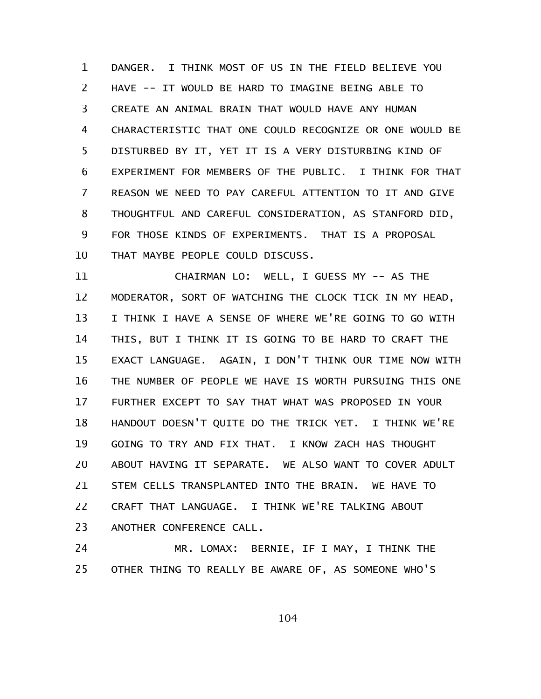DANGER. I THINK MOST OF US IN THE FIELD BELIEVE YOU HAVE -- IT WOULD BE HARD TO IMAGINE BEING ABLE TO CREATE AN ANIMAL BRAIN THAT WOULD HAVE ANY HUMAN CHARACTERISTIC THAT ONE COULD RECOGNIZE OR ONE WOULD BE DISTURBED BY IT, YET IT IS A VERY DISTURBING KIND OF EXPERIMENT FOR MEMBERS OF THE PUBLIC. I THINK FOR THAT REASON WE NEED TO PAY CAREFUL ATTENTION TO IT AND GIVE THOUGHTFUL AND CAREFUL CONSIDERATION, AS STANFORD DID, FOR THOSE KINDS OF EXPERIMENTS. THAT IS A PROPOSAL THAT MAYBE PEOPLE COULD DISCUSS. 1 2 3 4 5 6 7 8 9 10

CHAIRMAN LO: WELL, I GUESS MY -- AS THE MODERATOR, SORT OF WATCHING THE CLOCK TICK IN MY HEAD, I THINK I HAVE A SENSE OF WHERE WE'RE GOING TO GO WITH THIS, BUT I THINK IT IS GOING TO BE HARD TO CRAFT THE EXACT LANGUAGE. AGAIN, I DON'T THINK OUR TIME NOW WITH THE NUMBER OF PEOPLE WE HAVE IS WORTH PURSUING THIS ONE FURTHER EXCEPT TO SAY THAT WHAT WAS PROPOSED IN YOUR HANDOUT DOESN'T QUITE DO THE TRICK YET. I THINK WE'RE GOING TO TRY AND FIX THAT. I KNOW ZACH HAS THOUGHT ABOUT HAVING IT SEPARATE. WE ALSO WANT TO COVER ADULT STEM CELLS TRANSPLANTED INTO THE BRAIN. WE HAVE TO CRAFT THAT LANGUAGE. I THINK WE'RE TALKING ABOUT ANOTHER CONFERENCE CALL. 11 12 13 14 15 16 17 18 19 20 21 22 23

MR. LOMAX: BERNIE, IF I MAY, I THINK THE OTHER THING TO REALLY BE AWARE OF, AS SOMEONE WHO'S 24 25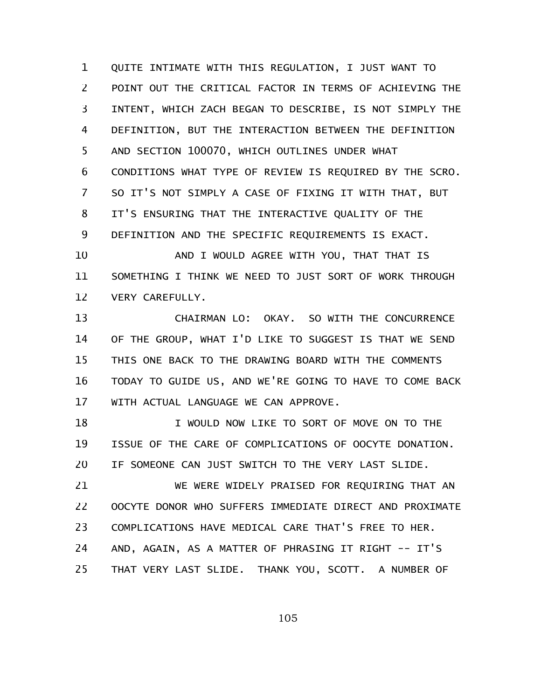QUITE INTIMATE WITH THIS REGULATION, I JUST WANT TO POINT OUT THE CRITICAL FACTOR IN TERMS OF ACHIEVING THE INTENT, WHICH ZACH BEGAN TO DESCRIBE, IS NOT SIMPLY THE DEFINITION, BUT THE INTERACTION BETWEEN THE DEFINITION AND SECTION 100070, WHICH OUTLINES UNDER WHAT CONDITIONS WHAT TYPE OF REVIEW IS REQUIRED BY THE SCRO. SO IT'S NOT SIMPLY A CASE OF FIXING IT WITH THAT, BUT IT'S ENSURING THAT THE INTERACTIVE QUALITY OF THE DEFINITION AND THE SPECIFIC REQUIREMENTS IS EXACT. 1 2 3 4 5 6 7 8 9

AND I WOULD AGREE WITH YOU, THAT THAT IS SOMETHING I THINK WE NEED TO JUST SORT OF WORK THROUGH VERY CAREFULLY. 10 11 12

CHAIRMAN LO: OKAY. SO WITH THE CONCURRENCE OF THE GROUP, WHAT I'D LIKE TO SUGGEST IS THAT WE SEND THIS ONE BACK TO THE DRAWING BOARD WITH THE COMMENTS TODAY TO GUIDE US, AND WE'RE GOING TO HAVE TO COME BACK WITH ACTUAL LANGUAGE WE CAN APPROVE. 13 14 15 16 17

I WOULD NOW LIKE TO SORT OF MOVE ON TO THE ISSUE OF THE CARE OF COMPLICATIONS OF OOCYTE DONATION. IF SOMEONE CAN JUST SWITCH TO THE VERY LAST SLIDE. 18 19 20

WE WERE WIDELY PRAISED FOR REQUIRING THAT AN OOCYTE DONOR WHO SUFFERS IMMEDIATE DIRECT AND PROXIMATE COMPLICATIONS HAVE MEDICAL CARE THAT'S FREE TO HER. AND, AGAIN, AS A MATTER OF PHRASING IT RIGHT -- IT'S THAT VERY LAST SLIDE. THANK YOU, SCOTT. A NUMBER OF 21 22 23 24 25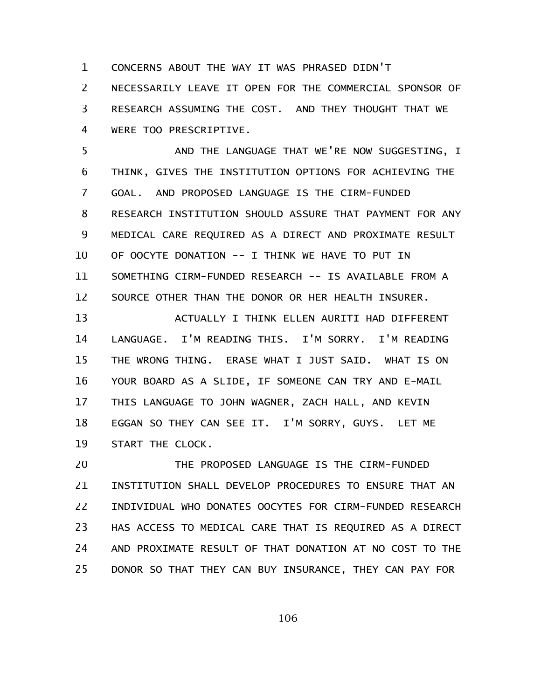CONCERNS ABOUT THE WAY IT WAS PHRASED DIDN'T NECESSARILY LEAVE IT OPEN FOR THE COMMERCIAL SPONSOR OF RESEARCH ASSUMING THE COST. AND THEY THOUGHT THAT WE WERE TOO PRESCRIPTIVE. 1 2 3 4

AND THE LANGUAGE THAT WE'RE NOW SUGGESTING, I THINK, GIVES THE INSTITUTION OPTIONS FOR ACHIEVING THE GOAL. AND PROPOSED LANGUAGE IS THE CIRM-FUNDED RESEARCH INSTITUTION SHOULD ASSURE THAT PAYMENT FOR ANY MEDICAL CARE REQUIRED AS A DIRECT AND PROXIMATE RESULT OF OOCYTE DONATION -- I THINK WE HAVE TO PUT IN SOMETHING CIRM-FUNDED RESEARCH -- IS AVAILABLE FROM A SOURCE OTHER THAN THE DONOR OR HER HEALTH INSURER. 5 6 7 8 9 10 11 12

ACTUALLY I THINK ELLEN AURITI HAD DIFFERENT LANGUAGE. I'M READING THIS. I'M SORRY. I'M READING THE WRONG THING. ERASE WHAT I JUST SAID. WHAT IS ON YOUR BOARD AS A SLIDE, IF SOMEONE CAN TRY AND E-MAIL THIS LANGUAGE TO JOHN WAGNER, ZACH HALL, AND KEVIN EGGAN SO THEY CAN SEE IT. I'M SORRY, GUYS. LET ME START THE CLOCK. 13 14 15 16 17 18 19

THE PROPOSED LANGUAGE IS THE CIRM-FUNDED INSTITUTION SHALL DEVELOP PROCEDURES TO ENSURE THAT AN INDIVIDUAL WHO DONATES OOCYTES FOR CIRM-FUNDED RESEARCH HAS ACCESS TO MEDICAL CARE THAT IS REQUIRED AS A DIRECT AND PROXIMATE RESULT OF THAT DONATION AT NO COST TO THE DONOR SO THAT THEY CAN BUY INSURANCE, THEY CAN PAY FOR 20 21 22 23 24 25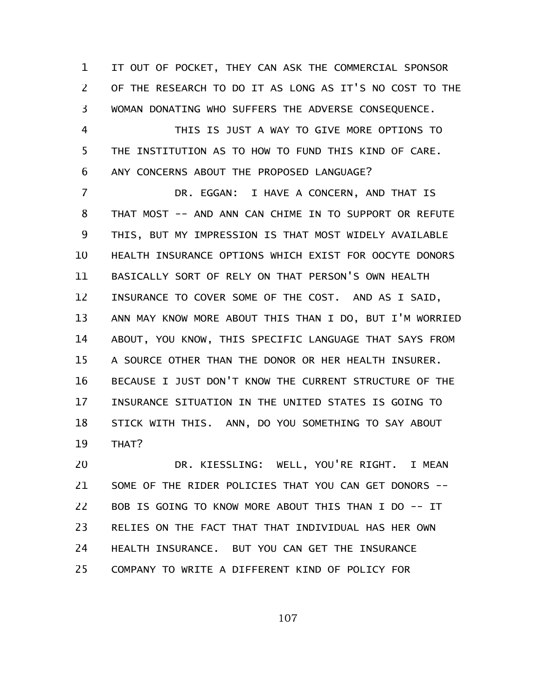IT OUT OF POCKET, THEY CAN ASK THE COMMERCIAL SPONSOR OF THE RESEARCH TO DO IT AS LONG AS IT'S NO COST TO THE WOMAN DONATING WHO SUFFERS THE ADVERSE CONSEQUENCE. 1 2 3

THIS IS JUST A WAY TO GIVE MORE OPTIONS TO THE INSTITUTION AS TO HOW TO FUND THIS KIND OF CARE. ANY CONCERNS ABOUT THE PROPOSED LANGUAGE? 4 5 6

DR. EGGAN: I HAVE A CONCERN, AND THAT IS THAT MOST -- AND ANN CAN CHIME IN TO SUPPORT OR REFUTE THIS, BUT MY IMPRESSION IS THAT MOST WIDELY AVAILABLE HEALTH INSURANCE OPTIONS WHICH EXIST FOR OOCYTE DONORS BASICALLY SORT OF RELY ON THAT PERSON'S OWN HEALTH INSURANCE TO COVER SOME OF THE COST. AND AS I SAID, ANN MAY KNOW MORE ABOUT THIS THAN I DO, BUT I'M WORRIED ABOUT, YOU KNOW, THIS SPECIFIC LANGUAGE THAT SAYS FROM A SOURCE OTHER THAN THE DONOR OR HER HEALTH INSURER. BECAUSE I JUST DON'T KNOW THE CURRENT STRUCTURE OF THE INSURANCE SITUATION IN THE UNITED STATES IS GOING TO STICK WITH THIS. ANN, DO YOU SOMETHING TO SAY ABOUT THAT? 7 8 9 10 11 12 13 14 15 16 17 18 19

DR. KIESSLING: WELL, YOU'RE RIGHT. I MEAN SOME OF THE RIDER POLICIES THAT YOU CAN GET DONORS -- BOB IS GOING TO KNOW MORE ABOUT THIS THAN I DO -- IT RELIES ON THE FACT THAT THAT INDIVIDUAL HAS HER OWN HEALTH INSURANCE. BUT YOU CAN GET THE INSURANCE COMPANY TO WRITE A DIFFERENT KIND OF POLICY FOR 20 21 22 23 24 25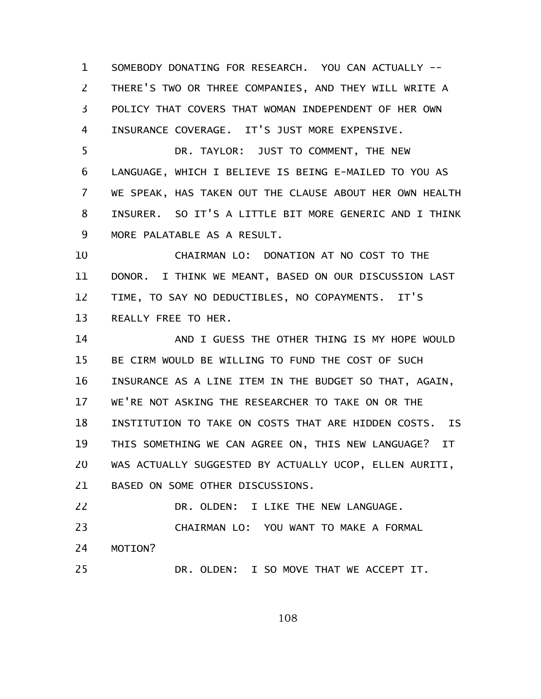SOMEBODY DONATING FOR RESEARCH. YOU CAN ACTUALLY -- THERE'S TWO OR THREE COMPANIES, AND THEY WILL WRITE A POLICY THAT COVERS THAT WOMAN INDEPENDENT OF HER OWN INSURANCE COVERAGE. IT'S JUST MORE EXPENSIVE. 1 2 3 4

DR. TAYLOR: JUST TO COMMENT, THE NEW LANGUAGE, WHICH I BELIEVE IS BEING E-MAILED TO YOU AS WE SPEAK, HAS TAKEN OUT THE CLAUSE ABOUT HER OWN HEALTH INSURER. SO IT'S A LITTLE BIT MORE GENERIC AND I THINK MORE PALATABLE AS A RESULT. 5 6 7 8 9

CHAIRMAN LO: DONATION AT NO COST TO THE DONOR. I THINK WE MEANT, BASED ON OUR DISCUSSION LAST TIME, TO SAY NO DEDUCTIBLES, NO COPAYMENTS. IT'S REALLY FREE TO HER. 10 11 12 13

AND I GUESS THE OTHER THING IS MY HOPE WOULD BE CIRM WOULD BE WILLING TO FUND THE COST OF SUCH INSURANCE AS A LINE ITEM IN THE BUDGET SO THAT, AGAIN, WE'RE NOT ASKING THE RESEARCHER TO TAKE ON OR THE INSTITUTION TO TAKE ON COSTS THAT ARE HIDDEN COSTS. IS THIS SOMETHING WE CAN AGREE ON, THIS NEW LANGUAGE? IT WAS ACTUALLY SUGGESTED BY ACTUALLY UCOP, ELLEN AURITI, BASED ON SOME OTHER DISCUSSIONS. 14 15 16 17 18 19 20 21

DR. OLDEN: I LIKE THE NEW LANGUAGE. 22

25

CHAIRMAN LO: YOU WANT TO MAKE A FORMAL MOTION? 23 24

DR. OLDEN: I SO MOVE THAT WE ACCEPT IT.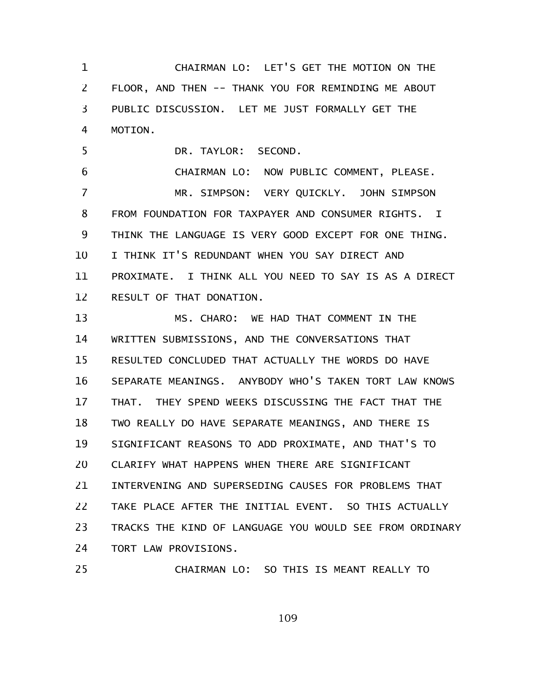CHAIRMAN LO: LET'S GET THE MOTION ON THE FLOOR, AND THEN -- THANK YOU FOR REMINDING ME ABOUT PUBLIC DISCUSSION. LET ME JUST FORMALLY GET THE MOTION. 1 2 3 4

DR. TAYLOR: SECOND. 5

CHAIRMAN LO: NOW PUBLIC COMMENT, PLEASE. MR. SIMPSON: VERY QUICKLY. JOHN SIMPSON FROM FOUNDATION FOR TAXPAYER AND CONSUMER RIGHTS. I THINK THE LANGUAGE IS VERY GOOD EXCEPT FOR ONE THING. I THINK IT'S REDUNDANT WHEN YOU SAY DIRECT AND PROXIMATE. I THINK ALL YOU NEED TO SAY IS AS A DIRECT RESULT OF THAT DONATION. 6 7 8 9 10 11 12

MS. CHARO: WE HAD THAT COMMENT IN THE WRITTEN SUBMISSIONS, AND THE CONVERSATIONS THAT RESULTED CONCLUDED THAT ACTUALLY THE WORDS DO HAVE SEPARATE MEANINGS. ANYBODY WHO'S TAKEN TORT LAW KNOWS THAT. THEY SPEND WEEKS DISCUSSING THE FACT THAT THE TWO REALLY DO HAVE SEPARATE MEANINGS, AND THERE IS SIGNIFICANT REASONS TO ADD PROXIMATE, AND THAT'S TO CLARIFY WHAT HAPPENS WHEN THERE ARE SIGNIFICANT INTERVENING AND SUPERSEDING CAUSES FOR PROBLEMS THAT TAKE PLACE AFTER THE INITIAL EVENT. SO THIS ACTUALLY TRACKS THE KIND OF LANGUAGE YOU WOULD SEE FROM ORDINARY TORT LAW PROVISIONS. 13 14 15 16 17 18 19 20 21 22 23 24

CHAIRMAN LO: SO THIS IS MEANT REALLY TO

25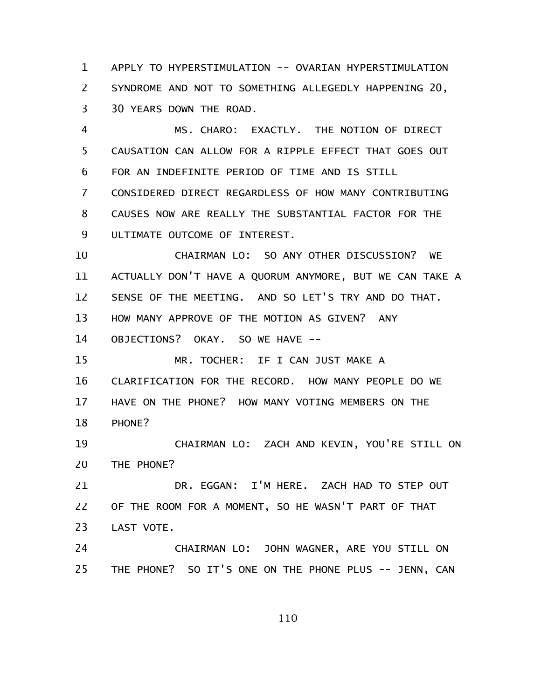APPLY TO HYPERSTIMULATION -- OVARIAN HYPERSTIMULATION SYNDROME AND NOT TO SOMETHING ALLEGEDLY HAPPENING 20, 30 YEARS DOWN THE ROAD. 1 2 3

MS. CHARO: EXACTLY. THE NOTION OF DIRECT CAUSATION CAN ALLOW FOR A RIPPLE EFFECT THAT GOES OUT FOR AN INDEFINITE PERIOD OF TIME AND IS STILL CONSIDERED DIRECT REGARDLESS OF HOW MANY CONTRIBUTING CAUSES NOW ARE REALLY THE SUBSTANTIAL FACTOR FOR THE ULTIMATE OUTCOME OF INTEREST. 4 5 6 7 8 9

CHAIRMAN LO: SO ANY OTHER DISCUSSION? WE ACTUALLY DON'T HAVE A QUORUM ANYMORE, BUT WE CAN TAKE A SENSE OF THE MEETING. AND SO LET'S TRY AND DO THAT. HOW MANY APPROVE OF THE MOTION AS GIVEN? ANY OBJECTIONS? OKAY. SO WE HAVE -- 10 11 12 13 14

MR. TOCHER: IF I CAN JUST MAKE A CLARIFICATION FOR THE RECORD. HOW MANY PEOPLE DO WE HAVE ON THE PHONE? HOW MANY VOTING MEMBERS ON THE PHONE? 15 16 17 18

CHAIRMAN LO: ZACH AND KEVIN, YOU'RE STILL ON THE PHONE? 19 20

DR. EGGAN: I'M HERE. ZACH HAD TO STEP OUT OF THE ROOM FOR A MOMENT, SO HE WASN'T PART OF THAT LAST VOTE. 21 22 23

CHAIRMAN LO: JOHN WAGNER, ARE YOU STILL ON THE PHONE? SO IT'S ONE ON THE PHONE PLUS -- JENN, CAN 24 25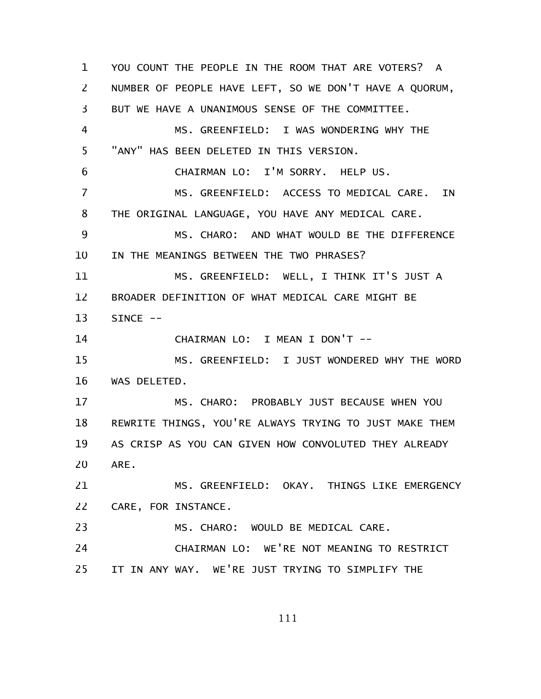YOU COUNT THE PEOPLE IN THE ROOM THAT ARE VOTERS? A NUMBER OF PEOPLE HAVE LEFT, SO WE DON'T HAVE A QUORUM, BUT WE HAVE A UNANIMOUS SENSE OF THE COMMITTEE. MS. GREENFIELD: I WAS WONDERING WHY THE "ANY" HAS BEEN DELETED IN THIS VERSION. CHAIRMAN LO: I'M SORRY. HELP US. MS. GREENFIELD: ACCESS TO MEDICAL CARE. IN THE ORIGINAL LANGUAGE, YOU HAVE ANY MEDICAL CARE. MS. CHARO: AND WHAT WOULD BE THE DIFFERENCE IN THE MEANINGS BETWEEN THE TWO PHRASES? MS. GREENFIELD: WELL, I THINK IT'S JUST A BROADER DEFINITION OF WHAT MEDICAL CARE MIGHT BE SINCE -- CHAIRMAN LO: I MEAN I DON'T -- MS. GREENFIELD: I JUST WONDERED WHY THE WORD WAS DELETED. MS. CHARO: PROBABLY JUST BECAUSE WHEN YOU REWRITE THINGS, YOU'RE ALWAYS TRYING TO JUST MAKE THEM AS CRISP AS YOU CAN GIVEN HOW CONVOLUTED THEY ALREADY ARE. MS. GREENFIELD: OKAY. THINGS LIKE EMERGENCY CARE, FOR INSTANCE. MS. CHARO: WOULD BE MEDICAL CARE. CHAIRMAN LO: WE'RE NOT MEANING TO RESTRICT IT IN ANY WAY. WE'RE JUST TRYING TO SIMPLIFY THE 1 2 3 4 5 6 7 8 9 10 11 12 13 14 15 16 17 18 19 20 21 22 23 24 25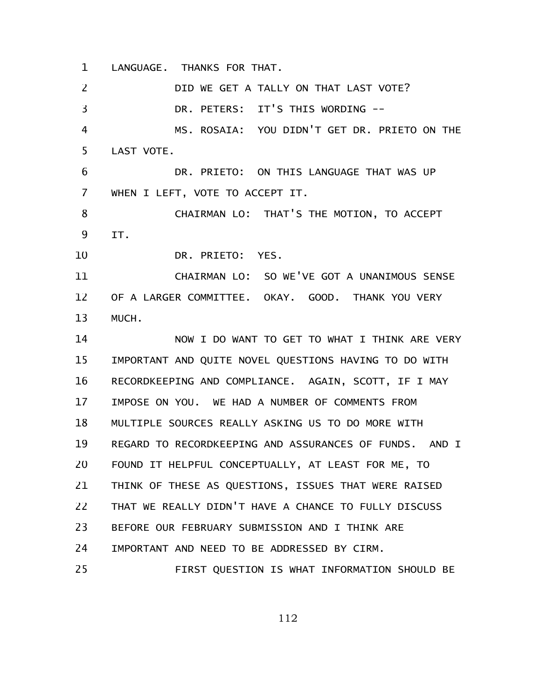LANGUAGE. THANKS FOR THAT. 1

DID WE GET A TALLY ON THAT LAST VOTE? DR. PETERS: IT'S THIS WORDING -- MS. ROSAIA: YOU DIDN'T GET DR. PRIETO ON THE LAST VOTE. DR. PRIETO: ON THIS LANGUAGE THAT WAS UP WHEN I LEFT, VOTE TO ACCEPT IT. CHAIRMAN LO: THAT'S THE MOTION, TO ACCEPT IT. DR. PRIETO: YES. CHAIRMAN LO: SO WE'VE GOT A UNANIMOUS SENSE OF A LARGER COMMITTEE. OKAY. GOOD. THANK YOU VERY MUCH. NOW I DO WANT TO GET TO WHAT I THINK ARE VERY IMPORTANT AND QUITE NOVEL QUESTIONS HAVING TO DO WITH RECORDKEEPING AND COMPLIANCE. AGAIN, SCOTT, IF I MAY IMPOSE ON YOU. WE HAD A NUMBER OF COMMENTS FROM MULTIPLE SOURCES REALLY ASKING US TO DO MORE WITH REGARD TO RECORDKEEPING AND ASSURANCES OF FUNDS. AND I FOUND IT HELPFUL CONCEPTUALLY, AT LEAST FOR ME, TO THINK OF THESE AS QUESTIONS, ISSUES THAT WERE RAISED THAT WE REALLY DIDN'T HAVE A CHANCE TO FULLY DISCUSS BEFORE OUR FEBRUARY SUBMISSION AND I THINK ARE IMPORTANT AND NEED TO BE ADDRESSED BY CIRM. FIRST QUESTION IS WHAT INFORMATION SHOULD BE 2 3 4 5 6 7 8 9 10 11 12 13 14 15 16 17 18 19 20 21 22 23 24 25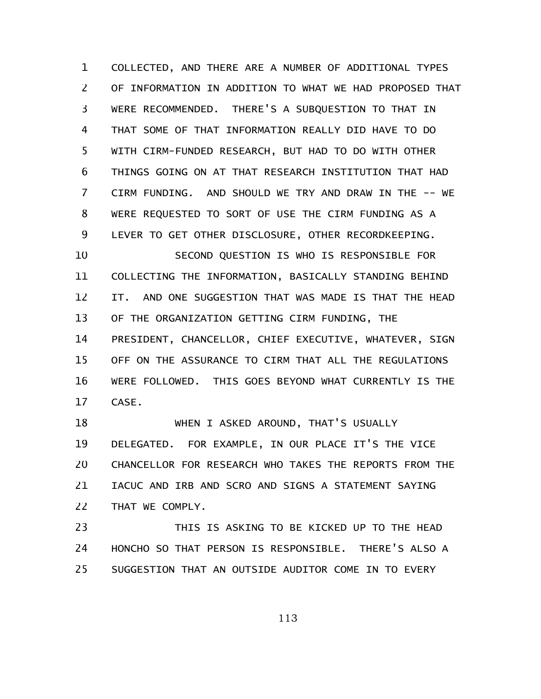COLLECTED, AND THERE ARE A NUMBER OF ADDITIONAL TYPES OF INFORMATION IN ADDITION TO WHAT WE HAD PROPOSED THAT WERE RECOMMENDED. THERE'S A SUBQUESTION TO THAT IN THAT SOME OF THAT INFORMATION REALLY DID HAVE TO DO WITH CIRM-FUNDED RESEARCH, BUT HAD TO DO WITH OTHER THINGS GOING ON AT THAT RESEARCH INSTITUTION THAT HAD CIRM FUNDING. AND SHOULD WE TRY AND DRAW IN THE -- WE WERE REQUESTED TO SORT OF USE THE CIRM FUNDING AS A LEVER TO GET OTHER DISCLOSURE, OTHER RECORDKEEPING. SECOND QUESTION IS WHO IS RESPONSIBLE FOR COLLECTING THE INFORMATION, BASICALLY STANDING BEHIND IT. AND ONE SUGGESTION THAT WAS MADE IS THAT THE HEAD OF THE ORGANIZATION GETTING CIRM FUNDING, THE PRESIDENT, CHANCELLOR, CHIEF EXECUTIVE, WHATEVER, SIGN OFF ON THE ASSURANCE TO CIRM THAT ALL THE REGULATIONS WERE FOLLOWED. THIS GOES BEYOND WHAT CURRENTLY IS THE 1 2 3 4 5 6 7 8 9 10 11 12 13 14 15 16

CASE. 17

WHEN I ASKED AROUND, THAT'S USUALLY DELEGATED. FOR EXAMPLE, IN OUR PLACE IT'S THE VICE CHANCELLOR FOR RESEARCH WHO TAKES THE REPORTS FROM THE IACUC AND IRB AND SCRO AND SIGNS A STATEMENT SAYING THAT WE COMPLY. 18 19 20 21 22

THIS IS ASKING TO BE KICKED UP TO THE HEAD HONCHO SO THAT PERSON IS RESPONSIBLE. THERE'S ALSO A SUGGESTION THAT AN OUTSIDE AUDITOR COME IN TO EVERY 23 24 25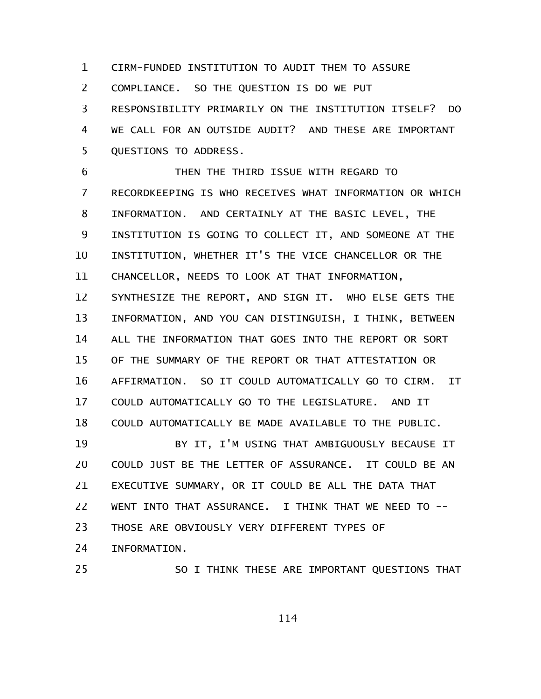CIRM-FUNDED INSTITUTION TO AUDIT THEM TO ASSURE 1

COMPLIANCE. SO THE QUESTION IS DO WE PUT 2

RESPONSIBILITY PRIMARILY ON THE INSTITUTION ITSELF? DO WE CALL FOR AN OUTSIDE AUDIT? AND THESE ARE IMPORTANT QUESTIONS TO ADDRESS. 3 4 5

THEN THE THIRD ISSUE WITH REGARD TO RECORDKEEPING IS WHO RECEIVES WHAT INFORMATION OR WHICH INFORMATION. AND CERTAINLY AT THE BASIC LEVEL, THE INSTITUTION IS GOING TO COLLECT IT, AND SOMEONE AT THE INSTITUTION, WHETHER IT'S THE VICE CHANCELLOR OR THE CHANCELLOR, NEEDS TO LOOK AT THAT INFORMATION, SYNTHESIZE THE REPORT, AND SIGN IT. WHO ELSE GETS THE INFORMATION, AND YOU CAN DISTINGUISH, I THINK, BETWEEN ALL THE INFORMATION THAT GOES INTO THE REPORT OR SORT OF THE SUMMARY OF THE REPORT OR THAT ATTESTATION OR AFFIRMATION. SO IT COULD AUTOMATICALLY GO TO CIRM. IT COULD AUTOMATICALLY GO TO THE LEGISLATURE. AND IT COULD AUTOMATICALLY BE MADE AVAILABLE TO THE PUBLIC. BY IT, I'M USING THAT AMBIGUOUSLY BECAUSE IT COULD JUST BE THE LETTER OF ASSURANCE. IT COULD BE AN 6 7 8 9 10 11 12 13 14 15 16 17 18 19 20

EXECUTIVE SUMMARY, OR IT COULD BE ALL THE DATA THAT WENT INTO THAT ASSURANCE. I THINK THAT WE NEED TO -- THOSE ARE OBVIOUSLY VERY DIFFERENT TYPES OF INFORMATION. 21 22 23 24

25

SO I THINK THESE ARE IMPORTANT QUESTIONS THAT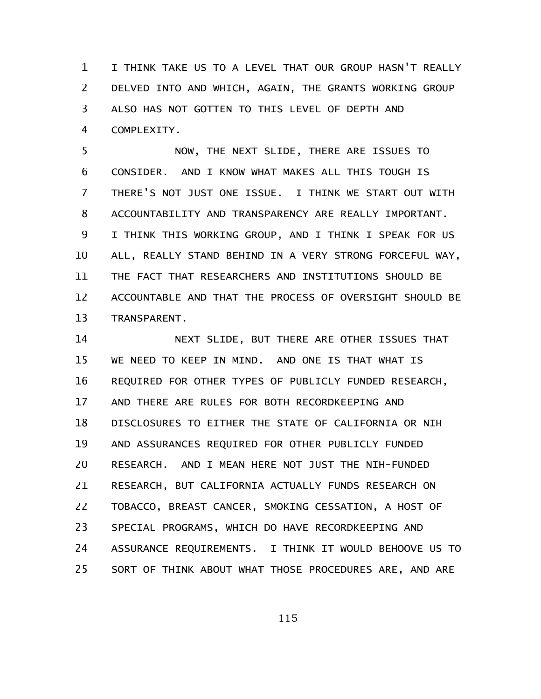I THINK TAKE US TO A LEVEL THAT OUR GROUP HASN'T REALLY DELVED INTO AND WHICH, AGAIN, THE GRANTS WORKING GROUP ALSO HAS NOT GOTTEN TO THIS LEVEL OF DEPTH AND COMPLEXITY. 1 2 3 4

NOW, THE NEXT SLIDE, THERE ARE ISSUES TO CONSIDER. AND I KNOW WHAT MAKES ALL THIS TOUGH IS THERE'S NOT JUST ONE ISSUE. I THINK WE START OUT WITH ACCOUNTABILITY AND TRANSPARENCY ARE REALLY IMPORTANT. I THINK THIS WORKING GROUP, AND I THINK I SPEAK FOR US ALL, REALLY STAND BEHIND IN A VERY STRONG FORCEFUL WAY, THE FACT THAT RESEARCHERS AND INSTITUTIONS SHOULD BE ACCOUNTABLE AND THAT THE PROCESS OF OVERSIGHT SHOULD BE TRANSPARENT. 5 6 7 8 9 10 11 12 13

NEXT SLIDE, BUT THERE ARE OTHER ISSUES THAT WE NEED TO KEEP IN MIND. AND ONE IS THAT WHAT IS REQUIRED FOR OTHER TYPES OF PUBLICLY FUNDED RESEARCH, AND THERE ARE RULES FOR BOTH RECORDKEEPING AND DISCLOSURES TO EITHER THE STATE OF CALIFORNIA OR NIH AND ASSURANCES REQUIRED FOR OTHER PUBLICLY FUNDED RESEARCH. AND I MEAN HERE NOT JUST THE NIH-FUNDED RESEARCH, BUT CALIFORNIA ACTUALLY FUNDS RESEARCH ON TOBACCO, BREAST CANCER, SMOKING CESSATION, A HOST OF SPECIAL PROGRAMS, WHICH DO HAVE RECORDKEEPING AND ASSURANCE REQUIREMENTS. I THINK IT WOULD BEHOOVE US TO SORT OF THINK ABOUT WHAT THOSE PROCEDURES ARE, AND ARE 14 15 16 17 18 19 20 21 22 23 24 25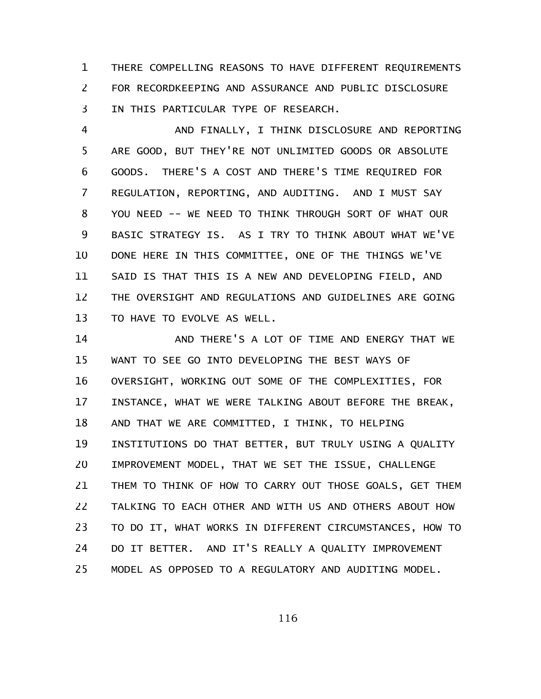THERE COMPELLING REASONS TO HAVE DIFFERENT REQUIREMENTS FOR RECORDKEEPING AND ASSURANCE AND PUBLIC DISCLOSURE IN THIS PARTICULAR TYPE OF RESEARCH. 1 2 3

AND FINALLY, I THINK DISCLOSURE AND REPORTING ARE GOOD, BUT THEY'RE NOT UNLIMITED GOODS OR ABSOLUTE GOODS. THERE'S A COST AND THERE'S TIME REQUIRED FOR REGULATION, REPORTING, AND AUDITING. AND I MUST SAY YOU NEED -- WE NEED TO THINK THROUGH SORT OF WHAT OUR BASIC STRATEGY IS. AS I TRY TO THINK ABOUT WHAT WE'VE DONE HERE IN THIS COMMITTEE, ONE OF THE THINGS WE'VE SAID IS THAT THIS IS A NEW AND DEVELOPING FIELD, AND THE OVERSIGHT AND REGULATIONS AND GUIDELINES ARE GOING TO HAVE TO EVOLVE AS WELL. 4 5 6 7 8 9 10 11 12 13

AND THERE'S A LOT OF TIME AND ENERGY THAT WE WANT TO SEE GO INTO DEVELOPING THE BEST WAYS OF OVERSIGHT, WORKING OUT SOME OF THE COMPLEXITIES, FOR INSTANCE, WHAT WE WERE TALKING ABOUT BEFORE THE BREAK, AND THAT WE ARE COMMITTED, I THINK, TO HELPING INSTITUTIONS DO THAT BETTER, BUT TRULY USING A QUALITY IMPROVEMENT MODEL, THAT WE SET THE ISSUE, CHALLENGE THEM TO THINK OF HOW TO CARRY OUT THOSE GOALS, GET THEM TALKING TO EACH OTHER AND WITH US AND OTHERS ABOUT HOW TO DO IT, WHAT WORKS IN DIFFERENT CIRCUMSTANCES, HOW TO DO IT BETTER. AND IT'S REALLY A QUALITY IMPROVEMENT MODEL AS OPPOSED TO A REGULATORY AND AUDITING MODEL. 14 15 16 17 18 19 20 21 22 23 24 25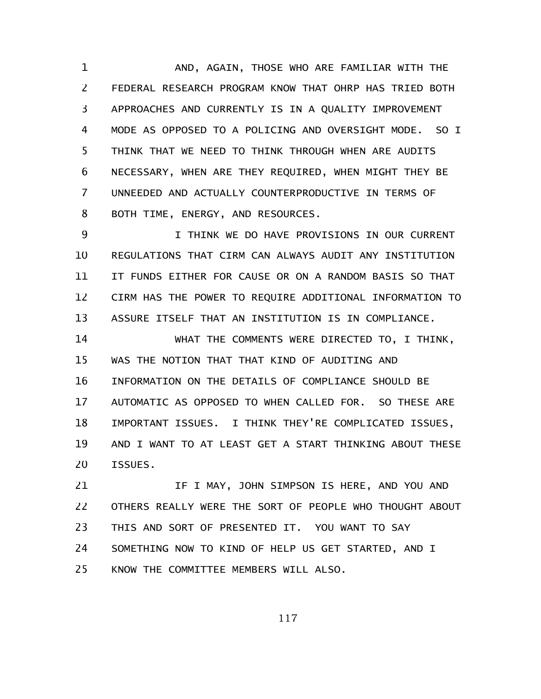AND, AGAIN, THOSE WHO ARE FAMILIAR WITH THE FEDERAL RESEARCH PROGRAM KNOW THAT OHRP HAS TRIED BOTH APPROACHES AND CURRENTLY IS IN A QUALITY IMPROVEMENT MODE AS OPPOSED TO A POLICING AND OVERSIGHT MODE. SO I THINK THAT WE NEED TO THINK THROUGH WHEN ARE AUDITS NECESSARY, WHEN ARE THEY REQUIRED, WHEN MIGHT THEY BE UNNEEDED AND ACTUALLY COUNTERPRODUCTIVE IN TERMS OF BOTH TIME, ENERGY, AND RESOURCES. 1 2 3 4 5 6 7 8

I THINK WE DO HAVE PROVISIONS IN OUR CURRENT REGULATIONS THAT CIRM CAN ALWAYS AUDIT ANY INSTITUTION IT FUNDS EITHER FOR CAUSE OR ON A RANDOM BASIS SO THAT CIRM HAS THE POWER TO REQUIRE ADDITIONAL INFORMATION TO ASSURE ITSELF THAT AN INSTITUTION IS IN COMPLIANCE. 9 10 11 12 13

WHAT THE COMMENTS WERE DIRECTED TO, I THINK, WAS THE NOTION THAT THAT KIND OF AUDITING AND INFORMATION ON THE DETAILS OF COMPLIANCE SHOULD BE AUTOMATIC AS OPPOSED TO WHEN CALLED FOR. SO THESE ARE IMPORTANT ISSUES. I THINK THEY'RE COMPLICATED ISSUES, AND I WANT TO AT LEAST GET A START THINKING ABOUT THESE ISSUES. 14 15 16 17 18 19 20

IF I MAY, JOHN SIMPSON IS HERE, AND YOU AND OTHERS REALLY WERE THE SORT OF PEOPLE WHO THOUGHT ABOUT THIS AND SORT OF PRESENTED IT. YOU WANT TO SAY SOMETHING NOW TO KIND OF HELP US GET STARTED, AND I KNOW THE COMMITTEE MEMBERS WILL ALSO. 21 22 23 24 25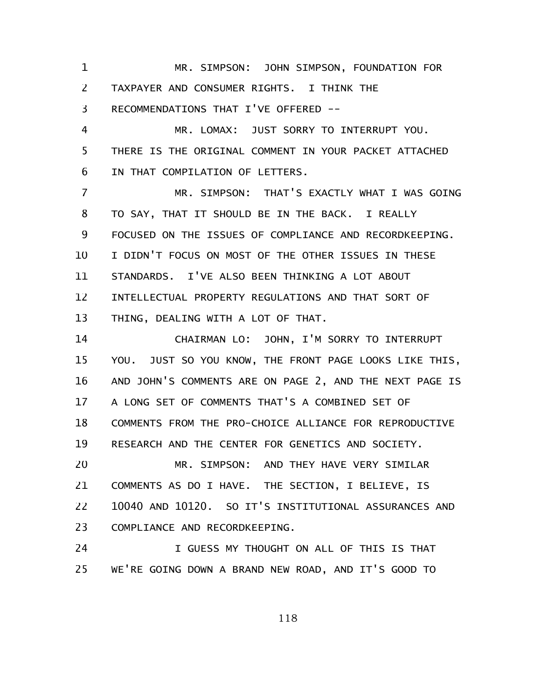MR. SIMPSON: JOHN SIMPSON, FOUNDATION FOR TAXPAYER AND CONSUMER RIGHTS. I THINK THE RECOMMENDATIONS THAT I'VE OFFERED -- 1 2 3

MR. LOMAX: JUST SORRY TO INTERRUPT YOU. THERE IS THE ORIGINAL COMMENT IN YOUR PACKET ATTACHED IN THAT COMPILATION OF LETTERS. 4 5 6

MR. SIMPSON: THAT'S EXACTLY WHAT I WAS GOING TO SAY, THAT IT SHOULD BE IN THE BACK. I REALLY FOCUSED ON THE ISSUES OF COMPLIANCE AND RECORDKEEPING. I DIDN'T FOCUS ON MOST OF THE OTHER ISSUES IN THESE STANDARDS. I'VE ALSO BEEN THINKING A LOT ABOUT INTELLECTUAL PROPERTY REGULATIONS AND THAT SORT OF THING, DEALING WITH A LOT OF THAT. 7 8 9 10 11 12 13

CHAIRMAN LO: JOHN, I'M SORRY TO INTERRUPT YOU. JUST SO YOU KNOW, THE FRONT PAGE LOOKS LIKE THIS, AND JOHN'S COMMENTS ARE ON PAGE 2, AND THE NEXT PAGE IS A LONG SET OF COMMENTS THAT'S A COMBINED SET OF COMMENTS FROM THE PRO-CHOICE ALLIANCE FOR REPRODUCTIVE RESEARCH AND THE CENTER FOR GENETICS AND SOCIETY. MR. SIMPSON: AND THEY HAVE VERY SIMILAR COMMENTS AS DO I HAVE. THE SECTION, I BELIEVE, IS 14 15 16 17 18 19 20 21

10040 AND 10120. SO IT'S INSTITUTIONAL ASSURANCES AND COMPLIANCE AND RECORDKEEPING. 22 23

I GUESS MY THOUGHT ON ALL OF THIS IS THAT WE'RE GOING DOWN A BRAND NEW ROAD, AND IT'S GOOD TO 24 25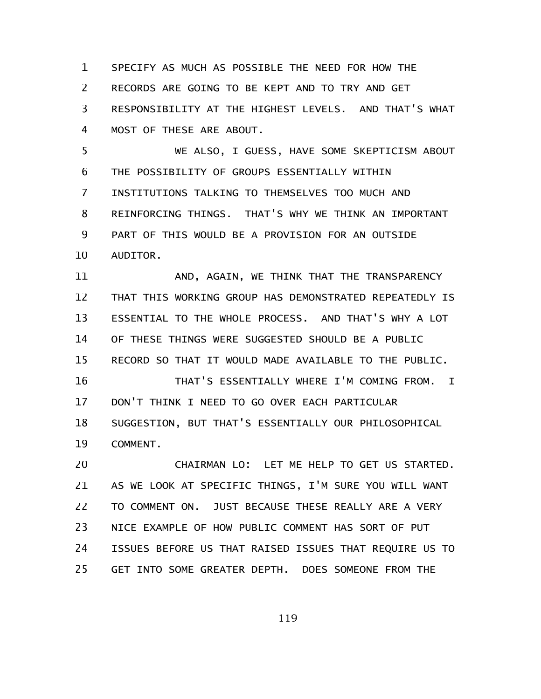SPECIFY AS MUCH AS POSSIBLE THE NEED FOR HOW THE RECORDS ARE GOING TO BE KEPT AND TO TRY AND GET RESPONSIBILITY AT THE HIGHEST LEVELS. AND THAT'S WHAT MOST OF THESE ARE ABOUT. 1 2 3 4

WE ALSO, I GUESS, HAVE SOME SKEPTICISM ABOUT THE POSSIBILITY OF GROUPS ESSENTIALLY WITHIN INSTITUTIONS TALKING TO THEMSELVES TOO MUCH AND REINFORCING THINGS. THAT'S WHY WE THINK AN IMPORTANT PART OF THIS WOULD BE A PROVISION FOR AN OUTSIDE AUDITOR. 5 6 7 8 9 10

AND, AGAIN, WE THINK THAT THE TRANSPARENCY THAT THIS WORKING GROUP HAS DEMONSTRATED REPEATEDLY IS ESSENTIAL TO THE WHOLE PROCESS. AND THAT'S WHY A LOT OF THESE THINGS WERE SUGGESTED SHOULD BE A PUBLIC RECORD SO THAT IT WOULD MADE AVAILABLE TO THE PUBLIC. THAT'S ESSENTIALLY WHERE I'M COMING FROM. I DON'T THINK I NEED TO GO OVER EACH PARTICULAR SUGGESTION, BUT THAT'S ESSENTIALLY OUR PHILOSOPHICAL 11 12 13 14 15 16 17 18

COMMENT. 19

CHAIRMAN LO: LET ME HELP TO GET US STARTED. AS WE LOOK AT SPECIFIC THINGS, I'M SURE YOU WILL WANT TO COMMENT ON. JUST BECAUSE THESE REALLY ARE A VERY NICE EXAMPLE OF HOW PUBLIC COMMENT HAS SORT OF PUT ISSUES BEFORE US THAT RAISED ISSUES THAT REQUIRE US TO GET INTO SOME GREATER DEPTH. DOES SOMEONE FROM THE 20 21 22 23 24 25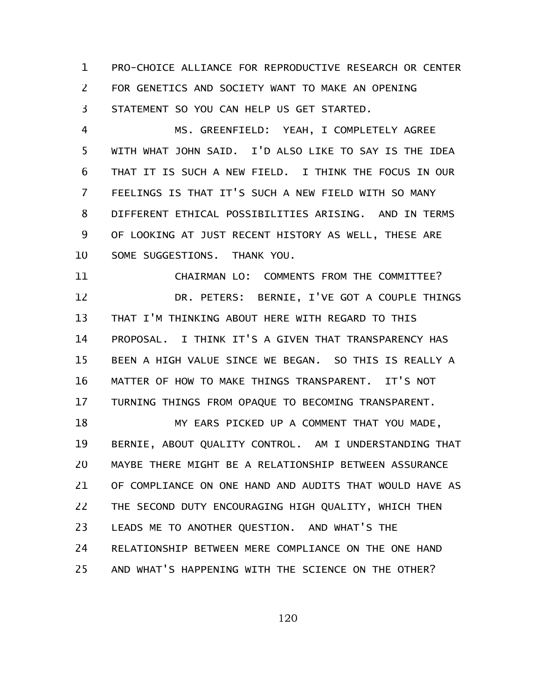PRO-CHOICE ALLIANCE FOR REPRODUCTIVE RESEARCH OR CENTER FOR GENETICS AND SOCIETY WANT TO MAKE AN OPENING STATEMENT SO YOU CAN HELP US GET STARTED. 1 2 3

MS. GREENFIELD: YEAH, I COMPLETELY AGREE WITH WHAT JOHN SAID. I'D ALSO LIKE TO SAY IS THE IDEA THAT IT IS SUCH A NEW FIELD. I THINK THE FOCUS IN OUR FEELINGS IS THAT IT'S SUCH A NEW FIELD WITH SO MANY DIFFERENT ETHICAL POSSIBILITIES ARISING. AND IN TERMS OF LOOKING AT JUST RECENT HISTORY AS WELL, THESE ARE SOME SUGGESTIONS. THANK YOU. 4 5 6 7 8 9 10

CHAIRMAN LO: COMMENTS FROM THE COMMITTEE? DR. PETERS: BERNIE, I'VE GOT A COUPLE THINGS THAT I'M THINKING ABOUT HERE WITH REGARD TO THIS PROPOSAL. I THINK IT'S A GIVEN THAT TRANSPARENCY HAS BEEN A HIGH VALUE SINCE WE BEGAN. SO THIS IS REALLY A MATTER OF HOW TO MAKE THINGS TRANSPARENT. IT'S NOT TURNING THINGS FROM OPAQUE TO BECOMING TRANSPARENT. 11 12 13 14 15 16 17

MY EARS PICKED UP A COMMENT THAT YOU MADE, BERNIE, ABOUT QUALITY CONTROL. AM I UNDERSTANDING THAT MAYBE THERE MIGHT BE A RELATIONSHIP BETWEEN ASSURANCE OF COMPLIANCE ON ONE HAND AND AUDITS THAT WOULD HAVE AS THE SECOND DUTY ENCOURAGING HIGH QUALITY, WHICH THEN LEADS ME TO ANOTHER QUESTION. AND WHAT'S THE RELATIONSHIP BETWEEN MERE COMPLIANCE ON THE ONE HAND AND WHAT'S HAPPENING WITH THE SCIENCE ON THE OTHER? 18 19 20 21 22 23 24 25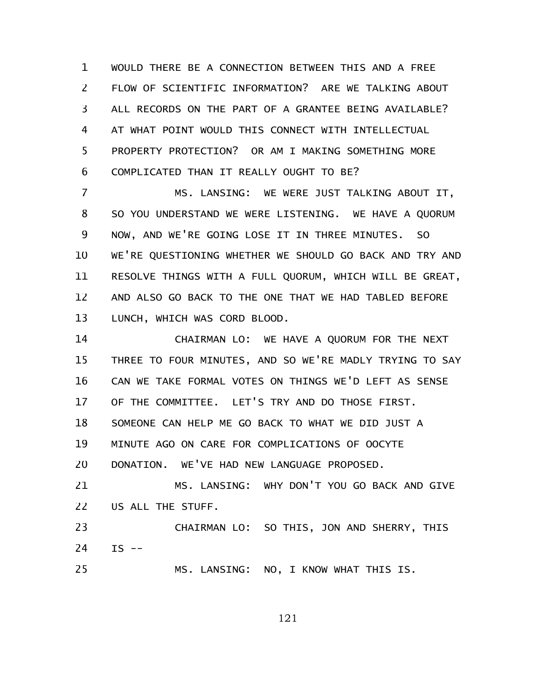WOULD THERE BE A CONNECTION BETWEEN THIS AND A FREE FLOW OF SCIENTIFIC INFORMATION? ARE WE TALKING ABOUT ALL RECORDS ON THE PART OF A GRANTEE BEING AVAILABLE? AT WHAT POINT WOULD THIS CONNECT WITH INTELLECTUAL PROPERTY PROTECTION? OR AM I MAKING SOMETHING MORE COMPLICATED THAN IT REALLY OUGHT TO BE? 1 2 3 4 5 6

MS. LANSING: WE WERE JUST TALKING ABOUT IT, SO YOU UNDERSTAND WE WERE LISTENING. WE HAVE A QUORUM NOW, AND WE'RE GOING LOSE IT IN THREE MINUTES. SO WE'RE QUESTIONING WHETHER WE SHOULD GO BACK AND TRY AND RESOLVE THINGS WITH A FULL QUORUM, WHICH WILL BE GREAT, AND ALSO GO BACK TO THE ONE THAT WE HAD TABLED BEFORE LUNCH, WHICH WAS CORD BLOOD. 7 8 9 10 11 12 13

CHAIRMAN LO: WE HAVE A QUORUM FOR THE NEXT THREE TO FOUR MINUTES, AND SO WE'RE MADLY TRYING TO SAY CAN WE TAKE FORMAL VOTES ON THINGS WE'D LEFT AS SENSE OF THE COMMITTEE. LET'S TRY AND DO THOSE FIRST. SOMEONE CAN HELP ME GO BACK TO WHAT WE DID JUST A MINUTE AGO ON CARE FOR COMPLICATIONS OF OOCYTE DONATION. WE'VE HAD NEW LANGUAGE PROPOSED. MS. LANSING: WHY DON'T YOU GO BACK AND GIVE US ALL THE STUFF. 14 15 16 17 18 19 20 21 22

CHAIRMAN LO: SO THIS, JON AND SHERRY, THIS  $IS$  --23 24

25

MS. LANSING: NO, I KNOW WHAT THIS IS.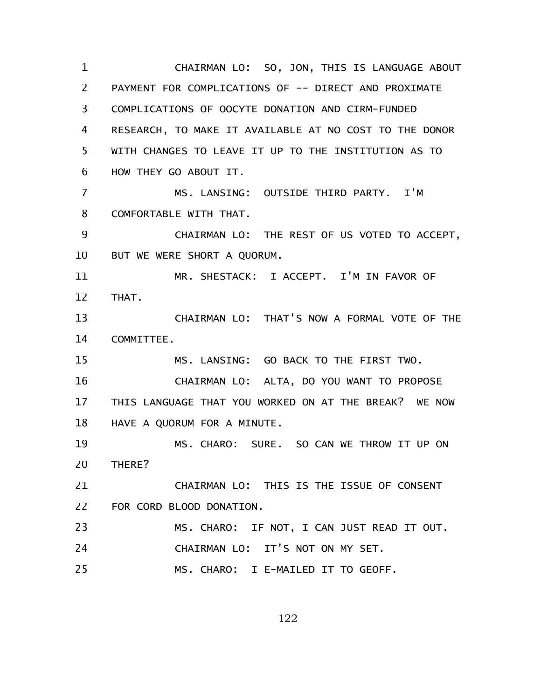CHAIRMAN LO: SO, JON, THIS IS LANGUAGE ABOUT PAYMENT FOR COMPLICATIONS OF -- DIRECT AND PROXIMATE COMPLICATIONS OF OOCYTE DONATION AND CIRM-FUNDED RESEARCH, TO MAKE IT AVAILABLE AT NO COST TO THE DONOR WITH CHANGES TO LEAVE IT UP TO THE INSTITUTION AS TO HOW THEY GO ABOUT IT. MS. LANSING: OUTSIDE THIRD PARTY. I'M COMFORTABLE WITH THAT. CHAIRMAN LO: THE REST OF US VOTED TO ACCEPT, BUT WE WERE SHORT A QUORUM. MR. SHESTACK: I ACCEPT. I'M IN FAVOR OF THAT. CHAIRMAN LO: THAT'S NOW A FORMAL VOTE OF THE COMMITTEE. MS. LANSING: GO BACK TO THE FIRST TWO. CHAIRMAN LO: ALTA, DO YOU WANT TO PROPOSE THIS LANGUAGE THAT YOU WORKED ON AT THE BREAK? WE NOW HAVE A QUORUM FOR A MINUTE. MS. CHARO: SURE. SO CAN WE THROW IT UP ON THERE? CHAIRMAN LO: THIS IS THE ISSUE OF CONSENT FOR CORD BLOOD DONATION. MS. CHARO: IF NOT, I CAN JUST READ IT OUT. CHAIRMAN LO: IT'S NOT ON MY SET. MS. CHARO: I E-MAILED IT TO GEOFF. 1 2 3 4 5 6 7 8 9 10 11 12 13 14 15 16 17 18 19 20 21 22 23 24 25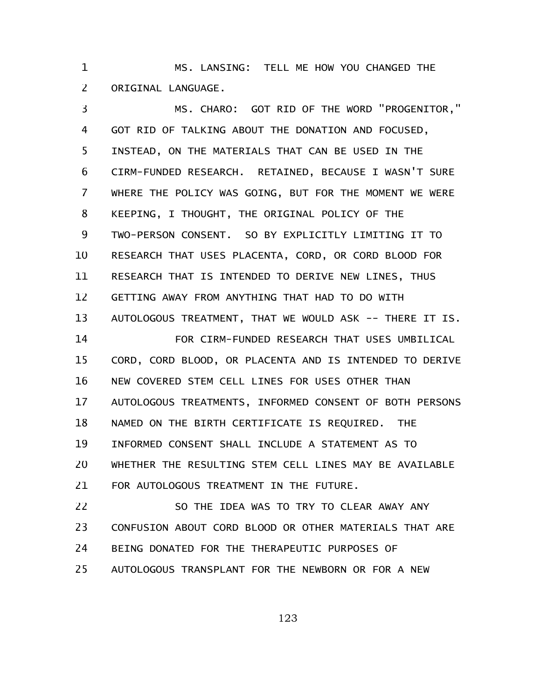MS. LANSING: TELL ME HOW YOU CHANGED THE ORIGINAL LANGUAGE. 1 2

MS. CHARO: GOT RID OF THE WORD "PROGENITOR," GOT RID OF TALKING ABOUT THE DONATION AND FOCUSED, INSTEAD, ON THE MATERIALS THAT CAN BE USED IN THE CIRM-FUNDED RESEARCH. RETAINED, BECAUSE I WASN'T SURE WHERE THE POLICY WAS GOING, BUT FOR THE MOMENT WE WERE KEEPING, I THOUGHT, THE ORIGINAL POLICY OF THE TWO-PERSON CONSENT. SO BY EXPLICITLY LIMITING IT TO RESEARCH THAT USES PLACENTA, CORD, OR CORD BLOOD FOR RESEARCH THAT IS INTENDED TO DERIVE NEW LINES, THUS GETTING AWAY FROM ANYTHING THAT HAD TO DO WITH AUTOLOGOUS TREATMENT, THAT WE WOULD ASK -- THERE IT IS. FOR CIRM-FUNDED RESEARCH THAT USES UMBILICAL CORD, CORD BLOOD, OR PLACENTA AND IS INTENDED TO DERIVE NEW COVERED STEM CELL LINES FOR USES OTHER THAN AUTOLOGOUS TREATMENTS, INFORMED CONSENT OF BOTH PERSONS NAMED ON THE BIRTH CERTIFICATE IS REQUIRED. THE INFORMED CONSENT SHALL INCLUDE A STATEMENT AS TO WHETHER THE RESULTING STEM CELL LINES MAY BE AVAILABLE FOR AUTOLOGOUS TREATMENT IN THE FUTURE. SO THE IDEA WAS TO TRY TO CLEAR AWAY ANY 3 4 5 6 7 8 9 10 11 12 13 14 15 16 17 18 19 20 21 22

CONFUSION ABOUT CORD BLOOD OR OTHER MATERIALS THAT ARE BEING DONATED FOR THE THERAPEUTIC PURPOSES OF AUTOLOGOUS TRANSPLANT FOR THE NEWBORN OR FOR A NEW 23 24 25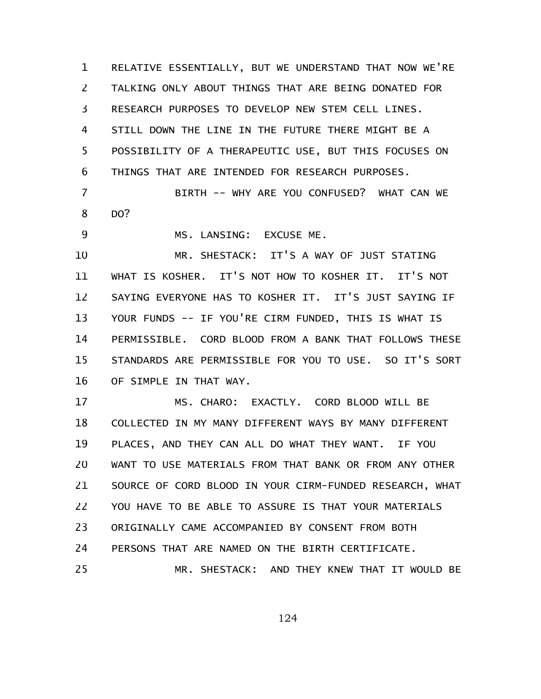RELATIVE ESSENTIALLY, BUT WE UNDERSTAND THAT NOW WE'RE TALKING ONLY ABOUT THINGS THAT ARE BEING DONATED FOR RESEARCH PURPOSES TO DEVELOP NEW STEM CELL LINES. STILL DOWN THE LINE IN THE FUTURE THERE MIGHT BE A POSSIBILITY OF A THERAPEUTIC USE, BUT THIS FOCUSES ON THINGS THAT ARE INTENDED FOR RESEARCH PURPOSES. 1 2 3 4 5 6

BIRTH -- WHY ARE YOU CONFUSED? WHAT CAN WE DO? 7 8

MS. LANSING: EXCUSE ME. 9

MR. SHESTACK: IT'S A WAY OF JUST STATING WHAT IS KOSHER. IT'S NOT HOW TO KOSHER IT. IT'S NOT SAYING EVERYONE HAS TO KOSHER IT. IT'S JUST SAYING IF YOUR FUNDS -- IF YOU'RE CIRM FUNDED, THIS IS WHAT IS PERMISSIBLE. CORD BLOOD FROM A BANK THAT FOLLOWS THESE STANDARDS ARE PERMISSIBLE FOR YOU TO USE. SO IT'S SORT OF SIMPLE IN THAT WAY. 10 11 12 13 14 15 16

MS. CHARO: EXACTLY. CORD BLOOD WILL BE COLLECTED IN MY MANY DIFFERENT WAYS BY MANY DIFFERENT PLACES, AND THEY CAN ALL DO WHAT THEY WANT. IF YOU WANT TO USE MATERIALS FROM THAT BANK OR FROM ANY OTHER SOURCE OF CORD BLOOD IN YOUR CIRM-FUNDED RESEARCH, WHAT YOU HAVE TO BE ABLE TO ASSURE IS THAT YOUR MATERIALS ORIGINALLY CAME ACCOMPANIED BY CONSENT FROM BOTH PERSONS THAT ARE NAMED ON THE BIRTH CERTIFICATE. MR. SHESTACK: AND THEY KNEW THAT IT WOULD BE 17 18 19 20 21 22 23 24 25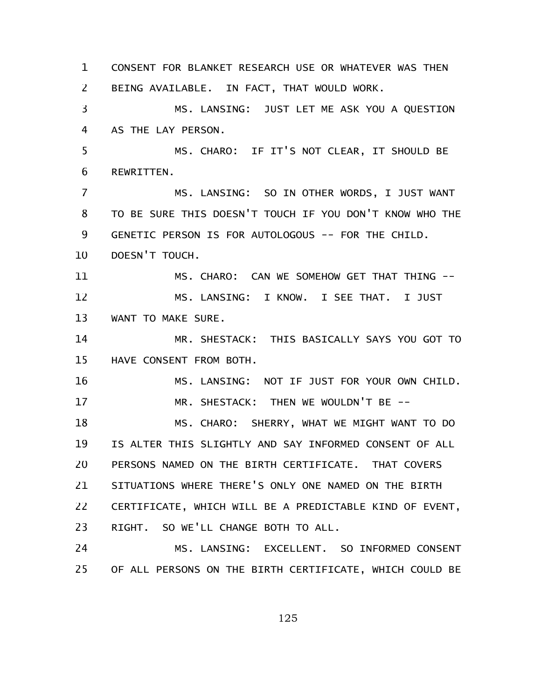CONSENT FOR BLANKET RESEARCH USE OR WHATEVER WAS THEN BEING AVAILABLE. IN FACT, THAT WOULD WORK. MS. LANSING: JUST LET ME ASK YOU A QUESTION AS THE LAY PERSON. MS. CHARO: IF IT'S NOT CLEAR, IT SHOULD BE REWRITTEN. MS. LANSING: SO IN OTHER WORDS, I JUST WANT TO BE SURE THIS DOESN'T TOUCH IF YOU DON'T KNOW WHO THE GENETIC PERSON IS FOR AUTOLOGOUS -- FOR THE CHILD. DOESN'T TOUCH. MS. CHARO: CAN WE SOMEHOW GET THAT THING --MS. LANSING: I KNOW. I SEE THAT. I JUST WANT TO MAKE SURE. MR. SHESTACK: THIS BASICALLY SAYS YOU GOT TO HAVE CONSENT FROM BOTH. MS. LANSING: NOT IF JUST FOR YOUR OWN CHILD. MR. SHESTACK: THEN WE WOULDN'T BE -- MS. CHARO: SHERRY, WHAT WE MIGHT WANT TO DO IS ALTER THIS SLIGHTLY AND SAY INFORMED CONSENT OF ALL PERSONS NAMED ON THE BIRTH CERTIFICATE. THAT COVERS SITUATIONS WHERE THERE'S ONLY ONE NAMED ON THE BIRTH CERTIFICATE, WHICH WILL BE A PREDICTABLE KIND OF EVENT, RIGHT. SO WE'LL CHANGE BOTH TO ALL. MS. LANSING: EXCELLENT. SO INFORMED CONSENT OF ALL PERSONS ON THE BIRTH CERTIFICATE, WHICH COULD BE 1 2 3 4 5 6 7 8 9 10 11 12 13 14 15 16 17 18 19 20 21 22 23 24 25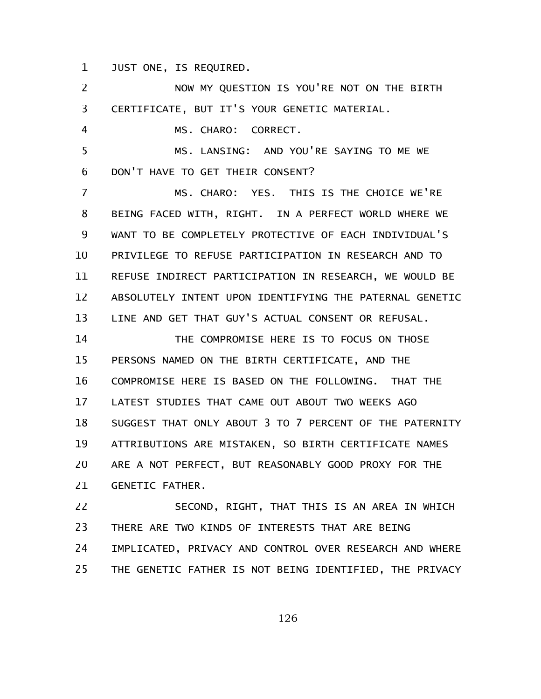JUST ONE, IS REQUIRED. 1

NOW MY QUESTION IS YOU'RE NOT ON THE BIRTH CERTIFICATE, BUT IT'S YOUR GENETIC MATERIAL. MS. CHARO: CORRECT. MS. LANSING: AND YOU'RE SAYING TO ME WE DON'T HAVE TO GET THEIR CONSENT? MS. CHARO: YES. THIS IS THE CHOICE WE'RE BEING FACED WITH, RIGHT. IN A PERFECT WORLD WHERE WE WANT TO BE COMPLETELY PROTECTIVE OF EACH INDIVIDUAL'S PRIVILEGE TO REFUSE PARTICIPATION IN RESEARCH AND TO REFUSE INDIRECT PARTICIPATION IN RESEARCH, WE WOULD BE ABSOLUTELY INTENT UPON IDENTIFYING THE PATERNAL GENETIC LINE AND GET THAT GUY'S ACTUAL CONSENT OR REFUSAL. THE COMPROMISE HERE IS TO FOCUS ON THOSE PERSONS NAMED ON THE BIRTH CERTIFICATE, AND THE COMPROMISE HERE IS BASED ON THE FOLLOWING. THAT THE LATEST STUDIES THAT CAME OUT ABOUT TWO WEEKS AGO SUGGEST THAT ONLY ABOUT 3 TO 7 PERCENT OF THE PATERNITY ATTRIBUTIONS ARE MISTAKEN, SO BIRTH CERTIFICATE NAMES ARE A NOT PERFECT, BUT REASONABLY GOOD PROXY FOR THE GENETIC FATHER. SECOND, RIGHT, THAT THIS IS AN AREA IN WHICH THERE ARE TWO KINDS OF INTERESTS THAT ARE BEING 2 3 4 5 6 7 8 9 10 11 12 13 14 15 16 17 18 19 20 21 22 23

IMPLICATED, PRIVACY AND CONTROL OVER RESEARCH AND WHERE THE GENETIC FATHER IS NOT BEING IDENTIFIED, THE PRIVACY 24 25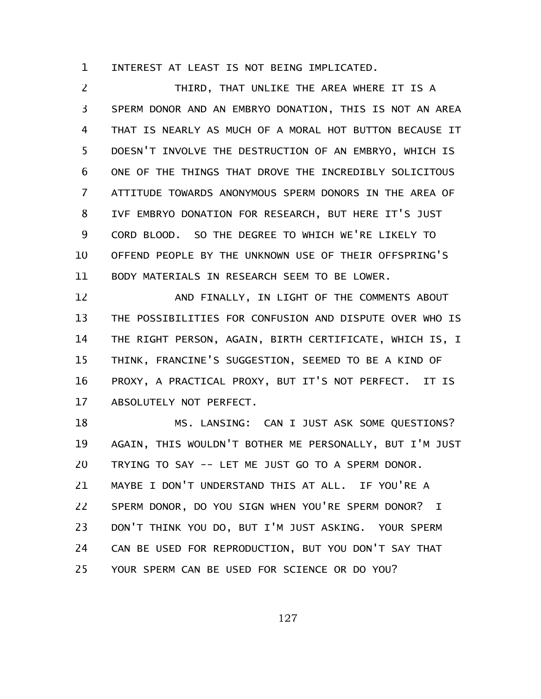INTEREST AT LEAST IS NOT BEING IMPLICATED. 1

THIRD, THAT UNLIKE THE AREA WHERE IT IS A SPERM DONOR AND AN EMBRYO DONATION, THIS IS NOT AN AREA THAT IS NEARLY AS MUCH OF A MORAL HOT BUTTON BECAUSE IT DOESN'T INVOLVE THE DESTRUCTION OF AN EMBRYO, WHICH IS ONE OF THE THINGS THAT DROVE THE INCREDIBLY SOLICITOUS ATTITUDE TOWARDS ANONYMOUS SPERM DONORS IN THE AREA OF IVF EMBRYO DONATION FOR RESEARCH, BUT HERE IT'S JUST CORD BLOOD. SO THE DEGREE TO WHICH WE'RE LIKELY TO OFFEND PEOPLE BY THE UNKNOWN USE OF THEIR OFFSPRING'S BODY MATERIALS IN RESEARCH SEEM TO BE LOWER. 2 3 4 5 6 7 8 9 10 11

AND FINALLY, IN LIGHT OF THE COMMENTS ABOUT THE POSSIBILITIES FOR CONFUSION AND DISPUTE OVER WHO IS THE RIGHT PERSON, AGAIN, BIRTH CERTIFICATE, WHICH IS, I THINK, FRANCINE'S SUGGESTION, SEEMED TO BE A KIND OF PROXY, A PRACTICAL PROXY, BUT IT'S NOT PERFECT. IT IS ABSOLUTELY NOT PERFECT. 12 13 14 15 16 17

MS. LANSING: CAN I JUST ASK SOME QUESTIONS? AGAIN, THIS WOULDN'T BOTHER ME PERSONALLY, BUT I'M JUST TRYING TO SAY -- LET ME JUST GO TO A SPERM DONOR. MAYBE I DON'T UNDERSTAND THIS AT ALL. IF YOU'RE A SPERM DONOR, DO YOU SIGN WHEN YOU'RE SPERM DONOR? I DON'T THINK YOU DO, BUT I'M JUST ASKING. YOUR SPERM CAN BE USED FOR REPRODUCTION, BUT YOU DON'T SAY THAT YOUR SPERM CAN BE USED FOR SCIENCE OR DO YOU? 18 19 20 21 22 23 24 25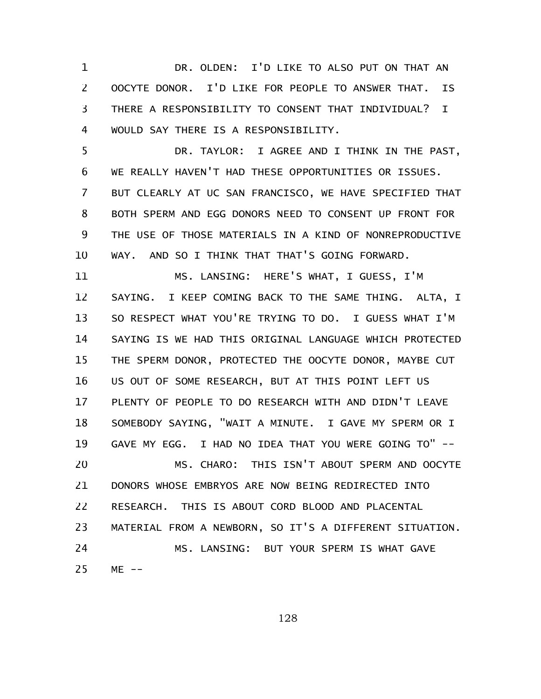DR. OLDEN: I'D LIKE TO ALSO PUT ON THAT AN OOCYTE DONOR. I'D LIKE FOR PEOPLE TO ANSWER THAT. IS THERE A RESPONSIBILITY TO CONSENT THAT INDIVIDUAL? I WOULD SAY THERE IS A RESPONSIBILITY. 1 2 3 4

DR. TAYLOR: I AGREE AND I THINK IN THE PAST, WE REALLY HAVEN'T HAD THESE OPPORTUNITIES OR ISSUES. BUT CLEARLY AT UC SAN FRANCISCO, WE HAVE SPECIFIED THAT BOTH SPERM AND EGG DONORS NEED TO CONSENT UP FRONT FOR THE USE OF THOSE MATERIALS IN A KIND OF NONREPRODUCTIVE WAY. AND SO I THINK THAT THAT'S GOING FORWARD. 5 6 7 8 9 10

MS. LANSING: HERE'S WHAT, I GUESS, I'M SAYING. I KEEP COMING BACK TO THE SAME THING. ALTA, I SO RESPECT WHAT YOU'RE TRYING TO DO. I GUESS WHAT I'M SAYING IS WE HAD THIS ORIGINAL LANGUAGE WHICH PROTECTED THE SPERM DONOR, PROTECTED THE OOCYTE DONOR, MAYBE CUT US OUT OF SOME RESEARCH, BUT AT THIS POINT LEFT US PLENTY OF PEOPLE TO DO RESEARCH WITH AND DIDN'T LEAVE SOMEBODY SAYING, "WAIT A MINUTE. I GAVE MY SPERM OR I GAVE MY EGG. I HAD NO IDEA THAT YOU WERE GOING TO" -- MS. CHARO: THIS ISN'T ABOUT SPERM AND OOCYTE DONORS WHOSE EMBRYOS ARE NOW BEING REDIRECTED INTO RESEARCH. THIS IS ABOUT CORD BLOOD AND PLACENTAL MATERIAL FROM A NEWBORN, SO IT'S A DIFFERENT SITUATION. MS. LANSING: BUT YOUR SPERM IS WHAT GAVE  $ME$  --11 12 13 14 15 16 17 18 19 20 21 22 23 24 25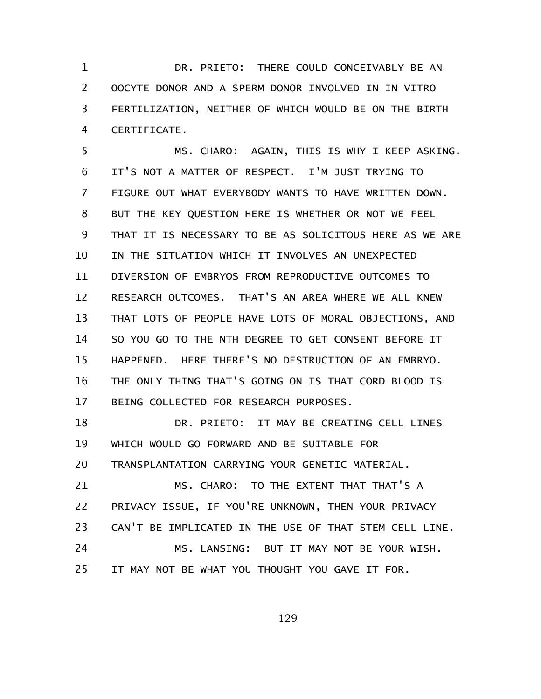DR. PRIETO: THERE COULD CONCEIVABLY BE AN OOCYTE DONOR AND A SPERM DONOR INVOLVED IN IN VITRO FERTILIZATION, NEITHER OF WHICH WOULD BE ON THE BIRTH CERTIFICATE. 1 2 3 4

MS. CHARO: AGAIN, THIS IS WHY I KEEP ASKING. IT'S NOT A MATTER OF RESPECT. I'M JUST TRYING TO FIGURE OUT WHAT EVERYBODY WANTS TO HAVE WRITTEN DOWN. BUT THE KEY QUESTION HERE IS WHETHER OR NOT WE FEEL THAT IT IS NECESSARY TO BE AS SOLICITOUS HERE AS WE ARE IN THE SITUATION WHICH IT INVOLVES AN UNEXPECTED DIVERSION OF EMBRYOS FROM REPRODUCTIVE OUTCOMES TO RESEARCH OUTCOMES. THAT'S AN AREA WHERE WE ALL KNEW THAT LOTS OF PEOPLE HAVE LOTS OF MORAL OBJECTIONS, AND SO YOU GO TO THE NTH DEGREE TO GET CONSENT BEFORE IT HAPPENED. HERE THERE'S NO DESTRUCTION OF AN EMBRYO. THE ONLY THING THAT'S GOING ON IS THAT CORD BLOOD IS BEING COLLECTED FOR RESEARCH PURPOSES. 5 6 7 8 9 10 11 12 13 14 15 16 17

DR. PRIETO: IT MAY BE CREATING CELL LINES WHICH WOULD GO FORWARD AND BE SUITABLE FOR TRANSPLANTATION CARRYING YOUR GENETIC MATERIAL. 18 19 20

MS. CHARO: TO THE EXTENT THAT THAT'S A PRIVACY ISSUE, IF YOU'RE UNKNOWN, THEN YOUR PRIVACY CAN'T BE IMPLICATED IN THE USE OF THAT STEM CELL LINE. MS. LANSING: BUT IT MAY NOT BE YOUR WISH. IT MAY NOT BE WHAT YOU THOUGHT YOU GAVE IT FOR. 21 22 23 24 25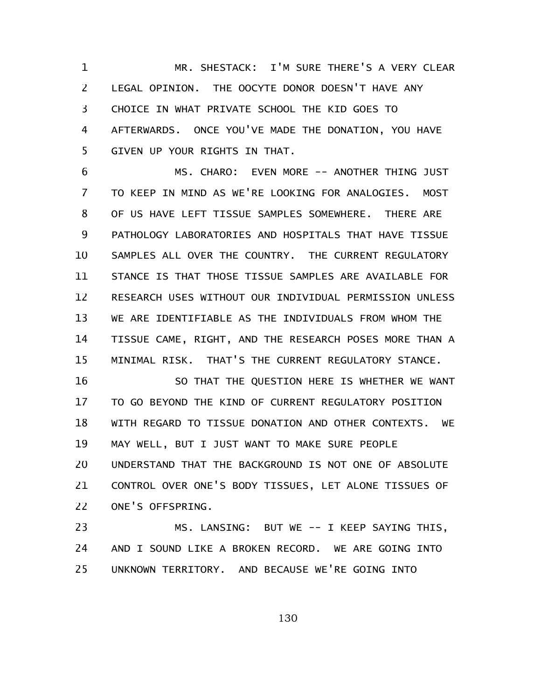MR. SHESTACK: I'M SURE THERE'S A VERY CLEAR LEGAL OPINION. THE OOCYTE DONOR DOESN'T HAVE ANY CHOICE IN WHAT PRIVATE SCHOOL THE KID GOES TO AFTERWARDS. ONCE YOU'VE MADE THE DONATION, YOU HAVE GIVEN UP YOUR RIGHTS IN THAT. 1 2 3 4 5

MS. CHARO: EVEN MORE -- ANOTHER THING JUST TO KEEP IN MIND AS WE'RE LOOKING FOR ANALOGIES. MOST OF US HAVE LEFT TISSUE SAMPLES SOMEWHERE. THERE ARE PATHOLOGY LABORATORIES AND HOSPITALS THAT HAVE TISSUE SAMPLES ALL OVER THE COUNTRY. THE CURRENT REGULATORY STANCE IS THAT THOSE TISSUE SAMPLES ARE AVAILABLE FOR RESEARCH USES WITHOUT OUR INDIVIDUAL PERMISSION UNLESS WE ARE IDENTIFIABLE AS THE INDIVIDUALS FROM WHOM THE TISSUE CAME, RIGHT, AND THE RESEARCH POSES MORE THAN A MINIMAL RISK. THAT'S THE CURRENT REGULATORY STANCE. 6 7 8 9 10 11 12 13 14 15

SO THAT THE QUESTION HERE IS WHETHER WE WANT TO GO BEYOND THE KIND OF CURRENT REGULATORY POSITION WITH REGARD TO TISSUE DONATION AND OTHER CONTEXTS. WE MAY WELL, BUT I JUST WANT TO MAKE SURE PEOPLE UNDERSTAND THAT THE BACKGROUND IS NOT ONE OF ABSOLUTE CONTROL OVER ONE'S BODY TISSUES, LET ALONE TISSUES OF ONE'S OFFSPRING. 16 17 18 19 20 21 22

MS. LANSING: BUT WE -- I KEEP SAYING THIS, AND I SOUND LIKE A BROKEN RECORD. WE ARE GOING INTO UNKNOWN TERRITORY. AND BECAUSE WE'RE GOING INTO 23 24 25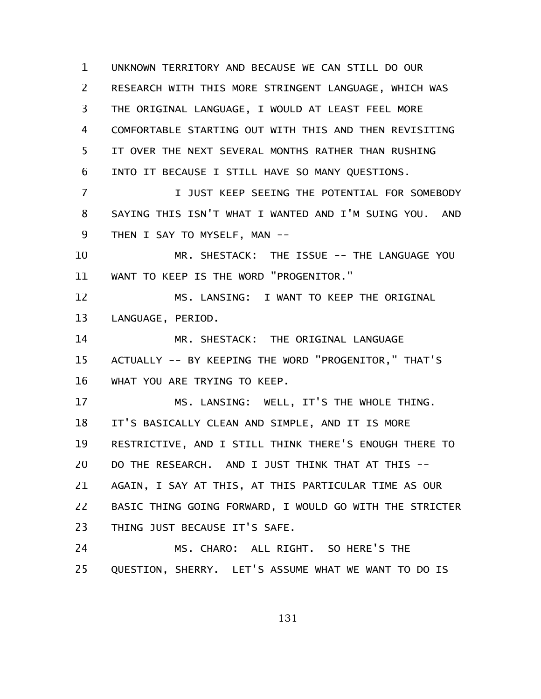UNKNOWN TERRITORY AND BECAUSE WE CAN STILL DO OUR RESEARCH WITH THIS MORE STRINGENT LANGUAGE, WHICH WAS THE ORIGINAL LANGUAGE, I WOULD AT LEAST FEEL MORE COMFORTABLE STARTING OUT WITH THIS AND THEN REVISITING IT OVER THE NEXT SEVERAL MONTHS RATHER THAN RUSHING INTO IT BECAUSE I STILL HAVE SO MANY QUESTIONS. I JUST KEEP SEEING THE POTENTIAL FOR SOMEBODY SAYING THIS ISN'T WHAT I WANTED AND I'M SUING YOU. AND THEN I SAY TO MYSELF, MAN -- MR. SHESTACK: THE ISSUE -- THE LANGUAGE YOU WANT TO KEEP IS THE WORD "PROGENITOR." MS. LANSING: I WANT TO KEEP THE ORIGINAL LANGUAGE, PERIOD. MR. SHESTACK: THE ORIGINAL LANGUAGE ACTUALLY -- BY KEEPING THE WORD "PROGENITOR," THAT'S WHAT YOU ARE TRYING TO KEEP. MS. LANSING: WELL, IT'S THE WHOLE THING. IT'S BASICALLY CLEAN AND SIMPLE, AND IT IS MORE RESTRICTIVE, AND I STILL THINK THERE'S ENOUGH THERE TO DO THE RESEARCH. AND I JUST THINK THAT AT THIS -- AGAIN, I SAY AT THIS, AT THIS PARTICULAR TIME AS OUR BASIC THING GOING FORWARD, I WOULD GO WITH THE STRICTER THING JUST BECAUSE IT'S SAFE. MS. CHARO: ALL RIGHT. SO HERE'S THE QUESTION, SHERRY. LET'S ASSUME WHAT WE WANT TO DO IS 1 2 3 4 5 6 7 8 9 10 11 12 13 14 15 16 17 18 19 20 21 22 23 24 25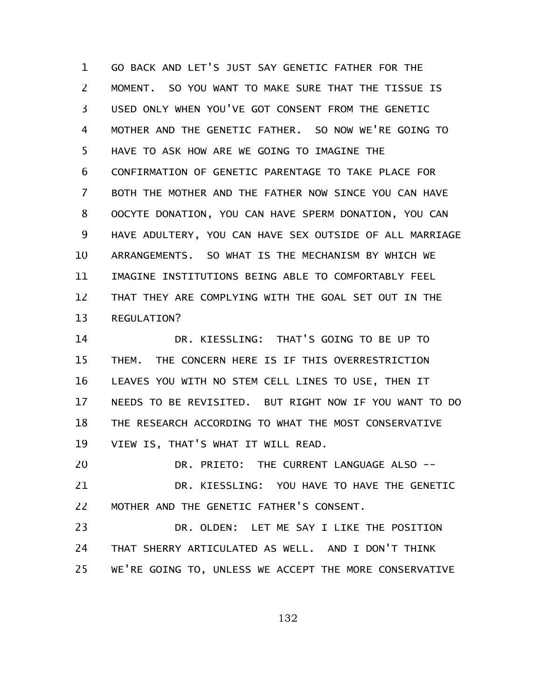GO BACK AND LET'S JUST SAY GENETIC FATHER FOR THE MOMENT. SO YOU WANT TO MAKE SURE THAT THE TISSUE IS USED ONLY WHEN YOU'VE GOT CONSENT FROM THE GENETIC MOTHER AND THE GENETIC FATHER. SO NOW WE'RE GOING TO HAVE TO ASK HOW ARE WE GOING TO IMAGINE THE CONFIRMATION OF GENETIC PARENTAGE TO TAKE PLACE FOR BOTH THE MOTHER AND THE FATHER NOW SINCE YOU CAN HAVE OOCYTE DONATION, YOU CAN HAVE SPERM DONATION, YOU CAN HAVE ADULTERY, YOU CAN HAVE SEX OUTSIDE OF ALL MARRIAGE ARRANGEMENTS. SO WHAT IS THE MECHANISM BY WHICH WE IMAGINE INSTITUTIONS BEING ABLE TO COMFORTABLY FEEL THAT THEY ARE COMPLYING WITH THE GOAL SET OUT IN THE REGULATION? 1 2 3 4 5 6 7 8 9 10 11 12 13

DR. KIESSLING: THAT'S GOING TO BE UP TO THEM. THE CONCERN HERE IS IF THIS OVERRESTRICTION LEAVES YOU WITH NO STEM CELL LINES TO USE, THEN IT NEEDS TO BE REVISITED. BUT RIGHT NOW IF YOU WANT TO DO THE RESEARCH ACCORDING TO WHAT THE MOST CONSERVATIVE VIEW IS, THAT'S WHAT IT WILL READ. 14 15 16 17 18 19

DR. PRIETO: THE CURRENT LANGUAGE ALSO --DR. KIESSLING: YOU HAVE TO HAVE THE GENETIC MOTHER AND THE GENETIC FATHER'S CONSENT. 20 21 22

DR. OLDEN: LET ME SAY I LIKE THE POSITION THAT SHERRY ARTICULATED AS WELL. AND I DON'T THINK WE'RE GOING TO, UNLESS WE ACCEPT THE MORE CONSERVATIVE 23 24 25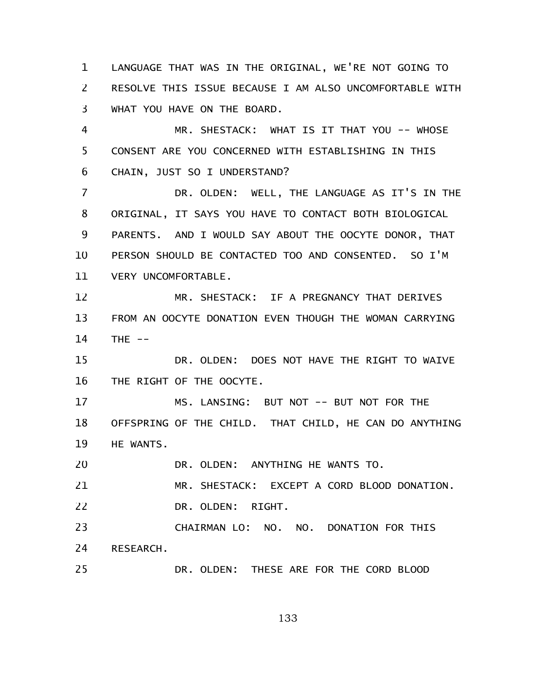LANGUAGE THAT WAS IN THE ORIGINAL, WE'RE NOT GOING TO RESOLVE THIS ISSUE BECAUSE I AM ALSO UNCOMFORTABLE WITH WHAT YOU HAVE ON THE BOARD. 1 2 3

MR. SHESTACK: WHAT IS IT THAT YOU -- WHOSE CONSENT ARE YOU CONCERNED WITH ESTABLISHING IN THIS CHAIN, JUST SO I UNDERSTAND? 4 5 6

DR. OLDEN: WELL, THE LANGUAGE AS IT'S IN THE ORIGINAL, IT SAYS YOU HAVE TO CONTACT BOTH BIOLOGICAL PARENTS. AND I WOULD SAY ABOUT THE OOCYTE DONOR, THAT PERSON SHOULD BE CONTACTED TOO AND CONSENTED. SO I'M VERY UNCOMFORTABLE. 7 8 9 10 11

MR. SHESTACK: IF A PREGNANCY THAT DERIVES FROM AN OOCYTE DONATION EVEN THOUGH THE WOMAN CARRYING THE  $--$ 12 13 14

DR. OLDEN: DOES NOT HAVE THE RIGHT TO WAIVE THE RIGHT OF THE OOCYTE. 15 16

MS. LANSING: BUT NOT -- BUT NOT FOR THE OFFSPRING OF THE CHILD. THAT CHILD, HE CAN DO ANYTHING HE WANTS. 17 18 19

DR. OLDEN: ANYTHING HE WANTS TO. 20

MR. SHESTACK: EXCEPT A CORD BLOOD DONATION. DR. OLDEN: RIGHT. 21 22

CHAIRMAN LO: NO. NO. DONATION FOR THIS RESEARCH. 23 24

DR. OLDEN: THESE ARE FOR THE CORD BLOOD 25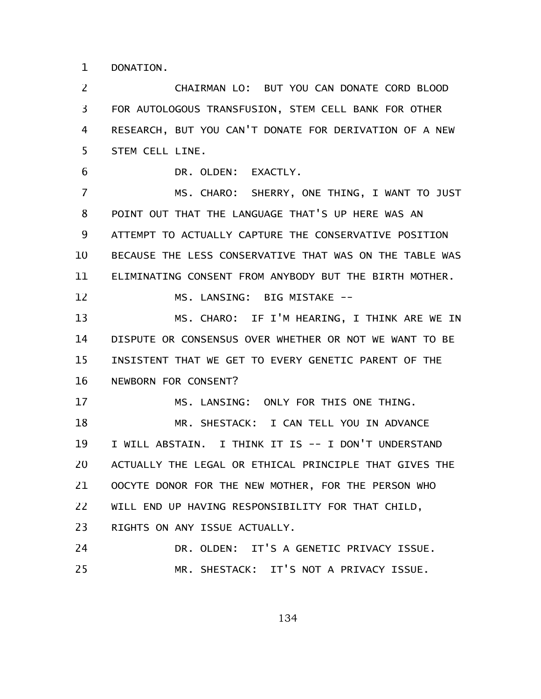DONATION. 1

CHAIRMAN LO: BUT YOU CAN DONATE CORD BLOOD FOR AUTOLOGOUS TRANSFUSION, STEM CELL BANK FOR OTHER RESEARCH, BUT YOU CAN'T DONATE FOR DERIVATION OF A NEW STEM CELL LINE. 2 3 4 5

DR. OLDEN: EXACTLY. 6

MS. CHARO: SHERRY, ONE THING, I WANT TO JUST POINT OUT THAT THE LANGUAGE THAT'S UP HERE WAS AN ATTEMPT TO ACTUALLY CAPTURE THE CONSERVATIVE POSITION BECAUSE THE LESS CONSERVATIVE THAT WAS ON THE TABLE WAS ELIMINATING CONSENT FROM ANYBODY BUT THE BIRTH MOTHER. 7 8 9 10 11 12

MS. LANSING: BIG MISTAKE --

MS. CHARO: IF I'M HEARING, I THINK ARE WE IN DISPUTE OR CONSENSUS OVER WHETHER OR NOT WE WANT TO BE INSISTENT THAT WE GET TO EVERY GENETIC PARENT OF THE NEWBORN FOR CONSENT? 13 14 15 16

MS. LANSING: ONLY FOR THIS ONE THING. 17

MR. SHESTACK: I CAN TELL YOU IN ADVANCE I WILL ABSTAIN. I THINK IT IS -- I DON'T UNDERSTAND ACTUALLY THE LEGAL OR ETHICAL PRINCIPLE THAT GIVES THE OOCYTE DONOR FOR THE NEW MOTHER, FOR THE PERSON WHO WILL END UP HAVING RESPONSIBILITY FOR THAT CHILD, RIGHTS ON ANY ISSUE ACTUALLY. 18 19 20 21 22 23

DR. OLDEN: IT'S A GENETIC PRIVACY ISSUE. MR. SHESTACK: IT'S NOT A PRIVACY ISSUE. 24 25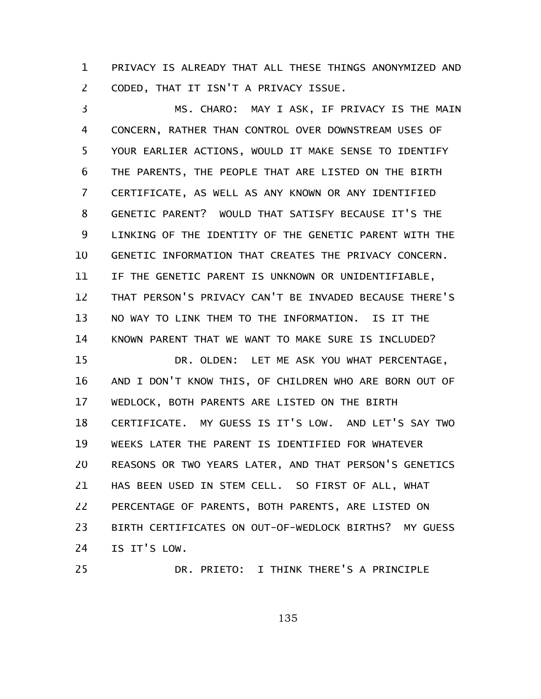PRIVACY IS ALREADY THAT ALL THESE THINGS ANONYMIZED AND CODED, THAT IT ISN'T A PRIVACY ISSUE. 1 2

MS. CHARO: MAY I ASK, IF PRIVACY IS THE MAIN CONCERN, RATHER THAN CONTROL OVER DOWNSTREAM USES OF YOUR EARLIER ACTIONS, WOULD IT MAKE SENSE TO IDENTIFY THE PARENTS, THE PEOPLE THAT ARE LISTED ON THE BIRTH CERTIFICATE, AS WELL AS ANY KNOWN OR ANY IDENTIFIED GENETIC PARENT? WOULD THAT SATISFY BECAUSE IT'S THE LINKING OF THE IDENTITY OF THE GENETIC PARENT WITH THE GENETIC INFORMATION THAT CREATES THE PRIVACY CONCERN. IF THE GENETIC PARENT IS UNKNOWN OR UNIDENTIFIABLE, THAT PERSON'S PRIVACY CAN'T BE INVADED BECAUSE THERE'S NO WAY TO LINK THEM TO THE INFORMATION. IS IT THE KNOWN PARENT THAT WE WANT TO MAKE SURE IS INCLUDED? DR. OLDEN: LET ME ASK YOU WHAT PERCENTAGE, AND I DON'T KNOW THIS, OF CHILDREN WHO ARE BORN OUT OF WEDLOCK, BOTH PARENTS ARE LISTED ON THE BIRTH CERTIFICATE. MY GUESS IS IT'S LOW. AND LET'S SAY TWO WEEKS LATER THE PARENT IS IDENTIFIED FOR WHATEVER REASONS OR TWO YEARS LATER, AND THAT PERSON'S GENETICS HAS BEEN USED IN STEM CELL. SO FIRST OF ALL, WHAT PERCENTAGE OF PARENTS, BOTH PARENTS, ARE LISTED ON BIRTH CERTIFICATES ON OUT-OF-WEDLOCK BIRTHS? MY GUESS IS IT'S LOW. 3 4 5 6 7 8 9 10 11 12 13 14 15 16 17 18 19 20 21 22 23 24

25

DR. PRIETO: I THINK THERE'S A PRINCIPLE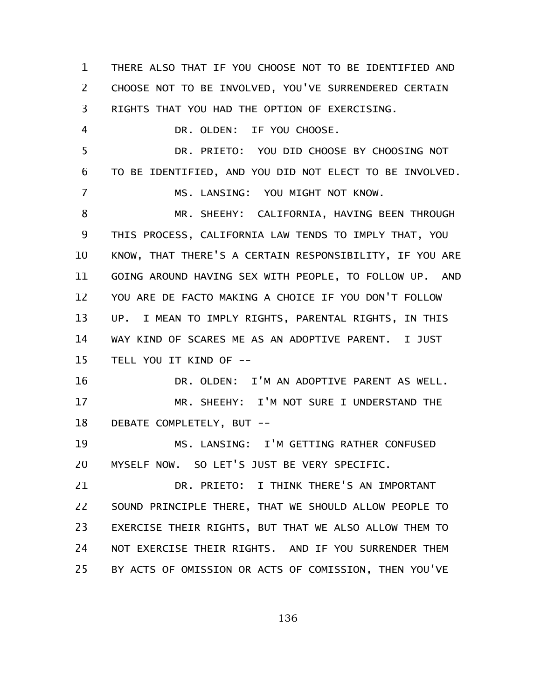THERE ALSO THAT IF YOU CHOOSE NOT TO BE IDENTIFIED AND CHOOSE NOT TO BE INVOLVED, YOU'VE SURRENDERED CERTAIN RIGHTS THAT YOU HAD THE OPTION OF EXERCISING. DR. OLDEN: IF YOU CHOOSE. DR. PRIETO: YOU DID CHOOSE BY CHOOSING NOT TO BE IDENTIFIED, AND YOU DID NOT ELECT TO BE INVOLVED. MS. LANSING: YOU MIGHT NOT KNOW. MR. SHEEHY: CALIFORNIA, HAVING BEEN THROUGH THIS PROCESS, CALIFORNIA LAW TENDS TO IMPLY THAT, YOU KNOW, THAT THERE'S A CERTAIN RESPONSIBILITY, IF YOU ARE GOING AROUND HAVING SEX WITH PEOPLE, TO FOLLOW UP. AND YOU ARE DE FACTO MAKING A CHOICE IF YOU DON'T FOLLOW UP. I MEAN TO IMPLY RIGHTS, PARENTAL RIGHTS, IN THIS WAY KIND OF SCARES ME AS AN ADOPTIVE PARENT. I JUST TELL YOU IT KIND OF -- DR. OLDEN: I'M AN ADOPTIVE PARENT AS WELL. MR. SHEEHY: I'M NOT SURE I UNDERSTAND THE DEBATE COMPLETELY, BUT -- MS. LANSING: I'M GETTING RATHER CONFUSED MYSELF NOW. SO LET'S JUST BE VERY SPECIFIC. DR. PRIETO: I THINK THERE'S AN IMPORTANT SOUND PRINCIPLE THERE, THAT WE SHOULD ALLOW PEOPLE TO EXERCISE THEIR RIGHTS, BUT THAT WE ALSO ALLOW THEM TO NOT EXERCISE THEIR RIGHTS. AND IF YOU SURRENDER THEM BY ACTS OF OMISSION OR ACTS OF COMISSION, THEN YOU'VE 1 2 3 4 5 6 7 8 9 10 11 12 13 14 15 16 17 18 19 20 21 22 23 24 25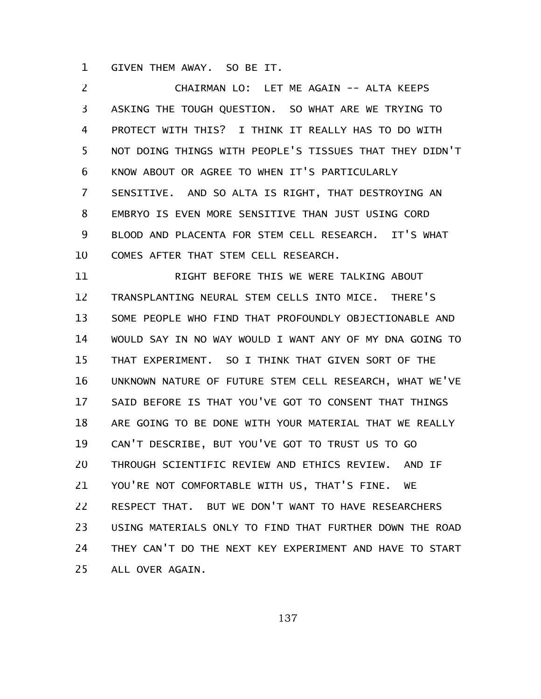GIVEN THEM AWAY. SO BE IT. 1

CHAIRMAN LO: LET ME AGAIN -- ALTA KEEPS ASKING THE TOUGH QUESTION. SO WHAT ARE WE TRYING TO PROTECT WITH THIS? I THINK IT REALLY HAS TO DO WITH NOT DOING THINGS WITH PEOPLE'S TISSUES THAT THEY DIDN'T KNOW ABOUT OR AGREE TO WHEN IT'S PARTICULARLY SENSITIVE. AND SO ALTA IS RIGHT, THAT DESTROYING AN EMBRYO IS EVEN MORE SENSITIVE THAN JUST USING CORD BLOOD AND PLACENTA FOR STEM CELL RESEARCH. IT'S WHAT COMES AFTER THAT STEM CELL RESEARCH. 2 3 4 5 6 7 8 9 10

RIGHT BEFORE THIS WE WERE TALKING ABOUT TRANSPLANTING NEURAL STEM CELLS INTO MICE. THERE'S SOME PEOPLE WHO FIND THAT PROFOUNDLY OBJECTIONABLE AND WOULD SAY IN NO WAY WOULD I WANT ANY OF MY DNA GOING TO THAT EXPERIMENT. SO I THINK THAT GIVEN SORT OF THE UNKNOWN NATURE OF FUTURE STEM CELL RESEARCH, WHAT WE'VE SAID BEFORE IS THAT YOU'VE GOT TO CONSENT THAT THINGS ARE GOING TO BE DONE WITH YOUR MATERIAL THAT WE REALLY CAN'T DESCRIBE, BUT YOU'VE GOT TO TRUST US TO GO THROUGH SCIENTIFIC REVIEW AND ETHICS REVIEW. AND IF YOU'RE NOT COMFORTABLE WITH US, THAT'S FINE. WE RESPECT THAT. BUT WE DON'T WANT TO HAVE RESEARCHERS USING MATERIALS ONLY TO FIND THAT FURTHER DOWN THE ROAD THEY CAN'T DO THE NEXT KEY EXPERIMENT AND HAVE TO START ALL OVER AGAIN. 11 12 13 14 15 16 17 18 19 20 21 22 23 24 25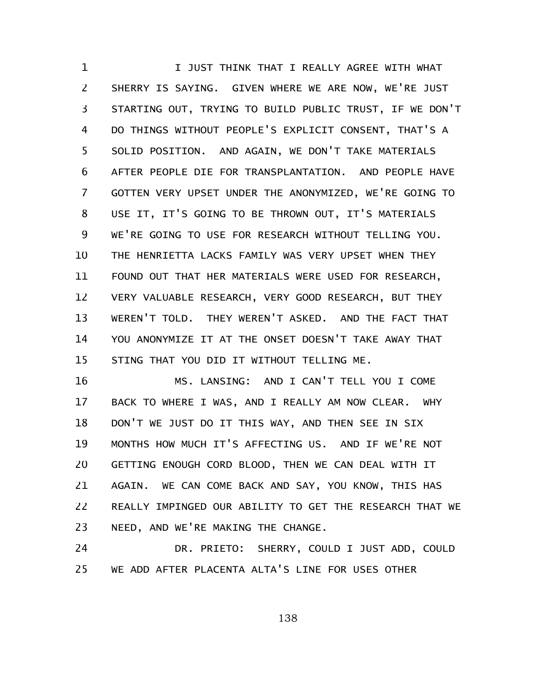I JUST THINK THAT I REALLY AGREE WITH WHAT SHERRY IS SAYING. GIVEN WHERE WE ARE NOW, WE'RE JUST STARTING OUT, TRYING TO BUILD PUBLIC TRUST, IF WE DON'T DO THINGS WITHOUT PEOPLE'S EXPLICIT CONSENT, THAT'S A SOLID POSITION. AND AGAIN, WE DON'T TAKE MATERIALS AFTER PEOPLE DIE FOR TRANSPLANTATION. AND PEOPLE HAVE GOTTEN VERY UPSET UNDER THE ANONYMIZED, WE'RE GOING TO USE IT, IT'S GOING TO BE THROWN OUT, IT'S MATERIALS WE'RE GOING TO USE FOR RESEARCH WITHOUT TELLING YOU. THE HENRIETTA LACKS FAMILY WAS VERY UPSET WHEN THEY FOUND OUT THAT HER MATERIALS WERE USED FOR RESEARCH, VERY VALUABLE RESEARCH, VERY GOOD RESEARCH, BUT THEY WEREN'T TOLD. THEY WEREN'T ASKED. AND THE FACT THAT YOU ANONYMIZE IT AT THE ONSET DOESN'T TAKE AWAY THAT STING THAT YOU DID IT WITHOUT TELLING ME. 1 2 3 4 5 6 7 8 9 10 11 12 13 14 15

MS. LANSING: AND I CAN'T TELL YOU I COME BACK TO WHERE I WAS, AND I REALLY AM NOW CLEAR. WHY DON'T WE JUST DO IT THIS WAY, AND THEN SEE IN SIX MONTHS HOW MUCH IT'S AFFECTING US. AND IF WE'RE NOT GETTING ENOUGH CORD BLOOD, THEN WE CAN DEAL WITH IT AGAIN. WE CAN COME BACK AND SAY, YOU KNOW, THIS HAS REALLY IMPINGED OUR ABILITY TO GET THE RESEARCH THAT WE NEED, AND WE'RE MAKING THE CHANGE. 16 17 18 19 20 21 22 23

DR. PRIETO: SHERRY, COULD I JUST ADD, COULD WE ADD AFTER PLACENTA ALTA'S LINE FOR USES OTHER 24 25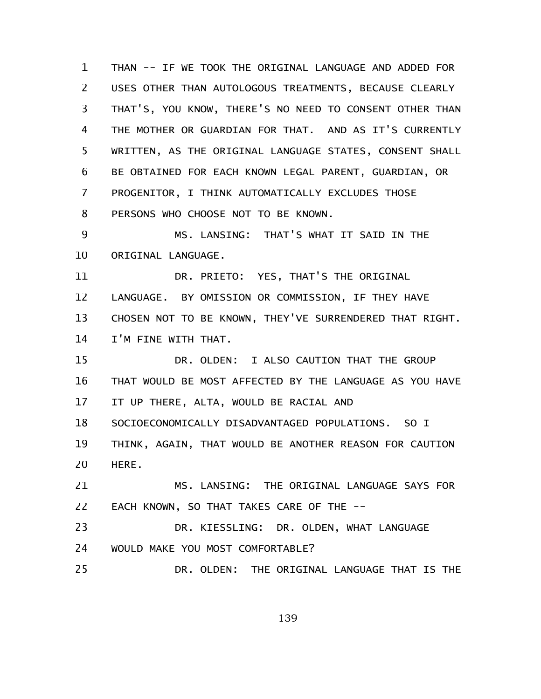THAN -- IF WE TOOK THE ORIGINAL LANGUAGE AND ADDED FOR USES OTHER THAN AUTOLOGOUS TREATMENTS, BECAUSE CLEARLY THAT'S, YOU KNOW, THERE'S NO NEED TO CONSENT OTHER THAN THE MOTHER OR GUARDIAN FOR THAT. AND AS IT'S CURRENTLY WRITTEN, AS THE ORIGINAL LANGUAGE STATES, CONSENT SHALL BE OBTAINED FOR EACH KNOWN LEGAL PARENT, GUARDIAN, OR PROGENITOR, I THINK AUTOMATICALLY EXCLUDES THOSE PERSONS WHO CHOOSE NOT TO BE KNOWN. MS. LANSING: THAT'S WHAT IT SAID IN THE 1 2 3 4 5 6 7 8 9

ORIGINAL LANGUAGE. 10

DR. PRIETO: YES, THAT'S THE ORIGINAL LANGUAGE. BY OMISSION OR COMMISSION, IF THEY HAVE CHOSEN NOT TO BE KNOWN, THEY'VE SURRENDERED THAT RIGHT. I'M FINE WITH THAT. 11 12 13 14

DR. OLDEN: I ALSO CAUTION THAT THE GROUP THAT WOULD BE MOST AFFECTED BY THE LANGUAGE AS YOU HAVE IT UP THERE, ALTA, WOULD BE RACIAL AND 15 16 17

SOCIOECONOMICALLY DISADVANTAGED POPULATIONS. SO I 18

THINK, AGAIN, THAT WOULD BE ANOTHER REASON FOR CAUTION HERE. 19 20

MS. LANSING: THE ORIGINAL LANGUAGE SAYS FOR EACH KNOWN, SO THAT TAKES CARE OF THE -- 21 22

DR. KIESSLING: DR. OLDEN, WHAT LANGUAGE WOULD MAKE YOU MOST COMFORTABLE? 23 24

DR. OLDEN: THE ORIGINAL LANGUAGE THAT IS THE 25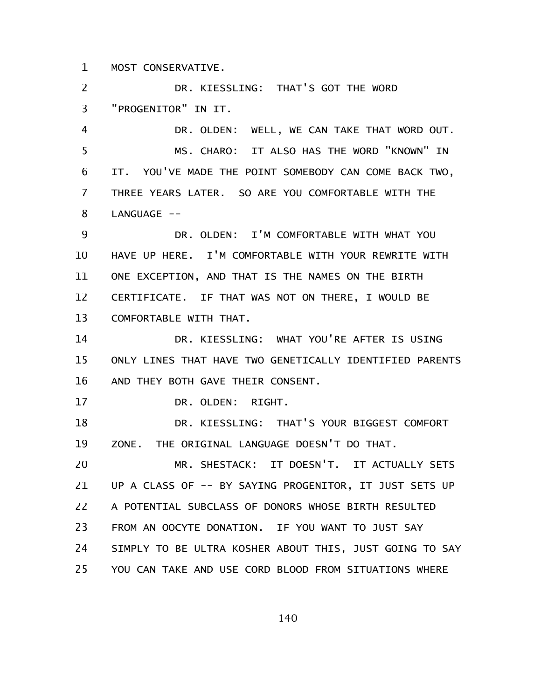MOST CONSERVATIVE. 1

DR. KIESSLING: THAT'S GOT THE WORD "PROGENITOR" IN IT. 2 3

DR. OLDEN: WELL, WE CAN TAKE THAT WORD OUT. MS. CHARO: IT ALSO HAS THE WORD "KNOWN" IN IT. YOU'VE MADE THE POINT SOMEBODY CAN COME BACK TWO, THREE YEARS LATER. SO ARE YOU COMFORTABLE WITH THE LANGUAGE --4 5 6 7 8

DR. OLDEN: I'M COMFORTABLE WITH WHAT YOU HAVE UP HERE. I'M COMFORTABLE WITH YOUR REWRITE WITH ONE EXCEPTION, AND THAT IS THE NAMES ON THE BIRTH CERTIFICATE. IF THAT WAS NOT ON THERE, I WOULD BE COMFORTABLE WITH THAT. 9 10 11 12 13

DR. KIESSLING: WHAT YOU'RE AFTER IS USING ONLY LINES THAT HAVE TWO GENETICALLY IDENTIFIED PARENTS AND THEY BOTH GAVE THEIR CONSENT. 14 15 16

DR. OLDEN: RIGHT. 17

DR. KIESSLING: THAT'S YOUR BIGGEST COMFORT ZONE. THE ORIGINAL LANGUAGE DOESN'T DO THAT. 18 19

MR. SHESTACK: IT DOESN'T. IT ACTUALLY SETS UP A CLASS OF -- BY SAYING PROGENITOR, IT JUST SETS UP A POTENTIAL SUBCLASS OF DONORS WHOSE BIRTH RESULTED FROM AN OOCYTE DONATION. IF YOU WANT TO JUST SAY SIMPLY TO BE ULTRA KOSHER ABOUT THIS, JUST GOING TO SAY YOU CAN TAKE AND USE CORD BLOOD FROM SITUATIONS WHERE 20 21 22 23 24 25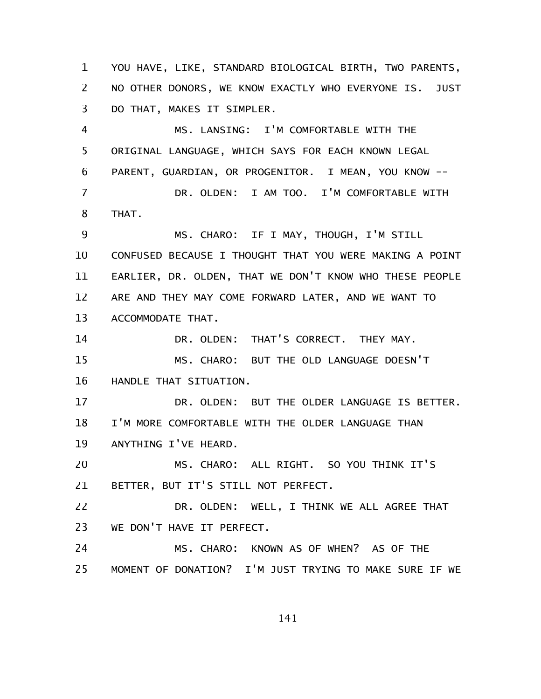YOU HAVE, LIKE, STANDARD BIOLOGICAL BIRTH, TWO PARENTS, NO OTHER DONORS, WE KNOW EXACTLY WHO EVERYONE IS. JUST DO THAT, MAKES IT SIMPLER. 1 2 3

MS. LANSING: I'M COMFORTABLE WITH THE ORIGINAL LANGUAGE, WHICH SAYS FOR EACH KNOWN LEGAL PARENT, GUARDIAN, OR PROGENITOR. I MEAN, YOU KNOW -- DR. OLDEN: I AM TOO. I'M COMFORTABLE WITH THAT. MS. CHARO: IF I MAY, THOUGH, I'M STILL CONFUSED BECAUSE I THOUGHT THAT YOU WERE MAKING A POINT EARLIER, DR. OLDEN, THAT WE DON'T KNOW WHO THESE PEOPLE ARE AND THEY MAY COME FORWARD LATER, AND WE WANT TO ACCOMMODATE THAT. DR. OLDEN: THAT'S CORRECT. THEY MAY. MS. CHARO: BUT THE OLD LANGUAGE DOESN'T HANDLE THAT SITUATION. DR. OLDEN: BUT THE OLDER LANGUAGE IS BETTER. I'M MORE COMFORTABLE WITH THE OLDER LANGUAGE THAN ANYTHING I'VE HEARD. MS. CHARO: ALL RIGHT. SO YOU THINK IT'S 4 5 6 7 8 9 10 11 12 13 14 15 16 17 18 19 20

BETTER, BUT IT'S STILL NOT PERFECT. 21

DR. OLDEN: WELL, I THINK WE ALL AGREE THAT WE DON'T HAVE IT PERFECT. 22 23

MS. CHARO: KNOWN AS OF WHEN? AS OF THE MOMENT OF DONATION? I'M JUST TRYING TO MAKE SURE IF WE 24 25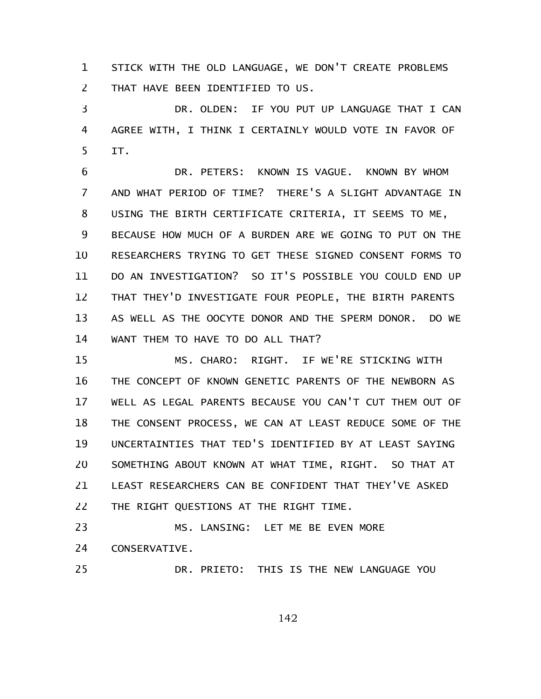STICK WITH THE OLD LANGUAGE, WE DON'T CREATE PROBLEMS THAT HAVE BEEN IDENTIFIED TO US. 1 2

DR. OLDEN: IF YOU PUT UP LANGUAGE THAT I CAN AGREE WITH, I THINK I CERTAINLY WOULD VOTE IN FAVOR OF IT. 3 4 5

DR. PETERS: KNOWN IS VAGUE. KNOWN BY WHOM AND WHAT PERIOD OF TIME? THERE'S A SLIGHT ADVANTAGE IN USING THE BIRTH CERTIFICATE CRITERIA, IT SEEMS TO ME, BECAUSE HOW MUCH OF A BURDEN ARE WE GOING TO PUT ON THE RESEARCHERS TRYING TO GET THESE SIGNED CONSENT FORMS TO DO AN INVESTIGATION? SO IT'S POSSIBLE YOU COULD END UP THAT THEY'D INVESTIGATE FOUR PEOPLE, THE BIRTH PARENTS AS WELL AS THE OOCYTE DONOR AND THE SPERM DONOR. DO WE WANT THEM TO HAVE TO DO ALL THAT? 6 7 8 9 10 11 12 13 14

MS. CHARO: RIGHT. IF WE'RE STICKING WITH THE CONCEPT OF KNOWN GENETIC PARENTS OF THE NEWBORN AS WELL AS LEGAL PARENTS BECAUSE YOU CAN'T CUT THEM OUT OF THE CONSENT PROCESS, WE CAN AT LEAST REDUCE SOME OF THE UNCERTAINTIES THAT TED'S IDENTIFIED BY AT LEAST SAYING SOMETHING ABOUT KNOWN AT WHAT TIME, RIGHT. SO THAT AT LEAST RESEARCHERS CAN BE CONFIDENT THAT THEY'VE ASKED THE RIGHT QUESTIONS AT THE RIGHT TIME. 15 16 17 18 19 20 21 22

MS. LANSING: LET ME BE EVEN MORE CONSERVATIVE. 23 24

25

DR. PRIETO: THIS IS THE NEW LANGUAGE YOU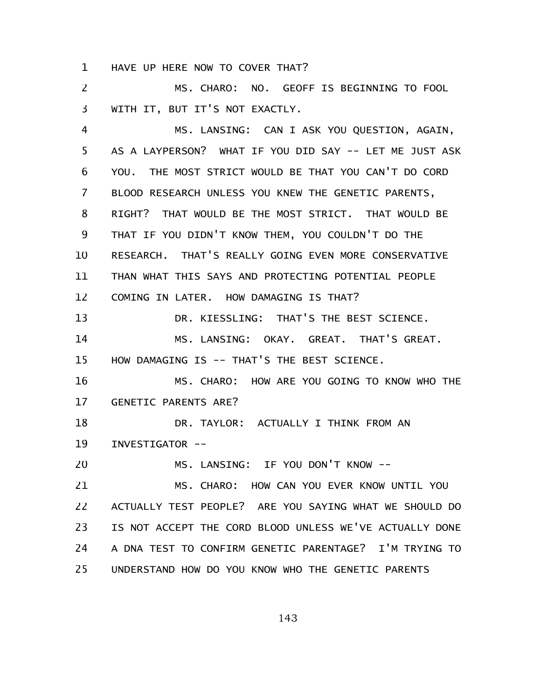HAVE UP HERE NOW TO COVER THAT? 1

MS. CHARO: NO. GEOFF IS BEGINNING TO FOOL WITH IT, BUT IT'S NOT EXACTLY. 2 3

MS. LANSING: CAN I ASK YOU QUESTION, AGAIN, AS A LAYPERSON? WHAT IF YOU DID SAY -- LET ME JUST ASK YOU. THE MOST STRICT WOULD BE THAT YOU CAN'T DO CORD BLOOD RESEARCH UNLESS YOU KNEW THE GENETIC PARENTS, RIGHT? THAT WOULD BE THE MOST STRICT. THAT WOULD BE THAT IF YOU DIDN'T KNOW THEM, YOU COULDN'T DO THE RESEARCH. THAT'S REALLY GOING EVEN MORE CONSERVATIVE THAN WHAT THIS SAYS AND PROTECTING POTENTIAL PEOPLE COMING IN LATER. HOW DAMAGING IS THAT? DR. KIESSLING: THAT'S THE BEST SCIENCE. MS. LANSING: OKAY. GREAT. THAT'S GREAT. HOW DAMAGING IS -- THAT'S THE BEST SCIENCE. MS. CHARO: HOW ARE YOU GOING TO KNOW WHO THE GENETIC PARENTS ARE? DR. TAYLOR: ACTUALLY I THINK FROM AN INVESTIGATOR -- MS. LANSING: IF YOU DON'T KNOW -- MS. CHARO: HOW CAN YOU EVER KNOW UNTIL YOU ACTUALLY TEST PEOPLE? ARE YOU SAYING WHAT WE SHOULD DO IS NOT ACCEPT THE CORD BLOOD UNLESS WE'VE ACTUALLY DONE A DNA TEST TO CONFIRM GENETIC PARENTAGE? I'M TRYING TO UNDERSTAND HOW DO YOU KNOW WHO THE GENETIC PARENTS 4 5 6 7 8 9 10 11 12 13 14 15 16 17 18 19 20 21 22 23 24 25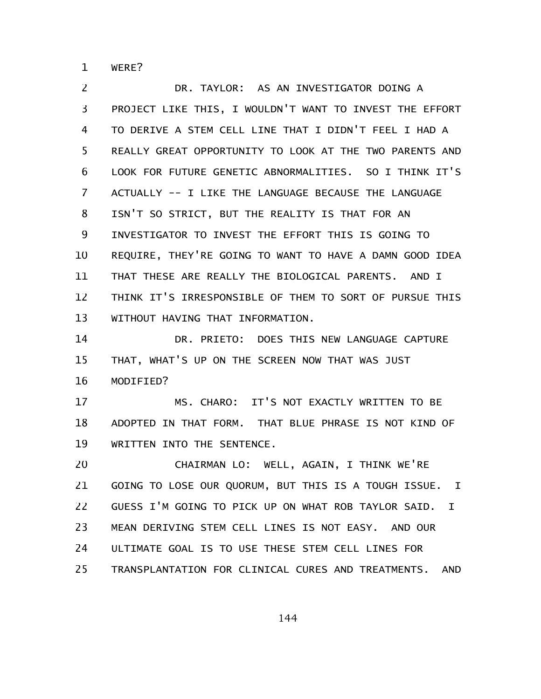WERE? 1

DR. TAYLOR: AS AN INVESTIGATOR DOING A PROJECT LIKE THIS, I WOULDN'T WANT TO INVEST THE EFFORT TO DERIVE A STEM CELL LINE THAT I DIDN'T FEEL I HAD A REALLY GREAT OPPORTUNITY TO LOOK AT THE TWO PARENTS AND LOOK FOR FUTURE GENETIC ABNORMALITIES. SO I THINK IT'S ACTUALLY -- I LIKE THE LANGUAGE BECAUSE THE LANGUAGE ISN'T SO STRICT, BUT THE REALITY IS THAT FOR AN INVESTIGATOR TO INVEST THE EFFORT THIS IS GOING TO REQUIRE, THEY'RE GOING TO WANT TO HAVE A DAMN GOOD IDEA THAT THESE ARE REALLY THE BIOLOGICAL PARENTS. AND I THINK IT'S IRRESPONSIBLE OF THEM TO SORT OF PURSUE THIS WITHOUT HAVING THAT INFORMATION. 2 3 4 5 6 7 8 9 10 11 12 13

DR. PRIETO: DOES THIS NEW LANGUAGE CAPTURE THAT, WHAT'S UP ON THE SCREEN NOW THAT WAS JUST MODIFIED? 14 15 16

MS. CHARO: IT'S NOT EXACTLY WRITTEN TO BE ADOPTED IN THAT FORM. THAT BLUE PHRASE IS NOT KIND OF WRITTEN INTO THE SENTENCE. 17 18 19

CHAIRMAN LO: WELL, AGAIN, I THINK WE'RE GOING TO LOSE OUR QUORUM, BUT THIS IS A TOUGH ISSUE. I GUESS I'M GOING TO PICK UP ON WHAT ROB TAYLOR SAID. I MEAN DERIVING STEM CELL LINES IS NOT EASY. AND OUR ULTIMATE GOAL IS TO USE THESE STEM CELL LINES FOR TRANSPLANTATION FOR CLINICAL CURES AND TREATMENTS. AND 20 21 22 23 24 25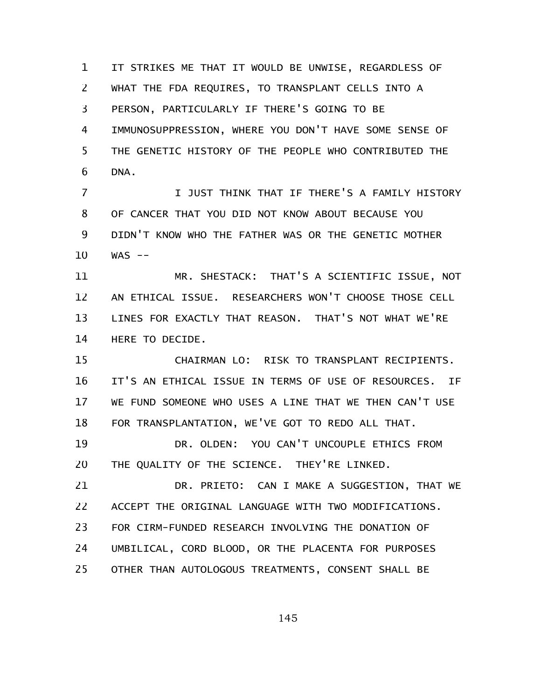IT STRIKES ME THAT IT WOULD BE UNWISE, REGARDLESS OF WHAT THE FDA REQUIRES, TO TRANSPLANT CELLS INTO A PERSON, PARTICULARLY IF THERE'S GOING TO BE IMMUNOSUPPRESSION, WHERE YOU DON'T HAVE SOME SENSE OF THE GENETIC HISTORY OF THE PEOPLE WHO CONTRIBUTED THE DNA. 1 2 3 4 5 6

I JUST THINK THAT IF THERE'S A FAMILY HISTORY OF CANCER THAT YOU DID NOT KNOW ABOUT BECAUSE YOU DIDN'T KNOW WHO THE FATHER WAS OR THE GENETIC MOTHER  $WAS$  --7 8 9 10

MR. SHESTACK: THAT'S A SCIENTIFIC ISSUE, NOT AN ETHICAL ISSUE. RESEARCHERS WON'T CHOOSE THOSE CELL LINES FOR EXACTLY THAT REASON. THAT'S NOT WHAT WE'RE HERE TO DECIDE. 11 12 13 14

CHAIRMAN LO: RISK TO TRANSPLANT RECIPIENTS. IT'S AN ETHICAL ISSUE IN TERMS OF USE OF RESOURCES. IF WE FUND SOMEONE WHO USES A LINE THAT WE THEN CAN'T USE FOR TRANSPLANTATION, WE'VE GOT TO REDO ALL THAT. DR. OLDEN: YOU CAN'T UNCOUPLE ETHICS FROM THE QUALITY OF THE SCIENCE. THEY'RE LINKED. 15 16 17 18 19 20

DR. PRIETO: CAN I MAKE A SUGGESTION, THAT WE ACCEPT THE ORIGINAL LANGUAGE WITH TWO MODIFICATIONS. FOR CIRM-FUNDED RESEARCH INVOLVING THE DONATION OF UMBILICAL, CORD BLOOD, OR THE PLACENTA FOR PURPOSES OTHER THAN AUTOLOGOUS TREATMENTS, CONSENT SHALL BE 21 22 23 24 25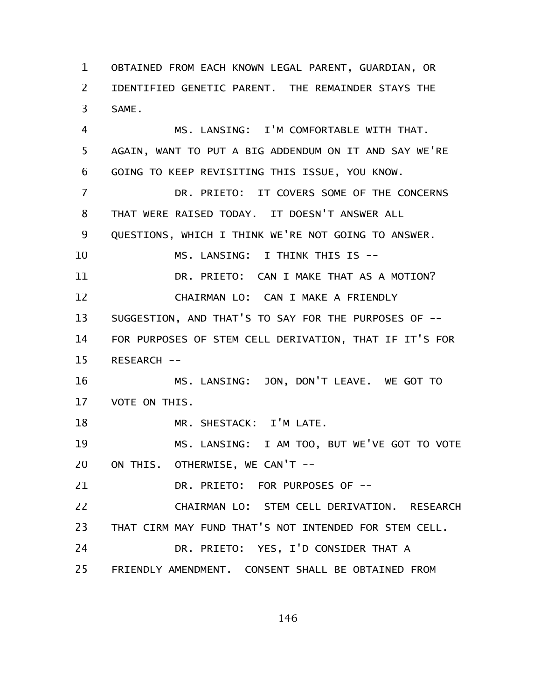OBTAINED FROM EACH KNOWN LEGAL PARENT, GUARDIAN, OR IDENTIFIED GENETIC PARENT. THE REMAINDER STAYS THE SAME. 1 2 3

MS. LANSING: I'M COMFORTABLE WITH THAT. AGAIN, WANT TO PUT A BIG ADDENDUM ON IT AND SAY WE'RE GOING TO KEEP REVISITING THIS ISSUE, YOU KNOW. 4 5 6

DR. PRIETO: IT COVERS SOME OF THE CONCERNS THAT WERE RAISED TODAY. IT DOESN'T ANSWER ALL QUESTIONS, WHICH I THINK WE'RE NOT GOING TO ANSWER. MS. LANSING: I THINK THIS IS -- DR. PRIETO: CAN I MAKE THAT AS A MOTION? CHAIRMAN LO: CAN I MAKE A FRIENDLY SUGGESTION, AND THAT'S TO SAY FOR THE PURPOSES OF -- FOR PURPOSES OF STEM CELL DERIVATION, THAT IF IT'S FOR RESEARCH -- 7 8 9 10 11 12 13 14 15

MS. LANSING: JON, DON'T LEAVE. WE GOT TO VOTE ON THIS. 16 17

MR. SHESTACK: I'M LATE. 18

MS. LANSING: I AM TOO, BUT WE'VE GOT TO VOTE ON THIS. OTHERWISE, WE CAN'T -- 19 20

DR. PRIETO: FOR PURPOSES OF -- 21

CHAIRMAN LO: STEM CELL DERIVATION. RESEARCH THAT CIRM MAY FUND THAT'S NOT INTENDED FOR STEM CELL. 22 23

DR. PRIETO: YES, I'D CONSIDER THAT A 24

FRIENDLY AMENDMENT. CONSENT SHALL BE OBTAINED FROM 25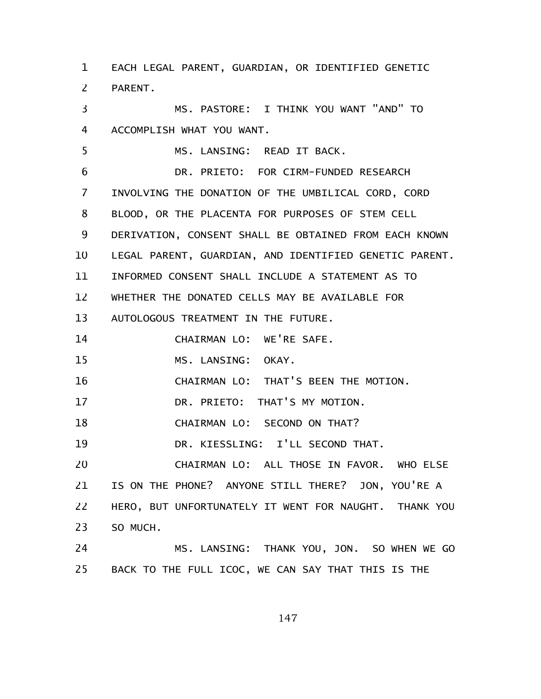EACH LEGAL PARENT, GUARDIAN, OR IDENTIFIED GENETIC PARENT. MS. PASTORE: I THINK YOU WANT "AND" TO ACCOMPLISH WHAT YOU WANT. MS. LANSING: READ IT BACK. DR. PRIETO: FOR CIRM-FUNDED RESEARCH INVOLVING THE DONATION OF THE UMBILICAL CORD, CORD BLOOD, OR THE PLACENTA FOR PURPOSES OF STEM CELL DERIVATION, CONSENT SHALL BE OBTAINED FROM EACH KNOWN LEGAL PARENT, GUARDIAN, AND IDENTIFIED GENETIC PARENT. INFORMED CONSENT SHALL INCLUDE A STATEMENT AS TO WHETHER THE DONATED CELLS MAY BE AVAILABLE FOR AUTOLOGOUS TREATMENT IN THE FUTURE. CHAIRMAN LO: WE'RE SAFE. MS. LANSING: OKAY. CHAIRMAN LO: THAT'S BEEN THE MOTION. DR. PRIETO: THAT'S MY MOTION. CHAIRMAN LO: SECOND ON THAT? DR. KIESSLING: I'LL SECOND THAT. CHAIRMAN LO: ALL THOSE IN FAVOR. WHO ELSE IS ON THE PHONE? ANYONE STILL THERE? JON, YOU'RE A HERO, BUT UNFORTUNATELY IT WENT FOR NAUGHT. THANK YOU SO MUCH. MS. LANSING: THANK YOU, JON. SO WHEN WE GO BACK TO THE FULL ICOC, WE CAN SAY THAT THIS IS THE 1 2 3 4 5 6 7 8 9 10 11 12 13 14 15 16 17 18 19 20 21 22 23 24 25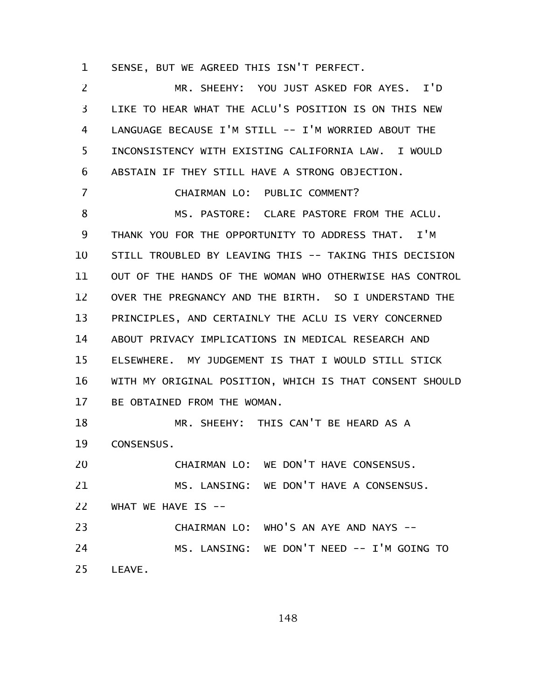SENSE, BUT WE AGREED THIS ISN'T PERFECT. 1

MR. SHEEHY: YOU JUST ASKED FOR AYES. I'D LIKE TO HEAR WHAT THE ACLU'S POSITION IS ON THIS NEW LANGUAGE BECAUSE I'M STILL -- I'M WORRIED ABOUT THE INCONSISTENCY WITH EXISTING CALIFORNIA LAW. I WOULD ABSTAIN IF THEY STILL HAVE A STRONG OBJECTION. CHAIRMAN LO: PUBLIC COMMENT? MS. PASTORE: CLARE PASTORE FROM THE ACLU. THANK YOU FOR THE OPPORTUNITY TO ADDRESS THAT. I'M STILL TROUBLED BY LEAVING THIS -- TAKING THIS DECISION OUT OF THE HANDS OF THE WOMAN WHO OTHERWISE HAS CONTROL OVER THE PREGNANCY AND THE BIRTH. SO I UNDERSTAND THE PRINCIPLES, AND CERTAINLY THE ACLU IS VERY CONCERNED ABOUT PRIVACY IMPLICATIONS IN MEDICAL RESEARCH AND ELSEWHERE. MY JUDGEMENT IS THAT I WOULD STILL STICK WITH MY ORIGINAL POSITION, WHICH IS THAT CONSENT SHOULD BE OBTAINED FROM THE WOMAN. MR. SHEEHY: THIS CAN'T BE HEARD AS A CONSENSUS. CHAIRMAN LO: WE DON'T HAVE CONSENSUS. MS. LANSING: WE DON'T HAVE A CONSENSUS. WHAT WE HAVE IS --CHAIRMAN LO: WHO'S AN AYE AND NAYS -- MS. LANSING: WE DON'T NEED -- I'M GOING TO LEAVE. 2 3 4 5 6 7 8 9 10 11 12 13 14 15 16 17 18 19 20 21 22 23 24 25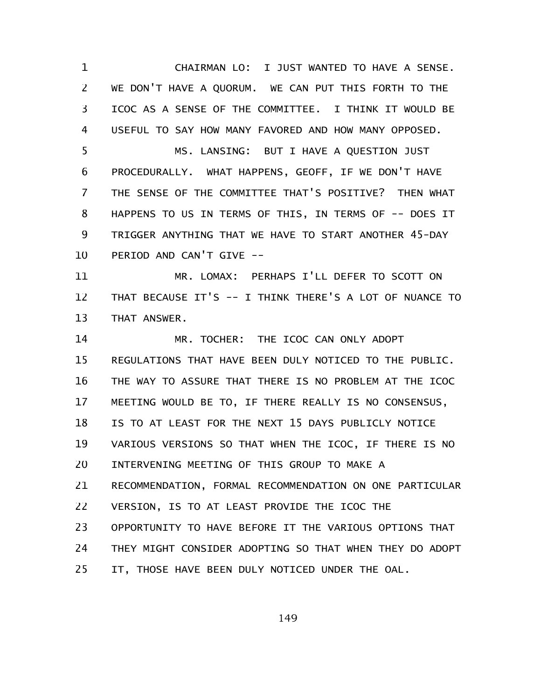CHAIRMAN LO: I JUST WANTED TO HAVE A SENSE. WE DON'T HAVE A QUORUM. WE CAN PUT THIS FORTH TO THE ICOC AS A SENSE OF THE COMMITTEE. I THINK IT WOULD BE USEFUL TO SAY HOW MANY FAVORED AND HOW MANY OPPOSED. 1 2 3 4

MS. LANSING: BUT I HAVE A QUESTION JUST PROCEDURALLY. WHAT HAPPENS, GEOFF, IF WE DON'T HAVE THE SENSE OF THE COMMITTEE THAT'S POSITIVE? THEN WHAT HAPPENS TO US IN TERMS OF THIS, IN TERMS OF -- DOES IT TRIGGER ANYTHING THAT WE HAVE TO START ANOTHER 45-DAY PERIOD AND CAN'T GIVE -- 5 6 7 8 9 10

MR. LOMAX: PERHAPS I'LL DEFER TO SCOTT ON THAT BECAUSE IT'S -- I THINK THERE'S A LOT OF NUANCE TO THAT ANSWER. 11 12 13

MR. TOCHER: THE ICOC CAN ONLY ADOPT REGULATIONS THAT HAVE BEEN DULY NOTICED TO THE PUBLIC. THE WAY TO ASSURE THAT THERE IS NO PROBLEM AT THE ICOC MEETING WOULD BE TO, IF THERE REALLY IS NO CONSENSUS, IS TO AT LEAST FOR THE NEXT 15 DAYS PUBLICLY NOTICE VARIOUS VERSIONS SO THAT WHEN THE ICOC, IF THERE IS NO INTERVENING MEETING OF THIS GROUP TO MAKE A RECOMMENDATION, FORMAL RECOMMENDATION ON ONE PARTICULAR VERSION, IS TO AT LEAST PROVIDE THE ICOC THE OPPORTUNITY TO HAVE BEFORE IT THE VARIOUS OPTIONS THAT THEY MIGHT CONSIDER ADOPTING SO THAT WHEN THEY DO ADOPT IT, THOSE HAVE BEEN DULY NOTICED UNDER THE OAL. 14 15 16 17 18 19 20 21 22 23 24 25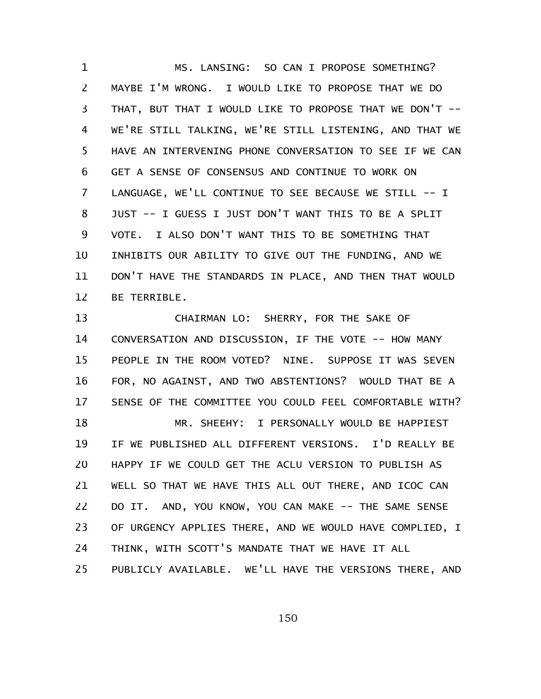MS. LANSING: SO CAN I PROPOSE SOMETHING? MAYBE I'M WRONG. I WOULD LIKE TO PROPOSE THAT WE DO THAT, BUT THAT I WOULD LIKE TO PROPOSE THAT WE DON'T -- WE'RE STILL TALKING, WE'RE STILL LISTENING, AND THAT WE HAVE AN INTERVENING PHONE CONVERSATION TO SEE IF WE CAN GET A SENSE OF CONSENSUS AND CONTINUE TO WORK ON LANGUAGE, WE'LL CONTINUE TO SEE BECAUSE WE STILL -- I JUST -- I GUESS I JUST DON'T WANT THIS TO BE A SPLIT VOTE. I ALSO DON'T WANT THIS TO BE SOMETHING THAT INHIBITS OUR ABILITY TO GIVE OUT THE FUNDING, AND WE DON'T HAVE THE STANDARDS IN PLACE, AND THEN THAT WOULD BE TERRIBLE. 1 2 3 4 5 6 7 8 9 10 11 12

CHAIRMAN LO: SHERRY, FOR THE SAKE OF CONVERSATION AND DISCUSSION, IF THE VOTE -- HOW MANY PEOPLE IN THE ROOM VOTED? NINE. SUPPOSE IT WAS SEVEN FOR, NO AGAINST, AND TWO ABSTENTIONS? WOULD THAT BE A SENSE OF THE COMMITTEE YOU COULD FEEL COMFORTABLE WITH? MR. SHEEHY: I PERSONALLY WOULD BE HAPPIEST IF WE PUBLISHED ALL DIFFERENT VERSIONS. I'D REALLY BE HAPPY IF WE COULD GET THE ACLU VERSION TO PUBLISH AS WELL SO THAT WE HAVE THIS ALL OUT THERE, AND ICOC CAN DO IT. AND, YOU KNOW, YOU CAN MAKE -- THE SAME SENSE OF URGENCY APPLIES THERE, AND WE WOULD HAVE COMPLIED, I THINK, WITH SCOTT'S MANDATE THAT WE HAVE IT ALL PUBLICLY AVAILABLE. WE'LL HAVE THE VERSIONS THERE, AND 13 14 15 16 17 18 19 20 21 22 23 24 25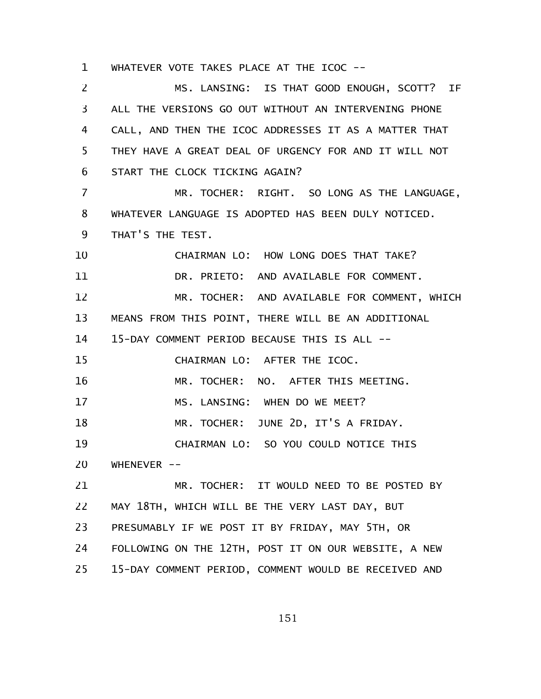WHATEVER VOTE TAKES PLACE AT THE ICOC -- 1

MS. LANSING: IS THAT GOOD ENOUGH, SCOTT? IF ALL THE VERSIONS GO OUT WITHOUT AN INTERVENING PHONE CALL, AND THEN THE ICOC ADDRESSES IT AS A MATTER THAT THEY HAVE A GREAT DEAL OF URGENCY FOR AND IT WILL NOT START THE CLOCK TICKING AGAIN? MR. TOCHER: RIGHT. SO LONG AS THE LANGUAGE, WHATEVER LANGUAGE IS ADOPTED HAS BEEN DULY NOTICED. THAT'S THE TEST. CHAIRMAN LO: HOW LONG DOES THAT TAKE? DR. PRIETO: AND AVAILABLE FOR COMMENT. MR. TOCHER: AND AVAILABLE FOR COMMENT, WHICH MEANS FROM THIS POINT, THERE WILL BE AN ADDITIONAL 15-DAY COMMENT PERIOD BECAUSE THIS IS ALL -- CHAIRMAN LO: AFTER THE ICOC. MR. TOCHER: NO. AFTER THIS MEETING. MS. LANSING: WHEN DO WE MEET? MR. TOCHER: JUNE 2D, IT'S A FRIDAY. CHAIRMAN LO: SO YOU COULD NOTICE THIS WHENEVER  $--$ MR. TOCHER: IT WOULD NEED TO BE POSTED BY MAY 18TH, WHICH WILL BE THE VERY LAST DAY, BUT PRESUMABLY IF WE POST IT BY FRIDAY, MAY 5TH, OR FOLLOWING ON THE 12TH, POST IT ON OUR WEBSITE, A NEW 15-DAY COMMENT PERIOD, COMMENT WOULD BE RECEIVED AND 2 3 4 5 6 7 8 9 10 11 12 13 14 15 16 17 18 19 20 21 22 23 24 25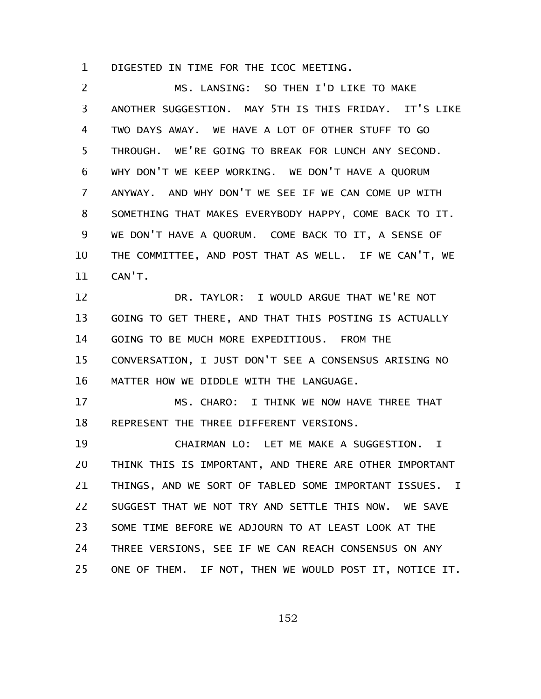DIGESTED IN TIME FOR THE ICOC MEETING. 1

MS. LANSING: SO THEN I'D LIKE TO MAKE ANOTHER SUGGESTION. MAY 5TH IS THIS FRIDAY. IT'S LIKE TWO DAYS AWAY. WE HAVE A LOT OF OTHER STUFF TO GO THROUGH. WE'RE GOING TO BREAK FOR LUNCH ANY SECOND. WHY DON'T WE KEEP WORKING. WE DON'T HAVE A QUORUM ANYWAY. AND WHY DON'T WE SEE IF WE CAN COME UP WITH SOMETHING THAT MAKES EVERYBODY HAPPY, COME BACK TO IT. WE DON'T HAVE A QUORUM. COME BACK TO IT, A SENSE OF THE COMMITTEE, AND POST THAT AS WELL. IF WE CAN'T, WE CAN'T. DR. TAYLOR: I WOULD ARGUE THAT WE'RE NOT GOING TO GET THERE, AND THAT THIS POSTING IS ACTUALLY GOING TO BE MUCH MORE EXPEDITIOUS. FROM THE CONVERSATION, I JUST DON'T SEE A CONSENSUS ARISING NO MATTER HOW WE DIDDLE WITH THE LANGUAGE. MS. CHARO: I THINK WE NOW HAVE THREE THAT REPRESENT THE THREE DIFFERENT VERSIONS. CHAIRMAN LO: LET ME MAKE A SUGGESTION. I THINK THIS IS IMPORTANT, AND THERE ARE OTHER IMPORTANT THINGS, AND WE SORT OF TABLED SOME IMPORTANT ISSUES. I SUGGEST THAT WE NOT TRY AND SETTLE THIS NOW. WE SAVE SOME TIME BEFORE WE ADJOURN TO AT LEAST LOOK AT THE THREE VERSIONS, SEE IF WE CAN REACH CONSENSUS ON ANY ONE OF THEM. IF NOT, THEN WE WOULD POST IT, NOTICE IT. 2 3 4 5 6 7 8 9 10 11 12 13 14 15 16 17 18 19 20 21 22 23 24 25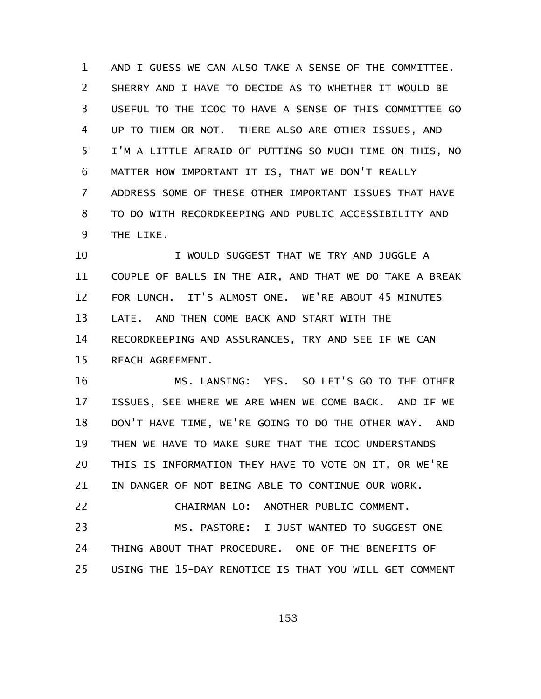AND I GUESS WE CAN ALSO TAKE A SENSE OF THE COMMITTEE. SHERRY AND I HAVE TO DECIDE AS TO WHETHER IT WOULD BE USEFUL TO THE ICOC TO HAVE A SENSE OF THIS COMMITTEE GO UP TO THEM OR NOT. THERE ALSO ARE OTHER ISSUES, AND I'M A LITTLE AFRAID OF PUTTING SO MUCH TIME ON THIS, NO MATTER HOW IMPORTANT IT IS, THAT WE DON'T REALLY ADDRESS SOME OF THESE OTHER IMPORTANT ISSUES THAT HAVE TO DO WITH RECORDKEEPING AND PUBLIC ACCESSIBILITY AND THE LIKE. 1 2 3 4 5 6 7 8 9

I WOULD SUGGEST THAT WE TRY AND JUGGLE A COUPLE OF BALLS IN THE AIR, AND THAT WE DO TAKE A BREAK FOR LUNCH. IT'S ALMOST ONE. WE'RE ABOUT 45 MINUTES LATE. AND THEN COME BACK AND START WITH THE RECORDKEEPING AND ASSURANCES, TRY AND SEE IF WE CAN REACH AGREEMENT. 10 11 12 13 14 15

MS. LANSING: YES. SO LET'S GO TO THE OTHER ISSUES, SEE WHERE WE ARE WHEN WE COME BACK. AND IF WE DON'T HAVE TIME, WE'RE GOING TO DO THE OTHER WAY. AND THEN WE HAVE TO MAKE SURE THAT THE ICOC UNDERSTANDS THIS IS INFORMATION THEY HAVE TO VOTE ON IT, OR WE'RE IN DANGER OF NOT BEING ABLE TO CONTINUE OUR WORK. CHAIRMAN LO: ANOTHER PUBLIC COMMENT. 16 17 18 19 20 21 22

MS. PASTORE: I JUST WANTED TO SUGGEST ONE THING ABOUT THAT PROCEDURE. ONE OF THE BENEFITS OF USING THE 15-DAY RENOTICE IS THAT YOU WILL GET COMMENT 23 24 25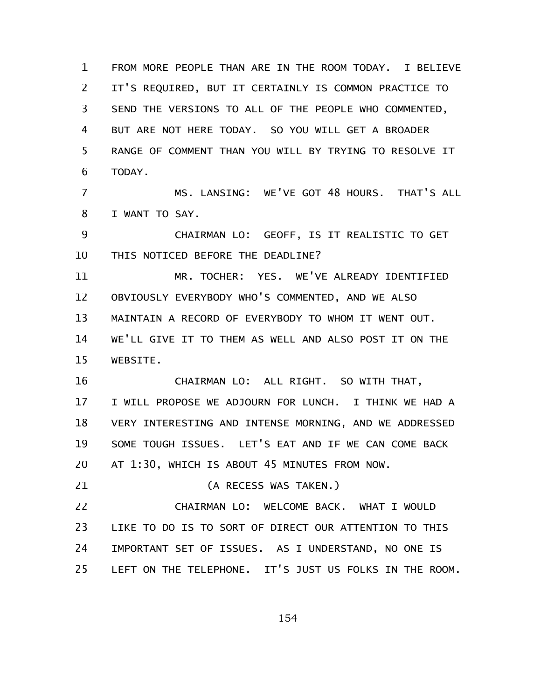FROM MORE PEOPLE THAN ARE IN THE ROOM TODAY. I BELIEVE IT'S REQUIRED, BUT IT CERTAINLY IS COMMON PRACTICE TO SEND THE VERSIONS TO ALL OF THE PEOPLE WHO COMMENTED, BUT ARE NOT HERE TODAY. SO YOU WILL GET A BROADER RANGE OF COMMENT THAN YOU WILL BY TRYING TO RESOLVE IT TODAY. 1 2 3 4 5 6

MS. LANSING: WE'VE GOT 48 HOURS. THAT'S ALL I WANT TO SAY. 7 8

CHAIRMAN LO: GEOFF, IS IT REALISTIC TO GET THIS NOTICED BEFORE THE DEADLINE? 9 10

MR. TOCHER: YES. WE'VE ALREADY IDENTIFIED OBVIOUSLY EVERYBODY WHO'S COMMENTED, AND WE ALSO MAINTAIN A RECORD OF EVERYBODY TO WHOM IT WENT OUT. WE'LL GIVE IT TO THEM AS WELL AND ALSO POST IT ON THE WEBSITE. 11 12 13 14 15

CHAIRMAN LO: ALL RIGHT. SO WITH THAT, I WILL PROPOSE WE ADJOURN FOR LUNCH. I THINK WE HAD A VERY INTERESTING AND INTENSE MORNING, AND WE ADDRESSED SOME TOUGH ISSUES. LET'S EAT AND IF WE CAN COME BACK AT 1:30, WHICH IS ABOUT 45 MINUTES FROM NOW. 16 17 18 19 20

(A RECESS WAS TAKEN.) 21

CHAIRMAN LO: WELCOME BACK. WHAT I WOULD LIKE TO DO IS TO SORT OF DIRECT OUR ATTENTION TO THIS IMPORTANT SET OF ISSUES. AS I UNDERSTAND, NO ONE IS LEFT ON THE TELEPHONE. IT'S JUST US FOLKS IN THE ROOM. 22 23 24 25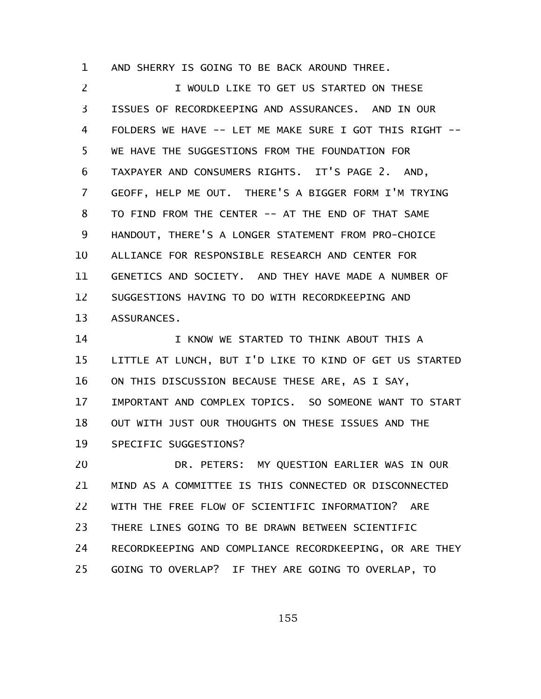AND SHERRY IS GOING TO BE BACK AROUND THREE. 1

I WOULD LIKE TO GET US STARTED ON THESE ISSUES OF RECORDKEEPING AND ASSURANCES. AND IN OUR FOLDERS WE HAVE -- LET ME MAKE SURE I GOT THIS RIGHT -- WE HAVE THE SUGGESTIONS FROM THE FOUNDATION FOR TAXPAYER AND CONSUMERS RIGHTS. IT'S PAGE 2. AND, GEOFF, HELP ME OUT. THERE'S A BIGGER FORM I'M TRYING TO FIND FROM THE CENTER -- AT THE END OF THAT SAME HANDOUT, THERE'S A LONGER STATEMENT FROM PRO-CHOICE ALLIANCE FOR RESPONSIBLE RESEARCH AND CENTER FOR GENETICS AND SOCIETY. AND THEY HAVE MADE A NUMBER OF SUGGESTIONS HAVING TO DO WITH RECORDKEEPING AND ASSURANCES. 2 3 4 5 6 7 8 9 10 11 12 13

I KNOW WE STARTED TO THINK ABOUT THIS A LITTLE AT LUNCH, BUT I'D LIKE TO KIND OF GET US STARTED ON THIS DISCUSSION BECAUSE THESE ARE, AS I SAY, IMPORTANT AND COMPLEX TOPICS. SO SOMEONE WANT TO START OUT WITH JUST OUR THOUGHTS ON THESE ISSUES AND THE SPECIFIC SUGGESTIONS? 14 15 16 17 18 19

DR. PETERS: MY QUESTION EARLIER WAS IN OUR MIND AS A COMMITTEE IS THIS CONNECTED OR DISCONNECTED WITH THE FREE FLOW OF SCIENTIFIC INFORMATION? ARE THERE LINES GOING TO BE DRAWN BETWEEN SCIENTIFIC RECORDKEEPING AND COMPLIANCE RECORDKEEPING, OR ARE THEY GOING TO OVERLAP? IF THEY ARE GOING TO OVERLAP, TO 20 21 22 23 24 25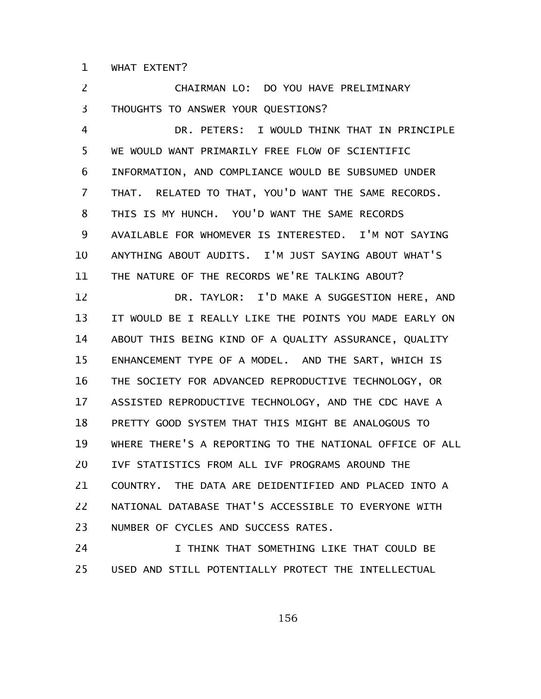WHAT EXTENT? 1

CHAIRMAN LO: DO YOU HAVE PRELIMINARY THOUGHTS TO ANSWER YOUR QUESTIONS? DR. PETERS: I WOULD THINK THAT IN PRINCIPLE WE WOULD WANT PRIMARILY FREE FLOW OF SCIENTIFIC INFORMATION, AND COMPLIANCE WOULD BE SUBSUMED UNDER THAT. RELATED TO THAT, YOU'D WANT THE SAME RECORDS. THIS IS MY HUNCH. YOU'D WANT THE SAME RECORDS AVAILABLE FOR WHOMEVER IS INTERESTED. I'M NOT SAYING ANYTHING ABOUT AUDITS. I'M JUST SAYING ABOUT WHAT'S THE NATURE OF THE RECORDS WE'RE TALKING ABOUT? DR. TAYLOR: I'D MAKE A SUGGESTION HERE, AND IT WOULD BE I REALLY LIKE THE POINTS YOU MADE EARLY ON ABOUT THIS BEING KIND OF A QUALITY ASSURANCE, QUALITY ENHANCEMENT TYPE OF A MODEL. AND THE SART, WHICH IS THE SOCIETY FOR ADVANCED REPRODUCTIVE TECHNOLOGY, OR ASSISTED REPRODUCTIVE TECHNOLOGY, AND THE CDC HAVE A PRETTY GOOD SYSTEM THAT THIS MIGHT BE ANALOGOUS TO WHERE THERE'S A REPORTING TO THE NATIONAL OFFICE OF ALL IVF STATISTICS FROM ALL IVF PROGRAMS AROUND THE COUNTRY. THE DATA ARE DEIDENTIFIED AND PLACED INTO A NATIONAL DATABASE THAT'S ACCESSIBLE TO EVERYONE WITH NUMBER OF CYCLES AND SUCCESS RATES. 2 3 4 5 6 7 8 9 10 11 12 13 14 15 16 17 18 19 20 21 22 23

I THINK THAT SOMETHING LIKE THAT COULD BE USED AND STILL POTENTIALLY PROTECT THE INTELLECTUAL 24 25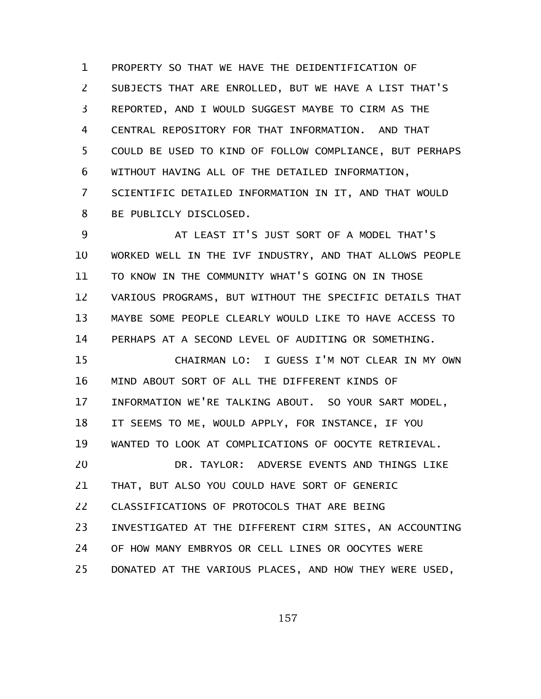PROPERTY SO THAT WE HAVE THE DEIDENTIFICATION OF SUBJECTS THAT ARE ENROLLED, BUT WE HAVE A LIST THAT'S REPORTED, AND I WOULD SUGGEST MAYBE TO CIRM AS THE CENTRAL REPOSITORY FOR THAT INFORMATION. AND THAT COULD BE USED TO KIND OF FOLLOW COMPLIANCE, BUT PERHAPS WITHOUT HAVING ALL OF THE DETAILED INFORMATION, SCIENTIFIC DETAILED INFORMATION IN IT, AND THAT WOULD BE PUBLICLY DISCLOSED. 1 2 3 4 5 6 7 8

AT LEAST IT'S JUST SORT OF A MODEL THAT'S WORKED WELL IN THE IVF INDUSTRY, AND THAT ALLOWS PEOPLE TO KNOW IN THE COMMUNITY WHAT'S GOING ON IN THOSE VARIOUS PROGRAMS, BUT WITHOUT THE SPECIFIC DETAILS THAT MAYBE SOME PEOPLE CLEARLY WOULD LIKE TO HAVE ACCESS TO PERHAPS AT A SECOND LEVEL OF AUDITING OR SOMETHING. 9 10 11 12 13 14

CHAIRMAN LO: I GUESS I'M NOT CLEAR IN MY OWN MIND ABOUT SORT OF ALL THE DIFFERENT KINDS OF INFORMATION WE'RE TALKING ABOUT. SO YOUR SART MODEL, IT SEEMS TO ME, WOULD APPLY, FOR INSTANCE, IF YOU WANTED TO LOOK AT COMPLICATIONS OF OOCYTE RETRIEVAL. DR. TAYLOR: ADVERSE EVENTS AND THINGS LIKE THAT, BUT ALSO YOU COULD HAVE SORT OF GENERIC CLASSIFICATIONS OF PROTOCOLS THAT ARE BEING INVESTIGATED AT THE DIFFERENT CIRM SITES, AN ACCOUNTING OF HOW MANY EMBRYOS OR CELL LINES OR OOCYTES WERE DONATED AT THE VARIOUS PLACES, AND HOW THEY WERE USED, 15 16 17 18 19 20 21 22 23 24 25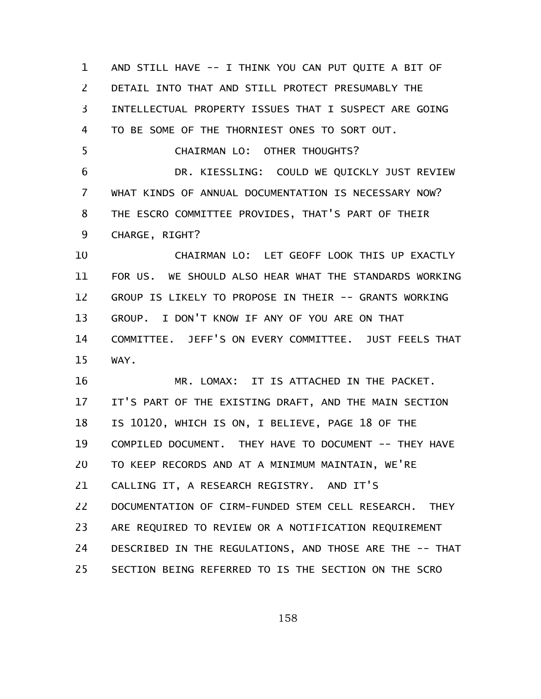AND STILL HAVE -- I THINK YOU CAN PUT QUITE A BIT OF DETAIL INTO THAT AND STILL PROTECT PRESUMABLY THE INTELLECTUAL PROPERTY ISSUES THAT I SUSPECT ARE GOING TO BE SOME OF THE THORNIEST ONES TO SORT OUT. CHAIRMAN LO: OTHER THOUGHTS? DR. KIESSLING: COULD WE QUICKLY JUST REVIEW WHAT KINDS OF ANNUAL DOCUMENTATION IS NECESSARY NOW? THE ESCRO COMMITTEE PROVIDES, THAT'S PART OF THEIR CHARGE, RIGHT? CHAIRMAN LO: LET GEOFF LOOK THIS UP EXACTLY FOR US. WE SHOULD ALSO HEAR WHAT THE STANDARDS WORKING GROUP IS LIKELY TO PROPOSE IN THEIR -- GRANTS WORKING GROUP. I DON'T KNOW IF ANY OF YOU ARE ON THAT COMMITTEE. JEFF'S ON EVERY COMMITTEE. JUST FEELS THAT WAY. MR. LOMAX: IT IS ATTACHED IN THE PACKET. IT'S PART OF THE EXISTING DRAFT, AND THE MAIN SECTION IS 10120, WHICH IS ON, I BELIEVE, PAGE 18 OF THE COMPILED DOCUMENT. THEY HAVE TO DOCUMENT -- THEY HAVE TO KEEP RECORDS AND AT A MINIMUM MAINTAIN, WE'RE CALLING IT, A RESEARCH REGISTRY. AND IT'S DOCUMENTATION OF CIRM-FUNDED STEM CELL RESEARCH. THEY ARE REQUIRED TO REVIEW OR A NOTIFICATION REQUIREMENT DESCRIBED IN THE REGULATIONS, AND THOSE ARE THE -- THAT SECTION BEING REFERRED TO IS THE SECTION ON THE SCRO 1 2 3 4 5 6 7 8 9 10 11 12 13 14 15 16 17 18 19 20 21 22 23 24 25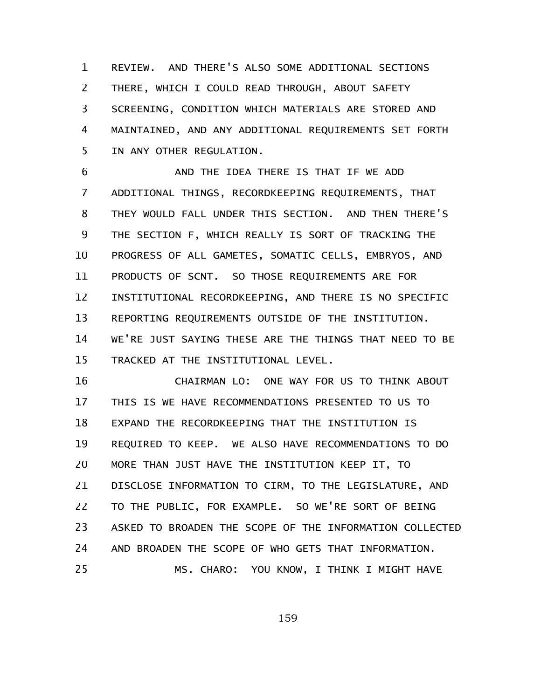REVIEW. AND THERE'S ALSO SOME ADDITIONAL SECTIONS THERE, WHICH I COULD READ THROUGH, ABOUT SAFETY SCREENING, CONDITION WHICH MATERIALS ARE STORED AND MAINTAINED, AND ANY ADDITIONAL REQUIREMENTS SET FORTH IN ANY OTHER REGULATION. 1 2 3 4 5

AND THE IDEA THERE IS THAT IF WE ADD ADDITIONAL THINGS, RECORDKEEPING REQUIREMENTS, THAT THEY WOULD FALL UNDER THIS SECTION. AND THEN THERE'S THE SECTION F, WHICH REALLY IS SORT OF TRACKING THE PROGRESS OF ALL GAMETES, SOMATIC CELLS, EMBRYOS, AND PRODUCTS OF SCNT. SO THOSE REQUIREMENTS ARE FOR INSTITUTIONAL RECORDKEEPING, AND THERE IS NO SPECIFIC REPORTING REQUIREMENTS OUTSIDE OF THE INSTITUTION. WE'RE JUST SAYING THESE ARE THE THINGS THAT NEED TO BE TRACKED AT THE INSTITUTIONAL LEVEL. 6 7 8 9 10 11 12 13 14 15

CHAIRMAN LO: ONE WAY FOR US TO THINK ABOUT THIS IS WE HAVE RECOMMENDATIONS PRESENTED TO US TO EXPAND THE RECORDKEEPING THAT THE INSTITUTION IS REQUIRED TO KEEP. WE ALSO HAVE RECOMMENDATIONS TO DO MORE THAN JUST HAVE THE INSTITUTION KEEP IT, TO DISCLOSE INFORMATION TO CIRM, TO THE LEGISLATURE, AND TO THE PUBLIC, FOR EXAMPLE. SO WE'RE SORT OF BEING ASKED TO BROADEN THE SCOPE OF THE INFORMATION COLLECTED AND BROADEN THE SCOPE OF WHO GETS THAT INFORMATION. MS. CHARO: YOU KNOW, I THINK I MIGHT HAVE 16 17 18 19 20 21 22 23 24 25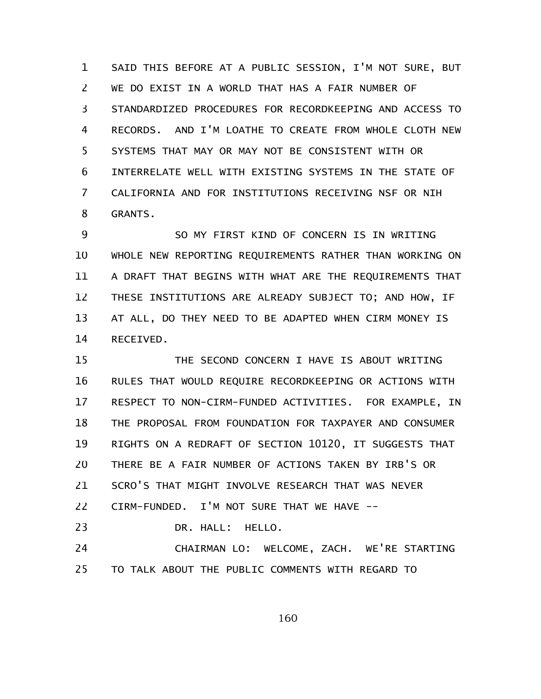SAID THIS BEFORE AT A PUBLIC SESSION, I'M NOT SURE, BUT WE DO EXIST IN A WORLD THAT HAS A FAIR NUMBER OF STANDARDIZED PROCEDURES FOR RECORDKEEPING AND ACCESS TO RECORDS. AND I'M LOATHE TO CREATE FROM WHOLE CLOTH NEW SYSTEMS THAT MAY OR MAY NOT BE CONSISTENT WITH OR INTERRELATE WELL WITH EXISTING SYSTEMS IN THE STATE OF CALIFORNIA AND FOR INSTITUTIONS RECEIVING NSF OR NIH GRANTS. 1 2 3 4 5 6 7 8

SO MY FIRST KIND OF CONCERN IS IN WRITING WHOLE NEW REPORTING REQUIREMENTS RATHER THAN WORKING ON A DRAFT THAT BEGINS WITH WHAT ARE THE REQUIREMENTS THAT THESE INSTITUTIONS ARE ALREADY SUBJECT TO; AND HOW, IF AT ALL, DO THEY NEED TO BE ADAPTED WHEN CIRM MONEY IS RECEIVED. 9 10 11 12 13 14

THE SECOND CONCERN I HAVE IS ABOUT WRITING RULES THAT WOULD REQUIRE RECORDKEEPING OR ACTIONS WITH RESPECT TO NON-CIRM-FUNDED ACTIVITIES. FOR EXAMPLE, IN THE PROPOSAL FROM FOUNDATION FOR TAXPAYER AND CONSUMER RIGHTS ON A REDRAFT OF SECTION 10120, IT SUGGESTS THAT THERE BE A FAIR NUMBER OF ACTIONS TAKEN BY IRB'S OR SCRO'S THAT MIGHT INVOLVE RESEARCH THAT WAS NEVER CIRM-FUNDED. I'M NOT SURE THAT WE HAVE -- DR. HALL: HELLO. 15 16 17 18 19 20 21 22 23

CHAIRMAN LO: WELCOME, ZACH. WE'RE STARTING TO TALK ABOUT THE PUBLIC COMMENTS WITH REGARD TO 24 25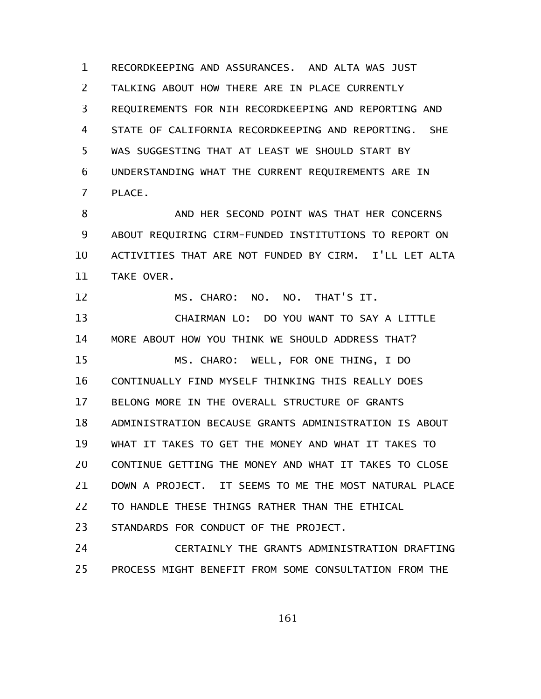RECORDKEEPING AND ASSURANCES. AND ALTA WAS JUST TALKING ABOUT HOW THERE ARE IN PLACE CURRENTLY REQUIREMENTS FOR NIH RECORDKEEPING AND REPORTING AND STATE OF CALIFORNIA RECORDKEEPING AND REPORTING. SHE WAS SUGGESTING THAT AT LEAST WE SHOULD START BY UNDERSTANDING WHAT THE CURRENT REQUIREMENTS ARE IN PLACE. 1 2 3 4 5 6 7

AND HER SECOND POINT WAS THAT HER CONCERNS ABOUT REQUIRING CIRM-FUNDED INSTITUTIONS TO REPORT ON ACTIVITIES THAT ARE NOT FUNDED BY CIRM. I'LL LET ALTA TAKE OVER. 8 9 10 11

MS. CHARO: NO. NO. THAT'S IT. CHAIRMAN LO: DO YOU WANT TO SAY A LITTLE MORE ABOUT HOW YOU THINK WE SHOULD ADDRESS THAT? MS. CHARO: WELL, FOR ONE THING, I DO CONTINUALLY FIND MYSELF THINKING THIS REALLY DOES BELONG MORE IN THE OVERALL STRUCTURE OF GRANTS ADMINISTRATION BECAUSE GRANTS ADMINISTRATION IS ABOUT WHAT IT TAKES TO GET THE MONEY AND WHAT IT TAKES TO CONTINUE GETTING THE MONEY AND WHAT IT TAKES TO CLOSE DOWN A PROJECT. IT SEEMS TO ME THE MOST NATURAL PLACE TO HANDLE THESE THINGS RATHER THAN THE ETHICAL STANDARDS FOR CONDUCT OF THE PROJECT. 12 13 14 15 16 17 18 19 20 21 22 23

CERTAINLY THE GRANTS ADMINISTRATION DRAFTING PROCESS MIGHT BENEFIT FROM SOME CONSULTATION FROM THE 24 25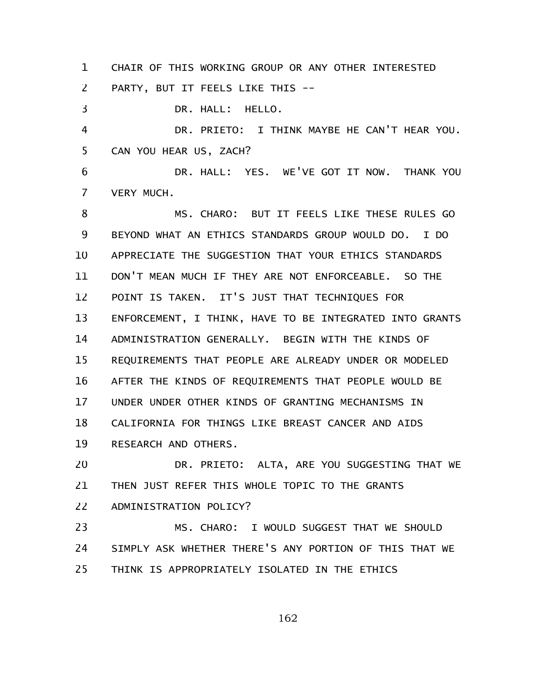CHAIR OF THIS WORKING GROUP OR ANY OTHER INTERESTED PARTY, BUT IT FEELS LIKE THIS -- 1 2

DR. HALL: HELLO. DR. PRIETO: I THINK MAYBE HE CAN'T HEAR YOU. CAN YOU HEAR US, ZACH? DR. HALL: YES. WE'VE GOT IT NOW. THANK YOU VERY MUCH. MS. CHARO: BUT IT FEELS LIKE THESE RULES GO BEYOND WHAT AN ETHICS STANDARDS GROUP WOULD DO. I DO APPRECIATE THE SUGGESTION THAT YOUR ETHICS STANDARDS DON'T MEAN MUCH IF THEY ARE NOT ENFORCEABLE. SO THE POINT IS TAKEN. IT'S JUST THAT TECHNIQUES FOR ENFORCEMENT, I THINK, HAVE TO BE INTEGRATED INTO GRANTS ADMINISTRATION GENERALLY. BEGIN WITH THE KINDS OF REQUIREMENTS THAT PEOPLE ARE ALREADY UNDER OR MODELED AFTER THE KINDS OF REQUIREMENTS THAT PEOPLE WOULD BE UNDER UNDER OTHER KINDS OF GRANTING MECHANISMS IN CALIFORNIA FOR THINGS LIKE BREAST CANCER AND AIDS RESEARCH AND OTHERS. 3 4 5 6 7 8 9 10 11 12 13 14 15 16 17 18 19

DR. PRIETO: ALTA, ARE YOU SUGGESTING THAT WE THEN JUST REFER THIS WHOLE TOPIC TO THE GRANTS ADMINISTRATION POLICY? 20 21 22

MS. CHARO: I WOULD SUGGEST THAT WE SHOULD SIMPLY ASK WHETHER THERE'S ANY PORTION OF THIS THAT WE THINK IS APPROPRIATELY ISOLATED IN THE ETHICS 23 24 25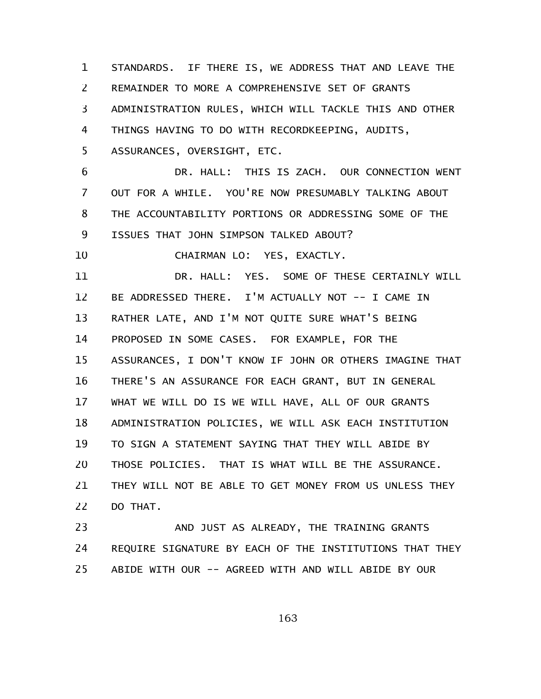STANDARDS. IF THERE IS, WE ADDRESS THAT AND LEAVE THE REMAINDER TO MORE A COMPREHENSIVE SET OF GRANTS ADMINISTRATION RULES, WHICH WILL TACKLE THIS AND OTHER THINGS HAVING TO DO WITH RECORDKEEPING, AUDITS, ASSURANCES, OVERSIGHT, ETC. DR. HALL: THIS IS ZACH. OUR CONNECTION WENT 1 2 3 4 5 6

OUT FOR A WHILE. YOU'RE NOW PRESUMABLY TALKING ABOUT THE ACCOUNTABILITY PORTIONS OR ADDRESSING SOME OF THE ISSUES THAT JOHN SIMPSON TALKED ABOUT? 7 8 9

CHAIRMAN LO: YES, EXACTLY. 10

DR. HALL: YES. SOME OF THESE CERTAINLY WILL BE ADDRESSED THERE. I'M ACTUALLY NOT -- I CAME IN RATHER LATE, AND I'M NOT QUITE SURE WHAT'S BEING PROPOSED IN SOME CASES. FOR EXAMPLE, FOR THE ASSURANCES, I DON'T KNOW IF JOHN OR OTHERS IMAGINE THAT THERE'S AN ASSURANCE FOR EACH GRANT, BUT IN GENERAL WHAT WE WILL DO IS WE WILL HAVE, ALL OF OUR GRANTS ADMINISTRATION POLICIES, WE WILL ASK EACH INSTITUTION TO SIGN A STATEMENT SAYING THAT THEY WILL ABIDE BY THOSE POLICIES. THAT IS WHAT WILL BE THE ASSURANCE. THEY WILL NOT BE ABLE TO GET MONEY FROM US UNLESS THEY DO THAT. 11 12 13 14 15 16 17 18 19 20 21 22

AND JUST AS ALREADY, THE TRAINING GRANTS REQUIRE SIGNATURE BY EACH OF THE INSTITUTIONS THAT THEY ABIDE WITH OUR -- AGREED WITH AND WILL ABIDE BY OUR 23 24 25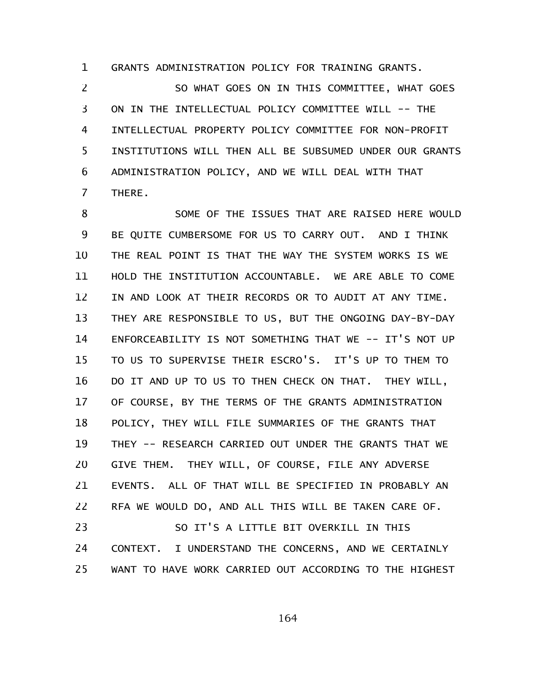GRANTS ADMINISTRATION POLICY FOR TRAINING GRANTS. 1

SO WHAT GOES ON IN THIS COMMITTEE, WHAT GOES ON IN THE INTELLECTUAL POLICY COMMITTEE WILL -- THE INTELLECTUAL PROPERTY POLICY COMMITTEE FOR NON-PROFIT INSTITUTIONS WILL THEN ALL BE SUBSUMED UNDER OUR GRANTS ADMINISTRATION POLICY, AND WE WILL DEAL WITH THAT THERE. 2 3 4 5 6 7

SOME OF THE ISSUES THAT ARE RAISED HERE WOULD BE QUITE CUMBERSOME FOR US TO CARRY OUT. AND I THINK THE REAL POINT IS THAT THE WAY THE SYSTEM WORKS IS WE HOLD THE INSTITUTION ACCOUNTABLE. WE ARE ABLE TO COME IN AND LOOK AT THEIR RECORDS OR TO AUDIT AT ANY TIME. THEY ARE RESPONSIBLE TO US, BUT THE ONGOING DAY-BY-DAY ENFORCEABILITY IS NOT SOMETHING THAT WE -- IT'S NOT UP TO US TO SUPERVISE THEIR ESCRO'S. IT'S UP TO THEM TO DO IT AND UP TO US TO THEN CHECK ON THAT. THEY WILL, OF COURSE, BY THE TERMS OF THE GRANTS ADMINISTRATION POLICY, THEY WILL FILE SUMMARIES OF THE GRANTS THAT THEY -- RESEARCH CARRIED OUT UNDER THE GRANTS THAT WE GIVE THEM. THEY WILL, OF COURSE, FILE ANY ADVERSE EVENTS. ALL OF THAT WILL BE SPECIFIED IN PROBABLY AN RFA WE WOULD DO, AND ALL THIS WILL BE TAKEN CARE OF. SO IT'S A LITTLE BIT OVERKILL IN THIS CONTEXT. I UNDERSTAND THE CONCERNS, AND WE CERTAINLY 8 9 10 11 12 13 14 15 16 17 18 19 20 21 22 23 24

164

WANT TO HAVE WORK CARRIED OUT ACCORDING TO THE HIGHEST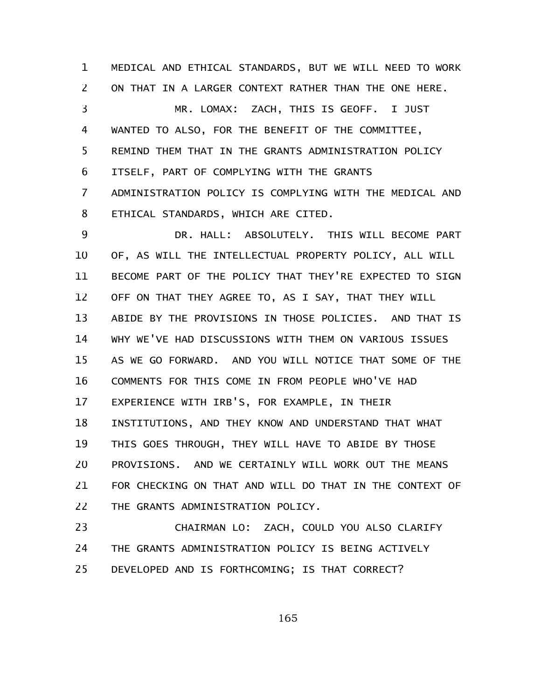MEDICAL AND ETHICAL STANDARDS, BUT WE WILL NEED TO WORK ON THAT IN A LARGER CONTEXT RATHER THAN THE ONE HERE. MR. LOMAX: ZACH, THIS IS GEOFF. I JUST WANTED TO ALSO, FOR THE BENEFIT OF THE COMMITTEE, REMIND THEM THAT IN THE GRANTS ADMINISTRATION POLICY ITSELF, PART OF COMPLYING WITH THE GRANTS ADMINISTRATION POLICY IS COMPLYING WITH THE MEDICAL AND ETHICAL STANDARDS, WHICH ARE CITED. 1 2 3 4 5 6 7 8

DR. HALL: ABSOLUTELY. THIS WILL BECOME PART OF, AS WILL THE INTELLECTUAL PROPERTY POLICY, ALL WILL BECOME PART OF THE POLICY THAT THEY'RE EXPECTED TO SIGN OFF ON THAT THEY AGREE TO, AS I SAY, THAT THEY WILL ABIDE BY THE PROVISIONS IN THOSE POLICIES. AND THAT IS WHY WE'VE HAD DISCUSSIONS WITH THEM ON VARIOUS ISSUES AS WE GO FORWARD. AND YOU WILL NOTICE THAT SOME OF THE COMMENTS FOR THIS COME IN FROM PEOPLE WHO'VE HAD EXPERIENCE WITH IRB'S, FOR EXAMPLE, IN THEIR INSTITUTIONS, AND THEY KNOW AND UNDERSTAND THAT WHAT THIS GOES THROUGH, THEY WILL HAVE TO ABIDE BY THOSE PROVISIONS. AND WE CERTAINLY WILL WORK OUT THE MEANS FOR CHECKING ON THAT AND WILL DO THAT IN THE CONTEXT OF THE GRANTS ADMINISTRATION POLICY. 9 10 11 12 13 14 15 16 17 18 19 20 21 22

CHAIRMAN LO: ZACH, COULD YOU ALSO CLARIFY THE GRANTS ADMINISTRATION POLICY IS BEING ACTIVELY DEVELOPED AND IS FORTHCOMING; IS THAT CORRECT? 23 24 25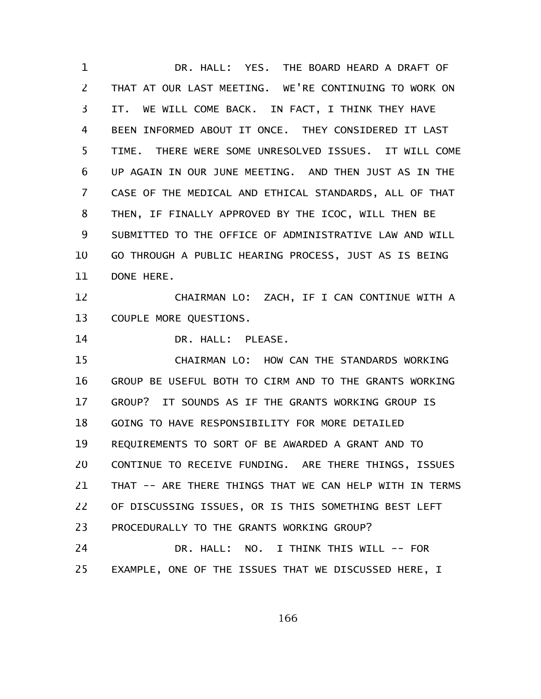DR. HALL: YES. THE BOARD HEARD A DRAFT OF THAT AT OUR LAST MEETING. WE'RE CONTINUING TO WORK ON IT. WE WILL COME BACK. IN FACT, I THINK THEY HAVE BEEN INFORMED ABOUT IT ONCE. THEY CONSIDERED IT LAST TIME. THERE WERE SOME UNRESOLVED ISSUES. IT WILL COME UP AGAIN IN OUR JUNE MEETING. AND THEN JUST AS IN THE CASE OF THE MEDICAL AND ETHICAL STANDARDS, ALL OF THAT THEN, IF FINALLY APPROVED BY THE ICOC, WILL THEN BE SUBMITTED TO THE OFFICE OF ADMINISTRATIVE LAW AND WILL GO THROUGH A PUBLIC HEARING PROCESS, JUST AS IS BEING DONE HERE. CHAIRMAN LO: ZACH, IF I CAN CONTINUE WITH A COUPLE MORE QUESTIONS. DR. HALL: PLEASE. CHAIRMAN LO: HOW CAN THE STANDARDS WORKING GROUP BE USEFUL BOTH TO CIRM AND TO THE GRANTS WORKING GROUP? IT SOUNDS AS IF THE GRANTS WORKING GROUP IS GOING TO HAVE RESPONSIBILITY FOR MORE DETAILED REQUIREMENTS TO SORT OF BE AWARDED A GRANT AND TO CONTINUE TO RECEIVE FUNDING. ARE THERE THINGS, ISSUES THAT -- ARE THERE THINGS THAT WE CAN HELP WITH IN TERMS OF DISCUSSING ISSUES, OR IS THIS SOMETHING BEST LEFT PROCEDURALLY TO THE GRANTS WORKING GROUP? DR. HALL: NO. I THINK THIS WILL -- FOR EXAMPLE, ONE OF THE ISSUES THAT WE DISCUSSED HERE, I 1 2 3 4 5 6 7 8 9 10 11 12 13 14 15 16 17 18 19 20 21 22 23 24 25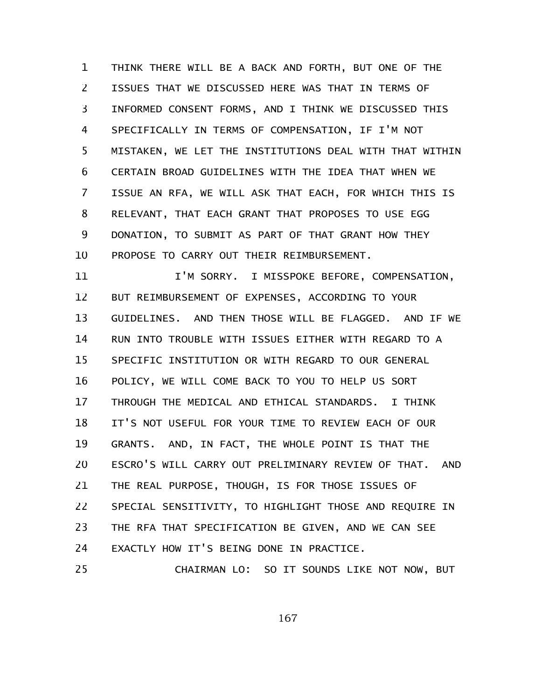THINK THERE WILL BE A BACK AND FORTH, BUT ONE OF THE ISSUES THAT WE DISCUSSED HERE WAS THAT IN TERMS OF INFORMED CONSENT FORMS, AND I THINK WE DISCUSSED THIS SPECIFICALLY IN TERMS OF COMPENSATION, IF I'M NOT MISTAKEN, WE LET THE INSTITUTIONS DEAL WITH THAT WITHIN CERTAIN BROAD GUIDELINES WITH THE IDEA THAT WHEN WE ISSUE AN RFA, WE WILL ASK THAT EACH, FOR WHICH THIS IS RELEVANT, THAT EACH GRANT THAT PROPOSES TO USE EGG DONATION, TO SUBMIT AS PART OF THAT GRANT HOW THEY PROPOSE TO CARRY OUT THEIR REIMBURSEMENT. 1 2 3 4 5 6 7 8 9 10

I'M SORRY. I MISSPOKE BEFORE, COMPENSATION, BUT REIMBURSEMENT OF EXPENSES, ACCORDING TO YOUR GUIDELINES. AND THEN THOSE WILL BE FLAGGED. AND IF WE RUN INTO TROUBLE WITH ISSUES EITHER WITH REGARD TO A SPECIFIC INSTITUTION OR WITH REGARD TO OUR GENERAL POLICY, WE WILL COME BACK TO YOU TO HELP US SORT THROUGH THE MEDICAL AND ETHICAL STANDARDS. I THINK IT'S NOT USEFUL FOR YOUR TIME TO REVIEW EACH OF OUR GRANTS. AND, IN FACT, THE WHOLE POINT IS THAT THE ESCRO'S WILL CARRY OUT PRELIMINARY REVIEW OF THAT. AND THE REAL PURPOSE, THOUGH, IS FOR THOSE ISSUES OF SPECIAL SENSITIVITY, TO HIGHLIGHT THOSE AND REQUIRE IN THE RFA THAT SPECIFICATION BE GIVEN, AND WE CAN SEE EXACTLY HOW IT'S BEING DONE IN PRACTICE. CHAIRMAN LO: SO IT SOUNDS LIKE NOT NOW, BUT 11 12 13 14 15 16 17 18 19 20 21 22 23 24 25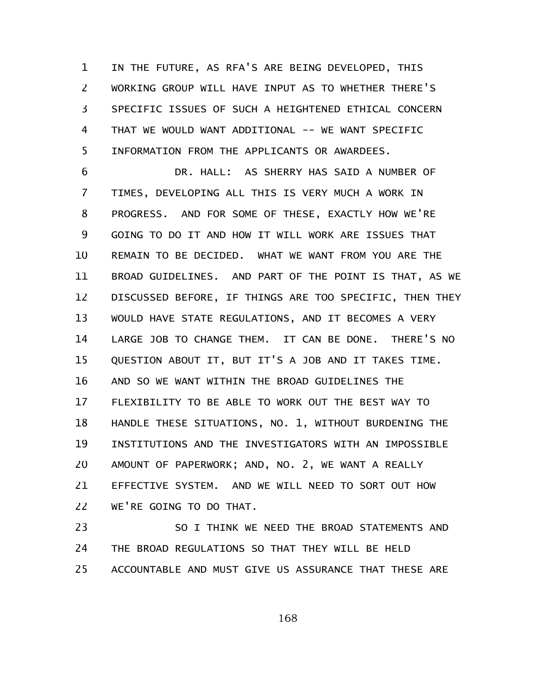IN THE FUTURE, AS RFA'S ARE BEING DEVELOPED, THIS WORKING GROUP WILL HAVE INPUT AS TO WHETHER THERE'S SPECIFIC ISSUES OF SUCH A HEIGHTENED ETHICAL CONCERN THAT WE WOULD WANT ADDITIONAL -- WE WANT SPECIFIC INFORMATION FROM THE APPLICANTS OR AWARDEES. 1 2 3 4 5

DR. HALL: AS SHERRY HAS SAID A NUMBER OF TIMES, DEVELOPING ALL THIS IS VERY MUCH A WORK IN PROGRESS. AND FOR SOME OF THESE, EXACTLY HOW WE'RE GOING TO DO IT AND HOW IT WILL WORK ARE ISSUES THAT REMAIN TO BE DECIDED. WHAT WE WANT FROM YOU ARE THE BROAD GUIDELINES. AND PART OF THE POINT IS THAT, AS WE DISCUSSED BEFORE, IF THINGS ARE TOO SPECIFIC, THEN THEY WOULD HAVE STATE REGULATIONS, AND IT BECOMES A VERY LARGE JOB TO CHANGE THEM. IT CAN BE DONE. THERE'S NO QUESTION ABOUT IT, BUT IT'S A JOB AND IT TAKES TIME. AND SO WE WANT WITHIN THE BROAD GUIDELINES THE FLEXIBILITY TO BE ABLE TO WORK OUT THE BEST WAY TO HANDLE THESE SITUATIONS, NO. 1, WITHOUT BURDENING THE INSTITUTIONS AND THE INVESTIGATORS WITH AN IMPOSSIBLE AMOUNT OF PAPERWORK; AND, NO. 2, WE WANT A REALLY EFFECTIVE SYSTEM. AND WE WILL NEED TO SORT OUT HOW WE'RE GOING TO DO THAT. 6 7 8 9 10 11 12 13 14 15 16 17 18 19 20 21 22

SO I THINK WE NEED THE BROAD STATEMENTS AND THE BROAD REGULATIONS SO THAT THEY WILL BE HELD ACCOUNTABLE AND MUST GIVE US ASSURANCE THAT THESE ARE 23 24 25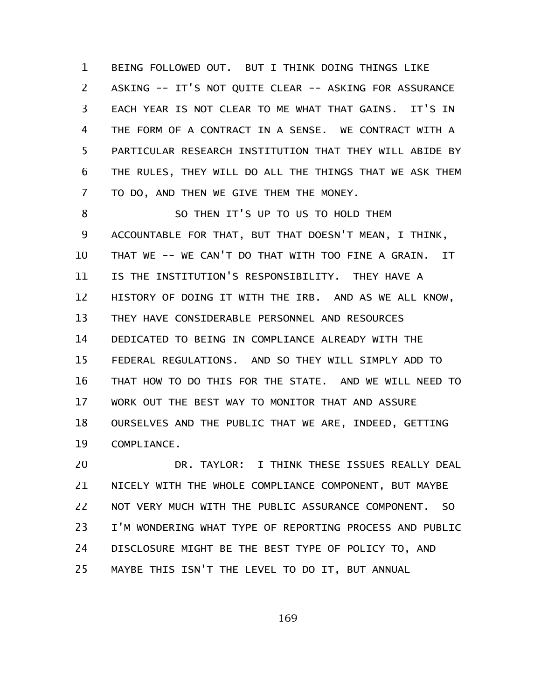BEING FOLLOWED OUT. BUT I THINK DOING THINGS LIKE ASKING -- IT'S NOT QUITE CLEAR -- ASKING FOR ASSURANCE EACH YEAR IS NOT CLEAR TO ME WHAT THAT GAINS. IT'S IN THE FORM OF A CONTRACT IN A SENSE. WE CONTRACT WITH A PARTICULAR RESEARCH INSTITUTION THAT THEY WILL ABIDE BY THE RULES, THEY WILL DO ALL THE THINGS THAT WE ASK THEM TO DO, AND THEN WE GIVE THEM THE MONEY. 1 2 3 4 5 6 7

SO THEN IT'S UP TO US TO HOLD THEM ACCOUNTABLE FOR THAT, BUT THAT DOESN'T MEAN, I THINK, THAT WE -- WE CAN'T DO THAT WITH TOO FINE A GRAIN. IT IS THE INSTITUTION'S RESPONSIBILITY. THEY HAVE A HISTORY OF DOING IT WITH THE IRB. AND AS WE ALL KNOW, THEY HAVE CONSIDERABLE PERSONNEL AND RESOURCES DEDICATED TO BEING IN COMPLIANCE ALREADY WITH THE FEDERAL REGULATIONS. AND SO THEY WILL SIMPLY ADD TO THAT HOW TO DO THIS FOR THE STATE. AND WE WILL NEED TO WORK OUT THE BEST WAY TO MONITOR THAT AND ASSURE OURSELVES AND THE PUBLIC THAT WE ARE, INDEED, GETTING COMPLIANCE. 8 9 10 11 12 13 14 15 16 17 18 19

DR. TAYLOR: I THINK THESE ISSUES REALLY DEAL NICELY WITH THE WHOLE COMPLIANCE COMPONENT, BUT MAYBE NOT VERY MUCH WITH THE PUBLIC ASSURANCE COMPONENT. SO I'M WONDERING WHAT TYPE OF REPORTING PROCESS AND PUBLIC DISCLOSURE MIGHT BE THE BEST TYPE OF POLICY TO, AND MAYBE THIS ISN'T THE LEVEL TO DO IT, BUT ANNUAL 20 21 22 23 24 25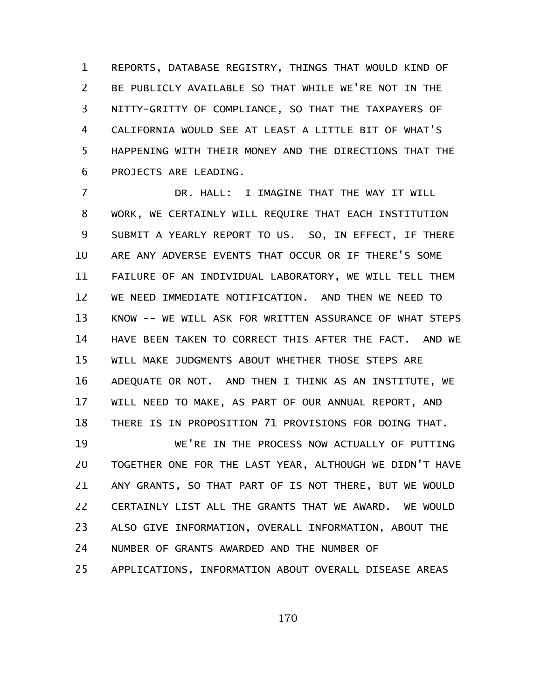REPORTS, DATABASE REGISTRY, THINGS THAT WOULD KIND OF BE PUBLICLY AVAILABLE SO THAT WHILE WE'RE NOT IN THE NITTY-GRITTY OF COMPLIANCE, SO THAT THE TAXPAYERS OF CALIFORNIA WOULD SEE AT LEAST A LITTLE BIT OF WHAT'S HAPPENING WITH THEIR MONEY AND THE DIRECTIONS THAT THE PROJECTS ARE LEADING. 1 2 3 4 5 6

DR. HALL: I IMAGINE THAT THE WAY IT WILL WORK, WE CERTAINLY WILL REQUIRE THAT EACH INSTITUTION SUBMIT A YEARLY REPORT TO US. SO, IN EFFECT, IF THERE ARE ANY ADVERSE EVENTS THAT OCCUR OR IF THERE'S SOME FAILURE OF AN INDIVIDUAL LABORATORY, WE WILL TELL THEM WE NEED IMMEDIATE NOTIFICATION. AND THEN WE NEED TO KNOW -- WE WILL ASK FOR WRITTEN ASSURANCE OF WHAT STEPS HAVE BEEN TAKEN TO CORRECT THIS AFTER THE FACT. AND WE WILL MAKE JUDGMENTS ABOUT WHETHER THOSE STEPS ARE ADEQUATE OR NOT. AND THEN I THINK AS AN INSTITUTE, WE WILL NEED TO MAKE, AS PART OF OUR ANNUAL REPORT, AND THERE IS IN PROPOSITION 71 PROVISIONS FOR DOING THAT. 7 8 9 10 11 12 13 14 15 16 17 18

WE'RE IN THE PROCESS NOW ACTUALLY OF PUTTING TOGETHER ONE FOR THE LAST YEAR, ALTHOUGH WE DIDN'T HAVE ANY GRANTS, SO THAT PART OF IS NOT THERE, BUT WE WOULD CERTAINLY LIST ALL THE GRANTS THAT WE AWARD. WE WOULD ALSO GIVE INFORMATION, OVERALL INFORMATION, ABOUT THE NUMBER OF GRANTS AWARDED AND THE NUMBER OF APPLICATIONS, INFORMATION ABOUT OVERALL DISEASE AREAS 19 20 21 22 23 24 25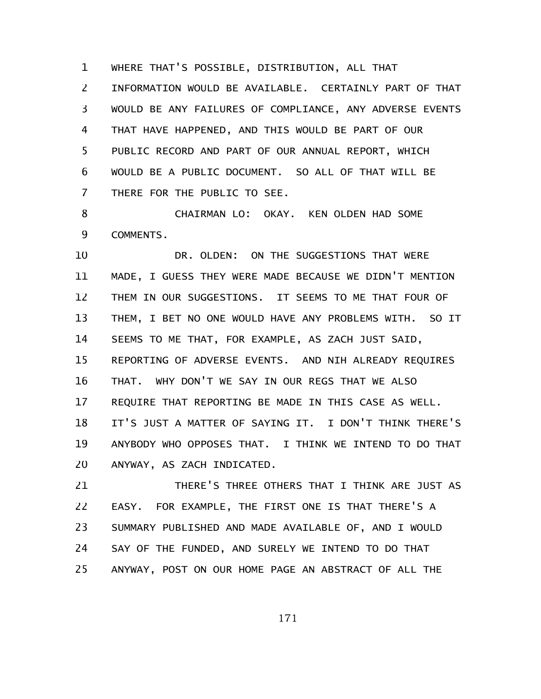WHERE THAT'S POSSIBLE, DISTRIBUTION, ALL THAT INFORMATION WOULD BE AVAILABLE. CERTAINLY PART OF THAT WOULD BE ANY FAILURES OF COMPLIANCE, ANY ADVERSE EVENTS THAT HAVE HAPPENED, AND THIS WOULD BE PART OF OUR PUBLIC RECORD AND PART OF OUR ANNUAL REPORT, WHICH WOULD BE A PUBLIC DOCUMENT. SO ALL OF THAT WILL BE THERE FOR THE PUBLIC TO SEE. 1 2 3 4 5 6 7

CHAIRMAN LO: OKAY. KEN OLDEN HAD SOME COMMENTS. 8 9

DR. OLDEN: ON THE SUGGESTIONS THAT WERE MADE, I GUESS THEY WERE MADE BECAUSE WE DIDN'T MENTION THEM IN OUR SUGGESTIONS. IT SEEMS TO ME THAT FOUR OF THEM, I BET NO ONE WOULD HAVE ANY PROBLEMS WITH. SO IT SEEMS TO ME THAT, FOR EXAMPLE, AS ZACH JUST SAID, REPORTING OF ADVERSE EVENTS. AND NIH ALREADY REQUIRES THAT. WHY DON'T WE SAY IN OUR REGS THAT WE ALSO REQUIRE THAT REPORTING BE MADE IN THIS CASE AS WELL. IT'S JUST A MATTER OF SAYING IT. I DON'T THINK THERE'S ANYBODY WHO OPPOSES THAT. I THINK WE INTEND TO DO THAT ANYWAY, AS ZACH INDICATED. 10 11 12 13 14 15 16 17 18 19 20

THERE'S THREE OTHERS THAT I THINK ARE JUST AS EASY. FOR EXAMPLE, THE FIRST ONE IS THAT THERE'S A SUMMARY PUBLISHED AND MADE AVAILABLE OF, AND I WOULD SAY OF THE FUNDED, AND SURELY WE INTEND TO DO THAT ANYWAY, POST ON OUR HOME PAGE AN ABSTRACT OF ALL THE 21 22 23 24 25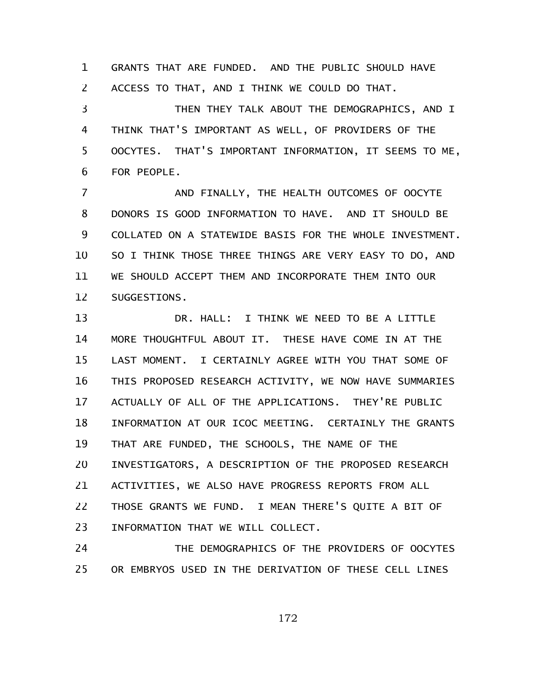GRANTS THAT ARE FUNDED. AND THE PUBLIC SHOULD HAVE ACCESS TO THAT, AND I THINK WE COULD DO THAT. 1 2

THEN THEY TALK ABOUT THE DEMOGRAPHICS, AND I THINK THAT'S IMPORTANT AS WELL, OF PROVIDERS OF THE OOCYTES. THAT'S IMPORTANT INFORMATION, IT SEEMS TO ME, FOR PEOPLE. 3 4 5 6

AND FINALLY, THE HEALTH OUTCOMES OF OOCYTE DONORS IS GOOD INFORMATION TO HAVE. AND IT SHOULD BE COLLATED ON A STATEWIDE BASIS FOR THE WHOLE INVESTMENT. SO I THINK THOSE THREE THINGS ARE VERY EASY TO DO, AND WE SHOULD ACCEPT THEM AND INCORPORATE THEM INTO OUR SUGGESTIONS. 7 8 9 10 11 12

DR. HALL: I THINK WE NEED TO BE A LITTLE MORE THOUGHTFUL ABOUT IT. THESE HAVE COME IN AT THE LAST MOMENT. I CERTAINLY AGREE WITH YOU THAT SOME OF THIS PROPOSED RESEARCH ACTIVITY, WE NOW HAVE SUMMARIES ACTUALLY OF ALL OF THE APPLICATIONS. THEY'RE PUBLIC INFORMATION AT OUR ICOC MEETING. CERTAINLY THE GRANTS THAT ARE FUNDED, THE SCHOOLS, THE NAME OF THE INVESTIGATORS, A DESCRIPTION OF THE PROPOSED RESEARCH ACTIVITIES, WE ALSO HAVE PROGRESS REPORTS FROM ALL THOSE GRANTS WE FUND. I MEAN THERE'S QUITE A BIT OF INFORMATION THAT WE WILL COLLECT. 13 14 15 16 17 18 19 20 21 22 23

THE DEMOGRAPHICS OF THE PROVIDERS OF OOCYTES OR EMBRYOS USED IN THE DERIVATION OF THESE CELL LINES 24 25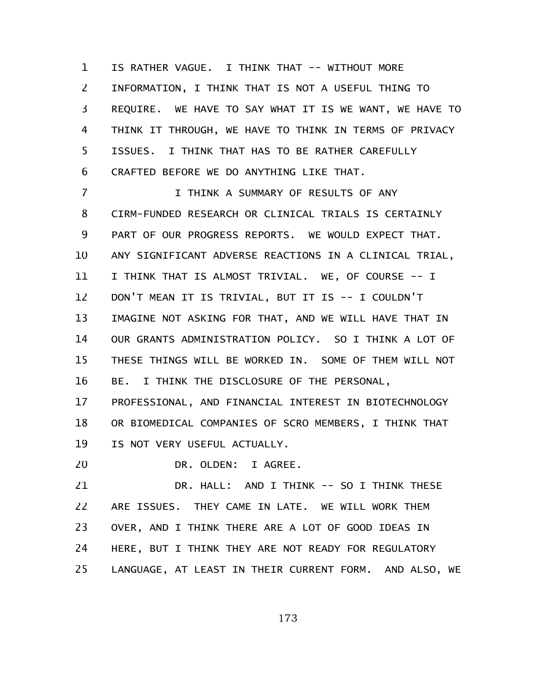IS RATHER VAGUE. I THINK THAT -- WITHOUT MORE INFORMATION, I THINK THAT IS NOT A USEFUL THING TO REQUIRE. WE HAVE TO SAY WHAT IT IS WE WANT, WE HAVE TO THINK IT THROUGH, WE HAVE TO THINK IN TERMS OF PRIVACY ISSUES. I THINK THAT HAS TO BE RATHER CAREFULLY CRAFTED BEFORE WE DO ANYTHING LIKE THAT. 1 2 3 4 5 6

I THINK A SUMMARY OF RESULTS OF ANY CIRM-FUNDED RESEARCH OR CLINICAL TRIALS IS CERTAINLY PART OF OUR PROGRESS REPORTS. WE WOULD EXPECT THAT. ANY SIGNIFICANT ADVERSE REACTIONS IN A CLINICAL TRIAL, I THINK THAT IS ALMOST TRIVIAL. WE, OF COURSE -- I DON'T MEAN IT IS TRIVIAL, BUT IT IS -- I COULDN'T IMAGINE NOT ASKING FOR THAT, AND WE WILL HAVE THAT IN OUR GRANTS ADMINISTRATION POLICY. SO I THINK A LOT OF THESE THINGS WILL BE WORKED IN. SOME OF THEM WILL NOT BE. I THINK THE DISCLOSURE OF THE PERSONAL, 7 8 9 10 11 12 13 14 15 16

PROFESSIONAL, AND FINANCIAL INTEREST IN BIOTECHNOLOGY OR BIOMEDICAL COMPANIES OF SCRO MEMBERS, I THINK THAT IS NOT VERY USEFUL ACTUALLY. 17 18 19

DR. OLDEN: I AGREE. 20

DR. HALL: AND I THINK -- SO I THINK THESE ARE ISSUES. THEY CAME IN LATE. WE WILL WORK THEM OVER, AND I THINK THERE ARE A LOT OF GOOD IDEAS IN HERE, BUT I THINK THEY ARE NOT READY FOR REGULATORY LANGUAGE, AT LEAST IN THEIR CURRENT FORM. AND ALSO, WE 21 22 23 24 25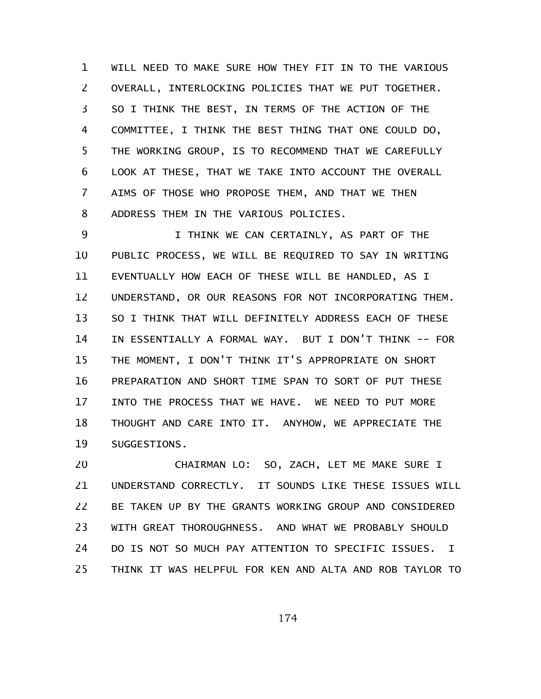WILL NEED TO MAKE SURE HOW THEY FIT IN TO THE VARIOUS OVERALL, INTERLOCKING POLICIES THAT WE PUT TOGETHER. SO I THINK THE BEST, IN TERMS OF THE ACTION OF THE COMMITTEE, I THINK THE BEST THING THAT ONE COULD DO, THE WORKING GROUP, IS TO RECOMMEND THAT WE CAREFULLY LOOK AT THESE, THAT WE TAKE INTO ACCOUNT THE OVERALL AIMS OF THOSE WHO PROPOSE THEM, AND THAT WE THEN ADDRESS THEM IN THE VARIOUS POLICIES. 1 2 3 4 5 6 7 8

I THINK WE CAN CERTAINLY, AS PART OF THE PUBLIC PROCESS, WE WILL BE REQUIRED TO SAY IN WRITING EVENTUALLY HOW EACH OF THESE WILL BE HANDLED, AS I UNDERSTAND, OR OUR REASONS FOR NOT INCORPORATING THEM. SO I THINK THAT WILL DEFINITELY ADDRESS EACH OF THESE IN ESSENTIALLY A FORMAL WAY. BUT I DON'T THINK -- FOR THE MOMENT, I DON'T THINK IT'S APPROPRIATE ON SHORT PREPARATION AND SHORT TIME SPAN TO SORT OF PUT THESE INTO THE PROCESS THAT WE HAVE. WE NEED TO PUT MORE THOUGHT AND CARE INTO IT. ANYHOW, WE APPRECIATE THE SUGGESTIONS. 9 10 11 12 13 14 15 16 17 18 19

CHAIRMAN LO: SO, ZACH, LET ME MAKE SURE I UNDERSTAND CORRECTLY. IT SOUNDS LIKE THESE ISSUES WILL BE TAKEN UP BY THE GRANTS WORKING GROUP AND CONSIDERED WITH GREAT THOROUGHNESS. AND WHAT WE PROBABLY SHOULD DO IS NOT SO MUCH PAY ATTENTION TO SPECIFIC ISSUES. I THINK IT WAS HELPFUL FOR KEN AND ALTA AND ROB TAYLOR TO 20 21 22 23 24 25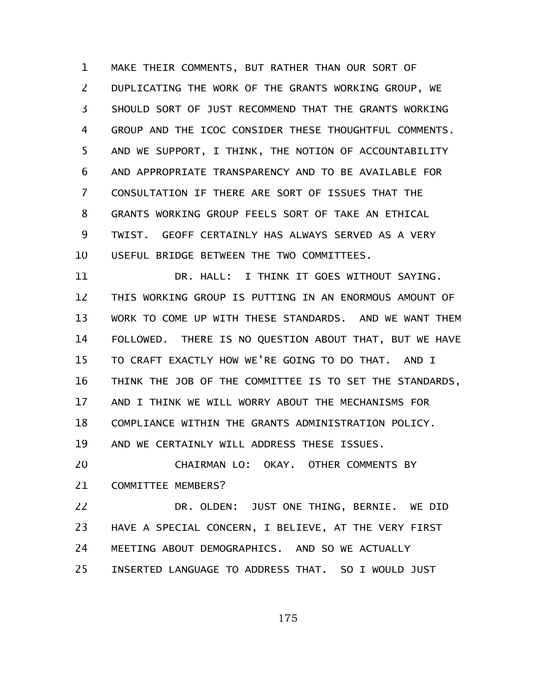MAKE THEIR COMMENTS, BUT RATHER THAN OUR SORT OF DUPLICATING THE WORK OF THE GRANTS WORKING GROUP, WE SHOULD SORT OF JUST RECOMMEND THAT THE GRANTS WORKING GROUP AND THE ICOC CONSIDER THESE THOUGHTFUL COMMENTS. AND WE SUPPORT, I THINK, THE NOTION OF ACCOUNTABILITY AND APPROPRIATE TRANSPARENCY AND TO BE AVAILABLE FOR CONSULTATION IF THERE ARE SORT OF ISSUES THAT THE GRANTS WORKING GROUP FEELS SORT OF TAKE AN ETHICAL TWIST. GEOFF CERTAINLY HAS ALWAYS SERVED AS A VERY USEFUL BRIDGE BETWEEN THE TWO COMMITTEES. 1 2 3 4 5 6 7 8 9 10

DR. HALL: I THINK IT GOES WITHOUT SAYING. THIS WORKING GROUP IS PUTTING IN AN ENORMOUS AMOUNT OF WORK TO COME UP WITH THESE STANDARDS. AND WE WANT THEM FOLLOWED. THERE IS NO QUESTION ABOUT THAT, BUT WE HAVE TO CRAFT EXACTLY HOW WE'RE GOING TO DO THAT. AND I THINK THE JOB OF THE COMMITTEE IS TO SET THE STANDARDS, AND I THINK WE WILL WORRY ABOUT THE MECHANISMS FOR COMPLIANCE WITHIN THE GRANTS ADMINISTRATION POLICY. AND WE CERTAINLY WILL ADDRESS THESE ISSUES. 11 12 13 14 15 16 17 18 19

CHAIRMAN LO: OKAY. OTHER COMMENTS BY COMMITTEE MEMBERS? 20 21

DR. OLDEN: JUST ONE THING, BERNIE. WE DID HAVE A SPECIAL CONCERN, I BELIEVE, AT THE VERY FIRST MEETING ABOUT DEMOGRAPHICS. AND SO WE ACTUALLY INSERTED LANGUAGE TO ADDRESS THAT. SO I WOULD JUST 22 23 24 25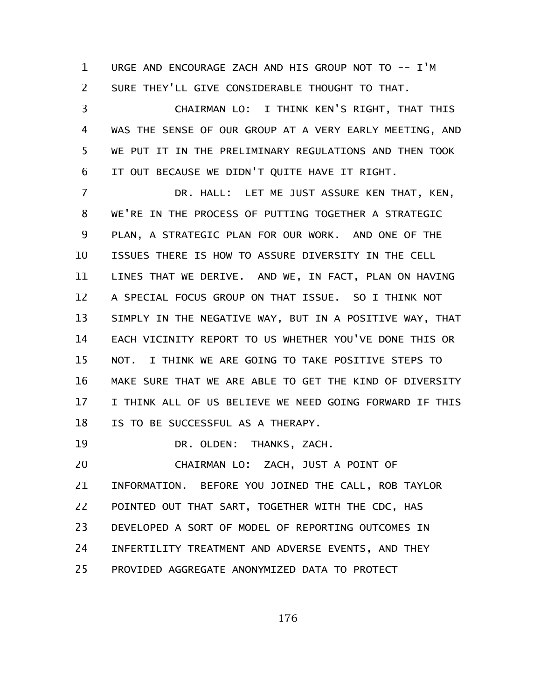URGE AND ENCOURAGE ZACH AND HIS GROUP NOT TO -- I'M SURE THEY'LL GIVE CONSIDERABLE THOUGHT TO THAT. 1 2

CHAIRMAN LO: I THINK KEN'S RIGHT, THAT THIS WAS THE SENSE OF OUR GROUP AT A VERY EARLY MEETING, AND WE PUT IT IN THE PRELIMINARY REGULATIONS AND THEN TOOK IT OUT BECAUSE WE DIDN'T QUITE HAVE IT RIGHT. 3 4 5 6

DR. HALL: LET ME JUST ASSURE KEN THAT, KEN, WE'RE IN THE PROCESS OF PUTTING TOGETHER A STRATEGIC PLAN, A STRATEGIC PLAN FOR OUR WORK. AND ONE OF THE ISSUES THERE IS HOW TO ASSURE DIVERSITY IN THE CELL LINES THAT WE DERIVE. AND WE, IN FACT, PLAN ON HAVING A SPECIAL FOCUS GROUP ON THAT ISSUE. SO I THINK NOT SIMPLY IN THE NEGATIVE WAY, BUT IN A POSITIVE WAY, THAT EACH VICINITY REPORT TO US WHETHER YOU'VE DONE THIS OR NOT. I THINK WE ARE GOING TO TAKE POSITIVE STEPS TO MAKE SURE THAT WE ARE ABLE TO GET THE KIND OF DIVERSITY I THINK ALL OF US BELIEVE WE NEED GOING FORWARD IF THIS IS TO BE SUCCESSFUL AS A THERAPY. 7 8 9 10 11 12 13 14 15 16 17 18

DR. OLDEN: THANKS, ZACH. 19

CHAIRMAN LO: ZACH, JUST A POINT OF INFORMATION. BEFORE YOU JOINED THE CALL, ROB TAYLOR POINTED OUT THAT SART, TOGETHER WITH THE CDC, HAS DEVELOPED A SORT OF MODEL OF REPORTING OUTCOMES IN INFERTILITY TREATMENT AND ADVERSE EVENTS, AND THEY PROVIDED AGGREGATE ANONYMIZED DATA TO PROTECT 20 21 22 23 24 25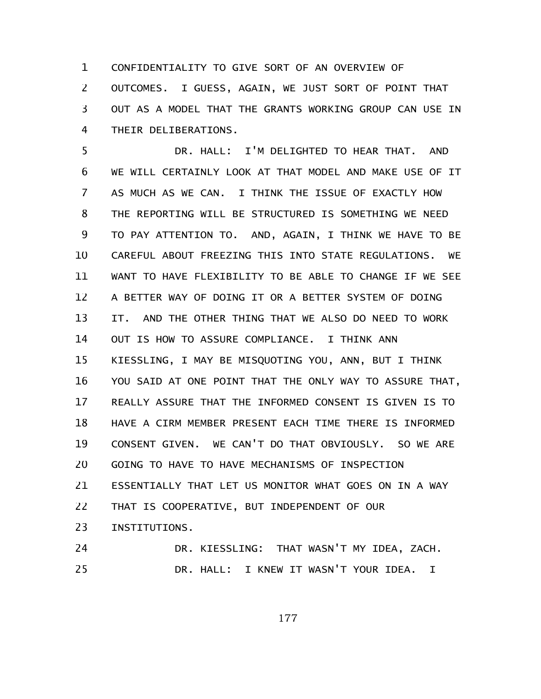CONFIDENTIALITY TO GIVE SORT OF AN OVERVIEW OF OUTCOMES. I GUESS, AGAIN, WE JUST SORT OF POINT THAT OUT AS A MODEL THAT THE GRANTS WORKING GROUP CAN USE IN THEIR DELIBERATIONS. 1 2 3 4

DR. HALL: I'M DELIGHTED TO HEAR THAT. AND WE WILL CERTAINLY LOOK AT THAT MODEL AND MAKE USE OF IT AS MUCH AS WE CAN. I THINK THE ISSUE OF EXACTLY HOW THE REPORTING WILL BE STRUCTURED IS SOMETHING WE NEED TO PAY ATTENTION TO. AND, AGAIN, I THINK WE HAVE TO BE CAREFUL ABOUT FREEZING THIS INTO STATE REGULATIONS. WE WANT TO HAVE FLEXIBILITY TO BE ABLE TO CHANGE IF WE SEE A BETTER WAY OF DOING IT OR A BETTER SYSTEM OF DOING IT. AND THE OTHER THING THAT WE ALSO DO NEED TO WORK OUT IS HOW TO ASSURE COMPLIANCE. I THINK ANN KIESSLING, I MAY BE MISQUOTING YOU, ANN, BUT I THINK YOU SAID AT ONE POINT THAT THE ONLY WAY TO ASSURE THAT, REALLY ASSURE THAT THE INFORMED CONSENT IS GIVEN IS TO HAVE A CIRM MEMBER PRESENT EACH TIME THERE IS INFORMED CONSENT GIVEN. WE CAN'T DO THAT OBVIOUSLY. SO WE ARE GOING TO HAVE TO HAVE MECHANISMS OF INSPECTION ESSENTIALLY THAT LET US MONITOR WHAT GOES ON IN A WAY THAT IS COOPERATIVE, BUT INDEPENDENT OF OUR INSTITUTIONS. DR. KIESSLING: THAT WASN'T MY IDEA, ZACH. 5 6 7 8 9 10 11 12 13 14 15 16 17 18 19 20 21 22 23 24

DR. HALL: I KNEW IT WASN'T YOUR IDEA. I 25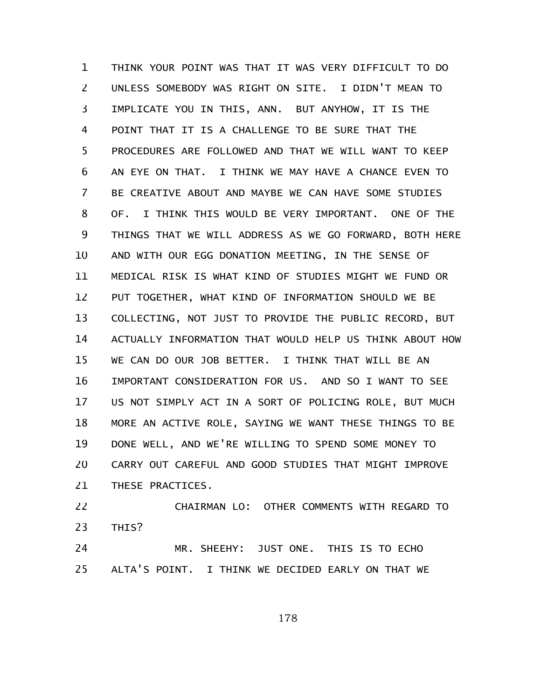THINK YOUR POINT WAS THAT IT WAS VERY DIFFICULT TO DO UNLESS SOMEBODY WAS RIGHT ON SITE. I DIDN'T MEAN TO IMPLICATE YOU IN THIS, ANN. BUT ANYHOW, IT IS THE POINT THAT IT IS A CHALLENGE TO BE SURE THAT THE PROCEDURES ARE FOLLOWED AND THAT WE WILL WANT TO KEEP AN EYE ON THAT. I THINK WE MAY HAVE A CHANCE EVEN TO BE CREATIVE ABOUT AND MAYBE WE CAN HAVE SOME STUDIES OF. I THINK THIS WOULD BE VERY IMPORTANT. ONE OF THE THINGS THAT WE WILL ADDRESS AS WE GO FORWARD, BOTH HERE AND WITH OUR EGG DONATION MEETING, IN THE SENSE OF MEDICAL RISK IS WHAT KIND OF STUDIES MIGHT WE FUND OR PUT TOGETHER, WHAT KIND OF INFORMATION SHOULD WE BE COLLECTING, NOT JUST TO PROVIDE THE PUBLIC RECORD, BUT ACTUALLY INFORMATION THAT WOULD HELP US THINK ABOUT HOW WE CAN DO OUR JOB BETTER. I THINK THAT WILL BE AN IMPORTANT CONSIDERATION FOR US. AND SO I WANT TO SEE US NOT SIMPLY ACT IN A SORT OF POLICING ROLE, BUT MUCH MORE AN ACTIVE ROLE, SAYING WE WANT THESE THINGS TO BE DONE WELL, AND WE'RE WILLING TO SPEND SOME MONEY TO CARRY OUT CAREFUL AND GOOD STUDIES THAT MIGHT IMPROVE THESE PRACTICES. 1 2 3 4 5 6 7 8 9 10 11 12 13 14 15 16 17 18 19 20 21

CHAIRMAN LO: OTHER COMMENTS WITH REGARD TO THIS? 22 23

MR. SHEEHY: JUST ONE. THIS IS TO ECHO ALTA'S POINT. I THINK WE DECIDED EARLY ON THAT WE 24 25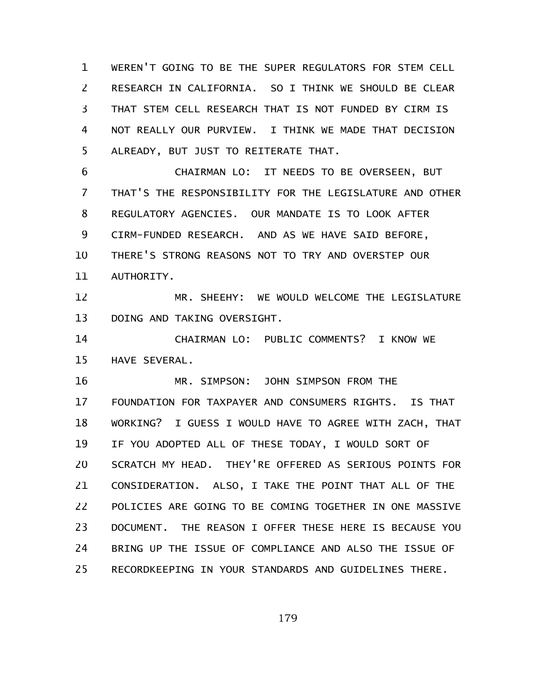WEREN'T GOING TO BE THE SUPER REGULATORS FOR STEM CELL RESEARCH IN CALIFORNIA. SO I THINK WE SHOULD BE CLEAR THAT STEM CELL RESEARCH THAT IS NOT FUNDED BY CIRM IS NOT REALLY OUR PURVIEW. I THINK WE MADE THAT DECISION ALREADY, BUT JUST TO REITERATE THAT. 1 2 3 4 5

CHAIRMAN LO: IT NEEDS TO BE OVERSEEN, BUT THAT'S THE RESPONSIBILITY FOR THE LEGISLATURE AND OTHER REGULATORY AGENCIES. OUR MANDATE IS TO LOOK AFTER CIRM-FUNDED RESEARCH. AND AS WE HAVE SAID BEFORE, THERE'S STRONG REASONS NOT TO TRY AND OVERSTEP OUR AUTHORITY. 6 7 8 9 10 11

MR. SHEEHY: WE WOULD WELCOME THE LEGISLATURE DOING AND TAKING OVERSIGHT. 12 13

CHAIRMAN LO: PUBLIC COMMENTS? I KNOW WE HAVE SEVERAL. 14 15

MR. SIMPSON: JOHN SIMPSON FROM THE FOUNDATION FOR TAXPAYER AND CONSUMERS RIGHTS. IS THAT WORKING? I GUESS I WOULD HAVE TO AGREE WITH ZACH, THAT IF YOU ADOPTED ALL OF THESE TODAY, I WOULD SORT OF SCRATCH MY HEAD. THEY'RE OFFERED AS SERIOUS POINTS FOR CONSIDERATION. ALSO, I TAKE THE POINT THAT ALL OF THE POLICIES ARE GOING TO BE COMING TOGETHER IN ONE MASSIVE DOCUMENT. THE REASON I OFFER THESE HERE IS BECAUSE YOU BRING UP THE ISSUE OF COMPLIANCE AND ALSO THE ISSUE OF RECORDKEEPING IN YOUR STANDARDS AND GUIDELINES THERE. 16 17 18 19 20 21 22 23 24 25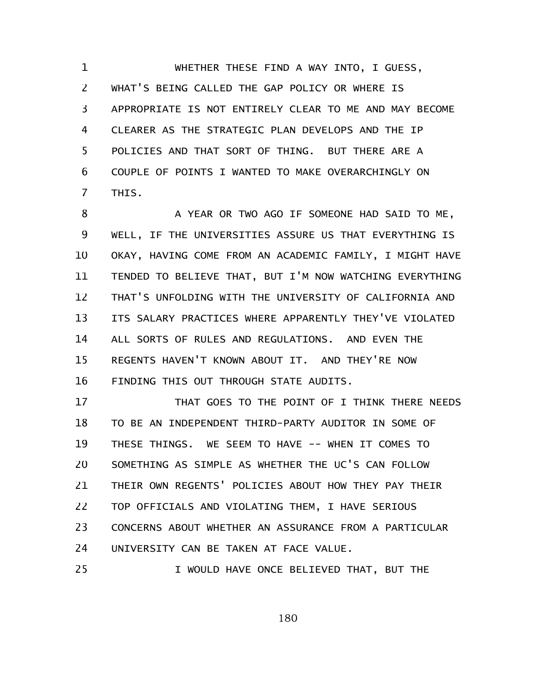WHETHER THESE FIND A WAY INTO, I GUESS, WHAT'S BEING CALLED THE GAP POLICY OR WHERE IS APPROPRIATE IS NOT ENTIRELY CLEAR TO ME AND MAY BECOME CLEARER AS THE STRATEGIC PLAN DEVELOPS AND THE IP POLICIES AND THAT SORT OF THING. BUT THERE ARE A COUPLE OF POINTS I WANTED TO MAKE OVERARCHINGLY ON THIS. 1 2 3 4 5 6 7

A YEAR OR TWO AGO IF SOMEONE HAD SAID TO ME, WELL, IF THE UNIVERSITIES ASSURE US THAT EVERYTHING IS OKAY, HAVING COME FROM AN ACADEMIC FAMILY, I MIGHT HAVE TENDED TO BELIEVE THAT, BUT I'M NOW WATCHING EVERYTHING THAT'S UNFOLDING WITH THE UNIVERSITY OF CALIFORNIA AND ITS SALARY PRACTICES WHERE APPARENTLY THEY'VE VIOLATED ALL SORTS OF RULES AND REGULATIONS. AND EVEN THE REGENTS HAVEN'T KNOWN ABOUT IT. AND THEY'RE NOW FINDING THIS OUT THROUGH STATE AUDITS. 8 9 10 11 12 13 14 15 16

THAT GOES TO THE POINT OF I THINK THERE NEEDS TO BE AN INDEPENDENT THIRD-PARTY AUDITOR IN SOME OF THESE THINGS. WE SEEM TO HAVE -- WHEN IT COMES TO SOMETHING AS SIMPLE AS WHETHER THE UC'S CAN FOLLOW THEIR OWN REGENTS' POLICIES ABOUT HOW THEY PAY THEIR TOP OFFICIALS AND VIOLATING THEM, I HAVE SERIOUS CONCERNS ABOUT WHETHER AN ASSURANCE FROM A PARTICULAR UNIVERSITY CAN BE TAKEN AT FACE VALUE. 17 18 19 20 21 22 23 24 25

I WOULD HAVE ONCE BELIEVED THAT, BUT THE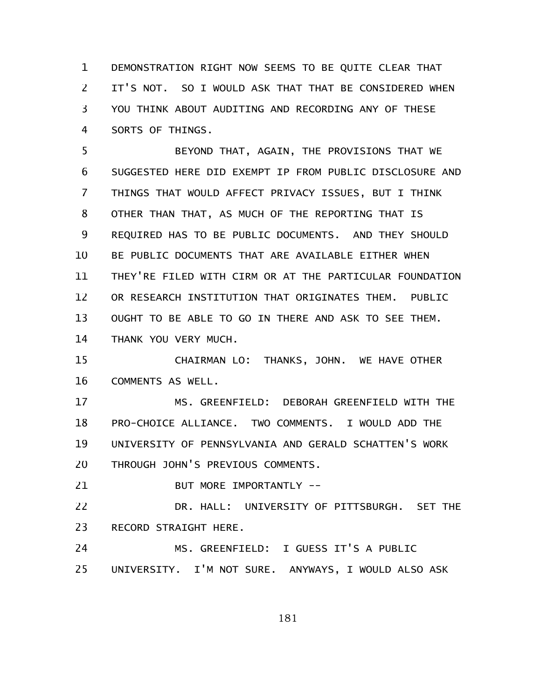DEMONSTRATION RIGHT NOW SEEMS TO BE QUITE CLEAR THAT IT'S NOT. SO I WOULD ASK THAT THAT BE CONSIDERED WHEN YOU THINK ABOUT AUDITING AND RECORDING ANY OF THESE SORTS OF THINGS. 1 2 3 4

BEYOND THAT, AGAIN, THE PROVISIONS THAT WE SUGGESTED HERE DID EXEMPT IP FROM PUBLIC DISCLOSURE AND THINGS THAT WOULD AFFECT PRIVACY ISSUES, BUT I THINK OTHER THAN THAT, AS MUCH OF THE REPORTING THAT IS REQUIRED HAS TO BE PUBLIC DOCUMENTS. AND THEY SHOULD BE PUBLIC DOCUMENTS THAT ARE AVAILABLE EITHER WHEN THEY'RE FILED WITH CIRM OR AT THE PARTICULAR FOUNDATION OR RESEARCH INSTITUTION THAT ORIGINATES THEM. PUBLIC OUGHT TO BE ABLE TO GO IN THERE AND ASK TO SEE THEM. THANK YOU VERY MUCH. 5 6 7 8 9 10 11 12 13 14

CHAIRMAN LO: THANKS, JOHN. WE HAVE OTHER COMMENTS AS WELL. 15 16

MS. GREENFIELD: DEBORAH GREENFIELD WITH THE PRO-CHOICE ALLIANCE. TWO COMMENTS. I WOULD ADD THE UNIVERSITY OF PENNSYLVANIA AND GERALD SCHATTEN'S WORK THROUGH JOHN'S PREVIOUS COMMENTS. 17 18 19 20

BUT MORE IMPORTANTLY -- 21

DR. HALL: UNIVERSITY OF PITTSBURGH. SET THE RECORD STRAIGHT HERE. 22 23

MS. GREENFIELD: I GUESS IT'S A PUBLIC UNIVERSITY. I'M NOT SURE. ANYWAYS, I WOULD ALSO ASK 24 25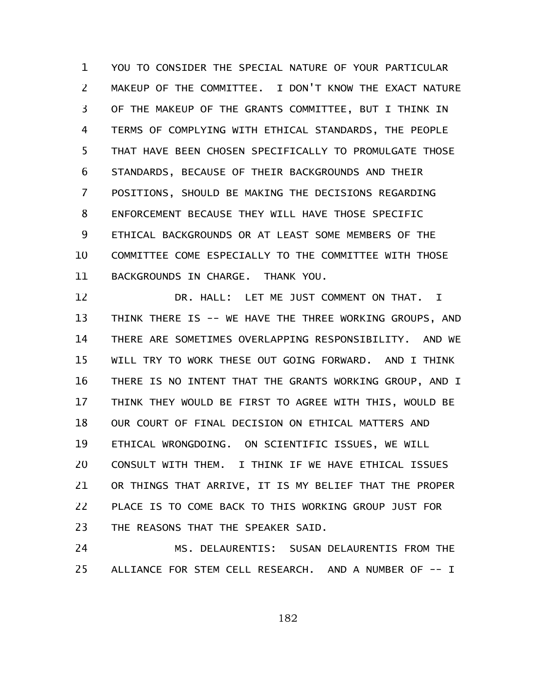YOU TO CONSIDER THE SPECIAL NATURE OF YOUR PARTICULAR MAKEUP OF THE COMMITTEE. I DON'T KNOW THE EXACT NATURE OF THE MAKEUP OF THE GRANTS COMMITTEE, BUT I THINK IN TERMS OF COMPLYING WITH ETHICAL STANDARDS, THE PEOPLE THAT HAVE BEEN CHOSEN SPECIFICALLY TO PROMULGATE THOSE STANDARDS, BECAUSE OF THEIR BACKGROUNDS AND THEIR POSITIONS, SHOULD BE MAKING THE DECISIONS REGARDING ENFORCEMENT BECAUSE THEY WILL HAVE THOSE SPECIFIC ETHICAL BACKGROUNDS OR AT LEAST SOME MEMBERS OF THE COMMITTEE COME ESPECIALLY TO THE COMMITTEE WITH THOSE BACKGROUNDS IN CHARGE. THANK YOU. 1 2 3 4 5 6 7 8 9 10 11

DR. HALL: LET ME JUST COMMENT ON THAT. I THINK THERE IS -- WE HAVE THE THREE WORKING GROUPS, AND THERE ARE SOMETIMES OVERLAPPING RESPONSIBILITY. AND WE WILL TRY TO WORK THESE OUT GOING FORWARD. AND I THINK THERE IS NO INTENT THAT THE GRANTS WORKING GROUP, AND I THINK THEY WOULD BE FIRST TO AGREE WITH THIS, WOULD BE OUR COURT OF FINAL DECISION ON ETHICAL MATTERS AND ETHICAL WRONGDOING. ON SCIENTIFIC ISSUES, WE WILL CONSULT WITH THEM. I THINK IF WE HAVE ETHICAL ISSUES OR THINGS THAT ARRIVE, IT IS MY BELIEF THAT THE PROPER PLACE IS TO COME BACK TO THIS WORKING GROUP JUST FOR THE REASONS THAT THE SPEAKER SAID. 12 13 14 15 16 17 18 19 20 21 22 23

MS. DELAURENTIS: SUSAN DELAURENTIS FROM THE ALLIANCE FOR STEM CELL RESEARCH. AND A NUMBER OF -- I 24 25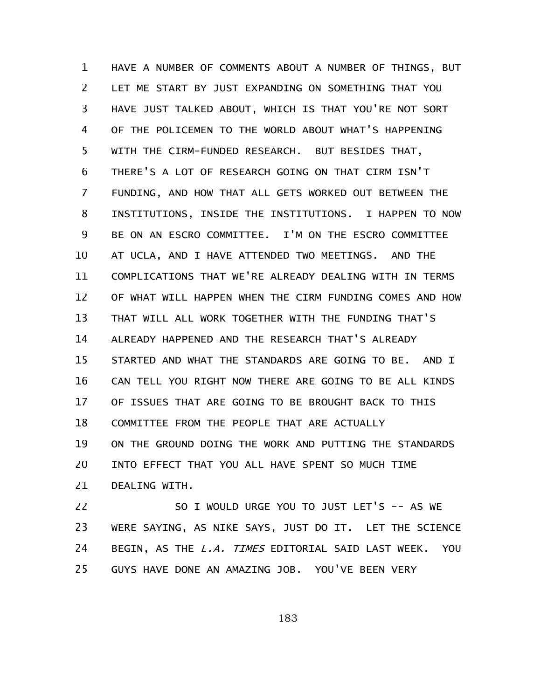HAVE A NUMBER OF COMMENTS ABOUT A NUMBER OF THINGS, BUT LET ME START BY JUST EXPANDING ON SOMETHING THAT YOU HAVE JUST TALKED ABOUT, WHICH IS THAT YOU'RE NOT SORT OF THE POLICEMEN TO THE WORLD ABOUT WHAT'S HAPPENING WITH THE CIRM-FUNDED RESEARCH. BUT BESIDES THAT, THERE'S A LOT OF RESEARCH GOING ON THAT CIRM ISN'T FUNDING, AND HOW THAT ALL GETS WORKED OUT BETWEEN THE INSTITUTIONS, INSIDE THE INSTITUTIONS. I HAPPEN TO NOW BE ON AN ESCRO COMMITTEE. I'M ON THE ESCRO COMMITTEE AT UCLA, AND I HAVE ATTENDED TWO MEETINGS. AND THE COMPLICATIONS THAT WE'RE ALREADY DEALING WITH IN TERMS OF WHAT WILL HAPPEN WHEN THE CIRM FUNDING COMES AND HOW THAT WILL ALL WORK TOGETHER WITH THE FUNDING THAT'S ALREADY HAPPENED AND THE RESEARCH THAT'S ALREADY STARTED AND WHAT THE STANDARDS ARE GOING TO BE. AND I CAN TELL YOU RIGHT NOW THERE ARE GOING TO BE ALL KINDS OF ISSUES THAT ARE GOING TO BE BROUGHT BACK TO THIS COMMITTEE FROM THE PEOPLE THAT ARE ACTUALLY ON THE GROUND DOING THE WORK AND PUTTING THE STANDARDS INTO EFFECT THAT YOU ALL HAVE SPENT SO MUCH TIME DEALING WITH. 1 2 3 4 5 6 7 8 9 10 11 12 13 14 15 16 17 18 19 20 21

SO I WOULD URGE YOU TO JUST LET'S -- AS WE WERE SAYING, AS NIKE SAYS, JUST DO IT. LET THE SCIENCE BEGIN, AS THE *L.A. TIMES* EDITORIAL SAID LAST WEEK. YOU GUYS HAVE DONE AN AMAZING JOB. YOU'VE BEEN VERY 22 23 24 25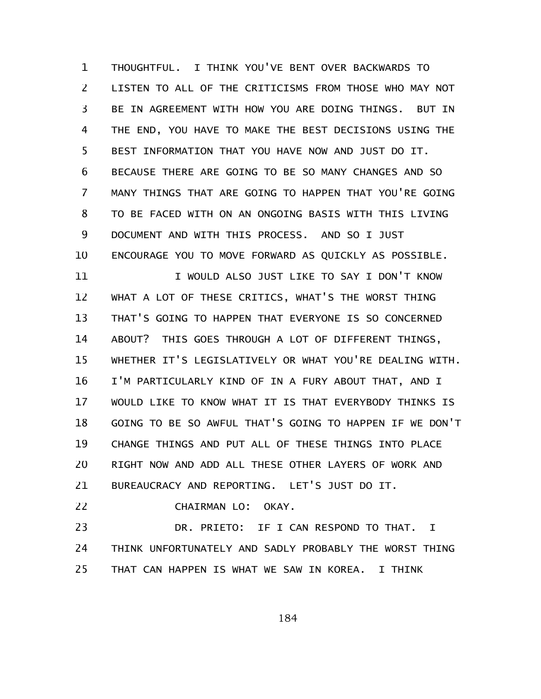THOUGHTFUL. I THINK YOU'VE BENT OVER BACKWARDS TO LISTEN TO ALL OF THE CRITICISMS FROM THOSE WHO MAY NOT BE IN AGREEMENT WITH HOW YOU ARE DOING THINGS. BUT IN THE END, YOU HAVE TO MAKE THE BEST DECISIONS USING THE BEST INFORMATION THAT YOU HAVE NOW AND JUST DO IT. BECAUSE THERE ARE GOING TO BE SO MANY CHANGES AND SO MANY THINGS THAT ARE GOING TO HAPPEN THAT YOU'RE GOING TO BE FACED WITH ON AN ONGOING BASIS WITH THIS LIVING DOCUMENT AND WITH THIS PROCESS. AND SO I JUST ENCOURAGE YOU TO MOVE FORWARD AS QUICKLY AS POSSIBLE. 1 2 3 4 5 6 7 8 9 10

I WOULD ALSO JUST LIKE TO SAY I DON'T KNOW WHAT A LOT OF THESE CRITICS, WHAT'S THE WORST THING THAT'S GOING TO HAPPEN THAT EVERYONE IS SO CONCERNED ABOUT? THIS GOES THROUGH A LOT OF DIFFERENT THINGS, WHETHER IT'S LEGISLATIVELY OR WHAT YOU'RE DEALING WITH. I'M PARTICULARLY KIND OF IN A FURY ABOUT THAT, AND I WOULD LIKE TO KNOW WHAT IT IS THAT EVERYBODY THINKS IS GOING TO BE SO AWFUL THAT'S GOING TO HAPPEN IF WE DON'T CHANGE THINGS AND PUT ALL OF THESE THINGS INTO PLACE RIGHT NOW AND ADD ALL THESE OTHER LAYERS OF WORK AND BUREAUCRACY AND REPORTING. LET'S JUST DO IT. 11 12 13 14 15 16 17 18 19 20 21

CHAIRMAN LO: OKAY. 22

DR. PRIETO: IF I CAN RESPOND TO THAT. I THINK UNFORTUNATELY AND SADLY PROBABLY THE WORST THING THAT CAN HAPPEN IS WHAT WE SAW IN KOREA. I THINK 23 24 25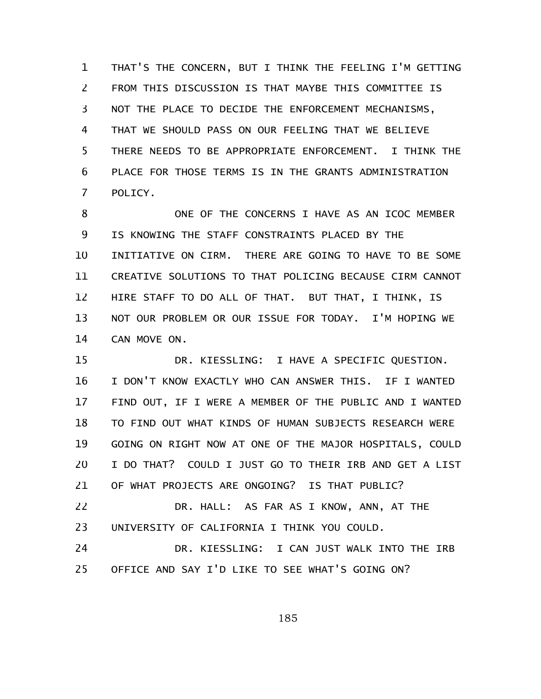THAT'S THE CONCERN, BUT I THINK THE FEELING I'M GETTING FROM THIS DISCUSSION IS THAT MAYBE THIS COMMITTEE IS NOT THE PLACE TO DECIDE THE ENFORCEMENT MECHANISMS, THAT WE SHOULD PASS ON OUR FEELING THAT WE BELIEVE THERE NEEDS TO BE APPROPRIATE ENFORCEMENT. I THINK THE PLACE FOR THOSE TERMS IS IN THE GRANTS ADMINISTRATION POLICY. 1 2 3 4 5 6 7

ONE OF THE CONCERNS I HAVE AS AN ICOC MEMBER IS KNOWING THE STAFF CONSTRAINTS PLACED BY THE INITIATIVE ON CIRM. THERE ARE GOING TO HAVE TO BE SOME CREATIVE SOLUTIONS TO THAT POLICING BECAUSE CIRM CANNOT HIRE STAFF TO DO ALL OF THAT. BUT THAT, I THINK, IS NOT OUR PROBLEM OR OUR ISSUE FOR TODAY. I'M HOPING WE CAN MOVE ON. 8 9 10 11 12 13 14

DR. KIESSLING: I HAVE A SPECIFIC QUESTION. I DON'T KNOW EXACTLY WHO CAN ANSWER THIS. IF I WANTED FIND OUT, IF I WERE A MEMBER OF THE PUBLIC AND I WANTED TO FIND OUT WHAT KINDS OF HUMAN SUBJECTS RESEARCH WERE GOING ON RIGHT NOW AT ONE OF THE MAJOR HOSPITALS, COULD I DO THAT? COULD I JUST GO TO THEIR IRB AND GET A LIST OF WHAT PROJECTS ARE ONGOING? IS THAT PUBLIC? 15 16 17 18 19 20 21

DR. HALL: AS FAR AS I KNOW, ANN, AT THE UNIVERSITY OF CALIFORNIA I THINK YOU COULD. 22 23

DR. KIESSLING: I CAN JUST WALK INTO THE IRB OFFICE AND SAY I'D LIKE TO SEE WHAT'S GOING ON? 24 25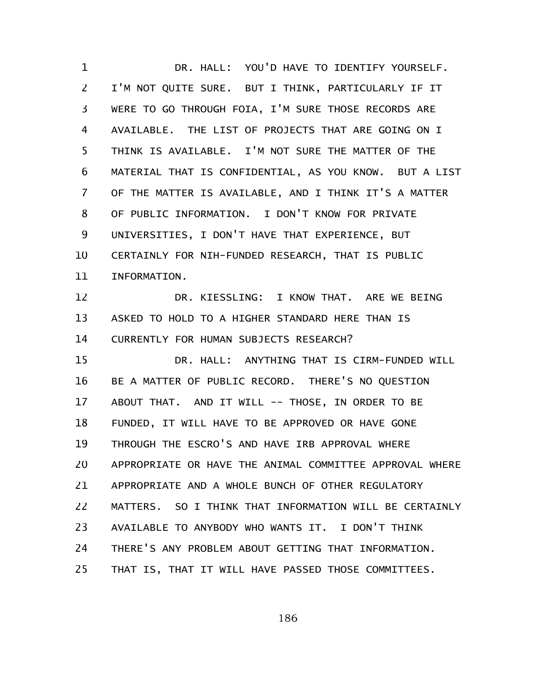DR. HALL: YOU'D HAVE TO IDENTIFY YOURSELF. I'M NOT QUITE SURE. BUT I THINK, PARTICULARLY IF IT WERE TO GO THROUGH FOIA, I'M SURE THOSE RECORDS ARE AVAILABLE. THE LIST OF PROJECTS THAT ARE GOING ON I THINK IS AVAILABLE. I'M NOT SURE THE MATTER OF THE MATERIAL THAT IS CONFIDENTIAL, AS YOU KNOW. BUT A LIST OF THE MATTER IS AVAILABLE, AND I THINK IT'S A MATTER OF PUBLIC INFORMATION. I DON'T KNOW FOR PRIVATE UNIVERSITIES, I DON'T HAVE THAT EXPERIENCE, BUT CERTAINLY FOR NIH-FUNDED RESEARCH, THAT IS PUBLIC INFORMATION. DR. KIESSLING: I KNOW THAT. ARE WE BEING ASKED TO HOLD TO A HIGHER STANDARD HERE THAN IS CURRENTLY FOR HUMAN SUBJECTS RESEARCH? DR. HALL: ANYTHING THAT IS CIRM-FUNDED WILL BE A MATTER OF PUBLIC RECORD. THERE'S NO QUESTION ABOUT THAT. AND IT WILL -- THOSE, IN ORDER TO BE FUNDED, IT WILL HAVE TO BE APPROVED OR HAVE GONE THROUGH THE ESCRO'S AND HAVE IRB APPROVAL WHERE APPROPRIATE OR HAVE THE ANIMAL COMMITTEE APPROVAL WHERE APPROPRIATE AND A WHOLE BUNCH OF OTHER REGULATORY MATTERS. SO I THINK THAT INFORMATION WILL BE CERTAINLY AVAILABLE TO ANYBODY WHO WANTS IT. I DON'T THINK THERE'S ANY PROBLEM ABOUT GETTING THAT INFORMATION. THAT IS, THAT IT WILL HAVE PASSED THOSE COMMITTEES. 1 2 3 4 5 6 7 8 9 10 11 12 13 14 15 16 17 18 19 20 21 22 23 24 25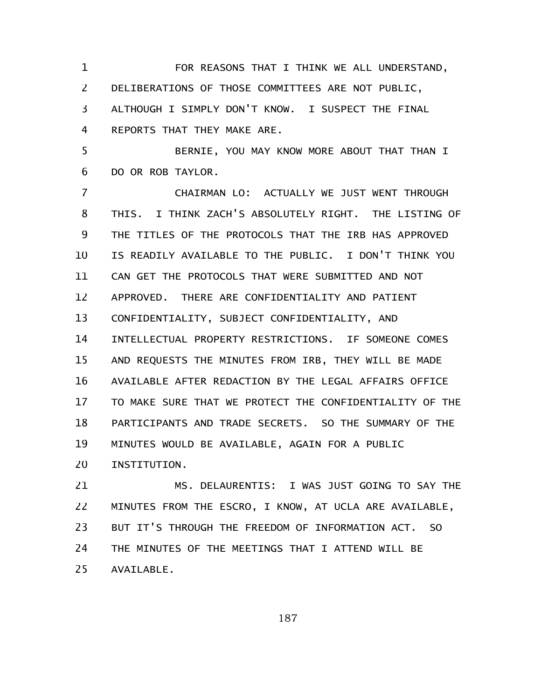FOR REASONS THAT I THINK WE ALL UNDERSTAND, DELIBERATIONS OF THOSE COMMITTEES ARE NOT PUBLIC, ALTHOUGH I SIMPLY DON'T KNOW. I SUSPECT THE FINAL REPORTS THAT THEY MAKE ARE. BERNIE, YOU MAY KNOW MORE ABOUT THAT THAN I DO OR ROB TAYLOR. CHAIRMAN LO: ACTUALLY WE JUST WENT THROUGH THIS. I THINK ZACH'S ABSOLUTELY RIGHT. THE LISTING OF THE TITLES OF THE PROTOCOLS THAT THE IRB HAS APPROVED IS READILY AVAILABLE TO THE PUBLIC. I DON'T THINK YOU CAN GET THE PROTOCOLS THAT WERE SUBMITTED AND NOT APPROVED. THERE ARE CONFIDENTIALITY AND PATIENT CONFIDENTIALITY, SUBJECT CONFIDENTIALITY, AND INTELLECTUAL PROPERTY RESTRICTIONS. IF SOMEONE COMES AND REQUESTS THE MINUTES FROM IRB, THEY WILL BE MADE AVAILABLE AFTER REDACTION BY THE LEGAL AFFAIRS OFFICE TO MAKE SURE THAT WE PROTECT THE CONFIDENTIALITY OF THE PARTICIPANTS AND TRADE SECRETS. SO THE SUMMARY OF THE MINUTES WOULD BE AVAILABLE, AGAIN FOR A PUBLIC INSTITUTION. 1 2 3 4 5 6 7 8 9 10 11 12 13 14 15 16 17 18 19 20

MS. DELAURENTIS: I WAS JUST GOING TO SAY THE MINUTES FROM THE ESCRO, I KNOW, AT UCLA ARE AVAILABLE, BUT IT'S THROUGH THE FREEDOM OF INFORMATION ACT. SO THE MINUTES OF THE MEETINGS THAT I ATTEND WILL BE AVAILABLE. 21 22 23 24 25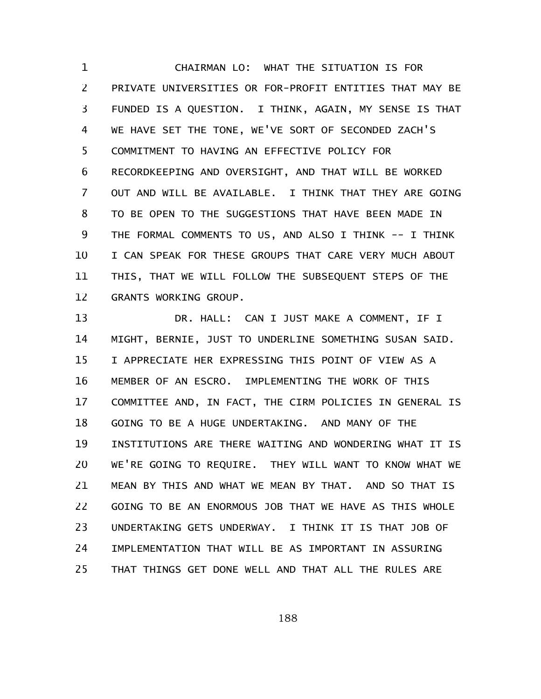CHAIRMAN LO: WHAT THE SITUATION IS FOR PRIVATE UNIVERSITIES OR FOR-PROFIT ENTITIES THAT MAY BE FUNDED IS A QUESTION. I THINK, AGAIN, MY SENSE IS THAT WE HAVE SET THE TONE, WE'VE SORT OF SECONDED ZACH'S COMMITMENT TO HAVING AN EFFECTIVE POLICY FOR RECORDKEEPING AND OVERSIGHT, AND THAT WILL BE WORKED OUT AND WILL BE AVAILABLE. I THINK THAT THEY ARE GOING TO BE OPEN TO THE SUGGESTIONS THAT HAVE BEEN MADE IN THE FORMAL COMMENTS TO US, AND ALSO I THINK -- I THINK I CAN SPEAK FOR THESE GROUPS THAT CARE VERY MUCH ABOUT THIS, THAT WE WILL FOLLOW THE SUBSEQUENT STEPS OF THE GRANTS WORKING GROUP. 1 2 3 4 5 6 7 8 9 10 11 12

DR. HALL: CAN I JUST MAKE A COMMENT, IF I MIGHT, BERNIE, JUST TO UNDERLINE SOMETHING SUSAN SAID. I APPRECIATE HER EXPRESSING THIS POINT OF VIEW AS A MEMBER OF AN ESCRO. IMPLEMENTING THE WORK OF THIS COMMITTEE AND, IN FACT, THE CIRM POLICIES IN GENERAL IS GOING TO BE A HUGE UNDERTAKING. AND MANY OF THE INSTITUTIONS ARE THERE WAITING AND WONDERING WHAT IT IS WE'RE GOING TO REQUIRE. THEY WILL WANT TO KNOW WHAT WE MEAN BY THIS AND WHAT WE MEAN BY THAT. AND SO THAT IS GOING TO BE AN ENORMOUS JOB THAT WE HAVE AS THIS WHOLE UNDERTAKING GETS UNDERWAY. I THINK IT IS THAT JOB OF IMPLEMENTATION THAT WILL BE AS IMPORTANT IN ASSURING THAT THINGS GET DONE WELL AND THAT ALL THE RULES ARE 13 14 15 16 17 18 19 20 21 22 23 24 25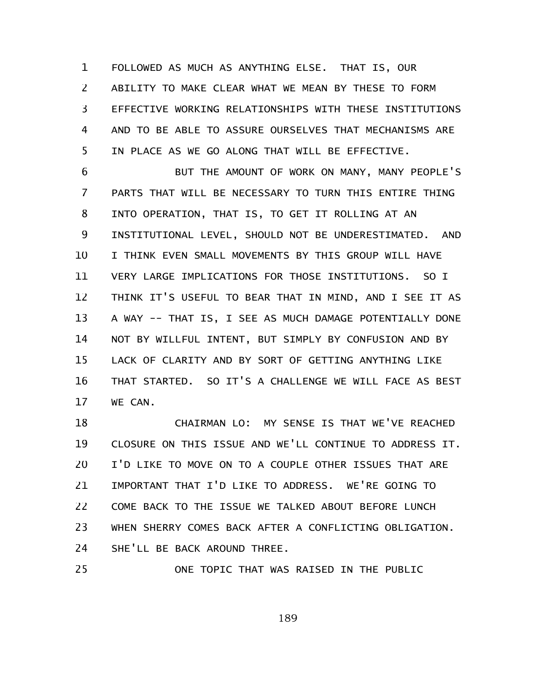FOLLOWED AS MUCH AS ANYTHING ELSE. THAT IS, OUR ABILITY TO MAKE CLEAR WHAT WE MEAN BY THESE TO FORM EFFECTIVE WORKING RELATIONSHIPS WITH THESE INSTITUTIONS AND TO BE ABLE TO ASSURE OURSELVES THAT MECHANISMS ARE IN PLACE AS WE GO ALONG THAT WILL BE EFFECTIVE. 1 2 3 4 5

BUT THE AMOUNT OF WORK ON MANY, MANY PEOPLE'S PARTS THAT WILL BE NECESSARY TO TURN THIS ENTIRE THING INTO OPERATION, THAT IS, TO GET IT ROLLING AT AN INSTITUTIONAL LEVEL, SHOULD NOT BE UNDERESTIMATED. AND I THINK EVEN SMALL MOVEMENTS BY THIS GROUP WILL HAVE VERY LARGE IMPLICATIONS FOR THOSE INSTITUTIONS. SO I THINK IT'S USEFUL TO BEAR THAT IN MIND, AND I SEE IT AS A WAY -- THAT IS, I SEE AS MUCH DAMAGE POTENTIALLY DONE NOT BY WILLFUL INTENT, BUT SIMPLY BY CONFUSION AND BY LACK OF CLARITY AND BY SORT OF GETTING ANYTHING LIKE THAT STARTED. SO IT'S A CHALLENGE WE WILL FACE AS BEST WE CAN. 6 7 8 9 10 11 12 13 14 15 16 17

CHAIRMAN LO: MY SENSE IS THAT WE'VE REACHED CLOSURE ON THIS ISSUE AND WE'LL CONTINUE TO ADDRESS IT. I'D LIKE TO MOVE ON TO A COUPLE OTHER ISSUES THAT ARE IMPORTANT THAT I'D LIKE TO ADDRESS. WE'RE GOING TO COME BACK TO THE ISSUE WE TALKED ABOUT BEFORE LUNCH WHEN SHERRY COMES BACK AFTER A CONFLICTING OBLIGATION. SHE'LL BE BACK AROUND THREE. 18 19 20 21 22 23 24

ONE TOPIC THAT WAS RAISED IN THE PUBLIC

25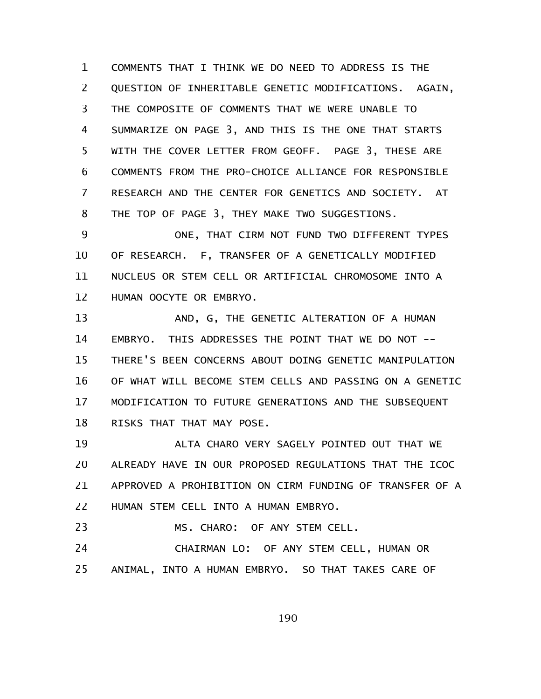COMMENTS THAT I THINK WE DO NEED TO ADDRESS IS THE QUESTION OF INHERITABLE GENETIC MODIFICATIONS. AGAIN, THE COMPOSITE OF COMMENTS THAT WE WERE UNABLE TO SUMMARIZE ON PAGE 3, AND THIS IS THE ONE THAT STARTS WITH THE COVER LETTER FROM GEOFF. PAGE 3, THESE ARE COMMENTS FROM THE PRO-CHOICE ALLIANCE FOR RESPONSIBLE RESEARCH AND THE CENTER FOR GENETICS AND SOCIETY. AT THE TOP OF PAGE 3, THEY MAKE TWO SUGGESTIONS. 1 2 3 4 5 6 7 8

ONE, THAT CIRM NOT FUND TWO DIFFERENT TYPES OF RESEARCH. F, TRANSFER OF A GENETICALLY MODIFIED NUCLEUS OR STEM CELL OR ARTIFICIAL CHROMOSOME INTO A HUMAN OOCYTE OR EMBRYO. 9 10 11 12

AND, G, THE GENETIC ALTERATION OF A HUMAN EMBRYO. THIS ADDRESSES THE POINT THAT WE DO NOT -- THERE'S BEEN CONCERNS ABOUT DOING GENETIC MANIPULATION OF WHAT WILL BECOME STEM CELLS AND PASSING ON A GENETIC MODIFICATION TO FUTURE GENERATIONS AND THE SUBSEQUENT RISKS THAT THAT MAY POSE. 13 14 15 16 17 18

ALTA CHARO VERY SAGELY POINTED OUT THAT WE ALREADY HAVE IN OUR PROPOSED REGULATIONS THAT THE ICOC APPROVED A PROHIBITION ON CIRM FUNDING OF TRANSFER OF A HUMAN STEM CELL INTO A HUMAN EMBRYO. 19 20 21 22

MS. CHARO: OF ANY STEM CELL. 23

CHAIRMAN LO: OF ANY STEM CELL, HUMAN OR ANIMAL, INTO A HUMAN EMBRYO. SO THAT TAKES CARE OF 24 25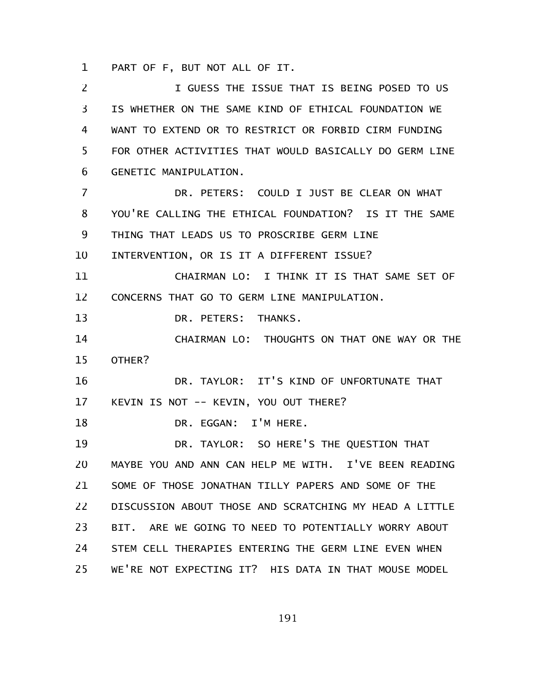PART OF F, BUT NOT ALL OF IT. 1

I GUESS THE ISSUE THAT IS BEING POSED TO US IS WHETHER ON THE SAME KIND OF ETHICAL FOUNDATION WE WANT TO EXTEND OR TO RESTRICT OR FORBID CIRM FUNDING FOR OTHER ACTIVITIES THAT WOULD BASICALLY DO GERM LINE GENETIC MANIPULATION. DR. PETERS: COULD I JUST BE CLEAR ON WHAT YOU'RE CALLING THE ETHICAL FOUNDATION? IS IT THE SAME THING THAT LEADS US TO PROSCRIBE GERM LINE INTERVENTION, OR IS IT A DIFFERENT ISSUE? CHAIRMAN LO: I THINK IT IS THAT SAME SET OF CONCERNS THAT GO TO GERM LINE MANIPULATION. DR. PETERS: THANKS. CHAIRMAN LO: THOUGHTS ON THAT ONE WAY OR THE OTHER? DR. TAYLOR: IT'S KIND OF UNFORTUNATE THAT KEVIN IS NOT -- KEVIN, YOU OUT THERE? DR. EGGAN: I'M HERE. DR. TAYLOR: SO HERE'S THE QUESTION THAT MAYBE YOU AND ANN CAN HELP ME WITH. I'VE BEEN READING SOME OF THOSE JONATHAN TILLY PAPERS AND SOME OF THE DISCUSSION ABOUT THOSE AND SCRATCHING MY HEAD A LITTLE BIT. ARE WE GOING TO NEED TO POTENTIALLY WORRY ABOUT STEM CELL THERAPIES ENTERING THE GERM LINE EVEN WHEN WE'RE NOT EXPECTING IT? HIS DATA IN THAT MOUSE MODEL 2 3 4 5 6 7 8 9 10 11 12 13 14 15 16 17 18 19 20 21 22 23 24 25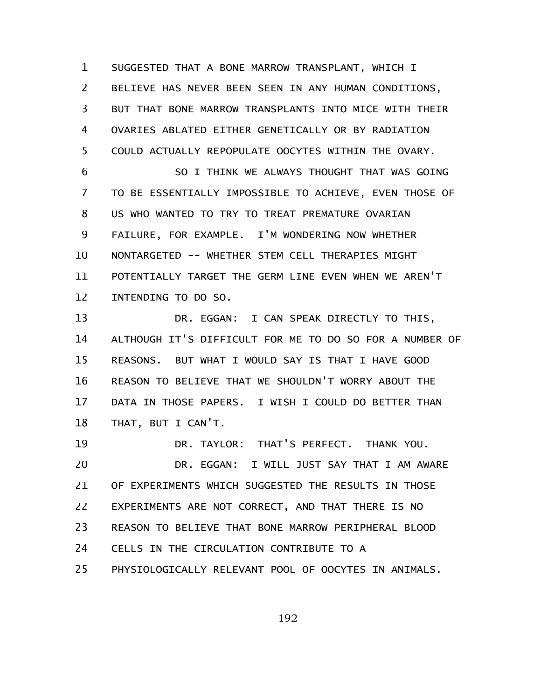SUGGESTED THAT A BONE MARROW TRANSPLANT, WHICH I BELIEVE HAS NEVER BEEN SEEN IN ANY HUMAN CONDITIONS, BUT THAT BONE MARROW TRANSPLANTS INTO MICE WITH THEIR OVARIES ABLATED EITHER GENETICALLY OR BY RADIATION COULD ACTUALLY REPOPULATE OOCYTES WITHIN THE OVARY. 1 2 3 4 5

SO I THINK WE ALWAYS THOUGHT THAT WAS GOING TO BE ESSENTIALLY IMPOSSIBLE TO ACHIEVE, EVEN THOSE OF US WHO WANTED TO TRY TO TREAT PREMATURE OVARIAN FAILURE, FOR EXAMPLE. I'M WONDERING NOW WHETHER NONTARGETED -- WHETHER STEM CELL THERAPIES MIGHT POTENTIALLY TARGET THE GERM LINE EVEN WHEN WE AREN'T INTENDING TO DO SO. 6 7 8 9 10 11 12

DR. EGGAN: I CAN SPEAK DIRECTLY TO THIS, ALTHOUGH IT'S DIFFICULT FOR ME TO DO SO FOR A NUMBER OF REASONS. BUT WHAT I WOULD SAY IS THAT I HAVE GOOD REASON TO BELIEVE THAT WE SHOULDN'T WORRY ABOUT THE DATA IN THOSE PAPERS. I WISH I COULD DO BETTER THAN THAT, BUT I CAN'T. 13 14 15 16 17 18

DR. TAYLOR: THAT'S PERFECT. THANK YOU. DR. EGGAN: I WILL JUST SAY THAT I AM AWARE OF EXPERIMENTS WHICH SUGGESTED THE RESULTS IN THOSE EXPERIMENTS ARE NOT CORRECT, AND THAT THERE IS NO REASON TO BELIEVE THAT BONE MARROW PERIPHERAL BLOOD CELLS IN THE CIRCULATION CONTRIBUTE TO A PHYSIOLOGICALLY RELEVANT POOL OF OOCYTES IN ANIMALS. 19 20 21 22 23 24 25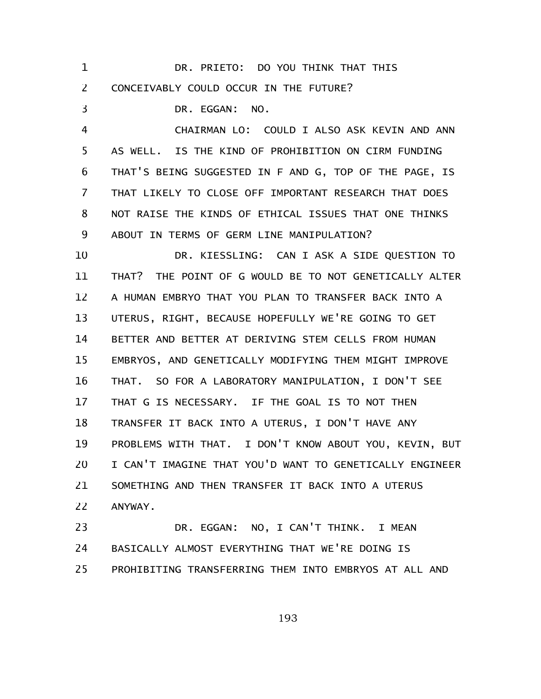| $\mathbf 1$    | DR. PRIETO: DO YOU THINK THAT THIS                      |
|----------------|---------------------------------------------------------|
| $\overline{2}$ | CONCEIVABLY COULD OCCUR IN THE FUTURE?                  |
| 3              | DR. EGGAN:<br>NO.                                       |
| 4              | CHAIRMAN LO: COULD I ALSO ASK KEVIN AND ANN             |
| 5              | AS WELL. IS THE KIND OF PROHIBITION ON CIRM FUNDING     |
| 6              | THAT'S BEING SUGGESTED IN F AND G, TOP OF THE PAGE, IS  |
| 7              | THAT LIKELY TO CLOSE OFF IMPORTANT RESEARCH THAT DOES   |
| 8              | NOT RAISE THE KINDS OF ETHICAL ISSUES THAT ONE THINKS   |
| 9              | ABOUT IN TERMS OF GERM LINE MANIPULATION?               |
| 10             | DR. KIESSLING: CAN I ASK A SIDE QUESTION TO             |
| 11             | THAT? THE POINT OF G WOULD BE TO NOT GENETICALLY ALTER  |
| 12             | A HUMAN EMBRYO THAT YOU PLAN TO TRANSFER BACK INTO A    |
| 13             | UTERUS, RIGHT, BECAUSE HOPEFULLY WE'RE GOING TO GET     |
| 14             | BETTER AND BETTER AT DERIVING STEM CELLS FROM HUMAN     |
| 15             | EMBRYOS, AND GENETICALLY MODIFYING THEM MIGHT IMPROVE   |
| 16             | SO FOR A LABORATORY MANIPULATION, I DON'T SEE<br>THAT.  |
| 17             | THAT G IS NECESSARY. IF THE GOAL IS TO NOT THEN         |
| 18             | TRANSFER IT BACK INTO A UTERUS, I DON'T HAVE ANY        |
| 19             | PROBLEMS WITH THAT. I DON'T KNOW ABOUT YOU, KEVIN, BUT  |
| 20             | I CAN'T IMAGINE THAT YOU'D WANT TO GENETICALLY ENGINEER |
| 21             | SOMETHING AND THEN TRANSFER IT BACK INTO A UTERUS       |
| 22             | ANYWAY.                                                 |
| 23             | DR. EGGAN: NO, I CAN'T THINK. I MEAN                    |
| 24             | BASICALLY ALMOST EVERYTHING THAT WE'RE DOING IS         |

PROHIBITING TRANSFERRING THEM INTO EMBRYOS AT ALL AND 25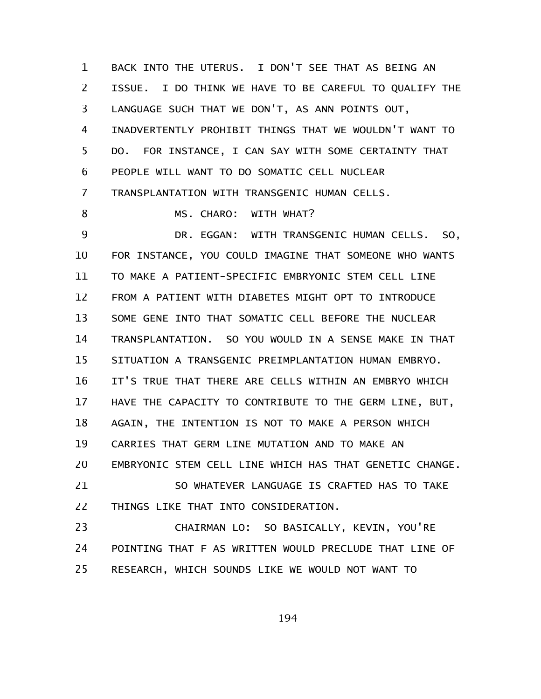BACK INTO THE UTERUS. I DON'T SEE THAT AS BEING AN ISSUE. I DO THINK WE HAVE TO BE CAREFUL TO QUALIFY THE LANGUAGE SUCH THAT WE DON'T, AS ANN POINTS OUT, INADVERTENTLY PROHIBIT THINGS THAT WE WOULDN'T WANT TO DO. FOR INSTANCE, I CAN SAY WITH SOME CERTAINTY THAT PEOPLE WILL WANT TO DO SOMATIC CELL NUCLEAR TRANSPLANTATION WITH TRANSGENIC HUMAN CELLS. MS. CHARO: WITH WHAT? DR. EGGAN: WITH TRANSGENIC HUMAN CELLS. SO, FOR INSTANCE, YOU COULD IMAGINE THAT SOMEONE WHO WANTS TO MAKE A PATIENT-SPECIFIC EMBRYONIC STEM CELL LINE FROM A PATIENT WITH DIABETES MIGHT OPT TO INTRODUCE SOME GENE INTO THAT SOMATIC CELL BEFORE THE NUCLEAR TRANSPLANTATION. SO YOU WOULD IN A SENSE MAKE IN THAT SITUATION A TRANSGENIC PREIMPLANTATION HUMAN EMBRYO. IT'S TRUE THAT THERE ARE CELLS WITHIN AN EMBRYO WHICH HAVE THE CAPACITY TO CONTRIBUTE TO THE GERM LINE, BUT, AGAIN, THE INTENTION IS NOT TO MAKE A PERSON WHICH CARRIES THAT GERM LINE MUTATION AND TO MAKE AN EMBRYONIC STEM CELL LINE WHICH HAS THAT GENETIC CHANGE. SO WHATEVER LANGUAGE IS CRAFTED HAS TO TAKE THINGS LIKE THAT INTO CONSIDERATION. CHAIRMAN LO: SO BASICALLY, KEVIN, YOU'RE POINTING THAT F AS WRITTEN WOULD PRECLUDE THAT LINE OF 1 2 3 4 5 6 7 8 9 10 11 12 13 14 15 16 17 18 19 20 21 22 23 24

RESEARCH, WHICH SOUNDS LIKE WE WOULD NOT WANT TO 25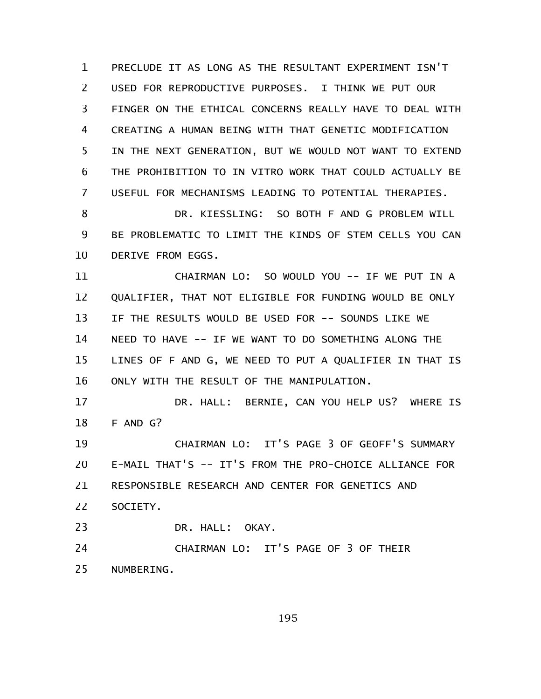PRECLUDE IT AS LONG AS THE RESULTANT EXPERIMENT ISN'T USED FOR REPRODUCTIVE PURPOSES. I THINK WE PUT OUR FINGER ON THE ETHICAL CONCERNS REALLY HAVE TO DEAL WITH CREATING A HUMAN BEING WITH THAT GENETIC MODIFICATION IN THE NEXT GENERATION, BUT WE WOULD NOT WANT TO EXTEND THE PROHIBITION TO IN VITRO WORK THAT COULD ACTUALLY BE USEFUL FOR MECHANISMS LEADING TO POTENTIAL THERAPIES. 1 2 3 4 5 6 7

DR. KIESSLING: SO BOTH F AND G PROBLEM WILL BE PROBLEMATIC TO LIMIT THE KINDS OF STEM CELLS YOU CAN DERIVE FROM EGGS. 8 9 10

CHAIRMAN LO: SO WOULD YOU -- IF WE PUT IN A QUALIFIER, THAT NOT ELIGIBLE FOR FUNDING WOULD BE ONLY IF THE RESULTS WOULD BE USED FOR -- SOUNDS LIKE WE NEED TO HAVE -- IF WE WANT TO DO SOMETHING ALONG THE LINES OF F AND G, WE NEED TO PUT A QUALIFIER IN THAT IS ONLY WITH THE RESULT OF THE MANIPULATION. 11 12 13 14 15 16

DR. HALL: BERNIE, CAN YOU HELP US? WHERE IS F AND G? 17 18

CHAIRMAN LO: IT'S PAGE 3 OF GEOFF'S SUMMARY E-MAIL THAT'S -- IT'S FROM THE PRO-CHOICE ALLIANCE FOR RESPONSIBLE RESEARCH AND CENTER FOR GENETICS AND SOCIETY. 19 20 21 22 23

DR. HALL: OKAY.

CHAIRMAN LO: IT'S PAGE OF 3 OF THEIR NUMBERING. 24 25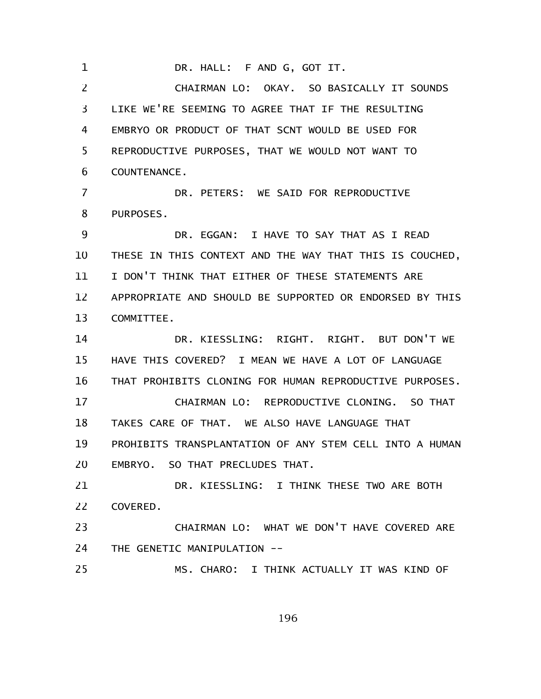DR. HALL: F AND G, GOT IT. 1

CHAIRMAN LO: OKAY. SO BASICALLY IT SOUNDS LIKE WE'RE SEEMING TO AGREE THAT IF THE RESULTING EMBRYO OR PRODUCT OF THAT SCNT WOULD BE USED FOR REPRODUCTIVE PURPOSES, THAT WE WOULD NOT WANT TO COUNTENANCE. DR. PETERS: WE SAID FOR REPRODUCTIVE PURPOSES. DR. EGGAN: I HAVE TO SAY THAT AS I READ THESE IN THIS CONTEXT AND THE WAY THAT THIS IS COUCHED, I DON'T THINK THAT EITHER OF THESE STATEMENTS ARE APPROPRIATE AND SHOULD BE SUPPORTED OR ENDORSED BY THIS COMMITTEE. DR. KIESSLING: RIGHT. RIGHT. BUT DON'T WE HAVE THIS COVERED? I MEAN WE HAVE A LOT OF LANGUAGE THAT PROHIBITS CLONING FOR HUMAN REPRODUCTIVE PURPOSES. CHAIRMAN LO: REPRODUCTIVE CLONING. SO THAT TAKES CARE OF THAT. WE ALSO HAVE LANGUAGE THAT 2 3 4 5 6 7 8 9 10 11 12 13 14 15 16 17 18

PROHIBITS TRANSPLANTATION OF ANY STEM CELL INTO A HUMAN EMBRYO. SO THAT PRECLUDES THAT. 19 20

DR. KIESSLING: I THINK THESE TWO ARE BOTH COVERED. 21 22

CHAIRMAN LO: WHAT WE DON'T HAVE COVERED ARE THE GENETIC MANIPULATION -- 23 24

MS. CHARO: I THINK ACTUALLY IT WAS KIND OF 25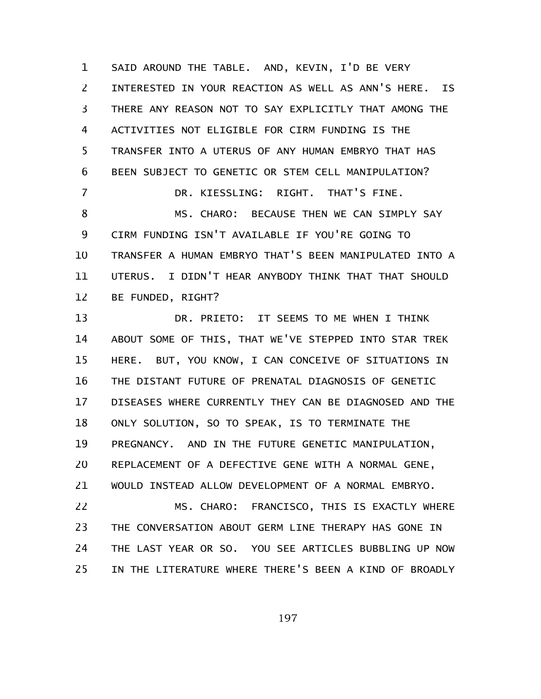SAID AROUND THE TABLE. AND, KEVIN, I'D BE VERY INTERESTED IN YOUR REACTION AS WELL AS ANN'S HERE. IS THERE ANY REASON NOT TO SAY EXPLICITLY THAT AMONG THE ACTIVITIES NOT ELIGIBLE FOR CIRM FUNDING IS THE TRANSFER INTO A UTERUS OF ANY HUMAN EMBRYO THAT HAS BEEN SUBJECT TO GENETIC OR STEM CELL MANIPULATION? DR. KIESSLING: RIGHT. THAT'S FINE. MS. CHARO: BECAUSE THEN WE CAN SIMPLY SAY CIRM FUNDING ISN'T AVAILABLE IF YOU'RE GOING TO TRANSFER A HUMAN EMBRYO THAT'S BEEN MANIPULATED INTO A UTERUS. I DIDN'T HEAR ANYBODY THINK THAT THAT SHOULD BE FUNDED, RIGHT? 1 2 3 4 5 6 7 8 9 10 11 12

DR. PRIETO: IT SEEMS TO ME WHEN I THINK ABOUT SOME OF THIS, THAT WE'VE STEPPED INTO STAR TREK HERE. BUT, YOU KNOW, I CAN CONCEIVE OF SITUATIONS IN THE DISTANT FUTURE OF PRENATAL DIAGNOSIS OF GENETIC DISEASES WHERE CURRENTLY THEY CAN BE DIAGNOSED AND THE ONLY SOLUTION, SO TO SPEAK, IS TO TERMINATE THE PREGNANCY. AND IN THE FUTURE GENETIC MANIPULATION, REPLACEMENT OF A DEFECTIVE GENE WITH A NORMAL GENE, WOULD INSTEAD ALLOW DEVELOPMENT OF A NORMAL EMBRYO. MS. CHARO: FRANCISCO, THIS IS EXACTLY WHERE THE CONVERSATION ABOUT GERM LINE THERAPY HAS GONE IN THE LAST YEAR OR SO. YOU SEE ARTICLES BUBBLING UP NOW 13 14 15 16 17 18 19 20 21 22 23 24

IN THE LITERATURE WHERE THERE'S BEEN A KIND OF BROADLY 25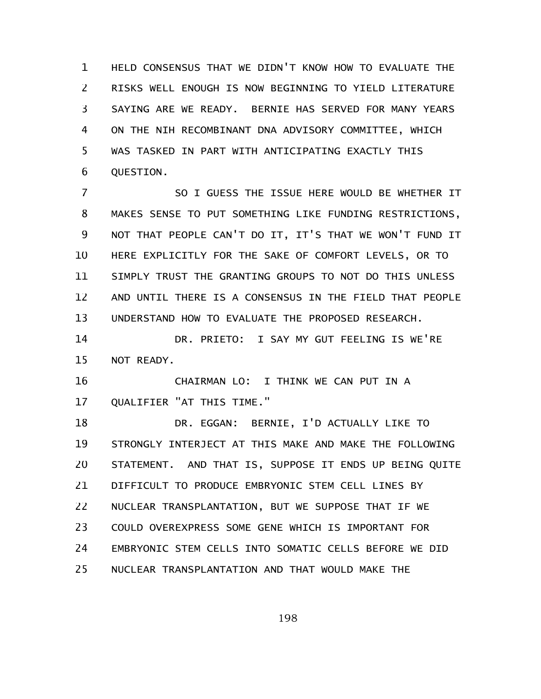HELD CONSENSUS THAT WE DIDN'T KNOW HOW TO EVALUATE THE RISKS WELL ENOUGH IS NOW BEGINNING TO YIELD LITERATURE SAYING ARE WE READY. BERNIE HAS SERVED FOR MANY YEARS ON THE NIH RECOMBINANT DNA ADVISORY COMMITTEE, WHICH WAS TASKED IN PART WITH ANTICIPATING EXACTLY THIS QUESTION. 1 2 3 4 5 6

SO I GUESS THE ISSUE HERE WOULD BE WHETHER IT MAKES SENSE TO PUT SOMETHING LIKE FUNDING RESTRICTIONS, NOT THAT PEOPLE CAN'T DO IT, IT'S THAT WE WON'T FUND IT HERE EXPLICITLY FOR THE SAKE OF COMFORT LEVELS, OR TO SIMPLY TRUST THE GRANTING GROUPS TO NOT DO THIS UNLESS AND UNTIL THERE IS A CONSENSUS IN THE FIELD THAT PEOPLE UNDERSTAND HOW TO EVALUATE THE PROPOSED RESEARCH. 7 8 9 10 11 12 13

DR. PRIETO: I SAY MY GUT FEELING IS WE'RE NOT READY. 14 15

CHAIRMAN LO: I THINK WE CAN PUT IN A QUALIFIER "AT THIS TIME." 16 17

DR. EGGAN: BERNIE, I'D ACTUALLY LIKE TO STRONGLY INTERJECT AT THIS MAKE AND MAKE THE FOLLOWING STATEMENT. AND THAT IS, SUPPOSE IT ENDS UP BEING QUITE DIFFICULT TO PRODUCE EMBRYONIC STEM CELL LINES BY NUCLEAR TRANSPLANTATION, BUT WE SUPPOSE THAT IF WE COULD OVEREXPRESS SOME GENE WHICH IS IMPORTANT FOR EMBRYONIC STEM CELLS INTO SOMATIC CELLS BEFORE WE DID NUCLEAR TRANSPLANTATION AND THAT WOULD MAKE THE 18 19 20 21 22 23 24 25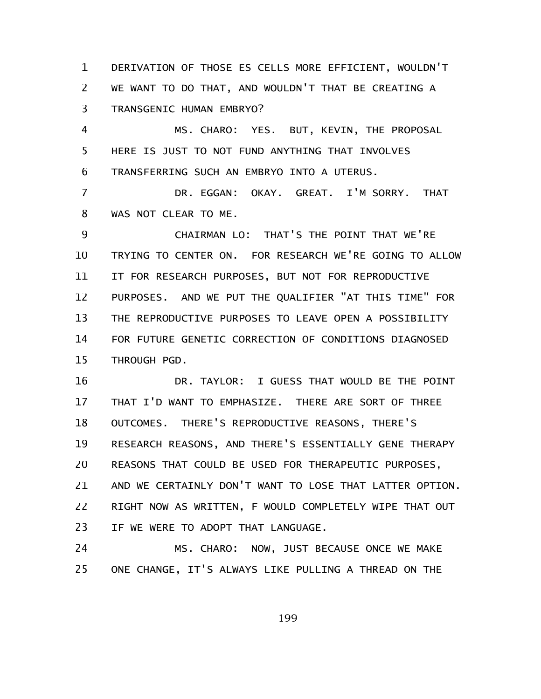DERIVATION OF THOSE ES CELLS MORE EFFICIENT, WOULDN'T WE WANT TO DO THAT, AND WOULDN'T THAT BE CREATING A TRANSGENIC HUMAN EMBRYO? 1 2 3

MS. CHARO: YES. BUT, KEVIN, THE PROPOSAL HERE IS JUST TO NOT FUND ANYTHING THAT INVOLVES TRANSFERRING SUCH AN EMBRYO INTO A UTERUS. 4 5 6

DR. EGGAN: OKAY. GREAT. I'M SORRY. THAT WAS NOT CLEAR TO ME. 7 8

CHAIRMAN LO: THAT'S THE POINT THAT WE'RE TRYING TO CENTER ON. FOR RESEARCH WE'RE GOING TO ALLOW IT FOR RESEARCH PURPOSES, BUT NOT FOR REPRODUCTIVE PURPOSES. AND WE PUT THE QUALIFIER "AT THIS TIME" FOR THE REPRODUCTIVE PURPOSES TO LEAVE OPEN A POSSIBILITY FOR FUTURE GENETIC CORRECTION OF CONDITIONS DIAGNOSED THROUGH PGD. 9 10 11 12 13 14 15

DR. TAYLOR: I GUESS THAT WOULD BE THE POINT THAT I'D WANT TO EMPHASIZE. THERE ARE SORT OF THREE OUTCOMES. THERE'S REPRODUCTIVE REASONS, THERE'S RESEARCH REASONS, AND THERE'S ESSENTIALLY GENE THERAPY REASONS THAT COULD BE USED FOR THERAPEUTIC PURPOSES, AND WE CERTAINLY DON'T WANT TO LOSE THAT LATTER OPTION. RIGHT NOW AS WRITTEN, F WOULD COMPLETELY WIPE THAT OUT IF WE WERE TO ADOPT THAT LANGUAGE. 16 17 18 19 20 21 22 23

MS. CHARO: NOW, JUST BECAUSE ONCE WE MAKE ONE CHANGE, IT'S ALWAYS LIKE PULLING A THREAD ON THE 24 25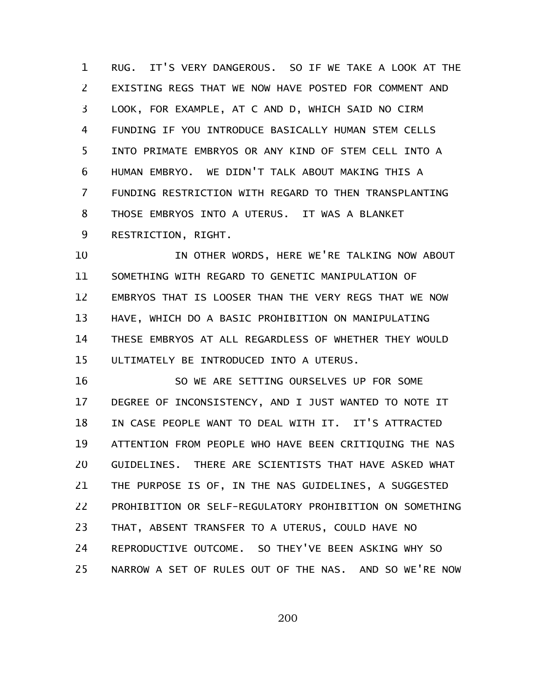RUG. IT'S VERY DANGEROUS. SO IF WE TAKE A LOOK AT THE EXISTING REGS THAT WE NOW HAVE POSTED FOR COMMENT AND LOOK, FOR EXAMPLE, AT C AND D, WHICH SAID NO CIRM FUNDING IF YOU INTRODUCE BASICALLY HUMAN STEM CELLS INTO PRIMATE EMBRYOS OR ANY KIND OF STEM CELL INTO A HUMAN EMBRYO. WE DIDN'T TALK ABOUT MAKING THIS A FUNDING RESTRICTION WITH REGARD TO THEN TRANSPLANTING THOSE EMBRYOS INTO A UTERUS. IT WAS A BLANKET RESTRICTION, RIGHT. 1 2 3 4 5 6 7 8 9

IN OTHER WORDS, HERE WE'RE TALKING NOW ABOUT SOMETHING WITH REGARD TO GENETIC MANIPULATION OF EMBRYOS THAT IS LOOSER THAN THE VERY REGS THAT WE NOW HAVE, WHICH DO A BASIC PROHIBITION ON MANIPULATING THESE EMBRYOS AT ALL REGARDLESS OF WHETHER THEY WOULD ULTIMATELY BE INTRODUCED INTO A UTERUS. 10 11 12 13 14 15

SO WE ARE SETTING OURSELVES UP FOR SOME DEGREE OF INCONSISTENCY, AND I JUST WANTED TO NOTE IT IN CASE PEOPLE WANT TO DEAL WITH IT. IT'S ATTRACTED ATTENTION FROM PEOPLE WHO HAVE BEEN CRITIQUING THE NAS GUIDELINES. THERE ARE SCIENTISTS THAT HAVE ASKED WHAT THE PURPOSE IS OF, IN THE NAS GUIDELINES, A SUGGESTED PROHIBITION OR SELF-REGULATORY PROHIBITION ON SOMETHING THAT, ABSENT TRANSFER TO A UTERUS, COULD HAVE NO REPRODUCTIVE OUTCOME. SO THEY'VE BEEN ASKING WHY SO NARROW A SET OF RULES OUT OF THE NAS. AND SO WE'RE NOW 16 17 18 19 20 21 22 23 24 25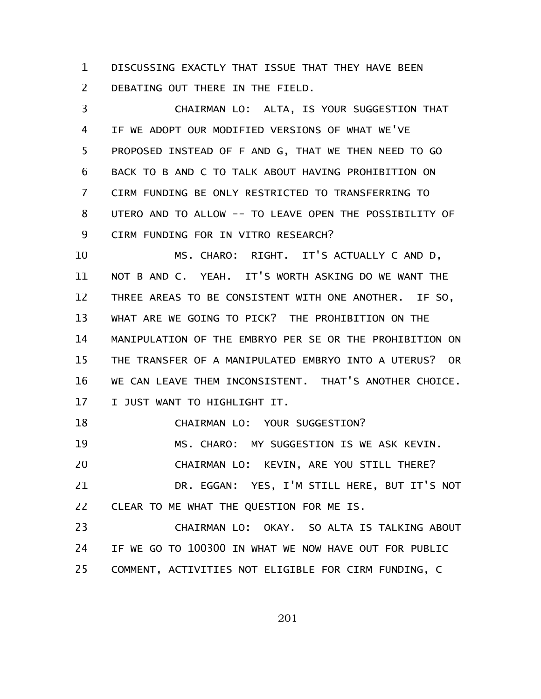DISCUSSING EXACTLY THAT ISSUE THAT THEY HAVE BEEN DEBATING OUT THERE IN THE FIELD. 1 2

CHAIRMAN LO: ALTA, IS YOUR SUGGESTION THAT IF WE ADOPT OUR MODIFIED VERSIONS OF WHAT WE'VE PROPOSED INSTEAD OF F AND G, THAT WE THEN NEED TO GO BACK TO B AND C TO TALK ABOUT HAVING PROHIBITION ON CIRM FUNDING BE ONLY RESTRICTED TO TRANSFERRING TO UTERO AND TO ALLOW -- TO LEAVE OPEN THE POSSIBILITY OF CIRM FUNDING FOR IN VITRO RESEARCH? 3 4 5 6 7 8 9

MS. CHARO: RIGHT. IT'S ACTUALLY C AND D, NOT B AND C. YEAH. IT'S WORTH ASKING DO WE WANT THE THREE AREAS TO BE CONSISTENT WITH ONE ANOTHER. IF SO, WHAT ARE WE GOING TO PICK? THE PROHIBITION ON THE MANIPULATION OF THE EMBRYO PER SE OR THE PROHIBITION ON THE TRANSFER OF A MANIPULATED EMBRYO INTO A UTERUS? OR WE CAN LEAVE THEM INCONSISTENT. THAT'S ANOTHER CHOICE. I JUST WANT TO HIGHLIGHT IT. 10 11 12 13 14 15 16 17

CHAIRMAN LO: YOUR SUGGESTION? 18

MS. CHARO: MY SUGGESTION IS WE ASK KEVIN. 19

CHAIRMAN LO: KEVIN, ARE YOU STILL THERE? 20

DR. EGGAN: YES, I'M STILL HERE, BUT IT'S NOT CLEAR TO ME WHAT THE QUESTION FOR ME IS. 21 22

CHAIRMAN LO: OKAY. SO ALTA IS TALKING ABOUT IF WE GO TO 100300 IN WHAT WE NOW HAVE OUT FOR PUBLIC COMMENT, ACTIVITIES NOT ELIGIBLE FOR CIRM FUNDING, C 23 24 25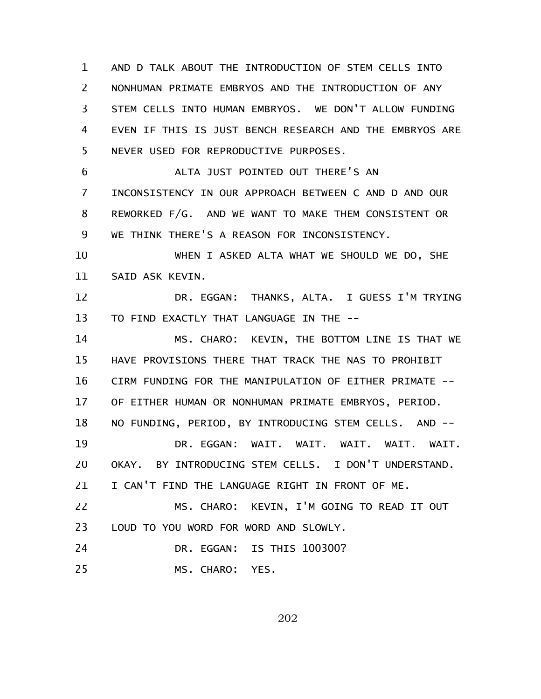AND D TALK ABOUT THE INTRODUCTION OF STEM CELLS INTO NONHUMAN PRIMATE EMBRYOS AND THE INTRODUCTION OF ANY STEM CELLS INTO HUMAN EMBRYOS. WE DON'T ALLOW FUNDING EVEN IF THIS IS JUST BENCH RESEARCH AND THE EMBRYOS ARE NEVER USED FOR REPRODUCTIVE PURPOSES. 1 2 3 4 5

ALTA JUST POINTED OUT THERE'S AN INCONSISTENCY IN OUR APPROACH BETWEEN C AND D AND OUR REWORKED F/G. AND WE WANT TO MAKE THEM CONSISTENT OR WE THINK THERE'S A REASON FOR INCONSISTENCY. 6 7 8 9

WHEN I ASKED ALTA WHAT WE SHOULD WE DO, SHE SAID ASK KEVIN. 10 11

DR. EGGAN: THANKS, ALTA. I GUESS I'M TRYING TO FIND EXACTLY THAT LANGUAGE IN THE -- 12 13

MS. CHARO: KEVIN, THE BOTTOM LINE IS THAT WE HAVE PROVISIONS THERE THAT TRACK THE NAS TO PROHIBIT CIRM FUNDING FOR THE MANIPULATION OF EITHER PRIMATE -- OF EITHER HUMAN OR NONHUMAN PRIMATE EMBRYOS, PERIOD. NO FUNDING, PERIOD, BY INTRODUCING STEM CELLS. AND -- DR. EGGAN: WAIT. WAIT. WAIT. WAIT. WAIT. OKAY. BY INTRODUCING STEM CELLS. I DON'T UNDERSTAND. I CAN'T FIND THE LANGUAGE RIGHT IN FRONT OF ME. MS. CHARO: KEVIN, I'M GOING TO READ IT OUT 14 15 16 17 18 19 20 21 22

LOUD TO YOU WORD FOR WORD AND SLOWLY. 23

DR. EGGAN: IS THIS 100300? 24

MS. CHARO: YES. 25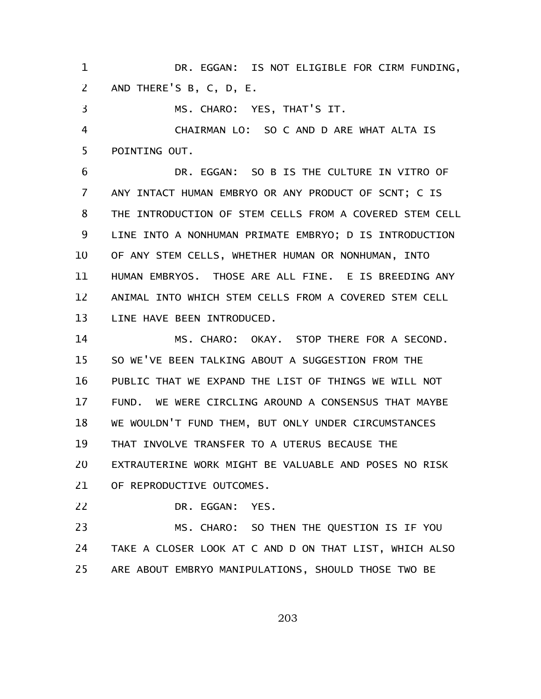DR. EGGAN: IS NOT ELIGIBLE FOR CIRM FUNDING, AND THERE'S B, C, D, E. 1 2

MS. CHARO: YES, THAT'S IT. 3

CHAIRMAN LO: SO C AND D ARE WHAT ALTA IS POINTING OUT. 4 5

DR. EGGAN: SO B IS THE CULTURE IN VITRO OF ANY INTACT HUMAN EMBRYO OR ANY PRODUCT OF SCNT; C IS THE INTRODUCTION OF STEM CELLS FROM A COVERED STEM CELL LINE INTO A NONHUMAN PRIMATE EMBRYO; D IS INTRODUCTION OF ANY STEM CELLS, WHETHER HUMAN OR NONHUMAN, INTO HUMAN EMBRYOS. THOSE ARE ALL FINE. E IS BREEDING ANY ANIMAL INTO WHICH STEM CELLS FROM A COVERED STEM CELL LINE HAVE BEEN INTRODUCED. 6 7 8 9 10 11 12 13

MS. CHARO: OKAY. STOP THERE FOR A SECOND. SO WE'VE BEEN TALKING ABOUT A SUGGESTION FROM THE PUBLIC THAT WE EXPAND THE LIST OF THINGS WE WILL NOT FUND. WE WERE CIRCLING AROUND A CONSENSUS THAT MAYBE WE WOULDN'T FUND THEM, BUT ONLY UNDER CIRCUMSTANCES THAT INVOLVE TRANSFER TO A UTERUS BECAUSE THE EXTRAUTERINE WORK MIGHT BE VALUABLE AND POSES NO RISK OF REPRODUCTIVE OUTCOMES. 14 15 16 17 18 19 20 21

DR. EGGAN: YES. 22

MS. CHARO: SO THEN THE QUESTION IS IF YOU TAKE A CLOSER LOOK AT C AND D ON THAT LIST, WHICH ALSO ARE ABOUT EMBRYO MANIPULATIONS, SHOULD THOSE TWO BE 23 24 25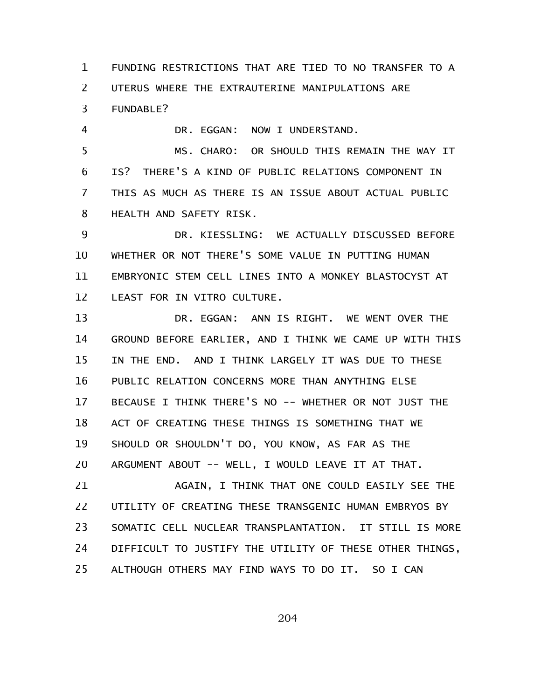FUNDING RESTRICTIONS THAT ARE TIED TO NO TRANSFER TO A UTERUS WHERE THE EXTRAUTERINE MANIPULATIONS ARE FUNDABLE? 1 2 3

DR. EGGAN: NOW I UNDERSTAND. 4

MS. CHARO: OR SHOULD THIS REMAIN THE WAY IT IS? THERE'S A KIND OF PUBLIC RELATIONS COMPONENT IN THIS AS MUCH AS THERE IS AN ISSUE ABOUT ACTUAL PUBLIC HEALTH AND SAFETY RISK. 5 6 7 8

DR. KIESSLING: WE ACTUALLY DISCUSSED BEFORE WHETHER OR NOT THERE'S SOME VALUE IN PUTTING HUMAN EMBRYONIC STEM CELL LINES INTO A MONKEY BLASTOCYST AT LEAST FOR IN VITRO CULTURE. 9 10 11 12

DR. EGGAN: ANN IS RIGHT. WE WENT OVER THE GROUND BEFORE EARLIER, AND I THINK WE CAME UP WITH THIS IN THE END. AND I THINK LARGELY IT WAS DUE TO THESE PUBLIC RELATION CONCERNS MORE THAN ANYTHING ELSE BECAUSE I THINK THERE'S NO -- WHETHER OR NOT JUST THE ACT OF CREATING THESE THINGS IS SOMETHING THAT WE SHOULD OR SHOULDN'T DO, YOU KNOW, AS FAR AS THE ARGUMENT ABOUT -- WELL, I WOULD LEAVE IT AT THAT. 13 14 15 16 17 18 19 20

AGAIN, I THINK THAT ONE COULD EASILY SEE THE UTILITY OF CREATING THESE TRANSGENIC HUMAN EMBRYOS BY SOMATIC CELL NUCLEAR TRANSPLANTATION. IT STILL IS MORE DIFFICULT TO JUSTIFY THE UTILITY OF THESE OTHER THINGS, ALTHOUGH OTHERS MAY FIND WAYS TO DO IT. SO I CAN 21 22 23 24 25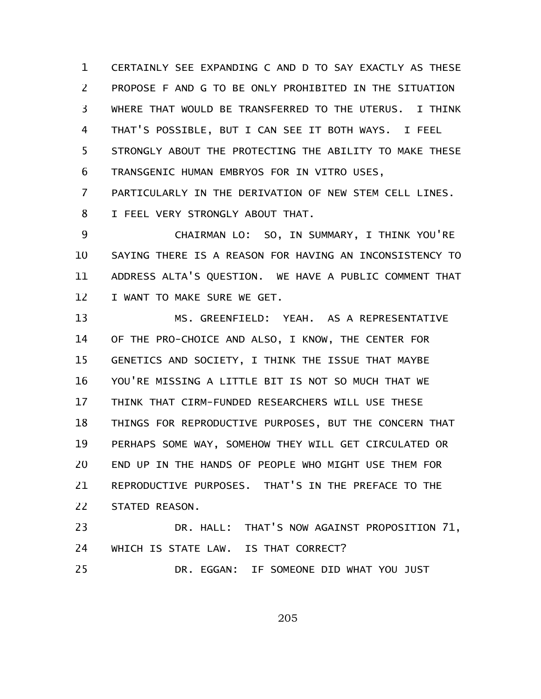CERTAINLY SEE EXPANDING C AND D TO SAY EXACTLY AS THESE PROPOSE F AND G TO BE ONLY PROHIBITED IN THE SITUATION WHERE THAT WOULD BE TRANSFERRED TO THE UTERUS. I THINK THAT'S POSSIBLE, BUT I CAN SEE IT BOTH WAYS. I FEEL STRONGLY ABOUT THE PROTECTING THE ABILITY TO MAKE THESE TRANSGENIC HUMAN EMBRYOS FOR IN VITRO USES, 1 2 3 4 5 6

PARTICULARLY IN THE DERIVATION OF NEW STEM CELL LINES. I FEEL VERY STRONGLY ABOUT THAT. 7 8

CHAIRMAN LO: SO, IN SUMMARY, I THINK YOU'RE SAYING THERE IS A REASON FOR HAVING AN INCONSISTENCY TO ADDRESS ALTA'S QUESTION. WE HAVE A PUBLIC COMMENT THAT I WANT TO MAKE SURE WE GET. 9 10 11 12

MS. GREENFIELD: YEAH. AS A REPRESENTATIVE OF THE PRO-CHOICE AND ALSO, I KNOW, THE CENTER FOR GENETICS AND SOCIETY, I THINK THE ISSUE THAT MAYBE YOU'RE MISSING A LITTLE BIT IS NOT SO MUCH THAT WE THINK THAT CIRM-FUNDED RESEARCHERS WILL USE THESE THINGS FOR REPRODUCTIVE PURPOSES, BUT THE CONCERN THAT PERHAPS SOME WAY, SOMEHOW THEY WILL GET CIRCULATED OR END UP IN THE HANDS OF PEOPLE WHO MIGHT USE THEM FOR REPRODUCTIVE PURPOSES. THAT'S IN THE PREFACE TO THE STATED REASON. DR. HALL: THAT'S NOW AGAINST PROPOSITION 71, 13 14 15 16 17 18 19 20 21 22 23

WHICH IS STATE LAW. IS THAT CORRECT? DR. EGGAN: IF SOMEONE DID WHAT YOU JUST 24 25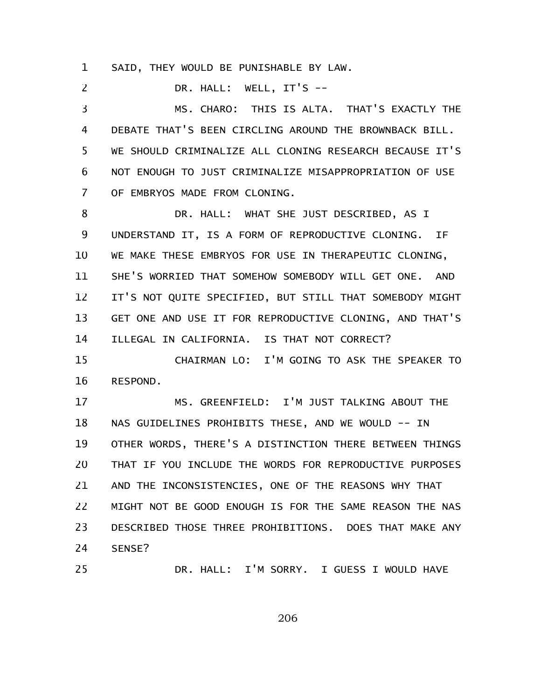SAID, THEY WOULD BE PUNISHABLE BY LAW. 1

DR. HALL: WELL, IT'S -- 2

MS. CHARO: THIS IS ALTA. THAT'S EXACTLY THE DEBATE THAT'S BEEN CIRCLING AROUND THE BROWNBACK BILL. WE SHOULD CRIMINALIZE ALL CLONING RESEARCH BECAUSE IT'S NOT ENOUGH TO JUST CRIMINALIZE MISAPPROPRIATION OF USE OF EMBRYOS MADE FROM CLONING. 3 4 5 6 7

DR. HALL: WHAT SHE JUST DESCRIBED, AS I UNDERSTAND IT, IS A FORM OF REPRODUCTIVE CLONING. IF WE MAKE THESE EMBRYOS FOR USE IN THERAPEUTIC CLONING, SHE'S WORRIED THAT SOMEHOW SOMEBODY WILL GET ONE. AND IT'S NOT QUITE SPECIFIED, BUT STILL THAT SOMEBODY MIGHT GET ONE AND USE IT FOR REPRODUCTIVE CLONING, AND THAT'S ILLEGAL IN CALIFORNIA. IS THAT NOT CORRECT? 8 9 10 11 12 13 14

CHAIRMAN LO: I'M GOING TO ASK THE SPEAKER TO RESPOND. 15 16

MS. GREENFIELD: I'M JUST TALKING ABOUT THE NAS GUIDELINES PROHIBITS THESE, AND WE WOULD -- IN OTHER WORDS, THERE'S A DISTINCTION THERE BETWEEN THINGS THAT IF YOU INCLUDE THE WORDS FOR REPRODUCTIVE PURPOSES AND THE INCONSISTENCIES, ONE OF THE REASONS WHY THAT MIGHT NOT BE GOOD ENOUGH IS FOR THE SAME REASON THE NAS DESCRIBED THOSE THREE PROHIBITIONS. DOES THAT MAKE ANY SENSE? 17 18 19 20 21 22 23 24

25

DR. HALL: I'M SORRY. I GUESS I WOULD HAVE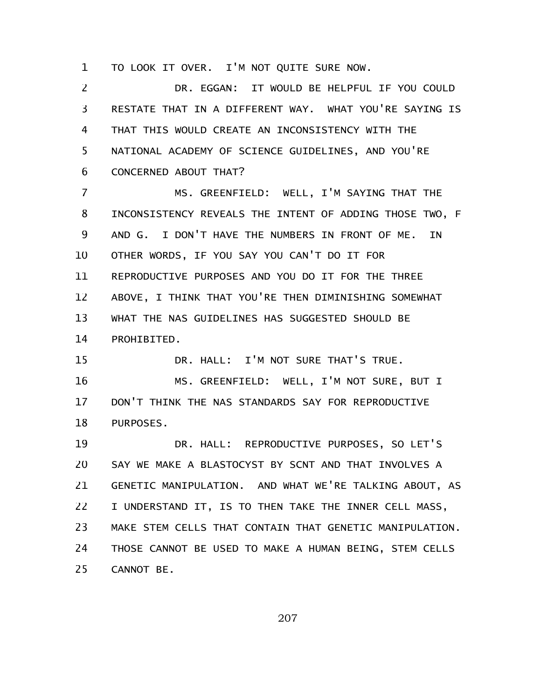TO LOOK IT OVER. I'M NOT QUITE SURE NOW. 1

DR. EGGAN: IT WOULD BE HELPFUL IF YOU COULD RESTATE THAT IN A DIFFERENT WAY. WHAT YOU'RE SAYING IS THAT THIS WOULD CREATE AN INCONSISTENCY WITH THE NATIONAL ACADEMY OF SCIENCE GUIDELINES, AND YOU'RE CONCERNED ABOUT THAT? 2 3 4 5 6

MS. GREENFIELD: WELL, I'M SAYING THAT THE INCONSISTENCY REVEALS THE INTENT OF ADDING THOSE TWO, F AND G. I DON'T HAVE THE NUMBERS IN FRONT OF ME. IN OTHER WORDS, IF YOU SAY YOU CAN'T DO IT FOR REPRODUCTIVE PURPOSES AND YOU DO IT FOR THE THREE ABOVE, I THINK THAT YOU'RE THEN DIMINISHING SOMEWHAT WHAT THE NAS GUIDELINES HAS SUGGESTED SHOULD BE PROHIBITED. 7 8 9 10 11 12 13 14

DR. HALL: I'M NOT SURE THAT'S TRUE. 15

MS. GREENFIELD: WELL, I'M NOT SURE, BUT I DON'T THINK THE NAS STANDARDS SAY FOR REPRODUCTIVE PURPOSES. 16 17 18

DR. HALL: REPRODUCTIVE PURPOSES, SO LET'S SAY WE MAKE A BLASTOCYST BY SCNT AND THAT INVOLVES A GENETIC MANIPULATION. AND WHAT WE'RE TALKING ABOUT, AS I UNDERSTAND IT, IS TO THEN TAKE THE INNER CELL MASS, MAKE STEM CELLS THAT CONTAIN THAT GENETIC MANIPULATION. THOSE CANNOT BE USED TO MAKE A HUMAN BEING, STEM CELLS CANNOT BE. 19 20 21 22 23 24 25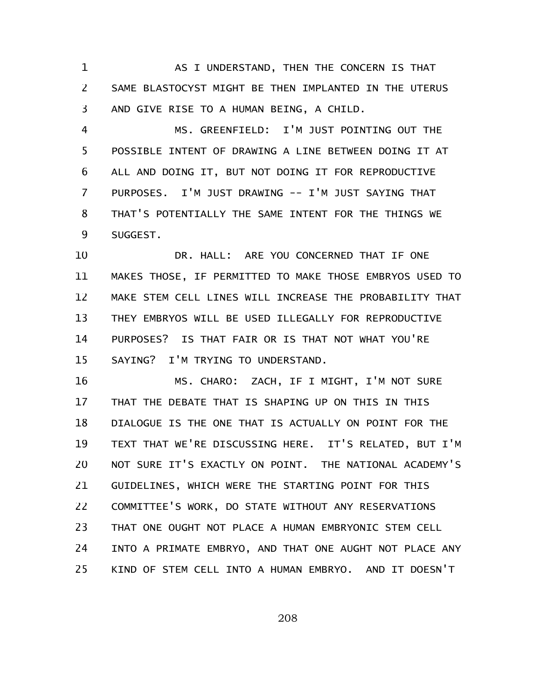AS I UNDERSTAND, THEN THE CONCERN IS THAT SAME BLASTOCYST MIGHT BE THEN IMPLANTED IN THE UTERUS AND GIVE RISE TO A HUMAN BEING, A CHILD. 1 2 3

MS. GREENFIELD: I'M JUST POINTING OUT THE POSSIBLE INTENT OF DRAWING A LINE BETWEEN DOING IT AT ALL AND DOING IT, BUT NOT DOING IT FOR REPRODUCTIVE PURPOSES. I'M JUST DRAWING -- I'M JUST SAYING THAT THAT'S POTENTIALLY THE SAME INTENT FOR THE THINGS WE SUGGEST. 4 5 6 7 8 9

DR. HALL: ARE YOU CONCERNED THAT IF ONE MAKES THOSE, IF PERMITTED TO MAKE THOSE EMBRYOS USED TO MAKE STEM CELL LINES WILL INCREASE THE PROBABILITY THAT THEY EMBRYOS WILL BE USED ILLEGALLY FOR REPRODUCTIVE PURPOSES? IS THAT FAIR OR IS THAT NOT WHAT YOU'RE SAYING? I'M TRYING TO UNDERSTAND. 10 11 12 13 14 15

MS. CHARO: ZACH, IF I MIGHT, I'M NOT SURE THAT THE DEBATE THAT IS SHAPING UP ON THIS IN THIS DIALOGUE IS THE ONE THAT IS ACTUALLY ON POINT FOR THE TEXT THAT WE'RE DISCUSSING HERE. IT'S RELATED, BUT I'M NOT SURE IT'S EXACTLY ON POINT. THE NATIONAL ACADEMY'S GUIDELINES, WHICH WERE THE STARTING POINT FOR THIS COMMITTEE'S WORK, DO STATE WITHOUT ANY RESERVATIONS THAT ONE OUGHT NOT PLACE A HUMAN EMBRYONIC STEM CELL INTO A PRIMATE EMBRYO, AND THAT ONE AUGHT NOT PLACE ANY KIND OF STEM CELL INTO A HUMAN EMBRYO. AND IT DOESN'T 16 17 18 19 20 21 22 23 24 25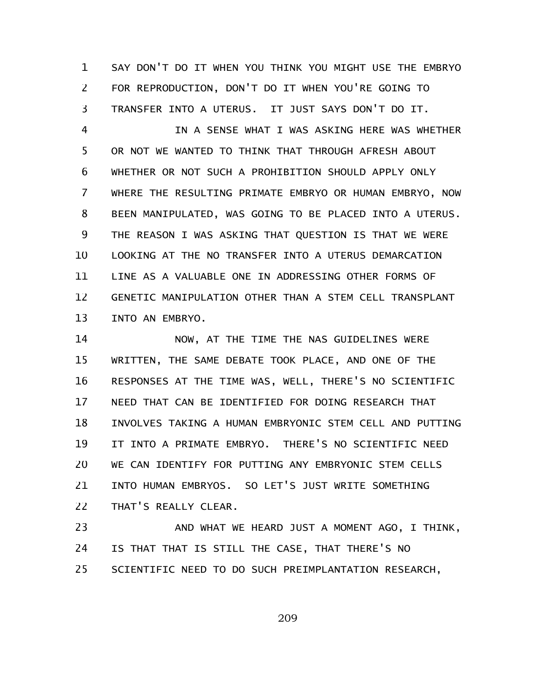SAY DON'T DO IT WHEN YOU THINK YOU MIGHT USE THE EMBRYO FOR REPRODUCTION, DON'T DO IT WHEN YOU'RE GOING TO TRANSFER INTO A UTERUS. IT JUST SAYS DON'T DO IT. 1 2 3

IN A SENSE WHAT I WAS ASKING HERE WAS WHETHER OR NOT WE WANTED TO THINK THAT THROUGH AFRESH ABOUT WHETHER OR NOT SUCH A PROHIBITION SHOULD APPLY ONLY WHERE THE RESULTING PRIMATE EMBRYO OR HUMAN EMBRYO, NOW BEEN MANIPULATED, WAS GOING TO BE PLACED INTO A UTERUS. THE REASON I WAS ASKING THAT QUESTION IS THAT WE WERE LOOKING AT THE NO TRANSFER INTO A UTERUS DEMARCATION LINE AS A VALUABLE ONE IN ADDRESSING OTHER FORMS OF GENETIC MANIPULATION OTHER THAN A STEM CELL TRANSPLANT INTO AN EMBRYO. 4 5 6 7 8 9 10 11 12 13

NOW, AT THE TIME THE NAS GUIDELINES WERE WRITTEN, THE SAME DEBATE TOOK PLACE, AND ONE OF THE RESPONSES AT THE TIME WAS, WELL, THERE'S NO SCIENTIFIC NEED THAT CAN BE IDENTIFIED FOR DOING RESEARCH THAT INVOLVES TAKING A HUMAN EMBRYONIC STEM CELL AND PUTTING IT INTO A PRIMATE EMBRYO. THERE'S NO SCIENTIFIC NEED WE CAN IDENTIFY FOR PUTTING ANY EMBRYONIC STEM CELLS INTO HUMAN EMBRYOS. SO LET'S JUST WRITE SOMETHING THAT'S REALLY CLEAR. 14 15 16 17 18 19 20 21 22

AND WHAT WE HEARD JUST A MOMENT AGO, I THINK, IS THAT THAT IS STILL THE CASE, THAT THERE'S NO SCIENTIFIC NEED TO DO SUCH PREIMPLANTATION RESEARCH, 23 24 25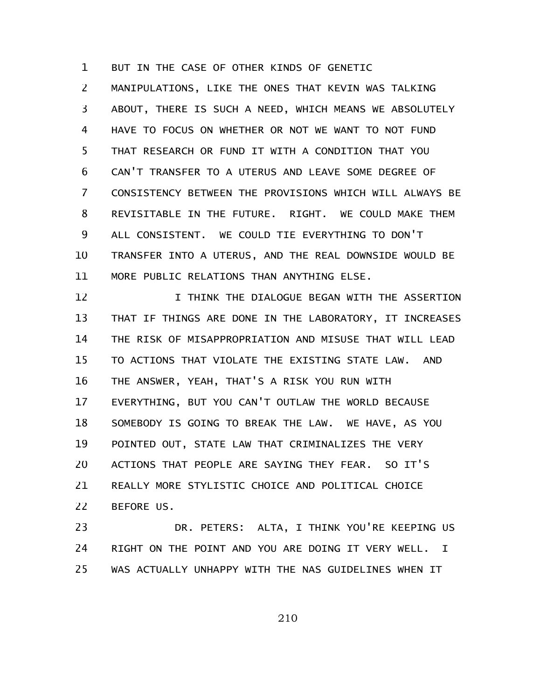BUT IN THE CASE OF OTHER KINDS OF GENETIC 1

MANIPULATIONS, LIKE THE ONES THAT KEVIN WAS TALKING ABOUT, THERE IS SUCH A NEED, WHICH MEANS WE ABSOLUTELY HAVE TO FOCUS ON WHETHER OR NOT WE WANT TO NOT FUND THAT RESEARCH OR FUND IT WITH A CONDITION THAT YOU CAN'T TRANSFER TO A UTERUS AND LEAVE SOME DEGREE OF CONSISTENCY BETWEEN THE PROVISIONS WHICH WILL ALWAYS BE REVISITABLE IN THE FUTURE. RIGHT. WE COULD MAKE THEM ALL CONSISTENT. WE COULD TIE EVERYTHING TO DON'T TRANSFER INTO A UTERUS, AND THE REAL DOWNSIDE WOULD BE MORE PUBLIC RELATIONS THAN ANYTHING ELSE. 2 3 4 5 6 7 8 9 10 11

I THINK THE DIALOGUE BEGAN WITH THE ASSERTION THAT IF THINGS ARE DONE IN THE LABORATORY, IT INCREASES THE RISK OF MISAPPROPRIATION AND MISUSE THAT WILL LEAD TO ACTIONS THAT VIOLATE THE EXISTING STATE LAW. AND THE ANSWER, YEAH, THAT'S A RISK YOU RUN WITH EVERYTHING, BUT YOU CAN'T OUTLAW THE WORLD BECAUSE SOMEBODY IS GOING TO BREAK THE LAW. WE HAVE, AS YOU POINTED OUT, STATE LAW THAT CRIMINALIZES THE VERY ACTIONS THAT PEOPLE ARE SAYING THEY FEAR. SO IT'S REALLY MORE STYLISTIC CHOICE AND POLITICAL CHOICE BEFORE US. 12 13 14 15 16 17 18 19 20 21 22

DR. PETERS: ALTA, I THINK YOU'RE KEEPING US RIGHT ON THE POINT AND YOU ARE DOING IT VERY WELL. I WAS ACTUALLY UNHAPPY WITH THE NAS GUIDELINES WHEN IT 23 24 25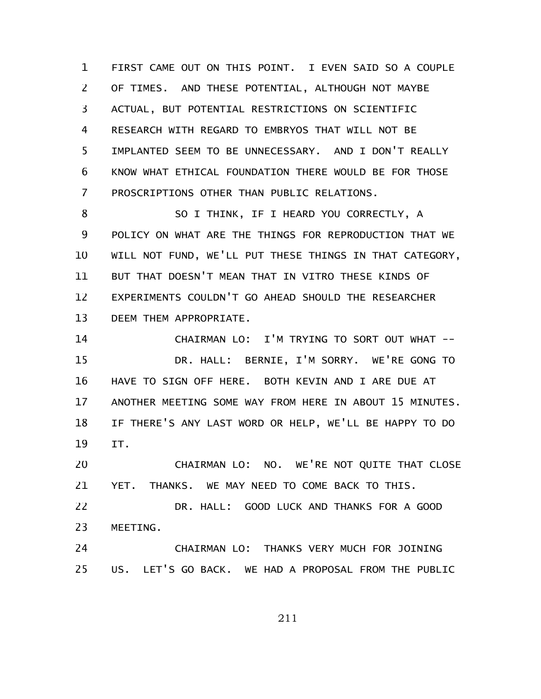FIRST CAME OUT ON THIS POINT. I EVEN SAID SO A COUPLE OF TIMES. AND THESE POTENTIAL, ALTHOUGH NOT MAYBE ACTUAL, BUT POTENTIAL RESTRICTIONS ON SCIENTIFIC RESEARCH WITH REGARD TO EMBRYOS THAT WILL NOT BE IMPLANTED SEEM TO BE UNNECESSARY. AND I DON'T REALLY KNOW WHAT ETHICAL FOUNDATION THERE WOULD BE FOR THOSE PROSCRIPTIONS OTHER THAN PUBLIC RELATIONS. 1 2 3 4 5 6 7

SO I THINK, IF I HEARD YOU CORRECTLY, A POLICY ON WHAT ARE THE THINGS FOR REPRODUCTION THAT WE WILL NOT FUND, WE'LL PUT THESE THINGS IN THAT CATEGORY, BUT THAT DOESN'T MEAN THAT IN VITRO THESE KINDS OF EXPERIMENTS COULDN'T GO AHEAD SHOULD THE RESEARCHER DEEM THEM APPROPRIATE. 8 9 10 11 12 13

CHAIRMAN LO: I'M TRYING TO SORT OUT WHAT -- DR. HALL: BERNIE, I'M SORRY. WE'RE GONG TO HAVE TO SIGN OFF HERE. BOTH KEVIN AND I ARE DUE AT ANOTHER MEETING SOME WAY FROM HERE IN ABOUT 15 MINUTES. IF THERE'S ANY LAST WORD OR HELP, WE'LL BE HAPPY TO DO IT. 14 15 16 17 18 19

CHAIRMAN LO: NO. WE'RE NOT QUITE THAT CLOSE YET. THANKS. WE MAY NEED TO COME BACK TO THIS. 20 21

DR. HALL: GOOD LUCK AND THANKS FOR A GOOD MEETING. 22 23

CHAIRMAN LO: THANKS VERY MUCH FOR JOINING US. LET'S GO BACK. WE HAD A PROPOSAL FROM THE PUBLIC 24 25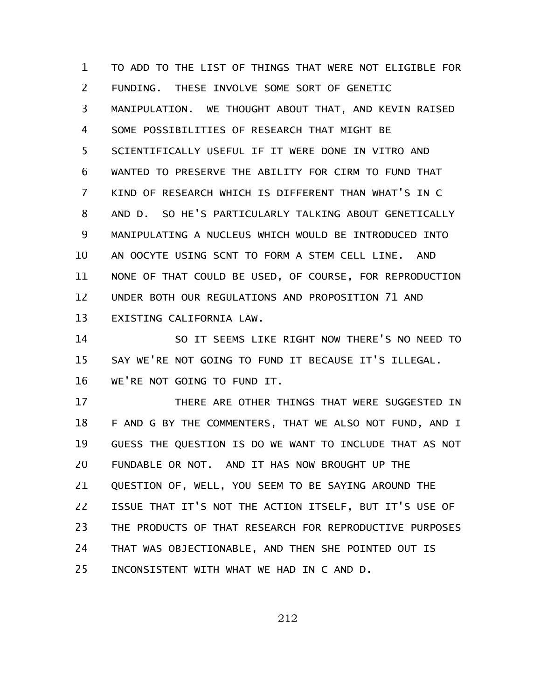TO ADD TO THE LIST OF THINGS THAT WERE NOT ELIGIBLE FOR FUNDING. THESE INVOLVE SOME SORT OF GENETIC MANIPULATION. WE THOUGHT ABOUT THAT, AND KEVIN RAISED SOME POSSIBILITIES OF RESEARCH THAT MIGHT BE SCIENTIFICALLY USEFUL IF IT WERE DONE IN VITRO AND WANTED TO PRESERVE THE ABILITY FOR CIRM TO FUND THAT KIND OF RESEARCH WHICH IS DIFFERENT THAN WHAT'S IN C AND D. SO HE'S PARTICULARLY TALKING ABOUT GENETICALLY MANIPULATING A NUCLEUS WHICH WOULD BE INTRODUCED INTO AN OOCYTE USING SCNT TO FORM A STEM CELL LINE. AND NONE OF THAT COULD BE USED, OF COURSE, FOR REPRODUCTION UNDER BOTH OUR REGULATIONS AND PROPOSITION 71 AND EXISTING CALIFORNIA LAW. 1 2 3 4 5 6 7 8 9 10 11 12 13

SO IT SEEMS LIKE RIGHT NOW THERE'S NO NEED TO SAY WE'RE NOT GOING TO FUND IT BECAUSE IT'S ILLEGAL. WE'RE NOT GOING TO FUND IT. 14 15 16

THERE ARE OTHER THINGS THAT WERE SUGGESTED IN F AND G BY THE COMMENTERS, THAT WE ALSO NOT FUND, AND I GUESS THE QUESTION IS DO WE WANT TO INCLUDE THAT AS NOT FUNDABLE OR NOT. AND IT HAS NOW BROUGHT UP THE QUESTION OF, WELL, YOU SEEM TO BE SAYING AROUND THE ISSUE THAT IT'S NOT THE ACTION ITSELF, BUT IT'S USE OF THE PRODUCTS OF THAT RESEARCH FOR REPRODUCTIVE PURPOSES THAT WAS OBJECTIONABLE, AND THEN SHE POINTED OUT IS INCONSISTENT WITH WHAT WE HAD IN C AND D. 17 18 19 20 21 22 23 24 25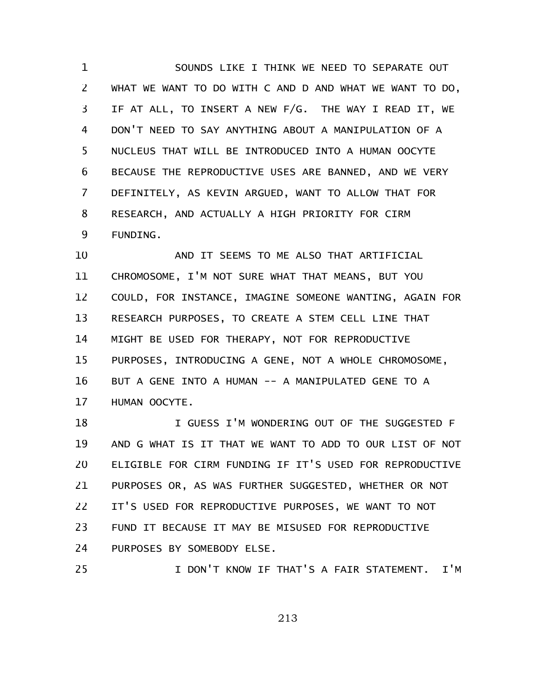SOUNDS LIKE I THINK WE NEED TO SEPARATE OUT WHAT WE WANT TO DO WITH C AND D AND WHAT WE WANT TO DO, IF AT ALL, TO INSERT A NEW F/G. THE WAY I READ IT, WE DON'T NEED TO SAY ANYTHING ABOUT A MANIPULATION OF A NUCLEUS THAT WILL BE INTRODUCED INTO A HUMAN OOCYTE BECAUSE THE REPRODUCTIVE USES ARE BANNED, AND WE VERY DEFINITELY, AS KEVIN ARGUED, WANT TO ALLOW THAT FOR RESEARCH, AND ACTUALLY A HIGH PRIORITY FOR CIRM FUNDING. 1 2 3 4 5 6 7 8 9

AND IT SEEMS TO ME ALSO THAT ARTIFICIAL CHROMOSOME, I'M NOT SURE WHAT THAT MEANS, BUT YOU COULD, FOR INSTANCE, IMAGINE SOMEONE WANTING, AGAIN FOR RESEARCH PURPOSES, TO CREATE A STEM CELL LINE THAT MIGHT BE USED FOR THERAPY, NOT FOR REPRODUCTIVE PURPOSES, INTRODUCING A GENE, NOT A WHOLE CHROMOSOME, BUT A GENE INTO A HUMAN -- A MANIPULATED GENE TO A HUMAN OOCYTE. 10 11 12 13 14 15 16 17

I GUESS I'M WONDERING OUT OF THE SUGGESTED F AND G WHAT IS IT THAT WE WANT TO ADD TO OUR LIST OF NOT ELIGIBLE FOR CIRM FUNDING IF IT'S USED FOR REPRODUCTIVE PURPOSES OR, AS WAS FURTHER SUGGESTED, WHETHER OR NOT IT'S USED FOR REPRODUCTIVE PURPOSES, WE WANT TO NOT FUND IT BECAUSE IT MAY BE MISUSED FOR REPRODUCTIVE PURPOSES BY SOMEBODY ELSE. I DON'T KNOW IF THAT'S A FAIR STATEMENT. I'M 18 19 20 21 22 23 24 25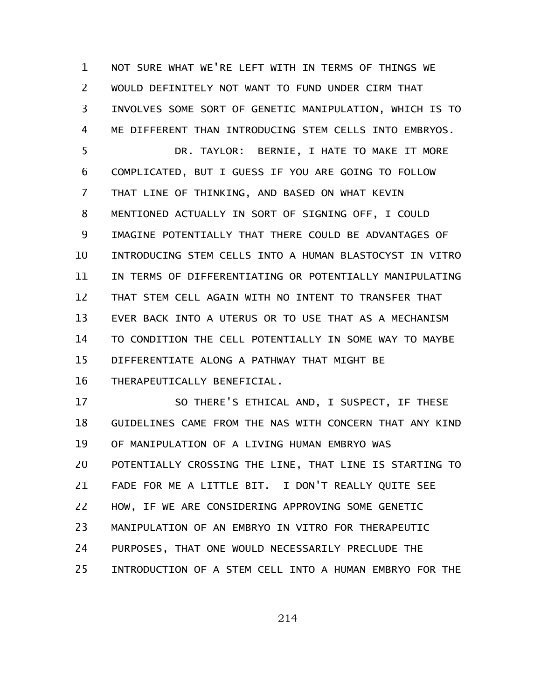NOT SURE WHAT WE'RE LEFT WITH IN TERMS OF THINGS WE WOULD DEFINITELY NOT WANT TO FUND UNDER CIRM THAT INVOLVES SOME SORT OF GENETIC MANIPULATION, WHICH IS TO ME DIFFERENT THAN INTRODUCING STEM CELLS INTO EMBRYOS. 1 2 3 4

DR. TAYLOR: BERNIE, I HATE TO MAKE IT MORE COMPLICATED, BUT I GUESS IF YOU ARE GOING TO FOLLOW THAT LINE OF THINKING, AND BASED ON WHAT KEVIN MENTIONED ACTUALLY IN SORT OF SIGNING OFF, I COULD IMAGINE POTENTIALLY THAT THERE COULD BE ADVANTAGES OF INTRODUCING STEM CELLS INTO A HUMAN BLASTOCYST IN VITRO IN TERMS OF DIFFERENTIATING OR POTENTIALLY MANIPULATING THAT STEM CELL AGAIN WITH NO INTENT TO TRANSFER THAT EVER BACK INTO A UTERUS OR TO USE THAT AS A MECHANISM TO CONDITION THE CELL POTENTIALLY IN SOME WAY TO MAYBE DIFFERENTIATE ALONG A PATHWAY THAT MIGHT BE THERAPEUTICALLY BENEFICIAL. 5 6 7 8 9 10 11 12 13 14 15 16

SO THERE'S ETHICAL AND, I SUSPECT, IF THESE GUIDELINES CAME FROM THE NAS WITH CONCERN THAT ANY KIND OF MANIPULATION OF A LIVING HUMAN EMBRYO WAS POTENTIALLY CROSSING THE LINE, THAT LINE IS STARTING TO FADE FOR ME A LITTLE BIT. I DON'T REALLY QUITE SEE HOW, IF WE ARE CONSIDERING APPROVING SOME GENETIC MANIPULATION OF AN EMBRYO IN VITRO FOR THERAPEUTIC PURPOSES, THAT ONE WOULD NECESSARILY PRECLUDE THE INTRODUCTION OF A STEM CELL INTO A HUMAN EMBRYO FOR THE 17 18 19 20 21 22 23 24 25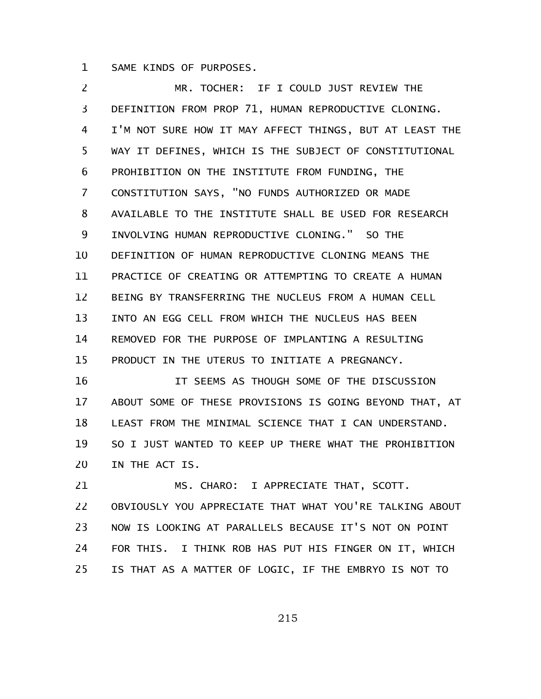SAME KINDS OF PURPOSES. 1

MR. TOCHER: IF I COULD JUST REVIEW THE DEFINITION FROM PROP 71, HUMAN REPRODUCTIVE CLONING. I'M NOT SURE HOW IT MAY AFFECT THINGS, BUT AT LEAST THE WAY IT DEFINES, WHICH IS THE SUBJECT OF CONSTITUTIONAL PROHIBITION ON THE INSTITUTE FROM FUNDING, THE CONSTITUTION SAYS, "NO FUNDS AUTHORIZED OR MADE AVAILABLE TO THE INSTITUTE SHALL BE USED FOR RESEARCH INVOLVING HUMAN REPRODUCTIVE CLONING." SO THE DEFINITION OF HUMAN REPRODUCTIVE CLONING MEANS THE PRACTICE OF CREATING OR ATTEMPTING TO CREATE A HUMAN BEING BY TRANSFERRING THE NUCLEUS FROM A HUMAN CELL INTO AN EGG CELL FROM WHICH THE NUCLEUS HAS BEEN REMOVED FOR THE PURPOSE OF IMPLANTING A RESULTING PRODUCT IN THE UTERUS TO INITIATE A PREGNANCY. 2 3 4 5 6 7 8 9 10 11 12 13 14 15

IT SEEMS AS THOUGH SOME OF THE DISCUSSION ABOUT SOME OF THESE PROVISIONS IS GOING BEYOND THAT, AT LEAST FROM THE MINIMAL SCIENCE THAT I CAN UNDERSTAND. SO I JUST WANTED TO KEEP UP THERE WHAT THE PROHIBITION IN THE ACT IS. 16 17 18 19 20

MS. CHARO: I APPRECIATE THAT, SCOTT. OBVIOUSLY YOU APPRECIATE THAT WHAT YOU'RE TALKING ABOUT NOW IS LOOKING AT PARALLELS BECAUSE IT'S NOT ON POINT FOR THIS. I THINK ROB HAS PUT HIS FINGER ON IT, WHICH IS THAT AS A MATTER OF LOGIC, IF THE EMBRYO IS NOT TO 21 22 23 24 25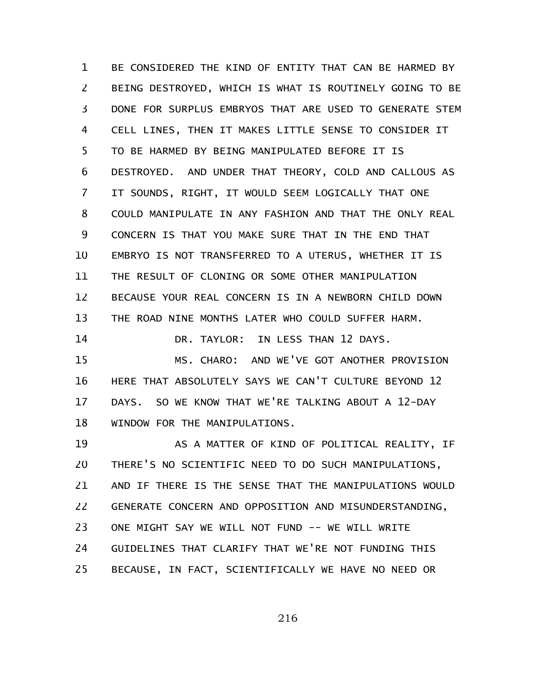BE CONSIDERED THE KIND OF ENTITY THAT CAN BE HARMED BY BEING DESTROYED, WHICH IS WHAT IS ROUTINELY GOING TO BE DONE FOR SURPLUS EMBRYOS THAT ARE USED TO GENERATE STEM CELL LINES, THEN IT MAKES LITTLE SENSE TO CONSIDER IT TO BE HARMED BY BEING MANIPULATED BEFORE IT IS DESTROYED. AND UNDER THAT THEORY, COLD AND CALLOUS AS IT SOUNDS, RIGHT, IT WOULD SEEM LOGICALLY THAT ONE COULD MANIPULATE IN ANY FASHION AND THAT THE ONLY REAL CONCERN IS THAT YOU MAKE SURE THAT IN THE END THAT EMBRYO IS NOT TRANSFERRED TO A UTERUS, WHETHER IT IS THE RESULT OF CLONING OR SOME OTHER MANIPULATION BECAUSE YOUR REAL CONCERN IS IN A NEWBORN CHILD DOWN THE ROAD NINE MONTHS LATER WHO COULD SUFFER HARM. DR. TAYLOR: IN LESS THAN 12 DAYS. MS. CHARO: AND WE'VE GOT ANOTHER PROVISION HERE THAT ABSOLUTELY SAYS WE CAN'T CULTURE BEYOND 12 DAYS. SO WE KNOW THAT WE'RE TALKING ABOUT A 12-DAY WINDOW FOR THE MANIPULATIONS. AS A MATTER OF KIND OF POLITICAL REALITY, IF THERE'S NO SCIENTIFIC NEED TO DO SUCH MANIPULATIONS, AND IF THERE IS THE SENSE THAT THE MANIPULATIONS WOULD GENERATE CONCERN AND OPPOSITION AND MISUNDERSTANDING, ONE MIGHT SAY WE WILL NOT FUND -- WE WILL WRITE GUIDELINES THAT CLARIFY THAT WE'RE NOT FUNDING THIS 1 2 3 4 5 6 7 8 9 10 11 12 13 14 15 16 17 18 19 20 21 22 23 24

BECAUSE, IN FACT, SCIENTIFICALLY WE HAVE NO NEED OR 25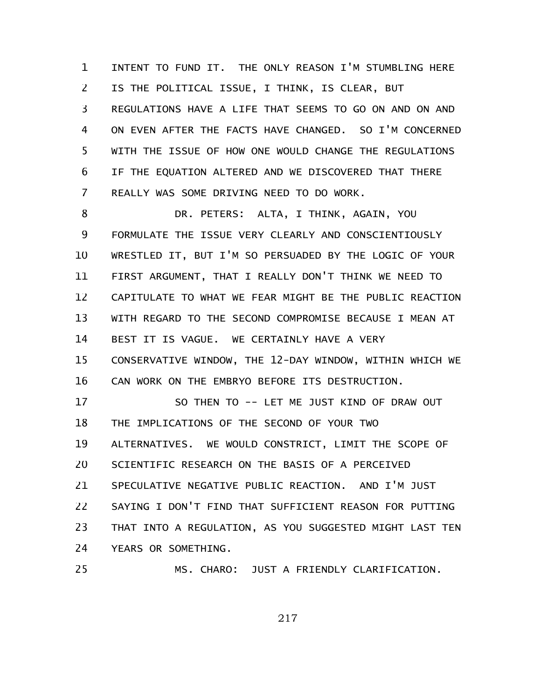INTENT TO FUND IT. THE ONLY REASON I'M STUMBLING HERE IS THE POLITICAL ISSUE, I THINK, IS CLEAR, BUT REGULATIONS HAVE A LIFE THAT SEEMS TO GO ON AND ON AND ON EVEN AFTER THE FACTS HAVE CHANGED. SO I'M CONCERNED WITH THE ISSUE OF HOW ONE WOULD CHANGE THE REGULATIONS IF THE EQUATION ALTERED AND WE DISCOVERED THAT THERE REALLY WAS SOME DRIVING NEED TO DO WORK. 1 2 3 4 5 6 7

DR. PETERS: ALTA, I THINK, AGAIN, YOU FORMULATE THE ISSUE VERY CLEARLY AND CONSCIENTIOUSLY WRESTLED IT, BUT I'M SO PERSUADED BY THE LOGIC OF YOUR FIRST ARGUMENT, THAT I REALLY DON'T THINK WE NEED TO CAPITULATE TO WHAT WE FEAR MIGHT BE THE PUBLIC REACTION WITH REGARD TO THE SECOND COMPROMISE BECAUSE I MEAN AT BEST IT IS VAGUE. WE CERTAINLY HAVE A VERY CONSERVATIVE WINDOW, THE 12-DAY WINDOW, WITHIN WHICH WE CAN WORK ON THE EMBRYO BEFORE ITS DESTRUCTION. 8 9 10 11 12 13 14 15 16

SO THEN TO -- LET ME JUST KIND OF DRAW OUT THE IMPLICATIONS OF THE SECOND OF YOUR TWO ALTERNATIVES. WE WOULD CONSTRICT, LIMIT THE SCOPE OF SCIENTIFIC RESEARCH ON THE BASIS OF A PERCEIVED SPECULATIVE NEGATIVE PUBLIC REACTION. AND I'M JUST SAYING I DON'T FIND THAT SUFFICIENT REASON FOR PUTTING THAT INTO A REGULATION, AS YOU SUGGESTED MIGHT LAST TEN YEARS OR SOMETHING. 17 18 19 20 21 22 23 24

MS. CHARO: JUST A FRIENDLY CLARIFICATION.

25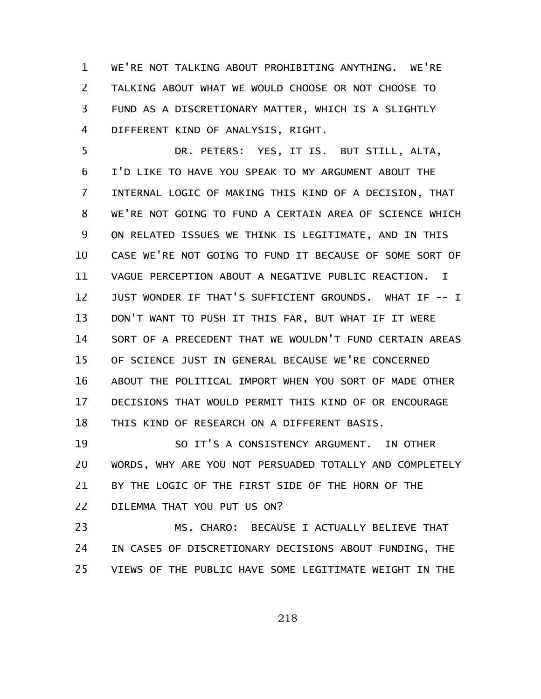WE'RE NOT TALKING ABOUT PROHIBITING ANYTHING. WE'RE TALKING ABOUT WHAT WE WOULD CHOOSE OR NOT CHOOSE TO FUND AS A DISCRETIONARY MATTER, WHICH IS A SLIGHTLY DIFFERENT KIND OF ANALYSIS, RIGHT. 1 2 3 4

DR. PETERS: YES, IT IS. BUT STILL, ALTA, I'D LIKE TO HAVE YOU SPEAK TO MY ARGUMENT ABOUT THE INTERNAL LOGIC OF MAKING THIS KIND OF A DECISION, THAT WE'RE NOT GOING TO FUND A CERTAIN AREA OF SCIENCE WHICH ON RELATED ISSUES WE THINK IS LEGITIMATE, AND IN THIS CASE WE'RE NOT GOING TO FUND IT BECAUSE OF SOME SORT OF VAGUE PERCEPTION ABOUT A NEGATIVE PUBLIC REACTION. I JUST WONDER IF THAT'S SUFFICIENT GROUNDS. WHAT IF -- I DON'T WANT TO PUSH IT THIS FAR, BUT WHAT IF IT WERE SORT OF A PRECEDENT THAT WE WOULDN'T FUND CERTAIN AREAS OF SCIENCE JUST IN GENERAL BECAUSE WE'RE CONCERNED ABOUT THE POLITICAL IMPORT WHEN YOU SORT OF MADE OTHER DECISIONS THAT WOULD PERMIT THIS KIND OF OR ENCOURAGE THIS KIND OF RESEARCH ON A DIFFERENT BASIS. 5 6 7 8 9 10 11 12 13 14 15 16 17 18

SO IT'S A CONSISTENCY ARGUMENT. IN OTHER WORDS, WHY ARE YOU NOT PERSUADED TOTALLY AND COMPLETELY BY THE LOGIC OF THE FIRST SIDE OF THE HORN OF THE DILEMMA THAT YOU PUT US ON? 19 20 21 22

MS. CHARO: BECAUSE I ACTUALLY BELIEVE THAT IN CASES OF DISCRETIONARY DECISIONS ABOUT FUNDING, THE VIEWS OF THE PUBLIC HAVE SOME LEGITIMATE WEIGHT IN THE 23 24 25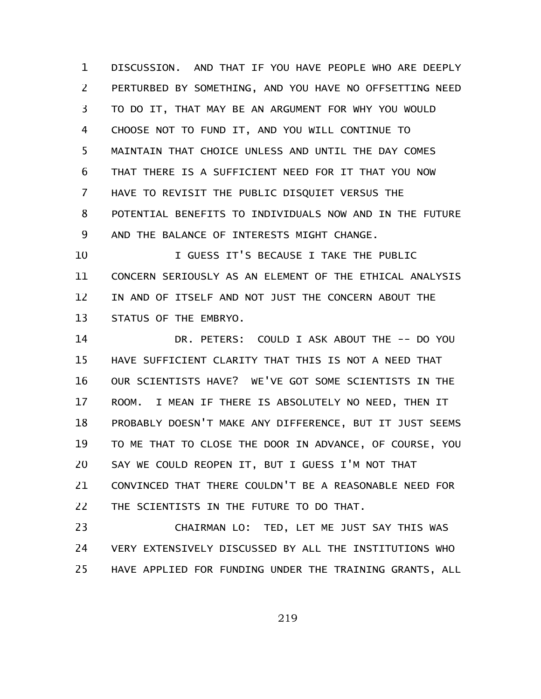DISCUSSION. AND THAT IF YOU HAVE PEOPLE WHO ARE DEEPLY PERTURBED BY SOMETHING, AND YOU HAVE NO OFFSETTING NEED TO DO IT, THAT MAY BE AN ARGUMENT FOR WHY YOU WOULD CHOOSE NOT TO FUND IT, AND YOU WILL CONTINUE TO MAINTAIN THAT CHOICE UNLESS AND UNTIL THE DAY COMES THAT THERE IS A SUFFICIENT NEED FOR IT THAT YOU NOW HAVE TO REVISIT THE PUBLIC DISQUIET VERSUS THE POTENTIAL BENEFITS TO INDIVIDUALS NOW AND IN THE FUTURE AND THE BALANCE OF INTERESTS MIGHT CHANGE. 1 2 3 4 5 6 7 8 9

I GUESS IT'S BECAUSE I TAKE THE PUBLIC CONCERN SERIOUSLY AS AN ELEMENT OF THE ETHICAL ANALYSIS IN AND OF ITSELF AND NOT JUST THE CONCERN ABOUT THE STATUS OF THE EMBRYO. 10 11 12 13

DR. PETERS: COULD I ASK ABOUT THE -- DO YOU HAVE SUFFICIENT CLARITY THAT THIS IS NOT A NEED THAT OUR SCIENTISTS HAVE? WE'VE GOT SOME SCIENTISTS IN THE ROOM. I MEAN IF THERE IS ABSOLUTELY NO NEED, THEN IT PROBABLY DOESN'T MAKE ANY DIFFERENCE, BUT IT JUST SEEMS TO ME THAT TO CLOSE THE DOOR IN ADVANCE, OF COURSE, YOU SAY WE COULD REOPEN IT, BUT I GUESS I'M NOT THAT CONVINCED THAT THERE COULDN'T BE A REASONABLE NEED FOR THE SCIENTISTS IN THE FUTURE TO DO THAT. 14 15 16 17 18 19 20 21 22

CHAIRMAN LO: TED, LET ME JUST SAY THIS WAS VERY EXTENSIVELY DISCUSSED BY ALL THE INSTITUTIONS WHO HAVE APPLIED FOR FUNDING UNDER THE TRAINING GRANTS, ALL 23 24 25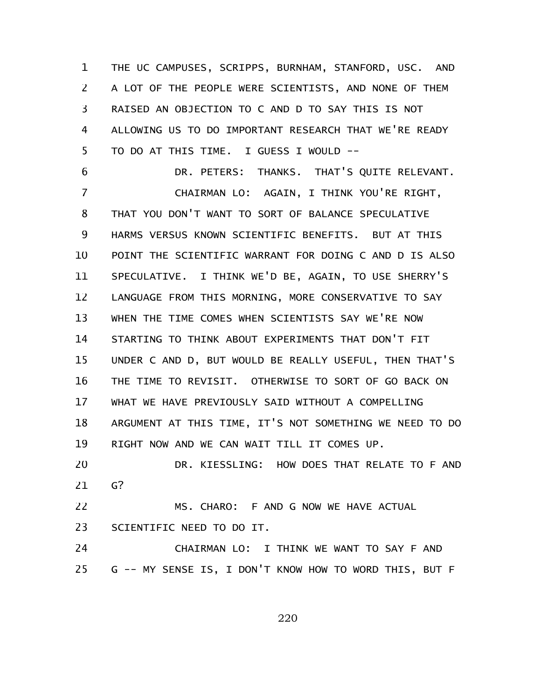THE UC CAMPUSES, SCRIPPS, BURNHAM, STANFORD, USC. AND A LOT OF THE PEOPLE WERE SCIENTISTS, AND NONE OF THEM RAISED AN OBJECTION TO C AND D TO SAY THIS IS NOT ALLOWING US TO DO IMPORTANT RESEARCH THAT WE'RE READY TO DO AT THIS TIME. I GUESS I WOULD -- 1 2 3 4 5

DR. PETERS: THANKS. THAT'S QUITE RELEVANT. CHAIRMAN LO: AGAIN, I THINK YOU'RE RIGHT, THAT YOU DON'T WANT TO SORT OF BALANCE SPECULATIVE HARMS VERSUS KNOWN SCIENTIFIC BENEFITS. BUT AT THIS POINT THE SCIENTIFIC WARRANT FOR DOING C AND D IS ALSO SPECULATIVE. I THINK WE'D BE, AGAIN, TO USE SHERRY'S LANGUAGE FROM THIS MORNING, MORE CONSERVATIVE TO SAY WHEN THE TIME COMES WHEN SCIENTISTS SAY WE'RE NOW STARTING TO THINK ABOUT EXPERIMENTS THAT DON'T FIT UNDER C AND D, BUT WOULD BE REALLY USEFUL, THEN THAT'S THE TIME TO REVISIT. OTHERWISE TO SORT OF GO BACK ON WHAT WE HAVE PREVIOUSLY SAID WITHOUT A COMPELLING ARGUMENT AT THIS TIME, IT'S NOT SOMETHING WE NEED TO DO RIGHT NOW AND WE CAN WAIT TILL IT COMES UP. DR. KIESSLING: HOW DOES THAT RELATE TO F AND 6 7 8 9 10 11 12 13 14 15 16 17 18 19 20

G? 21

MS. CHARO: F AND G NOW WE HAVE ACTUAL SCIENTIFIC NEED TO DO IT. 22 23

CHAIRMAN LO: I THINK WE WANT TO SAY F AND G -- MY SENSE IS, I DON'T KNOW HOW TO WORD THIS, BUT F 24 25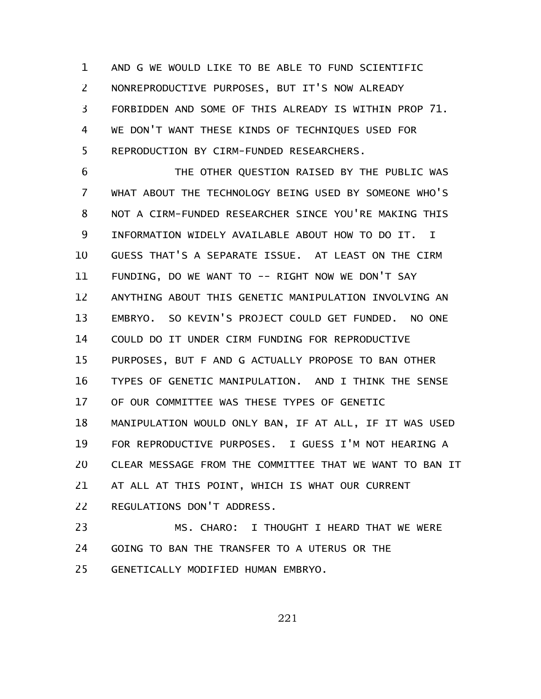AND G WE WOULD LIKE TO BE ABLE TO FUND SCIENTIFIC NONREPRODUCTIVE PURPOSES, BUT IT'S NOW ALREADY FORBIDDEN AND SOME OF THIS ALREADY IS WITHIN PROP 71. WE DON'T WANT THESE KINDS OF TECHNIQUES USED FOR REPRODUCTION BY CIRM-FUNDED RESEARCHERS. 1 2 3 4 5

THE OTHER QUESTION RAISED BY THE PUBLIC WAS WHAT ABOUT THE TECHNOLOGY BEING USED BY SOMEONE WHO'S NOT A CIRM-FUNDED RESEARCHER SINCE YOU'RE MAKING THIS INFORMATION WIDELY AVAILABLE ABOUT HOW TO DO IT. I GUESS THAT'S A SEPARATE ISSUE. AT LEAST ON THE CIRM FUNDING, DO WE WANT TO -- RIGHT NOW WE DON'T SAY ANYTHING ABOUT THIS GENETIC MANIPULATION INVOLVING AN EMBRYO. SO KEVIN'S PROJECT COULD GET FUNDED. NO ONE COULD DO IT UNDER CIRM FUNDING FOR REPRODUCTIVE PURPOSES, BUT F AND G ACTUALLY PROPOSE TO BAN OTHER TYPES OF GENETIC MANIPULATION. AND I THINK THE SENSE OF OUR COMMITTEE WAS THESE TYPES OF GENETIC MANIPULATION WOULD ONLY BAN, IF AT ALL, IF IT WAS USED FOR REPRODUCTIVE PURPOSES. I GUESS I'M NOT HEARING A CLEAR MESSAGE FROM THE COMMITTEE THAT WE WANT TO BAN IT AT ALL AT THIS POINT, WHICH IS WHAT OUR CURRENT REGULATIONS DON'T ADDRESS. 6 7 8 9 10 11 12 13 14 15 16 17 18 19 20 21 22

MS. CHARO: I THOUGHT I HEARD THAT WE WERE GOING TO BAN THE TRANSFER TO A UTERUS OR THE GENETICALLY MODIFIED HUMAN EMBRYO. 23 24 25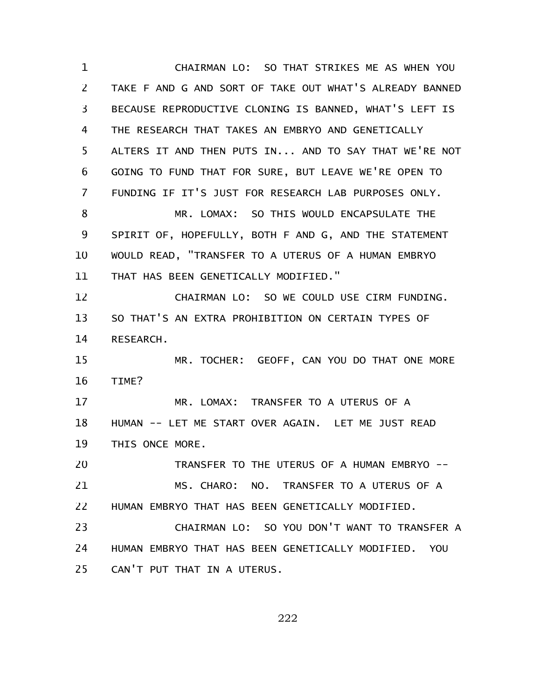CHAIRMAN LO: SO THAT STRIKES ME AS WHEN YOU TAKE F AND G AND SORT OF TAKE OUT WHAT'S ALREADY BANNED BECAUSE REPRODUCTIVE CLONING IS BANNED, WHAT'S LEFT IS THE RESEARCH THAT TAKES AN EMBRYO AND GENETICALLY ALTERS IT AND THEN PUTS IN... AND TO SAY THAT WE'RE NOT GOING TO FUND THAT FOR SURE, BUT LEAVE WE'RE OPEN TO FUNDING IF IT'S JUST FOR RESEARCH LAB PURPOSES ONLY. MR. LOMAX: SO THIS WOULD ENCAPSULATE THE SPIRIT OF, HOPEFULLY, BOTH F AND G, AND THE STATEMENT WOULD READ, "TRANSFER TO A UTERUS OF A HUMAN EMBRYO THAT HAS BEEN GENETICALLY MODIFIED." CHAIRMAN LO: SO WE COULD USE CIRM FUNDING. SO THAT'S AN EXTRA PROHIBITION ON CERTAIN TYPES OF RESEARCH. MR. TOCHER: GEOFF, CAN YOU DO THAT ONE MORE TIME? MR. LOMAX: TRANSFER TO A UTERUS OF A HUMAN -- LET ME START OVER AGAIN. LET ME JUST READ THIS ONCE MORE. TRANSFER TO THE UTERUS OF A HUMAN EMBRYO -- MS. CHARO: NO. TRANSFER TO A UTERUS OF A HUMAN EMBRYO THAT HAS BEEN GENETICALLY MODIFIED. CHAIRMAN LO: SO YOU DON'T WANT TO TRANSFER A HUMAN EMBRYO THAT HAS BEEN GENETICALLY MODIFIED. YOU CAN'T PUT THAT IN A UTERUS. 1 2 3 4 5 6 7 8 9 10 11 12 13 14 15 16 17 18 19 20 21 22 23 24 25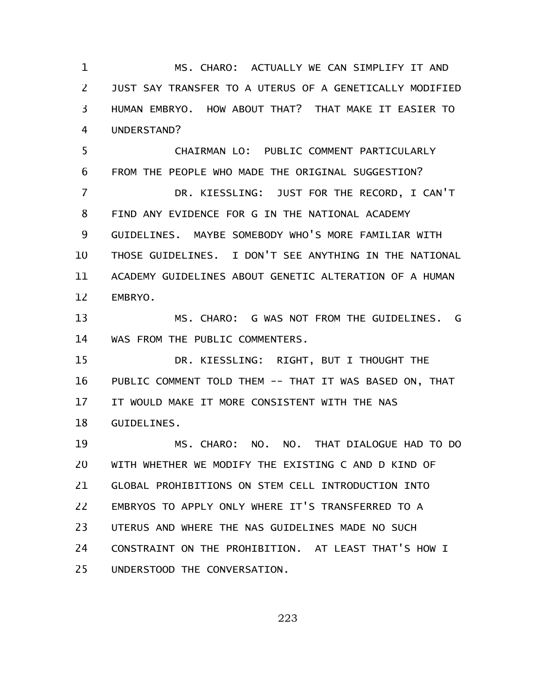MS. CHARO: ACTUALLY WE CAN SIMPLIFY IT AND JUST SAY TRANSFER TO A UTERUS OF A GENETICALLY MODIFIED HUMAN EMBRYO. HOW ABOUT THAT? THAT MAKE IT EASIER TO UNDERSTAND? 1 2 3 4

CHAIRMAN LO: PUBLIC COMMENT PARTICULARLY FROM THE PEOPLE WHO MADE THE ORIGINAL SUGGESTION? 5 6

DR. KIESSLING: JUST FOR THE RECORD, I CAN'T FIND ANY EVIDENCE FOR G IN THE NATIONAL ACADEMY GUIDELINES. MAYBE SOMEBODY WHO'S MORE FAMILIAR WITH THOSE GUIDELINES. I DON'T SEE ANYTHING IN THE NATIONAL ACADEMY GUIDELINES ABOUT GENETIC ALTERATION OF A HUMAN EMBRYO. 7 8 9 10 11 12

MS. CHARO: G WAS NOT FROM THE GUIDELINES. G WAS FROM THE PUBLIC COMMENTERS. 13 14

DR. KIESSLING: RIGHT, BUT I THOUGHT THE PUBLIC COMMENT TOLD THEM -- THAT IT WAS BASED ON, THAT IT WOULD MAKE IT MORE CONSISTENT WITH THE NAS GUIDELINES. 15 16 17 18

MS. CHARO: NO. NO. THAT DIALOGUE HAD TO DO WITH WHETHER WE MODIFY THE EXISTING C AND D KIND OF GLOBAL PROHIBITIONS ON STEM CELL INTRODUCTION INTO EMBRYOS TO APPLY ONLY WHERE IT'S TRANSFERRED TO A UTERUS AND WHERE THE NAS GUIDELINES MADE NO SUCH CONSTRAINT ON THE PROHIBITION. AT LEAST THAT'S HOW I UNDERSTOOD THE CONVERSATION. 19 20 21 22 23 24 25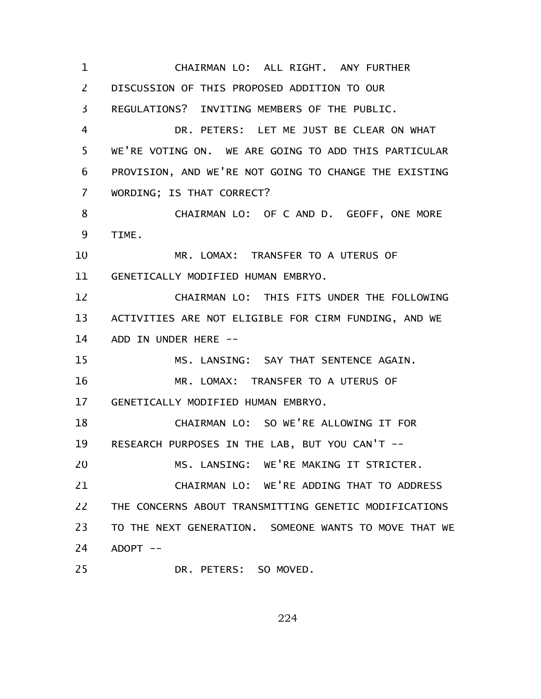CHAIRMAN LO: ALL RIGHT. ANY FURTHER DISCUSSION OF THIS PROPOSED ADDITION TO OUR REGULATIONS? INVITING MEMBERS OF THE PUBLIC. DR. PETERS: LET ME JUST BE CLEAR ON WHAT WE'RE VOTING ON. WE ARE GOING TO ADD THIS PARTICULAR PROVISION, AND WE'RE NOT GOING TO CHANGE THE EXISTING WORDING; IS THAT CORRECT? CHAIRMAN LO: OF C AND D. GEOFF, ONE MORE TIME. MR. LOMAX: TRANSFER TO A UTERUS OF GENETICALLY MODIFIED HUMAN EMBRYO. CHAIRMAN LO: THIS FITS UNDER THE FOLLOWING ACTIVITIES ARE NOT ELIGIBLE FOR CIRM FUNDING, AND WE ADD IN UNDER HERE -- MS. LANSING: SAY THAT SENTENCE AGAIN. MR. LOMAX: TRANSFER TO A UTERUS OF GENETICALLY MODIFIED HUMAN EMBRYO. CHAIRMAN LO: SO WE'RE ALLOWING IT FOR RESEARCH PURPOSES IN THE LAB, BUT YOU CAN'T -- MS. LANSING: WE'RE MAKING IT STRICTER. CHAIRMAN LO: WE'RE ADDING THAT TO ADDRESS THE CONCERNS ABOUT TRANSMITTING GENETIC MODIFICATIONS TO THE NEXT GENERATION. SOMEONE WANTS TO MOVE THAT WE  $ADOPT$  --DR. PETERS: SO MOVED. 1 2 3 4 5 6 7 8 9 10 11 12 13 14 15 16 17 18 19 20 21 22 23 24 25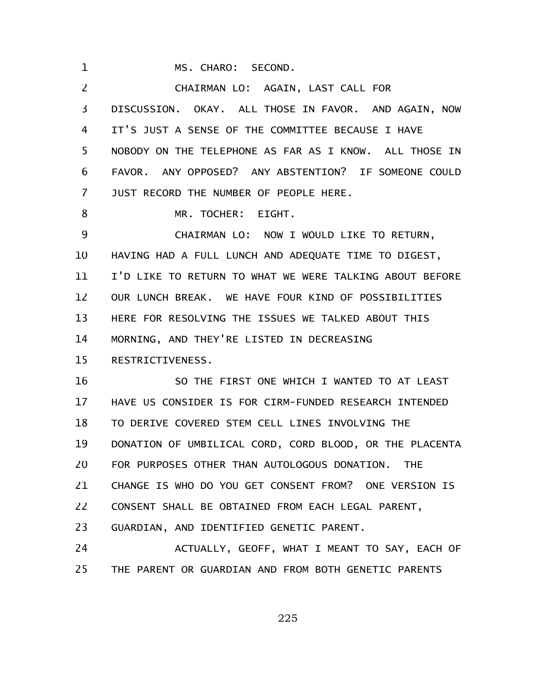MS. CHARO: SECOND. 1

CHAIRMAN LO: AGAIN, LAST CALL FOR DISCUSSION. OKAY. ALL THOSE IN FAVOR. AND AGAIN, NOW IT'S JUST A SENSE OF THE COMMITTEE BECAUSE I HAVE NOBODY ON THE TELEPHONE AS FAR AS I KNOW. ALL THOSE IN FAVOR. ANY OPPOSED? ANY ABSTENTION? IF SOMEONE COULD JUST RECORD THE NUMBER OF PEOPLE HERE. MR. TOCHER: EIGHT. 2 3 4 5 6 7 8

CHAIRMAN LO: NOW I WOULD LIKE TO RETURN, HAVING HAD A FULL LUNCH AND ADEQUATE TIME TO DIGEST, I'D LIKE TO RETURN TO WHAT WE WERE TALKING ABOUT BEFORE OUR LUNCH BREAK. WE HAVE FOUR KIND OF POSSIBILITIES HERE FOR RESOLVING THE ISSUES WE TALKED ABOUT THIS MORNING, AND THEY'RE LISTED IN DECREASING RESTRICTIVENESS. 9 10 11 12 13 14 15

SO THE FIRST ONE WHICH I WANTED TO AT LEAST HAVE US CONSIDER IS FOR CIRM-FUNDED RESEARCH INTENDED TO DERIVE COVERED STEM CELL LINES INVOLVING THE DONATION OF UMBILICAL CORD, CORD BLOOD, OR THE PLACENTA FOR PURPOSES OTHER THAN AUTOLOGOUS DONATION. THE CHANGE IS WHO DO YOU GET CONSENT FROM? ONE VERSION IS CONSENT SHALL BE OBTAINED FROM EACH LEGAL PARENT, GUARDIAN, AND IDENTIFIED GENETIC PARENT. 16 17 18 19 20 21 22 23

ACTUALLY, GEOFF, WHAT I MEANT TO SAY, EACH OF THE PARENT OR GUARDIAN AND FROM BOTH GENETIC PARENTS 24 25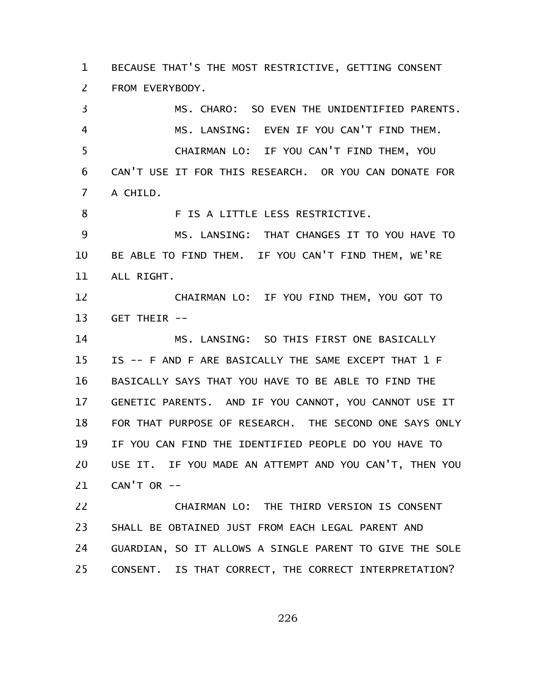BECAUSE THAT'S THE MOST RESTRICTIVE, GETTING CONSENT FROM EVERYBODY. 1 2

MS. CHARO: SO EVEN THE UNIDENTIFIED PARENTS. MS. LANSING: EVEN IF YOU CAN'T FIND THEM. CHAIRMAN LO: IF YOU CAN'T FIND THEM, YOU CAN'T USE IT FOR THIS RESEARCH. OR YOU CAN DONATE FOR A CHILD. F IS A LITTLE LESS RESTRICTIVE. MS. LANSING: THAT CHANGES IT TO YOU HAVE TO BE ABLE TO FIND THEM. IF YOU CAN'T FIND THEM, WE'RE ALL RIGHT. CHAIRMAN LO: IF YOU FIND THEM, YOU GOT TO GET THEIR -- MS. LANSING: SO THIS FIRST ONE BASICALLY IS -- F AND F ARE BASICALLY THE SAME EXCEPT THAT 1 F BASICALLY SAYS THAT YOU HAVE TO BE ABLE TO FIND THE GENETIC PARENTS. AND IF YOU CANNOT, YOU CANNOT USE IT FOR THAT PURPOSE OF RESEARCH. THE SECOND ONE SAYS ONLY IF YOU CAN FIND THE IDENTIFIED PEOPLE DO YOU HAVE TO USE IT. IF YOU MADE AN ATTEMPT AND YOU CAN'T, THEN YOU  $CAN'T OR --$ 3 4 5 6 7 8 9 10 11 12 13 14 15 16 17 18 19 20 21

CHAIRMAN LO: THE THIRD VERSION IS CONSENT SHALL BE OBTAINED JUST FROM EACH LEGAL PARENT AND GUARDIAN, SO IT ALLOWS A SINGLE PARENT TO GIVE THE SOLE CONSENT. IS THAT CORRECT, THE CORRECT INTERPRETATION? 22 23 24 25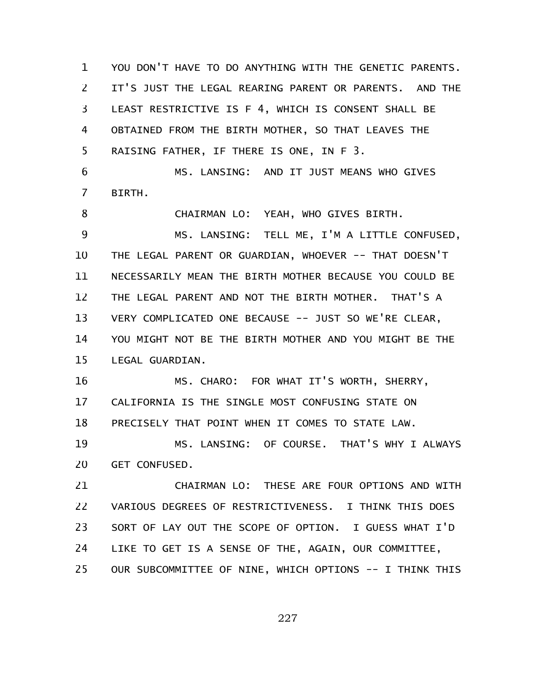YOU DON'T HAVE TO DO ANYTHING WITH THE GENETIC PARENTS. IT'S JUST THE LEGAL REARING PARENT OR PARENTS. AND THE LEAST RESTRICTIVE IS F 4, WHICH IS CONSENT SHALL BE OBTAINED FROM THE BIRTH MOTHER, SO THAT LEAVES THE RAISING FATHER, IF THERE IS ONE, IN F 3. MS. LANSING: AND IT JUST MEANS WHO GIVES BIRTH. CHAIRMAN LO: YEAH, WHO GIVES BIRTH. MS. LANSING: TELL ME, I'M A LITTLE CONFUSED, THE LEGAL PARENT OR GUARDIAN, WHOEVER -- THAT DOESN'T NECESSARILY MEAN THE BIRTH MOTHER BECAUSE YOU COULD BE THE LEGAL PARENT AND NOT THE BIRTH MOTHER. THAT'S A VERY COMPLICATED ONE BECAUSE -- JUST SO WE'RE CLEAR, YOU MIGHT NOT BE THE BIRTH MOTHER AND YOU MIGHT BE THE LEGAL GUARDIAN. MS. CHARO: FOR WHAT IT'S WORTH, SHERRY, CALIFORNIA IS THE SINGLE MOST CONFUSING STATE ON PRECISELY THAT POINT WHEN IT COMES TO STATE LAW. MS. LANSING: OF COURSE. THAT'S WHY I ALWAYS GET CONFUSED. CHAIRMAN LO: THESE ARE FOUR OPTIONS AND WITH 1 2 3 4 5 6 7 8 9 10 11 12 13 14 15 16 17 18 19 20 21

VARIOUS DEGREES OF RESTRICTIVENESS. I THINK THIS DOES SORT OF LAY OUT THE SCOPE OF OPTION. I GUESS WHAT I'D LIKE TO GET IS A SENSE OF THE, AGAIN, OUR COMMITTEE, OUR SUBCOMMITTEE OF NINE, WHICH OPTIONS -- I THINK THIS 22 23 24 25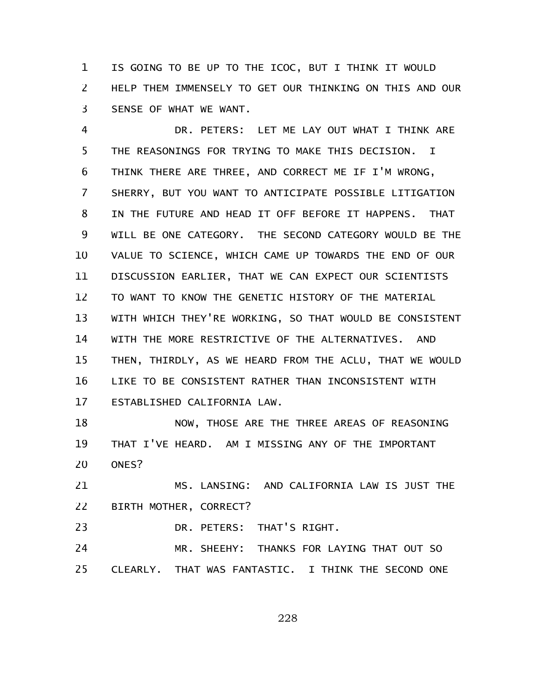IS GOING TO BE UP TO THE ICOC, BUT I THINK IT WOULD HELP THEM IMMENSELY TO GET OUR THINKING ON THIS AND OUR SENSE OF WHAT WE WANT. 1 2 3

DR. PETERS: LET ME LAY OUT WHAT I THINK ARE THE REASONINGS FOR TRYING TO MAKE THIS DECISION. I THINK THERE ARE THREE, AND CORRECT ME IF I'M WRONG, SHERRY, BUT YOU WANT TO ANTICIPATE POSSIBLE LITIGATION IN THE FUTURE AND HEAD IT OFF BEFORE IT HAPPENS. THAT WILL BE ONE CATEGORY. THE SECOND CATEGORY WOULD BE THE VALUE TO SCIENCE, WHICH CAME UP TOWARDS THE END OF OUR DISCUSSION EARLIER, THAT WE CAN EXPECT OUR SCIENTISTS TO WANT TO KNOW THE GENETIC HISTORY OF THE MATERIAL WITH WHICH THEY'RE WORKING, SO THAT WOULD BE CONSISTENT WITH THE MORE RESTRICTIVE OF THE ALTERNATIVES. AND THEN, THIRDLY, AS WE HEARD FROM THE ACLU, THAT WE WOULD LIKE TO BE CONSISTENT RATHER THAN INCONSISTENT WITH ESTABLISHED CALIFORNIA LAW. 4 5 6 7 8 9 10 11 12 13 14 15 16 17

NOW, THOSE ARE THE THREE AREAS OF REASONING THAT I'VE HEARD. AM I MISSING ANY OF THE IMPORTANT ONES? 18 19 20

MS. LANSING: AND CALIFORNIA LAW IS JUST THE BIRTH MOTHER, CORRECT? 21 22

DR. PETERS: THAT'S RIGHT. 23

MR. SHEEHY: THANKS FOR LAYING THAT OUT SO CLEARLY. THAT WAS FANTASTIC. I THINK THE SECOND ONE 24 25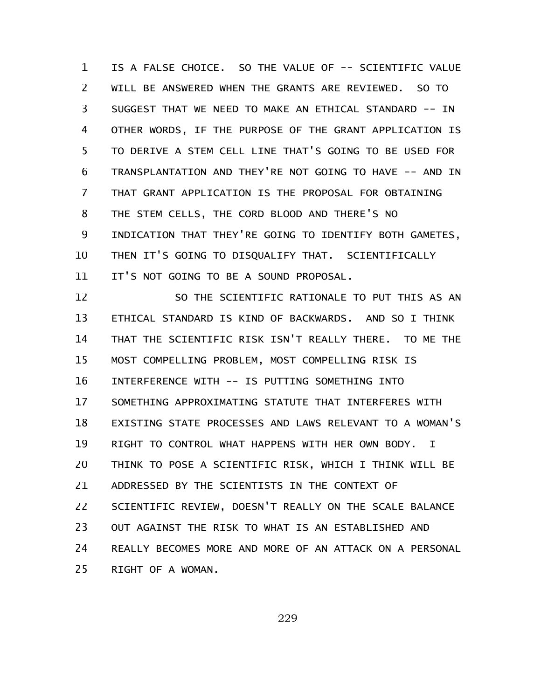IS A FALSE CHOICE. SO THE VALUE OF -- SCIENTIFIC VALUE WILL BE ANSWERED WHEN THE GRANTS ARE REVIEWED. SO TO SUGGEST THAT WE NEED TO MAKE AN ETHICAL STANDARD -- IN OTHER WORDS, IF THE PURPOSE OF THE GRANT APPLICATION IS TO DERIVE A STEM CELL LINE THAT'S GOING TO BE USED FOR TRANSPLANTATION AND THEY'RE NOT GOING TO HAVE -- AND IN THAT GRANT APPLICATION IS THE PROPOSAL FOR OBTAINING THE STEM CELLS, THE CORD BLOOD AND THERE'S NO INDICATION THAT THEY'RE GOING TO IDENTIFY BOTH GAMETES, THEN IT'S GOING TO DISQUALIFY THAT. SCIENTIFICALLY IT'S NOT GOING TO BE A SOUND PROPOSAL. 1 2 3 4 5 6 7 8 9 10 11

SO THE SCIENTIFIC RATIONALE TO PUT THIS AS AN ETHICAL STANDARD IS KIND OF BACKWARDS. AND SO I THINK THAT THE SCIENTIFIC RISK ISN'T REALLY THERE. TO ME THE MOST COMPELLING PROBLEM, MOST COMPELLING RISK IS INTERFERENCE WITH -- IS PUTTING SOMETHING INTO SOMETHING APPROXIMATING STATUTE THAT INTERFERES WITH EXISTING STATE PROCESSES AND LAWS RELEVANT TO A WOMAN'S RIGHT TO CONTROL WHAT HAPPENS WITH HER OWN BODY. I THINK TO POSE A SCIENTIFIC RISK, WHICH I THINK WILL BE ADDRESSED BY THE SCIENTISTS IN THE CONTEXT OF SCIENTIFIC REVIEW, DOESN'T REALLY ON THE SCALE BALANCE OUT AGAINST THE RISK TO WHAT IS AN ESTABLISHED AND REALLY BECOMES MORE AND MORE OF AN ATTACK ON A PERSONAL RIGHT OF A WOMAN. 12 13 14 15 16 17 18 19 20 21 22 23 24 25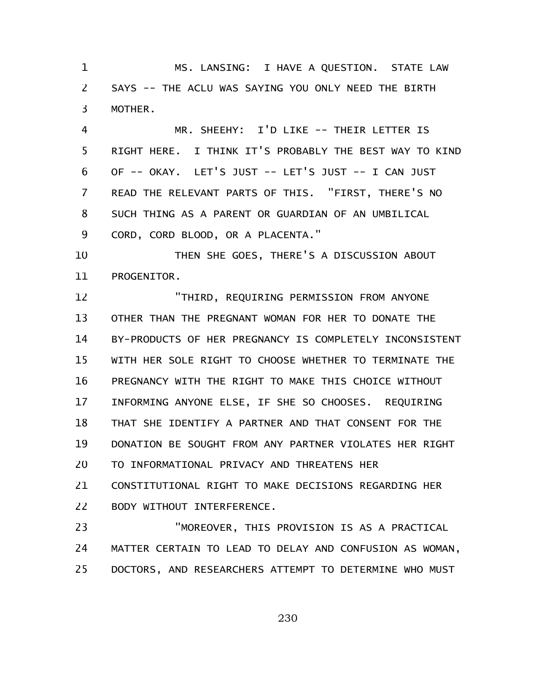MS. LANSING: I HAVE A QUESTION. STATE LAW SAYS -- THE ACLU WAS SAYING YOU ONLY NEED THE BIRTH MOTHER. 1 2 3

MR. SHEEHY: I'D LIKE -- THEIR LETTER IS RIGHT HERE. I THINK IT'S PROBABLY THE BEST WAY TO KIND OF -- OKAY. LET'S JUST -- LET'S JUST -- I CAN JUST READ THE RELEVANT PARTS OF THIS. "FIRST, THERE'S NO SUCH THING AS A PARENT OR GUARDIAN OF AN UMBILICAL CORD, CORD BLOOD, OR A PLACENTA." 4 5 6 7 8 9

THEN SHE GOES, THERE'S A DISCUSSION ABOUT PROGENITOR. 10 11

"THIRD, REQUIRING PERMISSION FROM ANYONE OTHER THAN THE PREGNANT WOMAN FOR HER TO DONATE THE BY-PRODUCTS OF HER PREGNANCY IS COMPLETELY INCONSISTENT WITH HER SOLE RIGHT TO CHOOSE WHETHER TO TERMINATE THE PREGNANCY WITH THE RIGHT TO MAKE THIS CHOICE WITHOUT INFORMING ANYONE ELSE, IF SHE SO CHOOSES. REQUIRING THAT SHE IDENTIFY A PARTNER AND THAT CONSENT FOR THE DONATION BE SOUGHT FROM ANY PARTNER VIOLATES HER RIGHT TO INFORMATIONAL PRIVACY AND THREATENS HER CONSTITUTIONAL RIGHT TO MAKE DECISIONS REGARDING HER BODY WITHOUT INTERFERENCE. 12 13 14 15 16 17 18 19 20 21 22

"MOREOVER, THIS PROVISION IS AS A PRACTICAL MATTER CERTAIN TO LEAD TO DELAY AND CONFUSION AS WOMAN, DOCTORS, AND RESEARCHERS ATTEMPT TO DETERMINE WHO MUST 23 24 25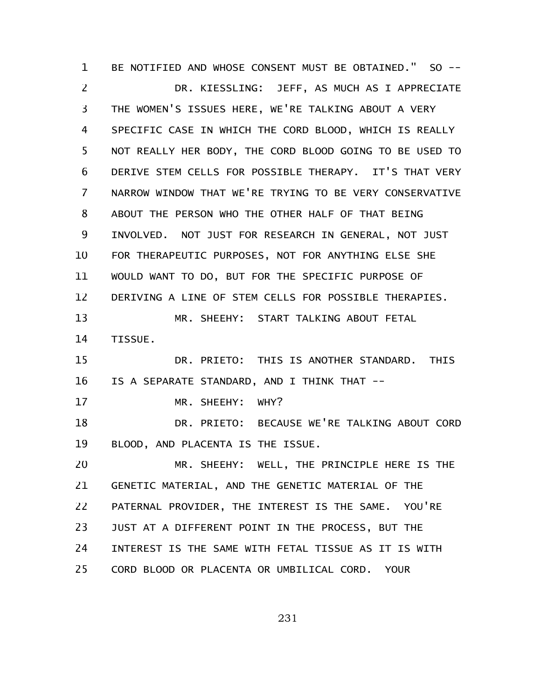BE NOTIFIED AND WHOSE CONSENT MUST BE OBTAINED." SO -- DR. KIESSLING: JEFF, AS MUCH AS I APPRECIATE THE WOMEN'S ISSUES HERE, WE'RE TALKING ABOUT A VERY SPECIFIC CASE IN WHICH THE CORD BLOOD, WHICH IS REALLY NOT REALLY HER BODY, THE CORD BLOOD GOING TO BE USED TO DERIVE STEM CELLS FOR POSSIBLE THERAPY. IT'S THAT VERY NARROW WINDOW THAT WE'RE TRYING TO BE VERY CONSERVATIVE ABOUT THE PERSON WHO THE OTHER HALF OF THAT BEING INVOLVED. NOT JUST FOR RESEARCH IN GENERAL, NOT JUST FOR THERAPEUTIC PURPOSES, NOT FOR ANYTHING ELSE SHE WOULD WANT TO DO, BUT FOR THE SPECIFIC PURPOSE OF DERIVING A LINE OF STEM CELLS FOR POSSIBLE THERAPIES. MR. SHEEHY: START TALKING ABOUT FETAL TISSUE. DR. PRIETO: THIS IS ANOTHER STANDARD. THIS IS A SEPARATE STANDARD, AND I THINK THAT -- MR. SHEEHY: WHY? DR. PRIETO: BECAUSE WE'RE TALKING ABOUT CORD BLOOD, AND PLACENTA IS THE ISSUE. MR. SHEEHY: WELL, THE PRINCIPLE HERE IS THE GENETIC MATERIAL, AND THE GENETIC MATERIAL OF THE PATERNAL PROVIDER, THE INTEREST IS THE SAME. YOU'RE JUST AT A DIFFERENT POINT IN THE PROCESS, BUT THE INTEREST IS THE SAME WITH FETAL TISSUE AS IT IS WITH CORD BLOOD OR PLACENTA OR UMBILICAL CORD. YOUR 1 2 3 4 5 6 7 8 9 10 11 12 13 14 15 16 17 18 19 20 21 22 23 24 25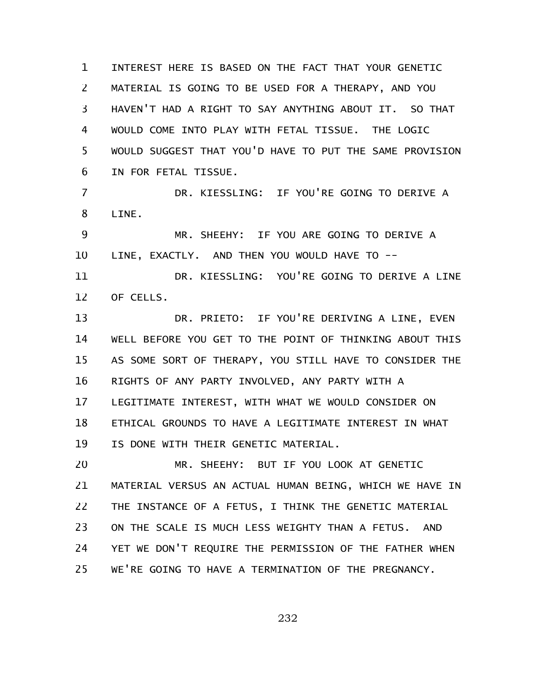INTEREST HERE IS BASED ON THE FACT THAT YOUR GENETIC MATERIAL IS GOING TO BE USED FOR A THERAPY, AND YOU HAVEN'T HAD A RIGHT TO SAY ANYTHING ABOUT IT. SO THAT WOULD COME INTO PLAY WITH FETAL TISSUE. THE LOGIC WOULD SUGGEST THAT YOU'D HAVE TO PUT THE SAME PROVISION IN FOR FETAL TISSUE. DR. KIESSLING: IF YOU'RE GOING TO DERIVE A 1 2 3 4 5 6 7

LINE. 8

MR. SHEEHY: IF YOU ARE GOING TO DERIVE A LINE, EXACTLY. AND THEN YOU WOULD HAVE TO -- 9 10

DR. KIESSLING: YOU'RE GOING TO DERIVE A LINE OF CELLS. 11 12

DR. PRIETO: IF YOU'RE DERIVING A LINE, EVEN WELL BEFORE YOU GET TO THE POINT OF THINKING ABOUT THIS AS SOME SORT OF THERAPY, YOU STILL HAVE TO CONSIDER THE RIGHTS OF ANY PARTY INVOLVED, ANY PARTY WITH A LEGITIMATE INTEREST, WITH WHAT WE WOULD CONSIDER ON ETHICAL GROUNDS TO HAVE A LEGITIMATE INTEREST IN WHAT IS DONE WITH THEIR GENETIC MATERIAL. 13 14 15 16 17 18 19

MR. SHEEHY: BUT IF YOU LOOK AT GENETIC MATERIAL VERSUS AN ACTUAL HUMAN BEING, WHICH WE HAVE IN THE INSTANCE OF A FETUS, I THINK THE GENETIC MATERIAL ON THE SCALE IS MUCH LESS WEIGHTY THAN A FETUS. AND YET WE DON'T REQUIRE THE PERMISSION OF THE FATHER WHEN WE'RE GOING TO HAVE A TERMINATION OF THE PREGNANCY. 20 21 22 23 24 25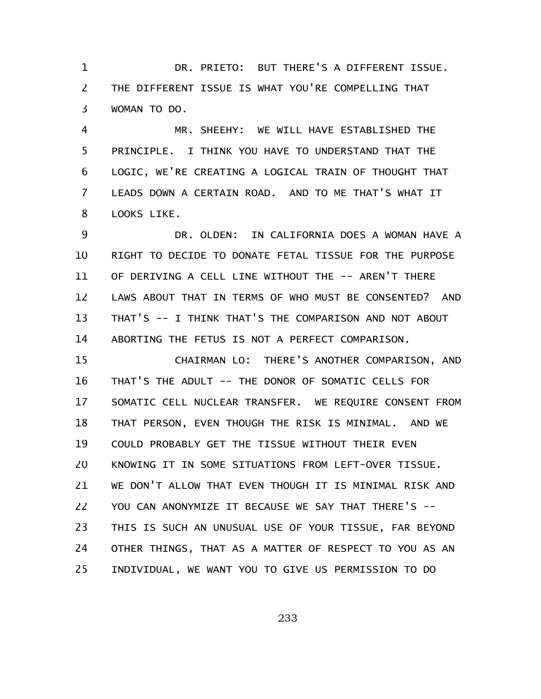DR. PRIETO: BUT THERE'S A DIFFERENT ISSUE. THE DIFFERENT ISSUE IS WHAT YOU'RE COMPELLING THAT WOMAN TO DO. 1 2 3

MR. SHEEHY: WE WILL HAVE ESTABLISHED THE PRINCIPLE. I THINK YOU HAVE TO UNDERSTAND THAT THE LOGIC, WE'RE CREATING A LOGICAL TRAIN OF THOUGHT THAT LEADS DOWN A CERTAIN ROAD. AND TO ME THAT'S WHAT IT LOOKS LIKE. 4 5 6 7 8

DR. OLDEN: IN CALIFORNIA DOES A WOMAN HAVE A RIGHT TO DECIDE TO DONATE FETAL TISSUE FOR THE PURPOSE OF DERIVING A CELL LINE WITHOUT THE -- AREN'T THERE LAWS ABOUT THAT IN TERMS OF WHO MUST BE CONSENTED? AND THAT'S -- I THINK THAT'S THE COMPARISON AND NOT ABOUT ABORTING THE FETUS IS NOT A PERFECT COMPARISON. 9 10 11 12 13 14

CHAIRMAN LO: THERE'S ANOTHER COMPARISON, AND THAT'S THE ADULT -- THE DONOR OF SOMATIC CELLS FOR SOMATIC CELL NUCLEAR TRANSFER. WE REQUIRE CONSENT FROM THAT PERSON, EVEN THOUGH THE RISK IS MINIMAL. AND WE COULD PROBABLY GET THE TISSUE WITHOUT THEIR EVEN KNOWING IT IN SOME SITUATIONS FROM LEFT-OVER TISSUE. WE DON'T ALLOW THAT EVEN THOUGH IT IS MINIMAL RISK AND YOU CAN ANONYMIZE IT BECAUSE WE SAY THAT THERE'S --THIS IS SUCH AN UNUSUAL USE OF YOUR TISSUE, FAR BEYOND OTHER THINGS, THAT AS A MATTER OF RESPECT TO YOU AS AN INDIVIDUAL, WE WANT YOU TO GIVE US PERMISSION TO DO 15 16 17 18 19 20 21 22 23 24 25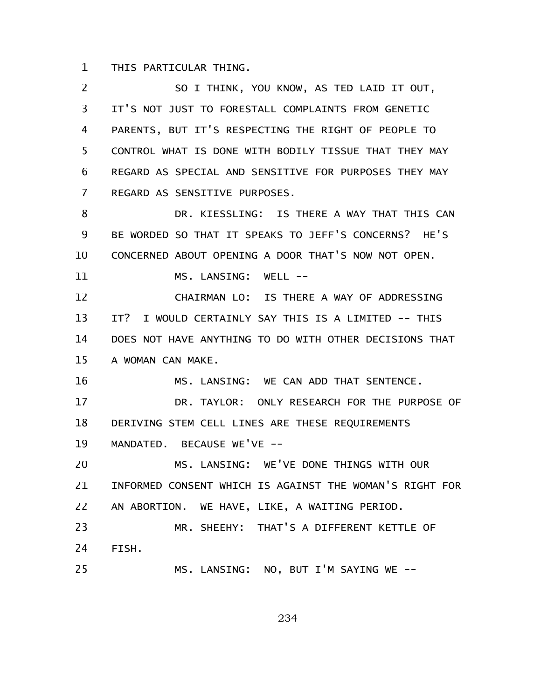THIS PARTICULAR THING. 1

SO I THINK, YOU KNOW, AS TED LAID IT OUT, IT'S NOT JUST TO FORESTALL COMPLAINTS FROM GENETIC PARENTS, BUT IT'S RESPECTING THE RIGHT OF PEOPLE TO CONTROL WHAT IS DONE WITH BODILY TISSUE THAT THEY MAY REGARD AS SPECIAL AND SENSITIVE FOR PURPOSES THEY MAY REGARD AS SENSITIVE PURPOSES. DR. KIESSLING: IS THERE A WAY THAT THIS CAN BE WORDED SO THAT IT SPEAKS TO JEFF'S CONCERNS? HE'S CONCERNED ABOUT OPENING A DOOR THAT'S NOW NOT OPEN. MS. LANSING: WELL -- CHAIRMAN LO: IS THERE A WAY OF ADDRESSING IT? I WOULD CERTAINLY SAY THIS IS A LIMITED -- THIS DOES NOT HAVE ANYTHING TO DO WITH OTHER DECISIONS THAT A WOMAN CAN MAKE. MS. LANSING: WE CAN ADD THAT SENTENCE. DR. TAYLOR: ONLY RESEARCH FOR THE PURPOSE OF DERIVING STEM CELL LINES ARE THESE REQUIREMENTS MANDATED. BECAUSE WE'VE --MS. LANSING: WE'VE DONE THINGS WITH OUR INFORMED CONSENT WHICH IS AGAINST THE WOMAN'S RIGHT FOR AN ABORTION. WE HAVE, LIKE, A WAITING PERIOD. MR. SHEEHY: THAT'S A DIFFERENT KETTLE OF FISH. MS. LANSING: NO, BUT I'M SAYING WE -- 2 3 4 5 6 7 8 9 10 11 12 13 14 15 16 17 18 19 20 21 22 23 24 25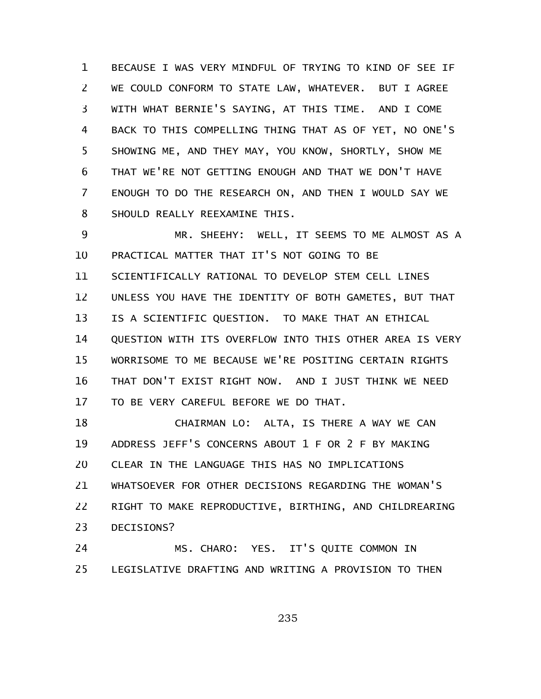BECAUSE I WAS VERY MINDFUL OF TRYING TO KIND OF SEE IF WE COULD CONFORM TO STATE LAW, WHATEVER. BUT I AGREE WITH WHAT BERNIE'S SAYING, AT THIS TIME. AND I COME BACK TO THIS COMPELLING THING THAT AS OF YET, NO ONE'S SHOWING ME, AND THEY MAY, YOU KNOW, SHORTLY, SHOW ME THAT WE'RE NOT GETTING ENOUGH AND THAT WE DON'T HAVE ENOUGH TO DO THE RESEARCH ON, AND THEN I WOULD SAY WE SHOULD REALLY REEXAMINE THIS. 1 2 3 4 5 6 7 8

MR. SHEEHY: WELL, IT SEEMS TO ME ALMOST AS A PRACTICAL MATTER THAT IT'S NOT GOING TO BE SCIENTIFICALLY RATIONAL TO DEVELOP STEM CELL LINES UNLESS YOU HAVE THE IDENTITY OF BOTH GAMETES, BUT THAT IS A SCIENTIFIC QUESTION. TO MAKE THAT AN ETHICAL QUESTION WITH ITS OVERFLOW INTO THIS OTHER AREA IS VERY WORRISOME TO ME BECAUSE WE'RE POSITING CERTAIN RIGHTS THAT DON'T EXIST RIGHT NOW. AND I JUST THINK WE NEED TO BE VERY CAREFUL BEFORE WE DO THAT. 9 10 11 12 13 14 15 16 17

CHAIRMAN LO: ALTA, IS THERE A WAY WE CAN ADDRESS JEFF'S CONCERNS ABOUT 1 F OR 2 F BY MAKING CLEAR IN THE LANGUAGE THIS HAS NO IMPLICATIONS WHATSOEVER FOR OTHER DECISIONS REGARDING THE WOMAN'S RIGHT TO MAKE REPRODUCTIVE, BIRTHING, AND CHILDREARING DECISIONS? 18 19 20 21 22 23

MS. CHARO: YES. IT'S QUITE COMMON IN LEGISLATIVE DRAFTING AND WRITING A PROVISION TO THEN 24 25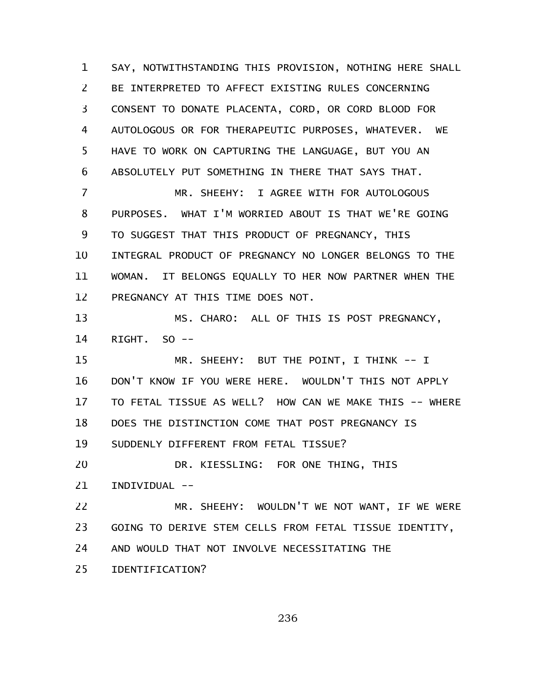SAY, NOTWITHSTANDING THIS PROVISION, NOTHING HERE SHALL BE INTERPRETED TO AFFECT EXISTING RULES CONCERNING CONSENT TO DONATE PLACENTA, CORD, OR CORD BLOOD FOR AUTOLOGOUS OR FOR THERAPEUTIC PURPOSES, WHATEVER. WE HAVE TO WORK ON CAPTURING THE LANGUAGE, BUT YOU AN ABSOLUTELY PUT SOMETHING IN THERE THAT SAYS THAT. 1 2 3 4 5 6

MR. SHEEHY: I AGREE WITH FOR AUTOLOGOUS PURPOSES. WHAT I'M WORRIED ABOUT IS THAT WE'RE GOING TO SUGGEST THAT THIS PRODUCT OF PREGNANCY, THIS INTEGRAL PRODUCT OF PREGNANCY NO LONGER BELONGS TO THE WOMAN. IT BELONGS EQUALLY TO HER NOW PARTNER WHEN THE PREGNANCY AT THIS TIME DOES NOT. 7 8 9 10 11 12

MS. CHARO: ALL OF THIS IS POST PREGNANCY, RIGHT. SO -- 13 14

MR. SHEEHY: BUT THE POINT, I THINK -- I DON'T KNOW IF YOU WERE HERE. WOULDN'T THIS NOT APPLY TO FETAL TISSUE AS WELL? HOW CAN WE MAKE THIS -- WHERE DOES THE DISTINCTION COME THAT POST PREGNANCY IS SUDDENLY DIFFERENT FROM FETAL TISSUE? DR. KIESSLING: FOR ONE THING, THIS 15 16 17 18 19 20

INDIVIDUAL -- 21

MR. SHEEHY: WOULDN'T WE NOT WANT, IF WE WERE GOING TO DERIVE STEM CELLS FROM FETAL TISSUE IDENTITY, AND WOULD THAT NOT INVOLVE NECESSITATING THE 22 23 24

IDENTIFICATION? 25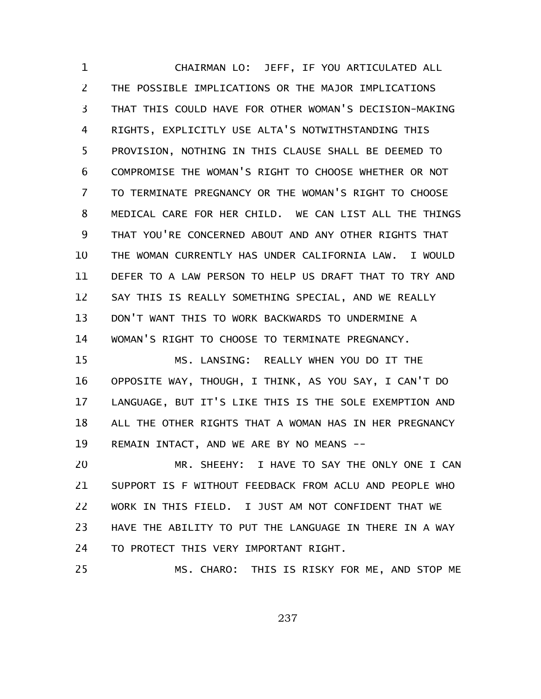CHAIRMAN LO: JEFF, IF YOU ARTICULATED ALL THE POSSIBLE IMPLICATIONS OR THE MAJOR IMPLICATIONS THAT THIS COULD HAVE FOR OTHER WOMAN'S DECISION-MAKING RIGHTS, EXPLICITLY USE ALTA'S NOTWITHSTANDING THIS PROVISION, NOTHING IN THIS CLAUSE SHALL BE DEEMED TO COMPROMISE THE WOMAN'S RIGHT TO CHOOSE WHETHER OR NOT TO TERMINATE PREGNANCY OR THE WOMAN'S RIGHT TO CHOOSE MEDICAL CARE FOR HER CHILD. WE CAN LIST ALL THE THINGS THAT YOU'RE CONCERNED ABOUT AND ANY OTHER RIGHTS THAT THE WOMAN CURRENTLY HAS UNDER CALIFORNIA LAW. I WOULD DEFER TO A LAW PERSON TO HELP US DRAFT THAT TO TRY AND SAY THIS IS REALLY SOMETHING SPECIAL, AND WE REALLY DON'T WANT THIS TO WORK BACKWARDS TO UNDERMINE A WOMAN'S RIGHT TO CHOOSE TO TERMINATE PREGNANCY. MS. LANSING: REALLY WHEN YOU DO IT THE 1 2 3 4 5 6 7 8 9 10 11 12 13 14 15

OPPOSITE WAY, THOUGH, I THINK, AS YOU SAY, I CAN'T DO LANGUAGE, BUT IT'S LIKE THIS IS THE SOLE EXEMPTION AND ALL THE OTHER RIGHTS THAT A WOMAN HAS IN HER PREGNANCY REMAIN INTACT, AND WE ARE BY NO MEANS -- 16 17 18 19

MR. SHEEHY: I HAVE TO SAY THE ONLY ONE I CAN SUPPORT IS F WITHOUT FEEDBACK FROM ACLU AND PEOPLE WHO WORK IN THIS FIELD. I JUST AM NOT CONFIDENT THAT WE HAVE THE ABILITY TO PUT THE LANGUAGE IN THERE IN A WAY TO PROTECT THIS VERY IMPORTANT RIGHT. 20 21 22 23 24

MS. CHARO: THIS IS RISKY FOR ME, AND STOP ME 25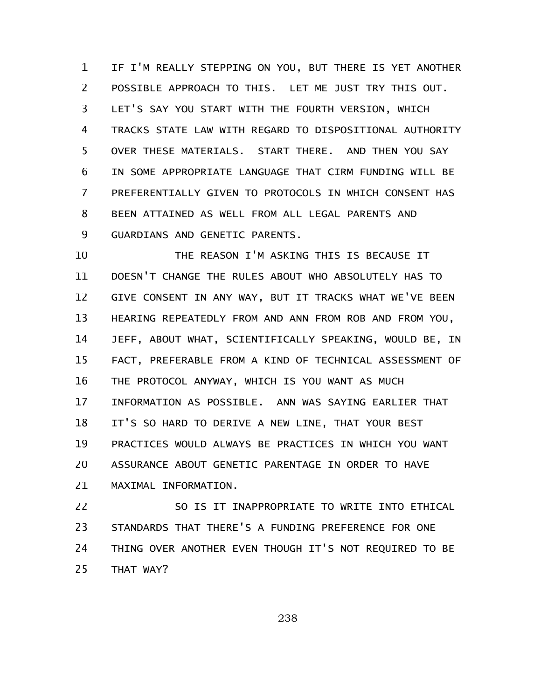IF I'M REALLY STEPPING ON YOU, BUT THERE IS YET ANOTHER POSSIBLE APPROACH TO THIS. LET ME JUST TRY THIS OUT. LET'S SAY YOU START WITH THE FOURTH VERSION, WHICH TRACKS STATE LAW WITH REGARD TO DISPOSITIONAL AUTHORITY OVER THESE MATERIALS. START THERE. AND THEN YOU SAY IN SOME APPROPRIATE LANGUAGE THAT CIRM FUNDING WILL BE PREFERENTIALLY GIVEN TO PROTOCOLS IN WHICH CONSENT HAS BEEN ATTAINED AS WELL FROM ALL LEGAL PARENTS AND GUARDIANS AND GENETIC PARENTS. 1 2 3 4 5 6 7 8 9

THE REASON I'M ASKING THIS IS BECAUSE IT DOESN'T CHANGE THE RULES ABOUT WHO ABSOLUTELY HAS TO GIVE CONSENT IN ANY WAY, BUT IT TRACKS WHAT WE'VE BEEN HEARING REPEATEDLY FROM AND ANN FROM ROB AND FROM YOU, JEFF, ABOUT WHAT, SCIENTIFICALLY SPEAKING, WOULD BE, IN FACT, PREFERABLE FROM A KIND OF TECHNICAL ASSESSMENT OF THE PROTOCOL ANYWAY, WHICH IS YOU WANT AS MUCH INFORMATION AS POSSIBLE. ANN WAS SAYING EARLIER THAT IT'S SO HARD TO DERIVE A NEW LINE, THAT YOUR BEST PRACTICES WOULD ALWAYS BE PRACTICES IN WHICH YOU WANT ASSURANCE ABOUT GENETIC PARENTAGE IN ORDER TO HAVE MAXIMAL INFORMATION. 10 11 12 13 14 15 16 17 18 19 20 21

SO IS IT INAPPROPRIATE TO WRITE INTO ETHICAL STANDARDS THAT THERE'S A FUNDING PREFERENCE FOR ONE THING OVER ANOTHER EVEN THOUGH IT'S NOT REQUIRED TO BE THAT WAY? 22 23 24 25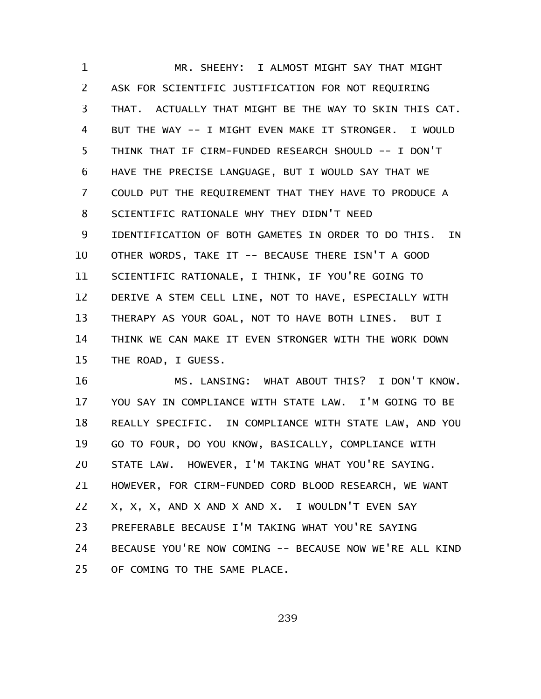MR. SHEEHY: I ALMOST MIGHT SAY THAT MIGHT ASK FOR SCIENTIFIC JUSTIFICATION FOR NOT REQUIRING THAT. ACTUALLY THAT MIGHT BE THE WAY TO SKIN THIS CAT. BUT THE WAY -- I MIGHT EVEN MAKE IT STRONGER. I WOULD THINK THAT IF CIRM-FUNDED RESEARCH SHOULD -- I DON'T HAVE THE PRECISE LANGUAGE, BUT I WOULD SAY THAT WE COULD PUT THE REQUIREMENT THAT THEY HAVE TO PRODUCE A SCIENTIFIC RATIONALE WHY THEY DIDN'T NEED IDENTIFICATION OF BOTH GAMETES IN ORDER TO DO THIS. IN OTHER WORDS, TAKE IT -- BECAUSE THERE ISN'T A GOOD SCIENTIFIC RATIONALE, I THINK, IF YOU'RE GOING TO DERIVE A STEM CELL LINE, NOT TO HAVE, ESPECIALLY WITH THERAPY AS YOUR GOAL, NOT TO HAVE BOTH LINES. BUT I THINK WE CAN MAKE IT EVEN STRONGER WITH THE WORK DOWN THE ROAD, I GUESS. 1 2 3 4 5 6 7 8 9 10 11 12 13 14 15

MS. LANSING: WHAT ABOUT THIS? I DON'T KNOW. YOU SAY IN COMPLIANCE WITH STATE LAW. I'M GOING TO BE REALLY SPECIFIC. IN COMPLIANCE WITH STATE LAW, AND YOU GO TO FOUR, DO YOU KNOW, BASICALLY, COMPLIANCE WITH STATE LAW. HOWEVER, I'M TAKING WHAT YOU'RE SAYING. HOWEVER, FOR CIRM-FUNDED CORD BLOOD RESEARCH, WE WANT X, X, X, AND X AND X AND X. I WOULDN'T EVEN SAY PREFERABLE BECAUSE I'M TAKING WHAT YOU'RE SAYING BECAUSE YOU'RE NOW COMING -- BECAUSE NOW WE'RE ALL KIND OF COMING TO THE SAME PLACE. 16 17 18 19 20 21 22 23 24 25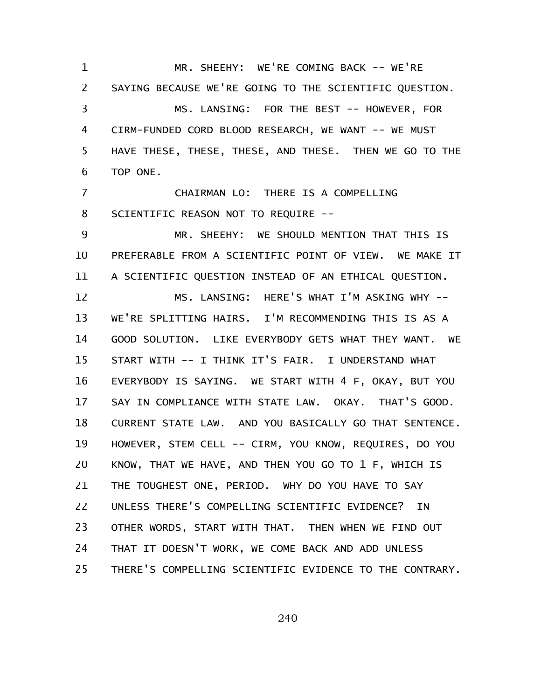MR. SHEEHY: WE'RE COMING BACK -- WE'RE SAYING BECAUSE WE'RE GOING TO THE SCIENTIFIC QUESTION. MS. LANSING: FOR THE BEST -- HOWEVER, FOR CIRM-FUNDED CORD BLOOD RESEARCH, WE WANT -- WE MUST HAVE THESE, THESE, THESE, AND THESE. THEN WE GO TO THE TOP ONE. CHAIRMAN LO: THERE IS A COMPELLING SCIENTIFIC REASON NOT TO REQUIRE -- MR. SHEEHY: WE SHOULD MENTION THAT THIS IS PREFERABLE FROM A SCIENTIFIC POINT OF VIEW. WE MAKE IT A SCIENTIFIC QUESTION INSTEAD OF AN ETHICAL QUESTION. MS. LANSING: HERE'S WHAT I'M ASKING WHY -- WE'RE SPLITTING HAIRS. I'M RECOMMENDING THIS IS AS A GOOD SOLUTION. LIKE EVERYBODY GETS WHAT THEY WANT. WE START WITH -- I THINK IT'S FAIR. I UNDERSTAND WHAT EVERYBODY IS SAYING. WE START WITH 4 F, OKAY, BUT YOU SAY IN COMPLIANCE WITH STATE LAW. OKAY. THAT'S GOOD. 1 2 3 4 5 6 7 8 9 10 11 12 13 14 15 16 17

CURRENT STATE LAW. AND YOU BASICALLY GO THAT SENTENCE. HOWEVER, STEM CELL -- CIRM, YOU KNOW, REQUIRES, DO YOU KNOW, THAT WE HAVE, AND THEN YOU GO TO 1 F, WHICH IS THE TOUGHEST ONE, PERIOD. WHY DO YOU HAVE TO SAY UNLESS THERE'S COMPELLING SCIENTIFIC EVIDENCE? IN OTHER WORDS, START WITH THAT. THEN WHEN WE FIND OUT THAT IT DOESN'T WORK, WE COME BACK AND ADD UNLESS THERE'S COMPELLING SCIENTIFIC EVIDENCE TO THE CONTRARY. 18 19 20 21 22 23 24 25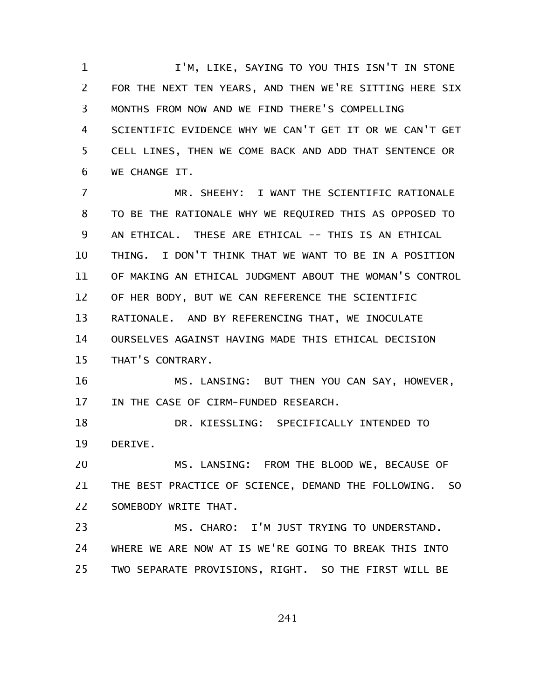I'M, LIKE, SAYING TO YOU THIS ISN'T IN STONE FOR THE NEXT TEN YEARS, AND THEN WE'RE SITTING HERE SIX MONTHS FROM NOW AND WE FIND THERE'S COMPELLING SCIENTIFIC EVIDENCE WHY WE CAN'T GET IT OR WE CAN'T GET CELL LINES, THEN WE COME BACK AND ADD THAT SENTENCE OR WE CHANGE IT. 1 2 3 4 5 6

MR. SHEEHY: I WANT THE SCIENTIFIC RATIONALE TO BE THE RATIONALE WHY WE REQUIRED THIS AS OPPOSED TO AN ETHICAL. THESE ARE ETHICAL -- THIS IS AN ETHICAL THING. I DON'T THINK THAT WE WANT TO BE IN A POSITION OF MAKING AN ETHICAL JUDGMENT ABOUT THE WOMAN'S CONTROL OF HER BODY, BUT WE CAN REFERENCE THE SCIENTIFIC RATIONALE. AND BY REFERENCING THAT, WE INOCULATE OURSELVES AGAINST HAVING MADE THIS ETHICAL DECISION THAT'S CONTRARY. 7 8 9 10 11 12 13 14 15

MS. LANSING: BUT THEN YOU CAN SAY, HOWEVER, IN THE CASE OF CIRM-FUNDED RESEARCH. 16 17

DR. KIESSLING: SPECIFICALLY INTENDED TO DERIVE. 18 19

MS. LANSING: FROM THE BLOOD WE, BECAUSE OF THE BEST PRACTICE OF SCIENCE, DEMAND THE FOLLOWING. SO SOMEBODY WRITE THAT. 20 21 22

MS. CHARO: I'M JUST TRYING TO UNDERSTAND. WHERE WE ARE NOW AT IS WE'RE GOING TO BREAK THIS INTO TWO SEPARATE PROVISIONS, RIGHT. SO THE FIRST WILL BE 23 24 25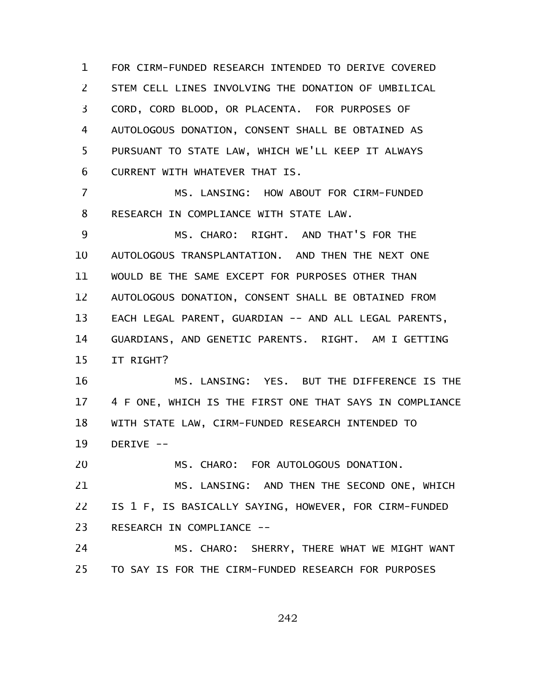FOR CIRM-FUNDED RESEARCH INTENDED TO DERIVE COVERED STEM CELL LINES INVOLVING THE DONATION OF UMBILICAL CORD, CORD BLOOD, OR PLACENTA. FOR PURPOSES OF AUTOLOGOUS DONATION, CONSENT SHALL BE OBTAINED AS PURSUANT TO STATE LAW, WHICH WE'LL KEEP IT ALWAYS CURRENT WITH WHATEVER THAT IS. 1 2 3 4 5 6

MS. LANSING: HOW ABOUT FOR CIRM-FUNDED RESEARCH IN COMPLIANCE WITH STATE LAW. 7 8

MS. CHARO: RIGHT. AND THAT'S FOR THE AUTOLOGOUS TRANSPLANTATION. AND THEN THE NEXT ONE WOULD BE THE SAME EXCEPT FOR PURPOSES OTHER THAN AUTOLOGOUS DONATION, CONSENT SHALL BE OBTAINED FROM EACH LEGAL PARENT, GUARDIAN -- AND ALL LEGAL PARENTS, GUARDIANS, AND GENETIC PARENTS. RIGHT. AM I GETTING IT RIGHT? 9 10 11 12 13 14 15

MS. LANSING: YES. BUT THE DIFFERENCE IS THE 4 F ONE, WHICH IS THE FIRST ONE THAT SAYS IN COMPLIANCE WITH STATE LAW, CIRM-FUNDED RESEARCH INTENDED TO DERIVE -- 16 17 18 19

MS. CHARO: FOR AUTOLOGOUS DONATION. MS. LANSING: AND THEN THE SECOND ONE, WHICH IS 1 F, IS BASICALLY SAYING, HOWEVER, FOR CIRM-FUNDED RESEARCH IN COMPLIANCE -- 20 21 22 23

MS. CHARO: SHERRY, THERE WHAT WE MIGHT WANT TO SAY IS FOR THE CIRM-FUNDED RESEARCH FOR PURPOSES 24 25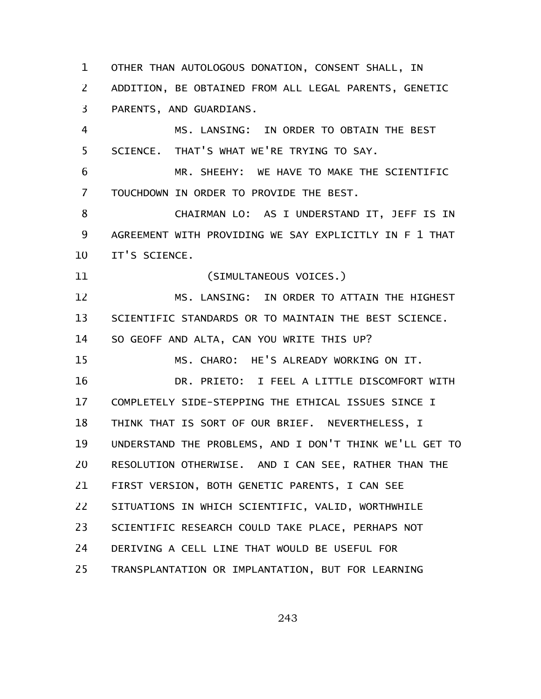OTHER THAN AUTOLOGOUS DONATION, CONSENT SHALL, IN ADDITION, BE OBTAINED FROM ALL LEGAL PARENTS, GENETIC PARENTS, AND GUARDIANS. 1 2 3

MS. LANSING: IN ORDER TO OBTAIN THE BEST SCIENCE. THAT'S WHAT WE'RE TRYING TO SAY. 4 5

MR. SHEEHY: WE HAVE TO MAKE THE SCIENTIFIC TOUCHDOWN IN ORDER TO PROVIDE THE BEST. 6 7

CHAIRMAN LO: AS I UNDERSTAND IT, JEFF IS IN AGREEMENT WITH PROVIDING WE SAY EXPLICITLY IN F 1 THAT IT'S SCIENCE. 8 9 10

(SIMULTANEOUS VOICES.) 11

MS. LANSING: IN ORDER TO ATTAIN THE HIGHEST SCIENTIFIC STANDARDS OR TO MAINTAIN THE BEST SCIENCE. SO GEOFF AND ALTA, CAN YOU WRITE THIS UP? 12 13 14

MS. CHARO: HE'S ALREADY WORKING ON IT. 15

DR. PRIETO: I FEEL A LITTLE DISCOMFORT WITH COMPLETELY SIDE-STEPPING THE ETHICAL ISSUES SINCE I THINK THAT IS SORT OF OUR BRIEF. NEVERTHELESS, I UNDERSTAND THE PROBLEMS, AND I DON'T THINK WE'LL GET TO RESOLUTION OTHERWISE. AND I CAN SEE, RATHER THAN THE FIRST VERSION, BOTH GENETIC PARENTS, I CAN SEE SITUATIONS IN WHICH SCIENTIFIC, VALID, WORTHWHILE SCIENTIFIC RESEARCH COULD TAKE PLACE, PERHAPS NOT DERIVING A CELL LINE THAT WOULD BE USEFUL FOR TRANSPLANTATION OR IMPLANTATION, BUT FOR LEARNING 16 17 18 19 20 21 22 23 24 25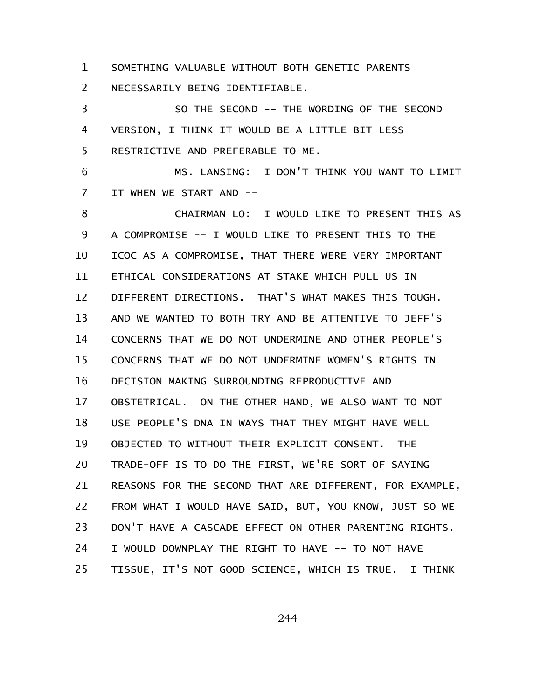SOMETHING VALUABLE WITHOUT BOTH GENETIC PARENTS 1

NECESSARILY BEING IDENTIFIABLE. 2

SO THE SECOND -- THE WORDING OF THE SECOND VERSION, I THINK IT WOULD BE A LITTLE BIT LESS RESTRICTIVE AND PREFERABLE TO ME. 3 4 5

MS. LANSING: I DON'T THINK YOU WANT TO LIMIT IT WHEN WE START AND -- 6 7

CHAIRMAN LO: I WOULD LIKE TO PRESENT THIS AS A COMPROMISE -- I WOULD LIKE TO PRESENT THIS TO THE ICOC AS A COMPROMISE, THAT THERE WERE VERY IMPORTANT ETHICAL CONSIDERATIONS AT STAKE WHICH PULL US IN DIFFERENT DIRECTIONS. THAT'S WHAT MAKES THIS TOUGH. AND WE WANTED TO BOTH TRY AND BE ATTENTIVE TO JEFF'S CONCERNS THAT WE DO NOT UNDERMINE AND OTHER PEOPLE'S CONCERNS THAT WE DO NOT UNDERMINE WOMEN'S RIGHTS IN DECISION MAKING SURROUNDING REPRODUCTIVE AND OBSTETRICAL. ON THE OTHER HAND, WE ALSO WANT TO NOT USE PEOPLE'S DNA IN WAYS THAT THEY MIGHT HAVE WELL OBJECTED TO WITHOUT THEIR EXPLICIT CONSENT. THE TRADE-OFF IS TO DO THE FIRST, WE'RE SORT OF SAYING REASONS FOR THE SECOND THAT ARE DIFFERENT, FOR EXAMPLE, FROM WHAT I WOULD HAVE SAID, BUT, YOU KNOW, JUST SO WE DON'T HAVE A CASCADE EFFECT ON OTHER PARENTING RIGHTS. I WOULD DOWNPLAY THE RIGHT TO HAVE -- TO NOT HAVE TISSUE, IT'S NOT GOOD SCIENCE, WHICH IS TRUE. I THINK 8 9 10 11 12 13 14 15 16 17 18 19 20 21 22 23 24 25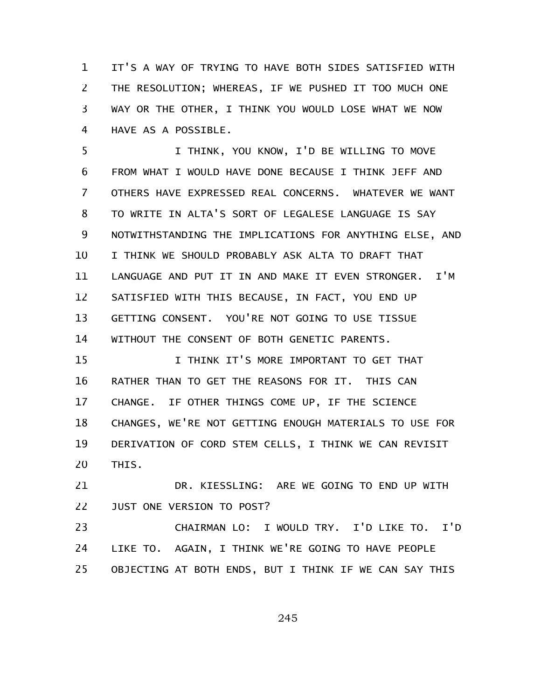IT'S A WAY OF TRYING TO HAVE BOTH SIDES SATISFIED WITH THE RESOLUTION; WHEREAS, IF WE PUSHED IT TOO MUCH ONE WAY OR THE OTHER, I THINK YOU WOULD LOSE WHAT WE NOW HAVE AS A POSSIBLE. 1 2 3 4

I THINK, YOU KNOW, I'D BE WILLING TO MOVE FROM WHAT I WOULD HAVE DONE BECAUSE I THINK JEFF AND OTHERS HAVE EXPRESSED REAL CONCERNS. WHATEVER WE WANT TO WRITE IN ALTA'S SORT OF LEGALESE LANGUAGE IS SAY NOTWITHSTANDING THE IMPLICATIONS FOR ANYTHING ELSE, AND I THINK WE SHOULD PROBABLY ASK ALTA TO DRAFT THAT LANGUAGE AND PUT IT IN AND MAKE IT EVEN STRONGER. I'M SATISFIED WITH THIS BECAUSE, IN FACT, YOU END UP GETTING CONSENT. YOU'RE NOT GOING TO USE TISSUE WITHOUT THE CONSENT OF BOTH GENETIC PARENTS. 5 6 7 8 9 10 11 12 13 14

I THINK IT'S MORE IMPORTANT TO GET THAT RATHER THAN TO GET THE REASONS FOR IT. THIS CAN CHANGE. IF OTHER THINGS COME UP, IF THE SCIENCE CHANGES, WE'RE NOT GETTING ENOUGH MATERIALS TO USE FOR DERIVATION OF CORD STEM CELLS, I THINK WE CAN REVISIT THIS. 15 16 17 18 19 20

DR. KIESSLING: ARE WE GOING TO END UP WITH JUST ONE VERSION TO POST? 21 22

CHAIRMAN LO: I WOULD TRY. I'D LIKE TO. I'D LIKE TO. AGAIN, I THINK WE'RE GOING TO HAVE PEOPLE OBJECTING AT BOTH ENDS, BUT I THINK IF WE CAN SAY THIS 23 24 25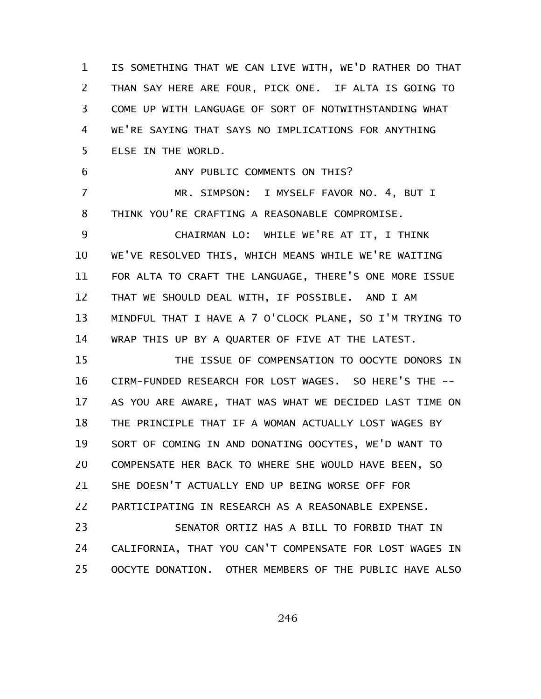IS SOMETHING THAT WE CAN LIVE WITH, WE'D RATHER DO THAT THAN SAY HERE ARE FOUR, PICK ONE. IF ALTA IS GOING TO COME UP WITH LANGUAGE OF SORT OF NOTWITHSTANDING WHAT WE'RE SAYING THAT SAYS NO IMPLICATIONS FOR ANYTHING ELSE IN THE WORLD. 1 2 3 4 5

ANY PUBLIC COMMENTS ON THIS? 6

MR. SIMPSON: I MYSELF FAVOR NO. 4, BUT I THINK YOU'RE CRAFTING A REASONABLE COMPROMISE. 7 8

CHAIRMAN LO: WHILE WE'RE AT IT, I THINK WE'VE RESOLVED THIS, WHICH MEANS WHILE WE'RE WAITING FOR ALTA TO CRAFT THE LANGUAGE, THERE'S ONE MORE ISSUE THAT WE SHOULD DEAL WITH, IF POSSIBLE. AND I AM MINDFUL THAT I HAVE A 7 O'CLOCK PLANE, SO I'M TRYING TO WRAP THIS UP BY A QUARTER OF FIVE AT THE LATEST. 9 10 11 12 13 14

THE ISSUE OF COMPENSATION TO OOCYTE DONORS IN CIRM-FUNDED RESEARCH FOR LOST WAGES. SO HERE'S THE -- AS YOU ARE AWARE, THAT WAS WHAT WE DECIDED LAST TIME ON THE PRINCIPLE THAT IF A WOMAN ACTUALLY LOST WAGES BY SORT OF COMING IN AND DONATING OOCYTES, WE'D WANT TO COMPENSATE HER BACK TO WHERE SHE WOULD HAVE BEEN, SO SHE DOESN'T ACTUALLY END UP BEING WORSE OFF FOR PARTICIPATING IN RESEARCH AS A REASONABLE EXPENSE. 15 16 17 18 19 20 21 22

SENATOR ORTIZ HAS A BILL TO FORBID THAT IN CALIFORNIA, THAT YOU CAN'T COMPENSATE FOR LOST WAGES IN OOCYTE DONATION. OTHER MEMBERS OF THE PUBLIC HAVE ALSO 23 24 25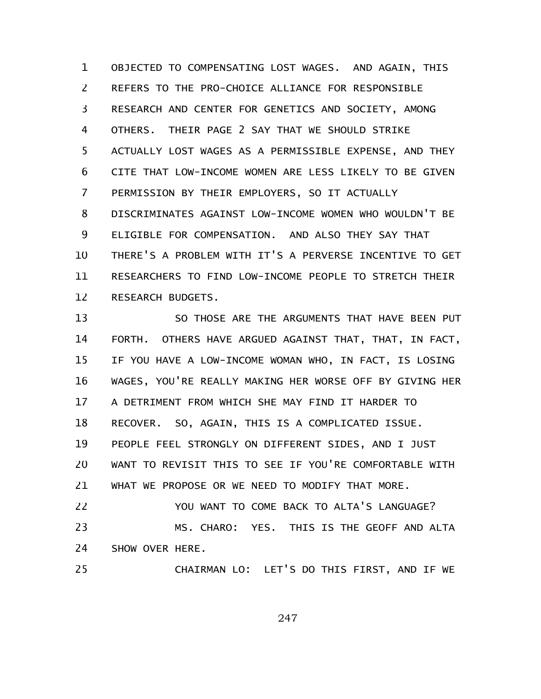OBJECTED TO COMPENSATING LOST WAGES. AND AGAIN, THIS REFERS TO THE PRO-CHOICE ALLIANCE FOR RESPONSIBLE RESEARCH AND CENTER FOR GENETICS AND SOCIETY, AMONG OTHERS. THEIR PAGE 2 SAY THAT WE SHOULD STRIKE ACTUALLY LOST WAGES AS A PERMISSIBLE EXPENSE, AND THEY CITE THAT LOW-INCOME WOMEN ARE LESS LIKELY TO BE GIVEN PERMISSION BY THEIR EMPLOYERS, SO IT ACTUALLY DISCRIMINATES AGAINST LOW-INCOME WOMEN WHO WOULDN'T BE ELIGIBLE FOR COMPENSATION. AND ALSO THEY SAY THAT THERE'S A PROBLEM WITH IT'S A PERVERSE INCENTIVE TO GET RESEARCHERS TO FIND LOW-INCOME PEOPLE TO STRETCH THEIR RESEARCH BUDGETS. 1 2 3 4 5 6 7 8 9 10 11 12

SO THOSE ARE THE ARGUMENTS THAT HAVE BEEN PUT FORTH. OTHERS HAVE ARGUED AGAINST THAT, THAT, IN FACT, IF YOU HAVE A LOW-INCOME WOMAN WHO, IN FACT, IS LOSING WAGES, YOU'RE REALLY MAKING HER WORSE OFF BY GIVING HER A DETRIMENT FROM WHICH SHE MAY FIND IT HARDER TO RECOVER. SO, AGAIN, THIS IS A COMPLICATED ISSUE. PEOPLE FEEL STRONGLY ON DIFFERENT SIDES, AND I JUST WANT TO REVISIT THIS TO SEE IF YOU'RE COMFORTABLE WITH WHAT WE PROPOSE OR WE NEED TO MODIFY THAT MORE. YOU WANT TO COME BACK TO ALTA'S LANGUAGE? MS. CHARO: YES. THIS IS THE GEOFF AND ALTA SHOW OVER HERE. 13 14 15 16 17 18 19 20 21 22 23 24

CHAIRMAN LO: LET'S DO THIS FIRST, AND IF WE 25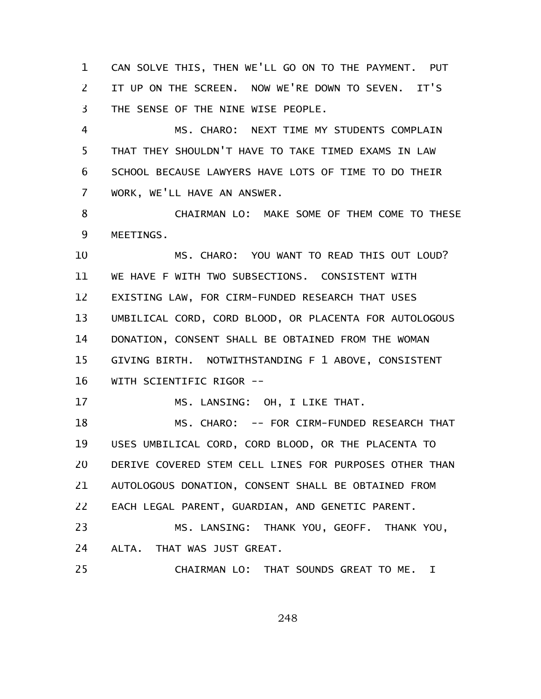CAN SOLVE THIS, THEN WE'LL GO ON TO THE PAYMENT. PUT IT UP ON THE SCREEN. NOW WE'RE DOWN TO SEVEN. IT'S THE SENSE OF THE NINE WISE PEOPLE. 1 2 3

MS. CHARO: NEXT TIME MY STUDENTS COMPLAIN THAT THEY SHOULDN'T HAVE TO TAKE TIMED EXAMS IN LAW SCHOOL BECAUSE LAWYERS HAVE LOTS OF TIME TO DO THEIR WORK, WE'LL HAVE AN ANSWER. 4 5 6 7

CHAIRMAN LO: MAKE SOME OF THEM COME TO THESE MEETINGS. 8 9

MS. CHARO: YOU WANT TO READ THIS OUT LOUD? WE HAVE F WITH TWO SUBSECTIONS. CONSISTENT WITH EXISTING LAW, FOR CIRM-FUNDED RESEARCH THAT USES UMBILICAL CORD, CORD BLOOD, OR PLACENTA FOR AUTOLOGOUS DONATION, CONSENT SHALL BE OBTAINED FROM THE WOMAN GIVING BIRTH. NOTWITHSTANDING F 1 ABOVE, CONSISTENT WITH SCIENTIFIC RIGOR -- 10 11 12 13 14 15 16

MS. LANSING: OH, I LIKE THAT.

MS. CHARO: -- FOR CIRM-FUNDED RESEARCH THAT USES UMBILICAL CORD, CORD BLOOD, OR THE PLACENTA TO DERIVE COVERED STEM CELL LINES FOR PURPOSES OTHER THAN AUTOLOGOUS DONATION, CONSENT SHALL BE OBTAINED FROM EACH LEGAL PARENT, GUARDIAN, AND GENETIC PARENT. MS. LANSING: THANK YOU, GEOFF. THANK YOU, 18 19 20 21 22 23

ALTA. THAT WAS JUST GREAT. 24

17

CHAIRMAN LO: THAT SOUNDS GREAT TO ME. I 25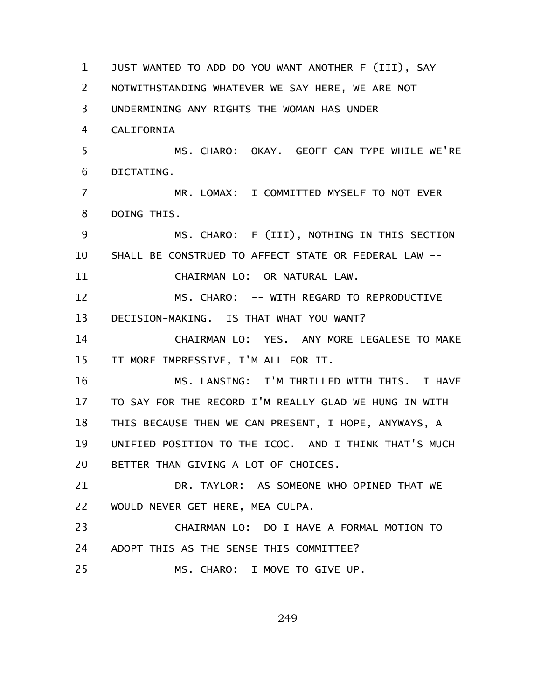JUST WANTED TO ADD DO YOU WANT ANOTHER F (III), SAY NOTWITHSTANDING WHATEVER WE SAY HERE, WE ARE NOT UNDERMINING ANY RIGHTS THE WOMAN HAS UNDER CALIFORNIA -- MS. CHARO: OKAY. GEOFF CAN TYPE WHILE WE'RE DICTATING. MR. LOMAX: I COMMITTED MYSELF TO NOT EVER DOING THIS. MS. CHARO: F (III), NOTHING IN THIS SECTION SHALL BE CONSTRUED TO AFFECT STATE OR FEDERAL LAW -- CHAIRMAN LO: OR NATURAL LAW. MS. CHARO: -- WITH REGARD TO REPRODUCTIVE DECISION-MAKING. IS THAT WHAT YOU WANT? CHAIRMAN LO: YES. ANY MORE LEGALESE TO MAKE IT MORE IMPRESSIVE, I'M ALL FOR IT. MS. LANSING: I'M THRILLED WITH THIS. I HAVE TO SAY FOR THE RECORD I'M REALLY GLAD WE HUNG IN WITH THIS BECAUSE THEN WE CAN PRESENT, I HOPE, ANYWAYS, A UNIFIED POSITION TO THE ICOC. AND I THINK THAT'S MUCH BETTER THAN GIVING A LOT OF CHOICES. DR. TAYLOR: AS SOMEONE WHO OPINED THAT WE WOULD NEVER GET HERE, MEA CULPA. CHAIRMAN LO: DO I HAVE A FORMAL MOTION TO ADOPT THIS AS THE SENSE THIS COMMITTEE? MS. CHARO: I MOVE TO GIVE UP. 1 2 3 4 5 6 7 8 9 10 11 12 13 14 15 16 17 18 19 20 21 22 23 24 25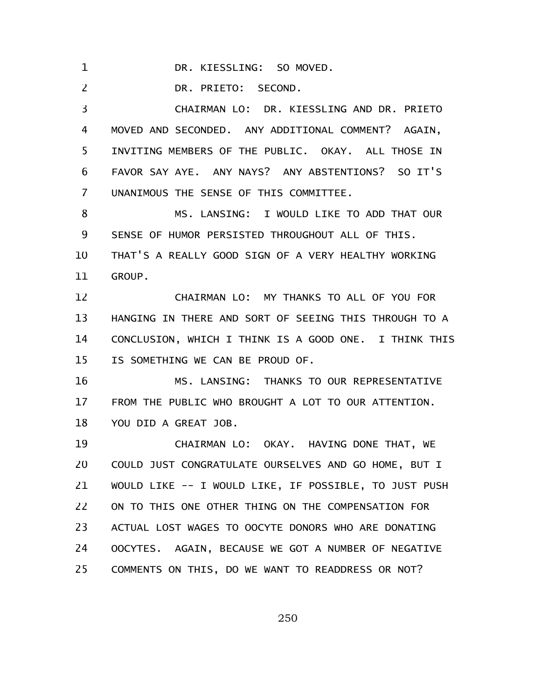DR. KIESSLING: SO MOVED. 1

DR. PRIETO: SECOND. 2

CHAIRMAN LO: DR. KIESSLING AND DR. PRIETO MOVED AND SECONDED. ANY ADDITIONAL COMMENT? AGAIN, INVITING MEMBERS OF THE PUBLIC. OKAY. ALL THOSE IN FAVOR SAY AYE. ANY NAYS? ANY ABSTENTIONS? SO IT'S UNANIMOUS THE SENSE OF THIS COMMITTEE. 3 4 5 6 7

MS. LANSING: I WOULD LIKE TO ADD THAT OUR SENSE OF HUMOR PERSISTED THROUGHOUT ALL OF THIS. THAT'S A REALLY GOOD SIGN OF A VERY HEALTHY WORKING GROUP. 8 9 10 11

CHAIRMAN LO: MY THANKS TO ALL OF YOU FOR HANGING IN THERE AND SORT OF SEEING THIS THROUGH TO A CONCLUSION, WHICH I THINK IS A GOOD ONE. I THINK THIS IS SOMETHING WE CAN BE PROUD OF. 12 13 14 15

MS. LANSING: THANKS TO OUR REPRESENTATIVE FROM THE PUBLIC WHO BROUGHT A LOT TO OUR ATTENTION. YOU DID A GREAT JOB. 16 17 18

CHAIRMAN LO: OKAY. HAVING DONE THAT, WE COULD JUST CONGRATULATE OURSELVES AND GO HOME, BUT I WOULD LIKE -- I WOULD LIKE, IF POSSIBLE, TO JUST PUSH ON TO THIS ONE OTHER THING ON THE COMPENSATION FOR ACTUAL LOST WAGES TO OOCYTE DONORS WHO ARE DONATING OOCYTES. AGAIN, BECAUSE WE GOT A NUMBER OF NEGATIVE COMMENTS ON THIS, DO WE WANT TO READDRESS OR NOT? 19 20 21 22 23 24 25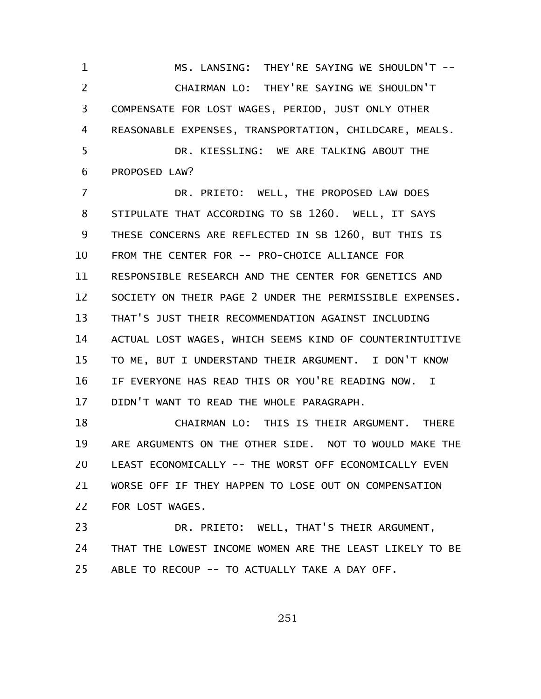MS. LANSING: THEY'RE SAYING WE SHOULDN'T -- CHAIRMAN LO: THEY'RE SAYING WE SHOULDN'T COMPENSATE FOR LOST WAGES, PERIOD, JUST ONLY OTHER REASONABLE EXPENSES, TRANSPORTATION, CHILDCARE, MEALS. DR. KIESSLING: WE ARE TALKING ABOUT THE 1 2 3 4 5

PROPOSED LAW? 6

DR. PRIETO: WELL, THE PROPOSED LAW DOES STIPULATE THAT ACCORDING TO SB 1260. WELL, IT SAYS THESE CONCERNS ARE REFLECTED IN SB 1260, BUT THIS IS FROM THE CENTER FOR -- PRO-CHOICE ALLIANCE FOR RESPONSIBLE RESEARCH AND THE CENTER FOR GENETICS AND SOCIETY ON THEIR PAGE 2 UNDER THE PERMISSIBLE EXPENSES. THAT'S JUST THEIR RECOMMENDATION AGAINST INCLUDING ACTUAL LOST WAGES, WHICH SEEMS KIND OF COUNTERINTUITIVE TO ME, BUT I UNDERSTAND THEIR ARGUMENT. I DON'T KNOW IF EVERYONE HAS READ THIS OR YOU'RE READING NOW. I DIDN'T WANT TO READ THE WHOLE PARAGRAPH. 7 8 9 10 11 12 13 14 15 16 17

CHAIRMAN LO: THIS IS THEIR ARGUMENT. THERE ARE ARGUMENTS ON THE OTHER SIDE. NOT TO WOULD MAKE THE LEAST ECONOMICALLY -- THE WORST OFF ECONOMICALLY EVEN WORSE OFF IF THEY HAPPEN TO LOSE OUT ON COMPENSATION FOR LOST WAGES. 18 19 20 21 22

DR. PRIETO: WELL, THAT'S THEIR ARGUMENT, THAT THE LOWEST INCOME WOMEN ARE THE LEAST LIKELY TO BE ABLE TO RECOUP -- TO ACTUALLY TAKE A DAY OFF. 23 24 25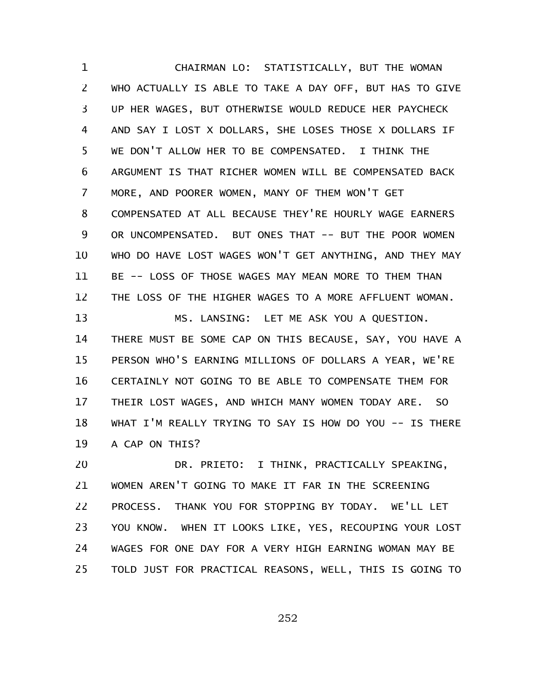CHAIRMAN LO: STATISTICALLY, BUT THE WOMAN WHO ACTUALLY IS ABLE TO TAKE A DAY OFF, BUT HAS TO GIVE UP HER WAGES, BUT OTHERWISE WOULD REDUCE HER PAYCHECK AND SAY I LOST X DOLLARS, SHE LOSES THOSE X DOLLARS IF WE DON'T ALLOW HER TO BE COMPENSATED. I THINK THE ARGUMENT IS THAT RICHER WOMEN WILL BE COMPENSATED BACK MORE, AND POORER WOMEN, MANY OF THEM WON'T GET COMPENSATED AT ALL BECAUSE THEY'RE HOURLY WAGE EARNERS OR UNCOMPENSATED. BUT ONES THAT -- BUT THE POOR WOMEN WHO DO HAVE LOST WAGES WON'T GET ANYTHING, AND THEY MAY BE -- LOSS OF THOSE WAGES MAY MEAN MORE TO THEM THAN THE LOSS OF THE HIGHER WAGES TO A MORE AFFLUENT WOMAN. MS. LANSING: LET ME ASK YOU A QUESTION. THERE MUST BE SOME CAP ON THIS BECAUSE, SAY, YOU HAVE A PERSON WHO'S EARNING MILLIONS OF DOLLARS A YEAR, WE'RE CERTAINLY NOT GOING TO BE ABLE TO COMPENSATE THEM FOR THEIR LOST WAGES, AND WHICH MANY WOMEN TODAY ARE. SO 1 2 3 4 5 6 7 8 9 10 11 12 13 14 15 16 17

WHAT I'M REALLY TRYING TO SAY IS HOW DO YOU -- IS THERE A CAP ON THIS? 18 19

DR. PRIETO: I THINK, PRACTICALLY SPEAKING, WOMEN AREN'T GOING TO MAKE IT FAR IN THE SCREENING PROCESS. THANK YOU FOR STOPPING BY TODAY. WE'LL LET YOU KNOW. WHEN IT LOOKS LIKE, YES, RECOUPING YOUR LOST WAGES FOR ONE DAY FOR A VERY HIGH EARNING WOMAN MAY BE TOLD JUST FOR PRACTICAL REASONS, WELL, THIS IS GOING TO 20 21 22 23 24 25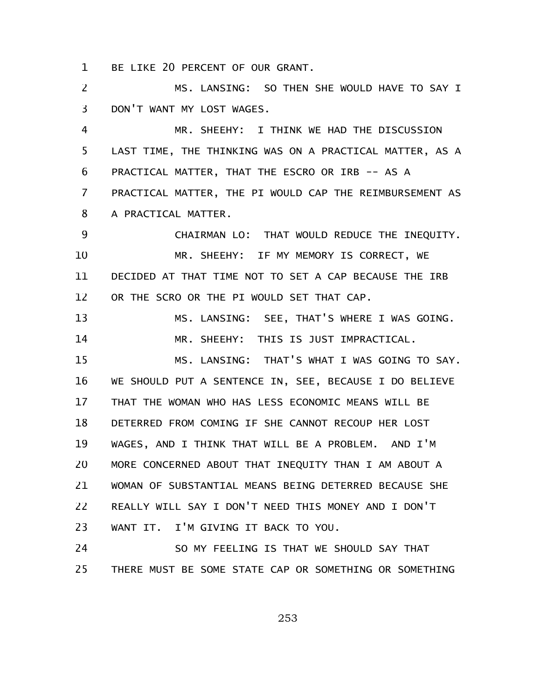BE LIKE 20 PERCENT OF OUR GRANT. 1

MS. LANSING: SO THEN SHE WOULD HAVE TO SAY I DON'T WANT MY LOST WAGES. 2 3

MR. SHEEHY: I THINK WE HAD THE DISCUSSION LAST TIME, THE THINKING WAS ON A PRACTICAL MATTER, AS A PRACTICAL MATTER, THAT THE ESCRO OR IRB -- AS A PRACTICAL MATTER, THE PI WOULD CAP THE REIMBURSEMENT AS A PRACTICAL MATTER. 4 5 6 7 8

CHAIRMAN LO: THAT WOULD REDUCE THE INEQUITY. MR. SHEEHY: IF MY MEMORY IS CORRECT, WE DECIDED AT THAT TIME NOT TO SET A CAP BECAUSE THE IRB OR THE SCRO OR THE PI WOULD SET THAT CAP. 9 10 11 12

MS. LANSING: SEE, THAT'S WHERE I WAS GOING. MR. SHEEHY: THIS IS JUST IMPRACTICAL. MS. LANSING: THAT'S WHAT I WAS GOING TO SAY. WE SHOULD PUT A SENTENCE IN, SEE, BECAUSE I DO BELIEVE THAT THE WOMAN WHO HAS LESS ECONOMIC MEANS WILL BE DETERRED FROM COMING IF SHE CANNOT RECOUP HER LOST WAGES, AND I THINK THAT WILL BE A PROBLEM. AND I'M MORE CONCERNED ABOUT THAT INEQUITY THAN I AM ABOUT A WOMAN OF SUBSTANTIAL MEANS BEING DETERRED BECAUSE SHE REALLY WILL SAY I DON'T NEED THIS MONEY AND I DON'T WANT IT. I'M GIVING IT BACK TO YOU. 13 14 15 16 17 18 19 20 21 22 23

SO MY FEELING IS THAT WE SHOULD SAY THAT THERE MUST BE SOME STATE CAP OR SOMETHING OR SOMETHING 24 25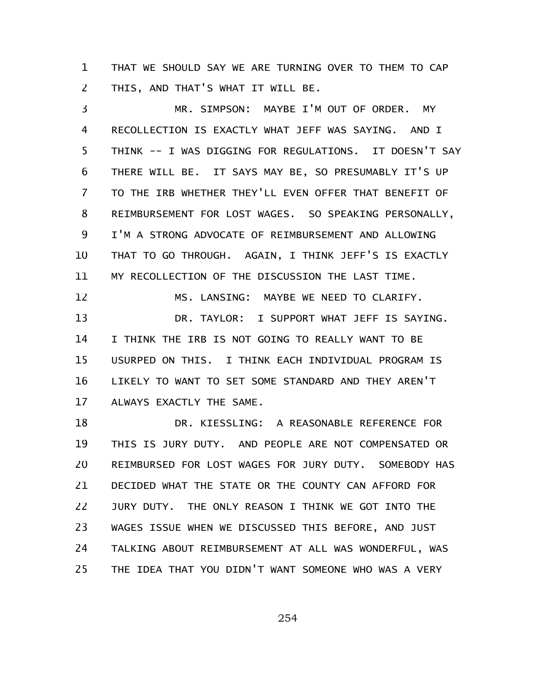THAT WE SHOULD SAY WE ARE TURNING OVER TO THEM TO CAP THIS, AND THAT'S WHAT IT WILL BE. 1 2

MR. SIMPSON: MAYBE I'M OUT OF ORDER. MY RECOLLECTION IS EXACTLY WHAT JEFF WAS SAYING. AND I THINK -- I WAS DIGGING FOR REGULATIONS. IT DOESN'T SAY THERE WILL BE. IT SAYS MAY BE, SO PRESUMABLY IT'S UP TO THE IRB WHETHER THEY'LL EVEN OFFER THAT BENEFIT OF REIMBURSEMENT FOR LOST WAGES. SO SPEAKING PERSONALLY, I'M A STRONG ADVOCATE OF REIMBURSEMENT AND ALLOWING THAT TO GO THROUGH. AGAIN, I THINK JEFF'S IS EXACTLY MY RECOLLECTION OF THE DISCUSSION THE LAST TIME. MS. LANSING: MAYBE WE NEED TO CLARIFY. DR. TAYLOR: I SUPPORT WHAT JEFF IS SAYING. I THINK THE IRB IS NOT GOING TO REALLY WANT TO BE USURPED ON THIS. I THINK EACH INDIVIDUAL PROGRAM IS LIKELY TO WANT TO SET SOME STANDARD AND THEY AREN'T ALWAYS EXACTLY THE SAME. 3 4 5 6 7 8 9 10 11 12 13 14 15 16 17

DR. KIESSLING: A REASONABLE REFERENCE FOR THIS IS JURY DUTY. AND PEOPLE ARE NOT COMPENSATED OR REIMBURSED FOR LOST WAGES FOR JURY DUTY. SOMEBODY HAS DECIDED WHAT THE STATE OR THE COUNTY CAN AFFORD FOR JURY DUTY. THE ONLY REASON I THINK WE GOT INTO THE WAGES ISSUE WHEN WE DISCUSSED THIS BEFORE, AND JUST TALKING ABOUT REIMBURSEMENT AT ALL WAS WONDERFUL, WAS THE IDEA THAT YOU DIDN'T WANT SOMEONE WHO WAS A VERY 18 19 20 21 22 23 24 25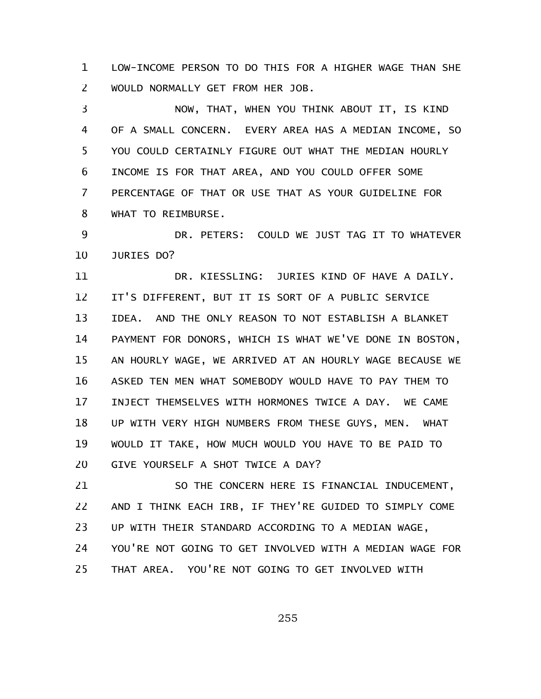LOW-INCOME PERSON TO DO THIS FOR A HIGHER WAGE THAN SHE WOULD NORMALLY GET FROM HER JOB. 1 2

NOW, THAT, WHEN YOU THINK ABOUT IT, IS KIND OF A SMALL CONCERN. EVERY AREA HAS A MEDIAN INCOME, SO YOU COULD CERTAINLY FIGURE OUT WHAT THE MEDIAN HOURLY INCOME IS FOR THAT AREA, AND YOU COULD OFFER SOME PERCENTAGE OF THAT OR USE THAT AS YOUR GUIDELINE FOR WHAT TO REIMBURSE. 3 4 5 6 7 8

DR. PETERS: COULD WE JUST TAG IT TO WHATEVER JURIES DO? 9 10

DR. KIESSLING: JURIES KIND OF HAVE A DAILY. IT'S DIFFERENT, BUT IT IS SORT OF A PUBLIC SERVICE IDEA. AND THE ONLY REASON TO NOT ESTABLISH A BLANKET PAYMENT FOR DONORS, WHICH IS WHAT WE'VE DONE IN BOSTON, AN HOURLY WAGE, WE ARRIVED AT AN HOURLY WAGE BECAUSE WE ASKED TEN MEN WHAT SOMEBODY WOULD HAVE TO PAY THEM TO INJECT THEMSELVES WITH HORMONES TWICE A DAY. WE CAME UP WITH VERY HIGH NUMBERS FROM THESE GUYS, MEN. WHAT WOULD IT TAKE, HOW MUCH WOULD YOU HAVE TO BE PAID TO GIVE YOURSELF A SHOT TWICE A DAY? 11 12 13 14 15 16 17 18 19 20

SO THE CONCERN HERE IS FINANCIAL INDUCEMENT, AND I THINK EACH IRB, IF THEY'RE GUIDED TO SIMPLY COME UP WITH THEIR STANDARD ACCORDING TO A MEDIAN WAGE, YOU'RE NOT GOING TO GET INVOLVED WITH A MEDIAN WAGE FOR THAT AREA. YOU'RE NOT GOING TO GET INVOLVED WITH 21 22 23 24 25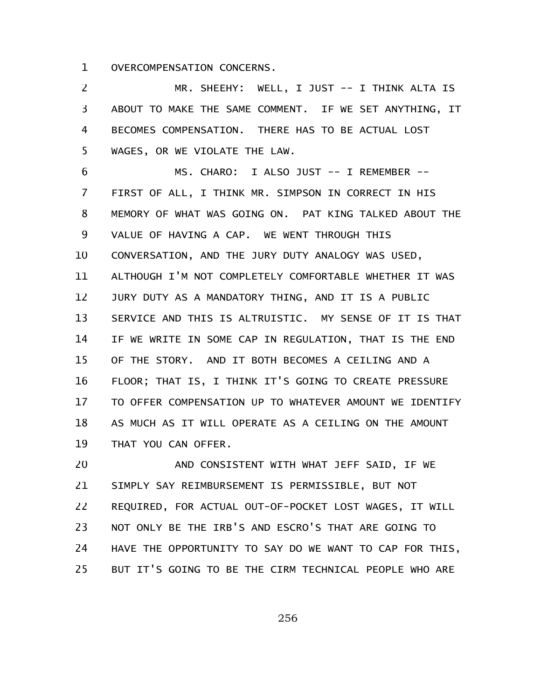OVERCOMPENSATION CONCERNS. 1

MR. SHEEHY: WELL, I JUST -- I THINK ALTA IS ABOUT TO MAKE THE SAME COMMENT. IF WE SET ANYTHING, IT BECOMES COMPENSATION. THERE HAS TO BE ACTUAL LOST WAGES, OR WE VIOLATE THE LAW. 2 3 4 5

MS. CHARO: I ALSO JUST -- I REMEMBER -- FIRST OF ALL, I THINK MR. SIMPSON IN CORRECT IN HIS MEMORY OF WHAT WAS GOING ON. PAT KING TALKED ABOUT THE VALUE OF HAVING A CAP. WE WENT THROUGH THIS CONVERSATION, AND THE JURY DUTY ANALOGY WAS USED, ALTHOUGH I'M NOT COMPLETELY COMFORTABLE WHETHER IT WAS JURY DUTY AS A MANDATORY THING, AND IT IS A PUBLIC SERVICE AND THIS IS ALTRUISTIC. MY SENSE OF IT IS THAT IF WE WRITE IN SOME CAP IN REGULATION, THAT IS THE END OF THE STORY. AND IT BOTH BECOMES A CEILING AND A FLOOR; THAT IS, I THINK IT'S GOING TO CREATE PRESSURE TO OFFER COMPENSATION UP TO WHATEVER AMOUNT WE IDENTIFY AS MUCH AS IT WILL OPERATE AS A CEILING ON THE AMOUNT THAT YOU CAN OFFER. 6 7 8 9 10 11 12 13 14 15 16 17 18 19

AND CONSISTENT WITH WHAT JEFF SAID, IF WE SIMPLY SAY REIMBURSEMENT IS PERMISSIBLE, BUT NOT REQUIRED, FOR ACTUAL OUT-OF-POCKET LOST WAGES, IT WILL NOT ONLY BE THE IRB'S AND ESCRO'S THAT ARE GOING TO HAVE THE OPPORTUNITY TO SAY DO WE WANT TO CAP FOR THIS, BUT IT'S GOING TO BE THE CIRM TECHNICAL PEOPLE WHO ARE 20 21 22 23 24 25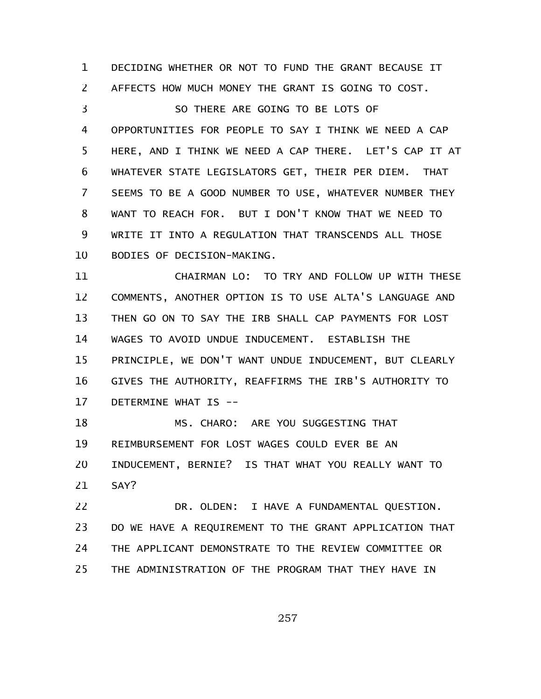DECIDING WHETHER OR NOT TO FUND THE GRANT BECAUSE IT AFFECTS HOW MUCH MONEY THE GRANT IS GOING TO COST. SO THERE ARE GOING TO BE LOTS OF OPPORTUNITIES FOR PEOPLE TO SAY I THINK WE NEED A CAP HERE, AND I THINK WE NEED A CAP THERE. LET'S CAP IT AT WHATEVER STATE LEGISLATORS GET, THEIR PER DIEM. THAT SEEMS TO BE A GOOD NUMBER TO USE, WHATEVER NUMBER THEY WANT TO REACH FOR. BUT I DON'T KNOW THAT WE NEED TO WRITE IT INTO A REGULATION THAT TRANSCENDS ALL THOSE BODIES OF DECISION-MAKING. 1 2 3 4 5 6 7 8 9 10

CHAIRMAN LO: TO TRY AND FOLLOW UP WITH THESE COMMENTS, ANOTHER OPTION IS TO USE ALTA'S LANGUAGE AND THEN GO ON TO SAY THE IRB SHALL CAP PAYMENTS FOR LOST WAGES TO AVOID UNDUE INDUCEMENT. ESTABLISH THE PRINCIPLE, WE DON'T WANT UNDUE INDUCEMENT, BUT CLEARLY GIVES THE AUTHORITY, REAFFIRMS THE IRB'S AUTHORITY TO DETERMINE WHAT IS -- 11 12 13 14 15 16 17

MS. CHARO: ARE YOU SUGGESTING THAT REIMBURSEMENT FOR LOST WAGES COULD EVER BE AN INDUCEMENT, BERNIE? IS THAT WHAT YOU REALLY WANT TO SAY? 18 19 20 21

DR. OLDEN: I HAVE A FUNDAMENTAL QUESTION. DO WE HAVE A REQUIREMENT TO THE GRANT APPLICATION THAT THE APPLICANT DEMONSTRATE TO THE REVIEW COMMITTEE OR THE ADMINISTRATION OF THE PROGRAM THAT THEY HAVE IN 22 23 24 25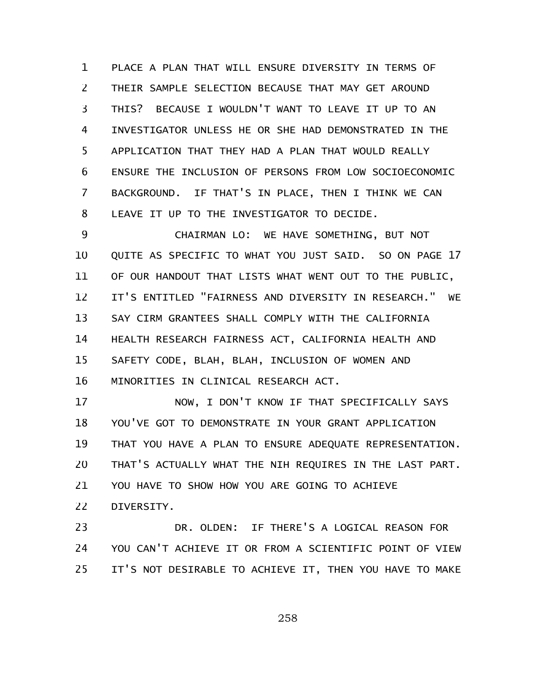PLACE A PLAN THAT WILL ENSURE DIVERSITY IN TERMS OF THEIR SAMPLE SELECTION BECAUSE THAT MAY GET AROUND THIS? BECAUSE I WOULDN'T WANT TO LEAVE IT UP TO AN INVESTIGATOR UNLESS HE OR SHE HAD DEMONSTRATED IN THE APPLICATION THAT THEY HAD A PLAN THAT WOULD REALLY ENSURE THE INCLUSION OF PERSONS FROM LOW SOCIOECONOMIC BACKGROUND. IF THAT'S IN PLACE, THEN I THINK WE CAN LEAVE IT UP TO THE INVESTIGATOR TO DECIDE. 1 2 3 4 5 6 7 8

CHAIRMAN LO: WE HAVE SOMETHING, BUT NOT QUITE AS SPECIFIC TO WHAT YOU JUST SAID. SO ON PAGE 17 OF OUR HANDOUT THAT LISTS WHAT WENT OUT TO THE PUBLIC, IT'S ENTITLED "FAIRNESS AND DIVERSITY IN RESEARCH." WE SAY CIRM GRANTEES SHALL COMPLY WITH THE CALIFORNIA HEALTH RESEARCH FAIRNESS ACT, CALIFORNIA HEALTH AND SAFETY CODE, BLAH, BLAH, INCLUSION OF WOMEN AND MINORITIES IN CLINICAL RESEARCH ACT. 9 10 11 12 13 14 15 16

NOW, I DON'T KNOW IF THAT SPECIFICALLY SAYS YOU'VE GOT TO DEMONSTRATE IN YOUR GRANT APPLICATION THAT YOU HAVE A PLAN TO ENSURE ADEQUATE REPRESENTATION. THAT'S ACTUALLY WHAT THE NIH REQUIRES IN THE LAST PART. YOU HAVE TO SHOW HOW YOU ARE GOING TO ACHIEVE DIVERSITY. 17 18 19 20 21 22

DR. OLDEN: IF THERE'S A LOGICAL REASON FOR YOU CAN'T ACHIEVE IT OR FROM A SCIENTIFIC POINT OF VIEW IT'S NOT DESIRABLE TO ACHIEVE IT, THEN YOU HAVE TO MAKE 23 24 25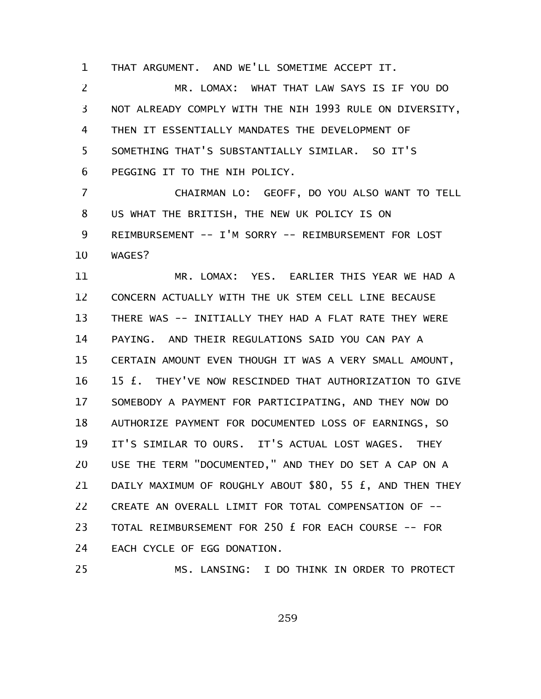THAT ARGUMENT. AND WE'LL SOMETIME ACCEPT IT. 1

MR. LOMAX: WHAT THAT LAW SAYS IS IF YOU DO NOT ALREADY COMPLY WITH THE NIH 1993 RULE ON DIVERSITY, THEN IT ESSENTIALLY MANDATES THE DEVELOPMENT OF SOMETHING THAT'S SUBSTANTIALLY SIMILAR. SO IT'S PEGGING IT TO THE NIH POLICY. 2 3 4 5 6

CHAIRMAN LO: GEOFF, DO YOU ALSO WANT TO TELL US WHAT THE BRITISH, THE NEW UK POLICY IS ON REIMBURSEMENT -- I'M SORRY -- REIMBURSEMENT FOR LOST WAGES? 7 8 9 10

MR. LOMAX: YES. EARLIER THIS YEAR WE HAD A CONCERN ACTUALLY WITH THE UK STEM CELL LINE BECAUSE THERE WAS -- INITIALLY THEY HAD A FLAT RATE THEY WERE PAYING. AND THEIR REGULATIONS SAID YOU CAN PAY A CERTAIN AMOUNT EVEN THOUGH IT WAS A VERY SMALL AMOUNT, 15 £. THEY'VE NOW RESCINDED THAT AUTHORIZATION TO GIVE SOMEBODY A PAYMENT FOR PARTICIPATING, AND THEY NOW DO AUTHORIZE PAYMENT FOR DOCUMENTED LOSS OF EARNINGS, SO IT'S SIMILAR TO OURS. IT'S ACTUAL LOST WAGES. THEY USE THE TERM "DOCUMENTED," AND THEY DO SET A CAP ON A DAILY MAXIMUM OF ROUGHLY ABOUT \$80, 55 £, AND THEN THEY CREATE AN OVERALL LIMIT FOR TOTAL COMPENSATION OF -- TOTAL REIMBURSEMENT FOR 250 £ FOR EACH COURSE -- FOR EACH CYCLE OF EGG DONATION. 11 12 13 14 15 16 17 18 19 20 21 22 23 24 25

MS. LANSING: I DO THINK IN ORDER TO PROTECT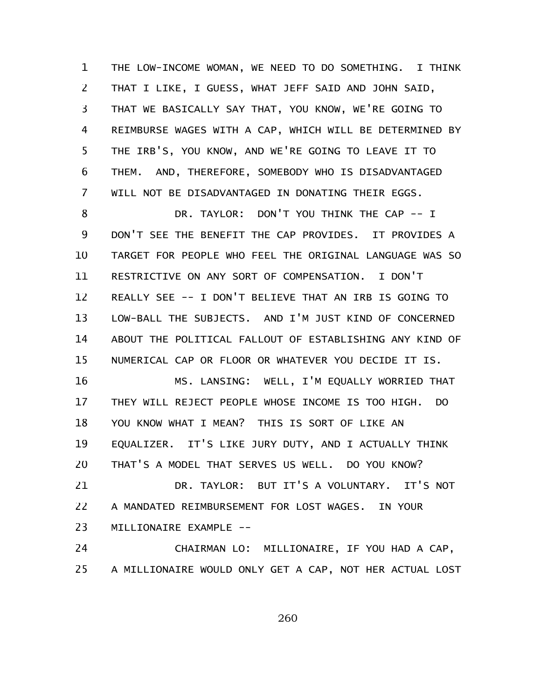THE LOW-INCOME WOMAN, WE NEED TO DO SOMETHING. I THINK THAT I LIKE, I GUESS, WHAT JEFF SAID AND JOHN SAID, THAT WE BASICALLY SAY THAT, YOU KNOW, WE'RE GOING TO REIMBURSE WAGES WITH A CAP, WHICH WILL BE DETERMINED BY THE IRB'S, YOU KNOW, AND WE'RE GOING TO LEAVE IT TO THEM. AND, THEREFORE, SOMEBODY WHO IS DISADVANTAGED WILL NOT BE DISADVANTAGED IN DONATING THEIR EGGS. 1 2 3 4 5 6 7

DR. TAYLOR: DON'T YOU THINK THE CAP -- I DON'T SEE THE BENEFIT THE CAP PROVIDES. IT PROVIDES A TARGET FOR PEOPLE WHO FEEL THE ORIGINAL LANGUAGE WAS SO RESTRICTIVE ON ANY SORT OF COMPENSATION. I DON'T REALLY SEE -- I DON'T BELIEVE THAT AN IRB IS GOING TO LOW-BALL THE SUBJECTS. AND I'M JUST KIND OF CONCERNED ABOUT THE POLITICAL FALLOUT OF ESTABLISHING ANY KIND OF NUMERICAL CAP OR FLOOR OR WHATEVER YOU DECIDE IT IS. 8 9 10 11 12 13 14 15

MS. LANSING: WELL, I'M EQUALLY WORRIED THAT THEY WILL REJECT PEOPLE WHOSE INCOME IS TOO HIGH. DO YOU KNOW WHAT I MEAN? THIS IS SORT OF LIKE AN EQUALIZER. IT'S LIKE JURY DUTY, AND I ACTUALLY THINK THAT'S A MODEL THAT SERVES US WELL. DO YOU KNOW? 16 17 18 19 20

DR. TAYLOR: BUT IT'S A VOLUNTARY. IT'S NOT A MANDATED REIMBURSEMENT FOR LOST WAGES. IN YOUR MILLIONAIRE EXAMPLE -- 21 22 23

CHAIRMAN LO: MILLIONAIRE, IF YOU HAD A CAP, A MILLIONAIRE WOULD ONLY GET A CAP, NOT HER ACTUAL LOST 24 25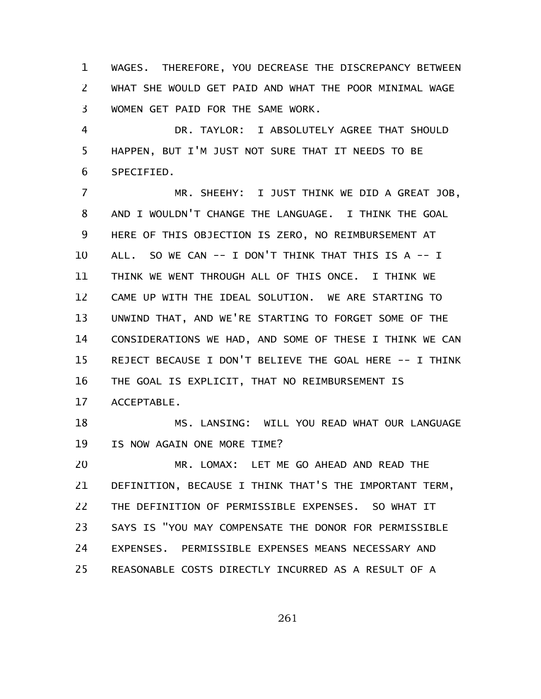WAGES. THEREFORE, YOU DECREASE THE DISCREPANCY BETWEEN WHAT SHE WOULD GET PAID AND WHAT THE POOR MINIMAL WAGE WOMEN GET PAID FOR THE SAME WORK. 1 2 3

DR. TAYLOR: I ABSOLUTELY AGREE THAT SHOULD HAPPEN, BUT I'M JUST NOT SURE THAT IT NEEDS TO BE SPECIFIED. 4 5 6

MR. SHEEHY: I JUST THINK WE DID A GREAT JOB, AND I WOULDN'T CHANGE THE LANGUAGE. I THINK THE GOAL HERE OF THIS OBJECTION IS ZERO, NO REIMBURSEMENT AT ALL. SO WE CAN -- I DON'T THINK THAT THIS IS A -- I THINK WE WENT THROUGH ALL OF THIS ONCE. I THINK WE CAME UP WITH THE IDEAL SOLUTION. WE ARE STARTING TO UNWIND THAT, AND WE'RE STARTING TO FORGET SOME OF THE CONSIDERATIONS WE HAD, AND SOME OF THESE I THINK WE CAN REJECT BECAUSE I DON'T BELIEVE THE GOAL HERE -- I THINK THE GOAL IS EXPLICIT, THAT NO REIMBURSEMENT IS ACCEPTABLE. 7 8 9 10 11 12 13 14 15 16 17

MS. LANSING: WILL YOU READ WHAT OUR LANGUAGE IS NOW AGAIN ONE MORE TIME? 18 19

MR. LOMAX: LET ME GO AHEAD AND READ THE DEFINITION, BECAUSE I THINK THAT'S THE IMPORTANT TERM, THE DEFINITION OF PERMISSIBLE EXPENSES. SO WHAT IT SAYS IS "YOU MAY COMPENSATE THE DONOR FOR PERMISSIBLE EXPENSES. PERMISSIBLE EXPENSES MEANS NECESSARY AND REASONABLE COSTS DIRECTLY INCURRED AS A RESULT OF A 20 21 22 23 24 25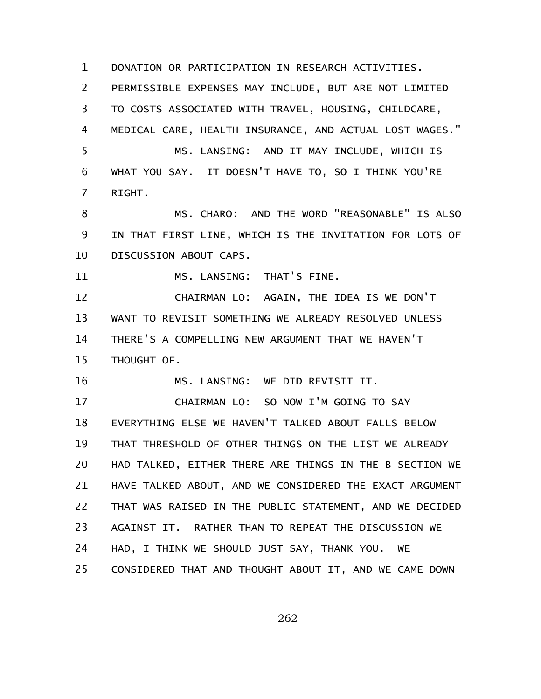DONATION OR PARTICIPATION IN RESEARCH ACTIVITIES. PERMISSIBLE EXPENSES MAY INCLUDE, BUT ARE NOT LIMITED TO COSTS ASSOCIATED WITH TRAVEL, HOUSING, CHILDCARE, MEDICAL CARE, HEALTH INSURANCE, AND ACTUAL LOST WAGES." MS. LANSING: AND IT MAY INCLUDE, WHICH IS WHAT YOU SAY. IT DOESN'T HAVE TO, SO I THINK YOU'RE RIGHT. MS. CHARO: AND THE WORD "REASONABLE" IS ALSO IN THAT FIRST LINE, WHICH IS THE INVITATION FOR LOTS OF DISCUSSION ABOUT CAPS. MS. LANSING: THAT'S FINE. CHAIRMAN LO: AGAIN, THE IDEA IS WE DON'T WANT TO REVISIT SOMETHING WE ALREADY RESOLVED UNLESS THERE'S A COMPELLING NEW ARGUMENT THAT WE HAVEN'T THOUGHT OF. MS. LANSING: WE DID REVISIT IT. CHAIRMAN LO: SO NOW I'M GOING TO SAY EVERYTHING ELSE WE HAVEN'T TALKED ABOUT FALLS BELOW THAT THRESHOLD OF OTHER THINGS ON THE LIST WE ALREADY HAD TALKED, EITHER THERE ARE THINGS IN THE B SECTION WE HAVE TALKED ABOUT, AND WE CONSIDERED THE EXACT ARGUMENT THAT WAS RAISED IN THE PUBLIC STATEMENT, AND WE DECIDED AGAINST IT. RATHER THAN TO REPEAT THE DISCUSSION WE HAD, I THINK WE SHOULD JUST SAY, THANK YOU. WE CONSIDERED THAT AND THOUGHT ABOUT IT, AND WE CAME DOWN 1 2 3 4 5 6 7 8 9 10 11 12 13 14 15 16 17 18 19 20 21 22 23 24 25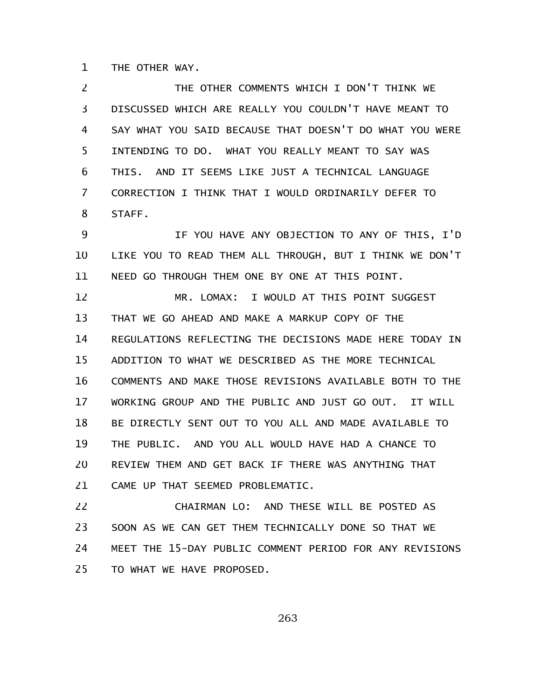THE OTHER WAY. 1

THE OTHER COMMENTS WHICH I DON'T THINK WE DISCUSSED WHICH ARE REALLY YOU COULDN'T HAVE MEANT TO SAY WHAT YOU SAID BECAUSE THAT DOESN'T DO WHAT YOU WERE INTENDING TO DO. WHAT YOU REALLY MEANT TO SAY WAS THIS. AND IT SEEMS LIKE JUST A TECHNICAL LANGUAGE CORRECTION I THINK THAT I WOULD ORDINARILY DEFER TO STAFF. IF YOU HAVE ANY OBJECTION TO ANY OF THIS, I'D LIKE YOU TO READ THEM ALL THROUGH, BUT I THINK WE DON'T NEED GO THROUGH THEM ONE BY ONE AT THIS POINT. MR. LOMAX: I WOULD AT THIS POINT SUGGEST THAT WE GO AHEAD AND MAKE A MARKUP COPY OF THE REGULATIONS REFLECTING THE DECISIONS MADE HERE TODAY IN ADDITION TO WHAT WE DESCRIBED AS THE MORE TECHNICAL COMMENTS AND MAKE THOSE REVISIONS AVAILABLE BOTH TO THE WORKING GROUP AND THE PUBLIC AND JUST GO OUT. IT WILL BE DIRECTLY SENT OUT TO YOU ALL AND MADE AVAILABLE TO THE PUBLIC. AND YOU ALL WOULD HAVE HAD A CHANCE TO REVIEW THEM AND GET BACK IF THERE WAS ANYTHING THAT CAME UP THAT SEEMED PROBLEMATIC. CHAIRMAN LO: AND THESE WILL BE POSTED AS SOON AS WE CAN GET THEM TECHNICALLY DONE SO THAT WE MEET THE 15-DAY PUBLIC COMMENT PERIOD FOR ANY REVISIONS 2 3 4 5 6 7 8 9 10 11 12 13 14 15 16 17 18 19 20 21 22 23 24

TO WHAT WE HAVE PROPOSED. 25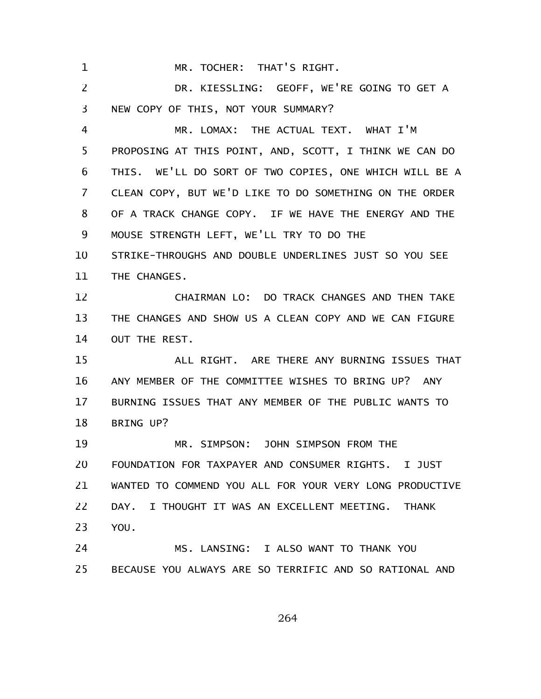MR. TOCHER: THAT'S RIGHT. 1

DR. KIESSLING: GEOFF, WE'RE GOING TO GET A NEW COPY OF THIS, NOT YOUR SUMMARY? 2 3

MR. LOMAX: THE ACTUAL TEXT. WHAT I'M PROPOSING AT THIS POINT, AND, SCOTT, I THINK WE CAN DO THIS. WE'LL DO SORT OF TWO COPIES, ONE WHICH WILL BE A CLEAN COPY, BUT WE'D LIKE TO DO SOMETHING ON THE ORDER OF A TRACK CHANGE COPY. IF WE HAVE THE ENERGY AND THE MOUSE STRENGTH LEFT, WE'LL TRY TO DO THE 4 5 6 7 8 9

STRIKE-THROUGHS AND DOUBLE UNDERLINES JUST SO YOU SEE THE CHANGES. 10 11

CHAIRMAN LO: DO TRACK CHANGES AND THEN TAKE THE CHANGES AND SHOW US A CLEAN COPY AND WE CAN FIGURE OUT THE REST. 12 13 14

ALL RIGHT. ARE THERE ANY BURNING ISSUES THAT ANY MEMBER OF THE COMMITTEE WISHES TO BRING UP? ANY BURNING ISSUES THAT ANY MEMBER OF THE PUBLIC WANTS TO BRING UP? 15 16 17 18

MR. SIMPSON: JOHN SIMPSON FROM THE FOUNDATION FOR TAXPAYER AND CONSUMER RIGHTS. I JUST WANTED TO COMMEND YOU ALL FOR YOUR VERY LONG PRODUCTIVE DAY. I THOUGHT IT WAS AN EXCELLENT MEETING. THANK YOU. 19 20 21 22 23

MS. LANSING: I ALSO WANT TO THANK YOU BECAUSE YOU ALWAYS ARE SO TERRIFIC AND SO RATIONAL AND 24 25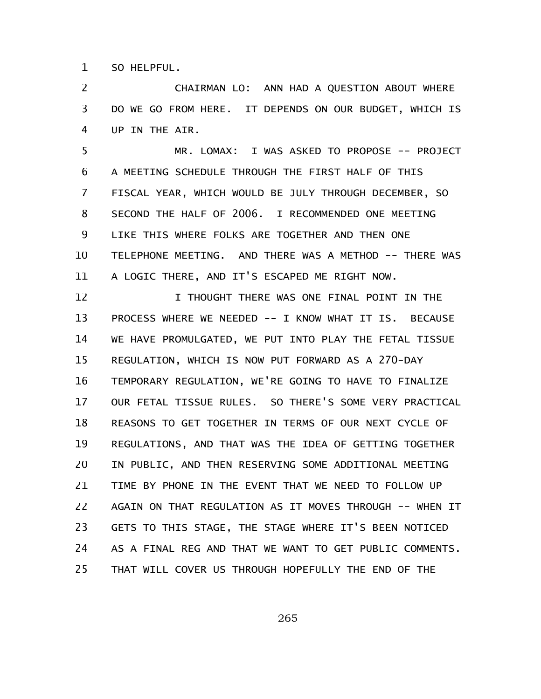SO HELPFUL. 1

CHAIRMAN LO: ANN HAD A QUESTION ABOUT WHERE DO WE GO FROM HERE. IT DEPENDS ON OUR BUDGET, WHICH IS UP IN THE AIR. 2 3 4

MR. LOMAX: I WAS ASKED TO PROPOSE -- PROJECT A MEETING SCHEDULE THROUGH THE FIRST HALF OF THIS FISCAL YEAR, WHICH WOULD BE JULY THROUGH DECEMBER, SO SECOND THE HALF OF 2006. I RECOMMENDED ONE MEETING LIKE THIS WHERE FOLKS ARE TOGETHER AND THEN ONE TELEPHONE MEETING. AND THERE WAS A METHOD -- THERE WAS A LOGIC THERE, AND IT'S ESCAPED ME RIGHT NOW. 5 6 7 8 9 10 11

I THOUGHT THERE WAS ONE FINAL POINT IN THE PROCESS WHERE WE NEEDED -- I KNOW WHAT IT IS. BECAUSE WE HAVE PROMULGATED, WE PUT INTO PLAY THE FETAL TISSUE REGULATION, WHICH IS NOW PUT FORWARD AS A 270-DAY TEMPORARY REGULATION, WE'RE GOING TO HAVE TO FINALIZE OUR FETAL TISSUE RULES. SO THERE'S SOME VERY PRACTICAL REASONS TO GET TOGETHER IN TERMS OF OUR NEXT CYCLE OF REGULATIONS, AND THAT WAS THE IDEA OF GETTING TOGETHER IN PUBLIC, AND THEN RESERVING SOME ADDITIONAL MEETING TIME BY PHONE IN THE EVENT THAT WE NEED TO FOLLOW UP AGAIN ON THAT REGULATION AS IT MOVES THROUGH -- WHEN IT GETS TO THIS STAGE, THE STAGE WHERE IT'S BEEN NOTICED AS A FINAL REG AND THAT WE WANT TO GET PUBLIC COMMENTS. THAT WILL COVER US THROUGH HOPEFULLY THE END OF THE 12 13 14 15 16 17 18 19 20 21 22 23 24 25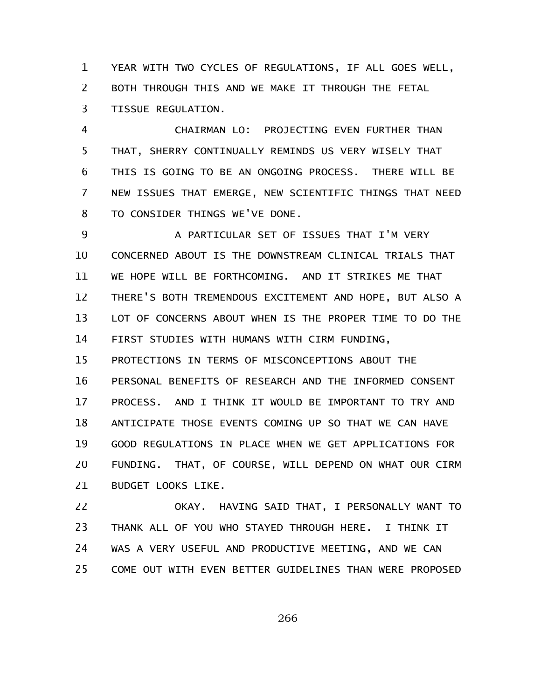YEAR WITH TWO CYCLES OF REGULATIONS, IF ALL GOES WELL, BOTH THROUGH THIS AND WE MAKE IT THROUGH THE FETAL TISSUE REGULATION. 1 2 3

CHAIRMAN LO: PROJECTING EVEN FURTHER THAN THAT, SHERRY CONTINUALLY REMINDS US VERY WISELY THAT THIS IS GOING TO BE AN ONGOING PROCESS. THERE WILL BE NEW ISSUES THAT EMERGE, NEW SCIENTIFIC THINGS THAT NEED TO CONSIDER THINGS WE'VE DONE. 4 5 6 7 8

A PARTICULAR SET OF ISSUES THAT I'M VERY CONCERNED ABOUT IS THE DOWNSTREAM CLINICAL TRIALS THAT WE HOPE WILL BE FORTHCOMING. AND IT STRIKES ME THAT THERE'S BOTH TREMENDOUS EXCITEMENT AND HOPE, BUT ALSO A LOT OF CONCERNS ABOUT WHEN IS THE PROPER TIME TO DO THE FIRST STUDIES WITH HUMANS WITH CIRM FUNDING, 9 10 11 12 13 14

PROTECTIONS IN TERMS OF MISCONCEPTIONS ABOUT THE PERSONAL BENEFITS OF RESEARCH AND THE INFORMED CONSENT PROCESS. AND I THINK IT WOULD BE IMPORTANT TO TRY AND ANTICIPATE THOSE EVENTS COMING UP SO THAT WE CAN HAVE GOOD REGULATIONS IN PLACE WHEN WE GET APPLICATIONS FOR FUNDING. THAT, OF COURSE, WILL DEPEND ON WHAT OUR CIRM BUDGET LOOKS LIKE. 15 16 17 18 19 20 21

OKAY. HAVING SAID THAT, I PERSONALLY WANT TO THANK ALL OF YOU WHO STAYED THROUGH HERE. I THINK IT WAS A VERY USEFUL AND PRODUCTIVE MEETING, AND WE CAN COME OUT WITH EVEN BETTER GUIDELINES THAN WERE PROPOSED 22 23 24 25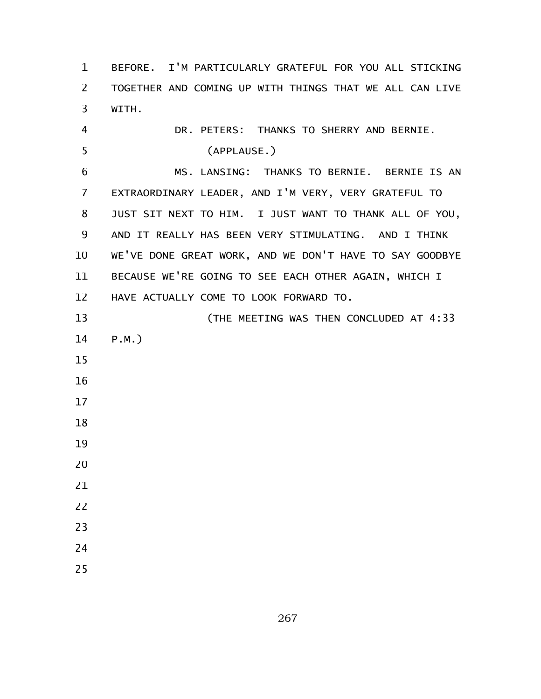BEFORE. I'M PARTICULARLY GRATEFUL FOR YOU ALL STICKING TOGETHER AND COMING UP WITH THINGS THAT WE ALL CAN LIVE WITH. DR. PETERS: THANKS TO SHERRY AND BERNIE. (APPLAUSE.) MS. LANSING: THANKS TO BERNIE. BERNIE IS AN EXTRAORDINARY LEADER, AND I'M VERY, VERY GRATEFUL TO JUST SIT NEXT TO HIM. I JUST WANT TO THANK ALL OF YOU, AND IT REALLY HAS BEEN VERY STIMULATING. AND I THINK WE'VE DONE GREAT WORK, AND WE DON'T HAVE TO SAY GOODBYE BECAUSE WE'RE GOING TO SEE EACH OTHER AGAIN, WHICH I HAVE ACTUALLY COME TO LOOK FORWARD TO. (THE MEETING WAS THEN CONCLUDED AT 4:33 P.M.)